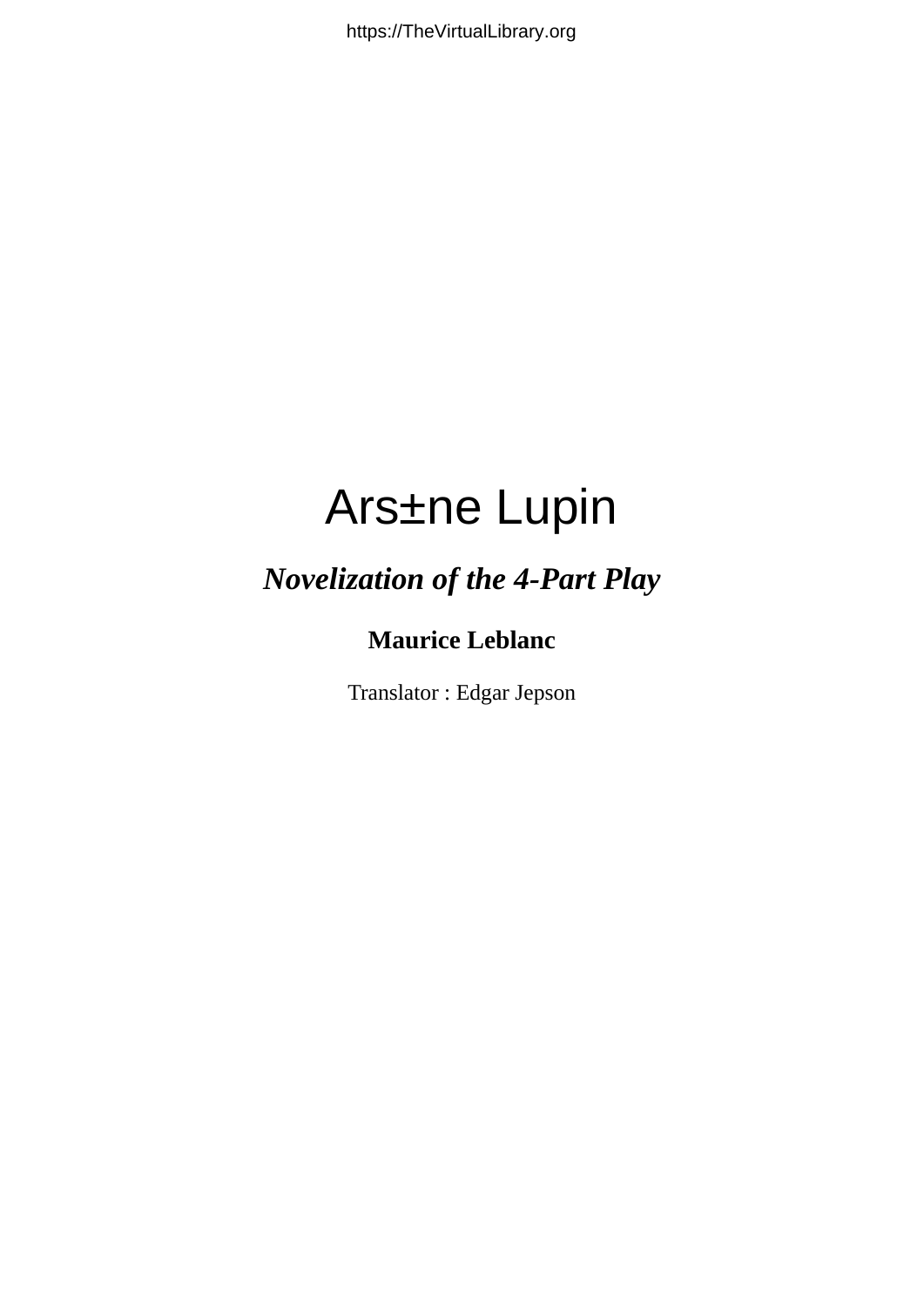$C\mathbb{E} \rightarrow \wedge \tilde{\mathbb{S}}$ "] a

#### *Novelization of the 4-Part Play*

#### **Maurice Leblanc**

Translator : Edgar Jepson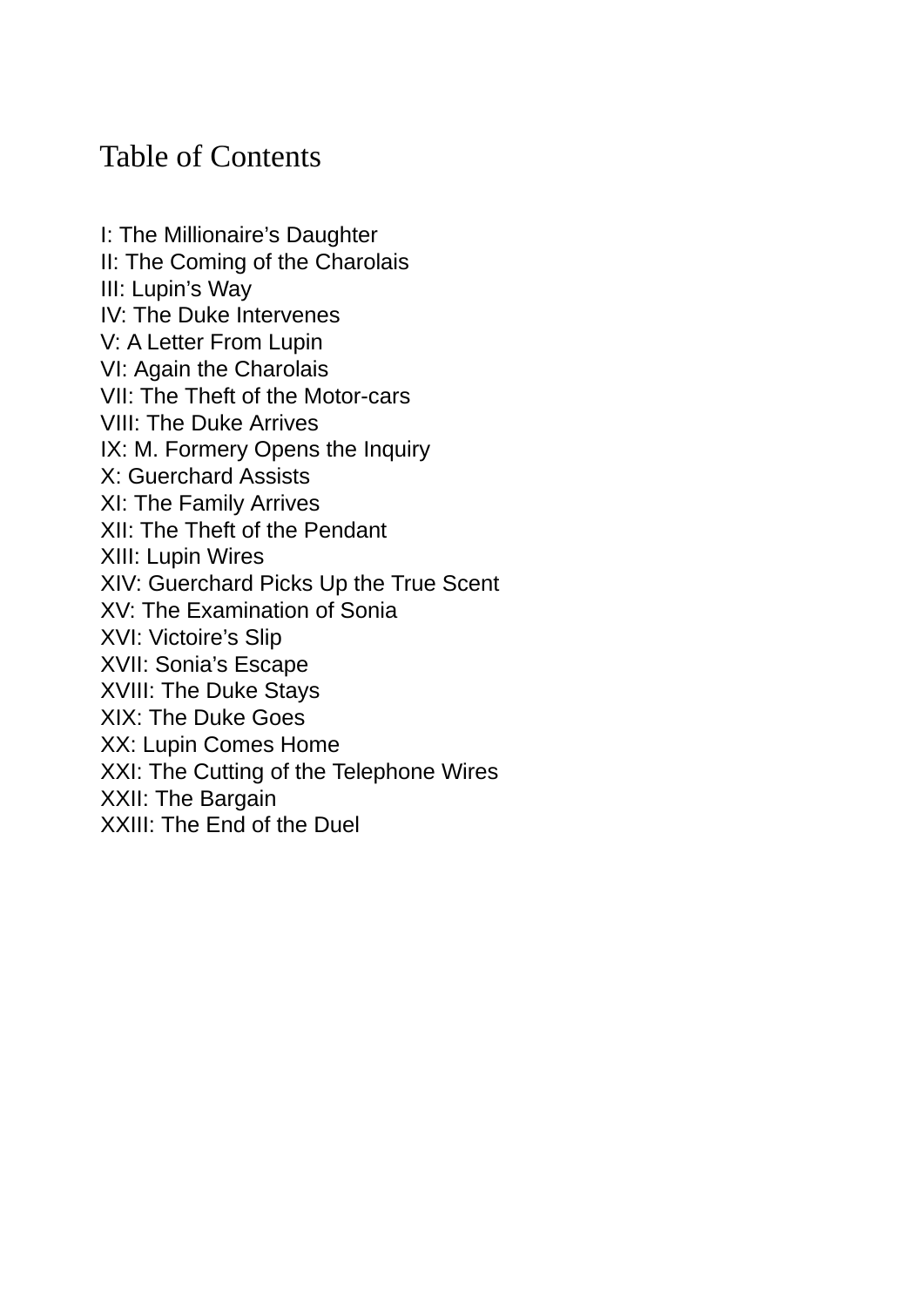#### Table of Contents

I: The [Millionaire's](#page-2-0) Daughter II: The Coming of the [Charolais](#page-10-0) III: [Lupin's](#page-15-0) Way IV: The Duke [Intervenes](#page-24-0) V: A [Letter](#page-30-0) From Lupin VI: Again the [Charolais](#page-37-0) VII: The Theft of the [Motor-cars](#page-42-0) VIII: The Duke [Arrives](#page-49-0) IX: M. [Formery](#page-55-0) Opens the Inquiry X: [Guerchard](#page-63-0) Assists XI: The Family [Arrives](#page-71-0) XII: The Theft of the [Pendant](#page-76-0) XIII: Lupin [Wires](#page-84-0) XIV: [Guerchard](#page-89-0) Picks Up the True Scent XV: The [Examination](#page-95-0) of Sonia XVI: [Victoire's](#page-100-0) Slip XVII: Sonia's [Escape](#page-106-0) XVIII: The Duke [Stays](#page-114-0) XIX: The Duke [Goes](#page-123-0) XX: Lupin [Comes](#page-133-0) Home XXI: The Cutting of the [Telephone](#page-139-0) Wires XXII: The [Bargain](#page-147-0) [XXIII:](#page-156-0) The End of the Duel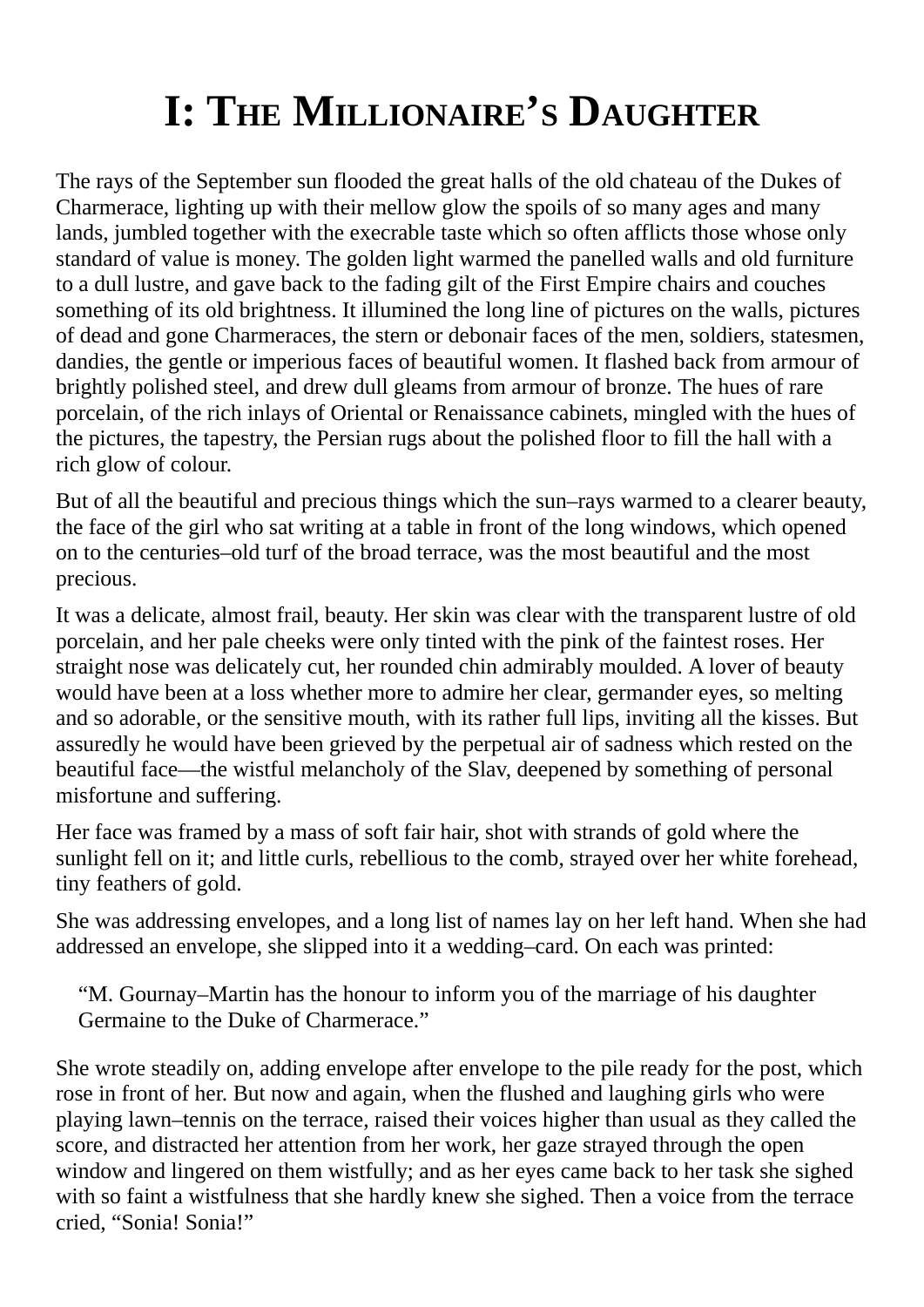# **I: THE MILLIONAIRE'S DAUGHTER**

<span id="page-2-0"></span>The rays of the September sun flooded the great halls of the old chateau of the Dukes of Charmerace, lighting up with their mellow glow the spoils of so many ages and many lands, jumbled together with the execrable taste which so often afflicts those whose only standard of value is money. The golden light warmed the panelled walls and old furniture to a dull lustre, and gave back to the fading gilt of the First Empire chairs and couches something of its old brightness. It illumined the long line of pictures on the walls, pictures of dead and gone Charmeraces, the stern or debonair faces of the men, soldiers, statesmen, dandies, the gentle or imperious faces of beautiful women. It flashed back from armour of brightly polished steel, and drew dull gleams from armour of bronze. The hues of rare porcelain, of the rich inlays of Oriental or Renaissance cabinets, mingled with the hues of the pictures, the tapestry, the Persian rugs about the polished floor to fill the hall with a rich glow of colour.

But of all the beautiful and precious things which the sun–rays warmed to a clearer beauty, the face of the girl who sat writing at a table in front of the long windows, which opened on to the centuries–old turf of the broad terrace, was the most beautiful and the most precious.

It was a delicate, almost frail, beauty. Her skin was clear with the transparent lustre of old porcelain, and her pale cheeks were only tinted with the pink of the faintest roses. Her straight nose was delicately cut, her rounded chin admirably moulded. A lover of beauty would have been at a loss whether more to admire her clear, germander eyes, so melting and so adorable, or the sensitive mouth, with its rather full lips, inviting all the kisses. But assuredly he would have been grieved by the perpetual air of sadness which rested on the beautiful face—the wistful melancholy of the Slav, deepened by something of personal misfortune and suffering.

Her face was framed by a mass of soft fair hair, shot with strands of gold where the sunlight fell on it; and little curls, rebellious to the comb, strayed over her white forehead, tiny feathers of gold.

She was addressing envelopes, and a long list of names lay on her left hand. When she had addressed an envelope, she slipped into it a wedding–card. On each was printed:

"M. Gournay–Martin has the honour to inform you of the marriage of his daughter Germaine to the Duke of Charmerace."

She wrote steadily on, adding envelope after envelope to the pile ready for the post, which rose in front of her. But now and again, when the flushed and laughing girls who were playing lawn–tennis on the terrace, raised their voices higher than usual as they called the score, and distracted her attention from her work, her gaze strayed through the open window and lingered on them wistfully; and as her eyes came back to her task she sighed with so faint a wistfulness that she hardly knew she sighed. Then a voice from the terrace cried, "Sonia! Sonia!"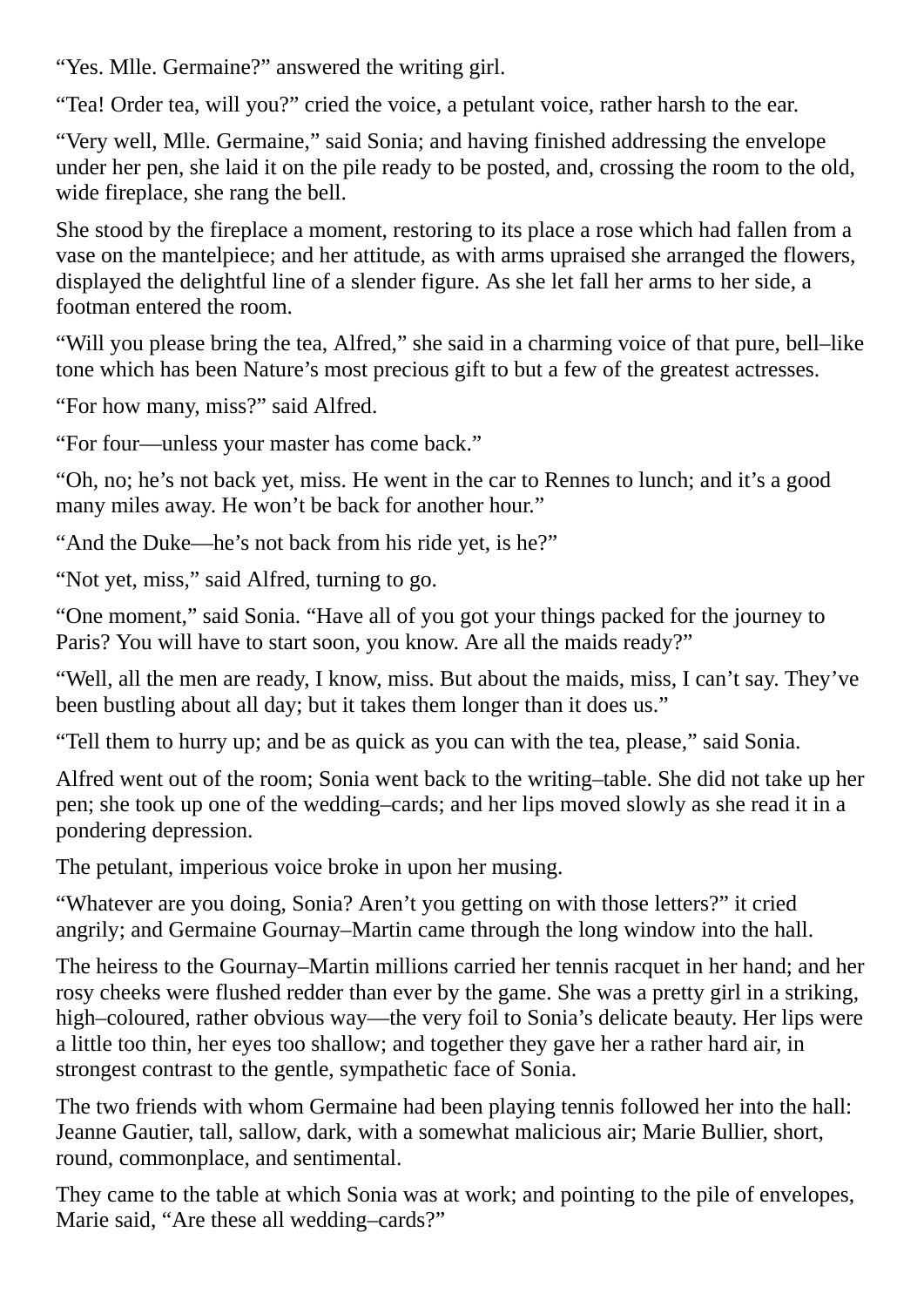"Yes. Mlle. Germaine?" answered the writing girl.

"Tea! Order tea, will you?" cried the voice, a petulant voice, rather harsh to the ear.

"Very well, Mlle. Germaine," said Sonia; and having finished addressing the envelope under her pen, she laid it on the pile ready to be posted, and, crossing the room to the old, wide fireplace, she rang the bell.

She stood by the fireplace a moment, restoring to its place a rose which had fallen from a vase on the mantelpiece; and her attitude, as with arms upraised she arranged the flowers, displayed the delightful line of a slender figure. As she let fall her arms to her side, a footman entered the room.

"Will you please bring the tea, Alfred," she said in a charming voice of that pure, bell–like tone which has been Nature's most precious gift to but a few of the greatest actresses.

"For how many, miss?" said Alfred.

"For four—unless your master has come back."

"Oh, no; he's not back yet, miss. He went in the car to Rennes to lunch; and it's a good many miles away. He won't be back for another hour."

"And the Duke—he's not back from his ride yet, is he?"

"Not yet, miss," said Alfred, turning to go.

"One moment," said Sonia. "Have all of you got your things packed for the journey to Paris? You will have to start soon, you know. Are all the maids ready?"

"Well, all the men are ready, I know, miss. But about the maids, miss, I can't say. They've been bustling about all day; but it takes them longer than it does us."

"Tell them to hurry up; and be as quick as you can with the tea, please," said Sonia.

Alfred went out of the room; Sonia went back to the writing–table. She did not take up her pen; she took up one of the wedding–cards; and her lips moved slowly as she read it in a pondering depression.

The petulant, imperious voice broke in upon her musing.

"Whatever are you doing, Sonia? Aren't you getting on with those letters?" it cried angrily; and Germaine Gournay–Martin came through the long window into the hall.

The heiress to the Gournay–Martin millions carried her tennis racquet in her hand; and her rosy cheeks were flushed redder than ever by the game. She was a pretty girl in a striking, high–coloured, rather obvious way—the very foil to Sonia's delicate beauty. Her lips were a little too thin, her eyes too shallow; and together they gave her a rather hard air, in strongest contrast to the gentle, sympathetic face of Sonia.

The two friends with whom Germaine had been playing tennis followed her into the hall: Jeanne Gautier, tall, sallow, dark, with a somewhat malicious air; Marie Bullier, short, round, commonplace, and sentimental.

They came to the table at which Sonia was at work; and pointing to the pile of envelopes, Marie said, "Are these all wedding–cards?"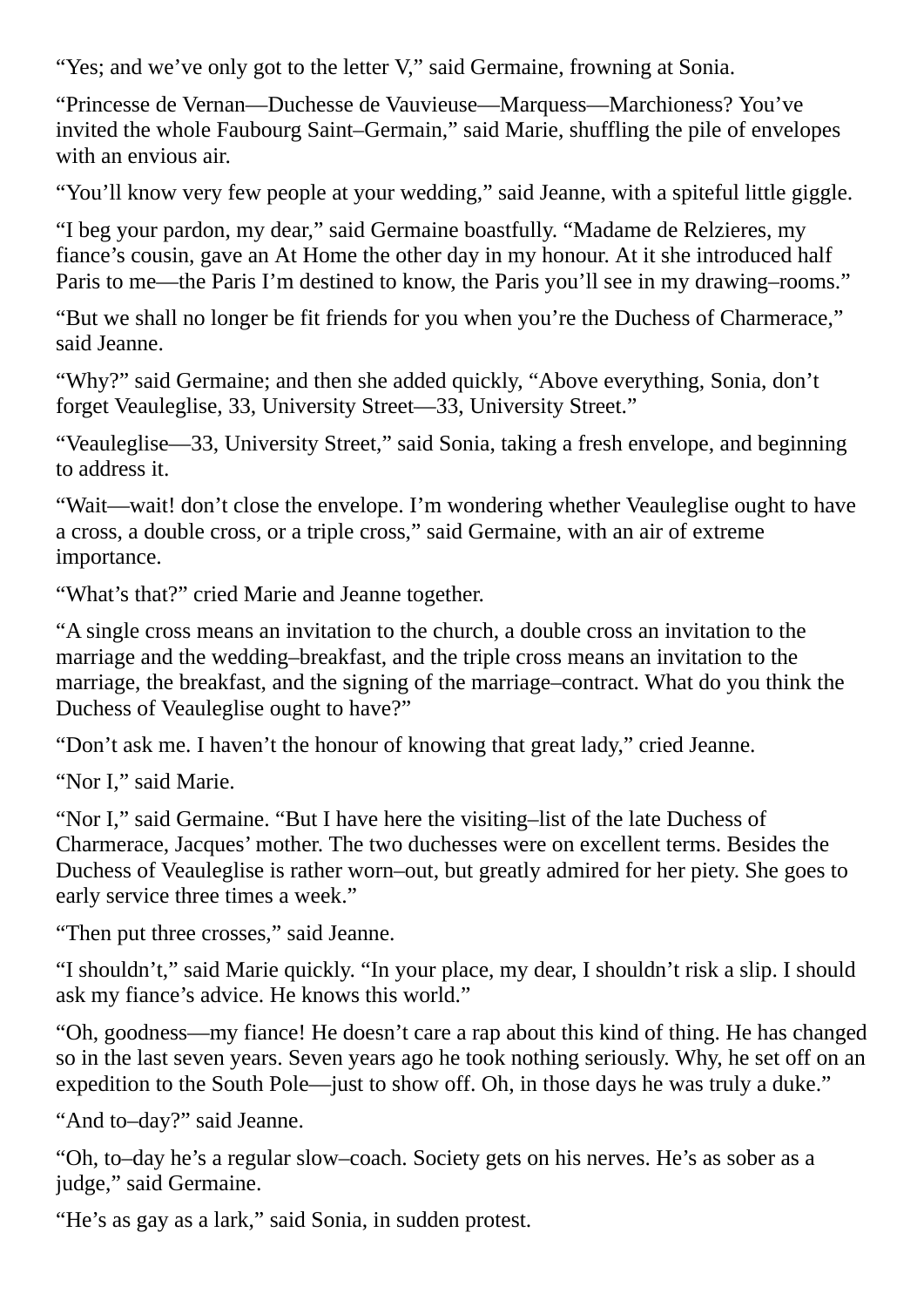"Yes; and we've only got to the letter V," said Germaine, frowning at Sonia.

"Princesse de Vernan—Duchesse de Vauvieuse—Marquess—Marchioness? You've invited the whole Faubourg Saint–Germain," said Marie, shuffling the pile of envelopes with an envious air.

"You'll know very few people at your wedding," said Jeanne, with a spiteful little giggle.

"I beg your pardon, my dear," said Germaine boastfully. "Madame de Relzieres, my fiance's cousin, gave an At Home the other day in my honour. At it she introduced half Paris to me—the Paris I'm destined to know, the Paris you'll see in my drawing–rooms."

"But we shall no longer be fit friends for you when you're the Duchess of Charmerace," said Jeanne.

"Why?" said Germaine; and then she added quickly, "Above everything, Sonia, don't forget Veauleglise, 33, University Street—33, University Street."

"Veauleglise—33, University Street," said Sonia, taking a fresh envelope, and beginning to address it.

"Wait—wait! don't close the envelope. I'm wondering whether Veauleglise ought to have a cross, a double cross, or a triple cross," said Germaine, with an air of extreme importance.

"What's that?" cried Marie and Jeanne together.

"A single cross means an invitation to the church, a double cross an invitation to the marriage and the wedding–breakfast, and the triple cross means an invitation to the marriage, the breakfast, and the signing of the marriage–contract. What do you think the Duchess of Veauleglise ought to have?"

"Don't ask me. I haven't the honour of knowing that great lady," cried Jeanne.

"Nor I," said Marie.

"Nor I," said Germaine. "But I have here the visiting–list of the late Duchess of Charmerace, Jacques' mother. The two duchesses were on excellent terms. Besides the Duchess of Veauleglise is rather worn–out, but greatly admired for her piety. She goes to early service three times a week."

"Then put three crosses," said Jeanne.

"I shouldn't," said Marie quickly. "In your place, my dear, I shouldn't risk a slip. I should ask my fiance's advice. He knows this world."

"Oh, goodness—my fiance! He doesn't care a rap about this kind of thing. He has changed so in the last seven years. Seven years ago he took nothing seriously. Why, he set off on an expedition to the South Pole—just to show off. Oh, in those days he was truly a duke."

"And to–day?" said Jeanne.

"Oh, to–day he's a regular slow–coach. Society gets on his nerves. He's as sober as a judge," said Germaine.

"He's as gay as a lark," said Sonia, in sudden protest.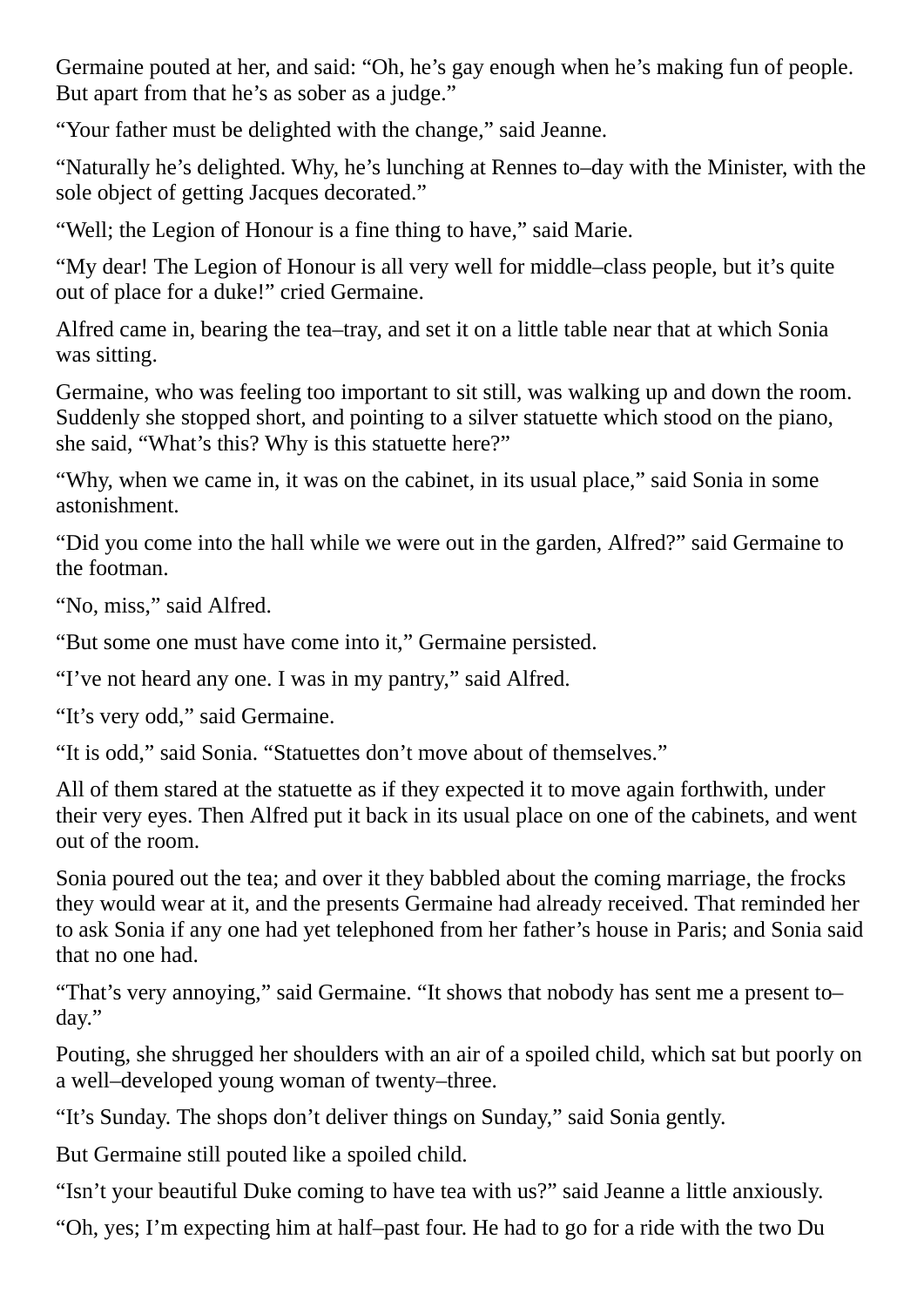Germaine pouted at her, and said: "Oh, he's gay enough when he's making fun of people. But apart from that he's as sober as a judge."

"Your father must be delighted with the change," said Jeanne.

"Naturally he's delighted. Why, he's lunching at Rennes to–day with the Minister, with the sole object of getting Jacques decorated."

"Well; the Legion of Honour is a fine thing to have," said Marie.

"My dear! The Legion of Honour is all very well for middle–class people, but it's quite out of place for a duke!" cried Germaine.

Alfred came in, bearing the tea–tray, and set it on a little table near that at which Sonia was sitting.

Germaine, who was feeling too important to sit still, was walking up and down the room. Suddenly she stopped short, and pointing to a silver statuette which stood on the piano, she said, "What's this? Why is this statuette here?"

"Why, when we came in, it was on the cabinet, in its usual place," said Sonia in some astonishment.

"Did you come into the hall while we were out in the garden, Alfred?" said Germaine to the footman.

"No, miss," said Alfred.

"But some one must have come into it," Germaine persisted.

"I've not heard any one. I was in my pantry," said Alfred.

"It's very odd," said Germaine.

"It is odd," said Sonia. "Statuettes don't move about of themselves."

All of them stared at the statuette as if they expected it to move again forthwith, under their very eyes. Then Alfred put it back in its usual place on one of the cabinets, and went out of the room.

Sonia poured out the tea; and over it they babbled about the coming marriage, the frocks they would wear at it, and the presents Germaine had already received. That reminded her to ask Sonia if any one had yet telephoned from her father's house in Paris; and Sonia said that no one had.

"That's very annoying," said Germaine. "It shows that nobody has sent me a present to– day."

Pouting, she shrugged her shoulders with an air of a spoiled child, which sat but poorly on a well–developed young woman of twenty–three.

"It's Sunday. The shops don't deliver things on Sunday," said Sonia gently.

But Germaine still pouted like a spoiled child.

"Isn't your beautiful Duke coming to have tea with us?" said Jeanne a little anxiously.

"Oh, yes; I'm expecting him at half–past four. He had to go for a ride with the two Du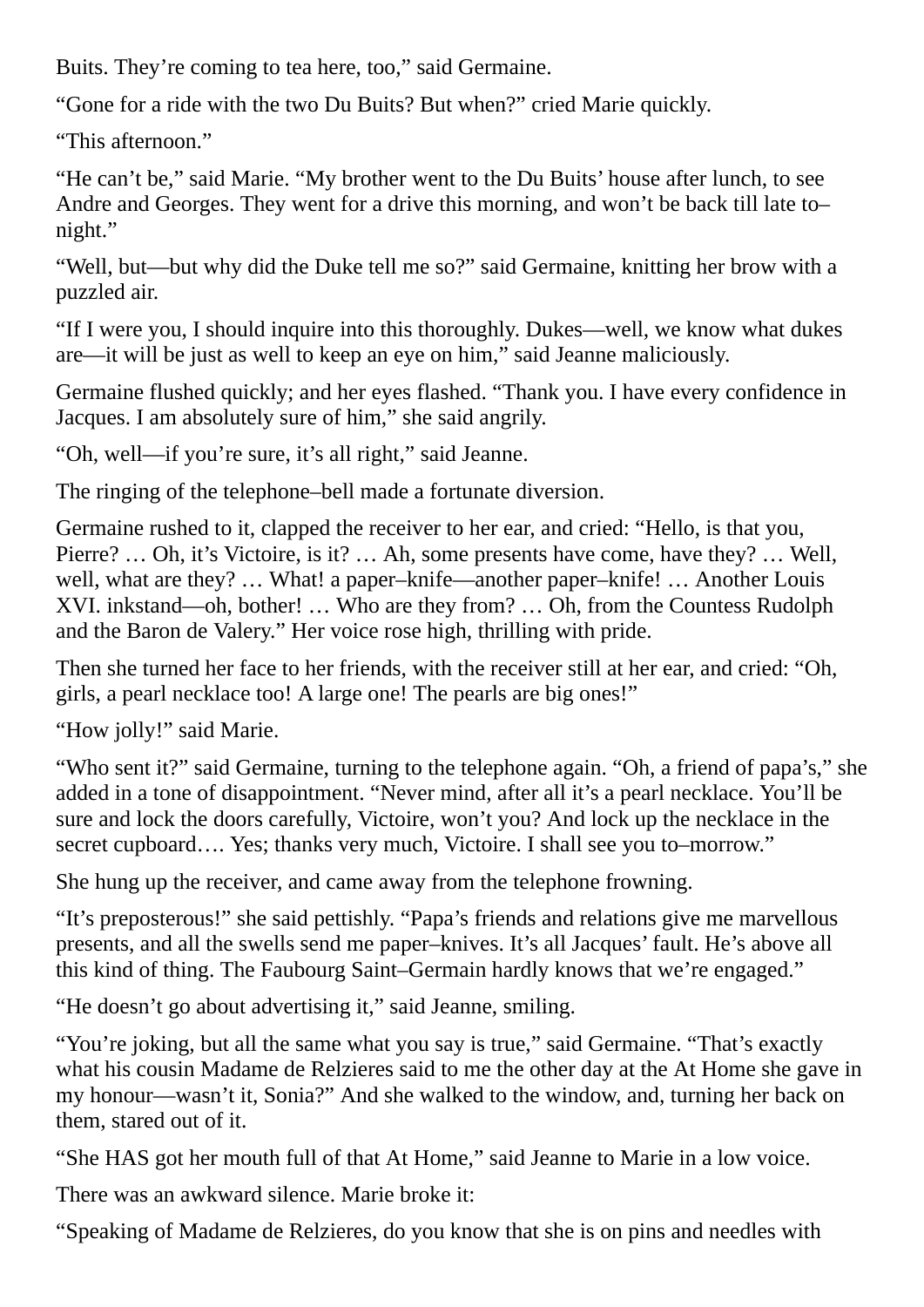Buits. They're coming to tea here, too," said Germaine.

"Gone for a ride with the two Du Buits? But when?" cried Marie quickly.

"This afternoon."

"He can't be," said Marie. "My brother went to the Du Buits' house after lunch, to see Andre and Georges. They went for a drive this morning, and won't be back till late to– night."

"Well, but—but why did the Duke tell me so?" said Germaine, knitting her brow with a puzzled air.

"If I were you, I should inquire into this thoroughly. Dukes—well, we know what dukes are—it will be just as well to keep an eye on him," said Jeanne maliciously.

Germaine flushed quickly; and her eyes flashed. "Thank you. I have every confidence in Jacques. I am absolutely sure of him," she said angrily.

"Oh, well—if you're sure, it's all right," said Jeanne.

The ringing of the telephone–bell made a fortunate diversion.

Germaine rushed to it, clapped the receiver to her ear, and cried: "Hello, is that you, Pierre? … Oh, it's Victoire, is it? … Ah, some presents have come, have they? … Well, well, what are they? … What! a paper–knife—another paper–knife! … Another Louis XVI. inkstand—oh, bother! … Who are they from? … Oh, from the Countess Rudolph and the Baron de Valery." Her voice rose high, thrilling with pride.

Then she turned her face to her friends, with the receiver still at her ear, and cried: "Oh, girls, a pearl necklace too! A large one! The pearls are big ones!"

"How jolly!" said Marie.

"Who sent it?" said Germaine, turning to the telephone again. "Oh, a friend of papa's," she added in a tone of disappointment. "Never mind, after all it's a pearl necklace. You'll be sure and lock the doors carefully, Victoire, won't you? And lock up the necklace in the secret cupboard.... Yes; thanks very much, Victoire. I shall see you to–morrow."

She hung up the receiver, and came away from the telephone frowning.

"It's preposterous!" she said pettishly. "Papa's friends and relations give me marvellous presents, and all the swells send me paper–knives. It's all Jacques' fault. He's above all this kind of thing. The Faubourg Saint–Germain hardly knows that we're engaged."

"He doesn't go about advertising it," said Jeanne, smiling.

"You're joking, but all the same what you say is true," said Germaine. "That's exactly what his cousin Madame de Relzieres said to me the other day at the At Home she gave in my honour—wasn't it, Sonia?" And she walked to the window, and, turning her back on them, stared out of it.

"She HAS got her mouth full of that At Home," said Jeanne to Marie in a low voice.

There was an awkward silence. Marie broke it:

"Speaking of Madame de Relzieres, do you know that she is on pins and needles with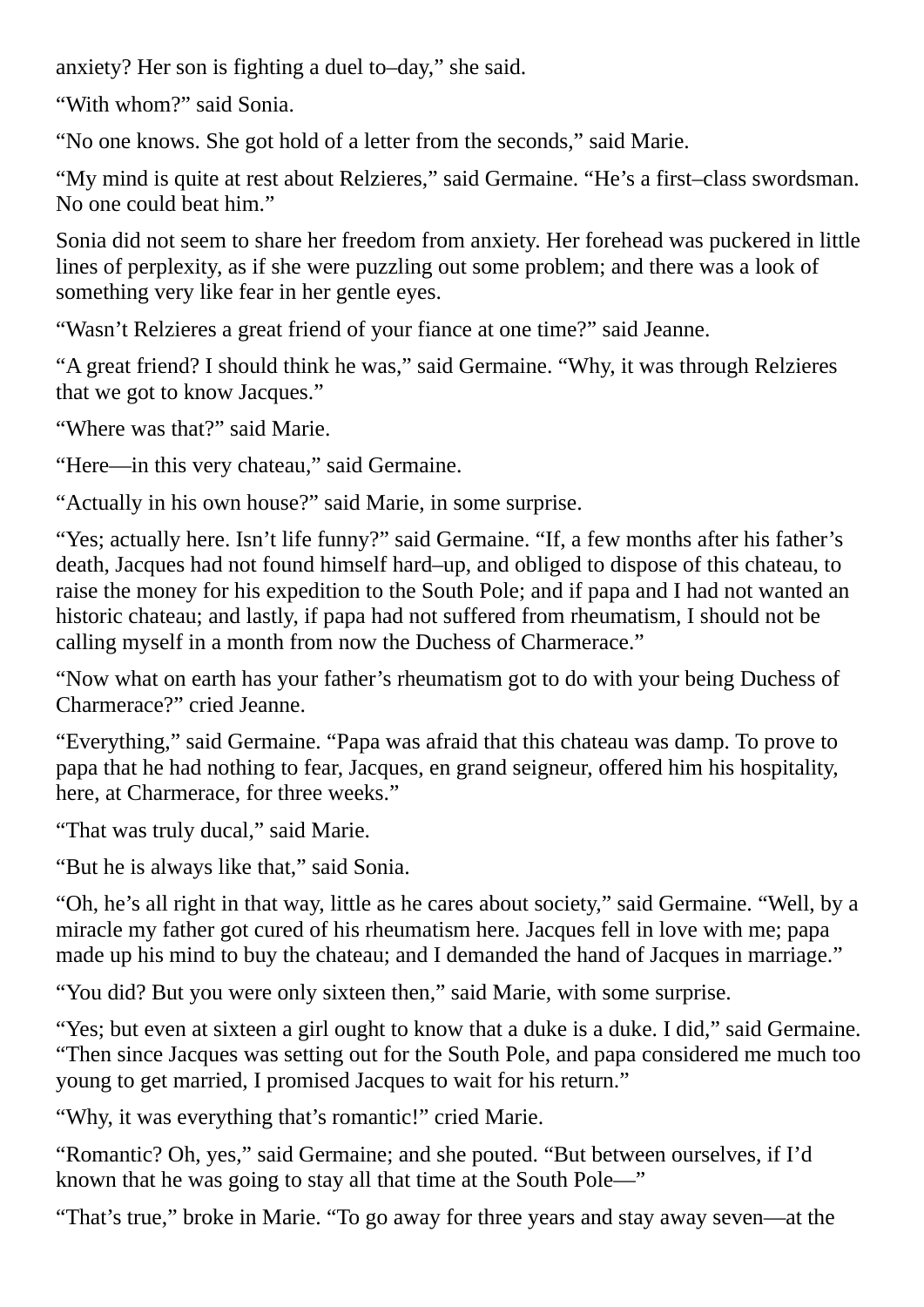anxiety? Her son is fighting a duel to–day," she said.

"With whom?" said Sonia.

"No one knows. She got hold of a letter from the seconds," said Marie.

"My mind is quite at rest about Relzieres," said Germaine. "He's a first–class swordsman. No one could beat him."

Sonia did not seem to share her freedom from anxiety. Her forehead was puckered in little lines of perplexity, as if she were puzzling out some problem; and there was a look of something very like fear in her gentle eyes.

"Wasn't Relzieres a great friend of your fiance at one time?" said Jeanne.

"A great friend? I should think he was," said Germaine. "Why, it was through Relzieres that we got to know Jacques."

"Where was that?" said Marie.

"Here—in this very chateau," said Germaine.

"Actually in his own house?" said Marie, in some surprise.

"Yes; actually here. Isn't life funny?" said Germaine. "If, a few months after his father's death, Jacques had not found himself hard–up, and obliged to dispose of this chateau, to raise the money for his expedition to the South Pole; and if papa and I had not wanted an historic chateau; and lastly, if papa had not suffered from rheumatism, I should not be calling myself in a month from now the Duchess of Charmerace."

"Now what on earth has your father's rheumatism got to do with your being Duchess of Charmerace?" cried Jeanne.

"Everything," said Germaine. "Papa was afraid that this chateau was damp. To prove to papa that he had nothing to fear, Jacques, en grand seigneur, offered him his hospitality, here, at Charmerace, for three weeks."

"That was truly ducal," said Marie.

"But he is always like that," said Sonia.

"Oh, he's all right in that way, little as he cares about society," said Germaine. "Well, by a miracle my father got cured of his rheumatism here. Jacques fell in love with me; papa made up his mind to buy the chateau; and I demanded the hand of Jacques in marriage."

"You did? But you were only sixteen then," said Marie, with some surprise.

"Yes; but even at sixteen a girl ought to know that a duke is a duke. I did," said Germaine. "Then since Jacques was setting out for the South Pole, and papa considered me much too young to get married, I promised Jacques to wait for his return."

"Why, it was everything that's romantic!" cried Marie.

"Romantic? Oh, yes," said Germaine; and she pouted. "But between ourselves, if I'd known that he was going to stay all that time at the South Pole—"

"That's true," broke in Marie. "To go away for three years and stay away seven—at the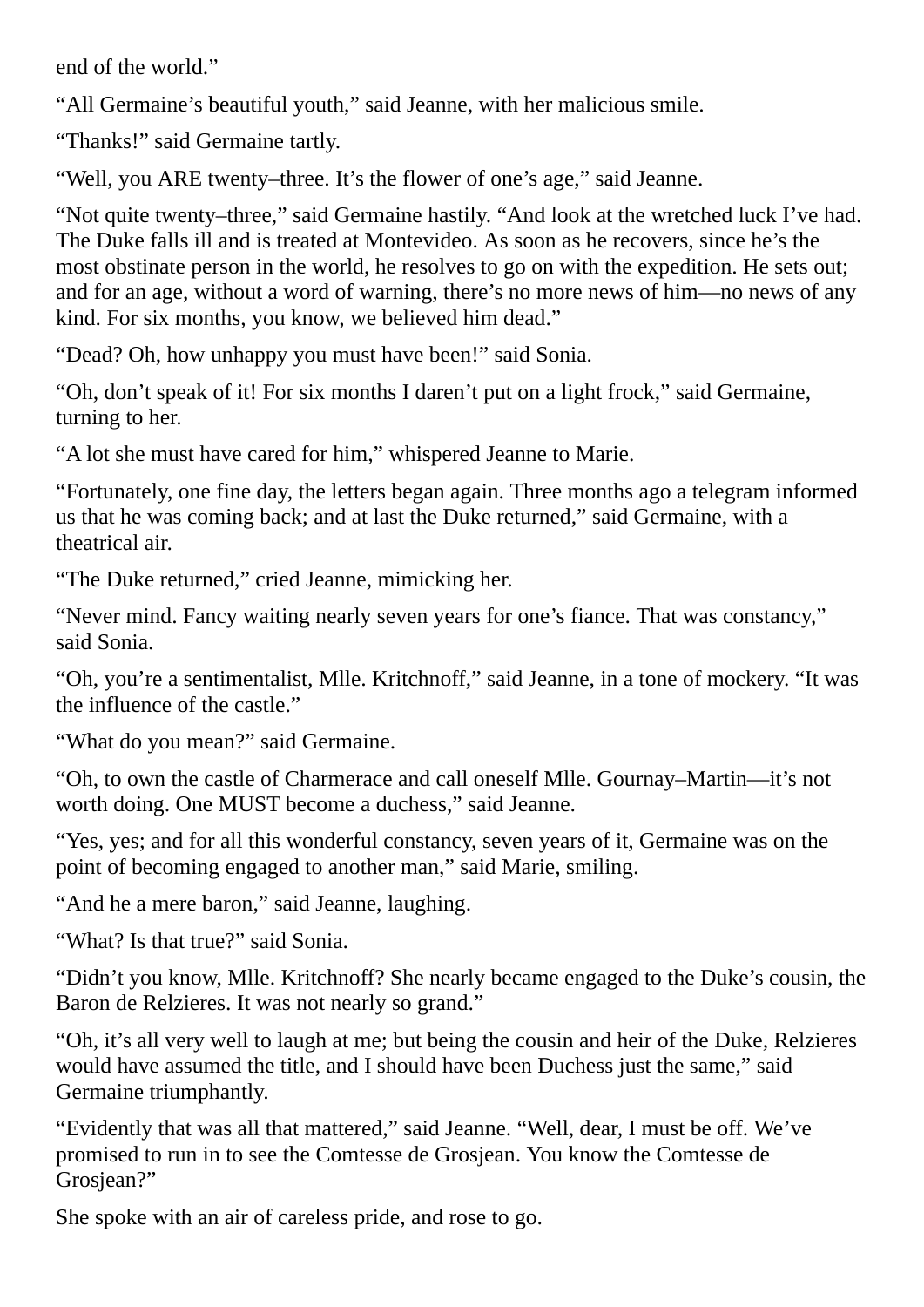end of the world."

"All Germaine's beautiful youth," said Jeanne, with her malicious smile.

"Thanks!" said Germaine tartly.

"Well, you ARE twenty–three. It's the flower of one's age," said Jeanne.

"Not quite twenty–three," said Germaine hastily. "And look at the wretched luck I've had. The Duke falls ill and is treated at Montevideo. As soon as he recovers, since he's the most obstinate person in the world, he resolves to go on with the expedition. He sets out; and for an age, without a word of warning, there's no more news of him—no news of any kind. For six months, you know, we believed him dead."

"Dead? Oh, how unhappy you must have been!" said Sonia.

"Oh, don't speak of it! For six months I daren't put on a light frock," said Germaine, turning to her.

"A lot she must have cared for him," whispered Jeanne to Marie.

"Fortunately, one fine day, the letters began again. Three months ago a telegram informed us that he was coming back; and at last the Duke returned," said Germaine, with a theatrical air.

"The Duke returned," cried Jeanne, mimicking her.

"Never mind. Fancy waiting nearly seven years for one's fiance. That was constancy," said Sonia.

"Oh, you're a sentimentalist, Mlle. Kritchnoff," said Jeanne, in a tone of mockery. "It was the influence of the castle."

"What do you mean?" said Germaine.

"Oh, to own the castle of Charmerace and call oneself Mlle. Gournay–Martin—it's not worth doing. One MUST become a duchess," said Jeanne.

"Yes, yes; and for all this wonderful constancy, seven years of it, Germaine was on the point of becoming engaged to another man," said Marie, smiling.

"And he a mere baron," said Jeanne, laughing.

"What? Is that true?" said Sonia.

"Didn't you know, Mlle. Kritchnoff? She nearly became engaged to the Duke's cousin, the Baron de Relzieres. It was not nearly so grand."

"Oh, it's all very well to laugh at me; but being the cousin and heir of the Duke, Relzieres would have assumed the title, and I should have been Duchess just the same," said Germaine triumphantly.

"Evidently that was all that mattered," said Jeanne. "Well, dear, I must be off. We've promised to run in to see the Comtesse de Grosjean. You know the Comtesse de Grosiean?"

She spoke with an air of careless pride, and rose to go.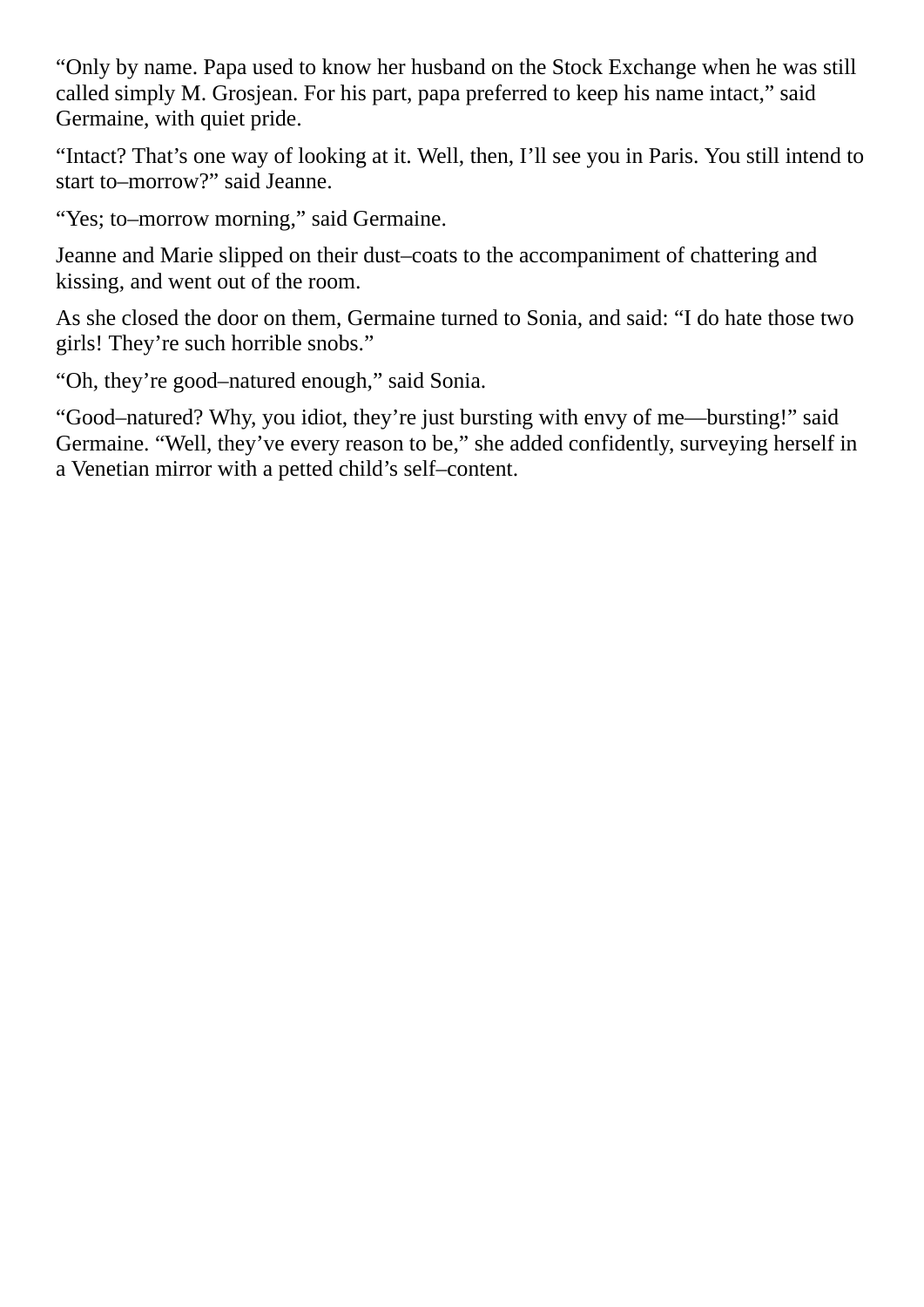"Only by name. Papa used to know her husband on the Stock Exchange when he was still called simply M. Grosjean. For his part, papa preferred to keep his name intact," said Germaine, with quiet pride.

"Intact? That's one way of looking at it. Well, then, I'll see you in Paris. You still intend to start to–morrow?" said Jeanne.

"Yes; to–morrow morning," said Germaine.

Jeanne and Marie slipped on their dust–coats to the accompaniment of chattering and kissing, and went out of the room.

As she closed the door on them, Germaine turned to Sonia, and said: "I do hate those two girls! They're such horrible snobs."

"Oh, they're good–natured enough," said Sonia.

"Good–natured? Why, you idiot, they're just bursting with envy of me—bursting!" said Germaine. "Well, they've every reason to be," she added confidently, surveying herself in a Venetian mirror with a petted child's self–content.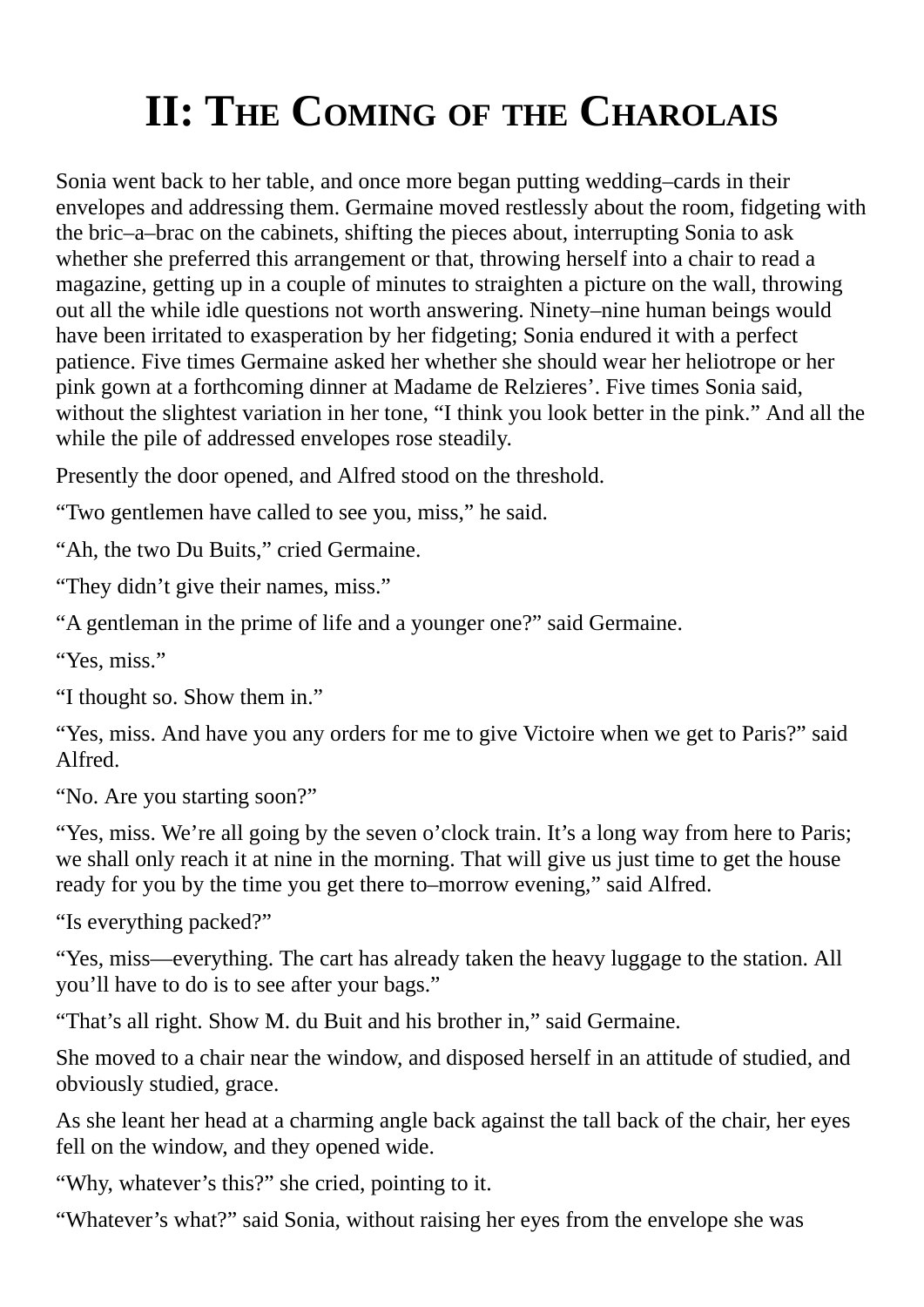## <span id="page-10-0"></span>**II: THE COMING OF THE CHAROLAIS**

Sonia went back to her table, and once more began putting wedding–cards in their envelopes and addressing them. Germaine moved restlessly about the room, fidgeting with the bric–a–brac on the cabinets, shifting the pieces about, interrupting Sonia to ask whether she preferred this arrangement or that, throwing herself into a chair to read a magazine, getting up in a couple of minutes to straighten a picture on the wall, throwing out all the while idle questions not worth answering. Ninety–nine human beings would have been irritated to exasperation by her fidgeting; Sonia endured it with a perfect patience. Five times Germaine asked her whether she should wear her heliotrope or her pink gown at a forthcoming dinner at Madame de Relzieres'. Five times Sonia said, without the slightest variation in her tone, "I think you look better in the pink." And all the while the pile of addressed envelopes rose steadily.

Presently the door opened, and Alfred stood on the threshold.

"Two gentlemen have called to see you, miss," he said.

"Ah, the two Du Buits," cried Germaine.

"They didn't give their names, miss."

"A gentleman in the prime of life and a younger one?" said Germaine.

"Yes, miss."

"I thought so. Show them in."

"Yes, miss. And have you any orders for me to give Victoire when we get to Paris?" said Alfred.

"No. Are you starting soon?"

"Yes, miss. We're all going by the seven o'clock train. It's a long way from here to Paris; we shall only reach it at nine in the morning. That will give us just time to get the house ready for you by the time you get there to–morrow evening," said Alfred.

"Is everything packed?"

"Yes, miss—everything. The cart has already taken the heavy luggage to the station. All you'll have to do is to see after your bags."

"That's all right. Show M. du Buit and his brother in," said Germaine.

She moved to a chair near the window, and disposed herself in an attitude of studied, and obviously studied, grace.

As she leant her head at a charming angle back against the tall back of the chair, her eyes fell on the window, and they opened wide.

"Why, whatever's this?" she cried, pointing to it.

"Whatever's what?" said Sonia, without raising her eyes from the envelope she was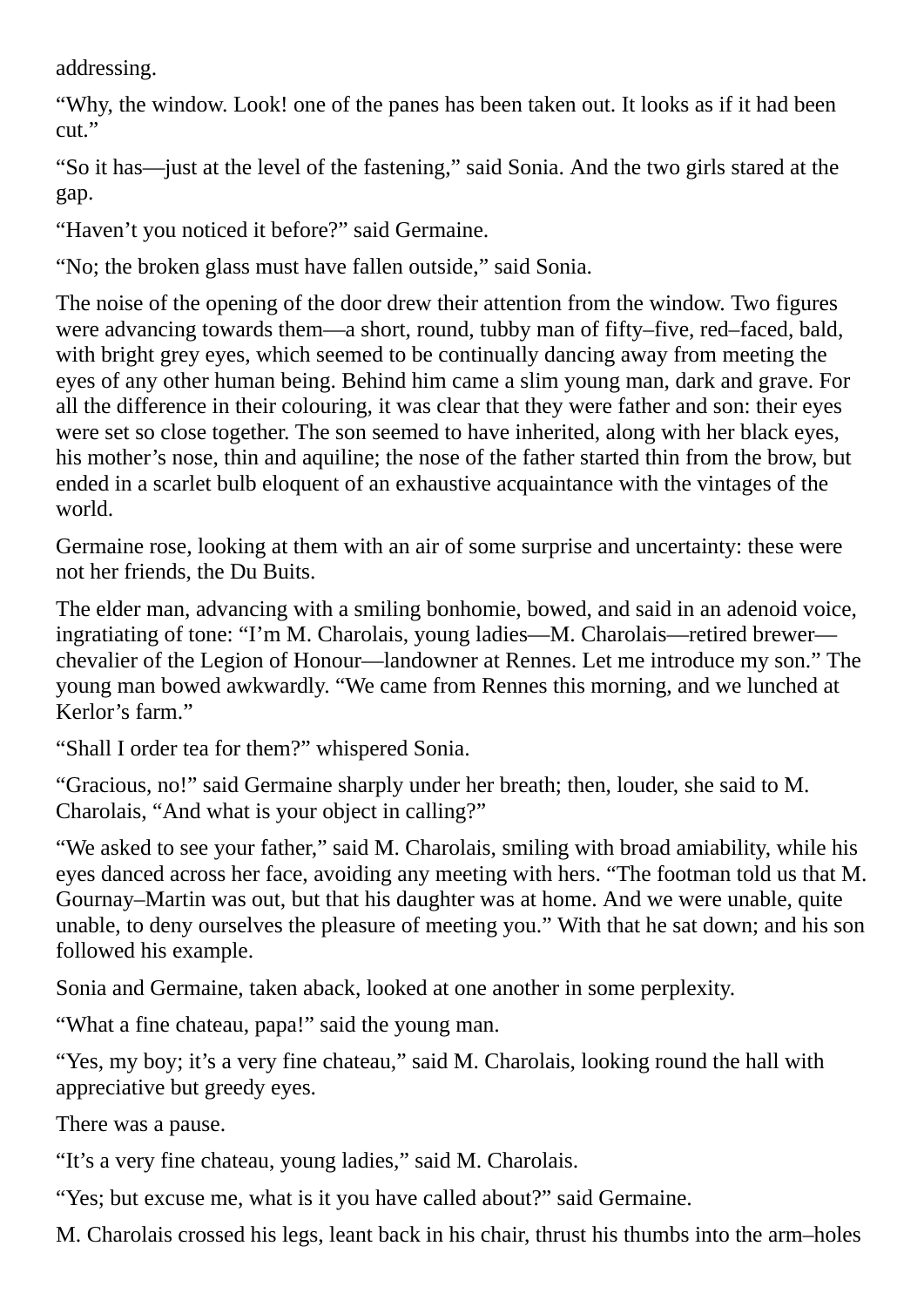addressing.

"Why, the window. Look! one of the panes has been taken out. It looks as if it had been cut."

"So it has—just at the level of the fastening," said Sonia. And the two girls stared at the gap.

"Haven't you noticed it before?" said Germaine.

"No; the broken glass must have fallen outside," said Sonia.

The noise of the opening of the door drew their attention from the window. Two figures were advancing towards them—a short, round, tubby man of fifty–five, red–faced, bald, with bright grey eyes, which seemed to be continually dancing away from meeting the eyes of any other human being. Behind him came a slim young man, dark and grave. For all the difference in their colouring, it was clear that they were father and son: their eyes were set so close together. The son seemed to have inherited, along with her black eyes, his mother's nose, thin and aquiline; the nose of the father started thin from the brow, but ended in a scarlet bulb eloquent of an exhaustive acquaintance with the vintages of the world.

Germaine rose, looking at them with an air of some surprise and uncertainty: these were not her friends, the Du Buits.

The elder man, advancing with a smiling bonhomie, bowed, and said in an adenoid voice, ingratiating of tone: "I'm M. Charolais, young ladies—M. Charolais—retired brewer chevalier of the Legion of Honour—landowner at Rennes. Let me introduce my son." The young man bowed awkwardly. "We came from Rennes this morning, and we lunched at Kerlor's farm."

"Shall I order tea for them?" whispered Sonia.

"Gracious, no!" said Germaine sharply under her breath; then, louder, she said to M. Charolais, "And what is your object in calling?"

"We asked to see your father," said M. Charolais, smiling with broad amiability, while his eyes danced across her face, avoiding any meeting with hers. "The footman told us that M. Gournay–Martin was out, but that his daughter was at home. And we were unable, quite unable, to deny ourselves the pleasure of meeting you." With that he sat down; and his son followed his example.

Sonia and Germaine, taken aback, looked at one another in some perplexity.

"What a fine chateau, papa!" said the young man.

"Yes, my boy; it's a very fine chateau," said M. Charolais, looking round the hall with appreciative but greedy eyes.

There was a pause.

"It's a very fine chateau, young ladies," said M. Charolais.

"Yes; but excuse me, what is it you have called about?" said Germaine.

M. Charolais crossed his legs, leant back in his chair, thrust his thumbs into the arm–holes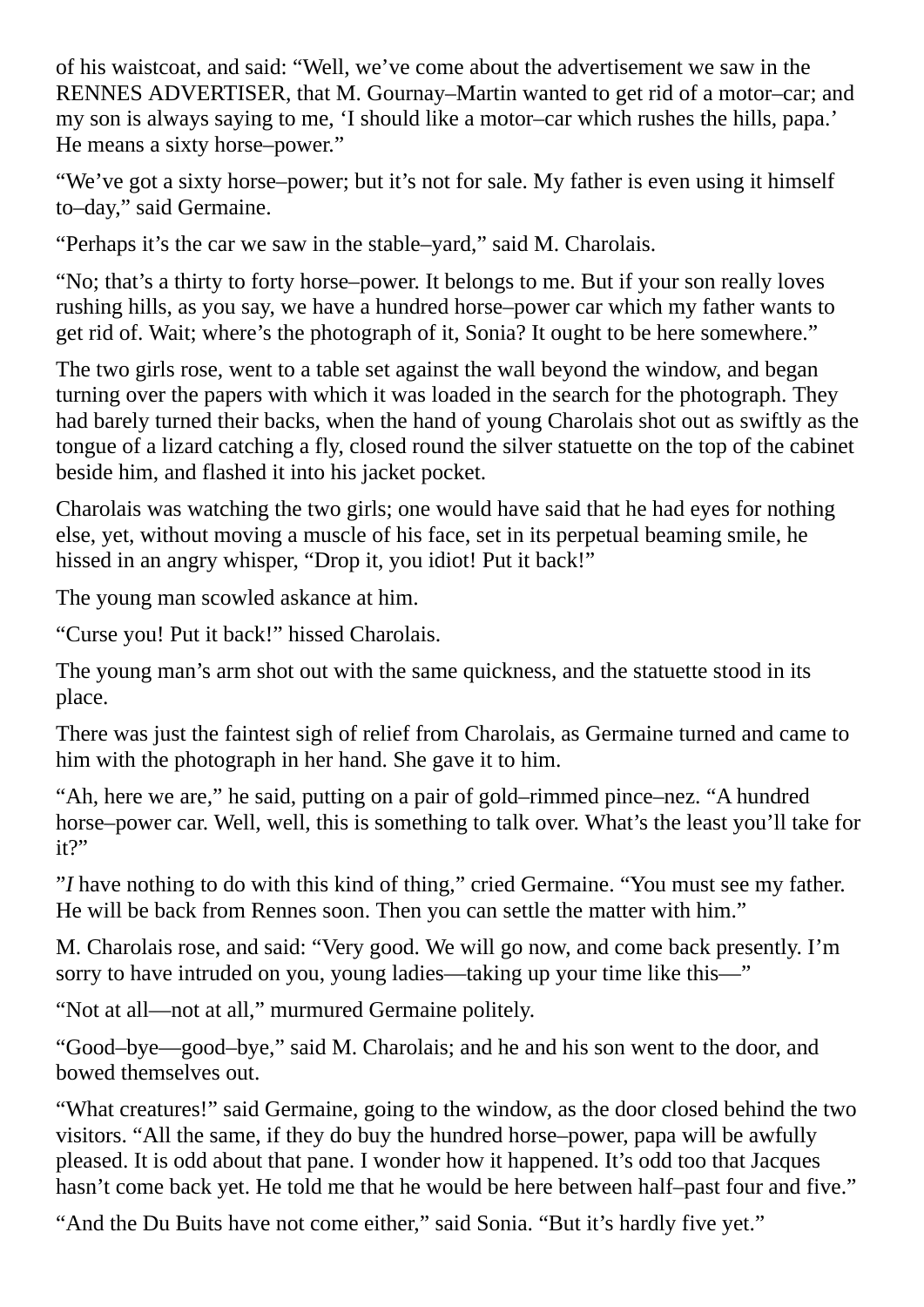of his waistcoat, and said: "Well, we've come about the advertisement we saw in the RENNES ADVERTISER, that M. Gournay–Martin wanted to get rid of a motor–car; and my son is always saying to me, 'I should like a motor–car which rushes the hills, papa.' He means a sixty horse–power."

"We've got a sixty horse–power; but it's not for sale. My father is even using it himself to–day," said Germaine.

"Perhaps it's the car we saw in the stable–yard," said M. Charolais.

"No; that's a thirty to forty horse–power. It belongs to me. But if your son really loves rushing hills, as you say, we have a hundred horse–power car which my father wants to get rid of. Wait; where's the photograph of it, Sonia? It ought to be here somewhere."

The two girls rose, went to a table set against the wall beyond the window, and began turning over the papers with which it was loaded in the search for the photograph. They had barely turned their backs, when the hand of young Charolais shot out as swiftly as the tongue of a lizard catching a fly, closed round the silver statuette on the top of the cabinet beside him, and flashed it into his jacket pocket.

Charolais was watching the two girls; one would have said that he had eyes for nothing else, yet, without moving a muscle of his face, set in its perpetual beaming smile, he hissed in an angry whisper, "Drop it, you idiot! Put it back!"

The young man scowled askance at him.

"Curse you! Put it back!" hissed Charolais.

The young man's arm shot out with the same quickness, and the statuette stood in its place.

There was just the faintest sigh of relief from Charolais, as Germaine turned and came to him with the photograph in her hand. She gave it to him.

"Ah, here we are," he said, putting on a pair of gold–rimmed pince–nez. "A hundred horse–power car. Well, well, this is something to talk over. What's the least you'll take for it?"

"*I* have nothing to do with this kind of thing," cried Germaine. "You must see my father. He will be back from Rennes soon. Then you can settle the matter with him."

M. Charolais rose, and said: "Very good. We will go now, and come back presently. I'm sorry to have intruded on you, young ladies—taking up your time like this—"

"Not at all—not at all," murmured Germaine politely.

"Good–bye—good–bye," said M. Charolais; and he and his son went to the door, and bowed themselves out.

"What creatures!" said Germaine, going to the window, as the door closed behind the two visitors. "All the same, if they do buy the hundred horse–power, papa will be awfully pleased. It is odd about that pane. I wonder how it happened. It's odd too that Jacques hasn't come back yet. He told me that he would be here between half-past four and five."

"And the Du Buits have not come either," said Sonia. "But it's hardly five yet."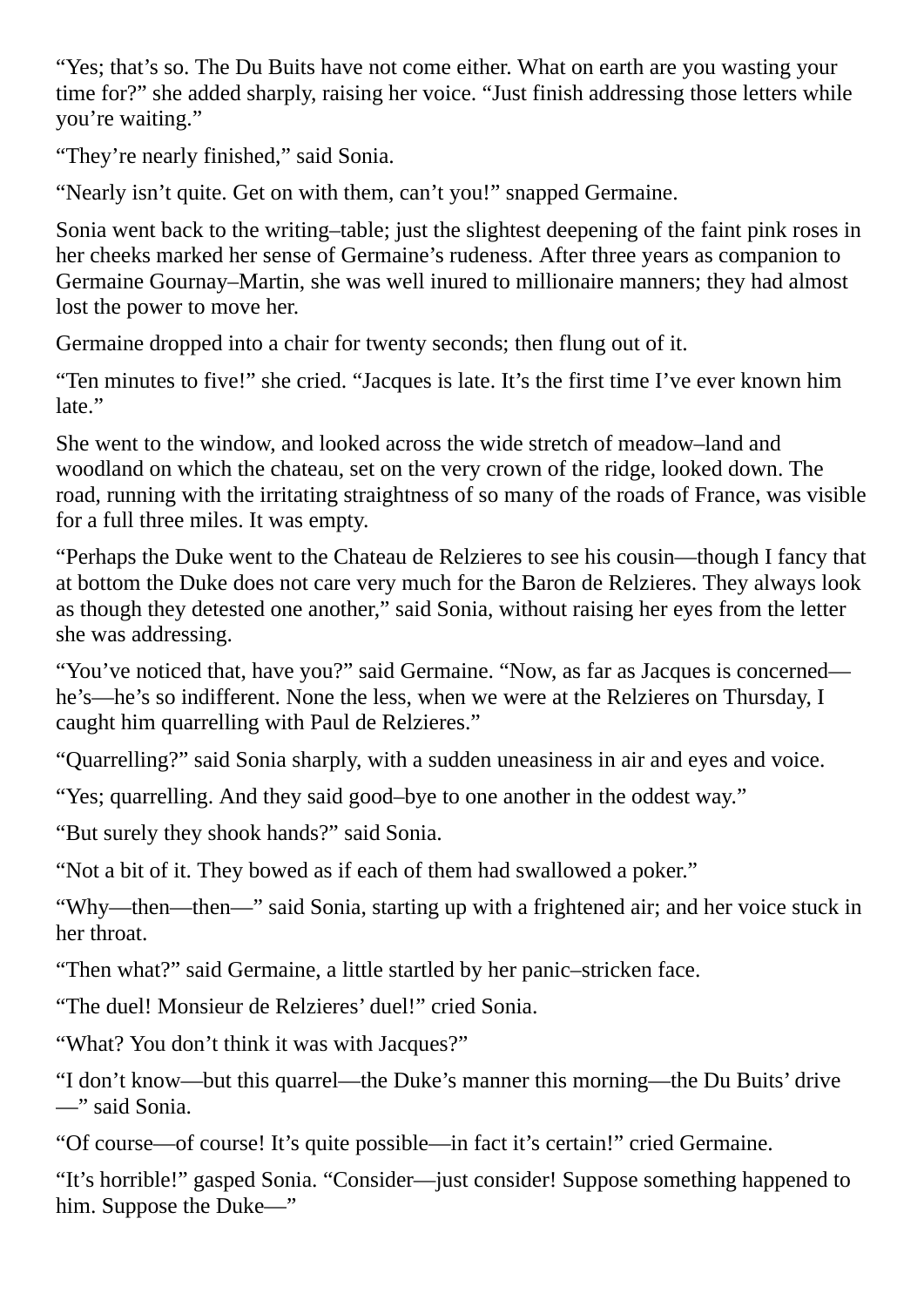"Yes; that's so. The Du Buits have not come either. What on earth are you wasting your time for?" she added sharply, raising her voice. "Just finish addressing those letters while you're waiting."

"They're nearly finished," said Sonia.

"Nearly isn't quite. Get on with them, can't you!" snapped Germaine.

Sonia went back to the writing–table; just the slightest deepening of the faint pink roses in her cheeks marked her sense of Germaine's rudeness. After three years as companion to Germaine Gournay–Martin, she was well inured to millionaire manners; they had almost lost the power to move her.

Germaine dropped into a chair for twenty seconds; then flung out of it.

"Ten minutes to five!" she cried. "Jacques is late. It's the first time I've ever known him late."

She went to the window, and looked across the wide stretch of meadow–land and woodland on which the chateau, set on the very crown of the ridge, looked down. The road, running with the irritating straightness of so many of the roads of France, was visible for a full three miles. It was empty.

"Perhaps the Duke went to the Chateau de Relzieres to see his cousin—though I fancy that at bottom the Duke does not care very much for the Baron de Relzieres. They always look as though they detested one another," said Sonia, without raising her eyes from the letter she was addressing.

"You've noticed that, have you?" said Germaine. "Now, as far as Jacques is concerned he's—he's so indifferent. None the less, when we were at the Relzieres on Thursday, I caught him quarrelling with Paul de Relzieres."

"Quarrelling?" said Sonia sharply, with a sudden uneasiness in air and eyes and voice.

"Yes; quarrelling. And they said good–bye to one another in the oddest way."

"But surely they shook hands?" said Sonia.

"Not a bit of it. They bowed as if each of them had swallowed a poker."

"Why—then—then—" said Sonia, starting up with a frightened air; and her voice stuck in her throat.

"Then what?" said Germaine, a little startled by her panic–stricken face.

"The duel! Monsieur de Relzieres' duel!" cried Sonia.

"What? You don't think it was with Jacques?"

"I don't know—but this quarrel—the Duke's manner this morning—the Du Buits' drive —" said Sonia.

"Of course—of course! It's quite possible—in fact it's certain!" cried Germaine.

"It's horrible!" gasped Sonia. "Consider—just consider! Suppose something happened to him. Suppose the Duke—"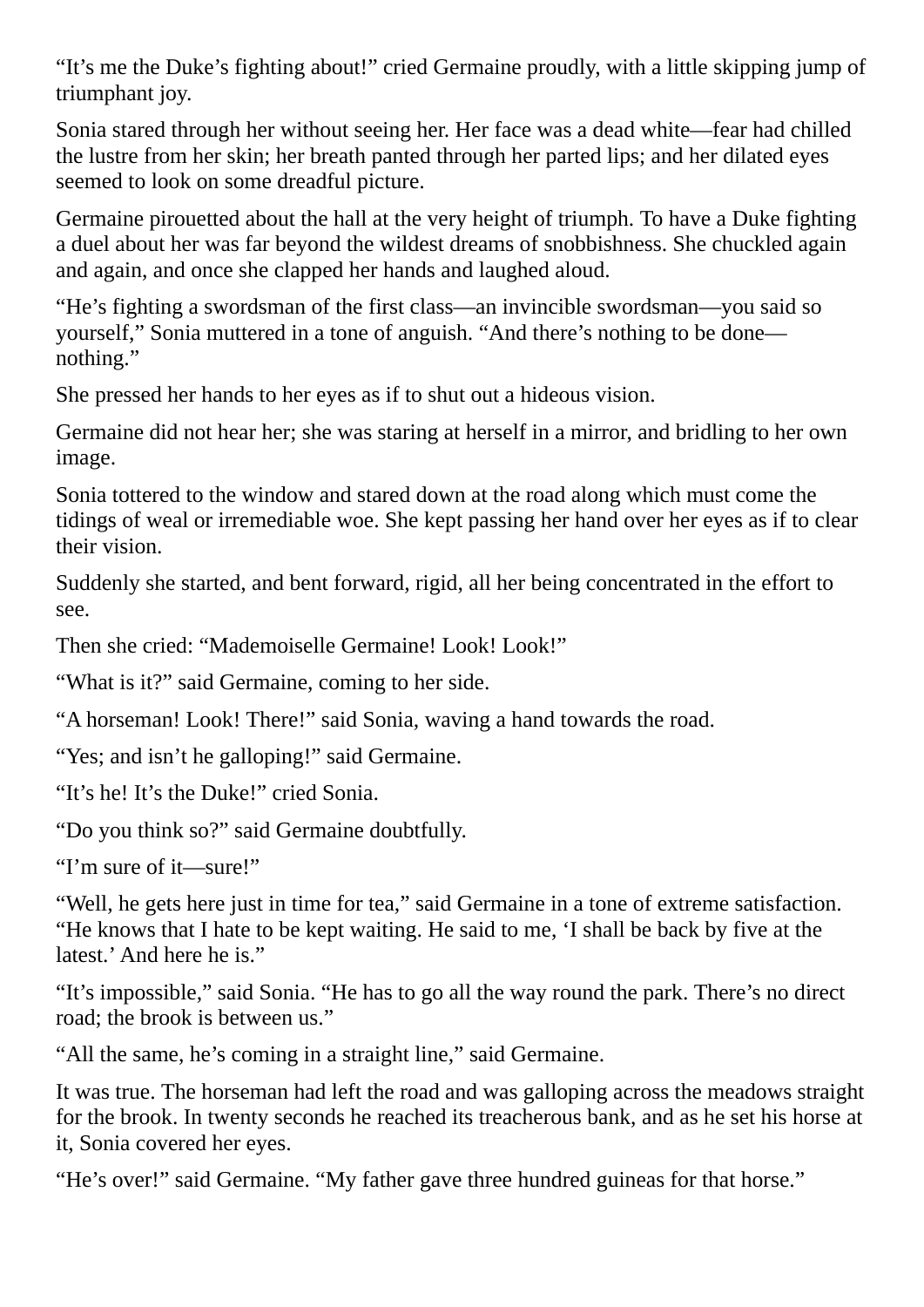"It's me the Duke's fighting about!" cried Germaine proudly, with a little skipping jump of triumphant joy.

Sonia stared through her without seeing her. Her face was a dead white—fear had chilled the lustre from her skin; her breath panted through her parted lips; and her dilated eyes seemed to look on some dreadful picture.

Germaine pirouetted about the hall at the very height of triumph. To have a Duke fighting a duel about her was far beyond the wildest dreams of snobbishness. She chuckled again and again, and once she clapped her hands and laughed aloud.

"He's fighting a swordsman of the first class—an invincible swordsman—you said so yourself," Sonia muttered in a tone of anguish. "And there's nothing to be done nothing."

She pressed her hands to her eyes as if to shut out a hideous vision.

Germaine did not hear her; she was staring at herself in a mirror, and bridling to her own image.

Sonia tottered to the window and stared down at the road along which must come the tidings of weal or irremediable woe. She kept passing her hand over her eyes as if to clear their vision.

Suddenly she started, and bent forward, rigid, all her being concentrated in the effort to see.

Then she cried: "Mademoiselle Germaine! Look! Look!"

"What is it?" said Germaine, coming to her side.

"A horseman! Look! There!" said Sonia, waving a hand towards the road.

"Yes; and isn't he galloping!" said Germaine.

"It's he! It's the Duke!" cried Sonia.

"Do you think so?" said Germaine doubtfully.

"I'm sure of it—sure!"

"Well, he gets here just in time for tea," said Germaine in a tone of extreme satisfaction. "He knows that I hate to be kept waiting. He said to me, 'I shall be back by five at the latest.' And here he is."

"It's impossible," said Sonia. "He has to go all the way round the park. There's no direct road; the brook is between us."

"All the same, he's coming in a straight line," said Germaine.

It was true. The horseman had left the road and was galloping across the meadows straight for the brook. In twenty seconds he reached its treacherous bank, and as he set his horse at it, Sonia covered her eyes.

"He's over!" said Germaine. "My father gave three hundred guineas for that horse."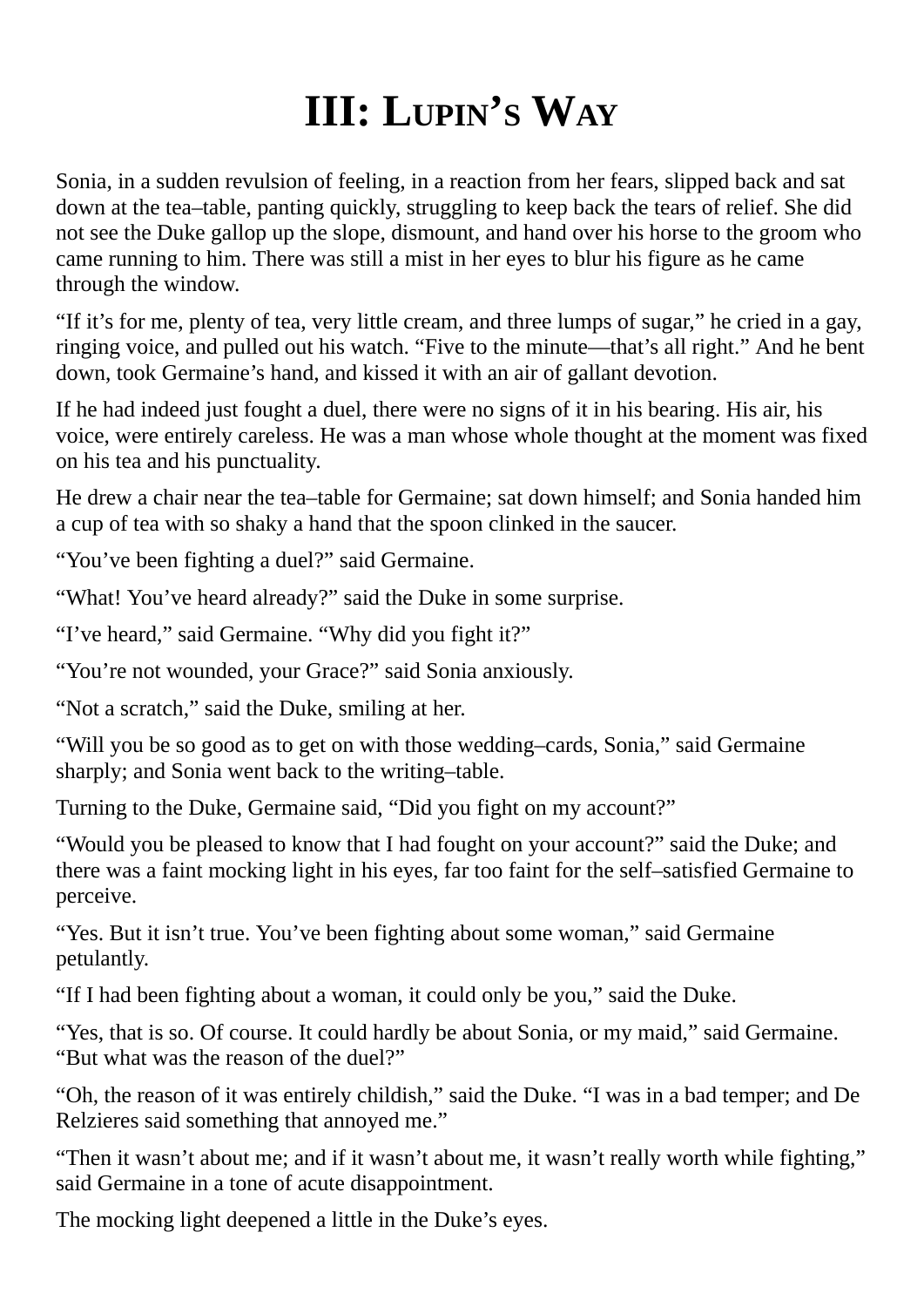#### **III: LUPIN'S WAY**

<span id="page-15-0"></span>Sonia, in a sudden revulsion of feeling, in a reaction from her fears, slipped back and sat down at the tea–table, panting quickly, struggling to keep back the tears of relief. She did not see the Duke gallop up the slope, dismount, and hand over his horse to the groom who came running to him. There was still a mist in her eyes to blur his figure as he came through the window.

"If it's for me, plenty of tea, very little cream, and three lumps of sugar," he cried in a gay, ringing voice, and pulled out his watch. "Five to the minute—that's all right." And he bent down, took Germaine's hand, and kissed it with an air of gallant devotion.

If he had indeed just fought a duel, there were no signs of it in his bearing. His air, his voice, were entirely careless. He was a man whose whole thought at the moment was fixed on his tea and his punctuality.

He drew a chair near the tea–table for Germaine; sat down himself; and Sonia handed him a cup of tea with so shaky a hand that the spoon clinked in the saucer.

"You've been fighting a duel?" said Germaine.

"What! You've heard already?" said the Duke in some surprise.

"I've heard," said Germaine. "Why did you fight it?"

"You're not wounded, your Grace?" said Sonia anxiously.

"Not a scratch," said the Duke, smiling at her.

"Will you be so good as to get on with those wedding–cards, Sonia," said Germaine sharply; and Sonia went back to the writing–table.

Turning to the Duke, Germaine said, "Did you fight on my account?"

"Would you be pleased to know that I had fought on your account?" said the Duke; and there was a faint mocking light in his eyes, far too faint for the self–satisfied Germaine to perceive.

"Yes. But it isn't true. You've been fighting about some woman," said Germaine petulantly.

"If I had been fighting about a woman, it could only be you," said the Duke.

"Yes, that is so. Of course. It could hardly be about Sonia, or my maid," said Germaine. "But what was the reason of the duel?"

"Oh, the reason of it was entirely childish," said the Duke. "I was in a bad temper; and De Relzieres said something that annoyed me."

"Then it wasn't about me; and if it wasn't about me, it wasn't really worth while fighting," said Germaine in a tone of acute disappointment.

The mocking light deepened a little in the Duke's eyes.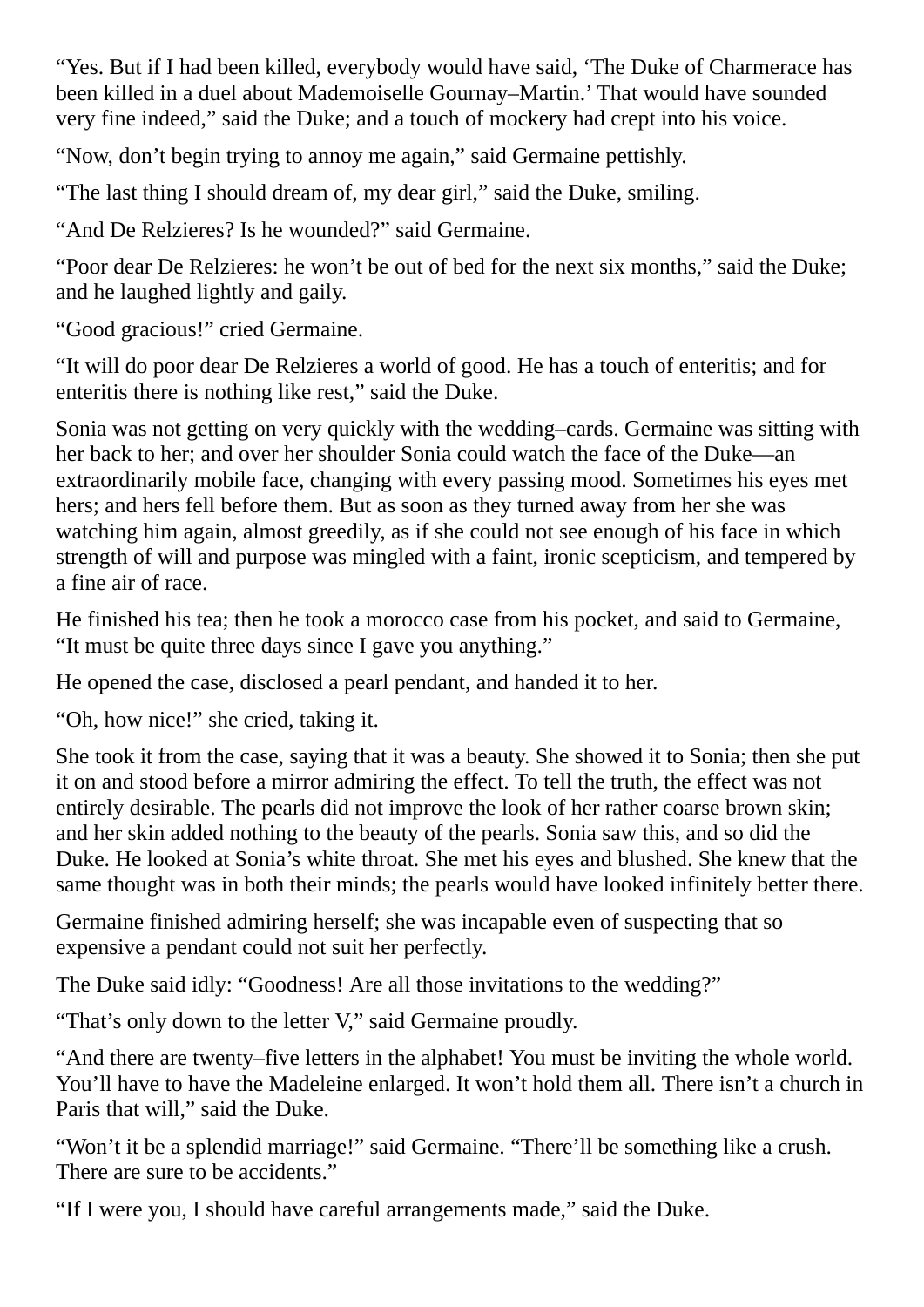"Yes. But if I had been killed, everybody would have said, 'The Duke of Charmerace has been killed in a duel about Mademoiselle Gournay–Martin.' That would have sounded very fine indeed," said the Duke; and a touch of mockery had crept into his voice.

"Now, don't begin trying to annoy me again," said Germaine pettishly.

"The last thing I should dream of, my dear girl," said the Duke, smiling.

"And De Relzieres? Is he wounded?" said Germaine.

"Poor dear De Relzieres: he won't be out of bed for the next six months," said the Duke; and he laughed lightly and gaily.

"Good gracious!" cried Germaine.

"It will do poor dear De Relzieres a world of good. He has a touch of enteritis; and for enteritis there is nothing like rest," said the Duke.

Sonia was not getting on very quickly with the wedding–cards. Germaine was sitting with her back to her; and over her shoulder Sonia could watch the face of the Duke—an extraordinarily mobile face, changing with every passing mood. Sometimes his eyes met hers; and hers fell before them. But as soon as they turned away from her she was watching him again, almost greedily, as if she could not see enough of his face in which strength of will and purpose was mingled with a faint, ironic scepticism, and tempered by a fine air of race.

He finished his tea; then he took a morocco case from his pocket, and said to Germaine, "It must be quite three days since I gave you anything."

He opened the case, disclosed a pearl pendant, and handed it to her.

"Oh, how nice!" she cried, taking it.

She took it from the case, saying that it was a beauty. She showed it to Sonia; then she put it on and stood before a mirror admiring the effect. To tell the truth, the effect was not entirely desirable. The pearls did not improve the look of her rather coarse brown skin; and her skin added nothing to the beauty of the pearls. Sonia saw this, and so did the Duke. He looked at Sonia's white throat. She met his eyes and blushed. She knew that the same thought was in both their minds; the pearls would have looked infinitely better there.

Germaine finished admiring herself; she was incapable even of suspecting that so expensive a pendant could not suit her perfectly.

The Duke said idly: "Goodness! Are all those invitations to the wedding?"

"That's only down to the letter V," said Germaine proudly.

"And there are twenty–five letters in the alphabet! You must be inviting the whole world. You'll have to have the Madeleine enlarged. It won't hold them all. There isn't a church in Paris that will," said the Duke.

"Won't it be a splendid marriage!" said Germaine. "There'll be something like a crush. There are sure to be accidents."

"If I were you, I should have careful arrangements made," said the Duke.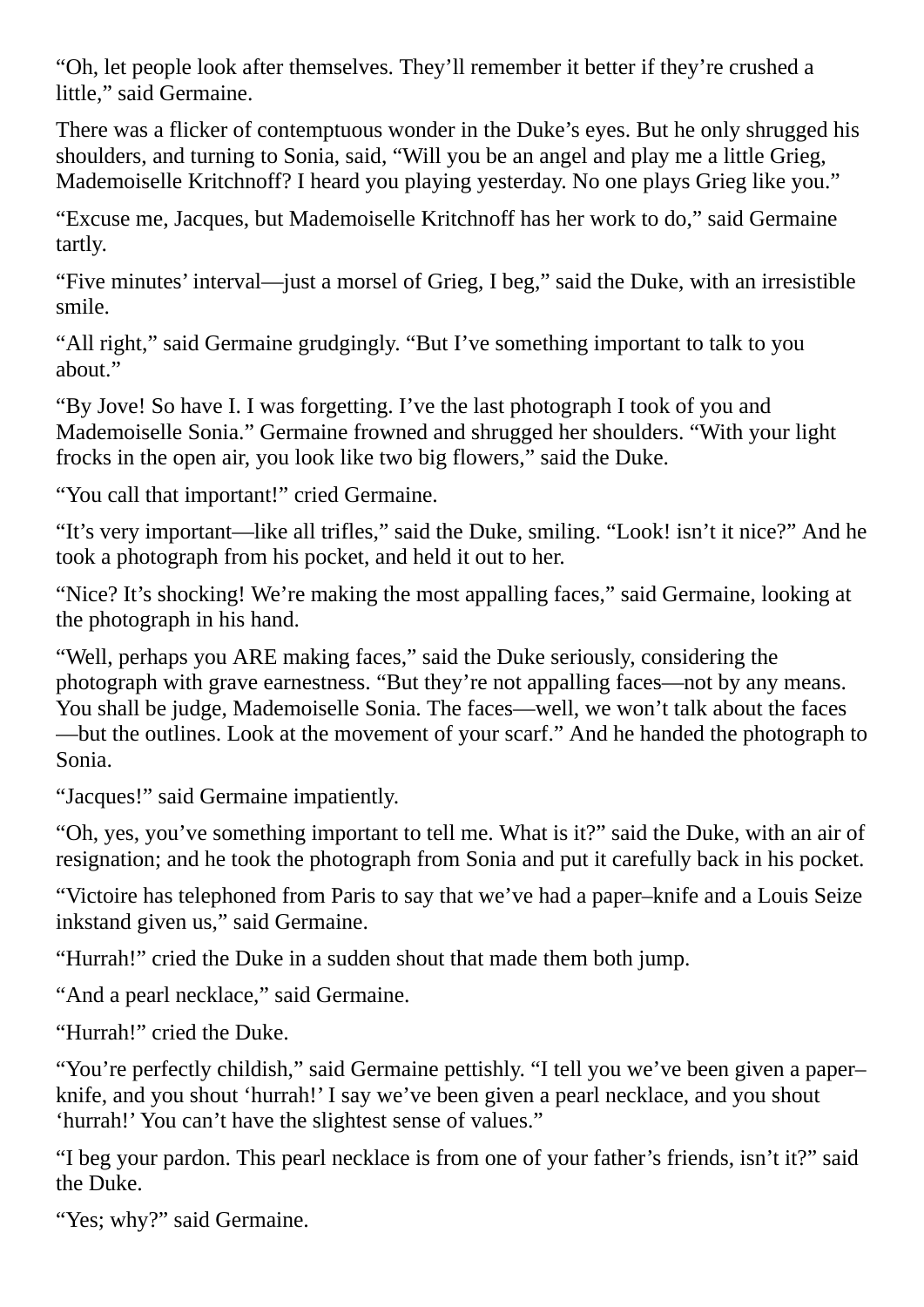"Oh, let people look after themselves. They'll remember it better if they're crushed a little," said Germaine.

There was a flicker of contemptuous wonder in the Duke's eyes. But he only shrugged his shoulders, and turning to Sonia, said, "Will you be an angel and play me a little Grieg, Mademoiselle Kritchnoff? I heard you playing yesterday. No one plays Grieg like you."

"Excuse me, Jacques, but Mademoiselle Kritchnoff has her work to do," said Germaine tartly.

"Five minutes' interval—just a morsel of Grieg, I beg," said the Duke, with an irresistible smile.

"All right," said Germaine grudgingly. "But I've something important to talk to you about."

"By Jove! So have I. I was forgetting. I've the last photograph I took of you and Mademoiselle Sonia." Germaine frowned and shrugged her shoulders. "With your light frocks in the open air, you look like two big flowers," said the Duke.

"You call that important!" cried Germaine.

"It's very important—like all trifles," said the Duke, smiling. "Look! isn't it nice?" And he took a photograph from his pocket, and held it out to her.

"Nice? It's shocking! We're making the most appalling faces," said Germaine, looking at the photograph in his hand.

"Well, perhaps you ARE making faces," said the Duke seriously, considering the photograph with grave earnestness. "But they're not appalling faces—not by any means. You shall be judge, Mademoiselle Sonia. The faces—well, we won't talk about the faces —but the outlines. Look at the movement of your scarf." And he handed the photograph to Sonia.

"Jacques!" said Germaine impatiently.

"Oh, yes, you've something important to tell me. What is it?" said the Duke, with an air of resignation; and he took the photograph from Sonia and put it carefully back in his pocket.

"Victoire has telephoned from Paris to say that we've had a paper–knife and a Louis Seize inkstand given us," said Germaine.

"Hurrah!" cried the Duke in a sudden shout that made them both jump.

"And a pearl necklace," said Germaine.

"Hurrah!" cried the Duke.

"You're perfectly childish," said Germaine pettishly. "I tell you we've been given a paper– knife, and you shout 'hurrah!' I say we've been given a pearl necklace, and you shout 'hurrah!' You can't have the slightest sense of values."

"I beg your pardon. This pearl necklace is from one of your father's friends, isn't it?" said the Duke.

"Yes; why?" said Germaine.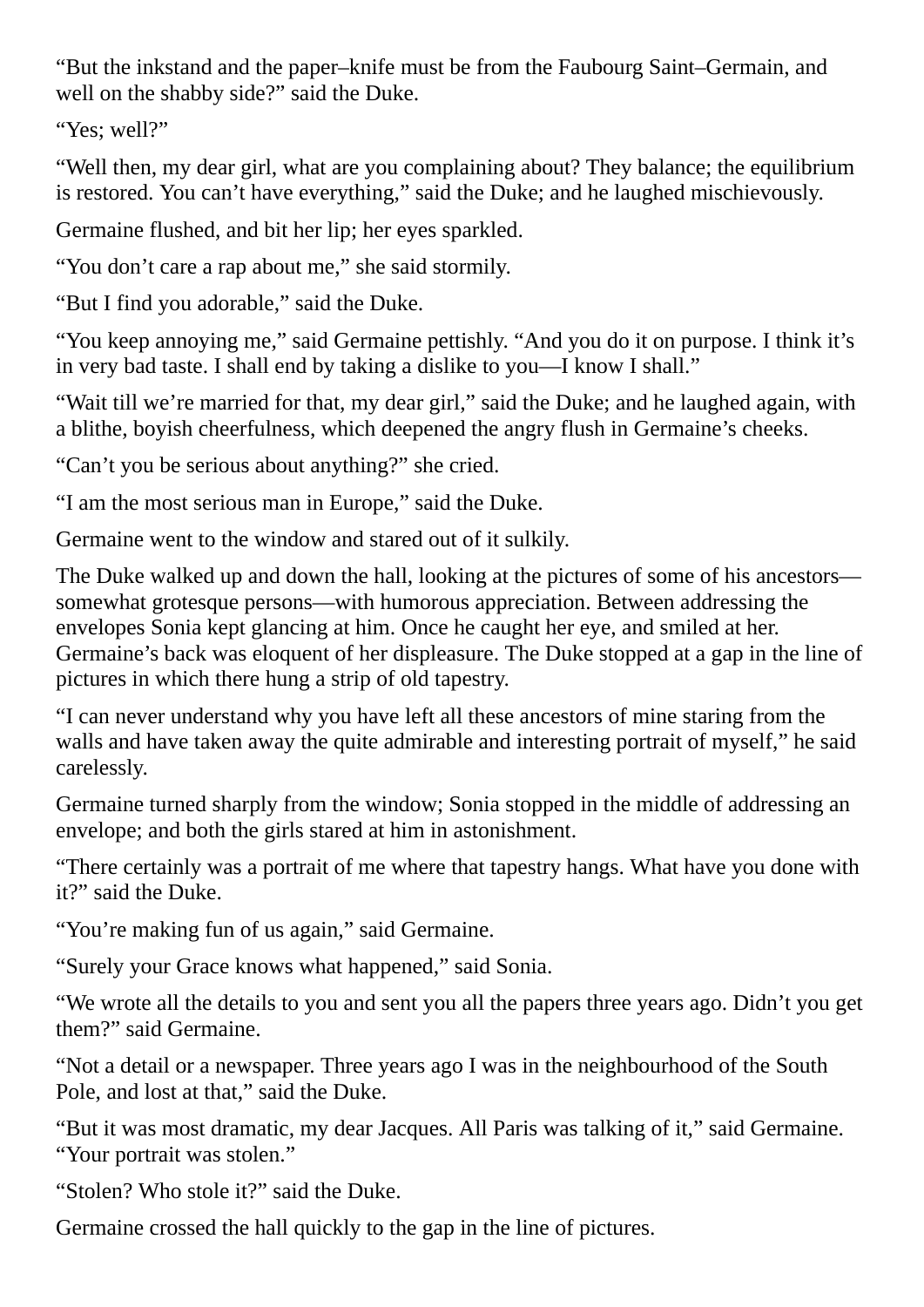"But the inkstand and the paper–knife must be from the Faubourg Saint–Germain, and well on the shabby side?" said the Duke.

"Yes; well?"

"Well then, my dear girl, what are you complaining about? They balance; the equilibrium is restored. You can't have everything," said the Duke; and he laughed mischievously.

Germaine flushed, and bit her lip; her eyes sparkled.

"You don't care a rap about me," she said stormily.

"But I find you adorable," said the Duke.

"You keep annoying me," said Germaine pettishly. "And you do it on purpose. I think it's in very bad taste. I shall end by taking a dislike to you—I know I shall."

"Wait till we're married for that, my dear girl," said the Duke; and he laughed again, with a blithe, boyish cheerfulness, which deepened the angry flush in Germaine's cheeks.

"Can't you be serious about anything?" she cried.

"I am the most serious man in Europe," said the Duke.

Germaine went to the window and stared out of it sulkily.

The Duke walked up and down the hall, looking at the pictures of some of his ancestors somewhat grotesque persons—with humorous appreciation. Between addressing the envelopes Sonia kept glancing at him. Once he caught her eye, and smiled at her. Germaine's back was eloquent of her displeasure. The Duke stopped at a gap in the line of pictures in which there hung a strip of old tapestry.

"I can never understand why you have left all these ancestors of mine staring from the walls and have taken away the quite admirable and interesting portrait of myself," he said carelessly.

Germaine turned sharply from the window; Sonia stopped in the middle of addressing an envelope; and both the girls stared at him in astonishment.

"There certainly was a portrait of me where that tapestry hangs. What have you done with it?" said the Duke.

"You're making fun of us again," said Germaine.

"Surely your Grace knows what happened," said Sonia.

"We wrote all the details to you and sent you all the papers three years ago. Didn't you get them?" said Germaine.

"Not a detail or a newspaper. Three years ago I was in the neighbourhood of the South Pole, and lost at that," said the Duke.

"But it was most dramatic, my dear Jacques. All Paris was talking of it," said Germaine. "Your portrait was stolen."

"Stolen? Who stole it?" said the Duke.

Germaine crossed the hall quickly to the gap in the line of pictures.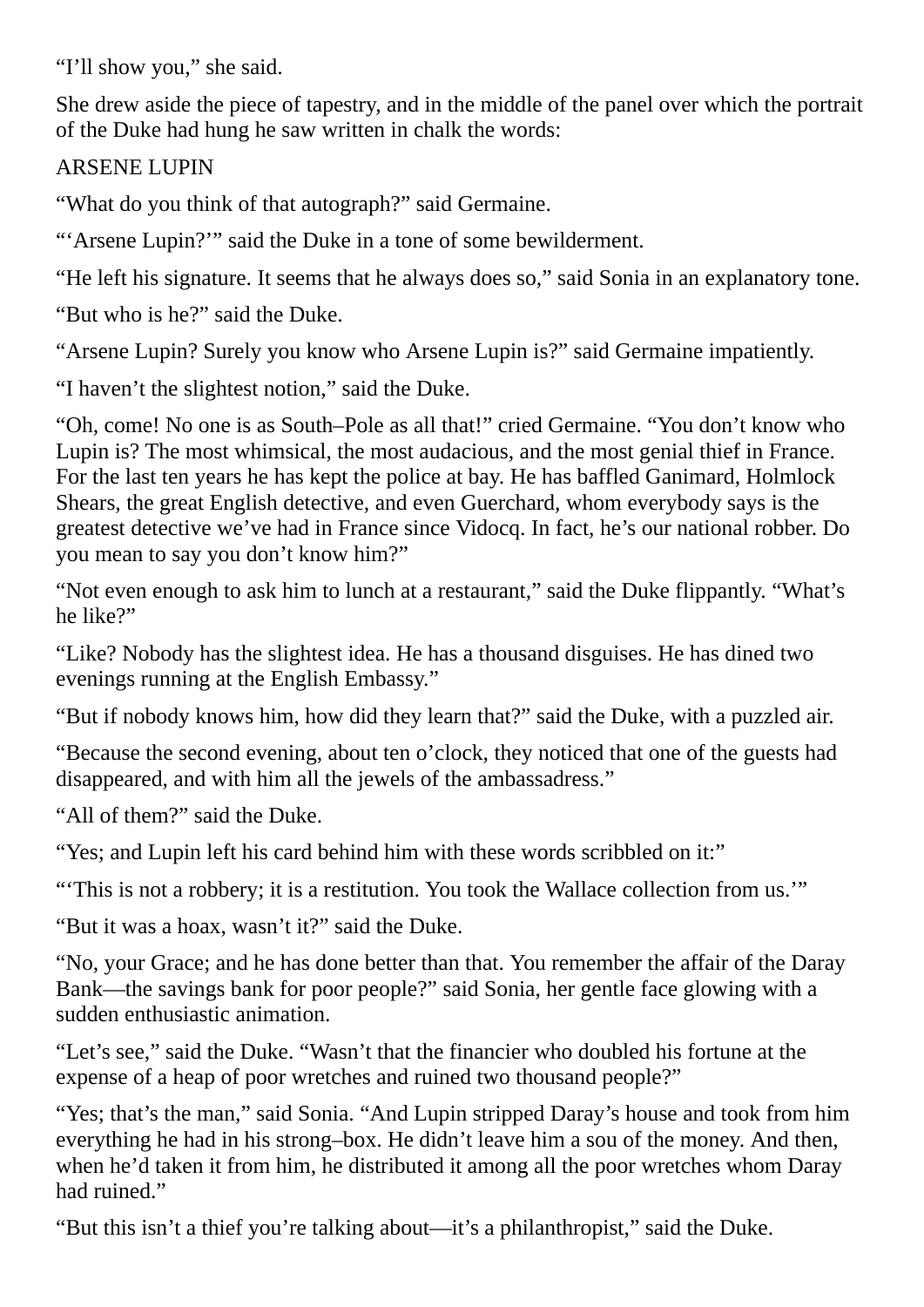"I'll show you," she said.

She drew aside the piece of tapestry, and in the middle of the panel over which the portrait of the Duke had hung he saw written in chalk the words:

#### ARSENE LUPIN

"What do you think of that autograph?" said Germaine.

"'Arsene Lupin?'" said the Duke in a tone of some bewilderment.

"He left his signature. It seems that he always does so," said Sonia in an explanatory tone.

"But who is he?" said the Duke.

"Arsene Lupin? Surely you know who Arsene Lupin is?" said Germaine impatiently.

"I haven't the slightest notion," said the Duke.

"Oh, come! No one is as South–Pole as all that!" cried Germaine. "You don't know who Lupin is? The most whimsical, the most audacious, and the most genial thief in France. For the last ten years he has kept the police at bay. He has baffled Ganimard, Holmlock Shears, the great English detective, and even Guerchard, whom everybody says is the greatest detective we've had in France since Vidocq. In fact, he's our national robber. Do you mean to say you don't know him?"

"Not even enough to ask him to lunch at a restaurant," said the Duke flippantly. "What's he like?"

"Like? Nobody has the slightest idea. He has a thousand disguises. He has dined two evenings running at the English Embassy."

"But if nobody knows him, how did they learn that?" said the Duke, with a puzzled air.

"Because the second evening, about ten o'clock, they noticed that one of the guests had disappeared, and with him all the jewels of the ambassadress."

"All of them?" said the Duke.

"Yes; and Lupin left his card behind him with these words scribbled on it:"

"'This is not a robbery; it is a restitution. You took the Wallace collection from us.'"

"But it was a hoax, wasn't it?" said the Duke.

"No, your Grace; and he has done better than that. You remember the affair of the Daray Bank—the savings bank for poor people?" said Sonia, her gentle face glowing with a sudden enthusiastic animation.

"Let's see," said the Duke. "Wasn't that the financier who doubled his fortune at the expense of a heap of poor wretches and ruined two thousand people?"

"Yes; that's the man," said Sonia. "And Lupin stripped Daray's house and took from him everything he had in his strong–box. He didn't leave him a sou of the money. And then, when he'd taken it from him, he distributed it among all the poor wretches whom Daray had ruined."

"But this isn't a thief you're talking about—it's a philanthropist," said the Duke.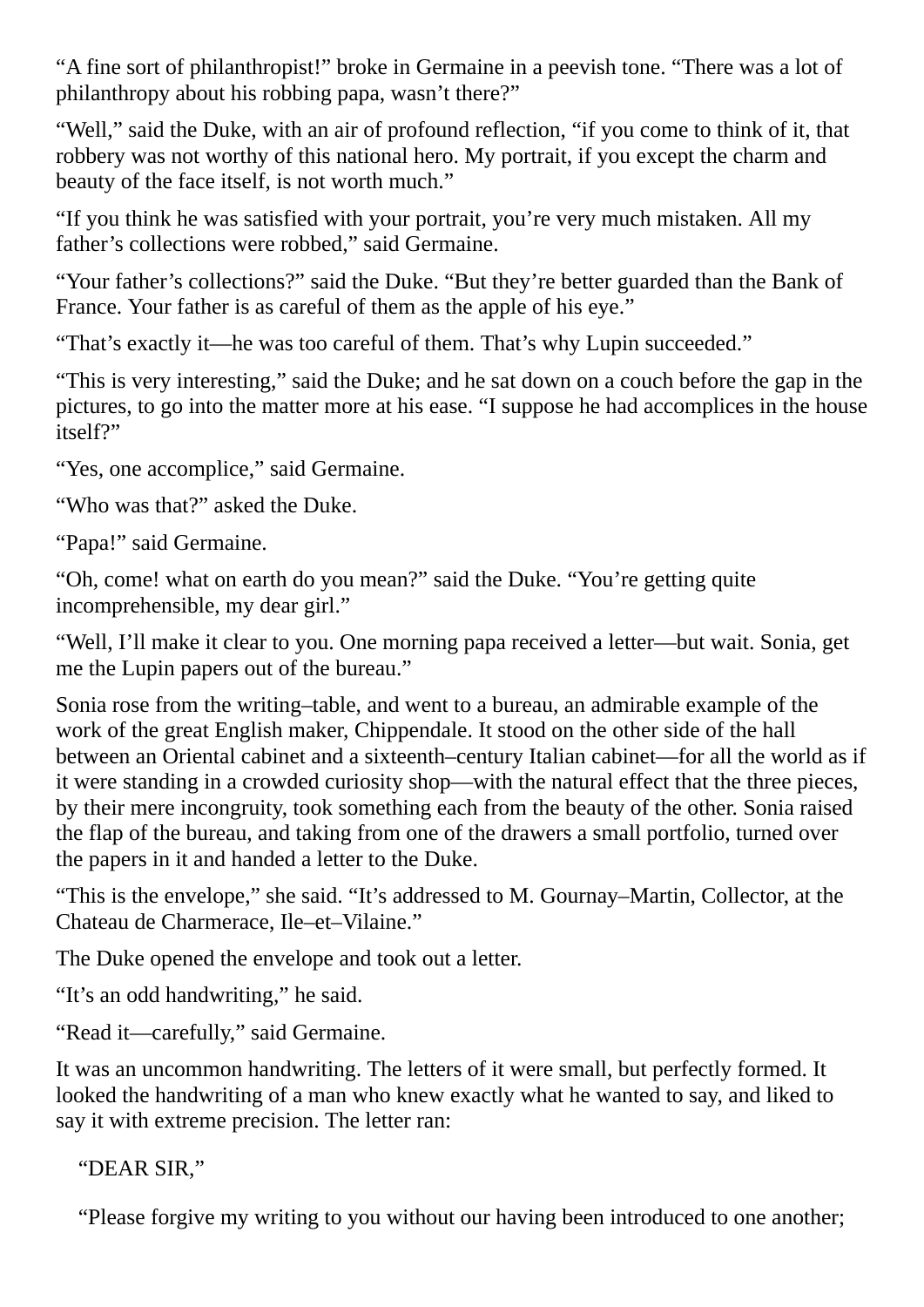"A fine sort of philanthropist!" broke in Germaine in a peevish tone. "There was a lot of philanthropy about his robbing papa, wasn't there?"

"Well," said the Duke, with an air of profound reflection, "if you come to think of it, that robbery was not worthy of this national hero. My portrait, if you except the charm and beauty of the face itself, is not worth much."

"If you think he was satisfied with your portrait, you're very much mistaken. All my father's collections were robbed," said Germaine.

"Your father's collections?" said the Duke. "But they're better guarded than the Bank of France. Your father is as careful of them as the apple of his eye."

"That's exactly it—he was too careful of them. That's why Lupin succeeded."

"This is very interesting," said the Duke; and he sat down on a couch before the gap in the pictures, to go into the matter more at his ease. "I suppose he had accomplices in the house itself?"

"Yes, one accomplice," said Germaine.

"Who was that?" asked the Duke.

"Papa!" said Germaine.

"Oh, come! what on earth do you mean?" said the Duke. "You're getting quite incomprehensible, my dear girl."

"Well, I'll make it clear to you. One morning papa received a letter—but wait. Sonia, get me the Lupin papers out of the bureau."

Sonia rose from the writing–table, and went to a bureau, an admirable example of the work of the great English maker, Chippendale. It stood on the other side of the hall between an Oriental cabinet and a sixteenth–century Italian cabinet—for all the world as if it were standing in a crowded curiosity shop—with the natural effect that the three pieces, by their mere incongruity, took something each from the beauty of the other. Sonia raised the flap of the bureau, and taking from one of the drawers a small portfolio, turned over the papers in it and handed a letter to the Duke.

"This is the envelope," she said. "It's addressed to M. Gournay–Martin, Collector, at the Chateau de Charmerace, Ile–et–Vilaine."

The Duke opened the envelope and took out a letter.

"It's an odd handwriting," he said.

"Read it—carefully," said Germaine.

It was an uncommon handwriting. The letters of it were small, but perfectly formed. It looked the handwriting of a man who knew exactly what he wanted to say, and liked to say it with extreme precision. The letter ran:

"DEAR SIR,"

"Please forgive my writing to you without our having been introduced to one another;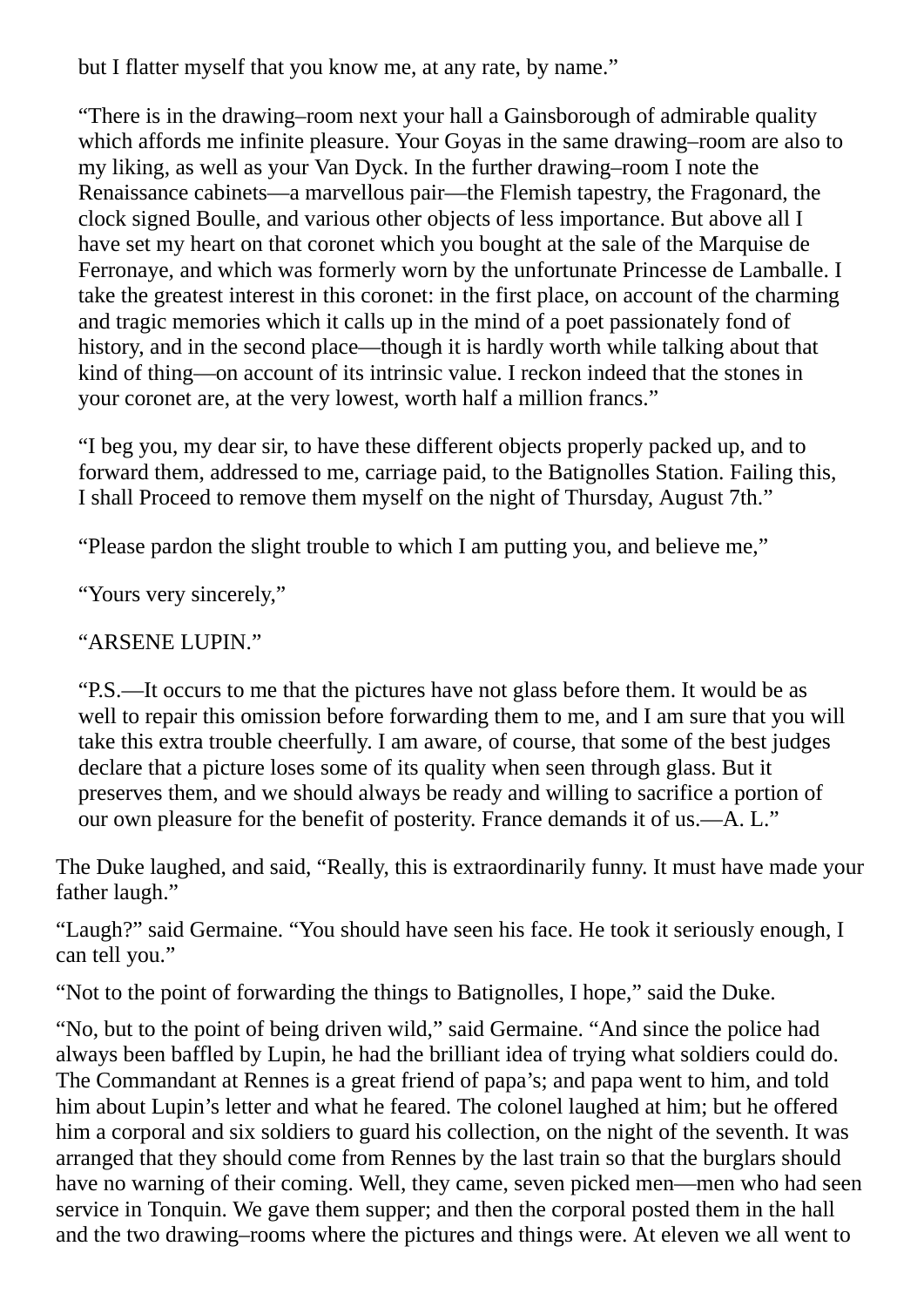but I flatter myself that you know me, at any rate, by name."

"There is in the drawing–room next your hall a Gainsborough of admirable quality which affords me infinite pleasure. Your Goyas in the same drawing–room are also to my liking, as well as your Van Dyck. In the further drawing–room I note the Renaissance cabinets—a marvellous pair—the Flemish tapestry, the Fragonard, the clock signed Boulle, and various other objects of less importance. But above all I have set my heart on that coronet which you bought at the sale of the Marquise de Ferronaye, and which was formerly worn by the unfortunate Princesse de Lamballe. I take the greatest interest in this coronet: in the first place, on account of the charming and tragic memories which it calls up in the mind of a poet passionately fond of history, and in the second place—though it is hardly worth while talking about that kind of thing—on account of its intrinsic value. I reckon indeed that the stones in your coronet are, at the very lowest, worth half a million francs."

"I beg you, my dear sir, to have these different objects properly packed up, and to forward them, addressed to me, carriage paid, to the Batignolles Station. Failing this, I shall Proceed to remove them myself on the night of Thursday, August 7th."

"Please pardon the slight trouble to which I am putting you, and believe me,"

"Yours very sincerely,"

"ARSENE LUPIN."

"P.S.—It occurs to me that the pictures have not glass before them. It would be as well to repair this omission before forwarding them to me, and I am sure that you will take this extra trouble cheerfully. I am aware, of course, that some of the best judges declare that a picture loses some of its quality when seen through glass. But it preserves them, and we should always be ready and willing to sacrifice a portion of our own pleasure for the benefit of posterity. France demands it of us.—A. L."

The Duke laughed, and said, "Really, this is extraordinarily funny. It must have made your father laugh."

"Laugh?" said Germaine. "You should have seen his face. He took it seriously enough, I can tell you."

"Not to the point of forwarding the things to Batignolles, I hope," said the Duke.

"No, but to the point of being driven wild," said Germaine. "And since the police had always been baffled by Lupin, he had the brilliant idea of trying what soldiers could do. The Commandant at Rennes is a great friend of papa's; and papa went to him, and told him about Lupin's letter and what he feared. The colonel laughed at him; but he offered him a corporal and six soldiers to guard his collection, on the night of the seventh. It was arranged that they should come from Rennes by the last train so that the burglars should have no warning of their coming. Well, they came, seven picked men—men who had seen service in Tonquin. We gave them supper; and then the corporal posted them in the hall and the two drawing–rooms where the pictures and things were. At eleven we all went to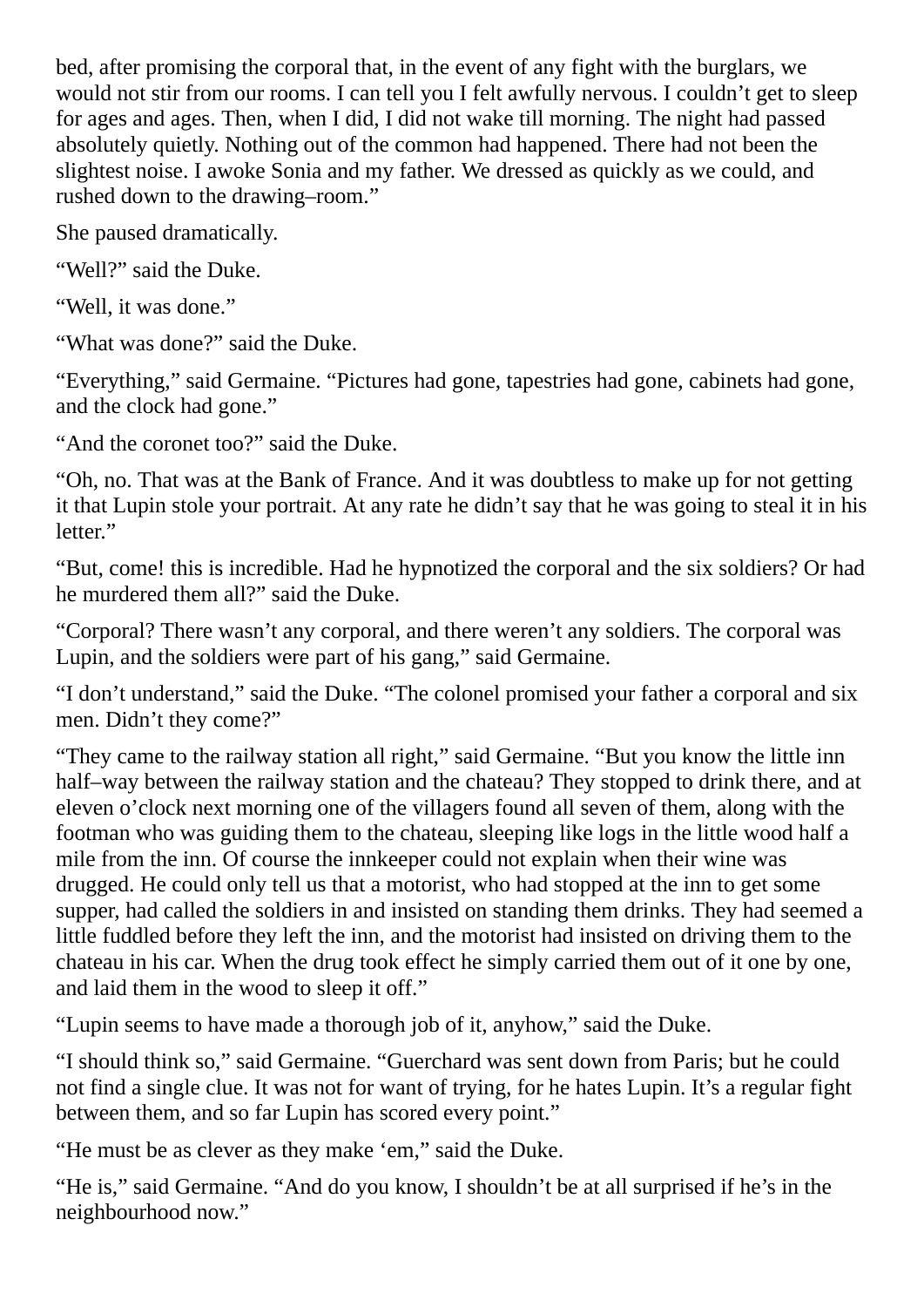bed, after promising the corporal that, in the event of any fight with the burglars, we would not stir from our rooms. I can tell you I felt awfully nervous. I couldn't get to sleep for ages and ages. Then, when I did, I did not wake till morning. The night had passed absolutely quietly. Nothing out of the common had happened. There had not been the slightest noise. I awoke Sonia and my father. We dressed as quickly as we could, and rushed down to the drawing–room."

She paused dramatically.

"Well?" said the Duke.

"Well, it was done."

"What was done?" said the Duke.

"Everything," said Germaine. "Pictures had gone, tapestries had gone, cabinets had gone, and the clock had gone."

"And the coronet too?" said the Duke.

"Oh, no. That was at the Bank of France. And it was doubtless to make up for not getting it that Lupin stole your portrait. At any rate he didn't say that he was going to steal it in his letter."

"But, come! this is incredible. Had he hypnotized the corporal and the six soldiers? Or had he murdered them all?" said the Duke.

"Corporal? There wasn't any corporal, and there weren't any soldiers. The corporal was Lupin, and the soldiers were part of his gang," said Germaine.

"I don't understand," said the Duke. "The colonel promised your father a corporal and six men. Didn't they come?"

"They came to the railway station all right," said Germaine. "But you know the little inn half–way between the railway station and the chateau? They stopped to drink there, and at eleven o'clock next morning one of the villagers found all seven of them, along with the footman who was guiding them to the chateau, sleeping like logs in the little wood half a mile from the inn. Of course the innkeeper could not explain when their wine was drugged. He could only tell us that a motorist, who had stopped at the inn to get some supper, had called the soldiers in and insisted on standing them drinks. They had seemed a little fuddled before they left the inn, and the motorist had insisted on driving them to the chateau in his car. When the drug took effect he simply carried them out of it one by one, and laid them in the wood to sleep it off."

"Lupin seems to have made a thorough job of it, anyhow," said the Duke.

"I should think so," said Germaine. "Guerchard was sent down from Paris; but he could not find a single clue. It was not for want of trying, for he hates Lupin. It's a regular fight between them, and so far Lupin has scored every point."

"He must be as clever as they make 'em," said the Duke.

"He is," said Germaine. "And do you know, I shouldn't be at all surprised if he's in the neighbourhood now."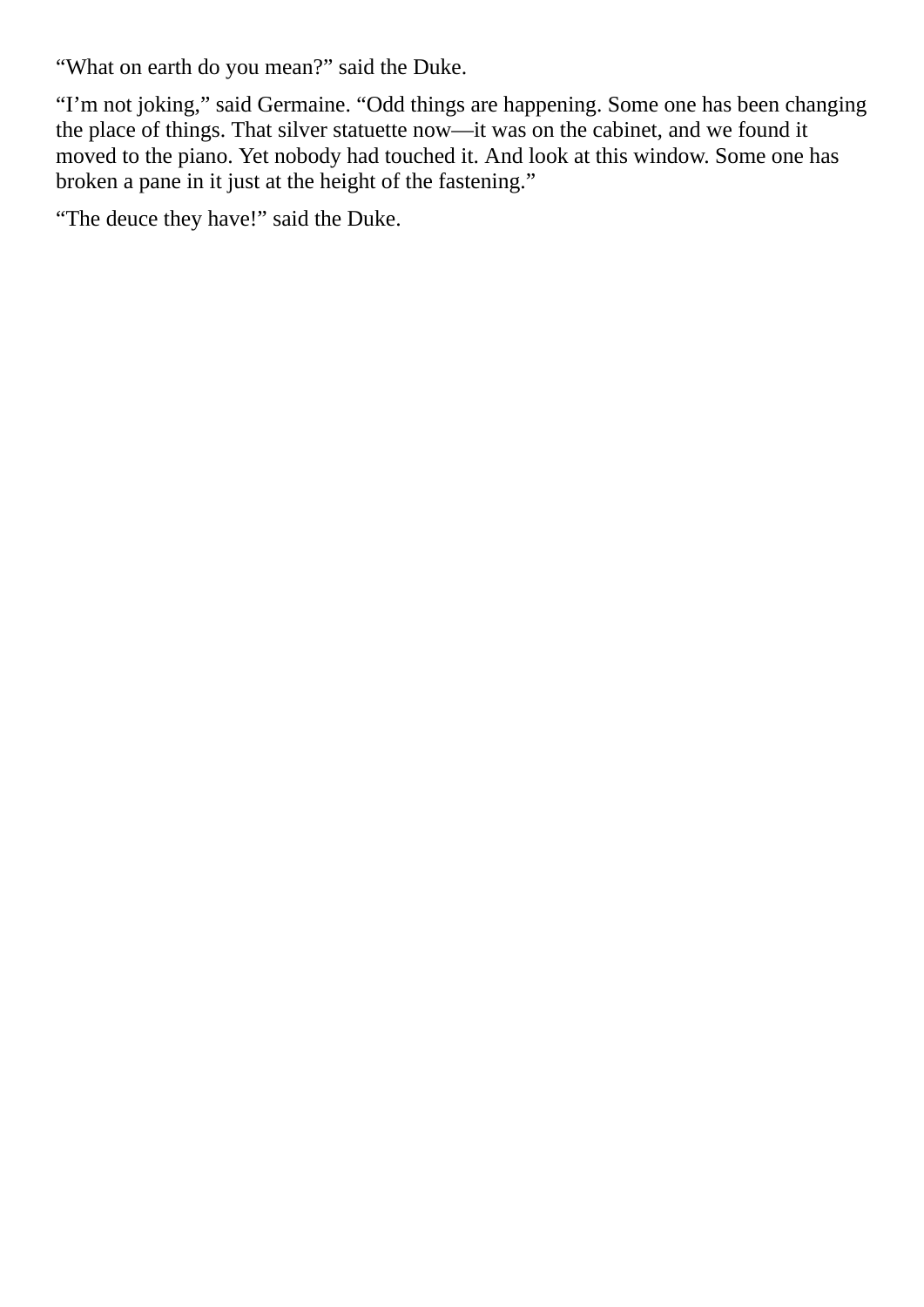"What on earth do you mean?" said the Duke.

"I'm not joking," said Germaine. "Odd things are happening. Some one has been changing the place of things. That silver statuette now—it was on the cabinet, and we found it moved to the piano. Yet nobody had touched it. And look at this window. Some one has broken a pane in it just at the height of the fastening."

"The deuce they have!" said the Duke.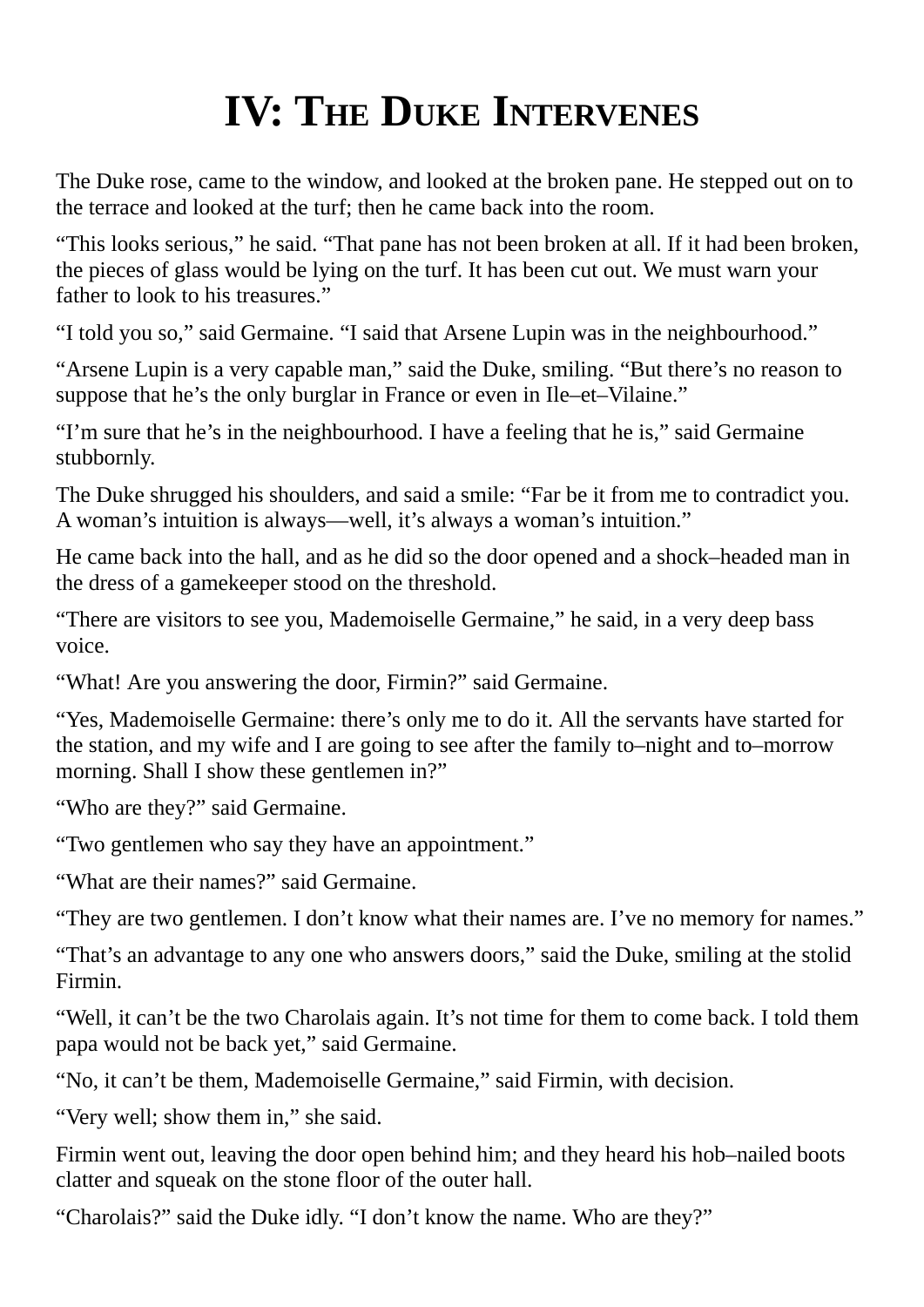## **IV: THE DUKE INTERVENES**

<span id="page-24-0"></span>The Duke rose, came to the window, and looked at the broken pane. He stepped out on to the terrace and looked at the turf; then he came back into the room.

"This looks serious," he said. "That pane has not been broken at all. If it had been broken, the pieces of glass would be lying on the turf. It has been cut out. We must warn your father to look to his treasures."

"I told you so," said Germaine. "I said that Arsene Lupin was in the neighbourhood."

"Arsene Lupin is a very capable man," said the Duke, smiling. "But there's no reason to suppose that he's the only burglar in France or even in Ile–et–Vilaine."

"I'm sure that he's in the neighbourhood. I have a feeling that he is," said Germaine stubbornly.

The Duke shrugged his shoulders, and said a smile: "Far be it from me to contradict you. A woman's intuition is always—well, it's always a woman's intuition."

He came back into the hall, and as he did so the door opened and a shock–headed man in the dress of a gamekeeper stood on the threshold.

"There are visitors to see you, Mademoiselle Germaine," he said, in a very deep bass voice.

"What! Are you answering the door, Firmin?" said Germaine.

"Yes, Mademoiselle Germaine: there's only me to do it. All the servants have started for the station, and my wife and I are going to see after the family to–night and to–morrow morning. Shall I show these gentlemen in?"

"Who are they?" said Germaine.

"Two gentlemen who say they have an appointment."

"What are their names?" said Germaine.

"They are two gentlemen. I don't know what their names are. I've no memory for names."

"That's an advantage to any one who answers doors," said the Duke, smiling at the stolid Firmin.

"Well, it can't be the two Charolais again. It's not time for them to come back. I told them papa would not be back yet," said Germaine.

"No, it can't be them, Mademoiselle Germaine," said Firmin, with decision.

"Very well; show them in," she said.

Firmin went out, leaving the door open behind him; and they heard his hob–nailed boots clatter and squeak on the stone floor of the outer hall.

"Charolais?" said the Duke idly. "I don't know the name. Who are they?"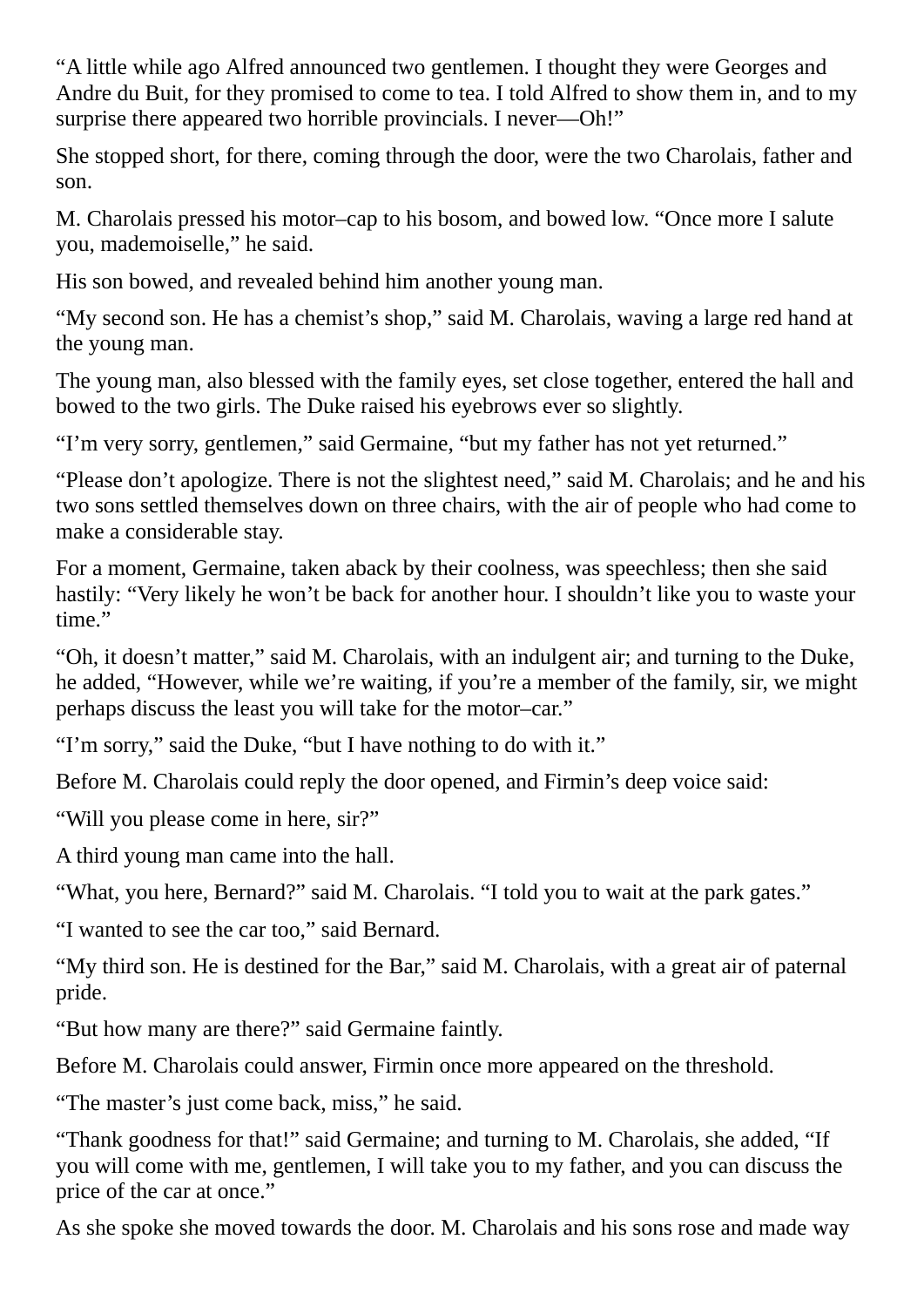"A little while ago Alfred announced two gentlemen. I thought they were Georges and Andre du Buit, for they promised to come to tea. I told Alfred to show them in, and to my surprise there appeared two horrible provincials. I never----Oh!"

She stopped short, for there, coming through the door, were the two Charolais, father and son.

M. Charolais pressed his motor–cap to his bosom, and bowed low. "Once more I salute you, mademoiselle," he said.

His son bowed, and revealed behind him another young man.

"My second son. He has a chemist's shop," said M. Charolais, waving a large red hand at the young man.

The young man, also blessed with the family eyes, set close together, entered the hall and bowed to the two girls. The Duke raised his eyebrows ever so slightly.

"I'm very sorry, gentlemen," said Germaine, "but my father has not yet returned."

"Please don't apologize. There is not the slightest need," said M. Charolais; and he and his two sons settled themselves down on three chairs, with the air of people who had come to make a considerable stay.

For a moment, Germaine, taken aback by their coolness, was speechless; then she said hastily: "Very likely he won't be back for another hour. I shouldn't like you to waste your time."

"Oh, it doesn't matter," said M. Charolais, with an indulgent air; and turning to the Duke, he added, "However, while we're waiting, if you're a member of the family, sir, we might perhaps discuss the least you will take for the motor–car."

"I'm sorry," said the Duke, "but I have nothing to do with it."

Before M. Charolais could reply the door opened, and Firmin's deep voice said:

"Will you please come in here, sir?"

A third young man came into the hall.

"What, you here, Bernard?" said M. Charolais. "I told you to wait at the park gates."

"I wanted to see the car too," said Bernard.

"My third son. He is destined for the Bar," said M. Charolais, with a great air of paternal pride.

"But how many are there?" said Germaine faintly.

Before M. Charolais could answer, Firmin once more appeared on the threshold.

"The master's just come back, miss," he said.

"Thank goodness for that!" said Germaine; and turning to M. Charolais, she added, "If you will come with me, gentlemen, I will take you to my father, and you can discuss the price of the car at once."

As she spoke she moved towards the door. M. Charolais and his sons rose and made way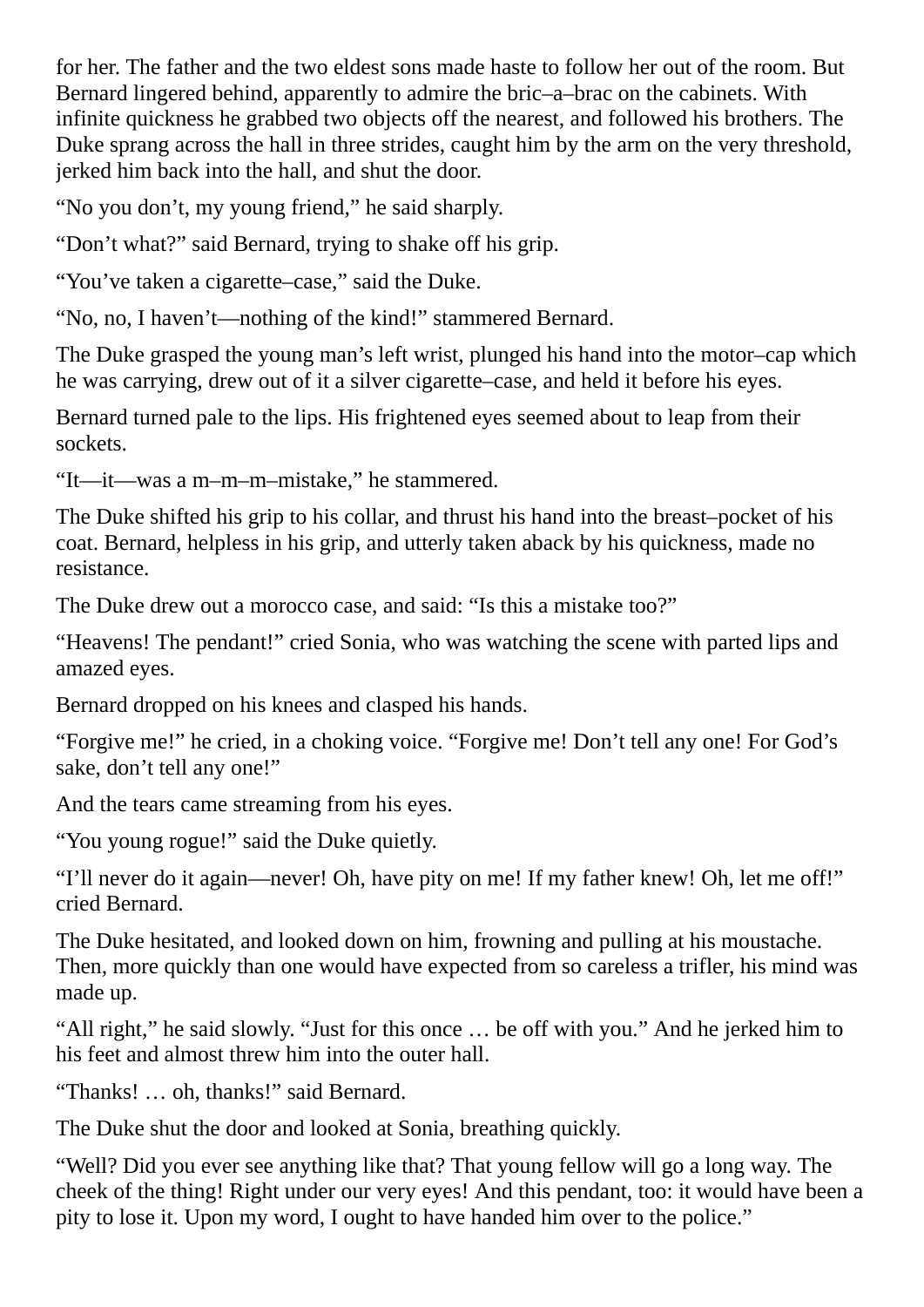for her. The father and the two eldest sons made haste to follow her out of the room. But Bernard lingered behind, apparently to admire the bric–a–brac on the cabinets. With infinite quickness he grabbed two objects off the nearest, and followed his brothers. The Duke sprang across the hall in three strides, caught him by the arm on the very threshold, jerked him back into the hall, and shut the door.

"No you don't, my young friend," he said sharply.

"Don't what?" said Bernard, trying to shake off his grip.

"You've taken a cigarette–case," said the Duke.

"No, no, I haven't—nothing of the kind!" stammered Bernard.

The Duke grasped the young man's left wrist, plunged his hand into the motor–cap which he was carrying, drew out of it a silver cigarette–case, and held it before his eyes.

Bernard turned pale to the lips. His frightened eyes seemed about to leap from their sockets.

"It—it—was a m–m–m–mistake," he stammered.

The Duke shifted his grip to his collar, and thrust his hand into the breast–pocket of his coat. Bernard, helpless in his grip, and utterly taken aback by his quickness, made no resistance.

The Duke drew out a morocco case, and said: "Is this a mistake too?"

"Heavens! The pendant!" cried Sonia, who was watching the scene with parted lips and amazed eyes.

Bernard dropped on his knees and clasped his hands.

"Forgive me!" he cried, in a choking voice. "Forgive me! Don't tell any one! For God's sake, don't tell any one!"

And the tears came streaming from his eyes.

"You young rogue!" said the Duke quietly.

"I'll never do it again—never! Oh, have pity on me! If my father knew! Oh, let me off!" cried Bernard.

The Duke hesitated, and looked down on him, frowning and pulling at his moustache. Then, more quickly than one would have expected from so careless a trifler, his mind was made up.

"All right," he said slowly. "Just for this once … be off with you." And he jerked him to his feet and almost threw him into the outer hall.

"Thanks! … oh, thanks!" said Bernard.

The Duke shut the door and looked at Sonia, breathing quickly.

"Well? Did you ever see anything like that? That young fellow will go a long way. The cheek of the thing! Right under our very eyes! And this pendant, too: it would have been a pity to lose it. Upon my word, I ought to have handed him over to the police."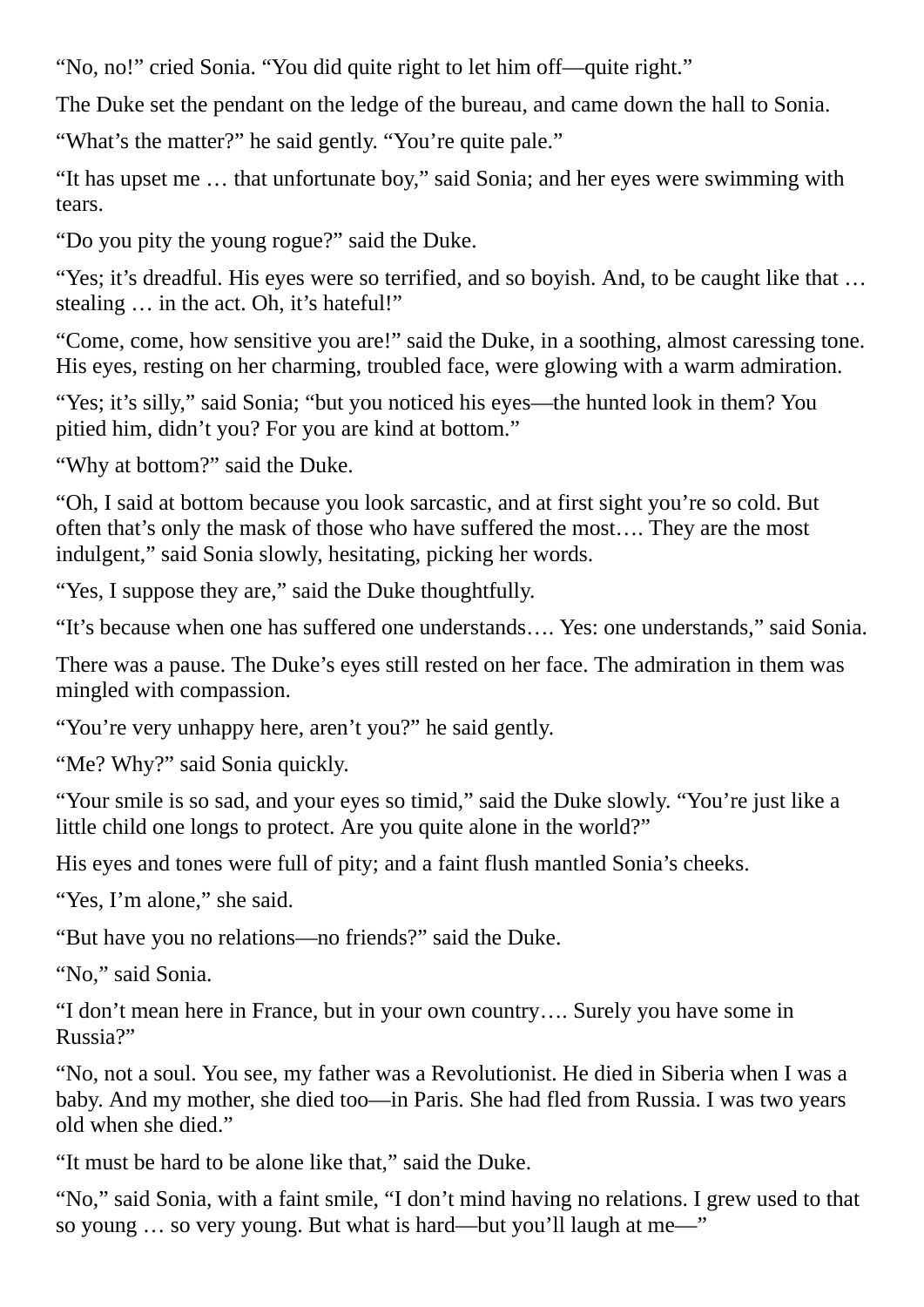"No, no!" cried Sonia. "You did quite right to let him off—quite right."

The Duke set the pendant on the ledge of the bureau, and came down the hall to Sonia.

"What's the matter?" he said gently. "You're quite pale."

"It has upset me … that unfortunate boy," said Sonia; and her eyes were swimming with tears.

"Do you pity the young rogue?" said the Duke.

"Yes; it's dreadful. His eyes were so terrified, and so boyish. And, to be caught like that … stealing … in the act. Oh, it's hateful!"

"Come, come, how sensitive you are!" said the Duke, in a soothing, almost caressing tone. His eyes, resting on her charming, troubled face, were glowing with a warm admiration.

"Yes; it's silly," said Sonia; "but you noticed his eyes—the hunted look in them? You pitied him, didn't you? For you are kind at bottom."

"Why at bottom?" said the Duke.

"Oh, I said at bottom because you look sarcastic, and at first sight you're so cold. But often that's only the mask of those who have suffered the most…. They are the most indulgent," said Sonia slowly, hesitating, picking her words.

"Yes, I suppose they are," said the Duke thoughtfully.

"It's because when one has suffered one understands…. Yes: one understands," said Sonia.

There was a pause. The Duke's eyes still rested on her face. The admiration in them was mingled with compassion.

"You're very unhappy here, aren't you?" he said gently.

"Me? Why?" said Sonia quickly.

"Your smile is so sad, and your eyes so timid," said the Duke slowly. "You're just like a little child one longs to protect. Are you quite alone in the world?"

His eyes and tones were full of pity; and a faint flush mantled Sonia's cheeks.

"Yes, I'm alone," she said.

"But have you no relations—no friends?" said the Duke.

"No," said Sonia.

"I don't mean here in France, but in your own country…. Surely you have some in Russia?"

"No, not a soul. You see, my father was a Revolutionist. He died in Siberia when I was a baby. And my mother, she died too—in Paris. She had fled from Russia. I was two years old when she died."

"It must be hard to be alone like that," said the Duke.

"No," said Sonia, with a faint smile, "I don't mind having no relations. I grew used to that so young … so very young. But what is hard—but you'll laugh at me—"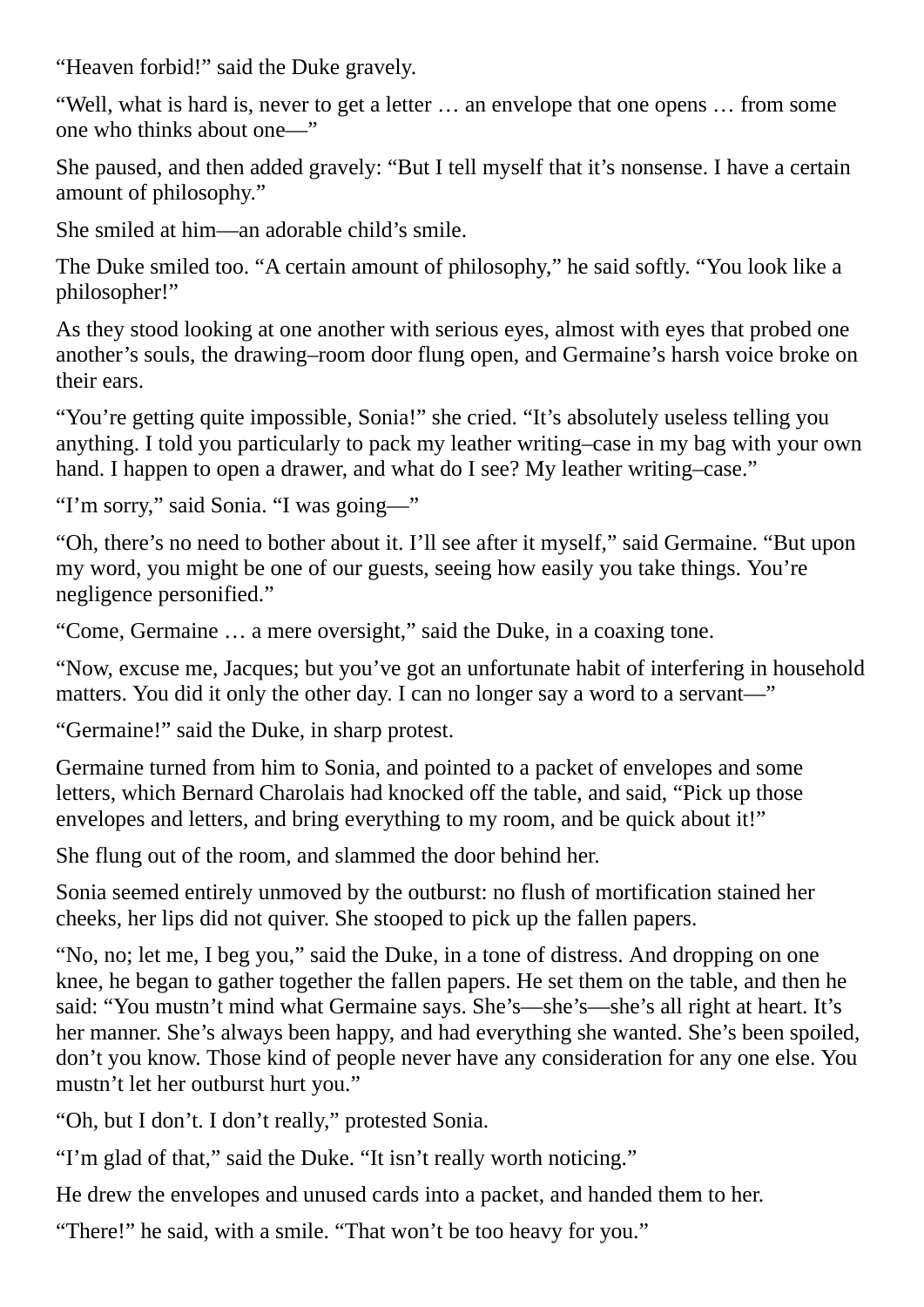"Heaven forbid!" said the Duke gravely.

"Well, what is hard is, never to get a letter … an envelope that one opens … from some one who thinks about one—"

She paused, and then added gravely: "But I tell myself that it's nonsense. I have a certain amount of philosophy."

She smiled at him—an adorable child's smile.

The Duke smiled too. "A certain amount of philosophy," he said softly. "You look like a philosopher!"

As they stood looking at one another with serious eyes, almost with eyes that probed one another's souls, the drawing–room door flung open, and Germaine's harsh voice broke on their ears.

"You're getting quite impossible, Sonia!" she cried. "It's absolutely useless telling you anything. I told you particularly to pack my leather writing–case in my bag with your own hand. I happen to open a drawer, and what do I see? My leather writing–case."

"I'm sorry," said Sonia. "I was going—"

"Oh, there's no need to bother about it. I'll see after it myself," said Germaine. "But upon my word, you might be one of our guests, seeing how easily you take things. You're negligence personified."

"Come, Germaine … a mere oversight," said the Duke, in a coaxing tone.

"Now, excuse me, Jacques; but you've got an unfortunate habit of interfering in household matters. You did it only the other day. I can no longer say a word to a servant—"

"Germaine!" said the Duke, in sharp protest.

Germaine turned from him to Sonia, and pointed to a packet of envelopes and some letters, which Bernard Charolais had knocked off the table, and said, "Pick up those envelopes and letters, and bring everything to my room, and be quick about it!"

She flung out of the room, and slammed the door behind her.

Sonia seemed entirely unmoved by the outburst: no flush of mortification stained her cheeks, her lips did not quiver. She stooped to pick up the fallen papers.

"No, no; let me, I beg you," said the Duke, in a tone of distress. And dropping on one knee, he began to gather together the fallen papers. He set them on the table, and then he said: "You mustn't mind what Germaine says. She's—she's—she's all right at heart. It's her manner. She's always been happy, and had everything she wanted. She's been spoiled, don't you know. Those kind of people never have any consideration for any one else. You mustn't let her outburst hurt you."

"Oh, but I don't. I don't really," protested Sonia.

"I'm glad of that," said the Duke. "It isn't really worth noticing."

He drew the envelopes and unused cards into a packet, and handed them to her.

"There!" he said, with a smile. "That won't be too heavy for you."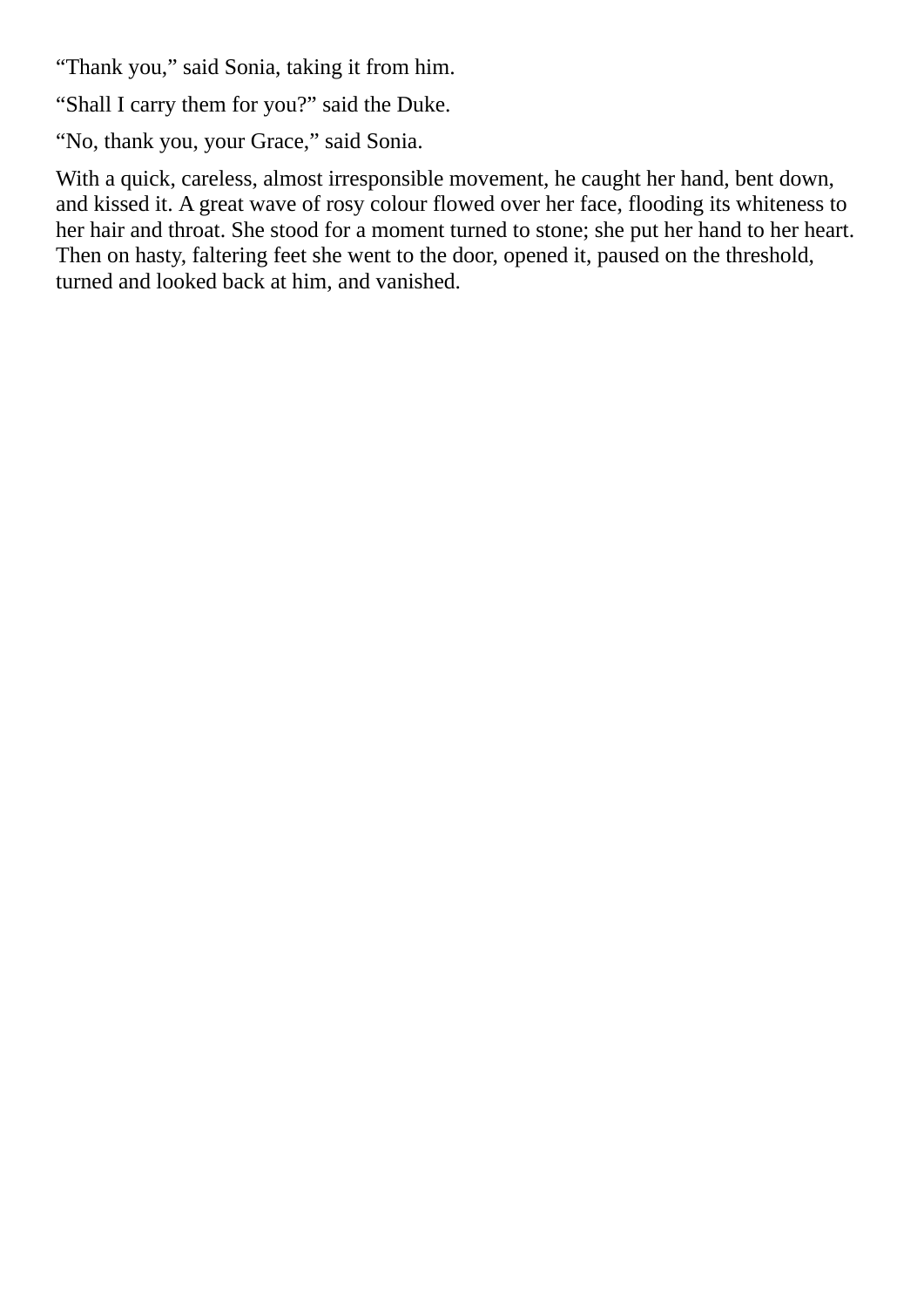"Thank you," said Sonia, taking it from him.

"Shall I carry them for you?" said the Duke.

"No, thank you, your Grace," said Sonia.

With a quick, careless, almost irresponsible movement, he caught her hand, bent down, and kissed it. A great wave of rosy colour flowed over her face, flooding its whiteness to her hair and throat. She stood for a moment turned to stone; she put her hand to her heart. Then on hasty, faltering feet she went to the door, opened it, paused on the threshold, turned and looked back at him, and vanished.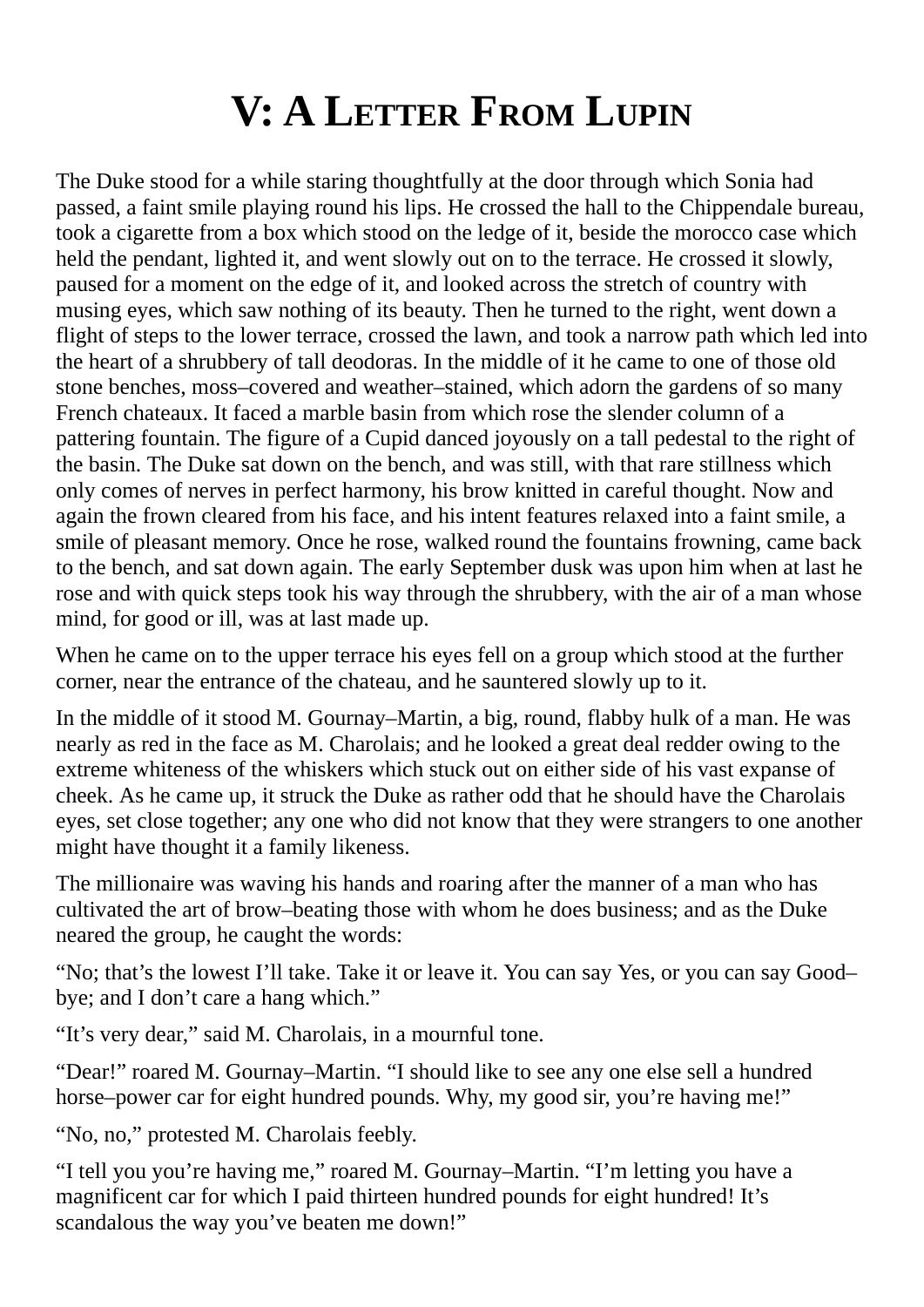## **V: A LETTER FROM LUPIN**

<span id="page-30-0"></span>The Duke stood for a while staring thoughtfully at the door through which Sonia had passed, a faint smile playing round his lips. He crossed the hall to the Chippendale bureau, took a cigarette from a box which stood on the ledge of it, beside the morocco case which held the pendant, lighted it, and went slowly out on to the terrace. He crossed it slowly, paused for a moment on the edge of it, and looked across the stretch of country with musing eyes, which saw nothing of its beauty. Then he turned to the right, went down a flight of steps to the lower terrace, crossed the lawn, and took a narrow path which led into the heart of a shrubbery of tall deodoras. In the middle of it he came to one of those old stone benches, moss–covered and weather–stained, which adorn the gardens of so many French chateaux. It faced a marble basin from which rose the slender column of a pattering fountain. The figure of a Cupid danced joyously on a tall pedestal to the right of the basin. The Duke sat down on the bench, and was still, with that rare stillness which only comes of nerves in perfect harmony, his brow knitted in careful thought. Now and again the frown cleared from his face, and his intent features relaxed into a faint smile, a smile of pleasant memory. Once he rose, walked round the fountains frowning, came back to the bench, and sat down again. The early September dusk was upon him when at last he rose and with quick steps took his way through the shrubbery, with the air of a man whose mind, for good or ill, was at last made up.

When he came on to the upper terrace his eyes fell on a group which stood at the further corner, near the entrance of the chateau, and he sauntered slowly up to it.

In the middle of it stood M. Gournay–Martin, a big, round, flabby hulk of a man. He was nearly as red in the face as M. Charolais; and he looked a great deal redder owing to the extreme whiteness of the whiskers which stuck out on either side of his vast expanse of cheek. As he came up, it struck the Duke as rather odd that he should have the Charolais eyes, set close together; any one who did not know that they were strangers to one another might have thought it a family likeness.

The millionaire was waving his hands and roaring after the manner of a man who has cultivated the art of brow–beating those with whom he does business; and as the Duke neared the group, he caught the words:

"No; that's the lowest I'll take. Take it or leave it. You can say Yes, or you can say Good– bye; and I don't care a hang which."

"It's very dear," said M. Charolais, in a mournful tone.

"Dear!" roared M. Gournay–Martin. "I should like to see any one else sell a hundred horse–power car for eight hundred pounds. Why, my good sir, you're having me!"

"No, no," protested M. Charolais feebly.

"I tell you you're having me," roared M. Gournay–Martin. "I'm letting you have a magnificent car for which I paid thirteen hundred pounds for eight hundred! It's scandalous the way you've beaten me down!"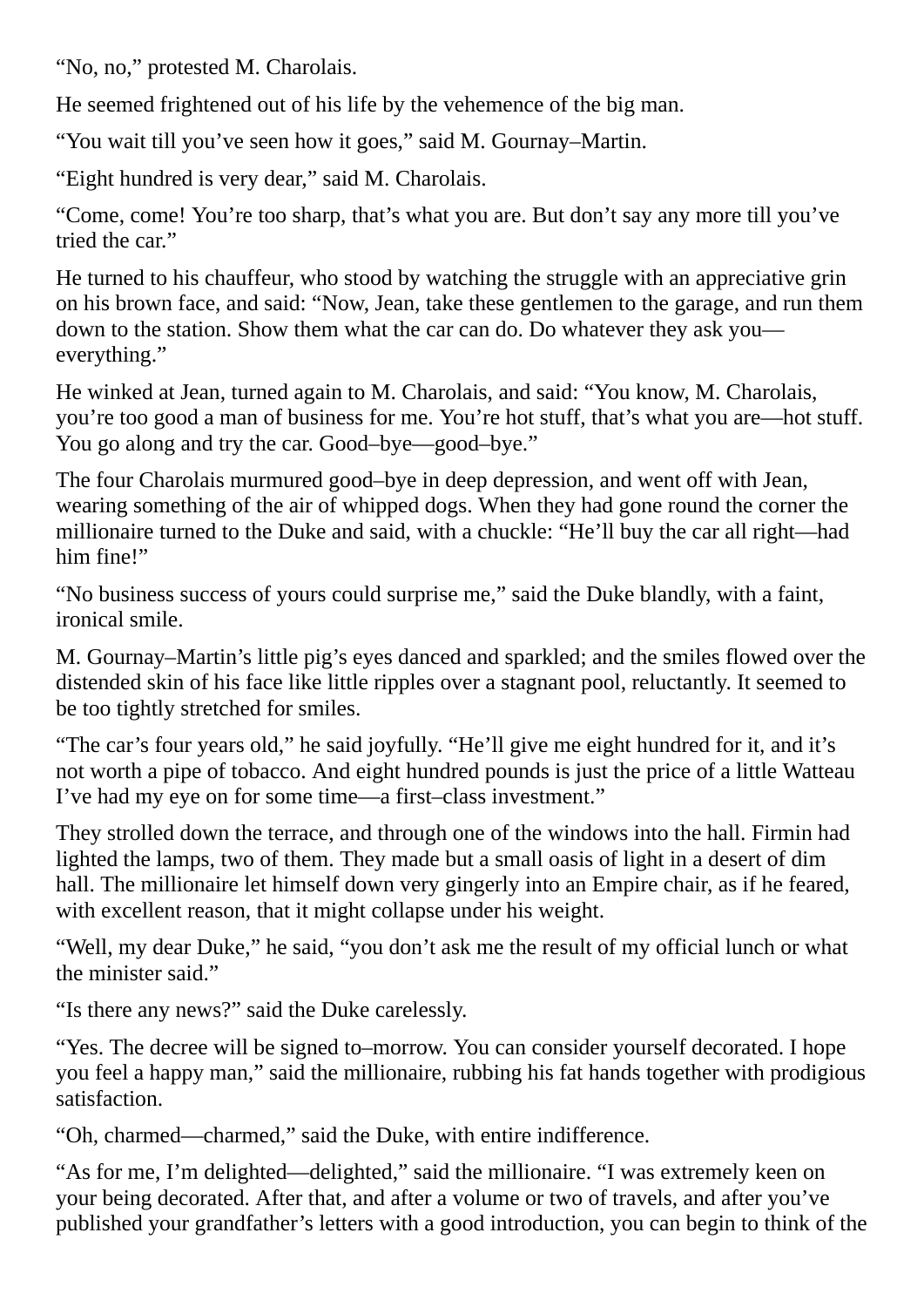"No, no," protested M. Charolais.

He seemed frightened out of his life by the vehemence of the big man.

"You wait till you've seen how it goes," said M. Gournay–Martin.

"Eight hundred is very dear," said M. Charolais.

"Come, come! You're too sharp, that's what you are. But don't say any more till you've tried the car."

He turned to his chauffeur, who stood by watching the struggle with an appreciative grin on his brown face, and said: "Now, Jean, take these gentlemen to the garage, and run them down to the station. Show them what the car can do. Do whatever they ask you everything."

He winked at Jean, turned again to M. Charolais, and said: "You know, M. Charolais, you're too good a man of business for me. You're hot stuff, that's what you are—hot stuff. You go along and try the car. Good–bye—good–bye."

The four Charolais murmured good–bye in deep depression, and went off with Jean, wearing something of the air of whipped dogs. When they had gone round the corner the millionaire turned to the Duke and said, with a chuckle: "He'll buy the car all right—had him fine!"

"No business success of yours could surprise me," said the Duke blandly, with a faint, ironical smile.

M. Gournay–Martin's little pig's eyes danced and sparkled; and the smiles flowed over the distended skin of his face like little ripples over a stagnant pool, reluctantly. It seemed to be too tightly stretched for smiles.

"The car's four years old," he said joyfully. "He'll give me eight hundred for it, and it's not worth a pipe of tobacco. And eight hundred pounds is just the price of a little Watteau I've had my eye on for some time—a first–class investment."

They strolled down the terrace, and through one of the windows into the hall. Firmin had lighted the lamps, two of them. They made but a small oasis of light in a desert of dim hall. The millionaire let himself down very gingerly into an Empire chair, as if he feared, with excellent reason, that it might collapse under his weight.

"Well, my dear Duke," he said, "you don't ask me the result of my official lunch or what the minister said."

"Is there any news?" said the Duke carelessly.

"Yes. The decree will be signed to–morrow. You can consider yourself decorated. I hope you feel a happy man," said the millionaire, rubbing his fat hands together with prodigious satisfaction.

"Oh, charmed—charmed," said the Duke, with entire indifference.

"As for me, I'm delighted—delighted," said the millionaire. "I was extremely keen on your being decorated. After that, and after a volume or two of travels, and after you've published your grandfather's letters with a good introduction, you can begin to think of the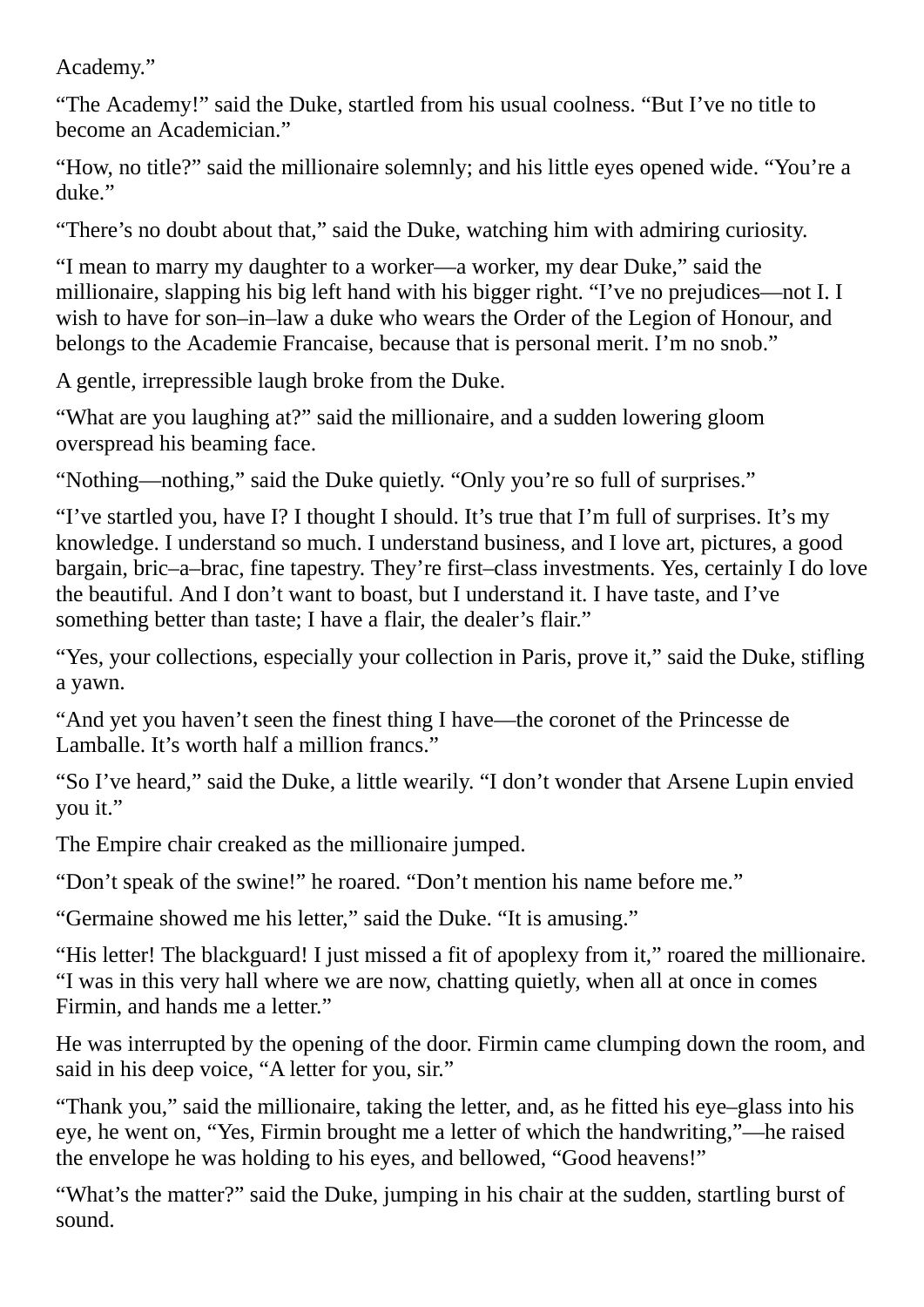Academy."

"The Academy!" said the Duke, startled from his usual coolness. "But I've no title to become an Academician."

"How, no title?" said the millionaire solemnly; and his little eyes opened wide. "You're a duke."

"There's no doubt about that," said the Duke, watching him with admiring curiosity.

"I mean to marry my daughter to a worker—a worker, my dear Duke," said the millionaire, slapping his big left hand with his bigger right. "I've no prejudices—not I. I wish to have for son–in–law a duke who wears the Order of the Legion of Honour, and belongs to the Academie Francaise, because that is personal merit. I'm no snob."

A gentle, irrepressible laugh broke from the Duke.

"What are you laughing at?" said the millionaire, and a sudden lowering gloom overspread his beaming face.

"Nothing—nothing," said the Duke quietly. "Only you're so full of surprises."

"I've startled you, have I? I thought I should. It's true that I'm full of surprises. It's my knowledge. I understand so much. I understand business, and I love art, pictures, a good bargain, bric–a–brac, fine tapestry. They're first–class investments. Yes, certainly I do love the beautiful. And I don't want to boast, but I understand it. I have taste, and I've something better than taste; I have a flair, the dealer's flair."

"Yes, your collections, especially your collection in Paris, prove it," said the Duke, stifling a yawn.

"And yet you haven't seen the finest thing I have—the coronet of the Princesse de Lamballe. It's worth half a million francs."

"So I've heard," said the Duke, a little wearily. "I don't wonder that Arsene Lupin envied you it."

The Empire chair creaked as the millionaire jumped.

"Don't speak of the swine!" he roared. "Don't mention his name before me."

"Germaine showed me his letter," said the Duke. "It is amusing."

"His letter! The blackguard! I just missed a fit of apoplexy from it," roared the millionaire. "I was in this very hall where we are now, chatting quietly, when all at once in comes Firmin, and hands me a letter."

He was interrupted by the opening of the door. Firmin came clumping down the room, and said in his deep voice, "A letter for you, sir."

"Thank you," said the millionaire, taking the letter, and, as he fitted his eye–glass into his eye, he went on, "Yes, Firmin brought me a letter of which the handwriting,"—he raised the envelope he was holding to his eyes, and bellowed, "Good heavens!"

"What's the matter?" said the Duke, jumping in his chair at the sudden, startling burst of sound.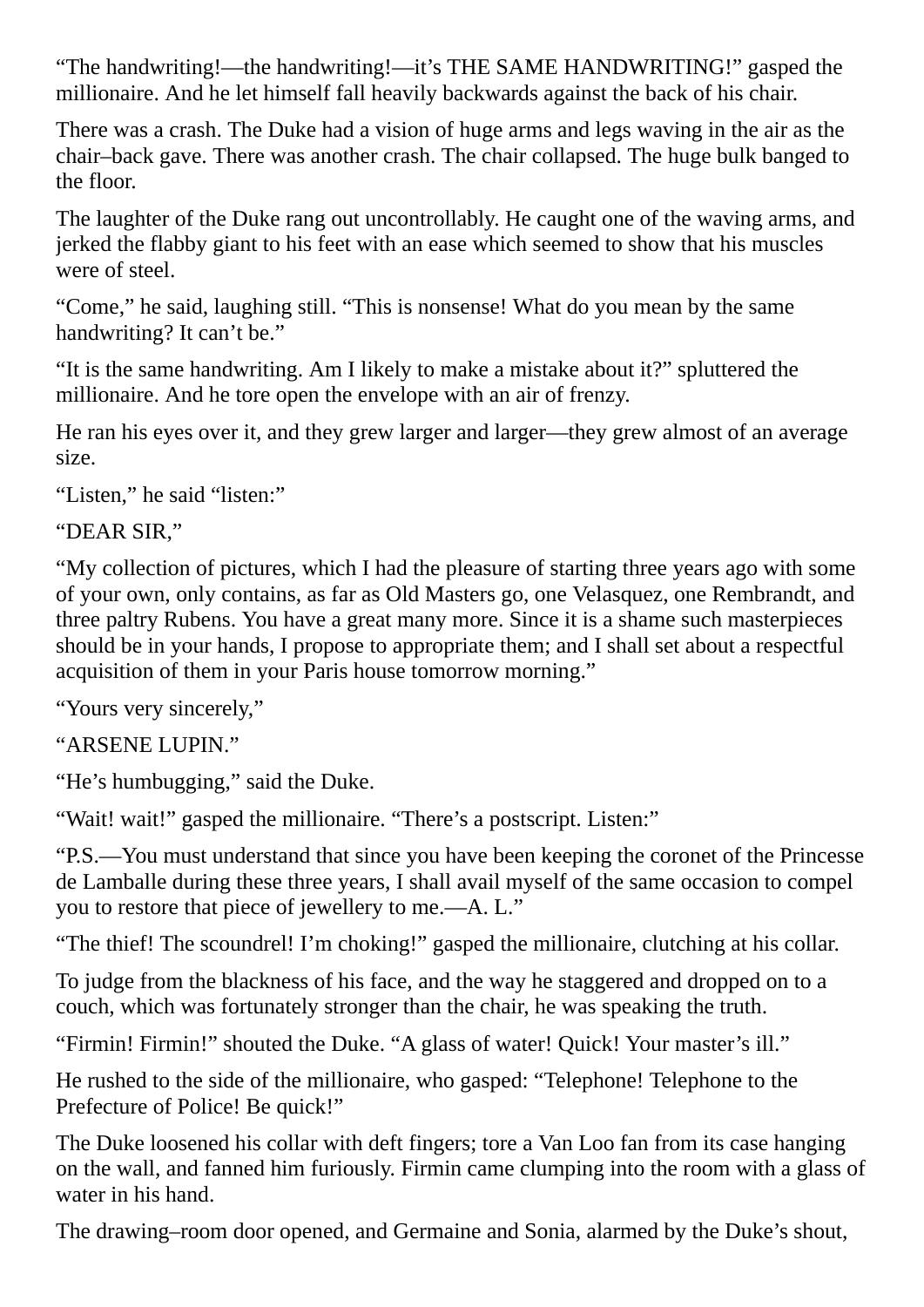"The handwriting!—the handwriting!—it's THE SAME HANDWRITING!" gasped the millionaire. And he let himself fall heavily backwards against the back of his chair.

There was a crash. The Duke had a vision of huge arms and legs waving in the air as the chair–back gave. There was another crash. The chair collapsed. The huge bulk banged to the floor.

The laughter of the Duke rang out uncontrollably. He caught one of the waving arms, and jerked the flabby giant to his feet with an ease which seemed to show that his muscles were of steel.

"Come," he said, laughing still. "This is nonsense! What do you mean by the same handwriting? It can't be."

"It is the same handwriting. Am I likely to make a mistake about it?" spluttered the millionaire. And he tore open the envelope with an air of frenzy.

He ran his eyes over it, and they grew larger and larger—they grew almost of an average size.

"Listen," he said "listen:"

```
"DEAR SIR,"
```
"My collection of pictures, which I had the pleasure of starting three years ago with some of your own, only contains, as far as Old Masters go, one Velasquez, one Rembrandt, and three paltry Rubens. You have a great many more. Since it is a shame such masterpieces should be in your hands, I propose to appropriate them; and I shall set about a respectful acquisition of them in your Paris house tomorrow morning."

"Yours very sincerely,"

```
"ARSENE LUPIN."
```
"He's humbugging," said the Duke.

"Wait! wait!" gasped the millionaire. "There's a postscript. Listen:"

"P.S.—You must understand that since you have been keeping the coronet of the Princesse de Lamballe during these three years, I shall avail myself of the same occasion to compel you to restore that piece of jewellery to me.—A. L."

"The thief! The scoundrel! I'm choking!" gasped the millionaire, clutching at his collar.

To judge from the blackness of his face, and the way he staggered and dropped on to a couch, which was fortunately stronger than the chair, he was speaking the truth.

"Firmin! Firmin!" shouted the Duke. "A glass of water! Quick! Your master's ill."

He rushed to the side of the millionaire, who gasped: "Telephone! Telephone to the Prefecture of Police! Be quick!"

The Duke loosened his collar with deft fingers; tore a Van Loo fan from its case hanging on the wall, and fanned him furiously. Firmin came clumping into the room with a glass of water in his hand.

The drawing–room door opened, and Germaine and Sonia, alarmed by the Duke's shout,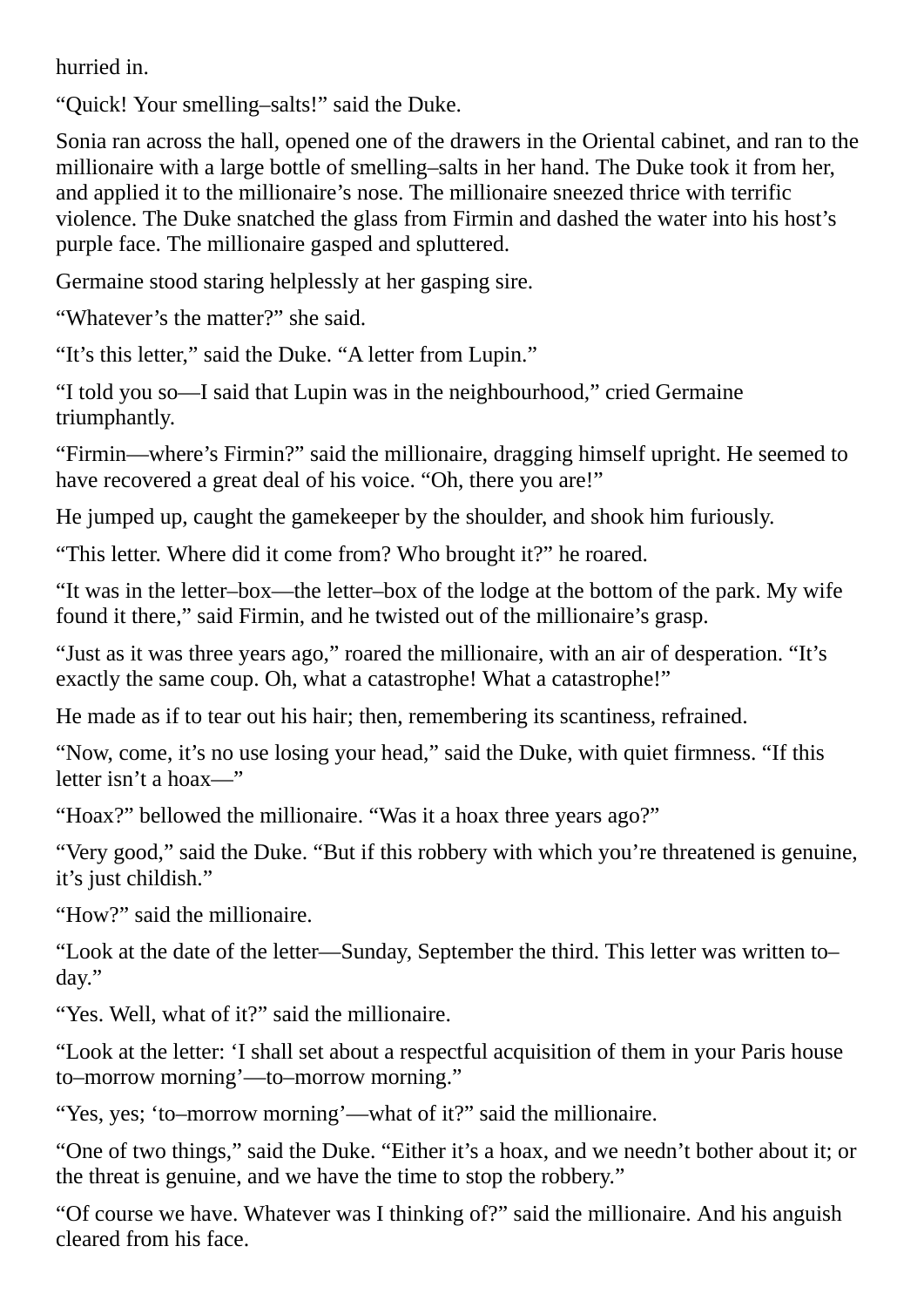hurried in.

"Quick! Your smelling–salts!" said the Duke.

Sonia ran across the hall, opened one of the drawers in the Oriental cabinet, and ran to the millionaire with a large bottle of smelling–salts in her hand. The Duke took it from her, and applied it to the millionaire's nose. The millionaire sneezed thrice with terrific violence. The Duke snatched the glass from Firmin and dashed the water into his host's purple face. The millionaire gasped and spluttered.

Germaine stood staring helplessly at her gasping sire.

"Whatever's the matter?" she said.

"It's this letter," said the Duke. "A letter from Lupin."

"I told you so—I said that Lupin was in the neighbourhood," cried Germaine triumphantly.

"Firmin—where's Firmin?" said the millionaire, dragging himself upright. He seemed to have recovered a great deal of his voice. "Oh, there you are!"

He jumped up, caught the gamekeeper by the shoulder, and shook him furiously.

"This letter. Where did it come from? Who brought it?" he roared.

"It was in the letter–box—the letter–box of the lodge at the bottom of the park. My wife found it there," said Firmin, and he twisted out of the millionaire's grasp.

"Just as it was three years ago," roared the millionaire, with an air of desperation. "It's exactly the same coup. Oh, what a catastrophe! What a catastrophe!"

He made as if to tear out his hair; then, remembering its scantiness, refrained.

"Now, come, it's no use losing your head," said the Duke, with quiet firmness. "If this letter isn't a hoax—"

"Hoax?" bellowed the millionaire. "Was it a hoax three years ago?"

"Very good," said the Duke. "But if this robbery with which you're threatened is genuine, it's just childish."

"How?" said the millionaire.

"Look at the date of the letter—Sunday, September the third. This letter was written to– day."

"Yes. Well, what of it?" said the millionaire.

"Look at the letter: 'I shall set about a respectful acquisition of them in your Paris house to–morrow morning'—to–morrow morning."

"Yes, yes; 'to–morrow morning'—what of it?" said the millionaire.

"One of two things," said the Duke. "Either it's a hoax, and we needn't bother about it; or the threat is genuine, and we have the time to stop the robbery."

"Of course we have. Whatever was I thinking of?" said the millionaire. And his anguish cleared from his face.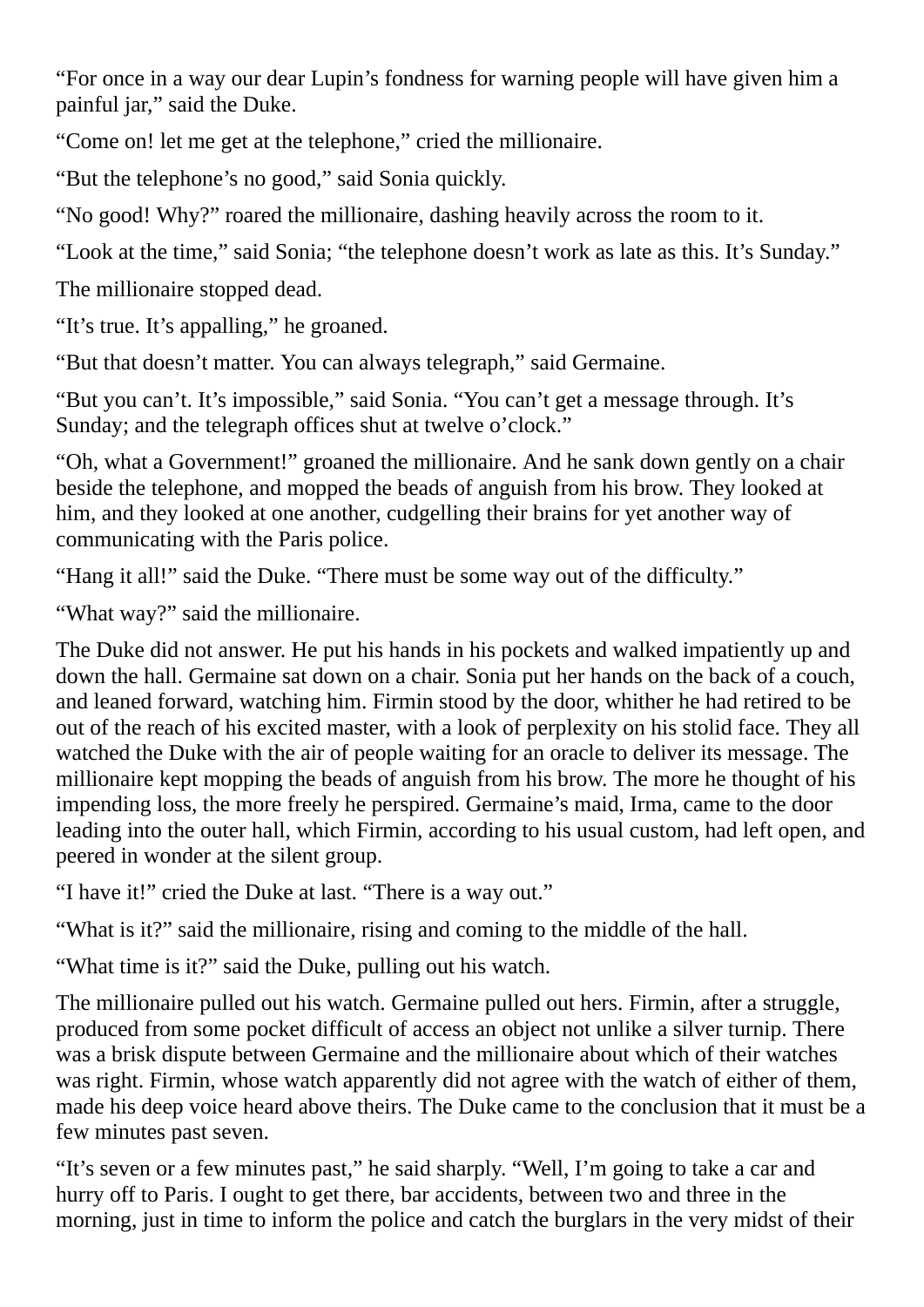"For once in a way our dear Lupin's fondness for warning people will have given him a painful jar," said the Duke.

"Come on! let me get at the telephone," cried the millionaire.

"But the telephone's no good," said Sonia quickly.

"No good! Why?" roared the millionaire, dashing heavily across the room to it.

"Look at the time," said Sonia; "the telephone doesn't work as late as this. It's Sunday."

The millionaire stopped dead.

"It's true. It's appalling," he groaned.

"But that doesn't matter. You can always telegraph," said Germaine.

"But you can't. It's impossible," said Sonia. "You can't get a message through. It's Sunday; and the telegraph offices shut at twelve o'clock."

"Oh, what a Government!" groaned the millionaire. And he sank down gently on a chair beside the telephone, and mopped the beads of anguish from his brow. They looked at him, and they looked at one another, cudgelling their brains for yet another way of communicating with the Paris police.

"Hang it all!" said the Duke. "There must be some way out of the difficulty."

"What way?" said the millionaire.

The Duke did not answer. He put his hands in his pockets and walked impatiently up and down the hall. Germaine sat down on a chair. Sonia put her hands on the back of a couch, and leaned forward, watching him. Firmin stood by the door, whither he had retired to be out of the reach of his excited master, with a look of perplexity on his stolid face. They all watched the Duke with the air of people waiting for an oracle to deliver its message. The millionaire kept mopping the beads of anguish from his brow. The more he thought of his impending loss, the more freely he perspired. Germaine's maid, Irma, came to the door leading into the outer hall, which Firmin, according to his usual custom, had left open, and peered in wonder at the silent group.

"I have it!" cried the Duke at last. "There is a way out."

"What is it?" said the millionaire, rising and coming to the middle of the hall.

"What time is it?" said the Duke, pulling out his watch.

The millionaire pulled out his watch. Germaine pulled out hers. Firmin, after a struggle, produced from some pocket difficult of access an object not unlike a silver turnip. There was a brisk dispute between Germaine and the millionaire about which of their watches was right. Firmin, whose watch apparently did not agree with the watch of either of them, made his deep voice heard above theirs. The Duke came to the conclusion that it must be a few minutes past seven.

"It's seven or a few minutes past," he said sharply. "Well, I'm going to take a car and hurry off to Paris. I ought to get there, bar accidents, between two and three in the morning, just in time to inform the police and catch the burglars in the very midst of their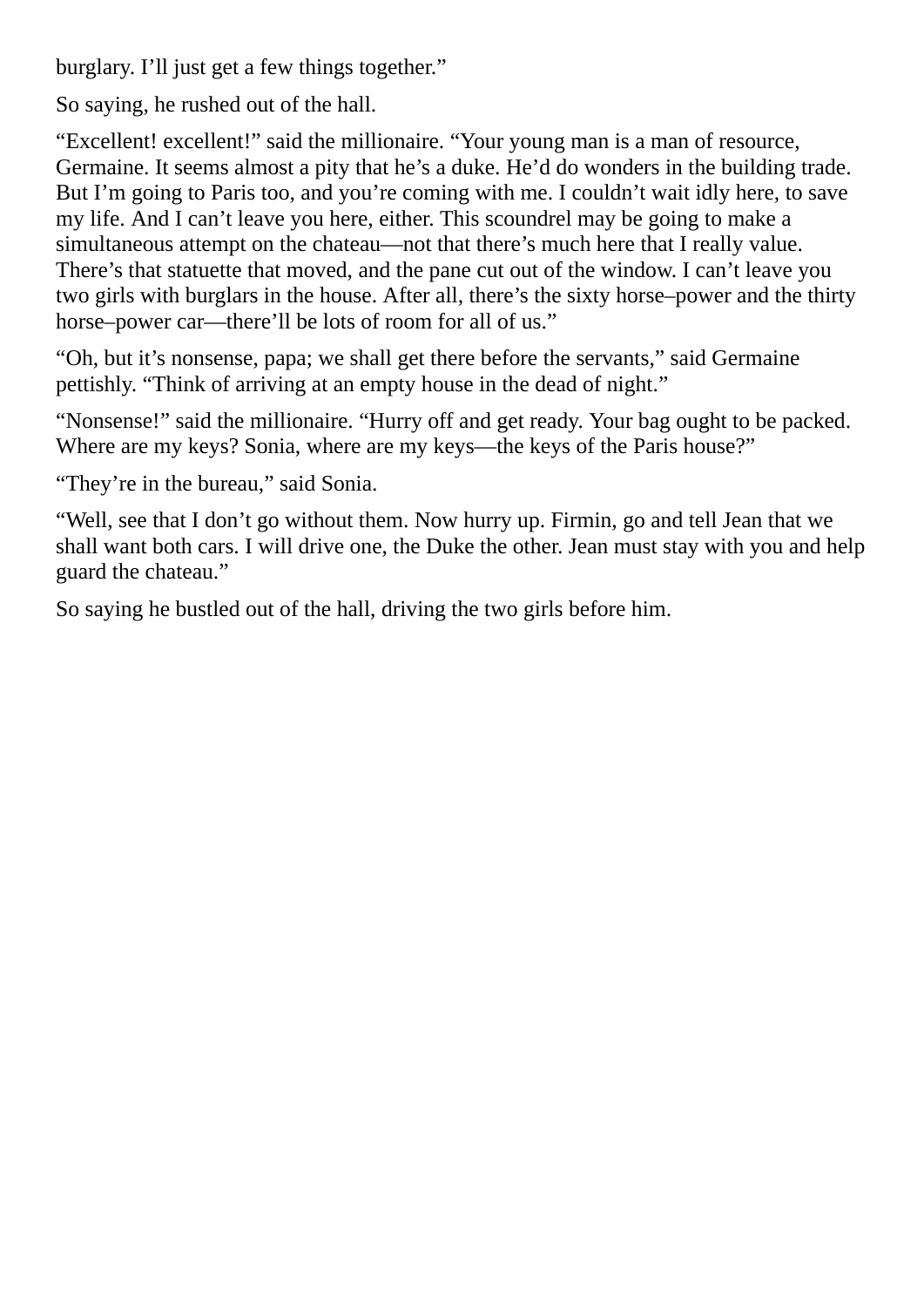burglary. I'll just get a few things together."

So saying, he rushed out of the hall.

"Excellent! excellent!" said the millionaire. "Your young man is a man of resource, Germaine. It seems almost a pity that he's a duke. He'd do wonders in the building trade. But I'm going to Paris too, and you're coming with me. I couldn't wait idly here, to save my life. And I can't leave you here, either. This scoundrel may be going to make a simultaneous attempt on the chateau—not that there's much here that I really value. There's that statuette that moved, and the pane cut out of the window. I can't leave you two girls with burglars in the house. After all, there's the sixty horse–power and the thirty horse–power car—there'll be lots of room for all of us."

"Oh, but it's nonsense, papa; we shall get there before the servants," said Germaine pettishly. "Think of arriving at an empty house in the dead of night."

"Nonsense!" said the millionaire. "Hurry off and get ready. Your bag ought to be packed. Where are my keys? Sonia, where are my keys—the keys of the Paris house?"

"They're in the bureau," said Sonia.

"Well, see that I don't go without them. Now hurry up. Firmin, go and tell Jean that we shall want both cars. I will drive one, the Duke the other. Jean must stay with you and help guard the chateau."

So saying he bustled out of the hall, driving the two girls before him.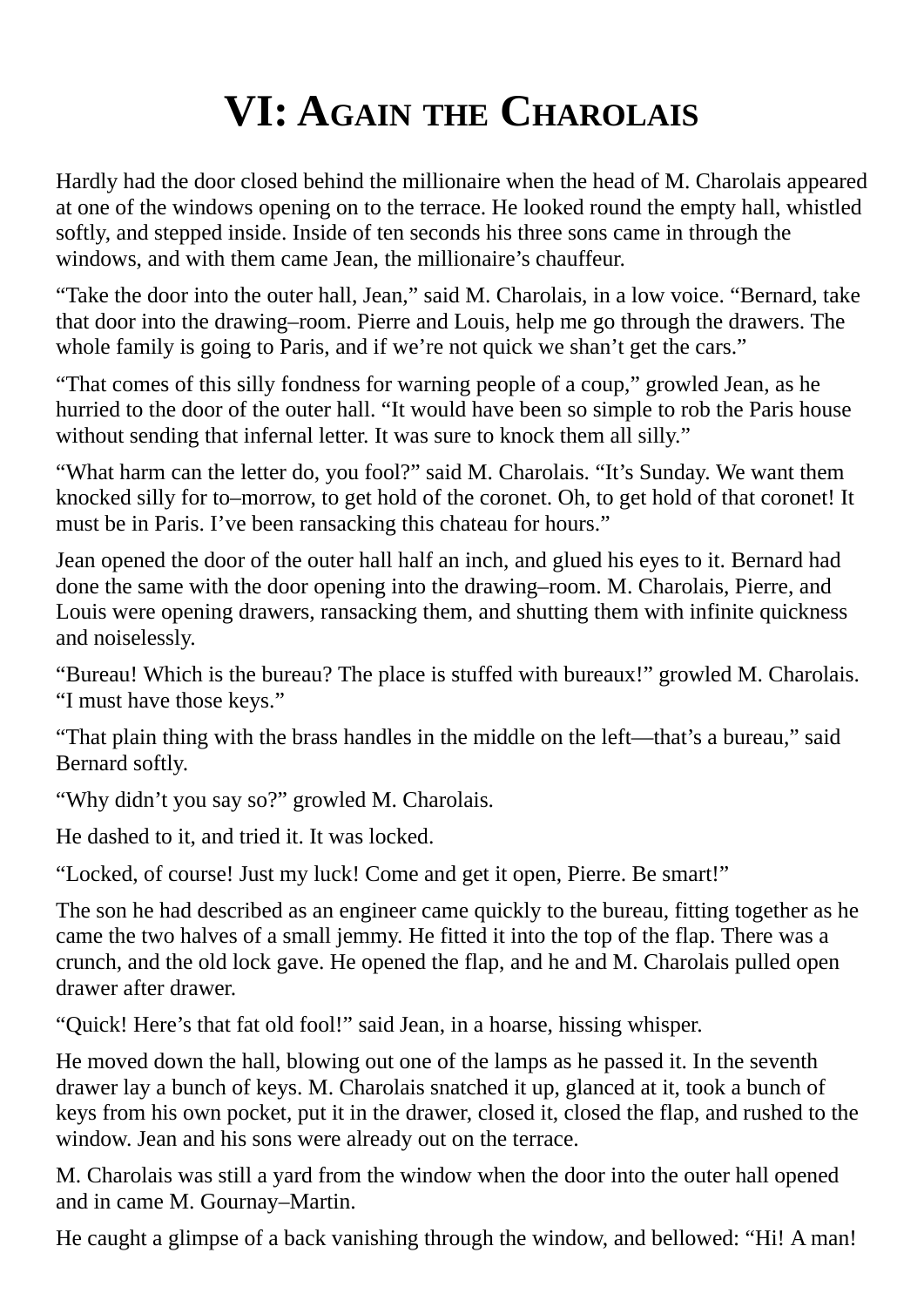### **VI: AGAIN THE CHAROLAIS**

Hardly had the door closed behind the millionaire when the head of M. Charolais appeared at one of the windows opening on to the terrace. He looked round the empty hall, whistled softly, and stepped inside. Inside of ten seconds his three sons came in through the windows, and with them came Jean, the millionaire's chauffeur.

"Take the door into the outer hall, Jean," said M. Charolais, in a low voice. "Bernard, take that door into the drawing–room. Pierre and Louis, help me go through the drawers. The whole family is going to Paris, and if we're not quick we shan't get the cars."

"That comes of this silly fondness for warning people of a coup," growled Jean, as he hurried to the door of the outer hall. "It would have been so simple to rob the Paris house without sending that infernal letter. It was sure to knock them all silly."

"What harm can the letter do, you fool?" said M. Charolais. "It's Sunday. We want them knocked silly for to–morrow, to get hold of the coronet. Oh, to get hold of that coronet! It must be in Paris. I've been ransacking this chateau for hours."

Jean opened the door of the outer hall half an inch, and glued his eyes to it. Bernard had done the same with the door opening into the drawing–room. M. Charolais, Pierre, and Louis were opening drawers, ransacking them, and shutting them with infinite quickness and noiselessly.

"Bureau! Which is the bureau? The place is stuffed with bureaux!" growled M. Charolais. "I must have those keys."

"That plain thing with the brass handles in the middle on the left—that's a bureau," said Bernard softly.

"Why didn't you say so?" growled M. Charolais.

He dashed to it, and tried it. It was locked.

"Locked, of course! Just my luck! Come and get it open, Pierre. Be smart!"

The son he had described as an engineer came quickly to the bureau, fitting together as he came the two halves of a small jemmy. He fitted it into the top of the flap. There was a crunch, and the old lock gave. He opened the flap, and he and M. Charolais pulled open drawer after drawer.

"Quick! Here's that fat old fool!" said Jean, in a hoarse, hissing whisper.

He moved down the hall, blowing out one of the lamps as he passed it. In the seventh drawer lay a bunch of keys. M. Charolais snatched it up, glanced at it, took a bunch of keys from his own pocket, put it in the drawer, closed it, closed the flap, and rushed to the window. Jean and his sons were already out on the terrace.

M. Charolais was still a yard from the window when the door into the outer hall opened and in came M. Gournay–Martin.

He caught a glimpse of a back vanishing through the window, and bellowed: "Hi! A man!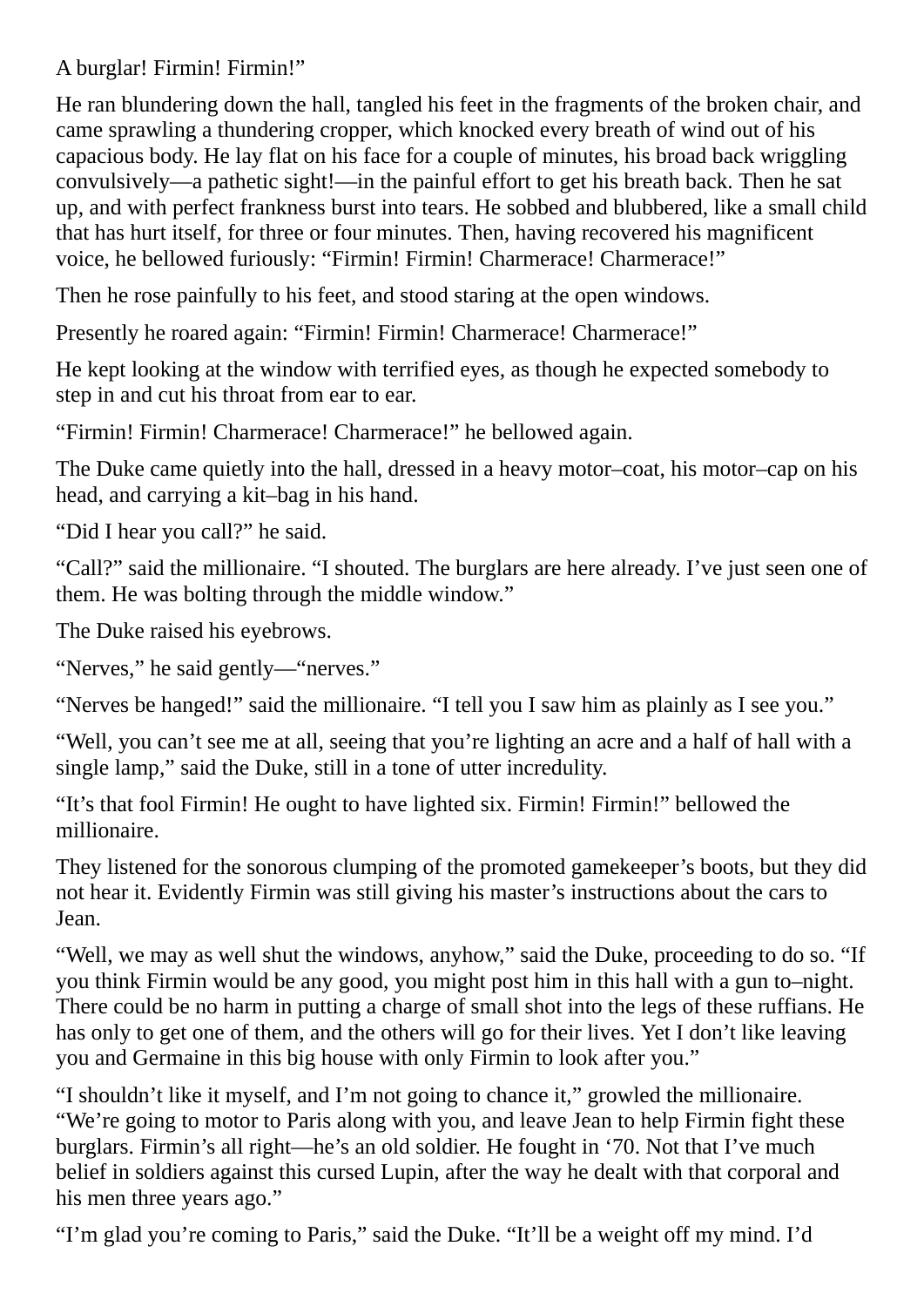A burglar! Firmin! Firmin!"

He ran blundering down the hall, tangled his feet in the fragments of the broken chair, and came sprawling a thundering cropper, which knocked every breath of wind out of his capacious body. He lay flat on his face for a couple of minutes, his broad back wriggling convulsively—a pathetic sight!—in the painful effort to get his breath back. Then he sat up, and with perfect frankness burst into tears. He sobbed and blubbered, like a small child that has hurt itself, for three or four minutes. Then, having recovered his magnificent voice, he bellowed furiously: "Firmin! Firmin! Charmerace! Charmerace!"

Then he rose painfully to his feet, and stood staring at the open windows.

Presently he roared again: "Firmin! Firmin! Charmerace! Charmerace!"

He kept looking at the window with terrified eyes, as though he expected somebody to step in and cut his throat from ear to ear.

"Firmin! Firmin! Charmerace! Charmerace!" he bellowed again.

The Duke came quietly into the hall, dressed in a heavy motor–coat, his motor–cap on his head, and carrying a kit–bag in his hand.

"Did I hear you call?" he said.

"Call?" said the millionaire. "I shouted. The burglars are here already. I've just seen one of them. He was bolting through the middle window."

The Duke raised his eyebrows.

"Nerves," he said gently—"nerves."

"Nerves be hanged!" said the millionaire. "I tell you I saw him as plainly as I see you."

"Well, you can't see me at all, seeing that you're lighting an acre and a half of hall with a single lamp," said the Duke, still in a tone of utter incredulity.

"It's that fool Firmin! He ought to have lighted six. Firmin! Firmin!" bellowed the millionaire.

They listened for the sonorous clumping of the promoted gamekeeper's boots, but they did not hear it. Evidently Firmin was still giving his master's instructions about the cars to Jean.

"Well, we may as well shut the windows, anyhow," said the Duke, proceeding to do so. "If you think Firmin would be any good, you might post him in this hall with a gun to–night. There could be no harm in putting a charge of small shot into the legs of these ruffians. He has only to get one of them, and the others will go for their lives. Yet I don't like leaving you and Germaine in this big house with only Firmin to look after you."

"I shouldn't like it myself, and I'm not going to chance it," growled the millionaire. "We're going to motor to Paris along with you, and leave Jean to help Firmin fight these burglars. Firmin's all right—he's an old soldier. He fought in '70. Not that I've much belief in soldiers against this cursed Lupin, after the way he dealt with that corporal and his men three years ago."

"I'm glad you're coming to Paris," said the Duke. "It'll be a weight off my mind. I'd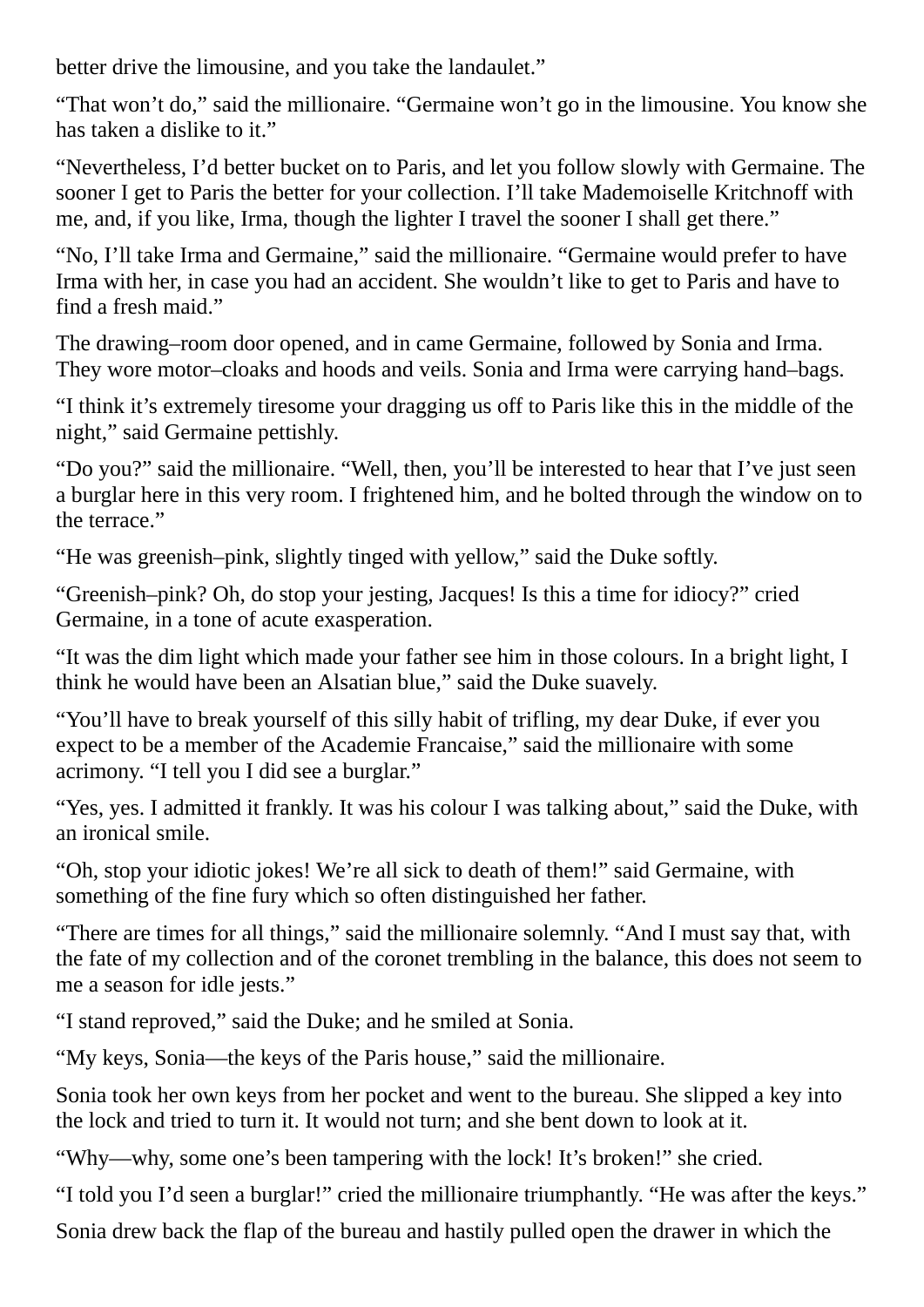better drive the limousine, and you take the landaulet."

"That won't do," said the millionaire. "Germaine won't go in the limousine. You know she has taken a dislike to it."

"Nevertheless, I'd better bucket on to Paris, and let you follow slowly with Germaine. The sooner I get to Paris the better for your collection. I'll take Mademoiselle Kritchnoff with me, and, if you like, Irma, though the lighter I travel the sooner I shall get there."

"No, I'll take Irma and Germaine," said the millionaire. "Germaine would prefer to have Irma with her, in case you had an accident. She wouldn't like to get to Paris and have to find a fresh maid."

The drawing–room door opened, and in came Germaine, followed by Sonia and Irma. They wore motor–cloaks and hoods and veils. Sonia and Irma were carrying hand–bags.

"I think it's extremely tiresome your dragging us off to Paris like this in the middle of the night," said Germaine pettishly.

"Do you?" said the millionaire. "Well, then, you'll be interested to hear that I've just seen a burglar here in this very room. I frightened him, and he bolted through the window on to the terrace."

"He was greenish–pink, slightly tinged with yellow," said the Duke softly.

"Greenish–pink? Oh, do stop your jesting, Jacques! Is this a time for idiocy?" cried Germaine, in a tone of acute exasperation.

"It was the dim light which made your father see him in those colours. In a bright light, I think he would have been an Alsatian blue," said the Duke suavely.

"You'll have to break yourself of this silly habit of trifling, my dear Duke, if ever you expect to be a member of the Academie Francaise," said the millionaire with some acrimony. "I tell you I did see a burglar."

"Yes, yes. I admitted it frankly. It was his colour I was talking about," said the Duke, with an ironical smile.

"Oh, stop your idiotic jokes! We're all sick to death of them!" said Germaine, with something of the fine fury which so often distinguished her father.

"There are times for all things," said the millionaire solemnly. "And I must say that, with the fate of my collection and of the coronet trembling in the balance, this does not seem to me a season for idle jests."

"I stand reproved," said the Duke; and he smiled at Sonia.

"My keys, Sonia—the keys of the Paris house," said the millionaire.

Sonia took her own keys from her pocket and went to the bureau. She slipped a key into the lock and tried to turn it. It would not turn; and she bent down to look at it.

"Why—why, some one's been tampering with the lock! It's broken!" she cried.

"I told you I'd seen a burglar!" cried the millionaire triumphantly. "He was after the keys."

Sonia drew back the flap of the bureau and hastily pulled open the drawer in which the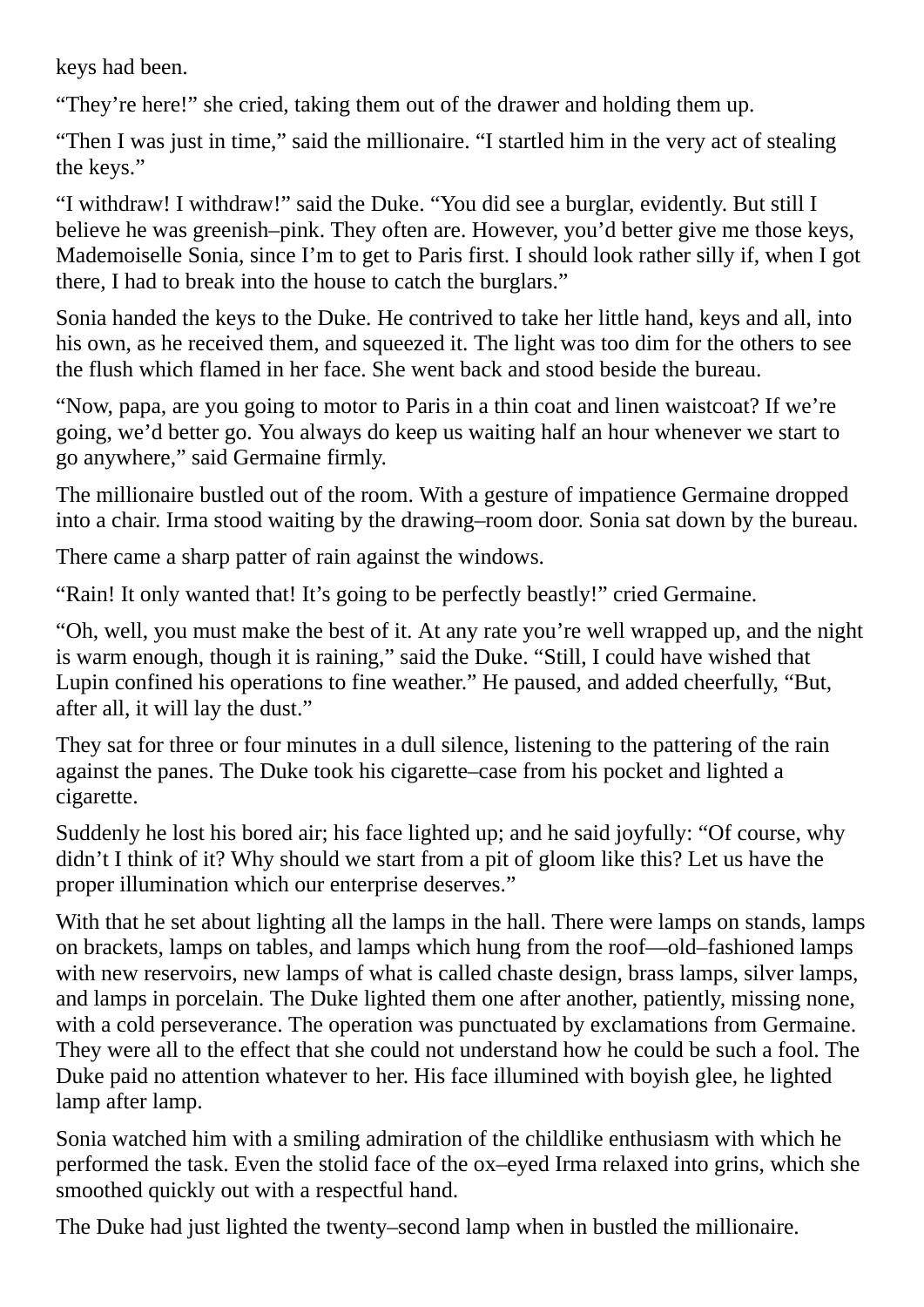keys had been.

"They're here!" she cried, taking them out of the drawer and holding them up.

"Then I was just in time," said the millionaire. "I startled him in the very act of stealing the keys."

"I withdraw! I withdraw!" said the Duke. "You did see a burglar, evidently. But still I believe he was greenish–pink. They often are. However, you'd better give me those keys, Mademoiselle Sonia, since I'm to get to Paris first. I should look rather silly if, when I got there, I had to break into the house to catch the burglars."

Sonia handed the keys to the Duke. He contrived to take her little hand, keys and all, into his own, as he received them, and squeezed it. The light was too dim for the others to see the flush which flamed in her face. She went back and stood beside the bureau.

"Now, papa, are you going to motor to Paris in a thin coat and linen waistcoat? If we're going, we'd better go. You always do keep us waiting half an hour whenever we start to go anywhere," said Germaine firmly.

The millionaire bustled out of the room. With a gesture of impatience Germaine dropped into a chair. Irma stood waiting by the drawing–room door. Sonia sat down by the bureau.

There came a sharp patter of rain against the windows.

"Rain! It only wanted that! It's going to be perfectly beastly!" cried Germaine.

"Oh, well, you must make the best of it. At any rate you're well wrapped up, and the night is warm enough, though it is raining," said the Duke. "Still, I could have wished that Lupin confined his operations to fine weather." He paused, and added cheerfully, "But, after all, it will lay the dust."

They sat for three or four minutes in a dull silence, listening to the pattering of the rain against the panes. The Duke took his cigarette–case from his pocket and lighted a cigarette.

Suddenly he lost his bored air; his face lighted up; and he said joyfully: "Of course, why didn't I think of it? Why should we start from a pit of gloom like this? Let us have the proper illumination which our enterprise deserves."

With that he set about lighting all the lamps in the hall. There were lamps on stands, lamps on brackets, lamps on tables, and lamps which hung from the roof—old–fashioned lamps with new reservoirs, new lamps of what is called chaste design, brass lamps, silver lamps, and lamps in porcelain. The Duke lighted them one after another, patiently, missing none, with a cold perseverance. The operation was punctuated by exclamations from Germaine. They were all to the effect that she could not understand how he could be such a fool. The Duke paid no attention whatever to her. His face illumined with boyish glee, he lighted lamp after lamp.

Sonia watched him with a smiling admiration of the childlike enthusiasm with which he performed the task. Even the stolid face of the ox–eyed Irma relaxed into grins, which she smoothed quickly out with a respectful hand.

The Duke had just lighted the twenty–second lamp when in bustled the millionaire.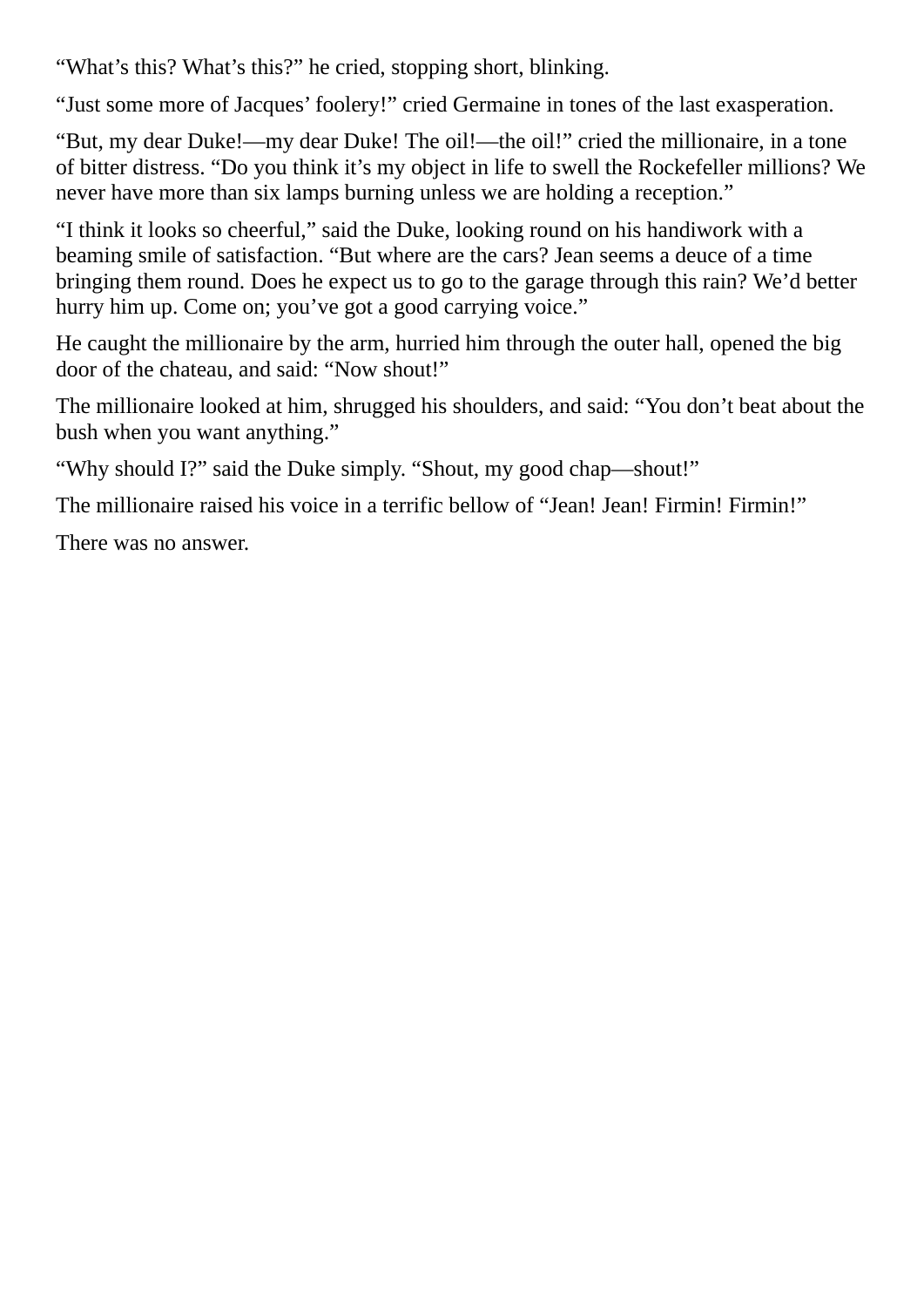"What's this? What's this?" he cried, stopping short, blinking.

"Just some more of Jacques' foolery!" cried Germaine in tones of the last exasperation.

"But, my dear Duke!—my dear Duke! The oil!—the oil!" cried the millionaire, in a tone of bitter distress. "Do you think it's my object in life to swell the Rockefeller millions? We never have more than six lamps burning unless we are holding a reception."

"I think it looks so cheerful," said the Duke, looking round on his handiwork with a beaming smile of satisfaction. "But where are the cars? Jean seems a deuce of a time bringing them round. Does he expect us to go to the garage through this rain? We'd better hurry him up. Come on; you've got a good carrying voice."

He caught the millionaire by the arm, hurried him through the outer hall, opened the big door of the chateau, and said: "Now shout!"

The millionaire looked at him, shrugged his shoulders, and said: "You don't beat about the bush when you want anything."

"Why should I?" said the Duke simply. "Shout, my good chap—shout!"

The millionaire raised his voice in a terrific bellow of "Jean! Jean! Firmin! Firmin!"

There was no answer.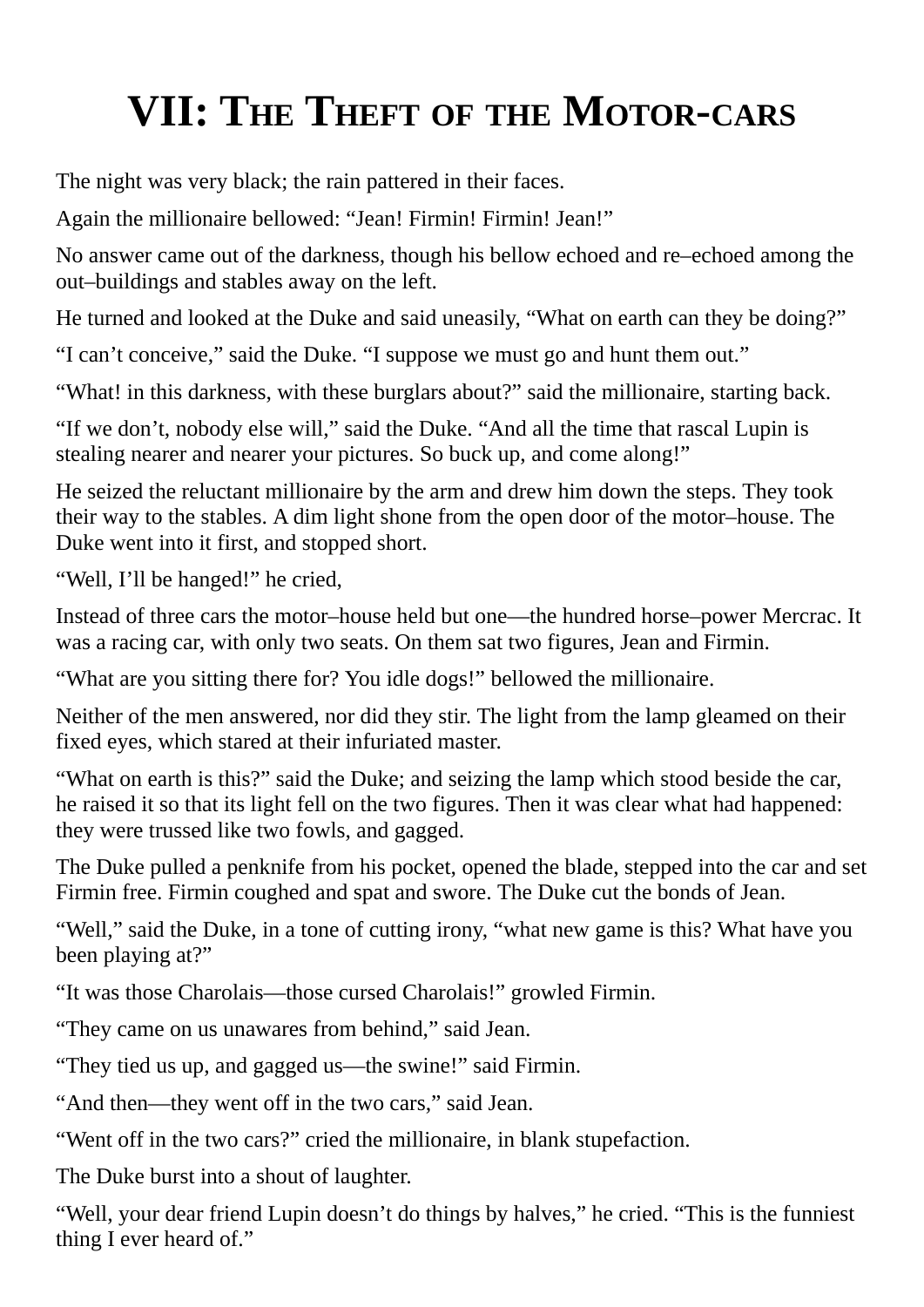# **VII: THE THEFT OF THE MOTOR-CARS**

The night was very black; the rain pattered in their faces.

Again the millionaire bellowed: "Jean! Firmin! Firmin! Jean!"

No answer came out of the darkness, though his bellow echoed and re–echoed among the out–buildings and stables away on the left.

He turned and looked at the Duke and said uneasily, "What on earth can they be doing?"

"I can't conceive," said the Duke. "I suppose we must go and hunt them out."

"What! in this darkness, with these burglars about?" said the millionaire, starting back.

"If we don't, nobody else will," said the Duke. "And all the time that rascal Lupin is stealing nearer and nearer your pictures. So buck up, and come along!"

He seized the reluctant millionaire by the arm and drew him down the steps. They took their way to the stables. A dim light shone from the open door of the motor–house. The Duke went into it first, and stopped short.

"Well, I'll be hanged!" he cried,

Instead of three cars the motor–house held but one—the hundred horse–power Mercrac. It was a racing car, with only two seats. On them sat two figures, Jean and Firmin.

"What are you sitting there for? You idle dogs!" bellowed the millionaire.

Neither of the men answered, nor did they stir. The light from the lamp gleamed on their fixed eyes, which stared at their infuriated master.

"What on earth is this?" said the Duke; and seizing the lamp which stood beside the car, he raised it so that its light fell on the two figures. Then it was clear what had happened: they were trussed like two fowls, and gagged.

The Duke pulled a penknife from his pocket, opened the blade, stepped into the car and set Firmin free. Firmin coughed and spat and swore. The Duke cut the bonds of Jean.

"Well," said the Duke, in a tone of cutting irony, "what new game is this? What have you been playing at?"

"It was those Charolais—those cursed Charolais!" growled Firmin.

"They came on us unawares from behind," said Jean.

"They tied us up, and gagged us—the swine!" said Firmin.

"And then—they went off in the two cars," said Jean.

"Went off in the two cars?" cried the millionaire, in blank stupefaction.

The Duke burst into a shout of laughter.

"Well, your dear friend Lupin doesn't do things by halves," he cried. "This is the funniest thing I ever heard of."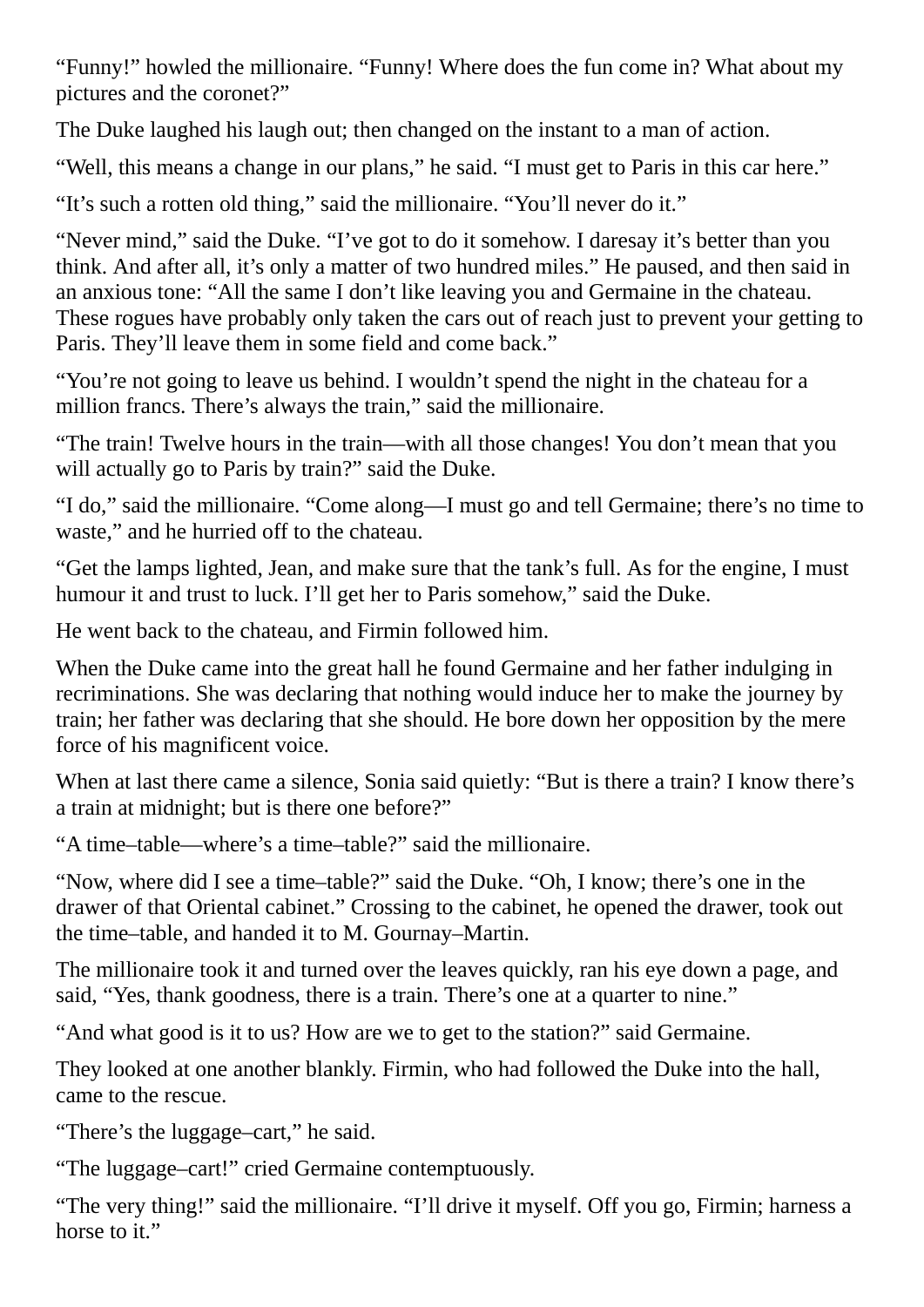"Funny!" howled the millionaire. "Funny! Where does the fun come in? What about my pictures and the coronet?"

The Duke laughed his laugh out; then changed on the instant to a man of action.

"Well, this means a change in our plans," he said. "I must get to Paris in this car here."

"It's such a rotten old thing," said the millionaire. "You'll never do it."

"Never mind," said the Duke. "I've got to do it somehow. I daresay it's better than you think. And after all, it's only a matter of two hundred miles." He paused, and then said in an anxious tone: "All the same I don't like leaving you and Germaine in the chateau. These rogues have probably only taken the cars out of reach just to prevent your getting to Paris. They'll leave them in some field and come back."

"You're not going to leave us behind. I wouldn't spend the night in the chateau for a million francs. There's always the train," said the millionaire.

"The train! Twelve hours in the train—with all those changes! You don't mean that you will actually go to Paris by train?" said the Duke.

"I do," said the millionaire. "Come along—I must go and tell Germaine; there's no time to waste," and he hurried off to the chateau.

"Get the lamps lighted, Jean, and make sure that the tank's full. As for the engine, I must humour it and trust to luck. I'll get her to Paris somehow," said the Duke.

He went back to the chateau, and Firmin followed him.

When the Duke came into the great hall he found Germaine and her father indulging in recriminations. She was declaring that nothing would induce her to make the journey by train; her father was declaring that she should. He bore down her opposition by the mere force of his magnificent voice.

When at last there came a silence, Sonia said quietly: "But is there a train? I know there's a train at midnight; but is there one before?"

"A time–table—where's a time–table?" said the millionaire.

"Now, where did I see a time–table?" said the Duke. "Oh, I know; there's one in the drawer of that Oriental cabinet." Crossing to the cabinet, he opened the drawer, took out the time–table, and handed it to M. Gournay–Martin.

The millionaire took it and turned over the leaves quickly, ran his eye down a page, and said, "Yes, thank goodness, there is a train. There's one at a quarter to nine."

"And what good is it to us? How are we to get to the station?" said Germaine.

They looked at one another blankly. Firmin, who had followed the Duke into the hall, came to the rescue.

"There's the luggage–cart," he said.

"The luggage–cart!" cried Germaine contemptuously.

"The very thing!" said the millionaire. "I'll drive it myself. Off you go, Firmin; harness a horse to it."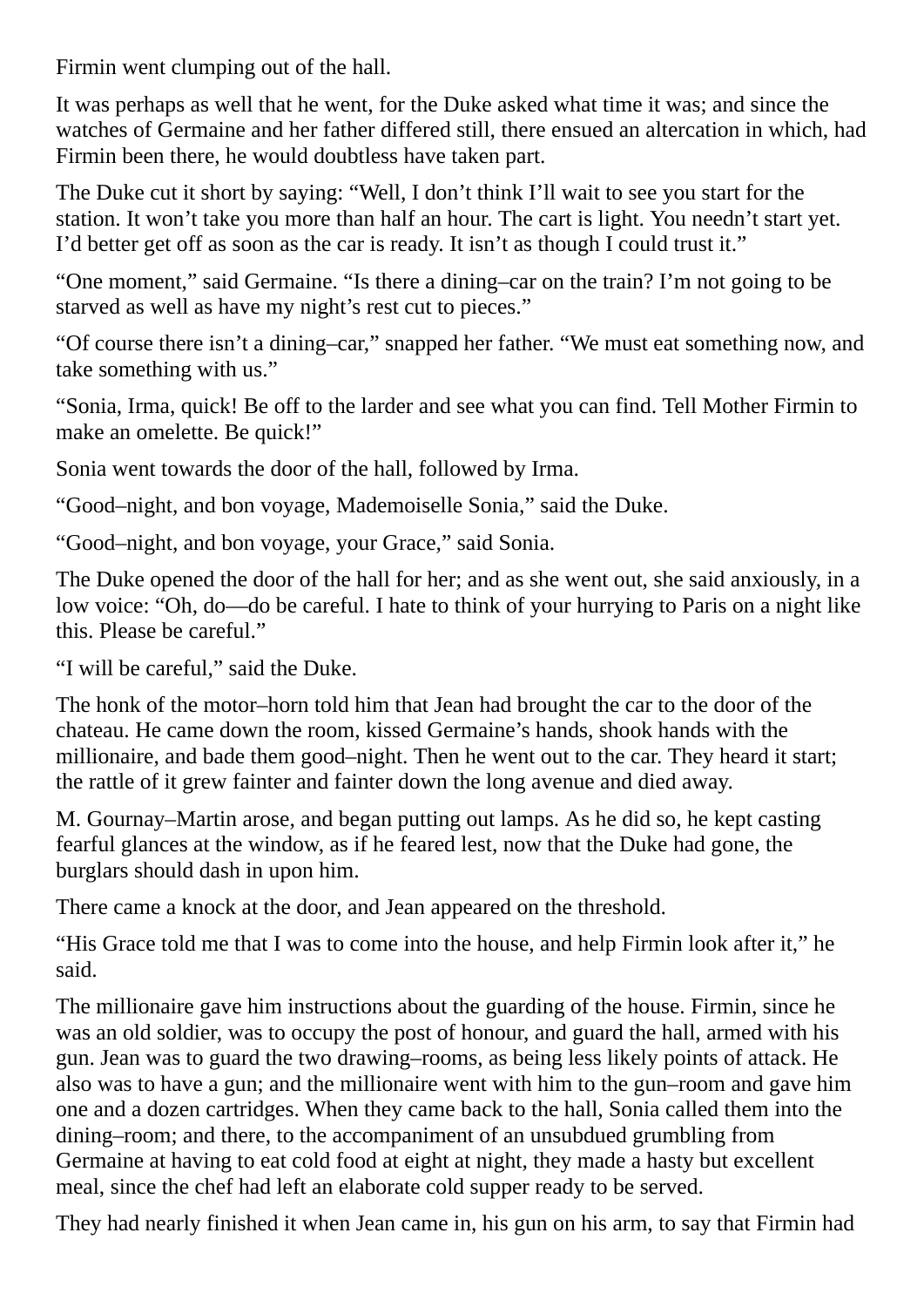Firmin went clumping out of the hall.

It was perhaps as well that he went, for the Duke asked what time it was; and since the watches of Germaine and her father differed still, there ensued an altercation in which, had Firmin been there, he would doubtless have taken part.

The Duke cut it short by saying: "Well, I don't think I'll wait to see you start for the station. It won't take you more than half an hour. The cart is light. You needn't start yet. I'd better get off as soon as the car is ready. It isn't as though I could trust it."

"One moment," said Germaine. "Is there a dining–car on the train? I'm not going to be starved as well as have my night's rest cut to pieces."

"Of course there isn't a dining–car," snapped her father. "We must eat something now, and take something with us."

"Sonia, Irma, quick! Be off to the larder and see what you can find. Tell Mother Firmin to make an omelette. Be quick!"

Sonia went towards the door of the hall, followed by Irma.

"Good–night, and bon voyage, Mademoiselle Sonia," said the Duke.

"Good–night, and bon voyage, your Grace," said Sonia.

The Duke opened the door of the hall for her; and as she went out, she said anxiously, in a low voice: "Oh, do—do be careful. I hate to think of your hurrying to Paris on a night like this. Please be careful."

"I will be careful," said the Duke.

The honk of the motor–horn told him that Jean had brought the car to the door of the chateau. He came down the room, kissed Germaine's hands, shook hands with the millionaire, and bade them good–night. Then he went out to the car. They heard it start; the rattle of it grew fainter and fainter down the long avenue and died away.

M. Gournay–Martin arose, and began putting out lamps. As he did so, he kept casting fearful glances at the window, as if he feared lest, now that the Duke had gone, the burglars should dash in upon him.

There came a knock at the door, and Jean appeared on the threshold.

"His Grace told me that I was to come into the house, and help Firmin look after it," he said.

The millionaire gave him instructions about the guarding of the house. Firmin, since he was an old soldier, was to occupy the post of honour, and guard the hall, armed with his gun. Jean was to guard the two drawing–rooms, as being less likely points of attack. He also was to have a gun; and the millionaire went with him to the gun–room and gave him one and a dozen cartridges. When they came back to the hall, Sonia called them into the dining–room; and there, to the accompaniment of an unsubdued grumbling from Germaine at having to eat cold food at eight at night, they made a hasty but excellent meal, since the chef had left an elaborate cold supper ready to be served.

They had nearly finished it when Jean came in, his gun on his arm, to say that Firmin had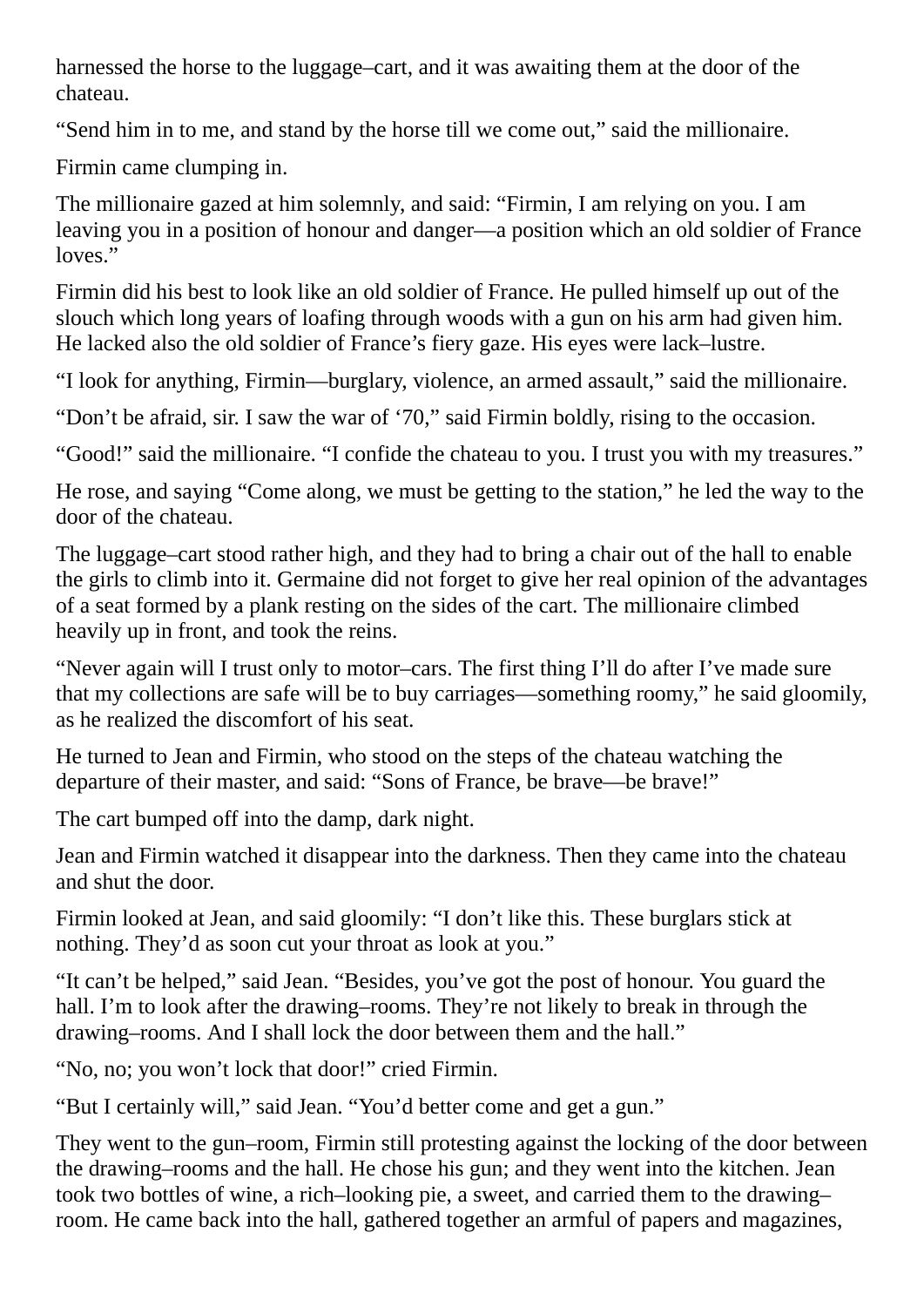harnessed the horse to the luggage–cart, and it was awaiting them at the door of the chateau.

"Send him in to me, and stand by the horse till we come out," said the millionaire.

Firmin came clumping in.

The millionaire gazed at him solemnly, and said: "Firmin, I am relying on you. I am leaving you in a position of honour and danger—a position which an old soldier of France loves."

Firmin did his best to look like an old soldier of France. He pulled himself up out of the slouch which long years of loafing through woods with a gun on his arm had given him. He lacked also the old soldier of France's fiery gaze. His eyes were lack–lustre.

"I look for anything, Firmin—burglary, violence, an armed assault," said the millionaire.

"Don't be afraid, sir. I saw the war of '70," said Firmin boldly, rising to the occasion.

"Good!" said the millionaire. "I confide the chateau to you. I trust you with my treasures."

He rose, and saying "Come along, we must be getting to the station," he led the way to the door of the chateau.

The luggage–cart stood rather high, and they had to bring a chair out of the hall to enable the girls to climb into it. Germaine did not forget to give her real opinion of the advantages of a seat formed by a plank resting on the sides of the cart. The millionaire climbed heavily up in front, and took the reins.

"Never again will I trust only to motor–cars. The first thing I'll do after I've made sure that my collections are safe will be to buy carriages—something roomy," he said gloomily, as he realized the discomfort of his seat.

He turned to Jean and Firmin, who stood on the steps of the chateau watching the departure of their master, and said: "Sons of France, be brave—be brave!"

The cart bumped off into the damp, dark night.

Jean and Firmin watched it disappear into the darkness. Then they came into the chateau and shut the door.

Firmin looked at Jean, and said gloomily: "I don't like this. These burglars stick at nothing. They'd as soon cut your throat as look at you."

"It can't be helped," said Jean. "Besides, you've got the post of honour. You guard the hall. I'm to look after the drawing–rooms. They're not likely to break in through the drawing–rooms. And I shall lock the door between them and the hall."

"No, no; you won't lock that door!" cried Firmin.

"But I certainly will," said Jean. "You'd better come and get a gun."

They went to the gun–room, Firmin still protesting against the locking of the door between the drawing–rooms and the hall. He chose his gun; and they went into the kitchen. Jean took two bottles of wine, a rich–looking pie, a sweet, and carried them to the drawing– room. He came back into the hall, gathered together an armful of papers and magazines,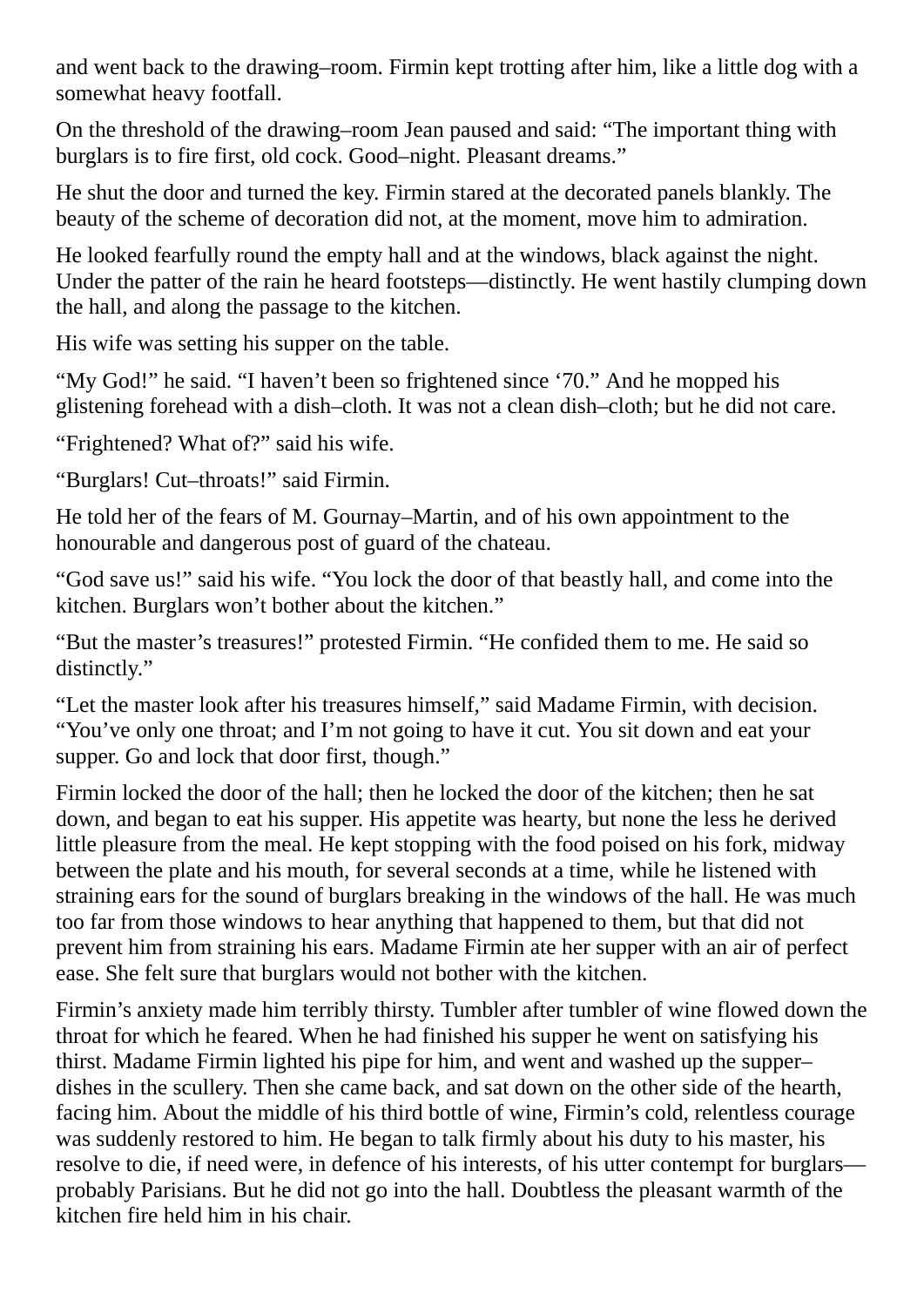and went back to the drawing–room. Firmin kept trotting after him, like a little dog with a somewhat heavy footfall.

On the threshold of the drawing–room Jean paused and said: "The important thing with burglars is to fire first, old cock. Good–night. Pleasant dreams."

He shut the door and turned the key. Firmin stared at the decorated panels blankly. The beauty of the scheme of decoration did not, at the moment, move him to admiration.

He looked fearfully round the empty hall and at the windows, black against the night. Under the patter of the rain he heard footsteps—distinctly. He went hastily clumping down the hall, and along the passage to the kitchen.

His wife was setting his supper on the table.

"My God!" he said. "I haven't been so frightened since '70." And he mopped his glistening forehead with a dish–cloth. It was not a clean dish–cloth; but he did not care.

"Frightened? What of?" said his wife.

"Burglars! Cut–throats!" said Firmin.

He told her of the fears of M. Gournay–Martin, and of his own appointment to the honourable and dangerous post of guard of the chateau.

"God save us!" said his wife. "You lock the door of that beastly hall, and come into the kitchen. Burglars won't bother about the kitchen."

"But the master's treasures!" protested Firmin. "He confided them to me. He said so distinctly."

"Let the master look after his treasures himself," said Madame Firmin, with decision. "You've only one throat; and I'm not going to have it cut. You sit down and eat your supper. Go and lock that door first, though."

Firmin locked the door of the hall; then he locked the door of the kitchen; then he sat down, and began to eat his supper. His appetite was hearty, but none the less he derived little pleasure from the meal. He kept stopping with the food poised on his fork, midway between the plate and his mouth, for several seconds at a time, while he listened with straining ears for the sound of burglars breaking in the windows of the hall. He was much too far from those windows to hear anything that happened to them, but that did not prevent him from straining his ears. Madame Firmin ate her supper with an air of perfect ease. She felt sure that burglars would not bother with the kitchen.

Firmin's anxiety made him terribly thirsty. Tumbler after tumbler of wine flowed down the throat for which he feared. When he had finished his supper he went on satisfying his thirst. Madame Firmin lighted his pipe for him, and went and washed up the supper– dishes in the scullery. Then she came back, and sat down on the other side of the hearth, facing him. About the middle of his third bottle of wine, Firmin's cold, relentless courage was suddenly restored to him. He began to talk firmly about his duty to his master, his resolve to die, if need were, in defence of his interests, of his utter contempt for burglars probably Parisians. But he did not go into the hall. Doubtless the pleasant warmth of the kitchen fire held him in his chair.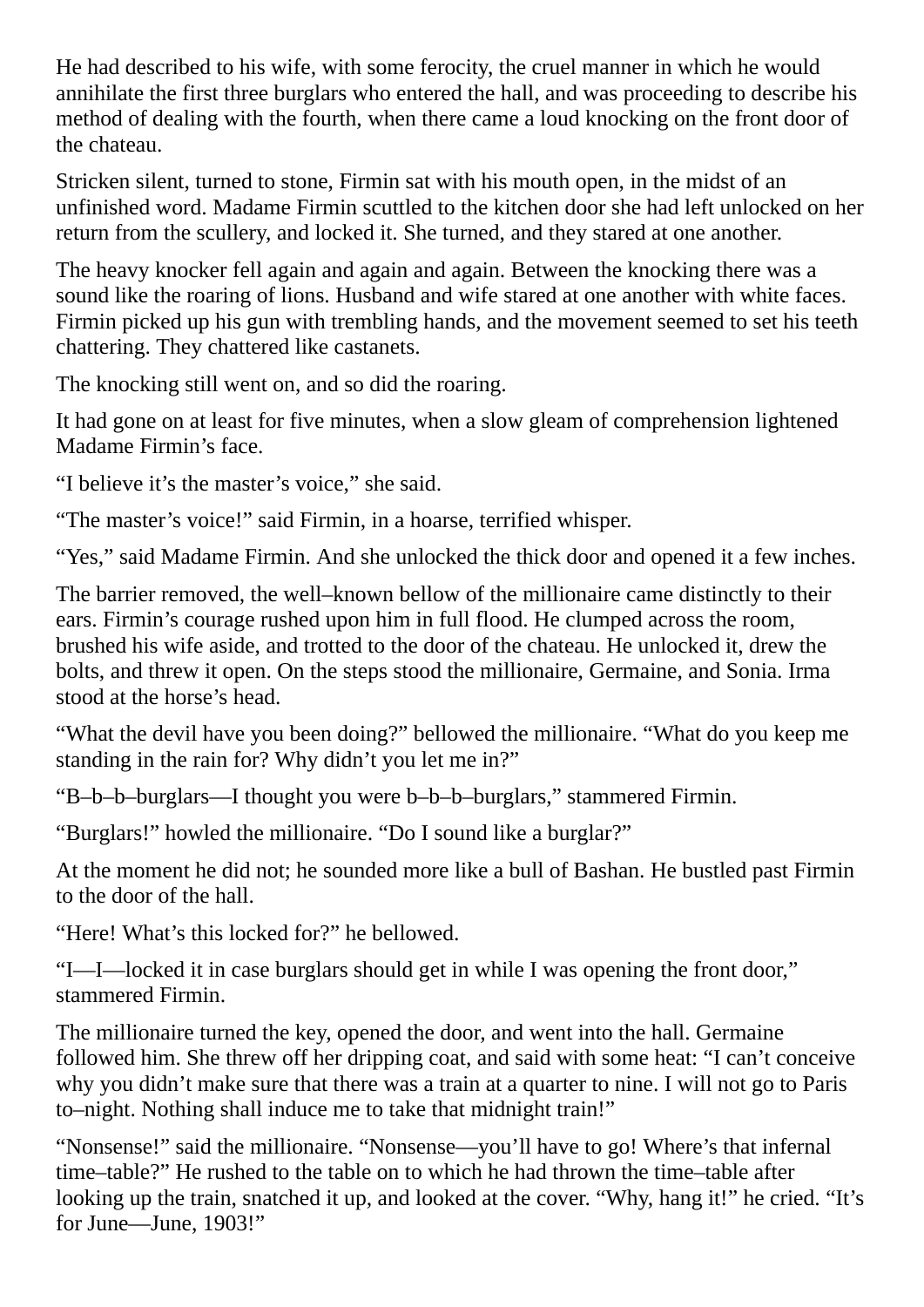He had described to his wife, with some ferocity, the cruel manner in which he would annihilate the first three burglars who entered the hall, and was proceeding to describe his method of dealing with the fourth, when there came a loud knocking on the front door of the chateau.

Stricken silent, turned to stone, Firmin sat with his mouth open, in the midst of an unfinished word. Madame Firmin scuttled to the kitchen door she had left unlocked on her return from the scullery, and locked it. She turned, and they stared at one another.

The heavy knocker fell again and again and again. Between the knocking there was a sound like the roaring of lions. Husband and wife stared at one another with white faces. Firmin picked up his gun with trembling hands, and the movement seemed to set his teeth chattering. They chattered like castanets.

The knocking still went on, and so did the roaring.

It had gone on at least for five minutes, when a slow gleam of comprehension lightened Madame Firmin's face.

"I believe it's the master's voice," she said.

"The master's voice!" said Firmin, in a hoarse, terrified whisper.

"Yes," said Madame Firmin. And she unlocked the thick door and opened it a few inches.

The barrier removed, the well–known bellow of the millionaire came distinctly to their ears. Firmin's courage rushed upon him in full flood. He clumped across the room, brushed his wife aside, and trotted to the door of the chateau. He unlocked it, drew the bolts, and threw it open. On the steps stood the millionaire, Germaine, and Sonia. Irma stood at the horse's head.

"What the devil have you been doing?" bellowed the millionaire. "What do you keep me standing in the rain for? Why didn't you let me in?"

"B–b–b–burglars—I thought you were b–b–b–burglars," stammered Firmin.

"Burglars!" howled the millionaire. "Do I sound like a burglar?"

At the moment he did not; he sounded more like a bull of Bashan. He bustled past Firmin to the door of the hall.

"Here! What's this locked for?" he bellowed.

"I—I—locked it in case burglars should get in while I was opening the front door," stammered Firmin.

The millionaire turned the key, opened the door, and went into the hall. Germaine followed him. She threw off her dripping coat, and said with some heat: "I can't conceive why you didn't make sure that there was a train at a quarter to nine. I will not go to Paris to–night. Nothing shall induce me to take that midnight train!"

"Nonsense!" said the millionaire. "Nonsense—you'll have to go! Where's that infernal time–table?" He rushed to the table on to which he had thrown the time–table after looking up the train, snatched it up, and looked at the cover. "Why, hang it!" he cried. "It's for June—June, 1903!"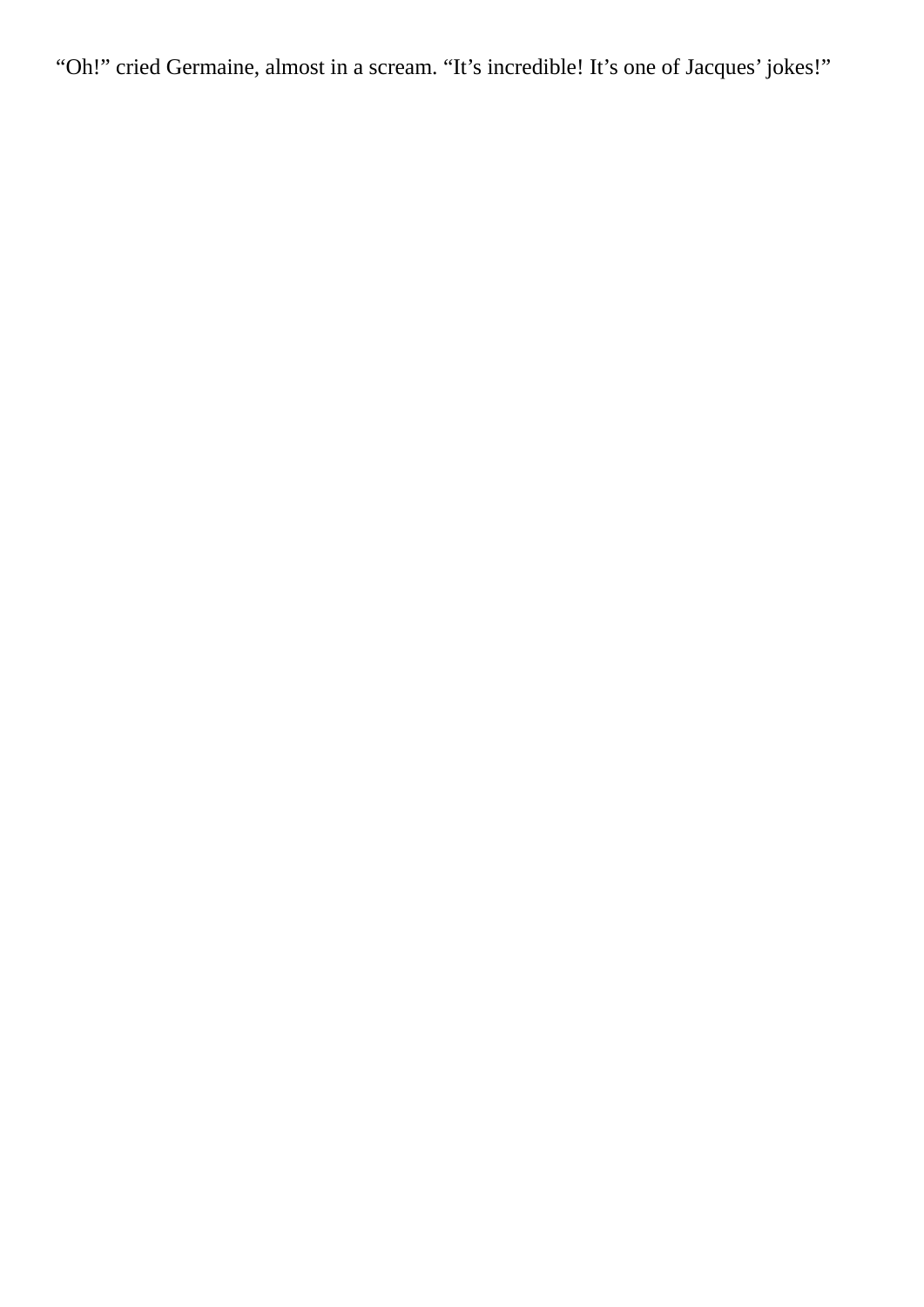"Oh!" cried Germaine, almost in a scream. "It's incredible! It's one of Jacques' jokes!"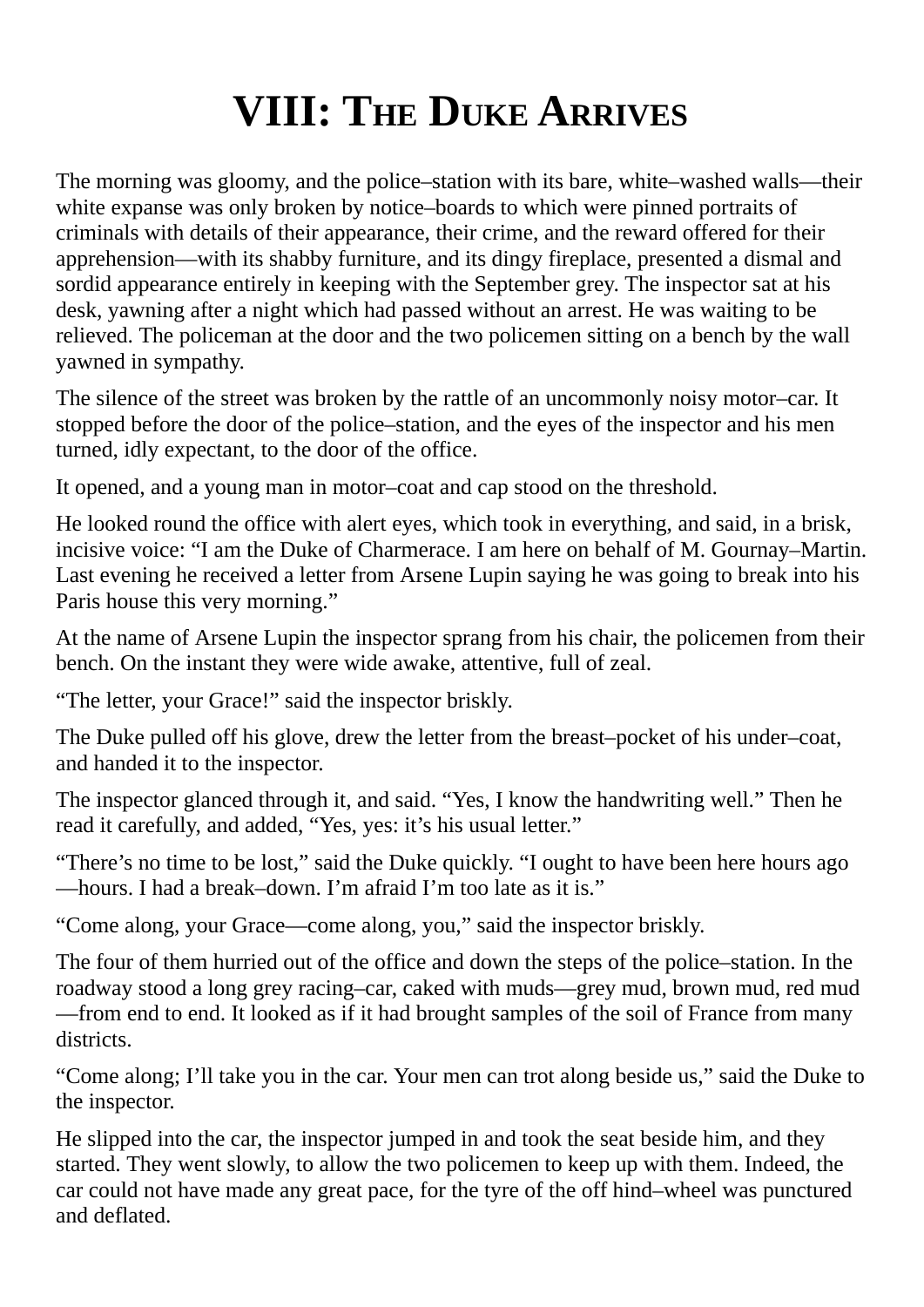# **VIII: THE DUKE ARRIVES**

The morning was gloomy, and the police–station with its bare, white–washed walls—their white expanse was only broken by notice–boards to which were pinned portraits of criminals with details of their appearance, their crime, and the reward offered for their apprehension—with its shabby furniture, and its dingy fireplace, presented a dismal and sordid appearance entirely in keeping with the September grey. The inspector sat at his desk, yawning after a night which had passed without an arrest. He was waiting to be relieved. The policeman at the door and the two policemen sitting on a bench by the wall yawned in sympathy.

The silence of the street was broken by the rattle of an uncommonly noisy motor–car. It stopped before the door of the police–station, and the eyes of the inspector and his men turned, idly expectant, to the door of the office.

It opened, and a young man in motor–coat and cap stood on the threshold.

He looked round the office with alert eyes, which took in everything, and said, in a brisk, incisive voice: "I am the Duke of Charmerace. I am here on behalf of M. Gournay–Martin. Last evening he received a letter from Arsene Lupin saying he was going to break into his Paris house this very morning."

At the name of Arsene Lupin the inspector sprang from his chair, the policemen from their bench. On the instant they were wide awake, attentive, full of zeal.

"The letter, your Grace!" said the inspector briskly.

The Duke pulled off his glove, drew the letter from the breast–pocket of his under–coat, and handed it to the inspector.

The inspector glanced through it, and said. "Yes, I know the handwriting well." Then he read it carefully, and added, "Yes, yes: it's his usual letter."

"There's no time to be lost," said the Duke quickly. "I ought to have been here hours ago —hours. I had a break–down. I'm afraid I'm too late as it is."

"Come along, your Grace—come along, you," said the inspector briskly.

The four of them hurried out of the office and down the steps of the police–station. In the roadway stood a long grey racing–car, caked with muds—grey mud, brown mud, red mud —from end to end. It looked as if it had brought samples of the soil of France from many districts.

"Come along; I'll take you in the car. Your men can trot along beside us," said the Duke to the inspector.

He slipped into the car, the inspector jumped in and took the seat beside him, and they started. They went slowly, to allow the two policemen to keep up with them. Indeed, the car could not have made any great pace, for the tyre of the off hind–wheel was punctured and deflated.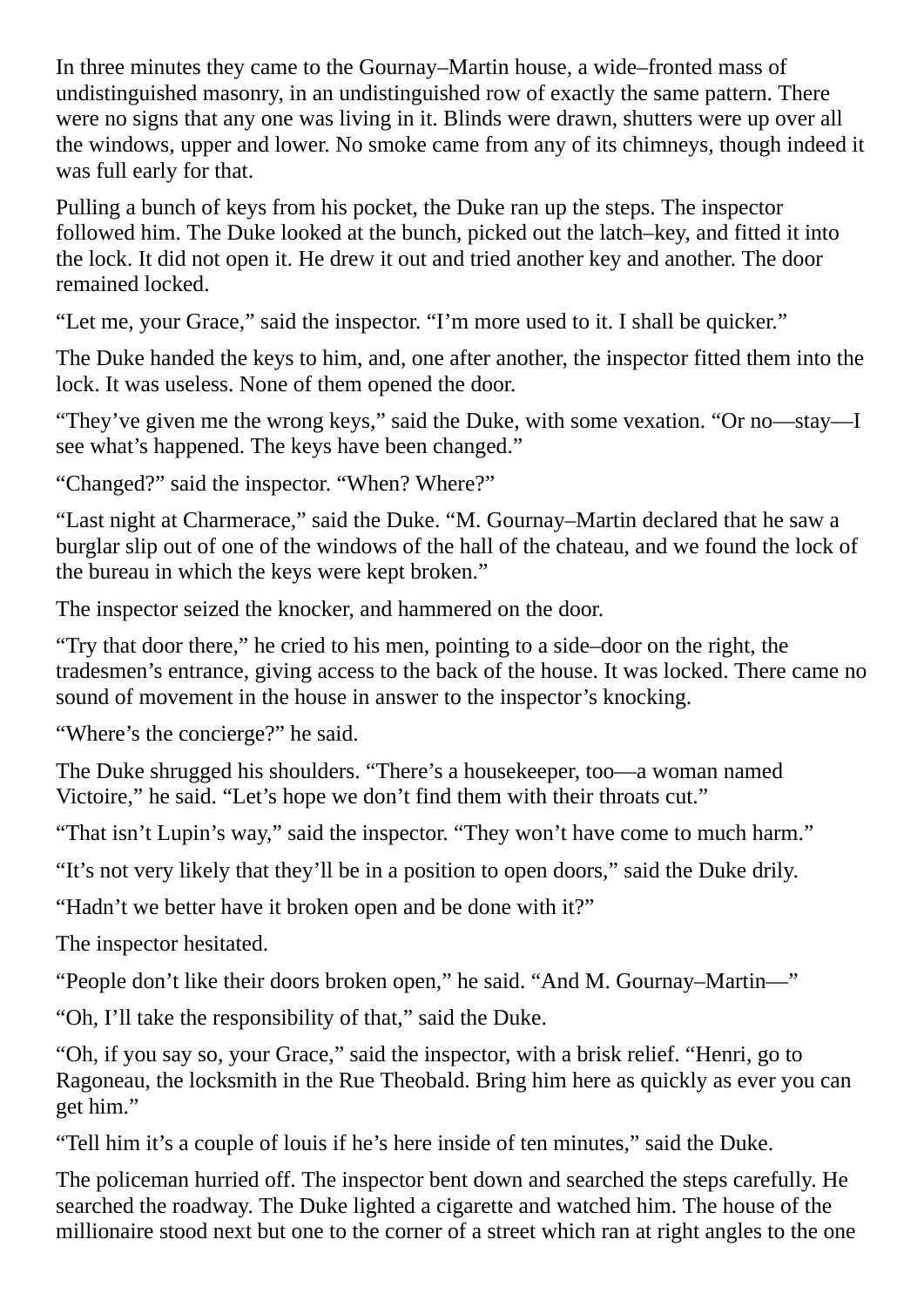In three minutes they came to the Gournay–Martin house, a wide–fronted mass of undistinguished masonry, in an undistinguished row of exactly the same pattern. There were no signs that any one was living in it. Blinds were drawn, shutters were up over all the windows, upper and lower. No smoke came from any of its chimneys, though indeed it was full early for that.

Pulling a bunch of keys from his pocket, the Duke ran up the steps. The inspector followed him. The Duke looked at the bunch, picked out the latch–key, and fitted it into the lock. It did not open it. He drew it out and tried another key and another. The door remained locked.

"Let me, your Grace," said the inspector. "I'm more used to it. I shall be quicker."

The Duke handed the keys to him, and, one after another, the inspector fitted them into the lock. It was useless. None of them opened the door.

"They've given me the wrong keys," said the Duke, with some vexation. "Or no—stay—I see what's happened. The keys have been changed."

"Changed?" said the inspector. "When? Where?"

"Last night at Charmerace," said the Duke. "M. Gournay–Martin declared that he saw a burglar slip out of one of the windows of the hall of the chateau, and we found the lock of the bureau in which the keys were kept broken."

The inspector seized the knocker, and hammered on the door.

"Try that door there," he cried to his men, pointing to a side–door on the right, the tradesmen's entrance, giving access to the back of the house. It was locked. There came no sound of movement in the house in answer to the inspector's knocking.

"Where's the concierge?" he said.

The Duke shrugged his shoulders. "There's a housekeeper, too—a woman named Victoire," he said. "Let's hope we don't find them with their throats cut."

"That isn't Lupin's way," said the inspector. "They won't have come to much harm."

"It's not very likely that they'll be in a position to open doors," said the Duke drily.

"Hadn't we better have it broken open and be done with it?"

The inspector hesitated.

"People don't like their doors broken open," he said. "And M. Gournay–Martin—"

"Oh, I'll take the responsibility of that," said the Duke.

"Oh, if you say so, your Grace," said the inspector, with a brisk relief. "Henri, go to Ragoneau, the locksmith in the Rue Theobald. Bring him here as quickly as ever you can get him."

"Tell him it's a couple of louis if he's here inside of ten minutes," said the Duke.

The policeman hurried off. The inspector bent down and searched the steps carefully. He searched the roadway. The Duke lighted a cigarette and watched him. The house of the millionaire stood next but one to the corner of a street which ran at right angles to the one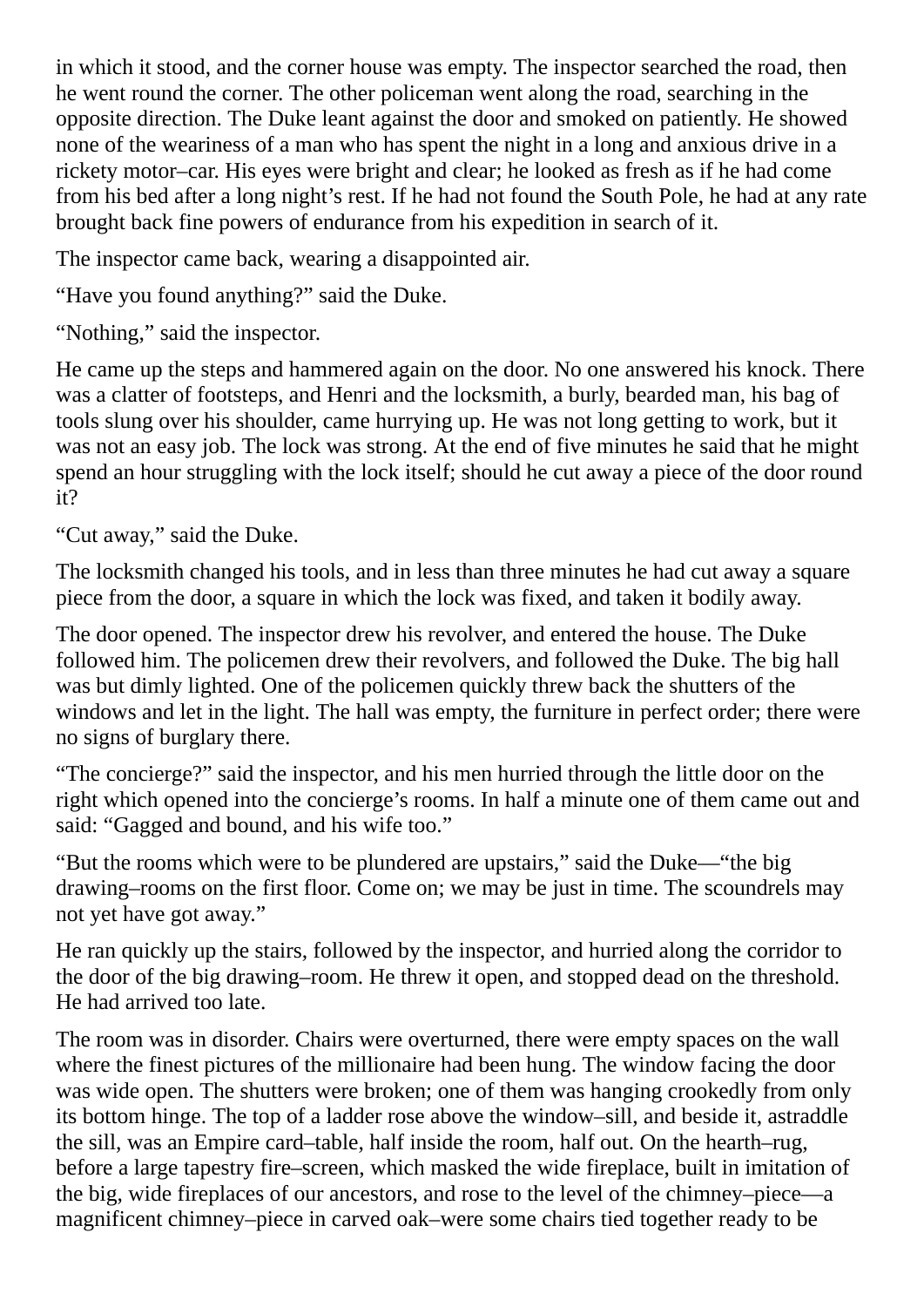in which it stood, and the corner house was empty. The inspector searched the road, then he went round the corner. The other policeman went along the road, searching in the opposite direction. The Duke leant against the door and smoked on patiently. He showed none of the weariness of a man who has spent the night in a long and anxious drive in a rickety motor–car. His eyes were bright and clear; he looked as fresh as if he had come from his bed after a long night's rest. If he had not found the South Pole, he had at any rate brought back fine powers of endurance from his expedition in search of it.

The inspector came back, wearing a disappointed air.

"Have you found anything?" said the Duke.

"Nothing," said the inspector.

He came up the steps and hammered again on the door. No one answered his knock. There was a clatter of footsteps, and Henri and the locksmith, a burly, bearded man, his bag of tools slung over his shoulder, came hurrying up. He was not long getting to work, but it was not an easy job. The lock was strong. At the end of five minutes he said that he might spend an hour struggling with the lock itself; should he cut away a piece of the door round it?

"Cut away," said the Duke.

The locksmith changed his tools, and in less than three minutes he had cut away a square piece from the door, a square in which the lock was fixed, and taken it bodily away.

The door opened. The inspector drew his revolver, and entered the house. The Duke followed him. The policemen drew their revolvers, and followed the Duke. The big hall was but dimly lighted. One of the policemen quickly threw back the shutters of the windows and let in the light. The hall was empty, the furniture in perfect order; there were no signs of burglary there.

"The concierge?" said the inspector, and his men hurried through the little door on the right which opened into the concierge's rooms. In half a minute one of them came out and said: "Gagged and bound, and his wife too."

"But the rooms which were to be plundered are upstairs," said the Duke—"the big drawing–rooms on the first floor. Come on; we may be just in time. The scoundrels may not yet have got away."

He ran quickly up the stairs, followed by the inspector, and hurried along the corridor to the door of the big drawing–room. He threw it open, and stopped dead on the threshold. He had arrived too late.

The room was in disorder. Chairs were overturned, there were empty spaces on the wall where the finest pictures of the millionaire had been hung. The window facing the door was wide open. The shutters were broken; one of them was hanging crookedly from only its bottom hinge. The top of a ladder rose above the window–sill, and beside it, astraddle the sill, was an Empire card–table, half inside the room, half out. On the hearth–rug, before a large tapestry fire–screen, which masked the wide fireplace, built in imitation of the big, wide fireplaces of our ancestors, and rose to the level of the chimney–piece—a magnificent chimney–piece in carved oak–were some chairs tied together ready to be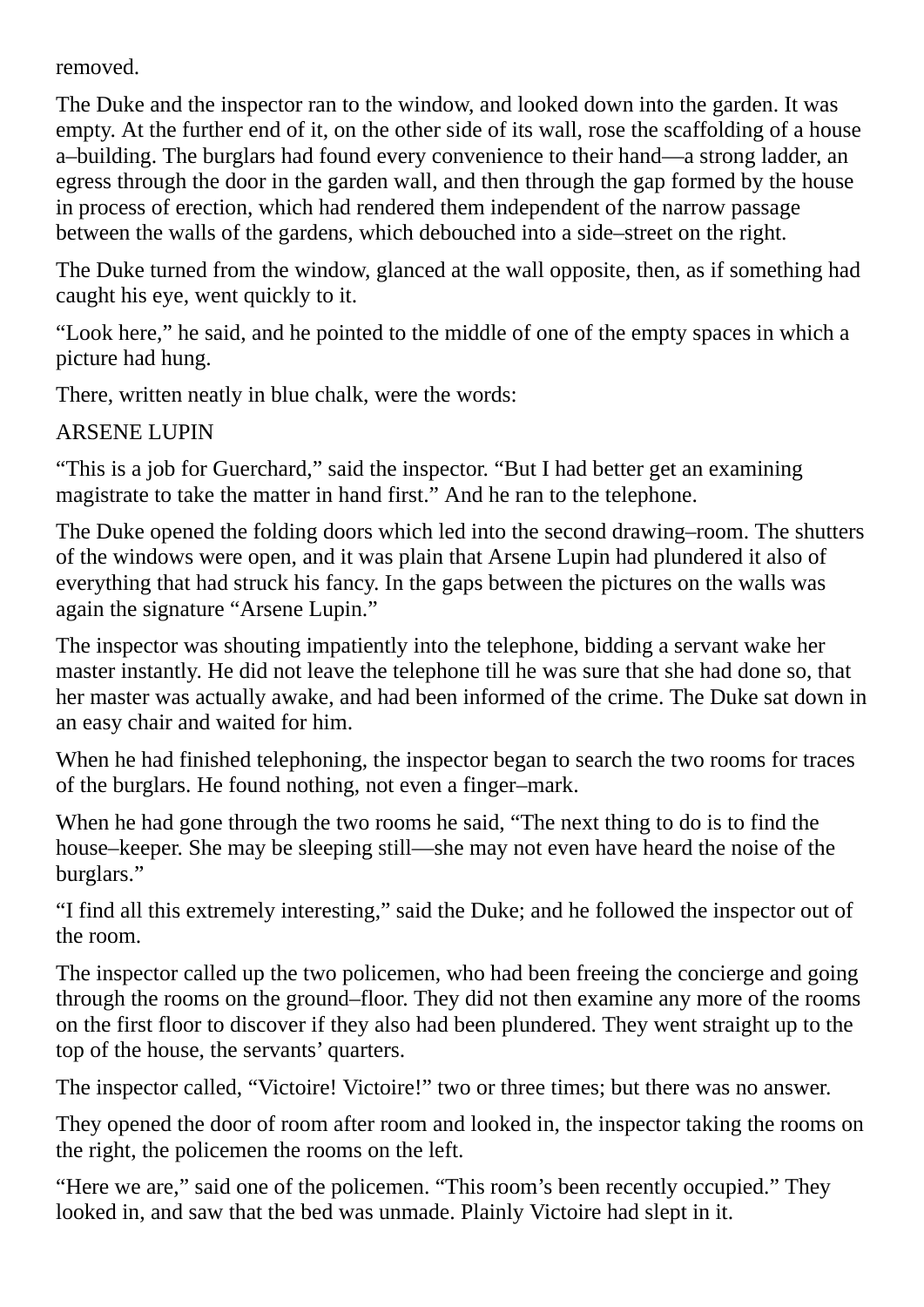removed.

The Duke and the inspector ran to the window, and looked down into the garden. It was empty. At the further end of it, on the other side of its wall, rose the scaffolding of a house a–building. The burglars had found every convenience to their hand—a strong ladder, an egress through the door in the garden wall, and then through the gap formed by the house in process of erection, which had rendered them independent of the narrow passage between the walls of the gardens, which debouched into a side–street on the right.

The Duke turned from the window, glanced at the wall opposite, then, as if something had caught his eye, went quickly to it.

"Look here," he said, and he pointed to the middle of one of the empty spaces in which a picture had hung.

There, written neatly in blue chalk, were the words:

ARSENE LUPIN

"This is a job for Guerchard," said the inspector. "But I had better get an examining magistrate to take the matter in hand first." And he ran to the telephone.

The Duke opened the folding doors which led into the second drawing–room. The shutters of the windows were open, and it was plain that Arsene Lupin had plundered it also of everything that had struck his fancy. In the gaps between the pictures on the walls was again the signature "Arsene Lupin."

The inspector was shouting impatiently into the telephone, bidding a servant wake her master instantly. He did not leave the telephone till he was sure that she had done so, that her master was actually awake, and had been informed of the crime. The Duke sat down in an easy chair and waited for him.

When he had finished telephoning, the inspector began to search the two rooms for traces of the burglars. He found nothing, not even a finger–mark.

When he had gone through the two rooms he said, "The next thing to do is to find the house–keeper. She may be sleeping still—she may not even have heard the noise of the burglars."

"I find all this extremely interesting," said the Duke; and he followed the inspector out of the room.

The inspector called up the two policemen, who had been freeing the concierge and going through the rooms on the ground–floor. They did not then examine any more of the rooms on the first floor to discover if they also had been plundered. They went straight up to the top of the house, the servants' quarters.

The inspector called, "Victoire! Victoire!" two or three times; but there was no answer.

They opened the door of room after room and looked in, the inspector taking the rooms on the right, the policemen the rooms on the left.

"Here we are," said one of the policemen. "This room's been recently occupied." They looked in, and saw that the bed was unmade. Plainly Victoire had slept in it.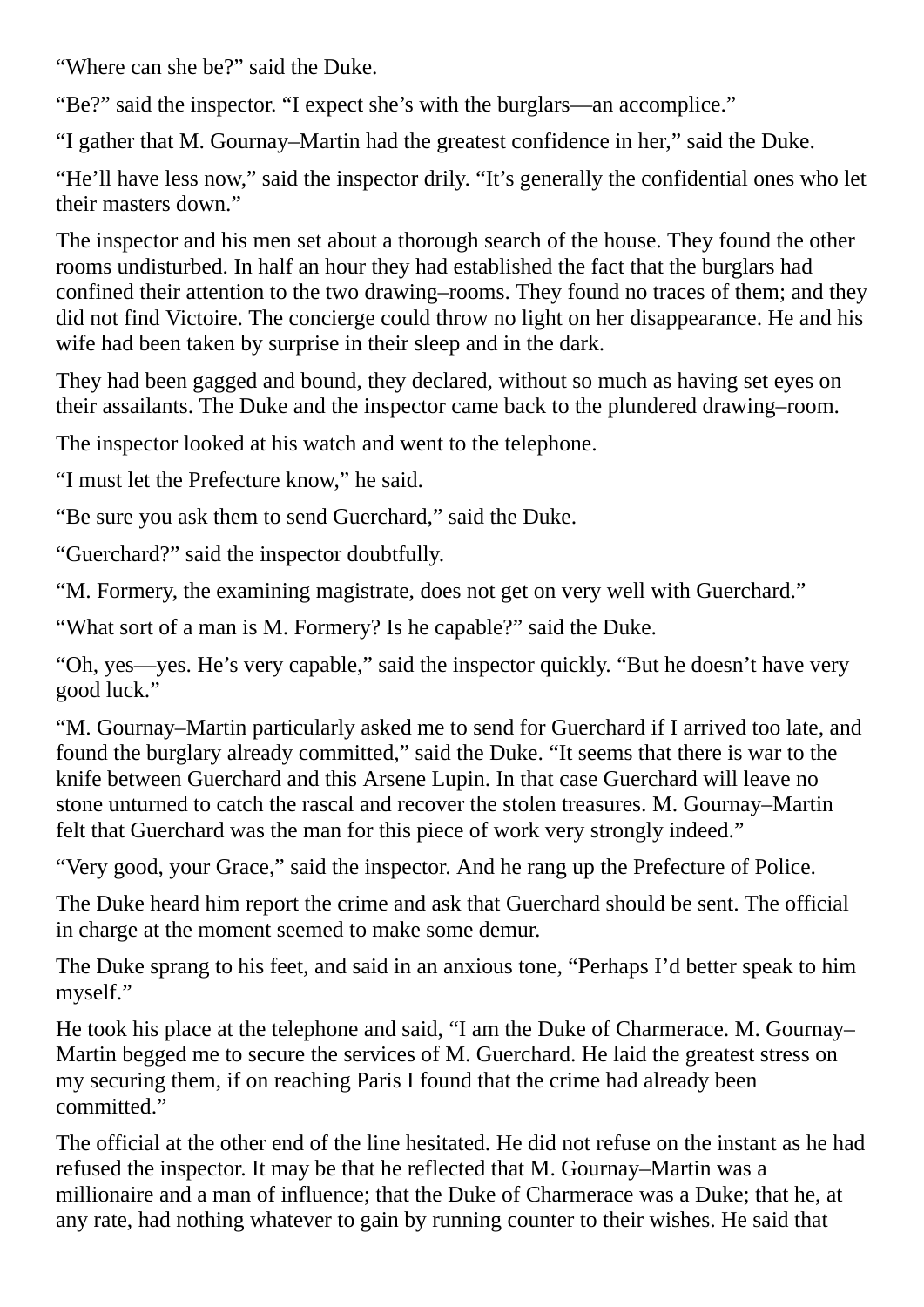"Where can she be?" said the Duke.

"Be?" said the inspector. "I expect she's with the burglars—an accomplice."

"I gather that M. Gournay–Martin had the greatest confidence in her," said the Duke.

"He'll have less now," said the inspector drily. "It's generally the confidential ones who let their masters down."

The inspector and his men set about a thorough search of the house. They found the other rooms undisturbed. In half an hour they had established the fact that the burglars had confined their attention to the two drawing–rooms. They found no traces of them; and they did not find Victoire. The concierge could throw no light on her disappearance. He and his wife had been taken by surprise in their sleep and in the dark.

They had been gagged and bound, they declared, without so much as having set eyes on their assailants. The Duke and the inspector came back to the plundered drawing–room.

The inspector looked at his watch and went to the telephone.

"I must let the Prefecture know," he said.

"Be sure you ask them to send Guerchard," said the Duke.

"Guerchard?" said the inspector doubtfully.

"M. Formery, the examining magistrate, does not get on very well with Guerchard."

"What sort of a man is M. Formery? Is he capable?" said the Duke.

"Oh, yes—yes. He's very capable," said the inspector quickly. "But he doesn't have very good luck."

"M. Gournay–Martin particularly asked me to send for Guerchard if I arrived too late, and found the burglary already committed," said the Duke. "It seems that there is war to the knife between Guerchard and this Arsene Lupin. In that case Guerchard will leave no stone unturned to catch the rascal and recover the stolen treasures. M. Gournay–Martin felt that Guerchard was the man for this piece of work very strongly indeed."

"Very good, your Grace," said the inspector. And he rang up the Prefecture of Police.

The Duke heard him report the crime and ask that Guerchard should be sent. The official in charge at the moment seemed to make some demur.

The Duke sprang to his feet, and said in an anxious tone, "Perhaps I'd better speak to him myself."

He took his place at the telephone and said, "I am the Duke of Charmerace. M. Gournay– Martin begged me to secure the services of M. Guerchard. He laid the greatest stress on my securing them, if on reaching Paris I found that the crime had already been committed."

The official at the other end of the line hesitated. He did not refuse on the instant as he had refused the inspector. It may be that he reflected that M. Gournay–Martin was a millionaire and a man of influence; that the Duke of Charmerace was a Duke; that he, at any rate, had nothing whatever to gain by running counter to their wishes. He said that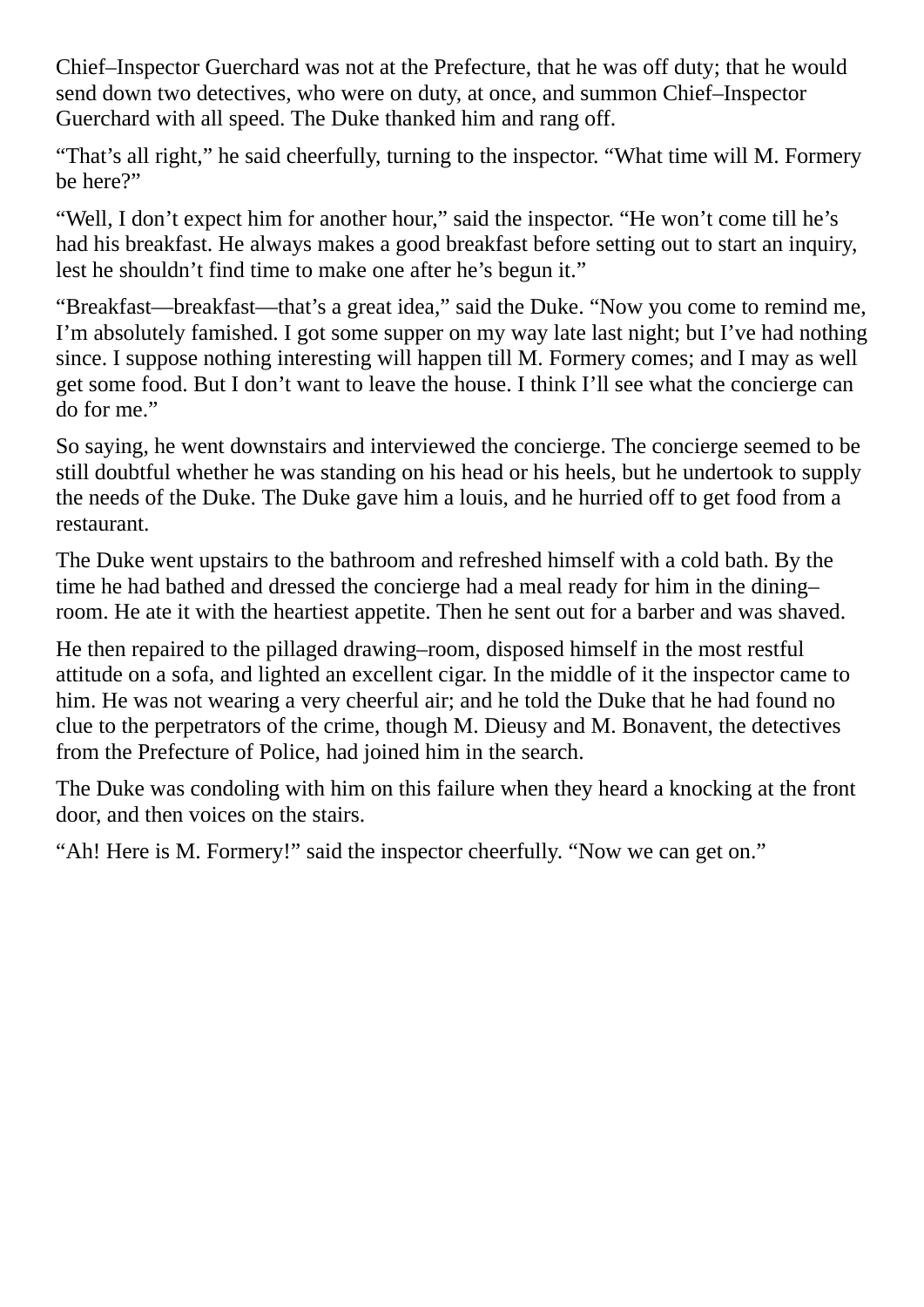Chief–Inspector Guerchard was not at the Prefecture, that he was off duty; that he would send down two detectives, who were on duty, at once, and summon Chief–Inspector Guerchard with all speed. The Duke thanked him and rang off.

"That's all right," he said cheerfully, turning to the inspector. "What time will M. Formery be here?"

"Well, I don't expect him for another hour," said the inspector. "He won't come till he's had his breakfast. He always makes a good breakfast before setting out to start an inquiry, lest he shouldn't find time to make one after he's begun it."

"Breakfast—breakfast—that's a great idea," said the Duke. "Now you come to remind me, I'm absolutely famished. I got some supper on my way late last night; but I've had nothing since. I suppose nothing interesting will happen till M. Formery comes; and I may as well get some food. But I don't want to leave the house. I think I'll see what the concierge can do for me."

So saying, he went downstairs and interviewed the concierge. The concierge seemed to be still doubtful whether he was standing on his head or his heels, but he undertook to supply the needs of the Duke. The Duke gave him a louis, and he hurried off to get food from a restaurant.

The Duke went upstairs to the bathroom and refreshed himself with a cold bath. By the time he had bathed and dressed the concierge had a meal ready for him in the dining– room. He ate it with the heartiest appetite. Then he sent out for a barber and was shaved.

He then repaired to the pillaged drawing–room, disposed himself in the most restful attitude on a sofa, and lighted an excellent cigar. In the middle of it the inspector came to him. He was not wearing a very cheerful air; and he told the Duke that he had found no clue to the perpetrators of the crime, though M. Dieusy and M. Bonavent, the detectives from the Prefecture of Police, had joined him in the search.

The Duke was condoling with him on this failure when they heard a knocking at the front door, and then voices on the stairs.

"Ah! Here is M. Formery!" said the inspector cheerfully. "Now we can get on."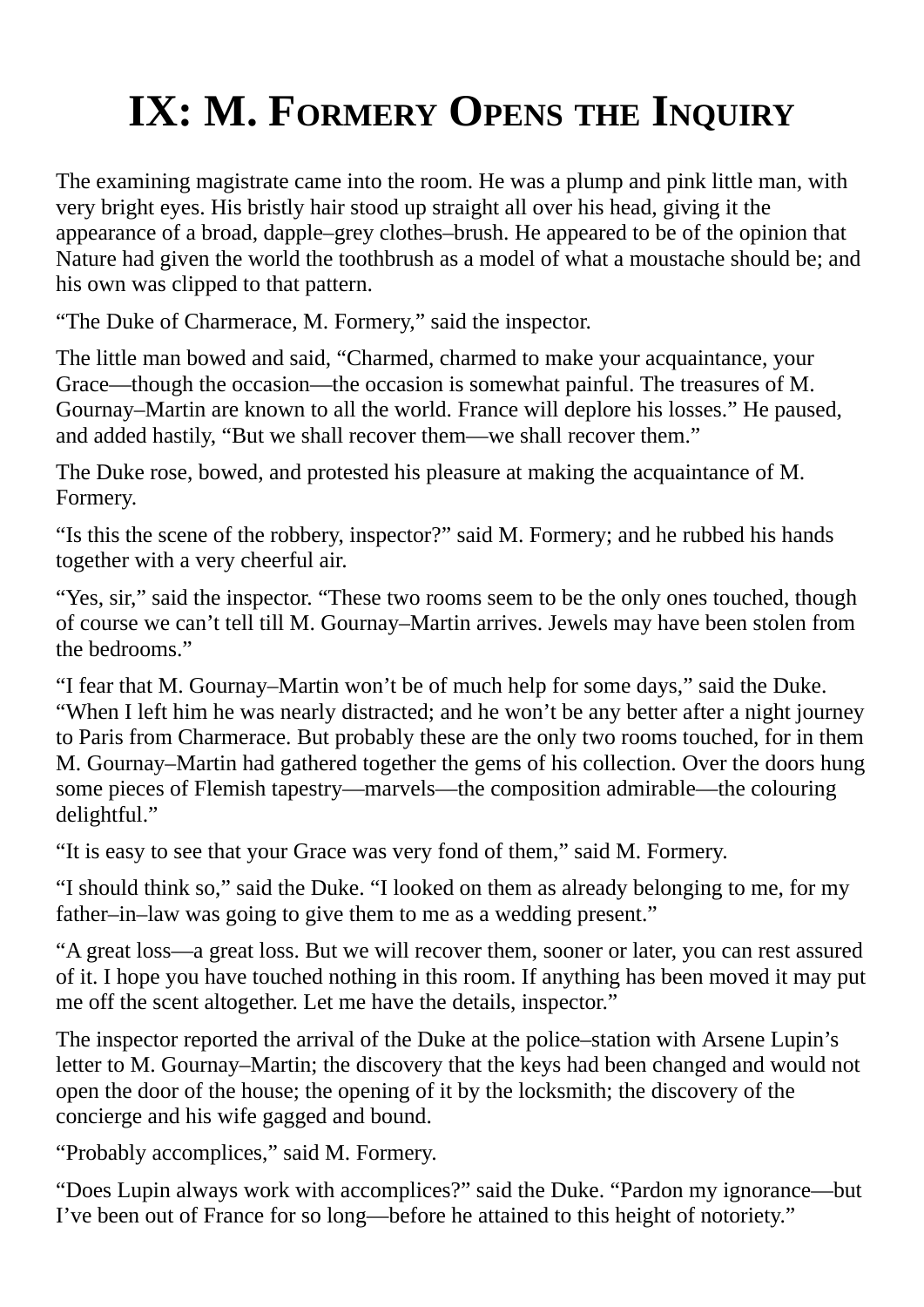# **IX: M. FORMERY OPENS THE INQUIRY**

The examining magistrate came into the room. He was a plump and pink little man, with very bright eyes. His bristly hair stood up straight all over his head, giving it the appearance of a broad, dapple–grey clothes–brush. He appeared to be of the opinion that Nature had given the world the toothbrush as a model of what a moustache should be; and his own was clipped to that pattern.

"The Duke of Charmerace, M. Formery," said the inspector.

The little man bowed and said, "Charmed, charmed to make your acquaintance, your Grace—though the occasion—the occasion is somewhat painful. The treasures of M. Gournay–Martin are known to all the world. France will deplore his losses." He paused, and added hastily, "But we shall recover them—we shall recover them."

The Duke rose, bowed, and protested his pleasure at making the acquaintance of M. Formery.

"Is this the scene of the robbery, inspector?" said M. Formery; and he rubbed his hands together with a very cheerful air.

"Yes, sir," said the inspector. "These two rooms seem to be the only ones touched, though of course we can't tell till M. Gournay–Martin arrives. Jewels may have been stolen from the bedrooms."

"I fear that M. Gournay–Martin won't be of much help for some days," said the Duke. "When I left him he was nearly distracted; and he won't be any better after a night journey to Paris from Charmerace. But probably these are the only two rooms touched, for in them M. Gournay–Martin had gathered together the gems of his collection. Over the doors hung some pieces of Flemish tapestry—marvels—the composition admirable—the colouring delightful."

"It is easy to see that your Grace was very fond of them," said M. Formery.

"I should think so," said the Duke. "I looked on them as already belonging to me, for my father–in–law was going to give them to me as a wedding present."

"A great loss—a great loss. But we will recover them, sooner or later, you can rest assured of it. I hope you have touched nothing in this room. If anything has been moved it may put me off the scent altogether. Let me have the details, inspector."

The inspector reported the arrival of the Duke at the police–station with Arsene Lupin's letter to M. Gournay–Martin; the discovery that the keys had been changed and would not open the door of the house; the opening of it by the locksmith; the discovery of the concierge and his wife gagged and bound.

"Probably accomplices," said M. Formery.

"Does Lupin always work with accomplices?" said the Duke. "Pardon my ignorance—but I've been out of France for so long—before he attained to this height of notoriety."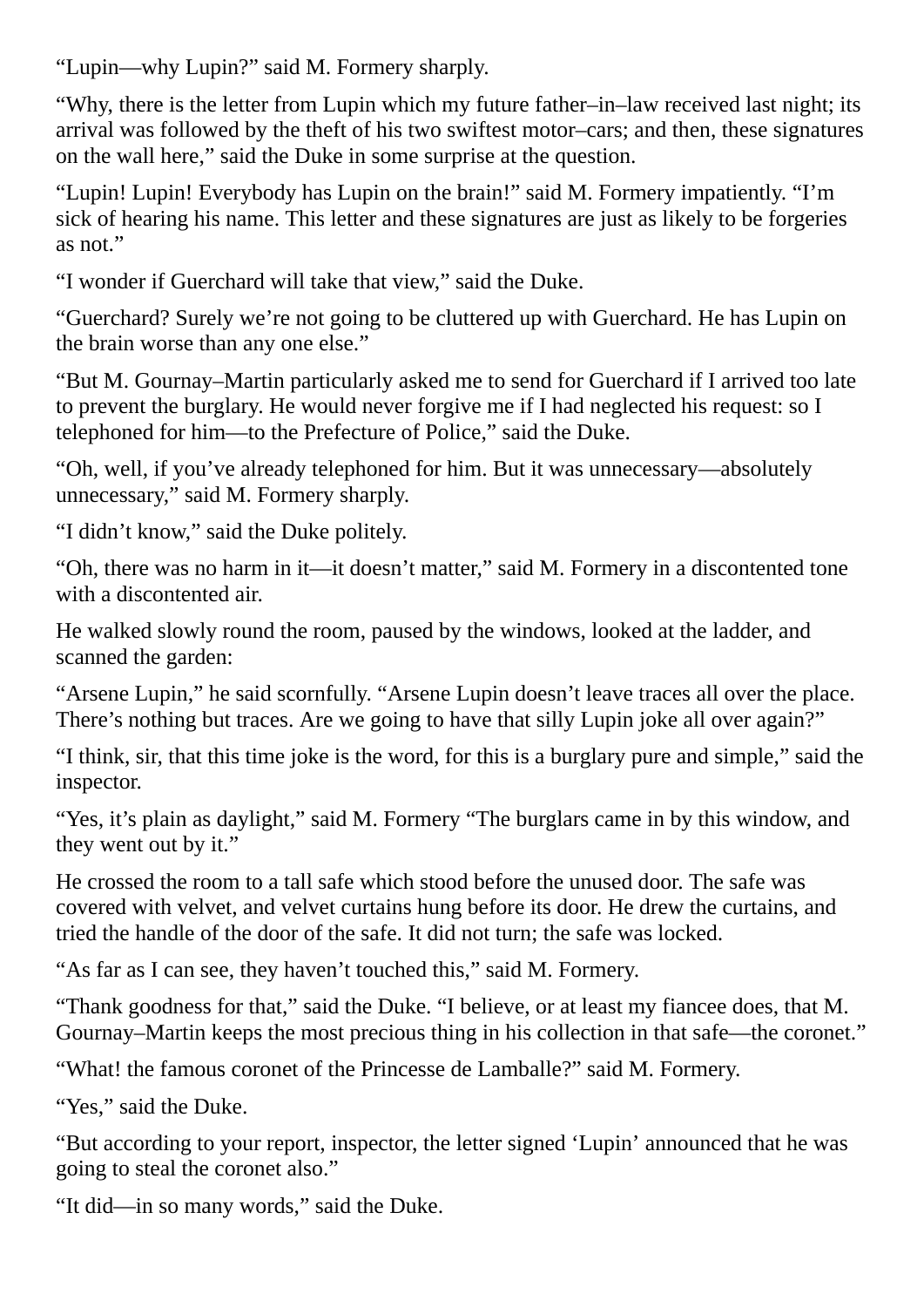"Lupin—why Lupin?" said M. Formery sharply.

"Why, there is the letter from Lupin which my future father–in–law received last night; its arrival was followed by the theft of his two swiftest motor–cars; and then, these signatures on the wall here," said the Duke in some surprise at the question.

"Lupin! Lupin! Everybody has Lupin on the brain!" said M. Formery impatiently. "I'm sick of hearing his name. This letter and these signatures are just as likely to be forgeries as not."

"I wonder if Guerchard will take that view," said the Duke.

"Guerchard? Surely we're not going to be cluttered up with Guerchard. He has Lupin on the brain worse than any one else."

"But M. Gournay–Martin particularly asked me to send for Guerchard if I arrived too late to prevent the burglary. He would never forgive me if I had neglected his request: so I telephoned for him—to the Prefecture of Police," said the Duke.

"Oh, well, if you've already telephoned for him. But it was unnecessary—absolutely unnecessary," said M. Formery sharply.

"I didn't know," said the Duke politely.

"Oh, there was no harm in it—it doesn't matter," said M. Formery in a discontented tone with a discontented air.

He walked slowly round the room, paused by the windows, looked at the ladder, and scanned the garden:

"Arsene Lupin," he said scornfully. "Arsene Lupin doesn't leave traces all over the place. There's nothing but traces. Are we going to have that silly Lupin joke all over again?"

"I think, sir, that this time joke is the word, for this is a burglary pure and simple," said the inspector.

"Yes, it's plain as daylight," said M. Formery "The burglars came in by this window, and they went out by it."

He crossed the room to a tall safe which stood before the unused door. The safe was covered with velvet, and velvet curtains hung before its door. He drew the curtains, and tried the handle of the door of the safe. It did not turn; the safe was locked.

"As far as I can see, they haven't touched this," said M. Formery.

"Thank goodness for that," said the Duke. "I believe, or at least my fiancee does, that M. Gournay–Martin keeps the most precious thing in his collection in that safe—the coronet."

"What! the famous coronet of the Princesse de Lamballe?" said M. Formery.

"Yes," said the Duke.

"But according to your report, inspector, the letter signed 'Lupin' announced that he was going to steal the coronet also."

"It did—in so many words," said the Duke.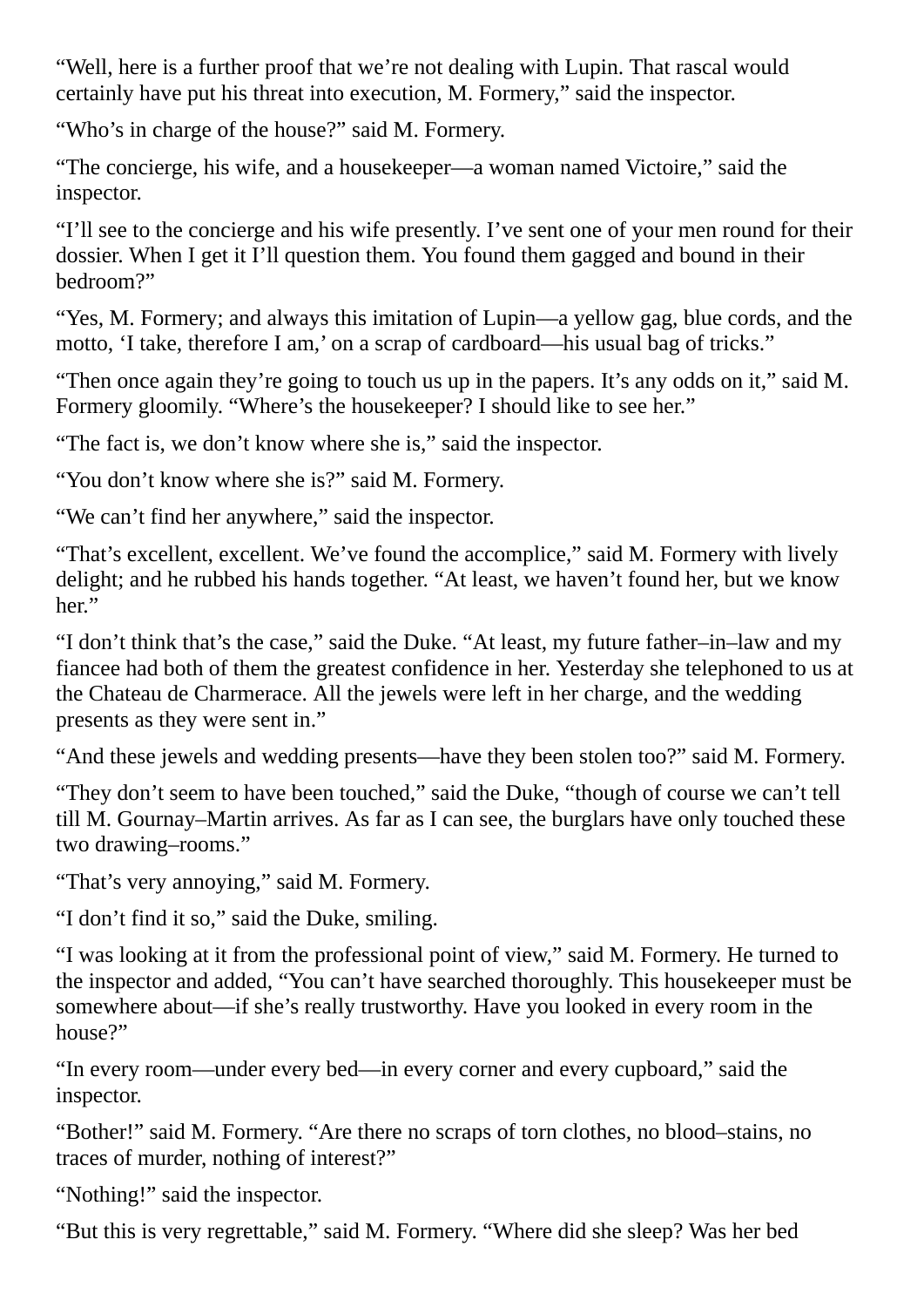"Well, here is a further proof that we're not dealing with Lupin. That rascal would certainly have put his threat into execution, M. Formery," said the inspector.

"Who's in charge of the house?" said M. Formery.

"The concierge, his wife, and a housekeeper—a woman named Victoire," said the inspector.

"I'll see to the concierge and his wife presently. I've sent one of your men round for their dossier. When I get it I'll question them. You found them gagged and bound in their bedroom?"

"Yes, M. Formery; and always this imitation of Lupin—a yellow gag, blue cords, and the motto, 'I take, therefore I am,' on a scrap of cardboard—his usual bag of tricks."

"Then once again they're going to touch us up in the papers. It's any odds on it," said M. Formery gloomily. "Where's the housekeeper? I should like to see her."

"The fact is, we don't know where she is," said the inspector.

"You don't know where she is?" said M. Formery.

"We can't find her anywhere," said the inspector.

"That's excellent, excellent. We've found the accomplice," said M. Formery with lively delight; and he rubbed his hands together. "At least, we haven't found her, but we know her."

"I don't think that's the case," said the Duke. "At least, my future father–in–law and my fiancee had both of them the greatest confidence in her. Yesterday she telephoned to us at the Chateau de Charmerace. All the jewels were left in her charge, and the wedding presents as they were sent in."

"And these jewels and wedding presents—have they been stolen too?" said M. Formery.

"They don't seem to have been touched," said the Duke, "though of course we can't tell till M. Gournay–Martin arrives. As far as I can see, the burglars have only touched these two drawing–rooms."

"That's very annoying," said M. Formery.

"I don't find it so," said the Duke, smiling.

"I was looking at it from the professional point of view," said M. Formery. He turned to the inspector and added, "You can't have searched thoroughly. This housekeeper must be somewhere about—if she's really trustworthy. Have you looked in every room in the house?"

"In every room—under every bed—in every corner and every cupboard," said the inspector.

"Bother!" said M. Formery. "Are there no scraps of torn clothes, no blood–stains, no traces of murder, nothing of interest?"

"Nothing!" said the inspector.

"But this is very regrettable," said M. Formery. "Where did she sleep? Was her bed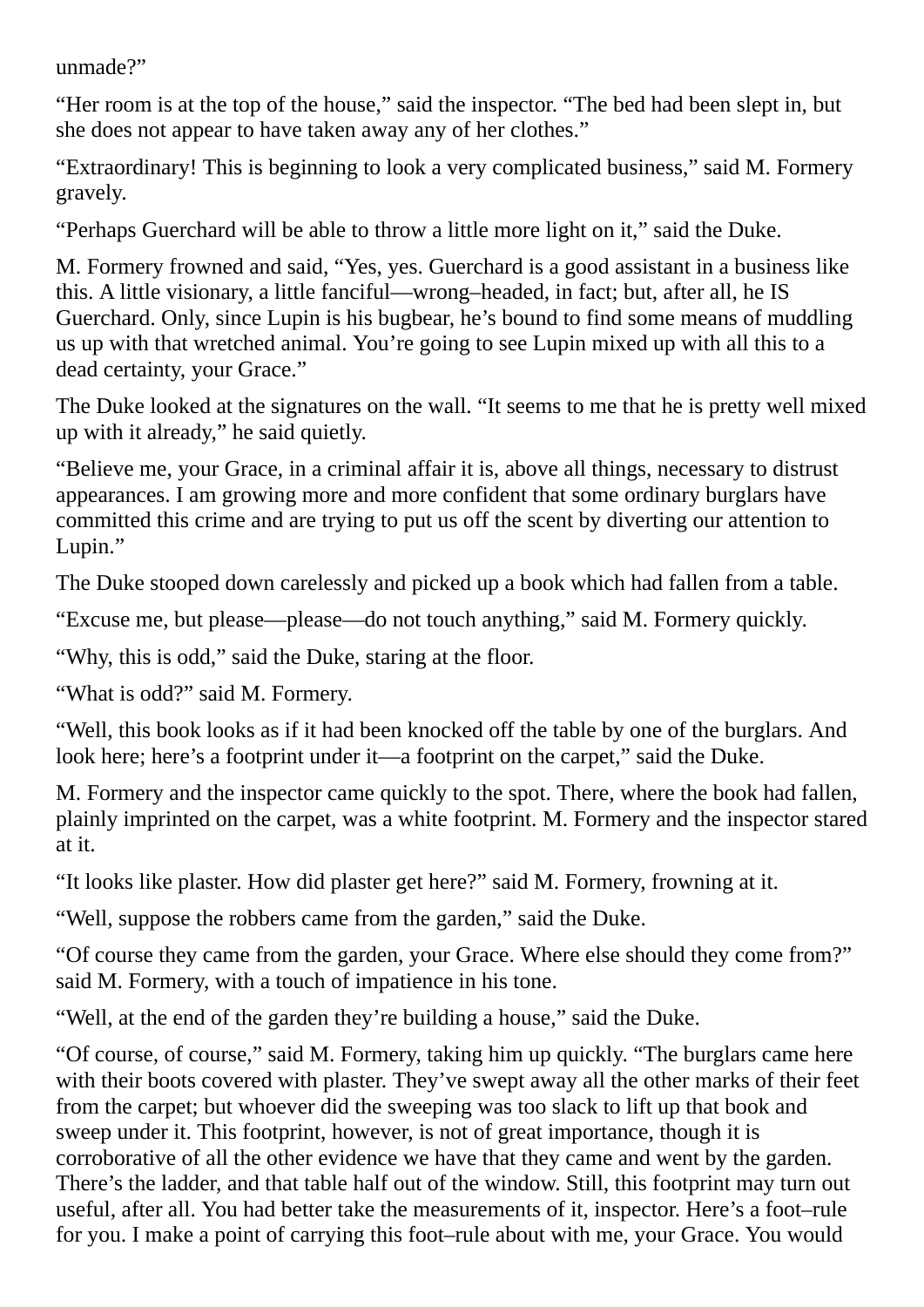unmade?"

"Her room is at the top of the house," said the inspector. "The bed had been slept in, but she does not appear to have taken away any of her clothes."

"Extraordinary! This is beginning to look a very complicated business," said M. Formery gravely.

"Perhaps Guerchard will be able to throw a little more light on it," said the Duke.

M. Formery frowned and said, "Yes, yes. Guerchard is a good assistant in a business like this. A little visionary, a little fanciful—wrong–headed, in fact; but, after all, he IS Guerchard. Only, since Lupin is his bugbear, he's bound to find some means of muddling us up with that wretched animal. You're going to see Lupin mixed up with all this to a dead certainty, your Grace."

The Duke looked at the signatures on the wall. "It seems to me that he is pretty well mixed up with it already," he said quietly.

"Believe me, your Grace, in a criminal affair it is, above all things, necessary to distrust appearances. I am growing more and more confident that some ordinary burglars have committed this crime and are trying to put us off the scent by diverting our attention to Lupin."

The Duke stooped down carelessly and picked up a book which had fallen from a table.

"Excuse me, but please—please—do not touch anything," said M. Formery quickly.

"Why, this is odd," said the Duke, staring at the floor.

"What is odd?" said M. Formery.

"Well, this book looks as if it had been knocked off the table by one of the burglars. And look here; here's a footprint under it—a footprint on the carpet," said the Duke.

M. Formery and the inspector came quickly to the spot. There, where the book had fallen, plainly imprinted on the carpet, was a white footprint. M. Formery and the inspector stared at it.

"It looks like plaster. How did plaster get here?" said M. Formery, frowning at it.

"Well, suppose the robbers came from the garden," said the Duke.

"Of course they came from the garden, your Grace. Where else should they come from?" said M. Formery, with a touch of impatience in his tone.

"Well, at the end of the garden they're building a house," said the Duke.

"Of course, of course," said M. Formery, taking him up quickly. "The burglars came here with their boots covered with plaster. They've swept away all the other marks of their feet from the carpet; but whoever did the sweeping was too slack to lift up that book and sweep under it. This footprint, however, is not of great importance, though it is corroborative of all the other evidence we have that they came and went by the garden. There's the ladder, and that table half out of the window. Still, this footprint may turn out useful, after all. You had better take the measurements of it, inspector. Here's a foot–rule for you. I make a point of carrying this foot–rule about with me, your Grace. You would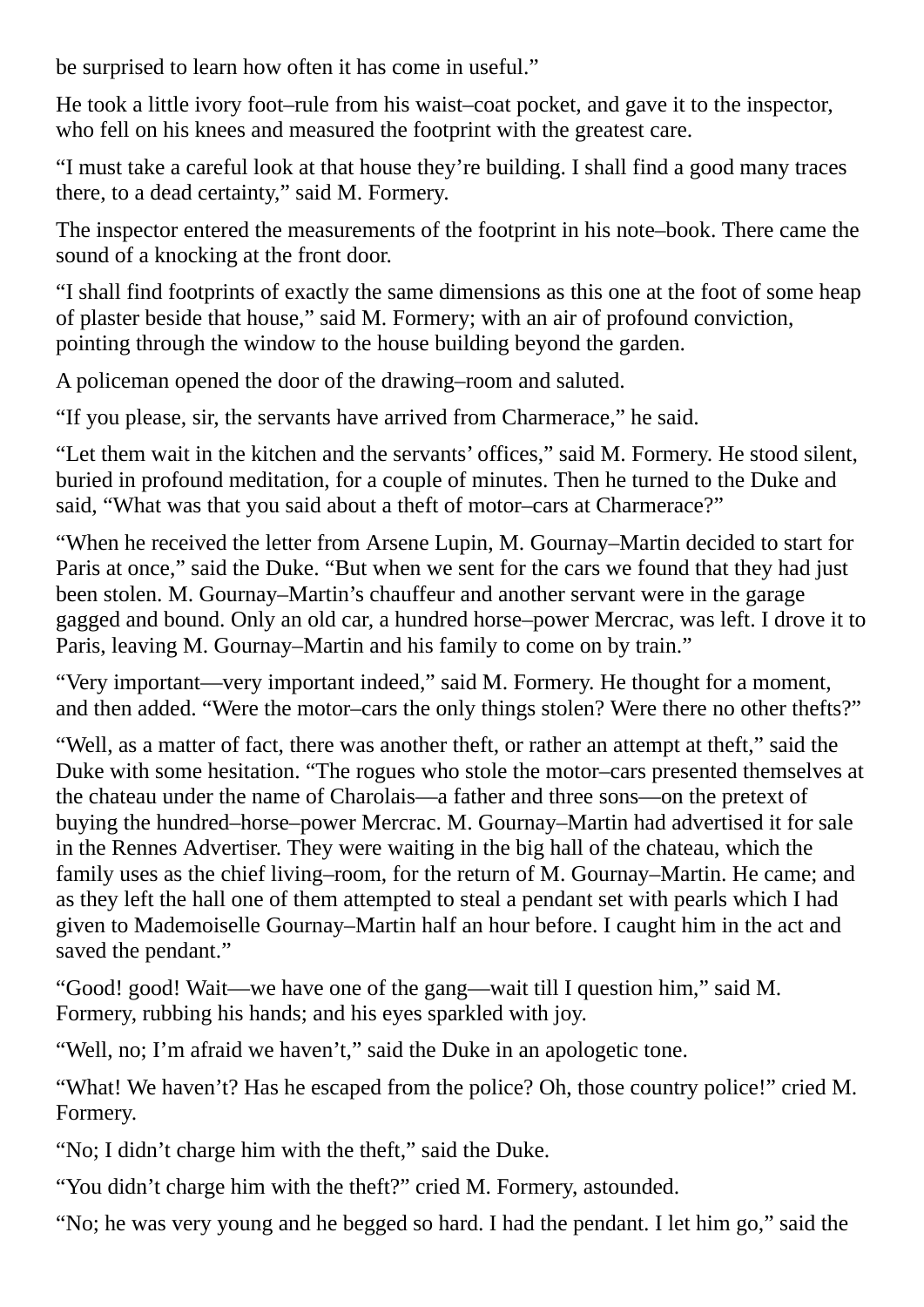be surprised to learn how often it has come in useful."

He took a little ivory foot–rule from his waist–coat pocket, and gave it to the inspector, who fell on his knees and measured the footprint with the greatest care.

"I must take a careful look at that house they're building. I shall find a good many traces there, to a dead certainty," said M. Formery.

The inspector entered the measurements of the footprint in his note–book. There came the sound of a knocking at the front door.

"I shall find footprints of exactly the same dimensions as this one at the foot of some heap of plaster beside that house," said M. Formery; with an air of profound conviction, pointing through the window to the house building beyond the garden.

A policeman opened the door of the drawing–room and saluted.

"If you please, sir, the servants have arrived from Charmerace," he said.

"Let them wait in the kitchen and the servants' offices," said M. Formery. He stood silent, buried in profound meditation, for a couple of minutes. Then he turned to the Duke and said, "What was that you said about a theft of motor–cars at Charmerace?"

"When he received the letter from Arsene Lupin, M. Gournay–Martin decided to start for Paris at once," said the Duke. "But when we sent for the cars we found that they had just been stolen. M. Gournay–Martin's chauffeur and another servant were in the garage gagged and bound. Only an old car, a hundred horse–power Mercrac, was left. I drove it to Paris, leaving M. Gournay–Martin and his family to come on by train."

"Very important—very important indeed," said M. Formery. He thought for a moment, and then added. "Were the motor–cars the only things stolen? Were there no other thefts?"

"Well, as a matter of fact, there was another theft, or rather an attempt at theft," said the Duke with some hesitation. "The rogues who stole the motor–cars presented themselves at the chateau under the name of Charolais—a father and three sons—on the pretext of buying the hundred–horse–power Mercrac. M. Gournay–Martin had advertised it for sale in the Rennes Advertiser. They were waiting in the big hall of the chateau, which the family uses as the chief living–room, for the return of M. Gournay–Martin. He came; and as they left the hall one of them attempted to steal a pendant set with pearls which I had given to Mademoiselle Gournay–Martin half an hour before. I caught him in the act and saved the pendant."

"Good! good! Wait—we have one of the gang—wait till I question him," said M. Formery, rubbing his hands; and his eyes sparkled with joy.

"Well, no; I'm afraid we haven't," said the Duke in an apologetic tone.

"What! We haven't? Has he escaped from the police? Oh, those country police!" cried M. Formery.

"No; I didn't charge him with the theft," said the Duke.

"You didn't charge him with the theft?" cried M. Formery, astounded.

"No; he was very young and he begged so hard. I had the pendant. I let him go," said the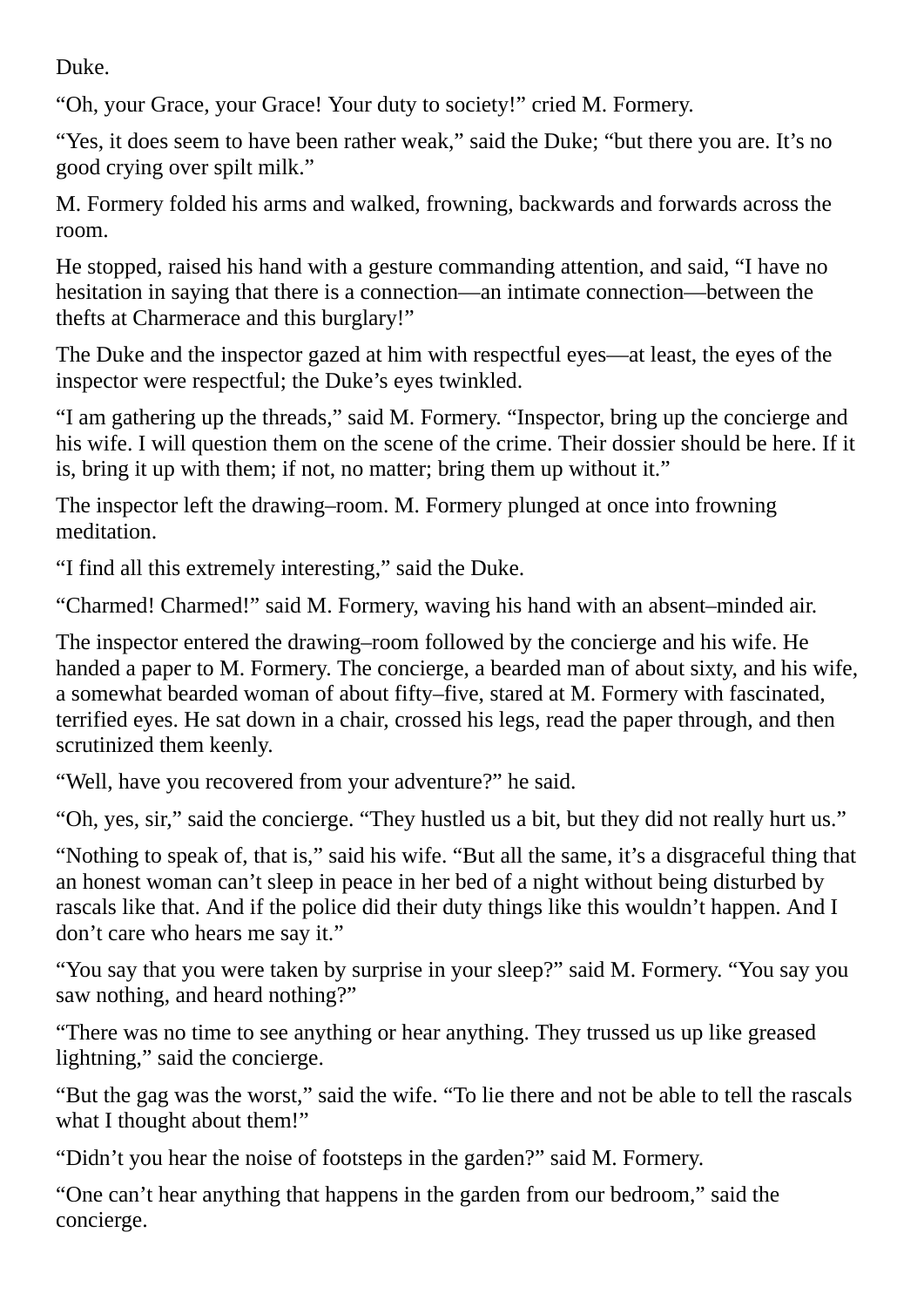Duke.

"Oh, your Grace, your Grace! Your duty to society!" cried M. Formery.

"Yes, it does seem to have been rather weak," said the Duke; "but there you are. It's no good crying over spilt milk."

M. Formery folded his arms and walked, frowning, backwards and forwards across the room.

He stopped, raised his hand with a gesture commanding attention, and said, "I have no hesitation in saying that there is a connection—an intimate connection—between the thefts at Charmerace and this burglary!"

The Duke and the inspector gazed at him with respectful eyes—at least, the eyes of the inspector were respectful; the Duke's eyes twinkled.

"I am gathering up the threads," said M. Formery. "Inspector, bring up the concierge and his wife. I will question them on the scene of the crime. Their dossier should be here. If it is, bring it up with them; if not, no matter; bring them up without it."

The inspector left the drawing–room. M. Formery plunged at once into frowning meditation.

"I find all this extremely interesting," said the Duke.

"Charmed! Charmed!" said M. Formery, waving his hand with an absent–minded air.

The inspector entered the drawing–room followed by the concierge and his wife. He handed a paper to M. Formery. The concierge, a bearded man of about sixty, and his wife, a somewhat bearded woman of about fifty–five, stared at M. Formery with fascinated, terrified eyes. He sat down in a chair, crossed his legs, read the paper through, and then scrutinized them keenly.

"Well, have you recovered from your adventure?" he said.

"Oh, yes, sir," said the concierge. "They hustled us a bit, but they did not really hurt us."

"Nothing to speak of, that is," said his wife. "But all the same, it's a disgraceful thing that an honest woman can't sleep in peace in her bed of a night without being disturbed by rascals like that. And if the police did their duty things like this wouldn't happen. And I don't care who hears me say it."

"You say that you were taken by surprise in your sleep?" said M. Formery. "You say you saw nothing, and heard nothing?"

"There was no time to see anything or hear anything. They trussed us up like greased lightning," said the concierge.

"But the gag was the worst," said the wife. "To lie there and not be able to tell the rascals what I thought about them!"

"Didn't you hear the noise of footsteps in the garden?" said M. Formery.

"One can't hear anything that happens in the garden from our bedroom," said the concierge.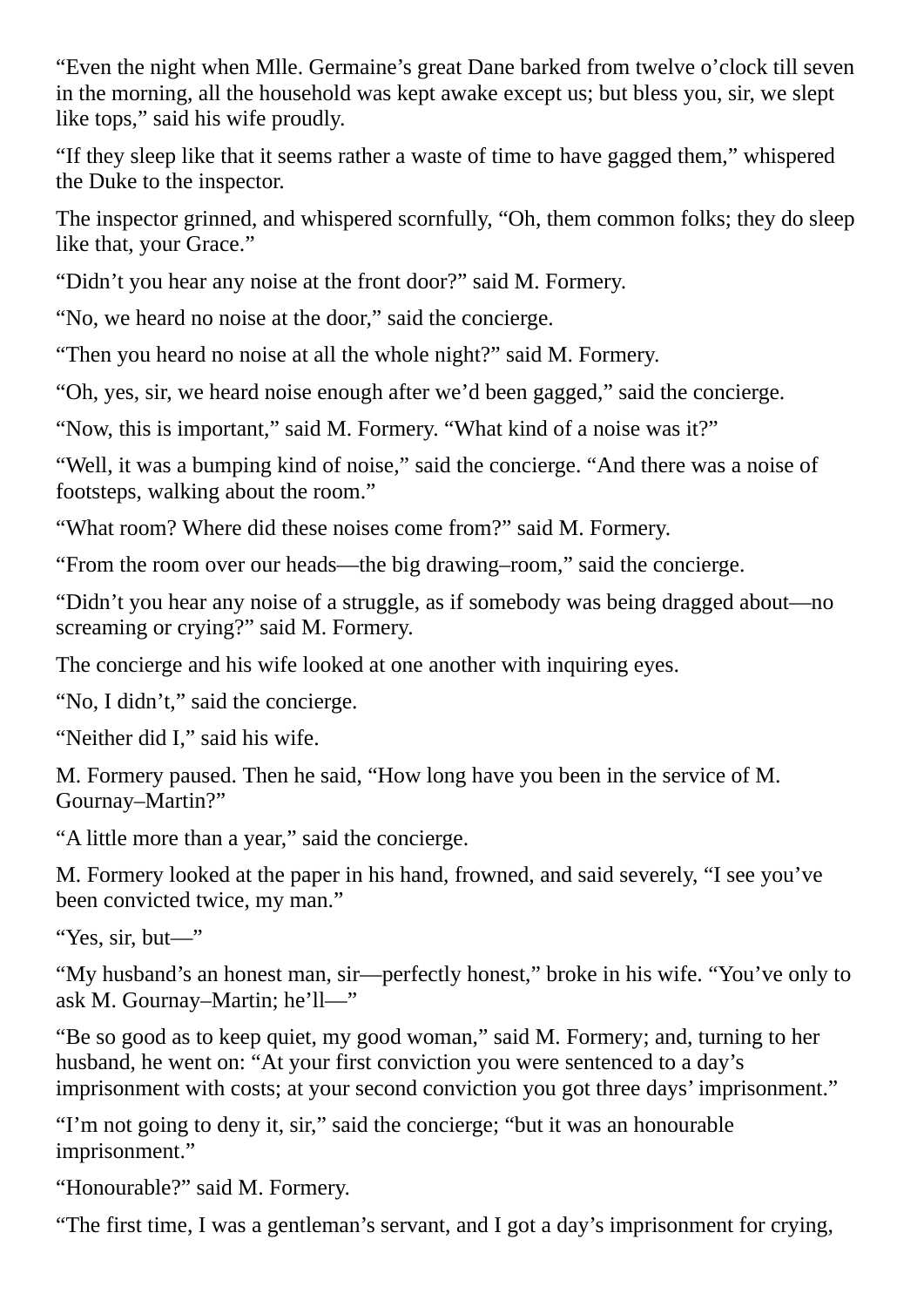"Even the night when Mlle. Germaine's great Dane barked from twelve o'clock till seven in the morning, all the household was kept awake except us; but bless you, sir, we slept like tops," said his wife proudly.

"If they sleep like that it seems rather a waste of time to have gagged them," whispered the Duke to the inspector.

The inspector grinned, and whispered scornfully, "Oh, them common folks; they do sleep like that, your Grace."

"Didn't you hear any noise at the front door?" said M. Formery.

"No, we heard no noise at the door," said the concierge.

"Then you heard no noise at all the whole night?" said M. Formery.

"Oh, yes, sir, we heard noise enough after we'd been gagged," said the concierge.

"Now, this is important," said M. Formery. "What kind of a noise was it?"

"Well, it was a bumping kind of noise," said the concierge. "And there was a noise of footsteps, walking about the room."

"What room? Where did these noises come from?" said M. Formery.

"From the room over our heads—the big drawing–room," said the concierge.

"Didn't you hear any noise of a struggle, as if somebody was being dragged about—no screaming or crying?" said M. Formery.

The concierge and his wife looked at one another with inquiring eyes.

"No, I didn't," said the concierge.

"Neither did I," said his wife.

M. Formery paused. Then he said, "How long have you been in the service of M. Gournay–Martin?"

"A little more than a year," said the concierge.

M. Formery looked at the paper in his hand, frowned, and said severely, "I see you've been convicted twice, my man."

"Yes, sir, but—"

"My husband's an honest man, sir—perfectly honest," broke in his wife. "You've only to ask M. Gournay–Martin; he'll—"

"Be so good as to keep quiet, my good woman," said M. Formery; and, turning to her husband, he went on: "At your first conviction you were sentenced to a day's imprisonment with costs; at your second conviction you got three days' imprisonment."

"I'm not going to deny it, sir," said the concierge; "but it was an honourable imprisonment."

"Honourable?" said M. Formery.

"The first time, I was a gentleman's servant, and I got a day's imprisonment for crying,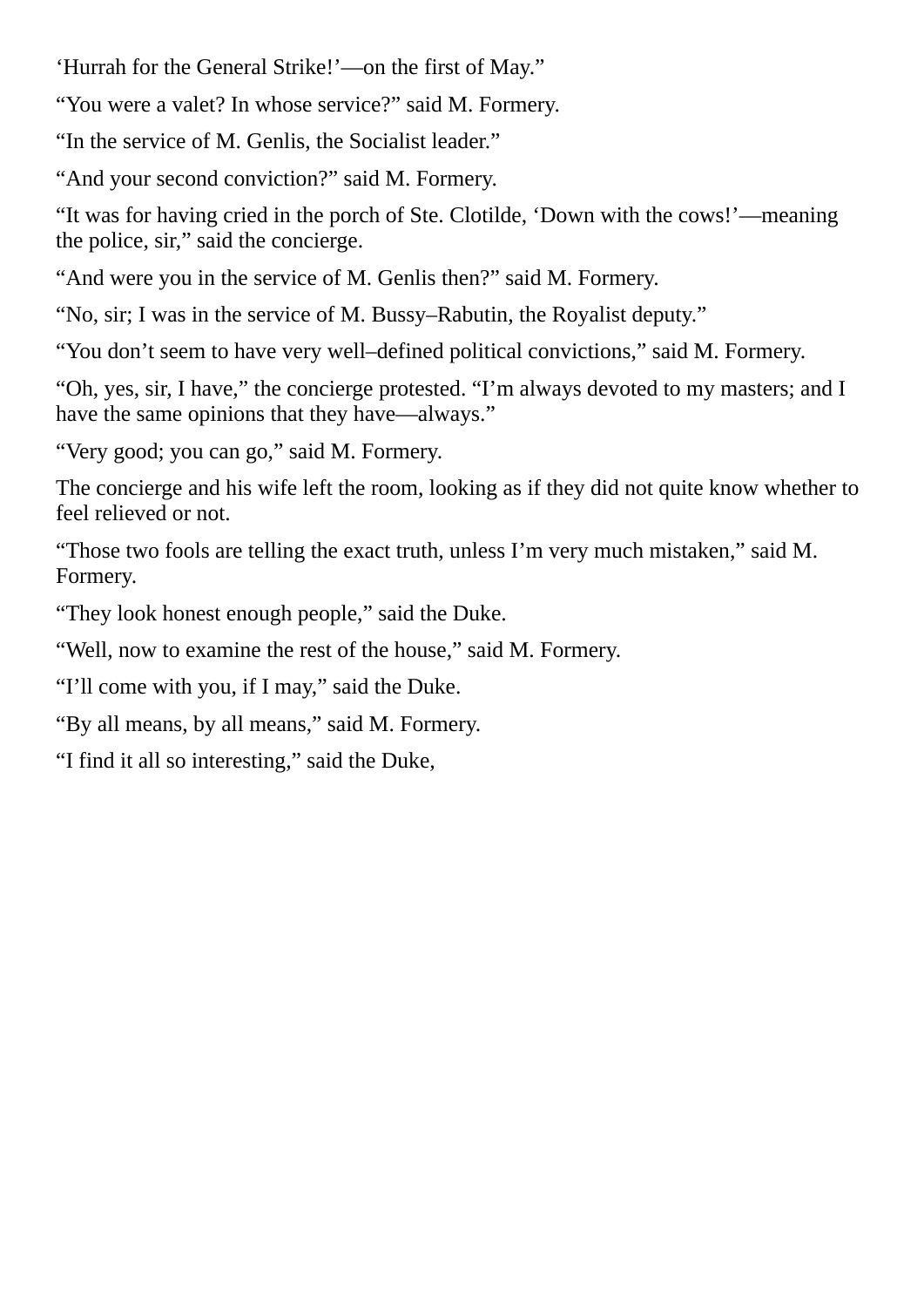'Hurrah for the General Strike!'—on the first of May."

"You were a valet? In whose service?" said M. Formery.

"In the service of M. Genlis, the Socialist leader."

"And your second conviction?" said M. Formery.

"It was for having cried in the porch of Ste. Clotilde, 'Down with the cows!'—meaning the police, sir," said the concierge.

"And were you in the service of M. Genlis then?" said M. Formery.

"No, sir; I was in the service of M. Bussy–Rabutin, the Royalist deputy."

"You don't seem to have very well–defined political convictions," said M. Formery.

"Oh, yes, sir, I have," the concierge protested. "I'm always devoted to my masters; and I have the same opinions that they have—always."

"Very good; you can go," said M. Formery.

The concierge and his wife left the room, looking as if they did not quite know whether to feel relieved or not.

"Those two fools are telling the exact truth, unless I'm very much mistaken," said M. Formery.

"They look honest enough people," said the Duke.

"Well, now to examine the rest of the house," said M. Formery.

"I'll come with you, if I may," said the Duke.

"By all means, by all means," said M. Formery.

"I find it all so interesting," said the Duke,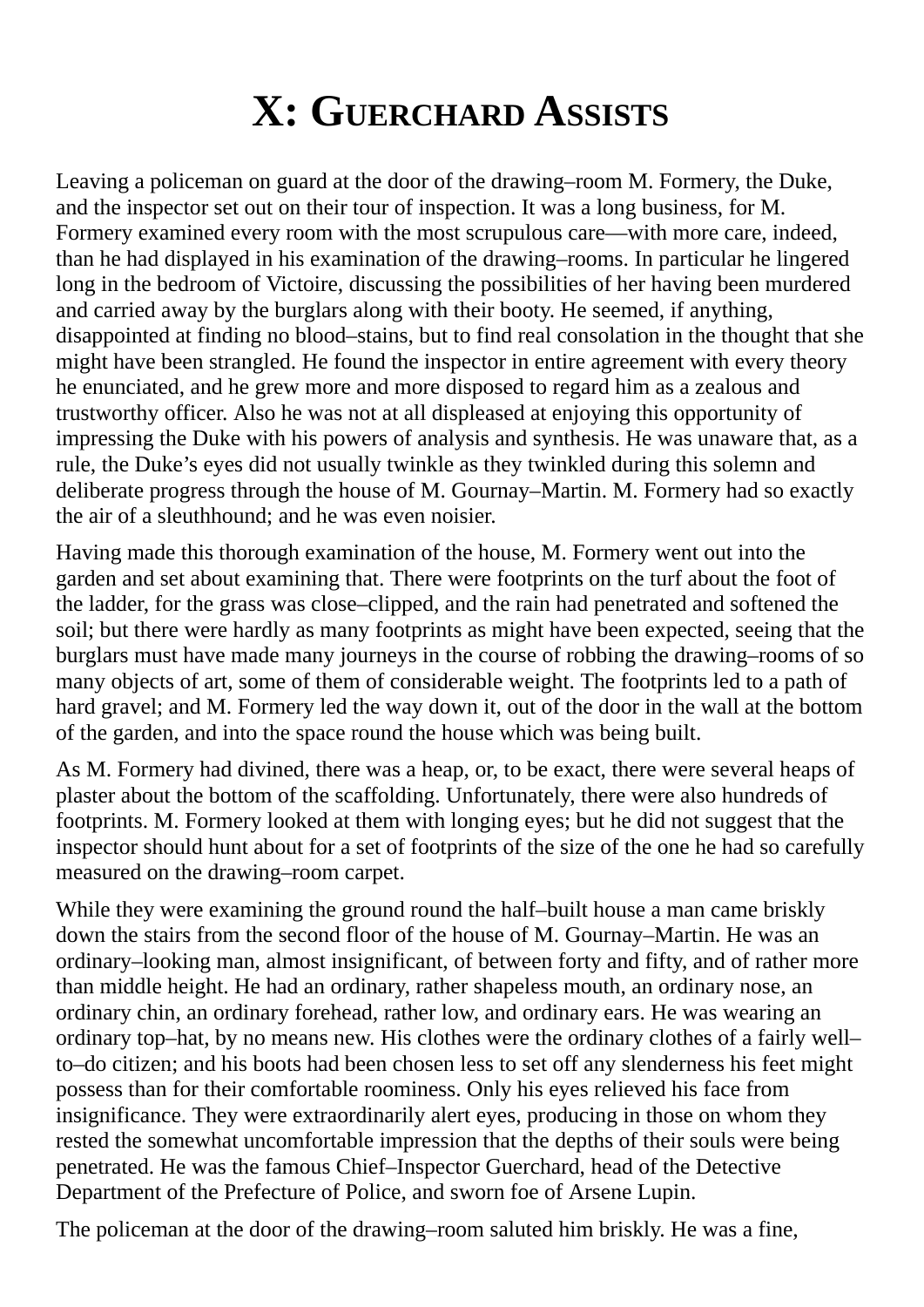### **X: GUERCHARD ASSISTS**

Leaving a policeman on guard at the door of the drawing–room M. Formery, the Duke, and the inspector set out on their tour of inspection. It was a long business, for M. Formery examined every room with the most scrupulous care—with more care, indeed, than he had displayed in his examination of the drawing–rooms. In particular he lingered long in the bedroom of Victoire, discussing the possibilities of her having been murdered and carried away by the burglars along with their booty. He seemed, if anything, disappointed at finding no blood–stains, but to find real consolation in the thought that she might have been strangled. He found the inspector in entire agreement with every theory he enunciated, and he grew more and more disposed to regard him as a zealous and trustworthy officer. Also he was not at all displeased at enjoying this opportunity of impressing the Duke with his powers of analysis and synthesis. He was unaware that, as a rule, the Duke's eyes did not usually twinkle as they twinkled during this solemn and deliberate progress through the house of M. Gournay–Martin. M. Formery had so exactly the air of a sleuthhound; and he was even noisier.

Having made this thorough examination of the house, M. Formery went out into the garden and set about examining that. There were footprints on the turf about the foot of the ladder, for the grass was close–clipped, and the rain had penetrated and softened the soil; but there were hardly as many footprints as might have been expected, seeing that the burglars must have made many journeys in the course of robbing the drawing–rooms of so many objects of art, some of them of considerable weight. The footprints led to a path of hard gravel; and M. Formery led the way down it, out of the door in the wall at the bottom of the garden, and into the space round the house which was being built.

As M. Formery had divined, there was a heap, or, to be exact, there were several heaps of plaster about the bottom of the scaffolding. Unfortunately, there were also hundreds of footprints. M. Formery looked at them with longing eyes; but he did not suggest that the inspector should hunt about for a set of footprints of the size of the one he had so carefully measured on the drawing–room carpet.

While they were examining the ground round the half–built house a man came briskly down the stairs from the second floor of the house of M. Gournay–Martin. He was an ordinary–looking man, almost insignificant, of between forty and fifty, and of rather more than middle height. He had an ordinary, rather shapeless mouth, an ordinary nose, an ordinary chin, an ordinary forehead, rather low, and ordinary ears. He was wearing an ordinary top–hat, by no means new. His clothes were the ordinary clothes of a fairly well– to–do citizen; and his boots had been chosen less to set off any slenderness his feet might possess than for their comfortable roominess. Only his eyes relieved his face from insignificance. They were extraordinarily alert eyes, producing in those on whom they rested the somewhat uncomfortable impression that the depths of their souls were being penetrated. He was the famous Chief–Inspector Guerchard, head of the Detective Department of the Prefecture of Police, and sworn foe of Arsene Lupin.

The policeman at the door of the drawing–room saluted him briskly. He was a fine,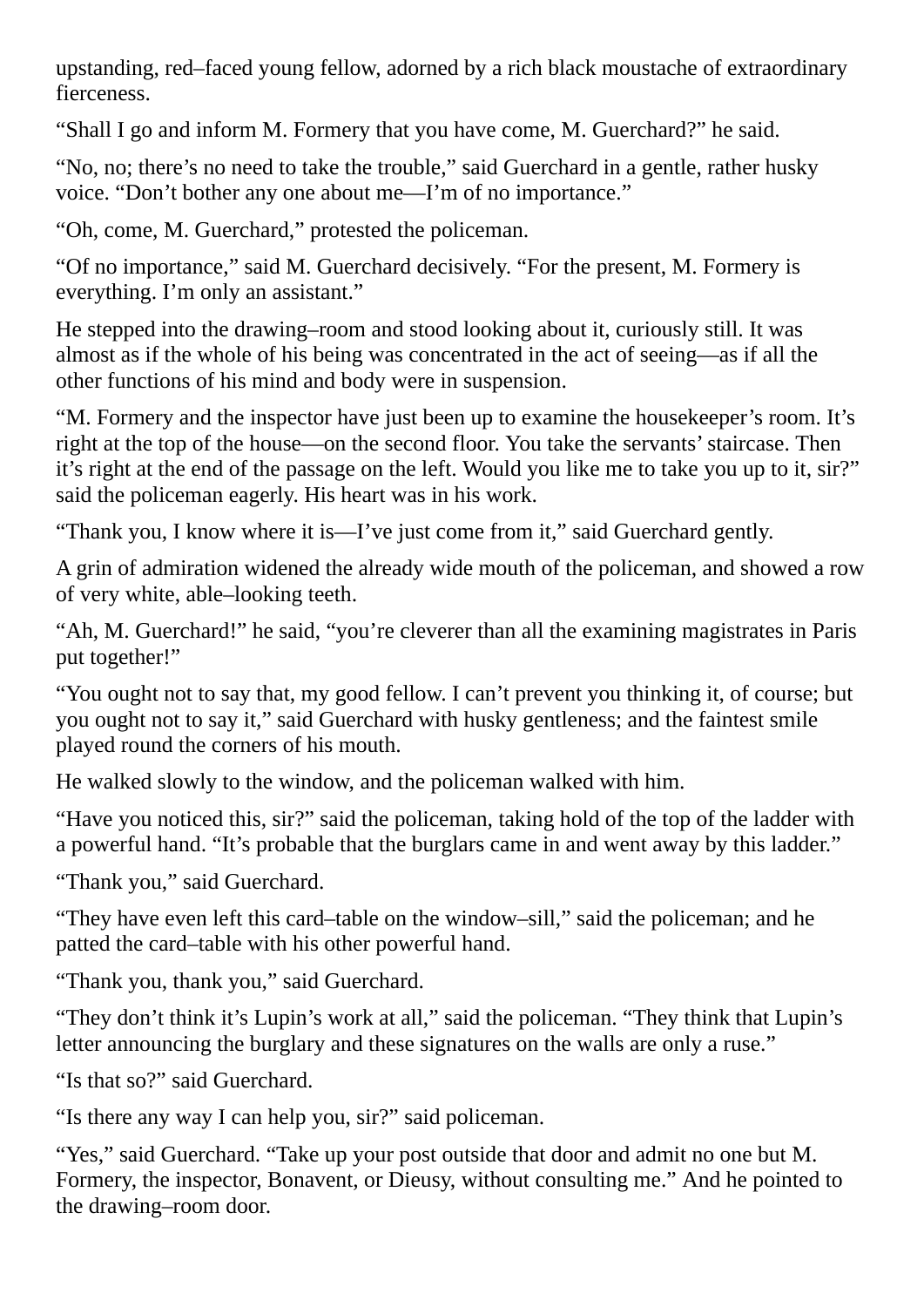upstanding, red–faced young fellow, adorned by a rich black moustache of extraordinary fierceness.

"Shall I go and inform M. Formery that you have come, M. Guerchard?" he said.

"No, no; there's no need to take the trouble," said Guerchard in a gentle, rather husky voice. "Don't bother any one about me—I'm of no importance."

"Oh, come, M. Guerchard," protested the policeman.

"Of no importance," said M. Guerchard decisively. "For the present, M. Formery is everything. I'm only an assistant."

He stepped into the drawing–room and stood looking about it, curiously still. It was almost as if the whole of his being was concentrated in the act of seeing—as if all the other functions of his mind and body were in suspension.

"M. Formery and the inspector have just been up to examine the housekeeper's room. It's right at the top of the house—on the second floor. You take the servants'staircase. Then it's right at the end of the passage on the left. Would you like me to take you up to it, sir?" said the policeman eagerly. His heart was in his work.

"Thank you, I know where it is—I've just come from it," said Guerchard gently.

A grin of admiration widened the already wide mouth of the policeman, and showed a row of very white, able–looking teeth.

"Ah, M. Guerchard!" he said, "you're cleverer than all the examining magistrates in Paris put together!"

"You ought not to say that, my good fellow. I can't prevent you thinking it, of course; but you ought not to say it," said Guerchard with husky gentleness; and the faintest smile played round the corners of his mouth.

He walked slowly to the window, and the policeman walked with him.

"Have you noticed this, sir?" said the policeman, taking hold of the top of the ladder with a powerful hand. "It's probable that the burglars came in and went away by this ladder."

"Thank you," said Guerchard.

"They have even left this card–table on the window–sill," said the policeman; and he patted the card–table with his other powerful hand.

"Thank you, thank you," said Guerchard.

"They don't think it's Lupin's work at all," said the policeman. "They think that Lupin's letter announcing the burglary and these signatures on the walls are only a ruse."

"Is that so?" said Guerchard.

"Is there any way I can help you, sir?" said policeman.

"Yes," said Guerchard. "Take up your post outside that door and admit no one but M. Formery, the inspector, Bonavent, or Dieusy, without consulting me." And he pointed to the drawing–room door.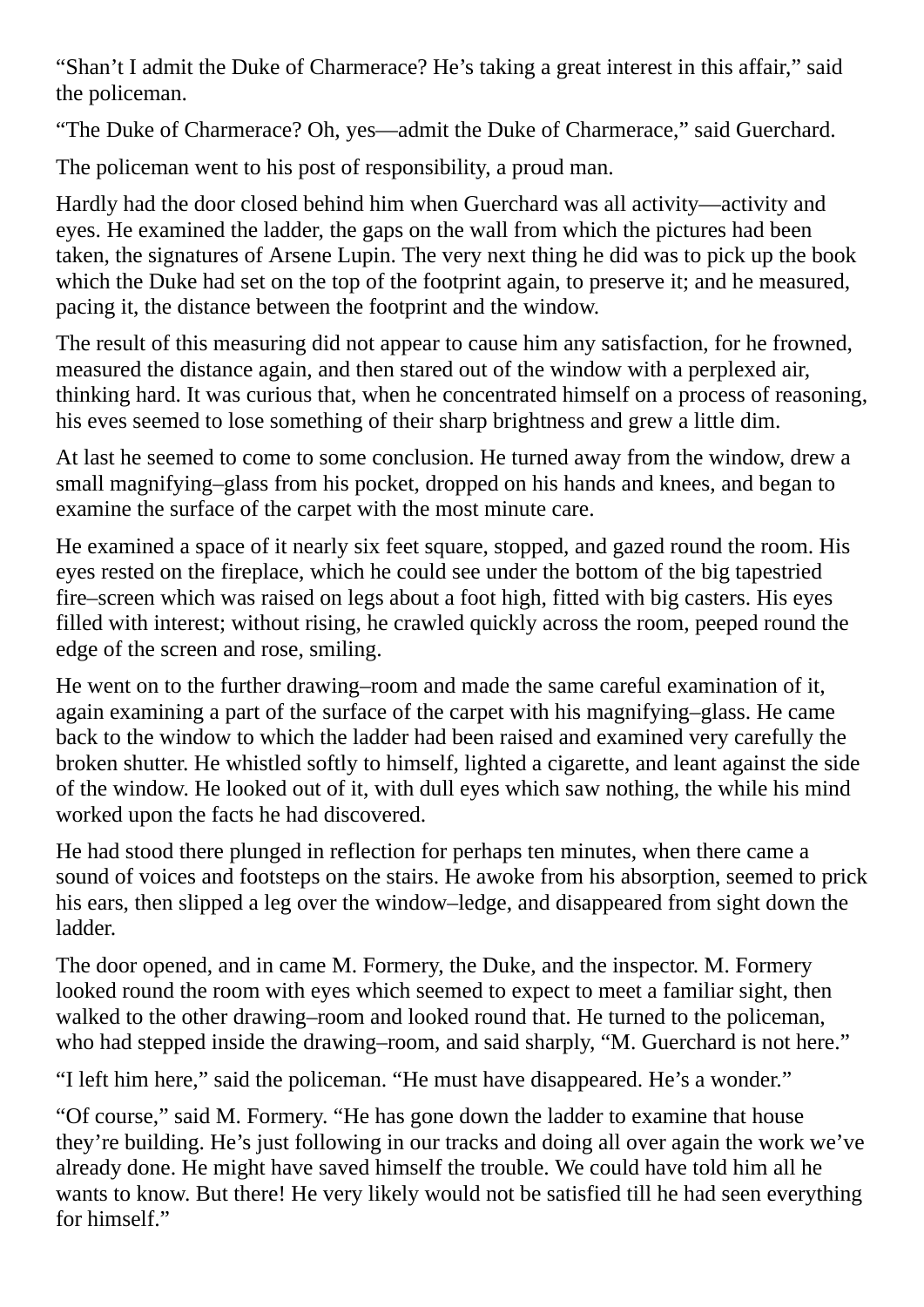"Shan't I admit the Duke of Charmerace? He's taking a great interest in this affair," said the policeman.

"The Duke of Charmerace? Oh, yes—admit the Duke of Charmerace," said Guerchard.

The policeman went to his post of responsibility, a proud man.

Hardly had the door closed behind him when Guerchard was all activity—activity and eyes. He examined the ladder, the gaps on the wall from which the pictures had been taken, the signatures of Arsene Lupin. The very next thing he did was to pick up the book which the Duke had set on the top of the footprint again, to preserve it; and he measured, pacing it, the distance between the footprint and the window.

The result of this measuring did not appear to cause him any satisfaction, for he frowned, measured the distance again, and then stared out of the window with a perplexed air, thinking hard. It was curious that, when he concentrated himself on a process of reasoning, his eves seemed to lose something of their sharp brightness and grew a little dim.

At last he seemed to come to some conclusion. He turned away from the window, drew a small magnifying–glass from his pocket, dropped on his hands and knees, and began to examine the surface of the carpet with the most minute care.

He examined a space of it nearly six feet square, stopped, and gazed round the room. His eyes rested on the fireplace, which he could see under the bottom of the big tapestried fire–screen which was raised on legs about a foot high, fitted with big casters. His eyes filled with interest; without rising, he crawled quickly across the room, peeped round the edge of the screen and rose, smiling.

He went on to the further drawing–room and made the same careful examination of it, again examining a part of the surface of the carpet with his magnifying–glass. He came back to the window to which the ladder had been raised and examined very carefully the broken shutter. He whistled softly to himself, lighted a cigarette, and leant against the side of the window. He looked out of it, with dull eyes which saw nothing, the while his mind worked upon the facts he had discovered.

He had stood there plunged in reflection for perhaps ten minutes, when there came a sound of voices and footsteps on the stairs. He awoke from his absorption, seemed to prick his ears, then slipped a leg over the window–ledge, and disappeared from sight down the ladder.

The door opened, and in came M. Formery, the Duke, and the inspector. M. Formery looked round the room with eyes which seemed to expect to meet a familiar sight, then walked to the other drawing–room and looked round that. He turned to the policeman, who had stepped inside the drawing–room, and said sharply, "M. Guerchard is not here."

"I left him here," said the policeman. "He must have disappeared. He's a wonder."

"Of course," said M. Formery. "He has gone down the ladder to examine that house they're building. He's just following in our tracks and doing all over again the work we've already done. He might have saved himself the trouble. We could have told him all he wants to know. But there! He very likely would not be satisfied till he had seen everything for himself."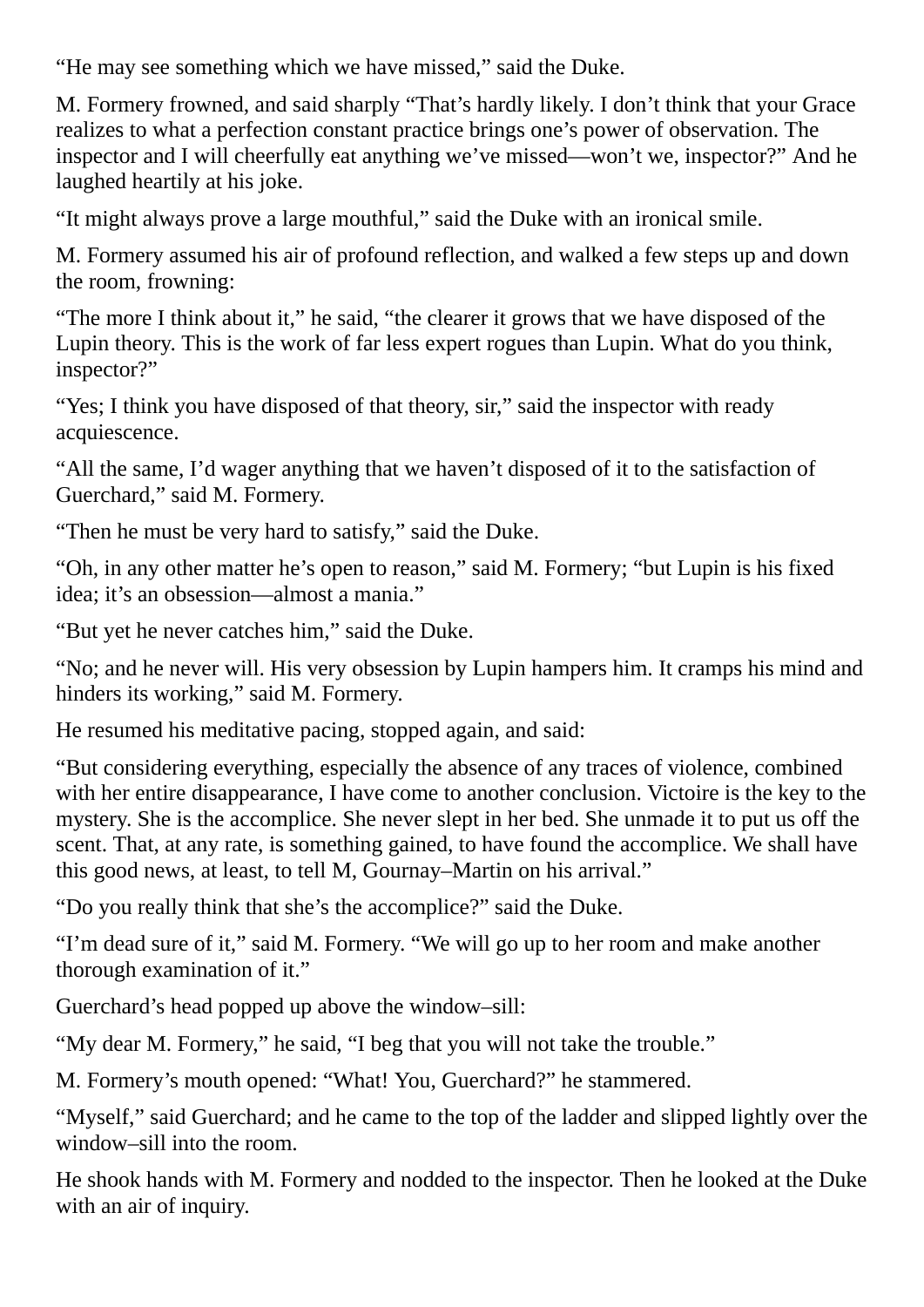"He may see something which we have missed," said the Duke.

M. Formery frowned, and said sharply "That's hardly likely. I don't think that your Grace realizes to what a perfection constant practice brings one's power of observation. The inspector and I will cheerfully eat anything we've missed—won't we, inspector?" And he laughed heartily at his joke.

"It might always prove a large mouthful," said the Duke with an ironical smile.

M. Formery assumed his air of profound reflection, and walked a few steps up and down the room, frowning:

"The more I think about it," he said, "the clearer it grows that we have disposed of the Lupin theory. This is the work of far less expert rogues than Lupin. What do you think, inspector?"

"Yes; I think you have disposed of that theory, sir," said the inspector with ready acquiescence.

"All the same, I'd wager anything that we haven't disposed of it to the satisfaction of Guerchard," said M. Formery.

"Then he must be very hard to satisfy," said the Duke.

"Oh, in any other matter he's open to reason," said M. Formery; "but Lupin is his fixed idea; it's an obsession—almost a mania."

"But yet he never catches him," said the Duke.

"No; and he never will. His very obsession by Lupin hampers him. It cramps his mind and hinders its working," said M. Formery.

He resumed his meditative pacing, stopped again, and said:

"But considering everything, especially the absence of any traces of violence, combined with her entire disappearance, I have come to another conclusion. Victoire is the key to the mystery. She is the accomplice. She never slept in her bed. She unmade it to put us off the scent. That, at any rate, is something gained, to have found the accomplice. We shall have this good news, at least, to tell M, Gournay–Martin on his arrival."

"Do you really think that she's the accomplice?" said the Duke.

"I'm dead sure of it," said M. Formery. "We will go up to her room and make another thorough examination of it."

Guerchard's head popped up above the window–sill:

"My dear M. Formery," he said, "I beg that you will not take the trouble."

M. Formery's mouth opened: "What! You, Guerchard?" he stammered.

"Myself," said Guerchard; and he came to the top of the ladder and slipped lightly over the window–sill into the room.

He shook hands with M. Formery and nodded to the inspector. Then he looked at the Duke with an air of inquiry.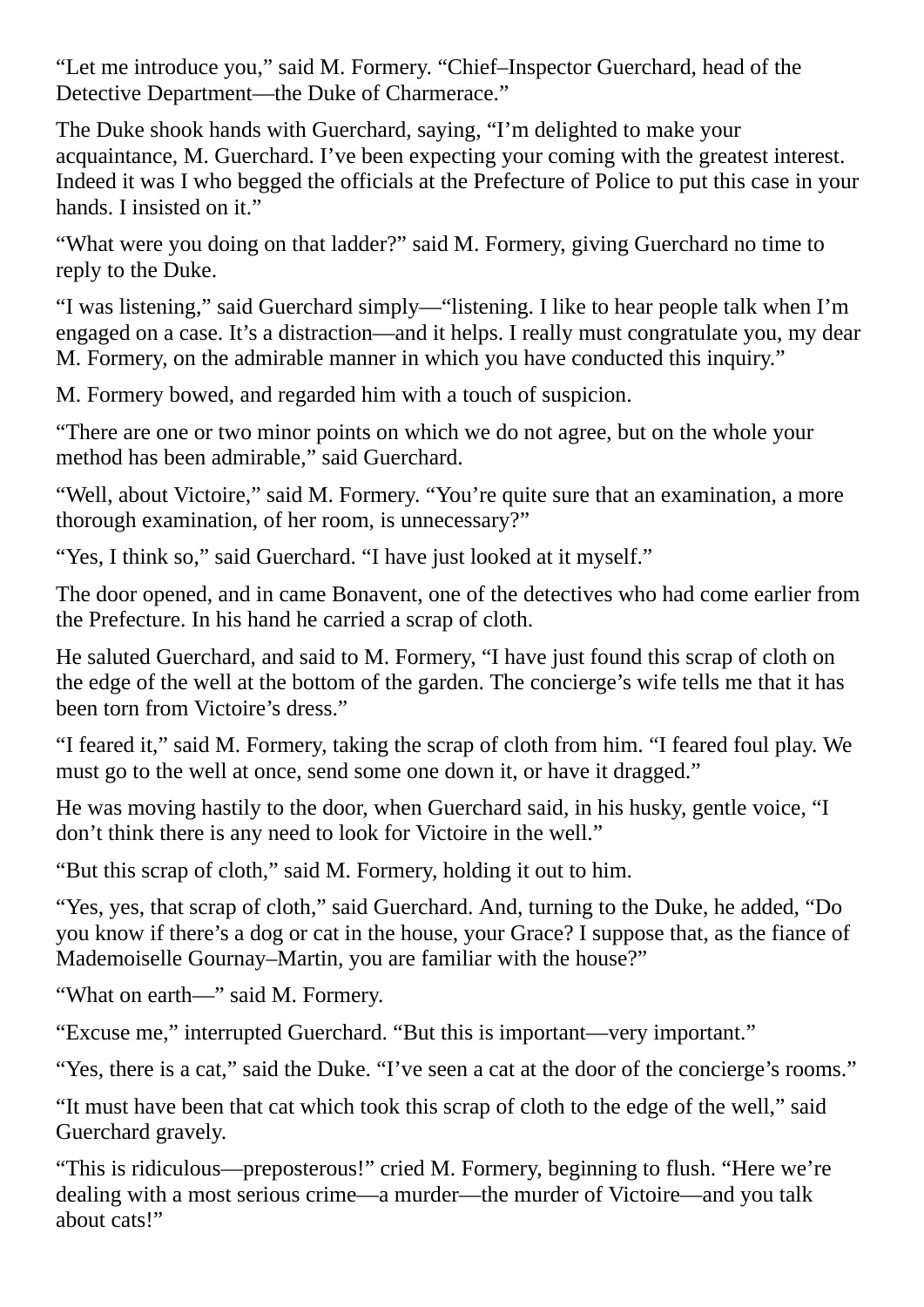"Let me introduce you," said M. Formery. "Chief–Inspector Guerchard, head of the Detective Department—the Duke of Charmerace."

The Duke shook hands with Guerchard, saying, "I'm delighted to make your acquaintance, M. Guerchard. I've been expecting your coming with the greatest interest. Indeed it was I who begged the officials at the Prefecture of Police to put this case in your hands. I insisted on it."

"What were you doing on that ladder?" said M. Formery, giving Guerchard no time to reply to the Duke.

"I was listening," said Guerchard simply—"listening. I like to hear people talk when I'm engaged on a case. It's a distraction—and it helps. I really must congratulate you, my dear M. Formery, on the admirable manner in which you have conducted this inquiry."

M. Formery bowed, and regarded him with a touch of suspicion.

"There are one or two minor points on which we do not agree, but on the whole your method has been admirable," said Guerchard.

"Well, about Victoire," said M. Formery. "You're quite sure that an examination, a more thorough examination, of her room, is unnecessary?"

"Yes, I think so," said Guerchard. "I have just looked at it myself."

The door opened, and in came Bonavent, one of the detectives who had come earlier from the Prefecture. In his hand he carried a scrap of cloth.

He saluted Guerchard, and said to M. Formery, "I have just found this scrap of cloth on the edge of the well at the bottom of the garden. The concierge's wife tells me that it has been torn from Victoire's dress."

"I feared it," said M. Formery, taking the scrap of cloth from him. "I feared foul play. We must go to the well at once, send some one down it, or have it dragged."

He was moving hastily to the door, when Guerchard said, in his husky, gentle voice, "I don't think there is any need to look for Victoire in the well."

"But this scrap of cloth," said M. Formery, holding it out to him.

"Yes, yes, that scrap of cloth," said Guerchard. And, turning to the Duke, he added, "Do you know if there's a dog or cat in the house, your Grace? I suppose that, as the fiance of Mademoiselle Gournay–Martin, you are familiar with the house?"

"What on earth—" said M. Formery.

"Excuse me," interrupted Guerchard. "But this is important—very important."

"Yes, there is a cat," said the Duke. "I've seen a cat at the door of the concierge's rooms."

"It must have been that cat which took this scrap of cloth to the edge of the well," said Guerchard gravely.

"This is ridiculous—preposterous!" cried M. Formery, beginning to flush. "Here we're dealing with a most serious crime—a murder—the murder of Victoire—and you talk about cats!"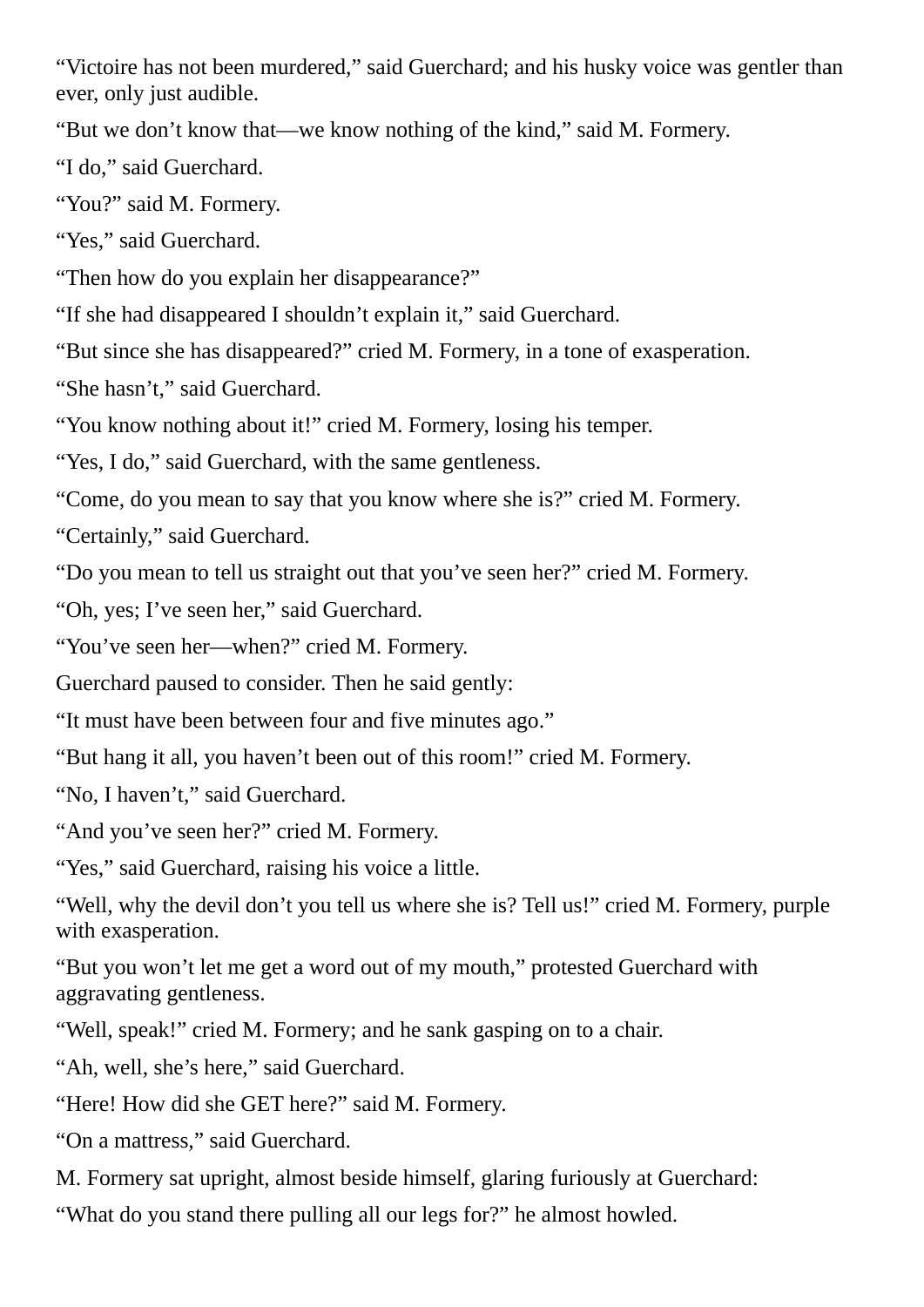"Victoire has not been murdered," said Guerchard; and his husky voice was gentler than ever, only just audible.

"But we don't know that—we know nothing of the kind," said M. Formery.

"I do," said Guerchard.

"You?" said M. Formery.

"Yes," said Guerchard.

"Then how do you explain her disappearance?"

"If she had disappeared I shouldn't explain it," said Guerchard.

"But since she has disappeared?" cried M. Formery, in a tone of exasperation.

"She hasn't," said Guerchard.

"You know nothing about it!" cried M. Formery, losing his temper.

"Yes, I do," said Guerchard, with the same gentleness.

"Come, do you mean to say that you know where she is?" cried M. Formery.

"Certainly," said Guerchard.

"Do you mean to tell us straight out that you've seen her?" cried M. Formery.

"Oh, yes; I've seen her," said Guerchard.

"You've seen her—when?" cried M. Formery.

Guerchard paused to consider. Then he said gently:

"It must have been between four and five minutes ago."

"But hang it all, you haven't been out of this room!" cried M. Formery.

"No, I haven't," said Guerchard.

"And you've seen her?" cried M. Formery.

"Yes," said Guerchard, raising his voice a little.

"Well, why the devil don't you tell us where she is? Tell us!" cried M. Formery, purple with exasperation.

"But you won't let me get a word out of my mouth," protested Guerchard with aggravating gentleness.

"Well, speak!" cried M. Formery; and he sank gasping on to a chair.

"Ah, well, she's here," said Guerchard.

"Here! How did she GET here?" said M. Formery.

"On a mattress," said Guerchard.

M. Formery sat upright, almost beside himself, glaring furiously at Guerchard:

"What do you stand there pulling all our legs for?" he almost howled.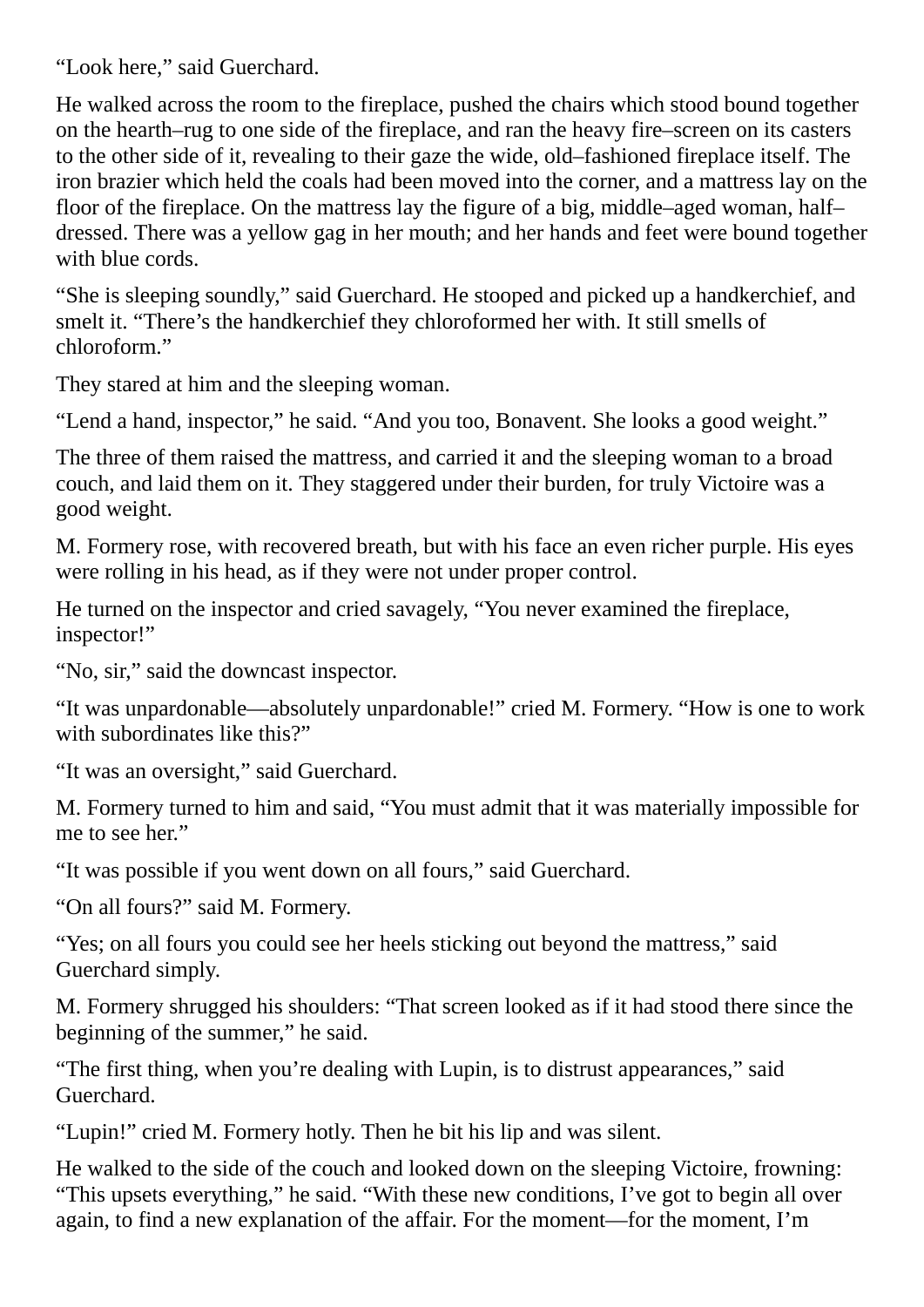"Look here," said Guerchard.

He walked across the room to the fireplace, pushed the chairs which stood bound together on the hearth–rug to one side of the fireplace, and ran the heavy fire–screen on its casters to the other side of it, revealing to their gaze the wide, old–fashioned fireplace itself. The iron brazier which held the coals had been moved into the corner, and a mattress lay on the floor of the fireplace. On the mattress lay the figure of a big, middle–aged woman, half– dressed. There was a yellow gag in her mouth; and her hands and feet were bound together with blue cords.

"She is sleeping soundly," said Guerchard. He stooped and picked up a handkerchief, and smelt it. "There's the handkerchief they chloroformed her with. It still smells of chloroform."

They stared at him and the sleeping woman.

"Lend a hand, inspector," he said. "And you too, Bonavent. She looks a good weight."

The three of them raised the mattress, and carried it and the sleeping woman to a broad couch, and laid them on it. They staggered under their burden, for truly Victoire was a good weight.

M. Formery rose, with recovered breath, but with his face an even richer purple. His eyes were rolling in his head, as if they were not under proper control.

He turned on the inspector and cried savagely, "You never examined the fireplace, inspector!"

"No, sir," said the downcast inspector.

"It was unpardonable—absolutely unpardonable!" cried M. Formery. "How is one to work with subordinates like this?"

"It was an oversight," said Guerchard.

M. Formery turned to him and said, "You must admit that it was materially impossible for me to see her."

"It was possible if you went down on all fours," said Guerchard.

"On all fours?" said M. Formery.

"Yes; on all fours you could see her heels sticking out beyond the mattress," said Guerchard simply.

M. Formery shrugged his shoulders: "That screen looked as if it had stood there since the beginning of the summer," he said.

"The first thing, when you're dealing with Lupin, is to distrust appearances," said Guerchard.

"Lupin!" cried M. Formery hotly. Then he bit his lip and was silent.

He walked to the side of the couch and looked down on the sleeping Victoire, frowning: "This upsets everything," he said. "With these new conditions, I've got to begin all over again, to find a new explanation of the affair. For the moment—for the moment, I'm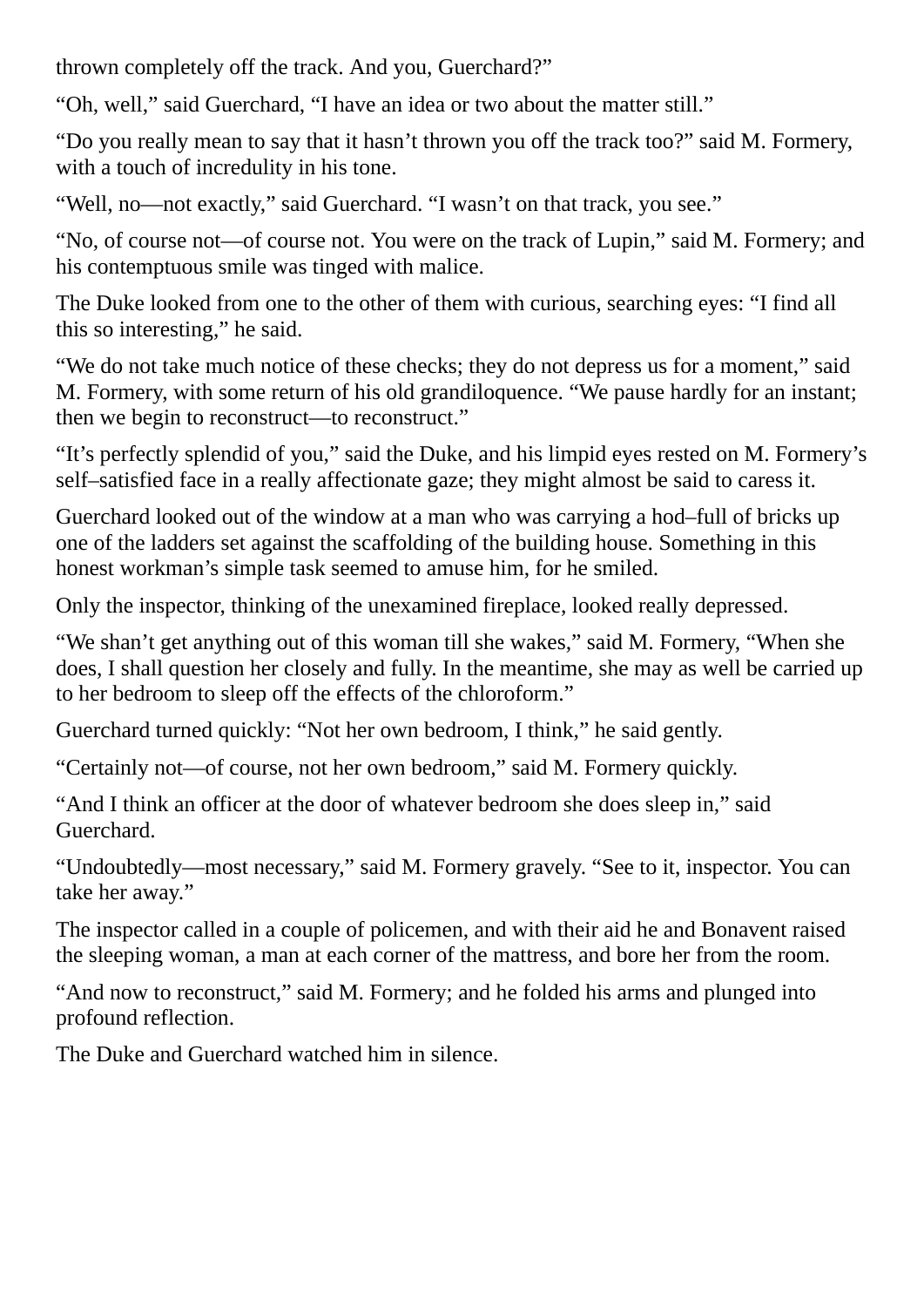thrown completely off the track. And you, Guerchard?"

"Oh, well," said Guerchard, "I have an idea or two about the matter still."

"Do you really mean to say that it hasn't thrown you off the track too?" said M. Formery, with a touch of incredulity in his tone.

"Well, no—not exactly," said Guerchard. "I wasn't on that track, you see."

"No, of course not—of course not. You were on the track of Lupin," said M. Formery; and his contemptuous smile was tinged with malice.

The Duke looked from one to the other of them with curious, searching eyes: "I find all this so interesting," he said.

"We do not take much notice of these checks; they do not depress us for a moment," said M. Formery, with some return of his old grandiloquence. "We pause hardly for an instant; then we begin to reconstruct—to reconstruct."

"It's perfectly splendid of you," said the Duke, and his limpid eyes rested on M. Formery's self–satisfied face in a really affectionate gaze; they might almost be said to caress it.

Guerchard looked out of the window at a man who was carrying a hod–full of bricks up one of the ladders set against the scaffolding of the building house. Something in this honest workman's simple task seemed to amuse him, for he smiled.

Only the inspector, thinking of the unexamined fireplace, looked really depressed.

"We shan't get anything out of this woman till she wakes," said M. Formery, "When she does, I shall question her closely and fully. In the meantime, she may as well be carried up to her bedroom to sleep off the effects of the chloroform."

Guerchard turned quickly: "Not her own bedroom, I think," he said gently.

"Certainly not—of course, not her own bedroom," said M. Formery quickly.

"And I think an officer at the door of whatever bedroom she does sleep in," said Guerchard.

"Undoubtedly—most necessary," said M. Formery gravely. "See to it, inspector. You can take her away."

The inspector called in a couple of policemen, and with their aid he and Bonavent raised the sleeping woman, a man at each corner of the mattress, and bore her from the room.

"And now to reconstruct," said M. Formery; and he folded his arms and plunged into profound reflection.

The Duke and Guerchard watched him in silence.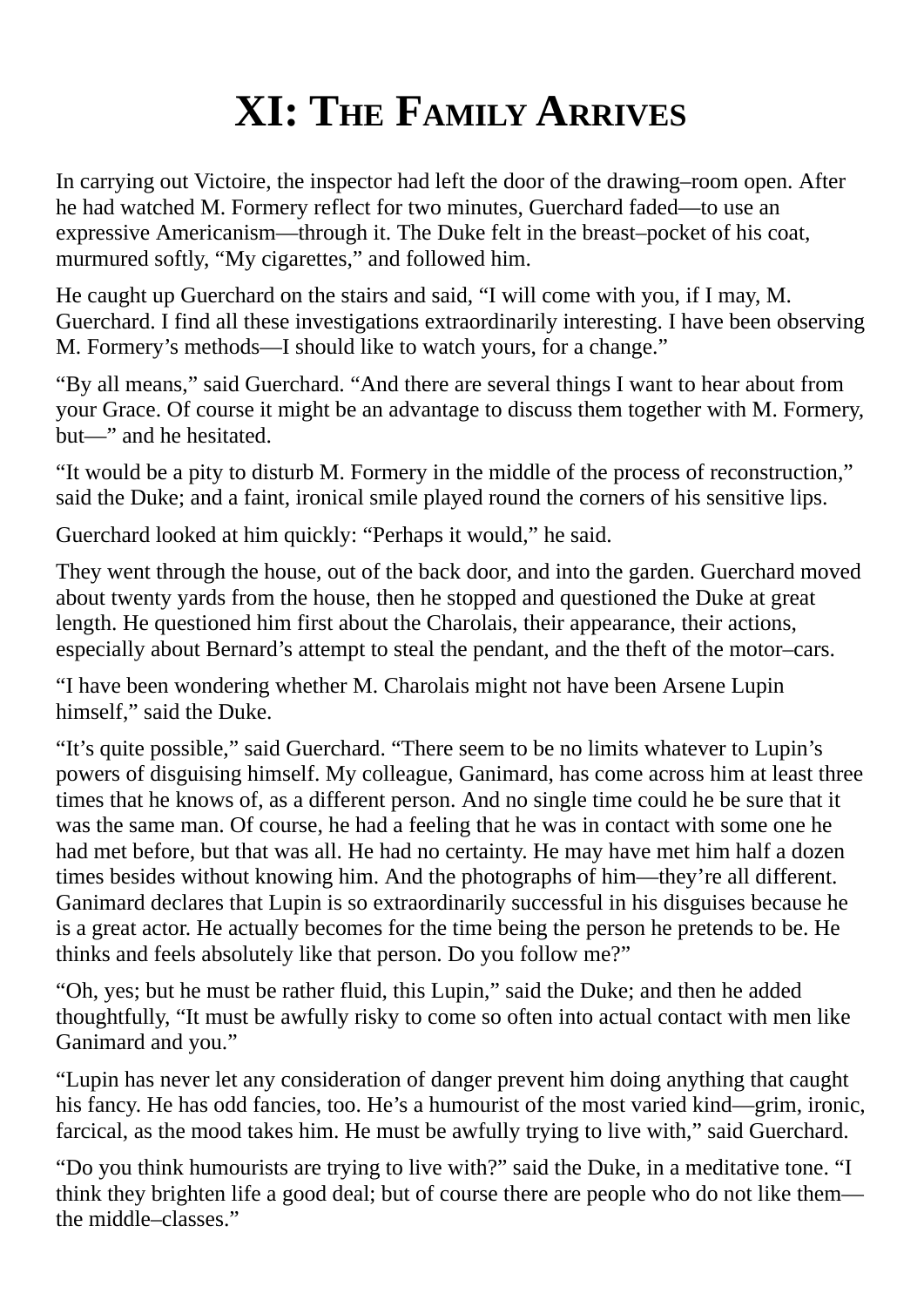### **XI: THE FAMILY ARRIVES**

In carrying out Victoire, the inspector had left the door of the drawing–room open. After he had watched M. Formery reflect for two minutes, Guerchard faded—to use an expressive Americanism—through it. The Duke felt in the breast–pocket of his coat, murmured softly, "My cigarettes," and followed him.

He caught up Guerchard on the stairs and said, "I will come with you, if I may, M. Guerchard. I find all these investigations extraordinarily interesting. I have been observing M. Formery's methods—I should like to watch yours, for a change."

"By all means," said Guerchard. "And there are several things I want to hear about from your Grace. Of course it might be an advantage to discuss them together with M. Formery, but—" and he hesitated.

"It would be a pity to disturb M. Formery in the middle of the process of reconstruction," said the Duke; and a faint, ironical smile played round the corners of his sensitive lips.

Guerchard looked at him quickly: "Perhaps it would," he said.

They went through the house, out of the back door, and into the garden. Guerchard moved about twenty yards from the house, then he stopped and questioned the Duke at great length. He questioned him first about the Charolais, their appearance, their actions, especially about Bernard's attempt to steal the pendant, and the theft of the motor–cars.

"I have been wondering whether M. Charolais might not have been Arsene Lupin himself," said the Duke.

"It's quite possible," said Guerchard. "There seem to be no limits whatever to Lupin's powers of disguising himself. My colleague, Ganimard, has come across him at least three times that he knows of, as a different person. And no single time could he be sure that it was the same man. Of course, he had a feeling that he was in contact with some one he had met before, but that was all. He had no certainty. He may have met him half a dozen times besides without knowing him. And the photographs of him—they're all different. Ganimard declares that Lupin is so extraordinarily successful in his disguises because he is a great actor. He actually becomes for the time being the person he pretends to be. He thinks and feels absolutely like that person. Do you follow me?"

"Oh, yes; but he must be rather fluid, this Lupin," said the Duke; and then he added thoughtfully, "It must be awfully risky to come so often into actual contact with men like Ganimard and you."

"Lupin has never let any consideration of danger prevent him doing anything that caught his fancy. He has odd fancies, too. He's a humourist of the most varied kind—grim, ironic, farcical, as the mood takes him. He must be awfully trying to live with," said Guerchard.

"Do you think humourists are trying to live with?" said the Duke, in a meditative tone. "I think they brighten life a good deal; but of course there are people who do not like them the middle–classes."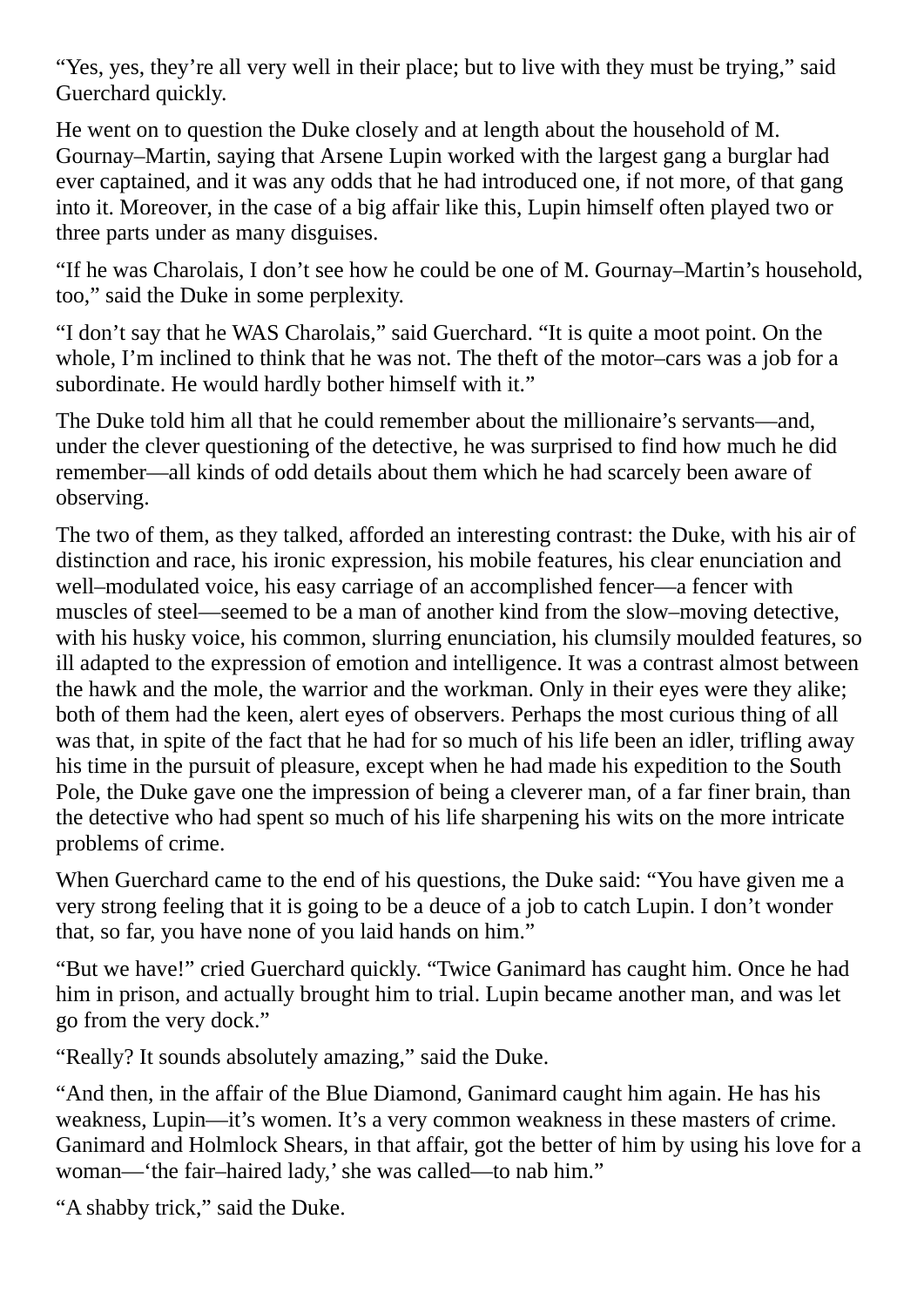"Yes, yes, they're all very well in their place; but to live with they must be trying," said Guerchard quickly.

He went on to question the Duke closely and at length about the household of M. Gournay–Martin, saying that Arsene Lupin worked with the largest gang a burglar had ever captained, and it was any odds that he had introduced one, if not more, of that gang into it. Moreover, in the case of a big affair like this, Lupin himself often played two or three parts under as many disguises.

"If he was Charolais, I don't see how he could be one of M. Gournay–Martin's household, too," said the Duke in some perplexity.

"I don't say that he WAS Charolais," said Guerchard. "It is quite a moot point. On the whole, I'm inclined to think that he was not. The theft of the motor–cars was a job for a subordinate. He would hardly bother himself with it."

The Duke told him all that he could remember about the millionaire's servants—and, under the clever questioning of the detective, he was surprised to find how much he did remember—all kinds of odd details about them which he had scarcely been aware of observing.

The two of them, as they talked, afforded an interesting contrast: the Duke, with his air of distinction and race, his ironic expression, his mobile features, his clear enunciation and well–modulated voice, his easy carriage of an accomplished fencer—a fencer with muscles of steel—seemed to be a man of another kind from the slow–moving detective, with his husky voice, his common, slurring enunciation, his clumsily moulded features, so ill adapted to the expression of emotion and intelligence. It was a contrast almost between the hawk and the mole, the warrior and the workman. Only in their eyes were they alike; both of them had the keen, alert eyes of observers. Perhaps the most curious thing of all was that, in spite of the fact that he had for so much of his life been an idler, trifling away his time in the pursuit of pleasure, except when he had made his expedition to the South Pole, the Duke gave one the impression of being a cleverer man, of a far finer brain, than the detective who had spent so much of his life sharpening his wits on the more intricate problems of crime.

When Guerchard came to the end of his questions, the Duke said: "You have given me a very strong feeling that it is going to be a deuce of a job to catch Lupin. I don't wonder that, so far, you have none of you laid hands on him."

"But we have!" cried Guerchard quickly. "Twice Ganimard has caught him. Once he had him in prison, and actually brought him to trial. Lupin became another man, and was let go from the very dock."

"Really? It sounds absolutely amazing," said the Duke.

"And then, in the affair of the Blue Diamond, Ganimard caught him again. He has his weakness, Lupin—it's women. It's a very common weakness in these masters of crime. Ganimard and Holmlock Shears, in that affair, got the better of him by using his love for a woman—'the fair–haired lady,'she was called—to nab him."

"A shabby trick," said the Duke.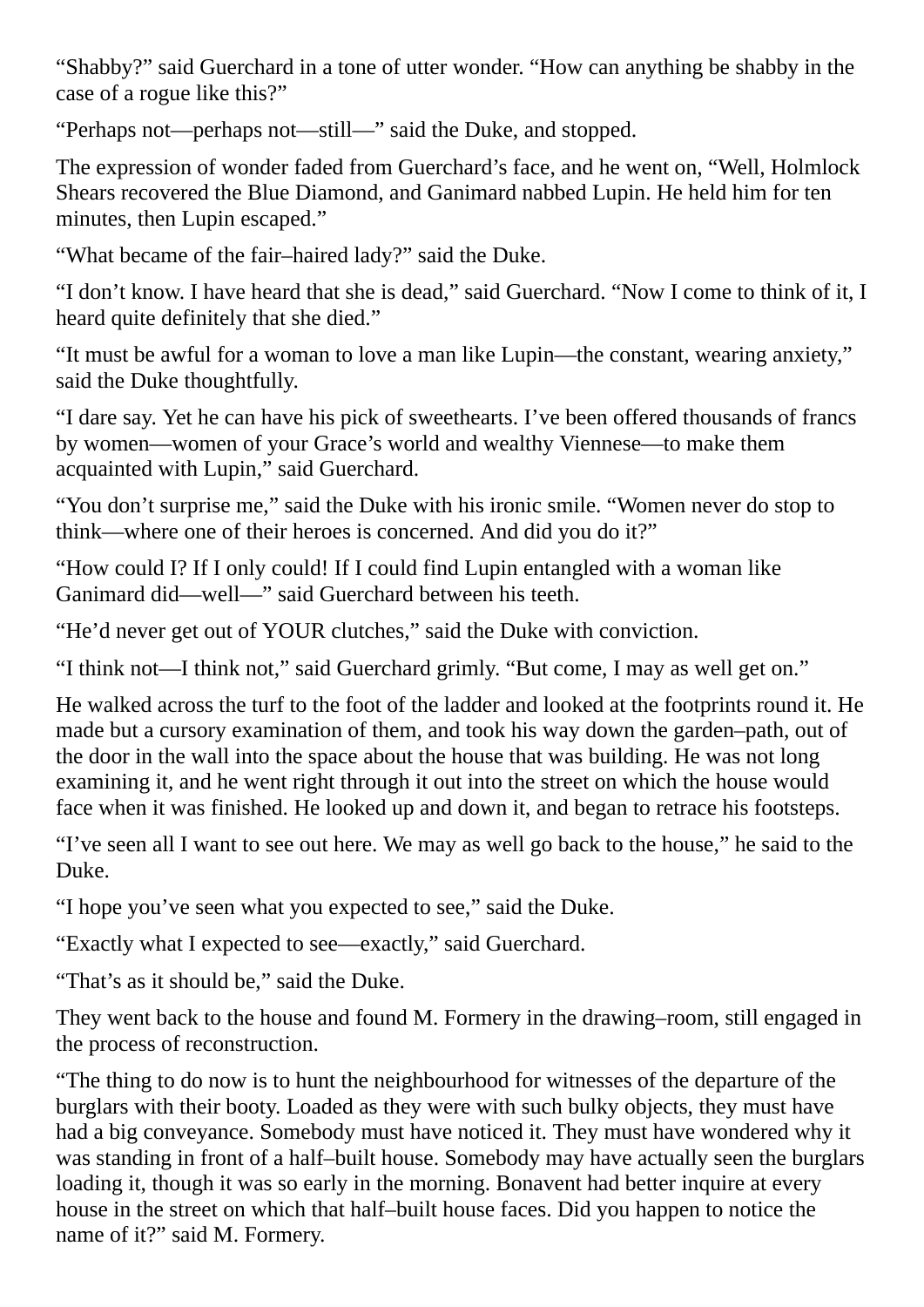"Shabby?" said Guerchard in a tone of utter wonder. "How can anything be shabby in the case of a rogue like this?"

"Perhaps not—perhaps not—still—" said the Duke, and stopped.

The expression of wonder faded from Guerchard's face, and he went on, "Well, Holmlock Shears recovered the Blue Diamond, and Ganimard nabbed Lupin. He held him for ten minutes, then Lupin escaped."

"What became of the fair–haired lady?" said the Duke.

"I don't know. I have heard that she is dead," said Guerchard. "Now I come to think of it, I heard quite definitely that she died."

"It must be awful for a woman to love a man like Lupin—the constant, wearing anxiety," said the Duke thoughtfully.

"I dare say. Yet he can have his pick of sweethearts. I've been offered thousands of francs by women—women of your Grace's world and wealthy Viennese—to make them acquainted with Lupin," said Guerchard.

"You don't surprise me," said the Duke with his ironic smile. "Women never do stop to think—where one of their heroes is concerned. And did you do it?"

"How could I? If I only could! If I could find Lupin entangled with a woman like Ganimard did—well—" said Guerchard between his teeth.

"He'd never get out of YOUR clutches," said the Duke with conviction.

"I think not—I think not," said Guerchard grimly. "But come, I may as well get on."

He walked across the turf to the foot of the ladder and looked at the footprints round it. He made but a cursory examination of them, and took his way down the garden–path, out of the door in the wall into the space about the house that was building. He was not long examining it, and he went right through it out into the street on which the house would face when it was finished. He looked up and down it, and began to retrace his footsteps.

"I've seen all I want to see out here. We may as well go back to the house," he said to the Duke.

"I hope you've seen what you expected to see," said the Duke.

"Exactly what I expected to see—exactly," said Guerchard.

"That's as it should be," said the Duke.

They went back to the house and found M. Formery in the drawing–room, still engaged in the process of reconstruction.

"The thing to do now is to hunt the neighbourhood for witnesses of the departure of the burglars with their booty. Loaded as they were with such bulky objects, they must have had a big conveyance. Somebody must have noticed it. They must have wondered why it was standing in front of a half–built house. Somebody may have actually seen the burglars loading it, though it was so early in the morning. Bonavent had better inquire at every house in the street on which that half–built house faces. Did you happen to notice the name of it?" said M. Formery.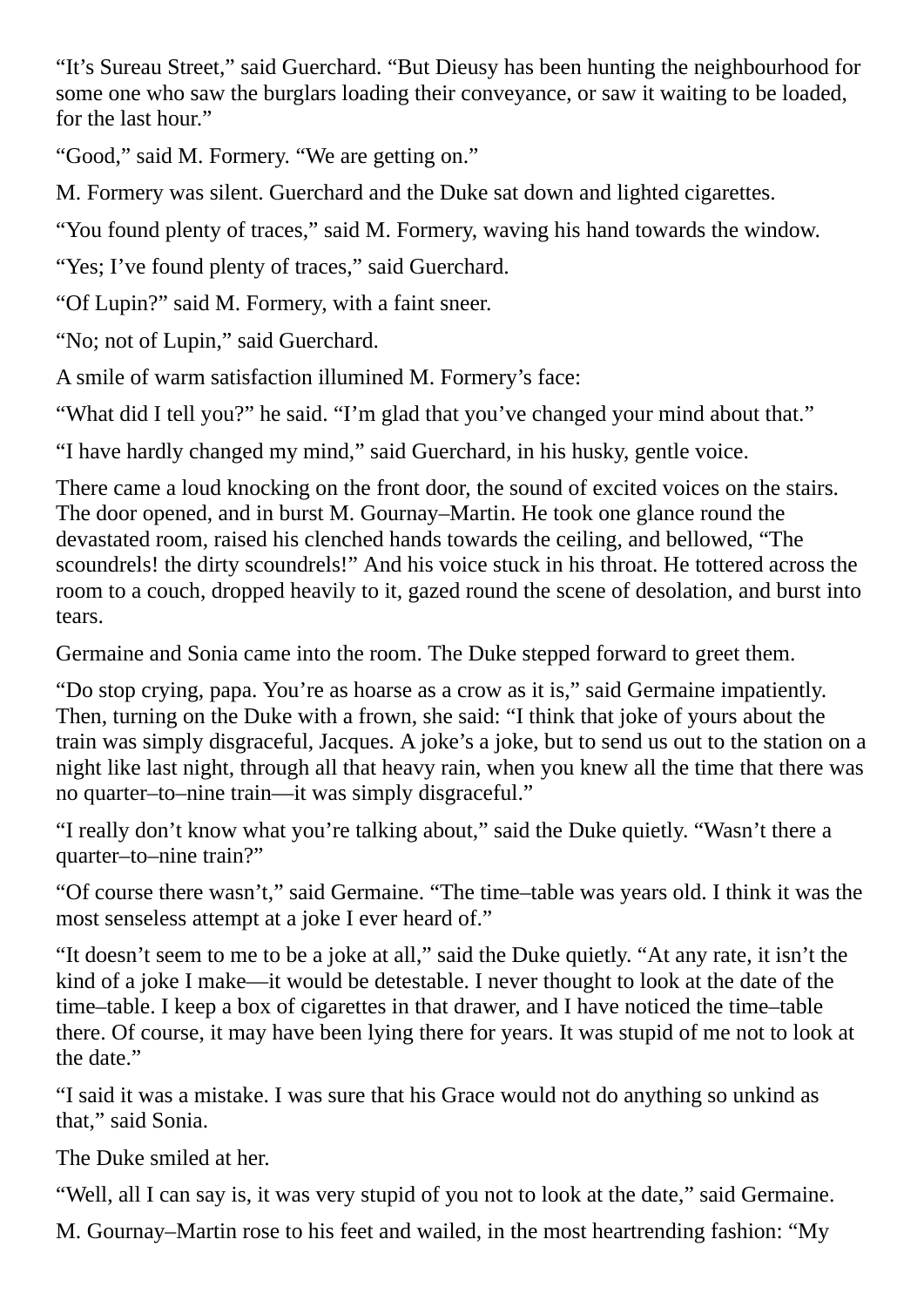"It's Sureau Street," said Guerchard. "But Dieusy has been hunting the neighbourhood for some one who saw the burglars loading their conveyance, or saw it waiting to be loaded, for the last hour."

"Good," said M. Formery. "We are getting on."

M. Formery was silent. Guerchard and the Duke sat down and lighted cigarettes.

"You found plenty of traces," said M. Formery, waving his hand towards the window.

"Yes; I've found plenty of traces," said Guerchard.

"Of Lupin?" said M. Formery, with a faint sneer.

"No; not of Lupin," said Guerchard.

A smile of warm satisfaction illumined M. Formery's face:

"What did I tell you?" he said. "I'm glad that you've changed your mind about that."

"I have hardly changed my mind," said Guerchard, in his husky, gentle voice.

There came a loud knocking on the front door, the sound of excited voices on the stairs. The door opened, and in burst M. Gournay–Martin. He took one glance round the devastated room, raised his clenched hands towards the ceiling, and bellowed, "The scoundrels! the dirty scoundrels!" And his voice stuck in his throat. He tottered across the room to a couch, dropped heavily to it, gazed round the scene of desolation, and burst into tears.

Germaine and Sonia came into the room. The Duke stepped forward to greet them.

"Do stop crying, papa. You're as hoarse as a crow as it is," said Germaine impatiently. Then, turning on the Duke with a frown, she said: "I think that joke of yours about the train was simply disgraceful, Jacques. A joke's a joke, but to send us out to the station on a night like last night, through all that heavy rain, when you knew all the time that there was no quarter–to–nine train—it was simply disgraceful."

"I really don't know what you're talking about," said the Duke quietly. "Wasn't there a quarter–to–nine train?"

"Of course there wasn't," said Germaine. "The time–table was years old. I think it was the most senseless attempt at a joke I ever heard of."

"It doesn't seem to me to be a joke at all," said the Duke quietly. "At any rate, it isn't the kind of a joke I make—it would be detestable. I never thought to look at the date of the time–table. I keep a box of cigarettes in that drawer, and I have noticed the time–table there. Of course, it may have been lying there for years. It was stupid of me not to look at the date."

"I said it was a mistake. I was sure that his Grace would not do anything so unkind as that," said Sonia.

The Duke smiled at her.

"Well, all I can say is, it was very stupid of you not to look at the date," said Germaine.

M. Gournay–Martin rose to his feet and wailed, in the most heartrending fashion: "My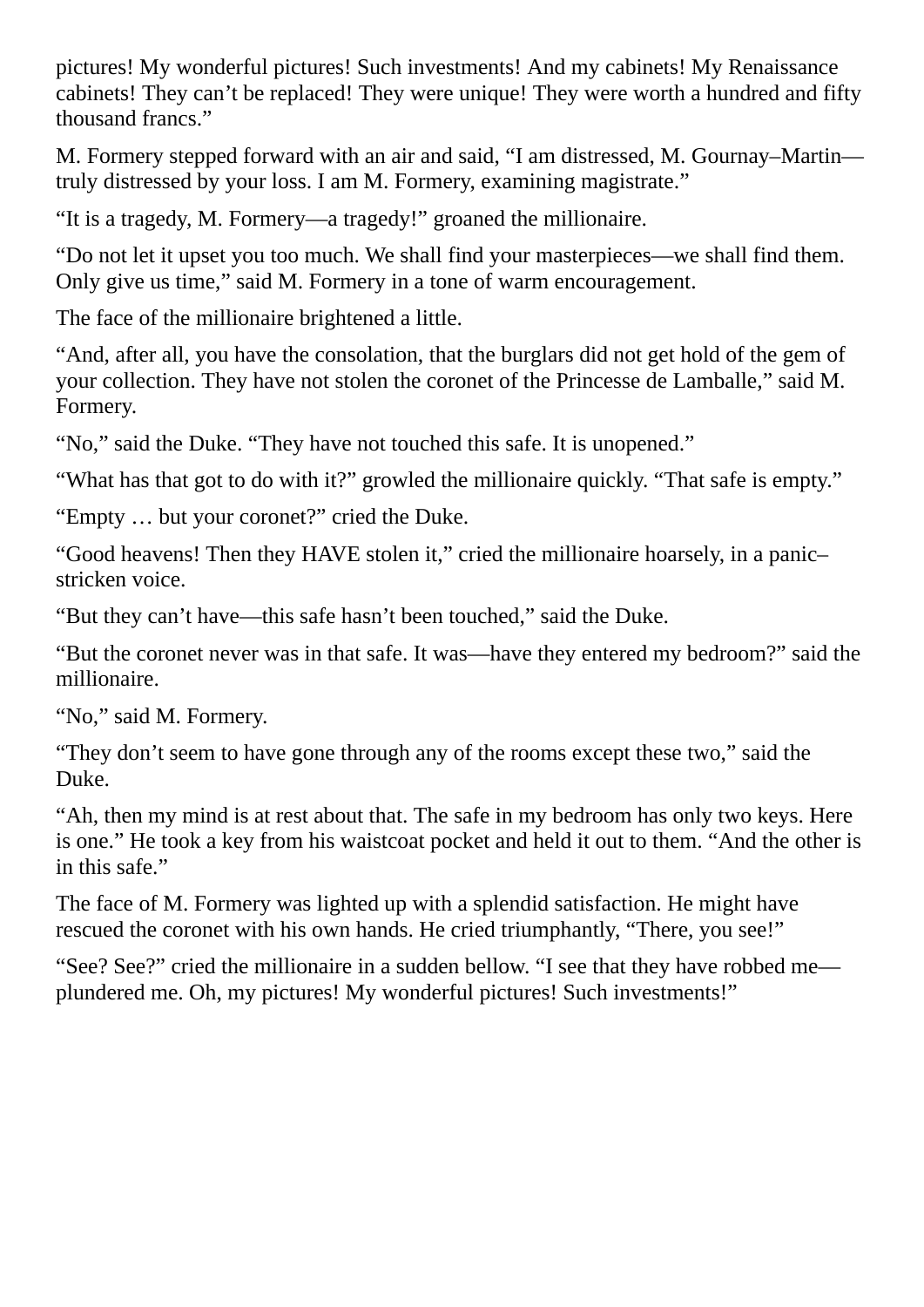pictures! My wonderful pictures! Such investments! And my cabinets! My Renaissance cabinets! They can't be replaced! They were unique! They were worth a hundred and fifty thousand francs."

M. Formery stepped forward with an air and said, "I am distressed, M. Gournay–Martin truly distressed by your loss. I am M. Formery, examining magistrate."

"It is a tragedy, M. Formery—a tragedy!" groaned the millionaire.

"Do not let it upset you too much. We shall find your masterpieces—we shall find them. Only give us time," said M. Formery in a tone of warm encouragement.

The face of the millionaire brightened a little.

"And, after all, you have the consolation, that the burglars did not get hold of the gem of your collection. They have not stolen the coronet of the Princesse de Lamballe," said M. Formery.

"No," said the Duke. "They have not touched this safe. It is unopened."

"What has that got to do with it?" growled the millionaire quickly. "That safe is empty."

"Empty … but your coronet?" cried the Duke.

"Good heavens! Then they HAVE stolen it," cried the millionaire hoarsely, in a panic– stricken voice.

"But they can't have—this safe hasn't been touched," said the Duke.

"But the coronet never was in that safe. It was—have they entered my bedroom?" said the millionaire.

"No," said M. Formery.

"They don't seem to have gone through any of the rooms except these two," said the Duke.

"Ah, then my mind is at rest about that. The safe in my bedroom has only two keys. Here is one." He took a key from his waistcoat pocket and held it out to them. "And the other is in this safe."

The face of M. Formery was lighted up with a splendid satisfaction. He might have rescued the coronet with his own hands. He cried triumphantly, "There, you see!"

"See? See?" cried the millionaire in a sudden bellow. "I see that they have robbed me plundered me. Oh, my pictures! My wonderful pictures! Such investments!"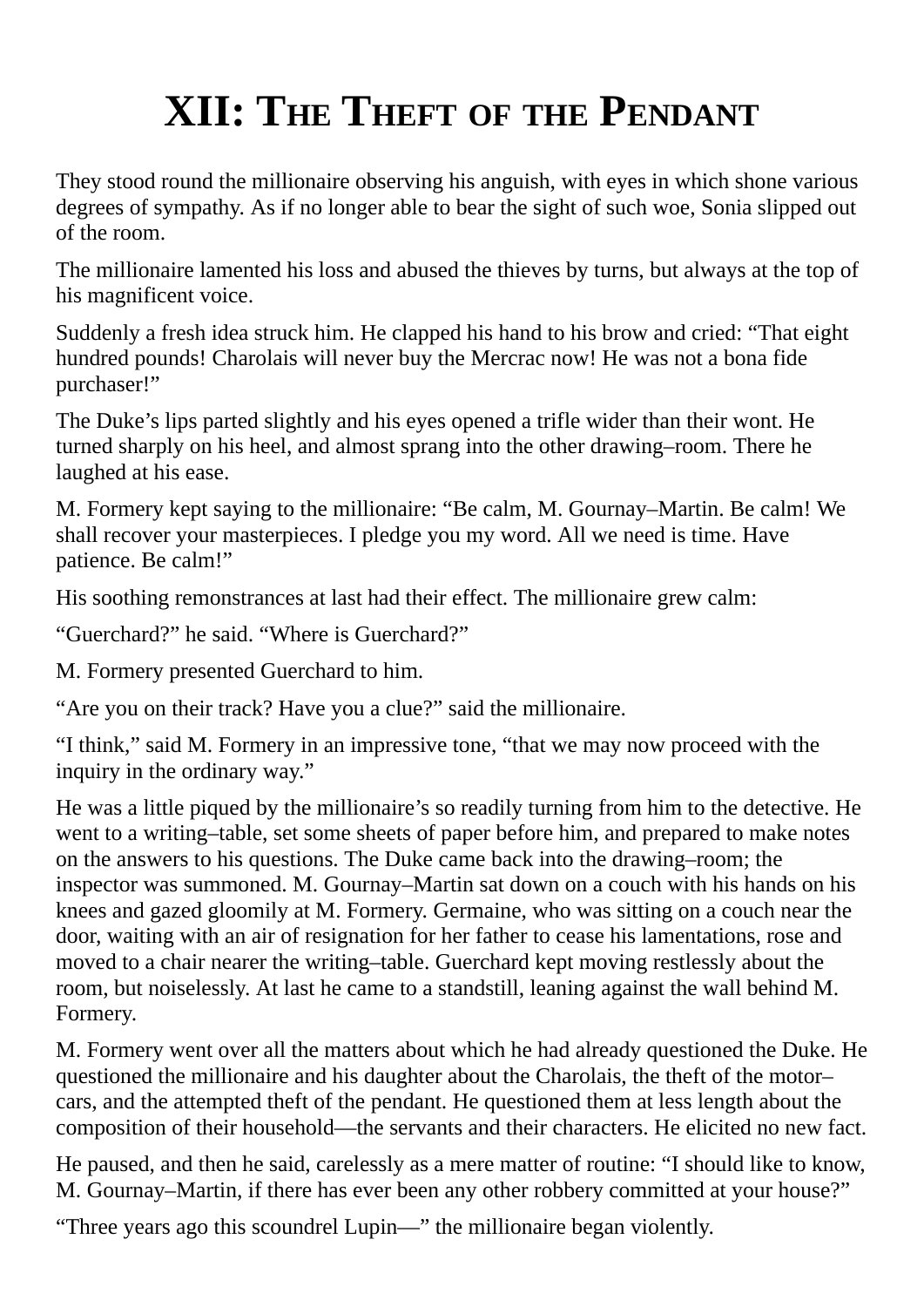## **XII: THE THEFT OF THE PENDANT**

They stood round the millionaire observing his anguish, with eyes in which shone various degrees of sympathy. As if no longer able to bear the sight of such woe, Sonia slipped out of the room.

The millionaire lamented his loss and abused the thieves by turns, but always at the top of his magnificent voice.

Suddenly a fresh idea struck him. He clapped his hand to his brow and cried: "That eight hundred pounds! Charolais will never buy the Mercrac now! He was not a bona fide purchaser!"

The Duke's lips parted slightly and his eyes opened a trifle wider than their wont. He turned sharply on his heel, and almost sprang into the other drawing–room. There he laughed at his ease.

M. Formery kept saying to the millionaire: "Be calm, M. Gournay–Martin. Be calm! We shall recover your masterpieces. I pledge you my word. All we need is time. Have patience. Be calm!"

His soothing remonstrances at last had their effect. The millionaire grew calm:

"Guerchard?" he said. "Where is Guerchard?"

M. Formery presented Guerchard to him.

"Are you on their track? Have you a clue?" said the millionaire.

"I think," said M. Formery in an impressive tone, "that we may now proceed with the inquiry in the ordinary way."

He was a little piqued by the millionaire's so readily turning from him to the detective. He went to a writing–table, set some sheets of paper before him, and prepared to make notes on the answers to his questions. The Duke came back into the drawing–room; the inspector was summoned. M. Gournay–Martin sat down on a couch with his hands on his knees and gazed gloomily at M. Formery. Germaine, who was sitting on a couch near the door, waiting with an air of resignation for her father to cease his lamentations, rose and moved to a chair nearer the writing–table. Guerchard kept moving restlessly about the room, but noiselessly. At last he came to a standstill, leaning against the wall behind M. Formery.

M. Formery went over all the matters about which he had already questioned the Duke. He questioned the millionaire and his daughter about the Charolais, the theft of the motor– cars, and the attempted theft of the pendant. He questioned them at less length about the composition of their household—the servants and their characters. He elicited no new fact.

He paused, and then he said, carelessly as a mere matter of routine: "I should like to know, M. Gournay–Martin, if there has ever been any other robbery committed at your house?"

"Three years ago this scoundrel Lupin—" the millionaire began violently.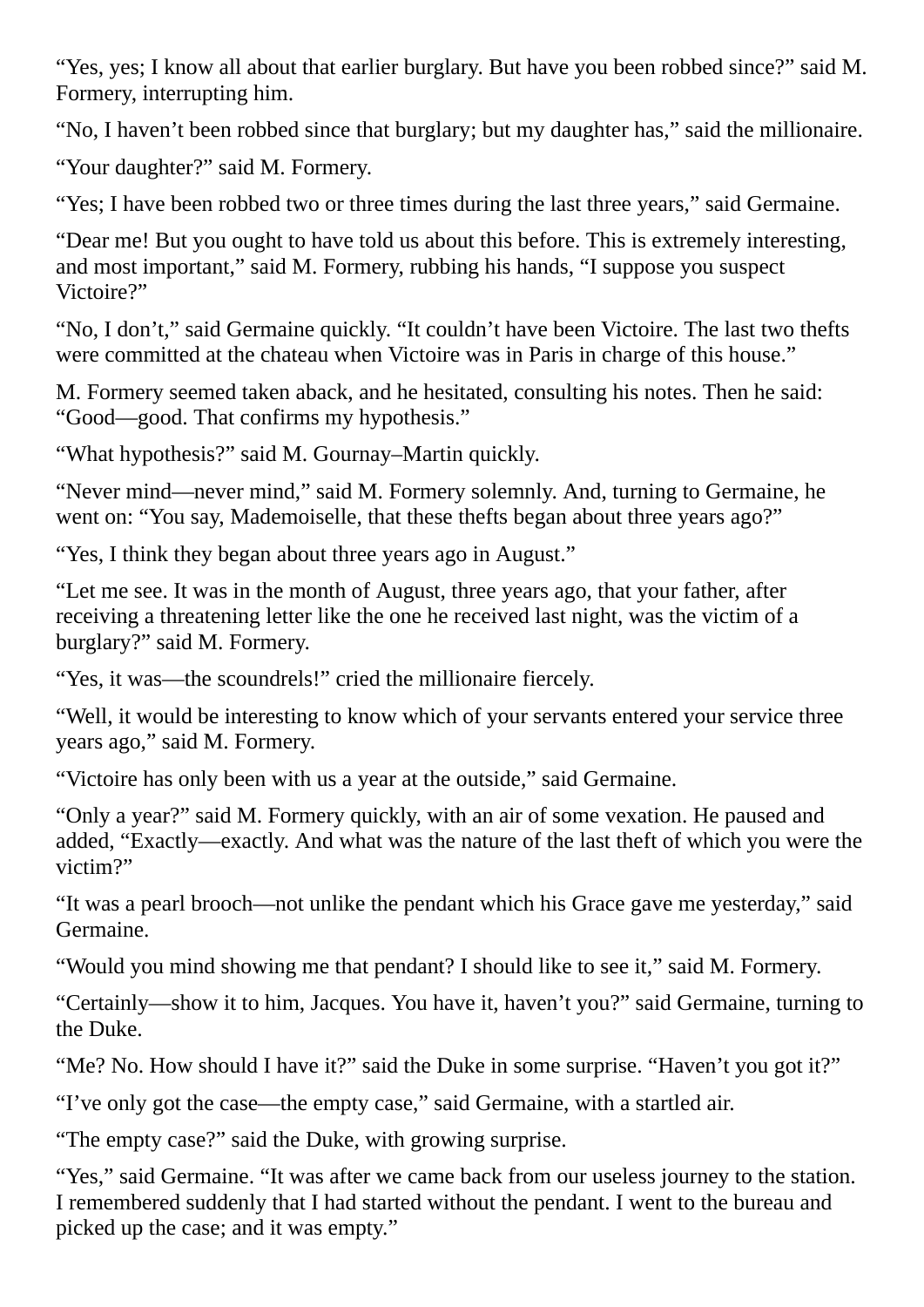"Yes, yes; I know all about that earlier burglary. But have you been robbed since?" said M. Formery, interrupting him.

"No, I haven't been robbed since that burglary; but my daughter has," said the millionaire.

"Your daughter?" said M. Formery.

"Yes; I have been robbed two or three times during the last three years," said Germaine.

"Dear me! But you ought to have told us about this before. This is extremely interesting, and most important," said M. Formery, rubbing his hands, "I suppose you suspect Victoire?"

"No, I don't," said Germaine quickly. "It couldn't have been Victoire. The last two thefts were committed at the chateau when Victoire was in Paris in charge of this house."

M. Formery seemed taken aback, and he hesitated, consulting his notes. Then he said: "Good—good. That confirms my hypothesis."

"What hypothesis?" said M. Gournay–Martin quickly.

"Never mind—never mind," said M. Formery solemnly. And, turning to Germaine, he went on: "You say, Mademoiselle, that these thefts began about three years ago?"

"Yes, I think they began about three years ago in August."

"Let me see. It was in the month of August, three years ago, that your father, after receiving a threatening letter like the one he received last night, was the victim of a burglary?" said M. Formery.

"Yes, it was—the scoundrels!" cried the millionaire fiercely.

"Well, it would be interesting to know which of your servants entered your service three years ago," said M. Formery.

"Victoire has only been with us a year at the outside," said Germaine.

"Only a year?" said M. Formery quickly, with an air of some vexation. He paused and added, "Exactly—exactly. And what was the nature of the last theft of which you were the victim?"

"It was a pearl brooch—not unlike the pendant which his Grace gave me yesterday," said Germaine.

"Would you mind showing me that pendant? I should like to see it," said M. Formery.

"Certainly—show it to him, Jacques. You have it, haven't you?" said Germaine, turning to the Duke.

"Me? No. How should I have it?" said the Duke in some surprise. "Haven't you got it?"

"I've only got the case—the empty case," said Germaine, with a startled air.

"The empty case?" said the Duke, with growing surprise.

"Yes," said Germaine. "It was after we came back from our useless journey to the station. I remembered suddenly that I had started without the pendant. I went to the bureau and picked up the case; and it was empty."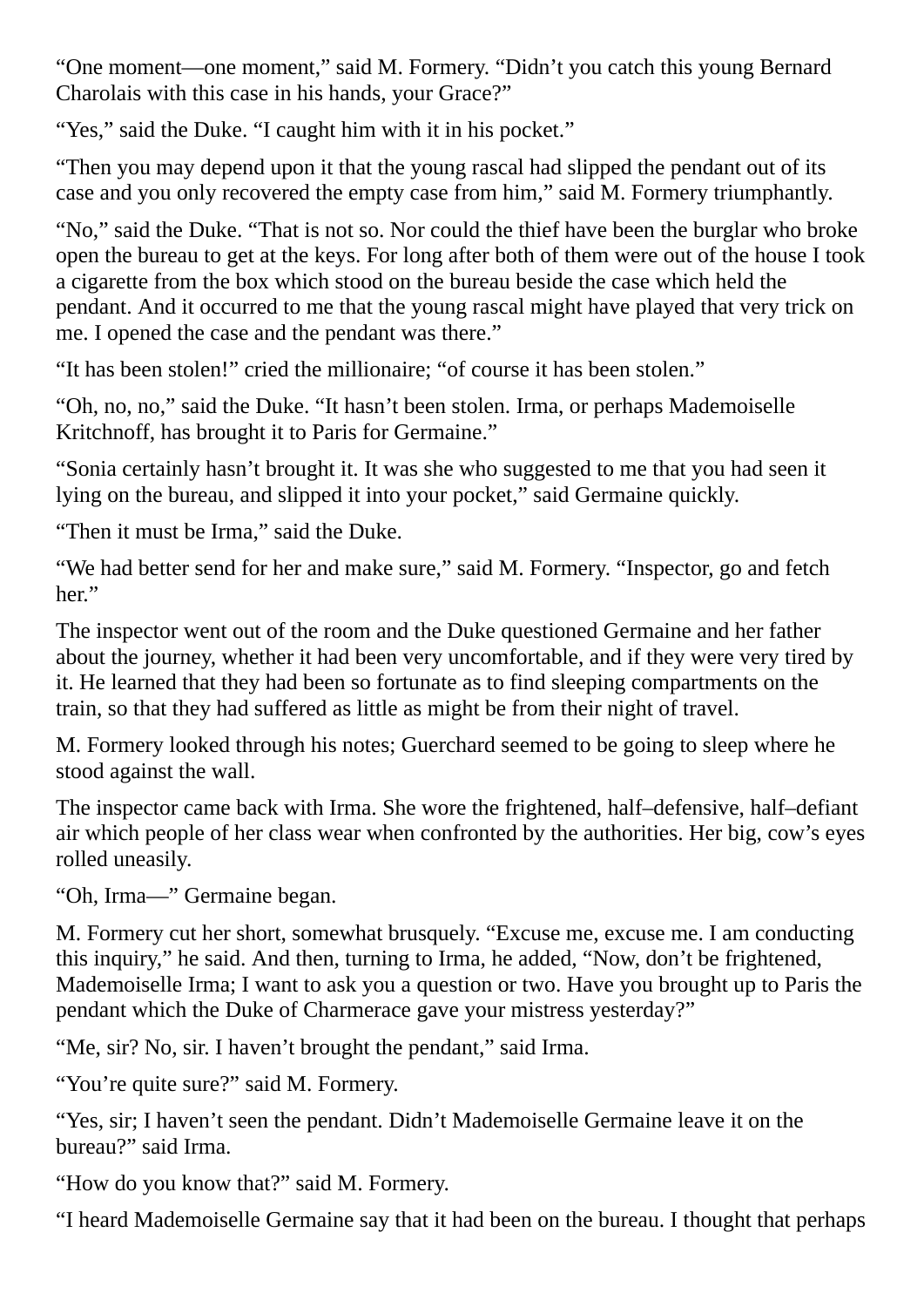"One moment—one moment," said M. Formery. "Didn't you catch this young Bernard Charolais with this case in his hands, your Grace?"

"Yes," said the Duke. "I caught him with it in his pocket."

"Then you may depend upon it that the young rascal had slipped the pendant out of its case and you only recovered the empty case from him," said M. Formery triumphantly.

"No," said the Duke. "That is not so. Nor could the thief have been the burglar who broke open the bureau to get at the keys. For long after both of them were out of the house I took a cigarette from the box which stood on the bureau beside the case which held the pendant. And it occurred to me that the young rascal might have played that very trick on me. I opened the case and the pendant was there."

"It has been stolen!" cried the millionaire; "of course it has been stolen."

"Oh, no, no," said the Duke. "It hasn't been stolen. Irma, or perhaps Mademoiselle Kritchnoff, has brought it to Paris for Germaine."

"Sonia certainly hasn't brought it. It was she who suggested to me that you had seen it lying on the bureau, and slipped it into your pocket," said Germaine quickly.

"Then it must be Irma," said the Duke.

"We had better send for her and make sure," said M. Formery. "Inspector, go and fetch her."

The inspector went out of the room and the Duke questioned Germaine and her father about the journey, whether it had been very uncomfortable, and if they were very tired by it. He learned that they had been so fortunate as to find sleeping compartments on the train, so that they had suffered as little as might be from their night of travel.

M. Formery looked through his notes; Guerchard seemed to be going to sleep where he stood against the wall.

The inspector came back with Irma. She wore the frightened, half–defensive, half–defiant air which people of her class wear when confronted by the authorities. Her big, cow's eyes rolled uneasily.

"Oh, Irma—" Germaine began.

M. Formery cut her short, somewhat brusquely. "Excuse me, excuse me. I am conducting this inquiry," he said. And then, turning to Irma, he added, "Now, don't be frightened, Mademoiselle Irma; I want to ask you a question or two. Have you brought up to Paris the pendant which the Duke of Charmerace gave your mistress yesterday?"

"Me, sir? No, sir. I haven't brought the pendant," said Irma.

"You're quite sure?" said M. Formery.

"Yes, sir; I haven't seen the pendant. Didn't Mademoiselle Germaine leave it on the bureau?" said Irma.

"How do you know that?" said M. Formery.

"I heard Mademoiselle Germaine say that it had been on the bureau. I thought that perhaps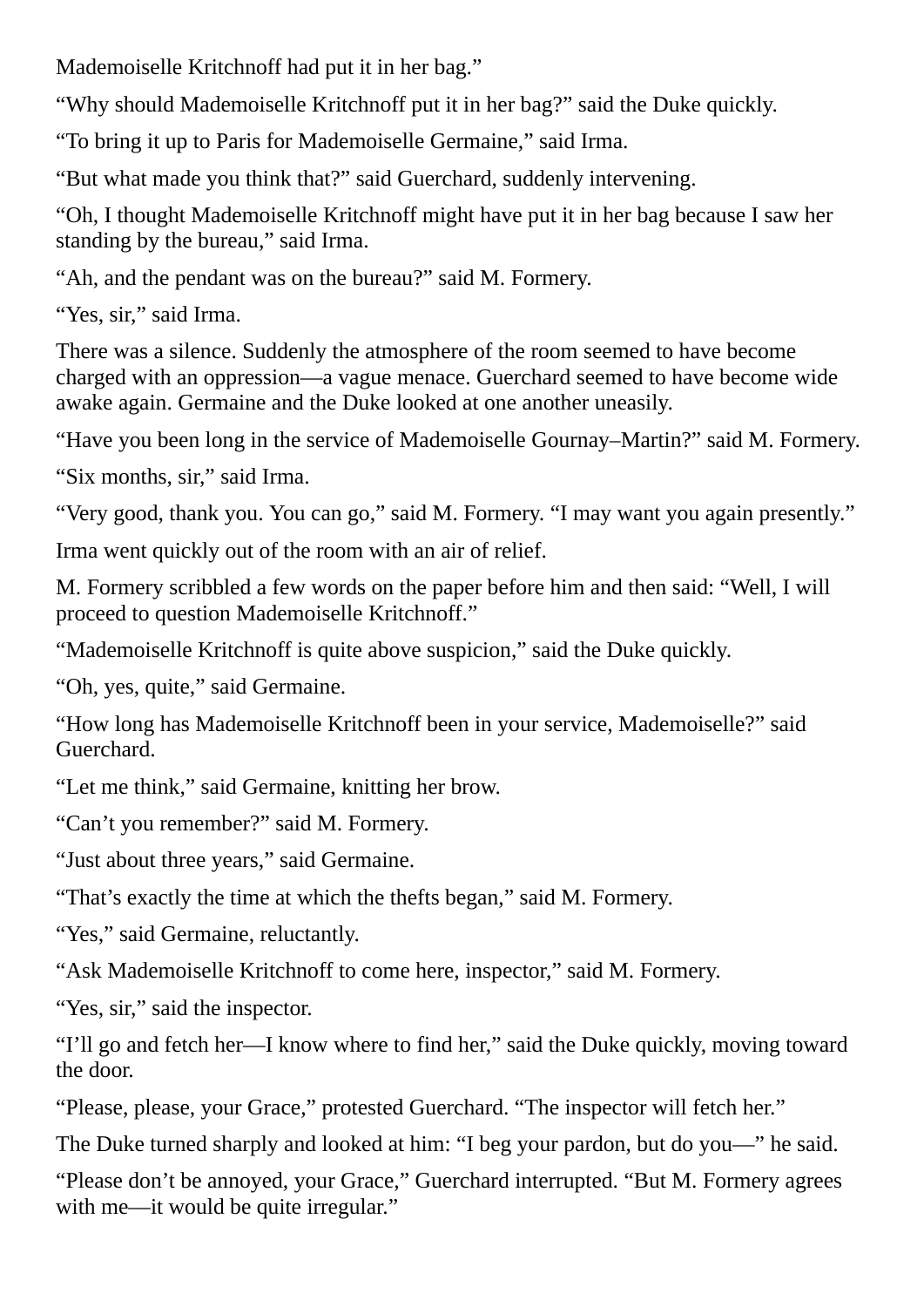Mademoiselle Kritchnoff had put it in her bag."

"Why should Mademoiselle Kritchnoff put it in her bag?" said the Duke quickly.

"To bring it up to Paris for Mademoiselle Germaine," said Irma.

"But what made you think that?" said Guerchard, suddenly intervening.

"Oh, I thought Mademoiselle Kritchnoff might have put it in her bag because I saw her standing by the bureau," said Irma.

"Ah, and the pendant was on the bureau?" said M. Formery.

"Yes, sir," said Irma.

There was a silence. Suddenly the atmosphere of the room seemed to have become charged with an oppression—a vague menace. Guerchard seemed to have become wide awake again. Germaine and the Duke looked at one another uneasily.

"Have you been long in the service of Mademoiselle Gournay–Martin?" said M. Formery.

"Six months, sir," said Irma.

"Very good, thank you. You can go," said M. Formery. "I may want you again presently."

Irma went quickly out of the room with an air of relief.

M. Formery scribbled a few words on the paper before him and then said: "Well, I will proceed to question Mademoiselle Kritchnoff."

"Mademoiselle Kritchnoff is quite above suspicion," said the Duke quickly.

"Oh, yes, quite," said Germaine.

"How long has Mademoiselle Kritchnoff been in your service, Mademoiselle?" said Guerchard.

"Let me think," said Germaine, knitting her brow.

"Can't you remember?" said M. Formery.

"Just about three years," said Germaine.

"That's exactly the time at which the thefts began," said M. Formery.

"Yes," said Germaine, reluctantly.

"Ask Mademoiselle Kritchnoff to come here, inspector," said M. Formery.

"Yes, sir," said the inspector.

"I'll go and fetch her—I know where to find her," said the Duke quickly, moving toward the door.

"Please, please, your Grace," protested Guerchard. "The inspector will fetch her."

The Duke turned sharply and looked at him: "I beg your pardon, but do you—" he said.

"Please don't be annoyed, your Grace," Guerchard interrupted. "But M. Formery agrees with me—it would be quite irregular."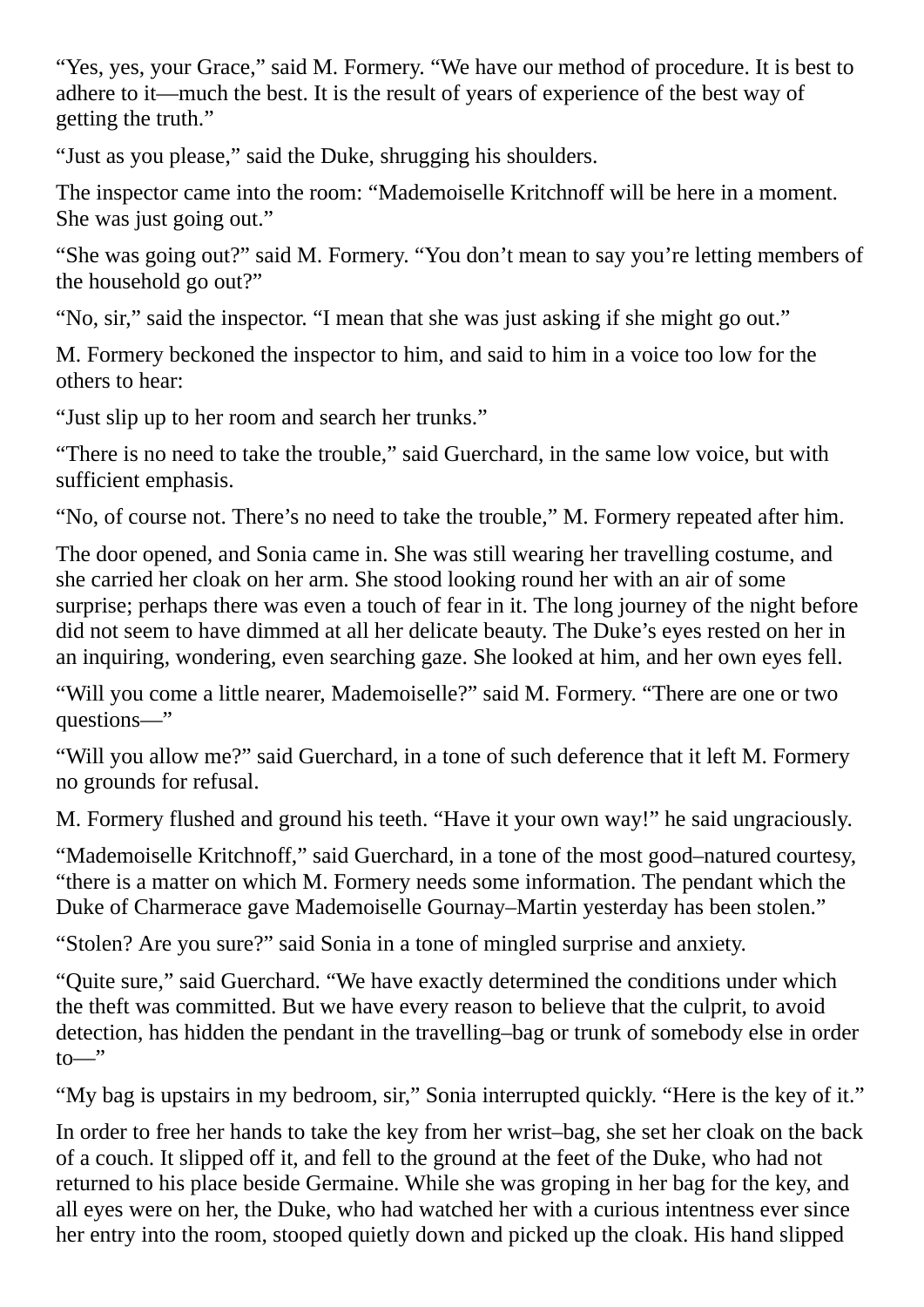"Yes, yes, your Grace," said M. Formery. "We have our method of procedure. It is best to adhere to it—much the best. It is the result of years of experience of the best way of getting the truth."

"Just as you please," said the Duke, shrugging his shoulders.

The inspector came into the room: "Mademoiselle Kritchnoff will be here in a moment. She was just going out."

"She was going out?" said M. Formery. "You don't mean to say you're letting members of the household go out?"

"No, sir," said the inspector. "I mean that she was just asking if she might go out."

M. Formery beckoned the inspector to him, and said to him in a voice too low for the others to hear:

"Just slip up to her room and search her trunks."

"There is no need to take the trouble," said Guerchard, in the same low voice, but with sufficient emphasis.

"No, of course not. There's no need to take the trouble," M. Formery repeated after him.

The door opened, and Sonia came in. She was still wearing her travelling costume, and she carried her cloak on her arm. She stood looking round her with an air of some surprise; perhaps there was even a touch of fear in it. The long journey of the night before did not seem to have dimmed at all her delicate beauty. The Duke's eyes rested on her in an inquiring, wondering, even searching gaze. She looked at him, and her own eyes fell.

"Will you come a little nearer, Mademoiselle?" said M. Formery. "There are one or two questions—"

"Will you allow me?" said Guerchard, in a tone of such deference that it left M. Formery no grounds for refusal.

M. Formery flushed and ground his teeth. "Have it your own way!" he said ungraciously.

"Mademoiselle Kritchnoff," said Guerchard, in a tone of the most good–natured courtesy, "there is a matter on which M. Formery needs some information. The pendant which the Duke of Charmerace gave Mademoiselle Gournay–Martin yesterday has been stolen."

"Stolen? Are you sure?" said Sonia in a tone of mingled surprise and anxiety.

"Quite sure," said Guerchard. "We have exactly determined the conditions under which the theft was committed. But we have every reason to believe that the culprit, to avoid detection, has hidden the pendant in the travelling–bag or trunk of somebody else in order  $to$ 

"My bag is upstairs in my bedroom, sir," Sonia interrupted quickly. "Here is the key of it."

In order to free her hands to take the key from her wrist–bag, she set her cloak on the back of a couch. It slipped off it, and fell to the ground at the feet of the Duke, who had not returned to his place beside Germaine. While she was groping in her bag for the key, and all eyes were on her, the Duke, who had watched her with a curious intentness ever since her entry into the room, stooped quietly down and picked up the cloak. His hand slipped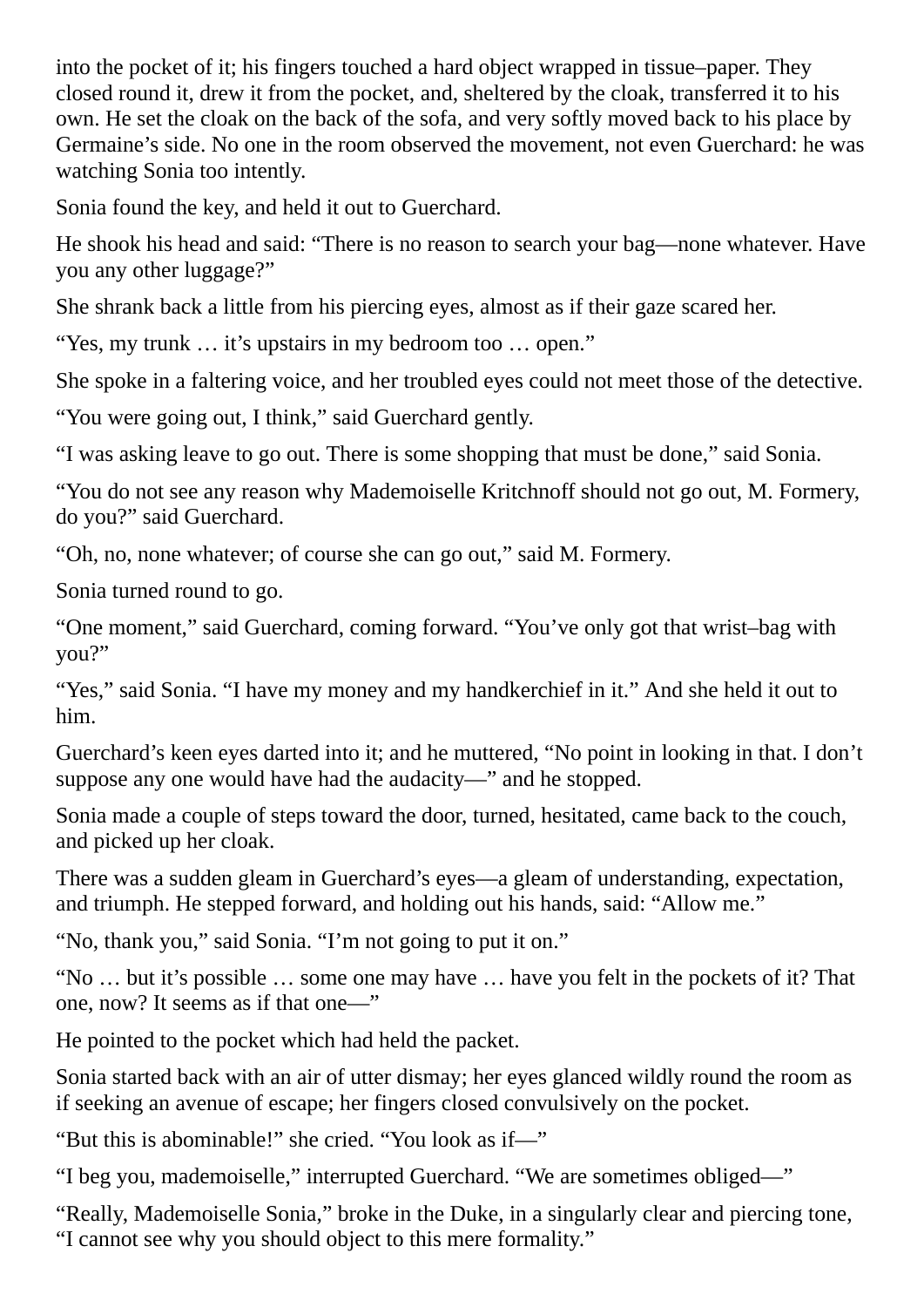into the pocket of it; his fingers touched a hard object wrapped in tissue–paper. They closed round it, drew it from the pocket, and, sheltered by the cloak, transferred it to his own. He set the cloak on the back of the sofa, and very softly moved back to his place by Germaine's side. No one in the room observed the movement, not even Guerchard: he was watching Sonia too intently.

Sonia found the key, and held it out to Guerchard.

He shook his head and said: "There is no reason to search your bag—none whatever. Have you any other luggage?"

She shrank back a little from his piercing eyes, almost as if their gaze scared her.

"Yes, my trunk … it's upstairs in my bedroom too … open."

She spoke in a faltering voice, and her troubled eyes could not meet those of the detective.

"You were going out, I think," said Guerchard gently.

"I was asking leave to go out. There is some shopping that must be done," said Sonia.

"You do not see any reason why Mademoiselle Kritchnoff should not go out, M. Formery, do you?" said Guerchard.

"Oh, no, none whatever; of course she can go out," said M. Formery.

Sonia turned round to go.

"One moment," said Guerchard, coming forward. "You've only got that wrist–bag with you?"

"Yes," said Sonia. "I have my money and my handkerchief in it." And she held it out to him.

Guerchard's keen eyes darted into it; and he muttered, "No point in looking in that. I don't suppose any one would have had the audacity—" and he stopped.

Sonia made a couple of steps toward the door, turned, hesitated, came back to the couch, and picked up her cloak.

There was a sudden gleam in Guerchard's eyes—a gleam of understanding, expectation, and triumph. He stepped forward, and holding out his hands, said: "Allow me."

"No, thank you," said Sonia. "I'm not going to put it on."

"No … but it's possible … some one may have … have you felt in the pockets of it? That one, now? It seems as if that one—"

He pointed to the pocket which had held the packet.

Sonia started back with an air of utter dismay; her eyes glanced wildly round the room as if seeking an avenue of escape; her fingers closed convulsively on the pocket.

"But this is abominable!" she cried. "You look as if—"

"I beg you, mademoiselle," interrupted Guerchard. "We are sometimes obliged—"

"Really, Mademoiselle Sonia," broke in the Duke, in a singularly clear and piercing tone, "I cannot see why you should object to this mere formality."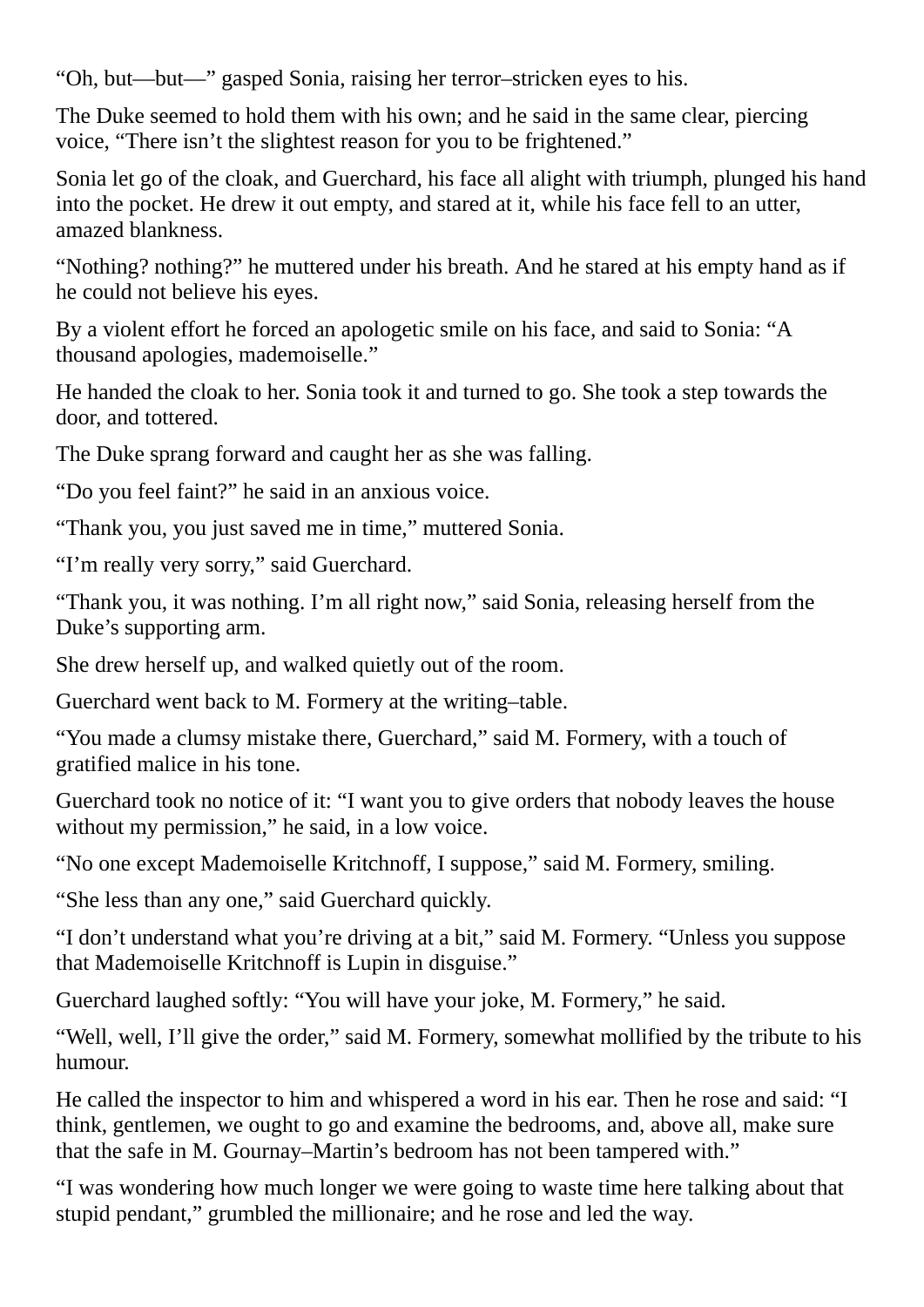"Oh, but—but—" gasped Sonia, raising her terror–stricken eyes to his.

The Duke seemed to hold them with his own; and he said in the same clear, piercing voice, "There isn't the slightest reason for you to be frightened."

Sonia let go of the cloak, and Guerchard, his face all alight with triumph, plunged his hand into the pocket. He drew it out empty, and stared at it, while his face fell to an utter, amazed blankness.

"Nothing? nothing?" he muttered under his breath. And he stared at his empty hand as if he could not believe his eyes.

By a violent effort he forced an apologetic smile on his face, and said to Sonia: "A thousand apologies, mademoiselle."

He handed the cloak to her. Sonia took it and turned to go. She took a step towards the door, and tottered.

The Duke sprang forward and caught her as she was falling.

"Do you feel faint?" he said in an anxious voice.

"Thank you, you just saved me in time," muttered Sonia.

"I'm really very sorry," said Guerchard.

"Thank you, it was nothing. I'm all right now," said Sonia, releasing herself from the Duke's supporting arm.

She drew herself up, and walked quietly out of the room.

Guerchard went back to M. Formery at the writing–table.

"You made a clumsy mistake there, Guerchard," said M. Formery, with a touch of gratified malice in his tone.

Guerchard took no notice of it: "I want you to give orders that nobody leaves the house without my permission," he said, in a low voice.

"No one except Mademoiselle Kritchnoff, I suppose," said M. Formery, smiling.

"She less than any one," said Guerchard quickly.

"I don't understand what you're driving at a bit," said M. Formery. "Unless you suppose that Mademoiselle Kritchnoff is Lupin in disguise."

Guerchard laughed softly: "You will have your joke, M. Formery," he said.

"Well, well, I'll give the order," said M. Formery, somewhat mollified by the tribute to his humour.

He called the inspector to him and whispered a word in his ear. Then he rose and said: "I think, gentlemen, we ought to go and examine the bedrooms, and, above all, make sure that the safe in M. Gournay–Martin's bedroom has not been tampered with."

"I was wondering how much longer we were going to waste time here talking about that stupid pendant," grumbled the millionaire; and he rose and led the way.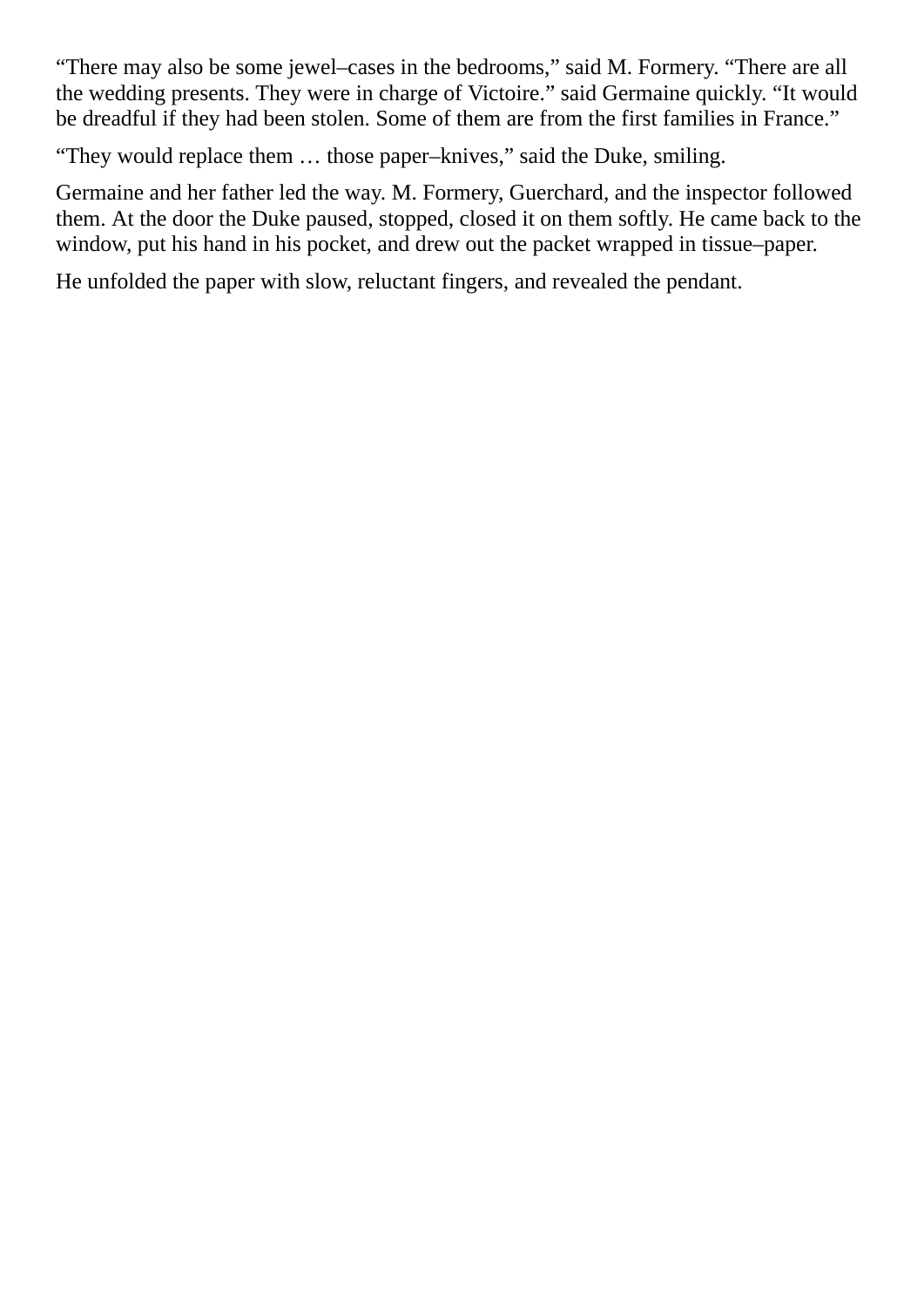"There may also be some jewel–cases in the bedrooms," said M. Formery. "There are all the wedding presents. They were in charge of Victoire." said Germaine quickly. "It would be dreadful if they had been stolen. Some of them are from the first families in France."

"They would replace them … those paper–knives," said the Duke, smiling.

Germaine and her father led the way. M. Formery, Guerchard, and the inspector followed them. At the door the Duke paused, stopped, closed it on them softly. He came back to the window, put his hand in his pocket, and drew out the packet wrapped in tissue–paper.

He unfolded the paper with slow, reluctant fingers, and revealed the pendant.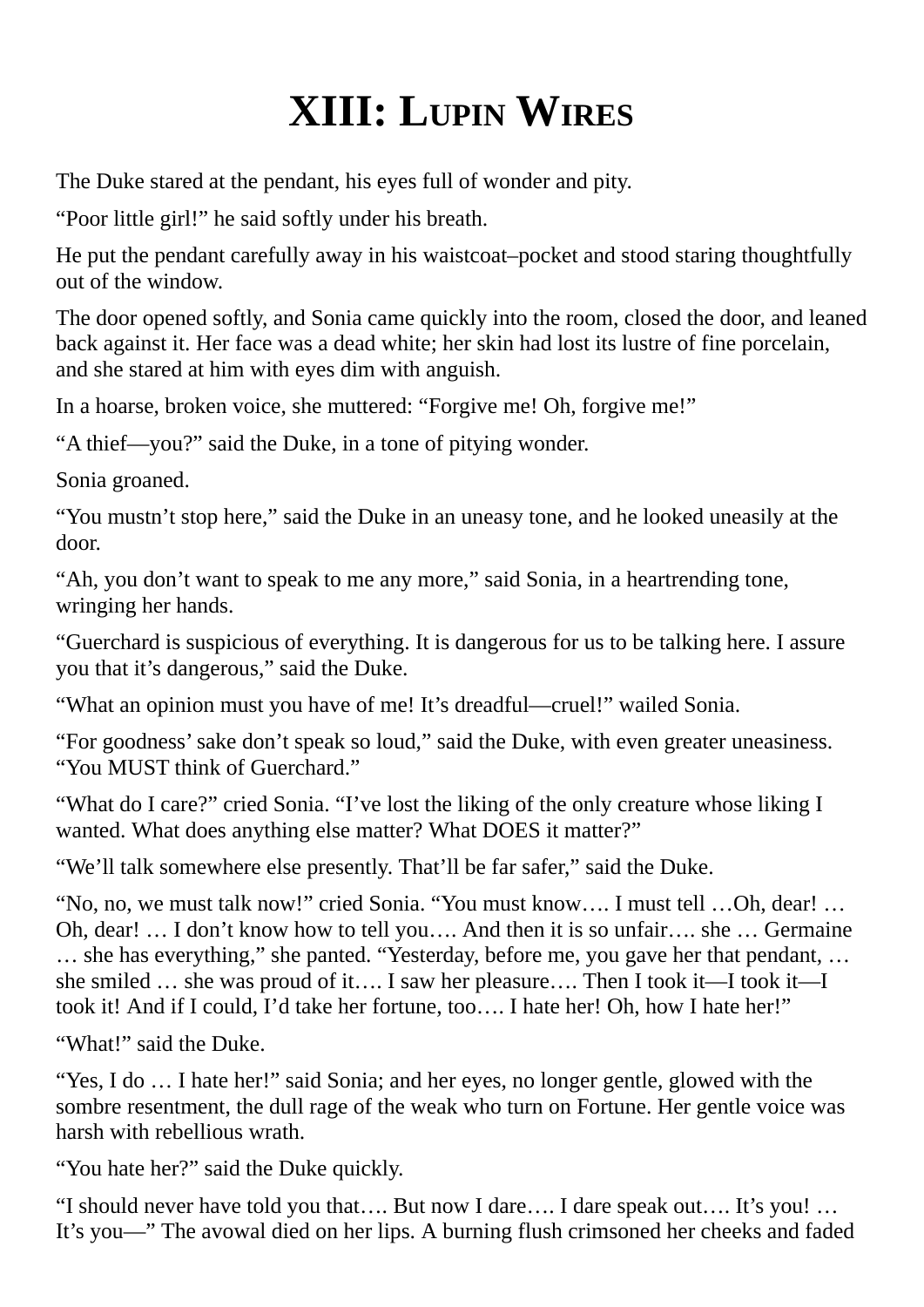### **XIII: LUPIN WIRES**

The Duke stared at the pendant, his eyes full of wonder and pity.

"Poor little girl!" he said softly under his breath.

He put the pendant carefully away in his waistcoat–pocket and stood staring thoughtfully out of the window.

The door opened softly, and Sonia came quickly into the room, closed the door, and leaned back against it. Her face was a dead white; her skin had lost its lustre of fine porcelain, and she stared at him with eyes dim with anguish.

In a hoarse, broken voice, she muttered: "Forgive me! Oh, forgive me!"

"A thief—you?" said the Duke, in a tone of pitying wonder.

Sonia groaned.

"You mustn't stop here," said the Duke in an uneasy tone, and he looked uneasily at the door.

"Ah, you don't want to speak to me any more," said Sonia, in a heartrending tone, wringing her hands.

"Guerchard is suspicious of everything. It is dangerous for us to be talking here. I assure you that it's dangerous," said the Duke.

"What an opinion must you have of me! It's dreadful—cruel!" wailed Sonia.

"For goodness'sake don't speak so loud," said the Duke, with even greater uneasiness. "You MUST think of Guerchard."

"What do I care?" cried Sonia. "I've lost the liking of the only creature whose liking I wanted. What does anything else matter? What DOES it matter?"

"We'll talk somewhere else presently. That'll be far safer," said the Duke.

"No, no, we must talk now!" cried Sonia. "You must know…. I must tell …Oh, dear! … Oh, dear! … I don't know how to tell you…. And then it is so unfair…. she … Germaine … she has everything," she panted. "Yesterday, before me, you gave her that pendant, … she smiled … she was proud of it…. I saw her pleasure…. Then I took it—I took it—I took it! And if I could, I'd take her fortune, too…. I hate her! Oh, how I hate her!"

"What!" said the Duke.

"Yes, I do … I hate her!" said Sonia; and her eyes, no longer gentle, glowed with the sombre resentment, the dull rage of the weak who turn on Fortune. Her gentle voice was harsh with rebellious wrath.

"You hate her?" said the Duke quickly.

"I should never have told you that…. But now I dare…. I dare speak out…. It's you! … It's you—" The avowal died on her lips. A burning flush crimsoned her cheeks and faded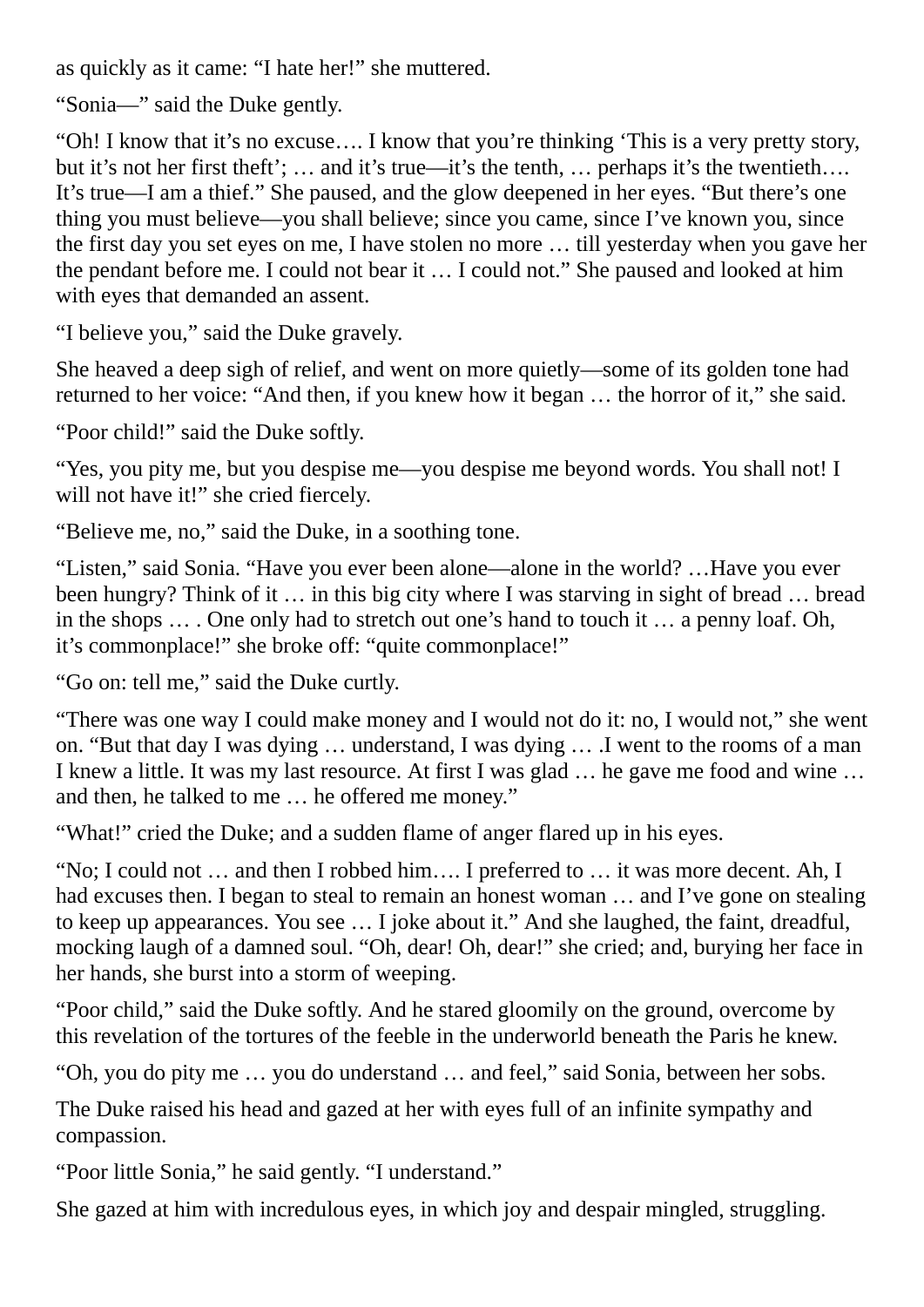as quickly as it came: "I hate her!" she muttered.

"Sonia—" said the Duke gently.

"Oh! I know that it's no excuse…. I know that you're thinking 'This is a very pretty story, but it's not her first theft'; ... and it's true—it's the tenth, ... perhaps it's the twentieth.... It's true—I am a thief." She paused, and the glow deepened in her eyes. "But there's one thing you must believe—you shall believe; since you came, since I've known you, since the first day you set eyes on me, I have stolen no more … till yesterday when you gave her the pendant before me. I could not bear it … I could not." She paused and looked at him with eyes that demanded an assent.

"I believe you," said the Duke gravely.

She heaved a deep sigh of relief, and went on more quietly—some of its golden tone had returned to her voice: "And then, if you knew how it began … the horror of it," she said.

"Poor child!" said the Duke softly.

"Yes, you pity me, but you despise me—you despise me beyond words. You shall not! I will not have it!" she cried fiercely.

"Believe me, no," said the Duke, in a soothing tone.

"Listen," said Sonia. "Have you ever been alone—alone in the world? …Have you ever been hungry? Think of it … in this big city where I was starving in sight of bread … bread in the shops … . One only had to stretch out one's hand to touch it … a penny loaf. Oh, it's commonplace!" she broke off: "quite commonplace!"

"Go on: tell me," said the Duke curtly.

"There was one way I could make money and I would not do it: no, I would not," she went on. "But that day I was dying … understand, I was dying … .I went to the rooms of a man I knew a little. It was my last resource. At first I was glad … he gave me food and wine … and then, he talked to me … he offered me money."

"What!" cried the Duke; and a sudden flame of anger flared up in his eyes.

"No; I could not … and then I robbed him…. I preferred to … it was more decent. Ah, I had excuses then. I began to steal to remain an honest woman … and I've gone on stealing to keep up appearances. You see … I joke about it." And she laughed, the faint, dreadful, mocking laugh of a damned soul. "Oh, dear! Oh, dear!" she cried; and, burying her face in her hands, she burst into a storm of weeping.

"Poor child," said the Duke softly. And he stared gloomily on the ground, overcome by this revelation of the tortures of the feeble in the underworld beneath the Paris he knew.

"Oh, you do pity me … you do understand … and feel," said Sonia, between her sobs.

The Duke raised his head and gazed at her with eyes full of an infinite sympathy and compassion.

"Poor little Sonia," he said gently. "I understand."

She gazed at him with incredulous eyes, in which joy and despair mingled, struggling.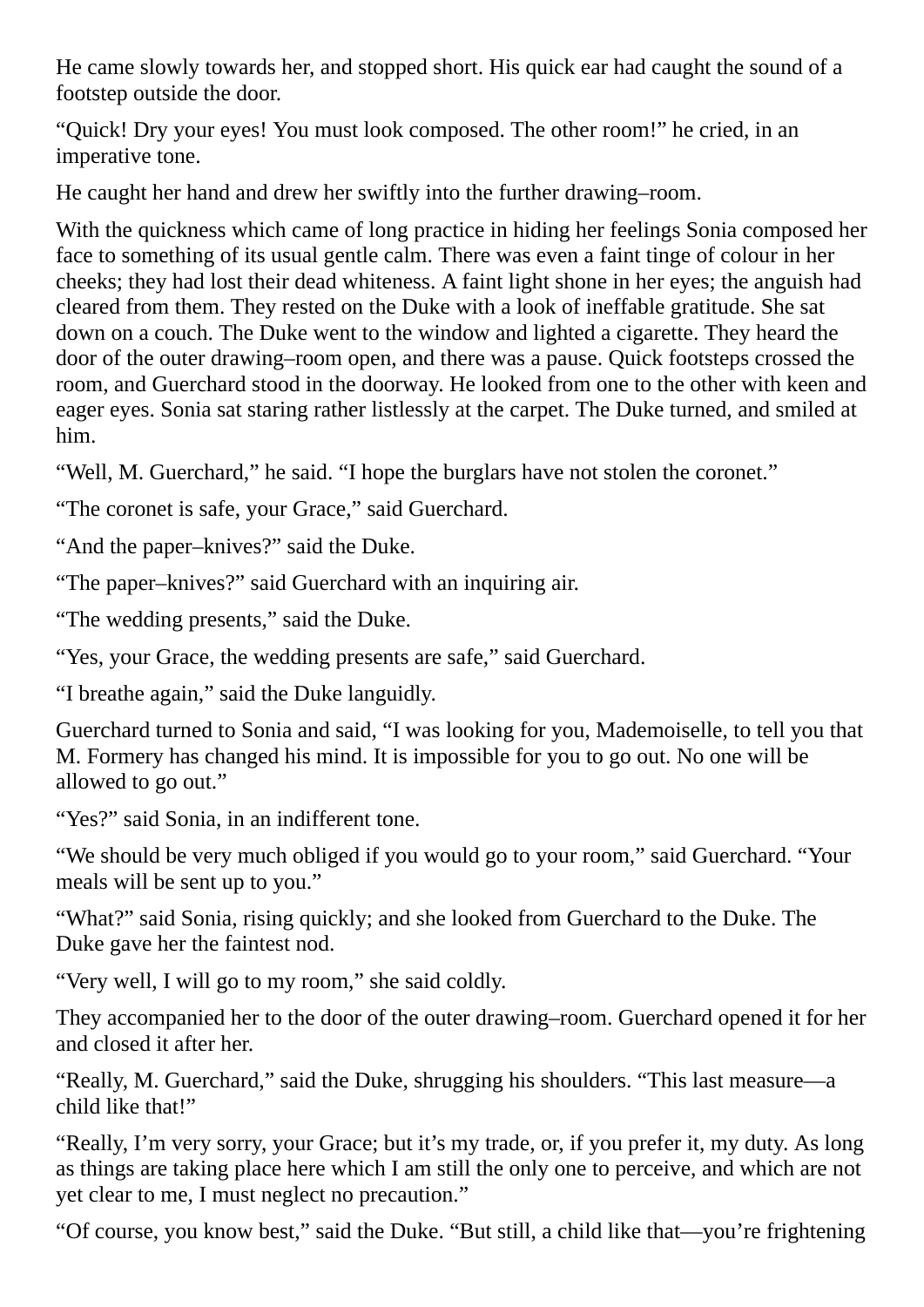He came slowly towards her, and stopped short. His quick ear had caught the sound of a footstep outside the door.

"Quick! Dry your eyes! You must look composed. The other room!" he cried, in an imperative tone.

He caught her hand and drew her swiftly into the further drawing–room.

With the quickness which came of long practice in hiding her feelings Sonia composed her face to something of its usual gentle calm. There was even a faint tinge of colour in her cheeks; they had lost their dead whiteness. A faint light shone in her eyes; the anguish had cleared from them. They rested on the Duke with a look of ineffable gratitude. She sat down on a couch. The Duke went to the window and lighted a cigarette. They heard the door of the outer drawing–room open, and there was a pause. Quick footsteps crossed the room, and Guerchard stood in the doorway. He looked from one to the other with keen and eager eyes. Sonia sat staring rather listlessly at the carpet. The Duke turned, and smiled at him.

"Well, M. Guerchard," he said. "I hope the burglars have not stolen the coronet."

"The coronet is safe, your Grace," said Guerchard.

"And the paper–knives?" said the Duke.

"The paper–knives?" said Guerchard with an inquiring air.

"The wedding presents," said the Duke.

"Yes, your Grace, the wedding presents are safe," said Guerchard.

"I breathe again," said the Duke languidly.

Guerchard turned to Sonia and said, "I was looking for you, Mademoiselle, to tell you that M. Formery has changed his mind. It is impossible for you to go out. No one will be allowed to go out."

"Yes?" said Sonia, in an indifferent tone.

"We should be very much obliged if you would go to your room," said Guerchard. "Your meals will be sent up to you."

"What?" said Sonia, rising quickly; and she looked from Guerchard to the Duke. The Duke gave her the faintest nod.

"Very well, I will go to my room," she said coldly.

They accompanied her to the door of the outer drawing–room. Guerchard opened it for her and closed it after her.

"Really, M. Guerchard," said the Duke, shrugging his shoulders. "This last measure—a child like that!"

"Really, I'm very sorry, your Grace; but it's my trade, or, if you prefer it, my duty. As long as things are taking place here which I am still the only one to perceive, and which are not yet clear to me, I must neglect no precaution."

"Of course, you know best," said the Duke. "But still, a child like that—you're frightening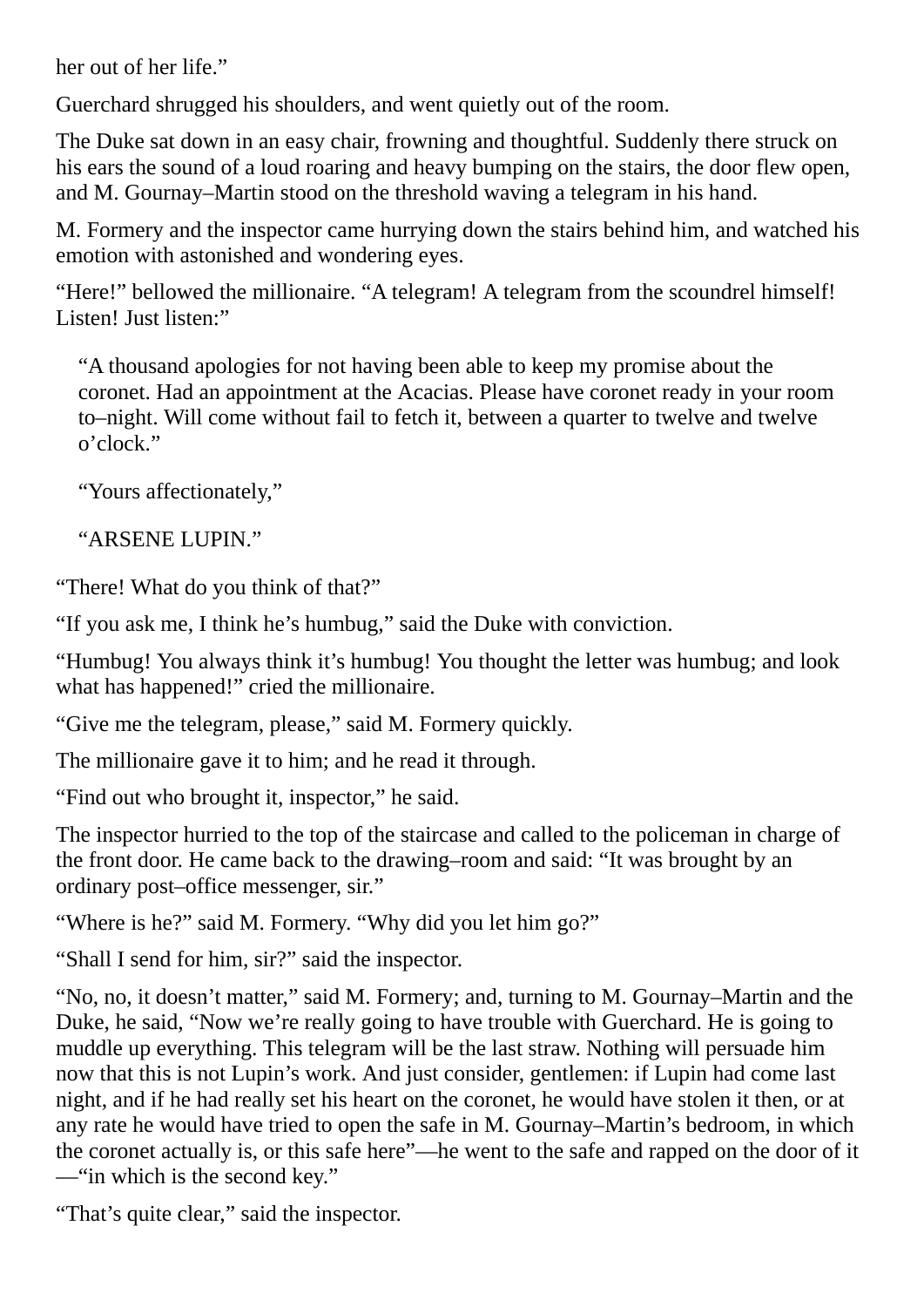her out of her life."

Guerchard shrugged his shoulders, and went quietly out of the room.

The Duke sat down in an easy chair, frowning and thoughtful. Suddenly there struck on his ears the sound of a loud roaring and heavy bumping on the stairs, the door flew open, and M. Gournay–Martin stood on the threshold waving a telegram in his hand.

M. Formery and the inspector came hurrying down the stairs behind him, and watched his emotion with astonished and wondering eyes.

"Here!" bellowed the millionaire. "A telegram! A telegram from the scoundrel himself! Listen! Just listen:"

"A thousand apologies for not having been able to keep my promise about the coronet. Had an appointment at the Acacias. Please have coronet ready in your room to–night. Will come without fail to fetch it, between a quarter to twelve and twelve o'clock."

"Yours affectionately,"

"ARSENE LUPIN."

"There! What do you think of that?"

"If you ask me, I think he's humbug," said the Duke with conviction.

"Humbug! You always think it's humbug! You thought the letter was humbug; and look what has happened!" cried the millionaire.

"Give me the telegram, please," said M. Formery quickly.

The millionaire gave it to him; and he read it through.

"Find out who brought it, inspector," he said.

The inspector hurried to the top of the staircase and called to the policeman in charge of the front door. He came back to the drawing–room and said: "It was brought by an ordinary post–office messenger, sir."

"Where is he?" said M. Formery. "Why did you let him go?"

"Shall I send for him, sir?" said the inspector.

"No, no, it doesn't matter," said M. Formery; and, turning to M. Gournay–Martin and the Duke, he said, "Now we're really going to have trouble with Guerchard. He is going to muddle up everything. This telegram will be the last straw. Nothing will persuade him now that this is not Lupin's work. And just consider, gentlemen: if Lupin had come last night, and if he had really set his heart on the coronet, he would have stolen it then, or at any rate he would have tried to open the safe in M. Gournay–Martin's bedroom, in which the coronet actually is, or this safe here"—he went to the safe and rapped on the door of it —"in which is the second key."

"That's quite clear," said the inspector.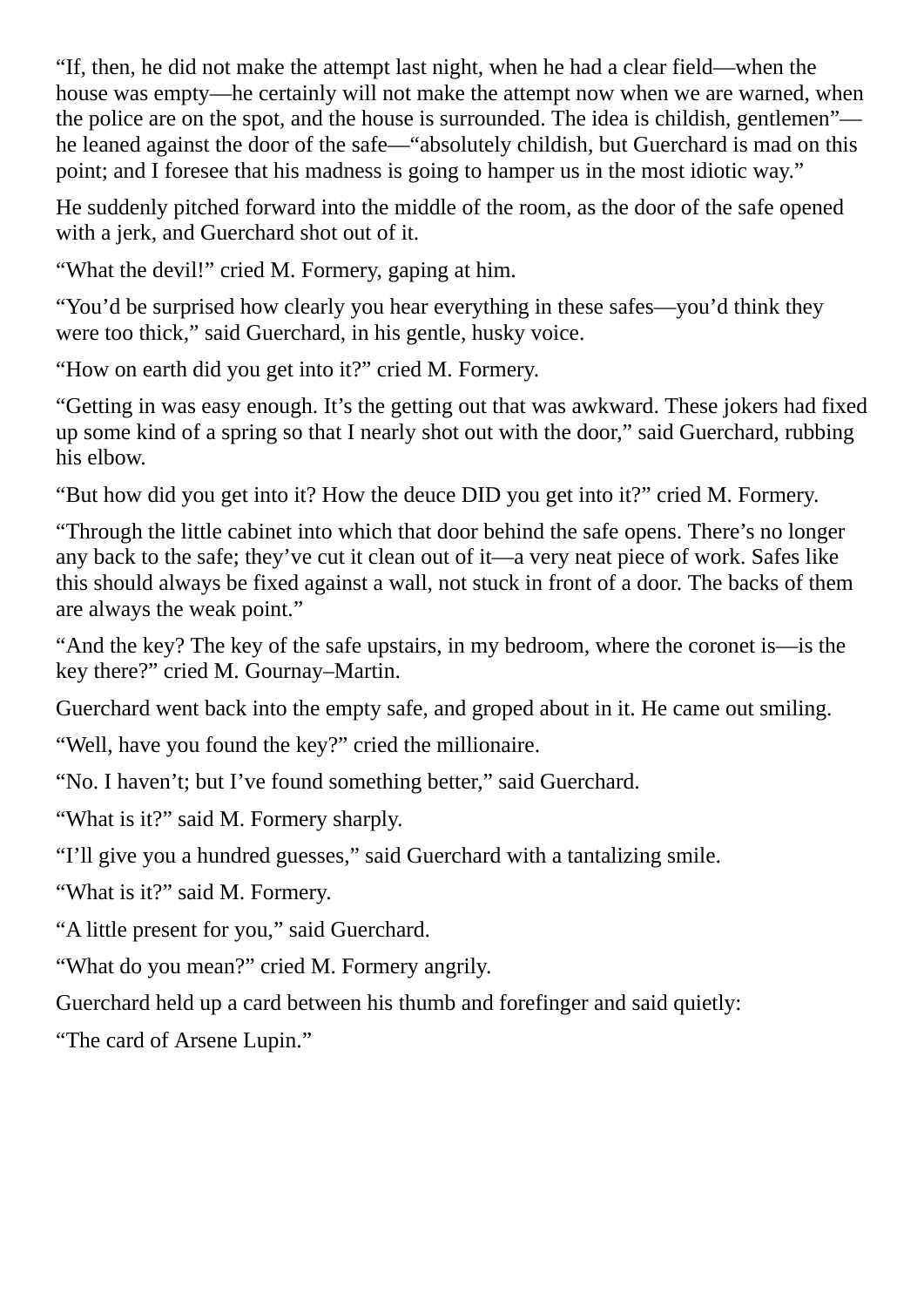"If, then, he did not make the attempt last night, when he had a clear field—when the house was empty—he certainly will not make the attempt now when we are warned, when the police are on the spot, and the house is surrounded. The idea is childish, gentlemen" he leaned against the door of the safe—"absolutely childish, but Guerchard is mad on this point; and I foresee that his madness is going to hamper us in the most idiotic way."

He suddenly pitched forward into the middle of the room, as the door of the safe opened with a jerk, and Guerchard shot out of it.

"What the devil!" cried M. Formery, gaping at him.

"You'd be surprised how clearly you hear everything in these safes—you'd think they were too thick," said Guerchard, in his gentle, husky voice.

"How on earth did you get into it?" cried M. Formery.

"Getting in was easy enough. It's the getting out that was awkward. These jokers had fixed up some kind of a spring so that I nearly shot out with the door," said Guerchard, rubbing his elbow.

"But how did you get into it? How the deuce DID you get into it?" cried M. Formery.

"Through the little cabinet into which that door behind the safe opens. There's no longer any back to the safe; they've cut it clean out of it—a very neat piece of work. Safes like this should always be fixed against a wall, not stuck in front of a door. The backs of them are always the weak point."

"And the key? The key of the safe upstairs, in my bedroom, where the coronet is—is the key there?" cried M. Gournay–Martin.

Guerchard went back into the empty safe, and groped about in it. He came out smiling.

"Well, have you found the key?" cried the millionaire.

"No. I haven't; but I've found something better," said Guerchard.

"What is it?" said M. Formery sharply.

"I'll give you a hundred guesses," said Guerchard with a tantalizing smile.

"What is it?" said M. Formery.

"A little present for you," said Guerchard.

"What do you mean?" cried M. Formery angrily.

Guerchard held up a card between his thumb and forefinger and said quietly:

"The card of Arsene Lupin."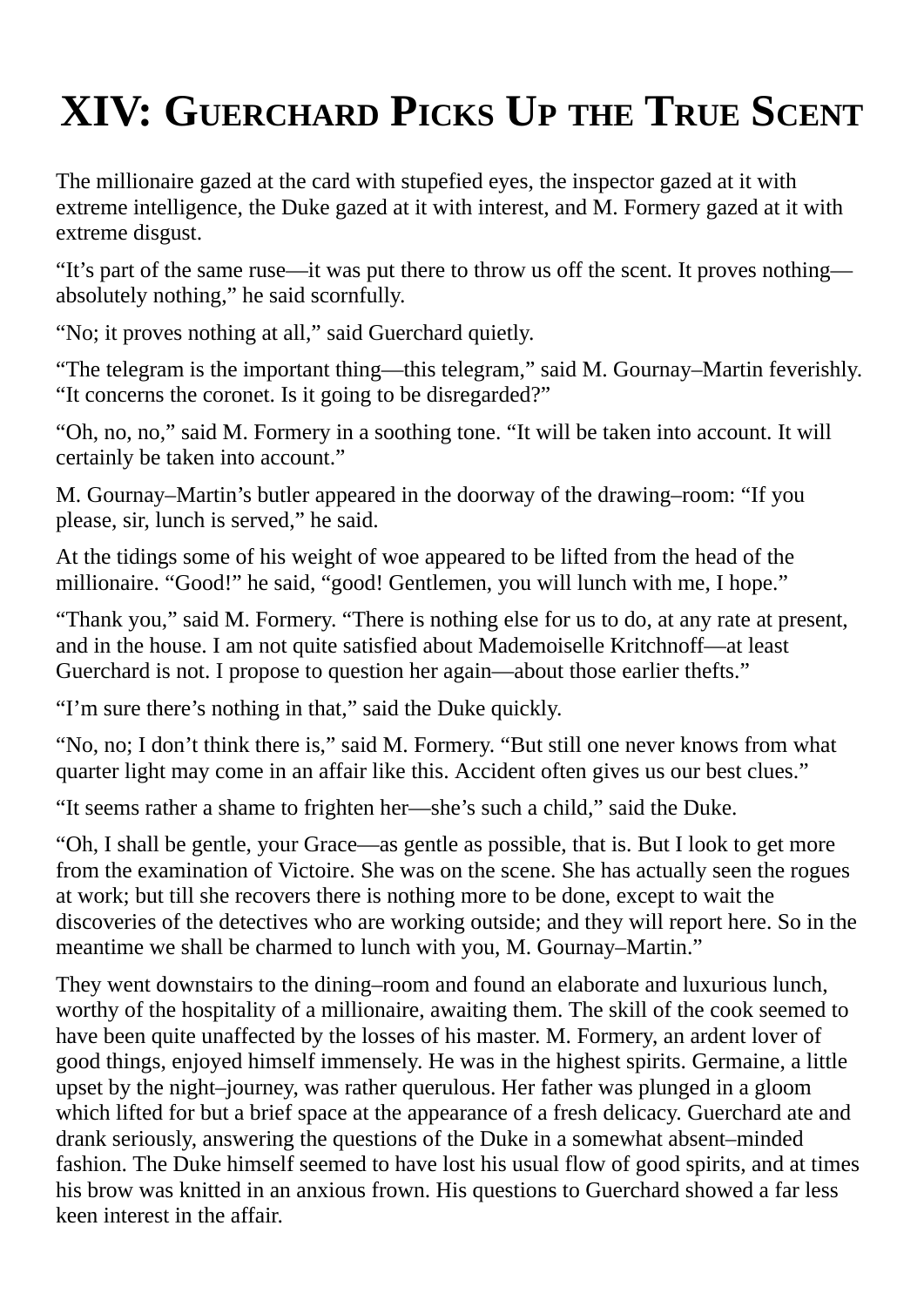# **XIV: GUERCHARD PICKS UP THE TRUE SCENT**

The millionaire gazed at the card with stupefied eyes, the inspector gazed at it with extreme intelligence, the Duke gazed at it with interest, and M. Formery gazed at it with extreme disgust.

"It's part of the same ruse—it was put there to throw us off the scent. It proves nothing absolutely nothing," he said scornfully.

"No; it proves nothing at all," said Guerchard quietly.

"The telegram is the important thing—this telegram," said M. Gournay–Martin feverishly. "It concerns the coronet. Is it going to be disregarded?"

"Oh, no, no," said M. Formery in a soothing tone. "It will be taken into account. It will certainly be taken into account."

M. Gournay–Martin's butler appeared in the doorway of the drawing–room: "If you please, sir, lunch is served," he said.

At the tidings some of his weight of woe appeared to be lifted from the head of the millionaire. "Good!" he said, "good! Gentlemen, you will lunch with me, I hope."

"Thank you," said M. Formery. "There is nothing else for us to do, at any rate at present, and in the house. I am not quite satisfied about Mademoiselle Kritchnoff—at least Guerchard is not. I propose to question her again—about those earlier thefts."

"I'm sure there's nothing in that," said the Duke quickly.

"No, no; I don't think there is," said M. Formery. "But still one never knows from what quarter light may come in an affair like this. Accident often gives us our best clues."

"It seems rather a shame to frighten her—she's such a child," said the Duke.

"Oh, I shall be gentle, your Grace—as gentle as possible, that is. But I look to get more from the examination of Victoire. She was on the scene. She has actually seen the rogues at work; but till she recovers there is nothing more to be done, except to wait the discoveries of the detectives who are working outside; and they will report here. So in the meantime we shall be charmed to lunch with you, M. Gournay–Martin."

They went downstairs to the dining–room and found an elaborate and luxurious lunch, worthy of the hospitality of a millionaire, awaiting them. The skill of the cook seemed to have been quite unaffected by the losses of his master. M. Formery, an ardent lover of good things, enjoyed himself immensely. He was in the highest spirits. Germaine, a little upset by the night–journey, was rather querulous. Her father was plunged in a gloom which lifted for but a brief space at the appearance of a fresh delicacy. Guerchard ate and drank seriously, answering the questions of the Duke in a somewhat absent–minded fashion. The Duke himself seemed to have lost his usual flow of good spirits, and at times his brow was knitted in an anxious frown. His questions to Guerchard showed a far less keen interest in the affair.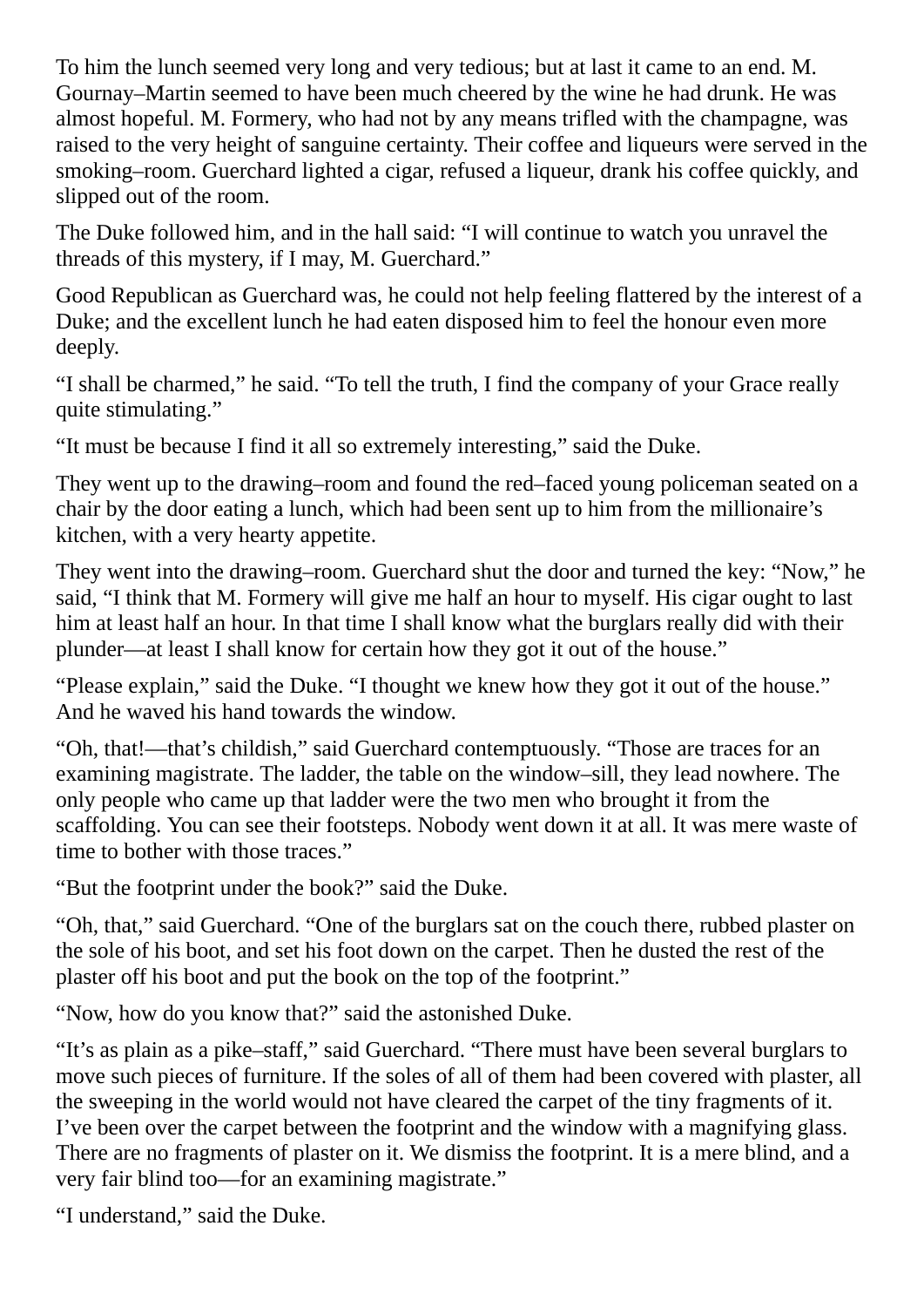To him the lunch seemed very long and very tedious; but at last it came to an end. M. Gournay–Martin seemed to have been much cheered by the wine he had drunk. He was almost hopeful. M. Formery, who had not by any means trifled with the champagne, was raised to the very height of sanguine certainty. Their coffee and liqueurs were served in the smoking–room. Guerchard lighted a cigar, refused a liqueur, drank his coffee quickly, and slipped out of the room.

The Duke followed him, and in the hall said: "I will continue to watch you unravel the threads of this mystery, if I may, M. Guerchard."

Good Republican as Guerchard was, he could not help feeling flattered by the interest of a Duke; and the excellent lunch he had eaten disposed him to feel the honour even more deeply.

"I shall be charmed," he said. "To tell the truth, I find the company of your Grace really quite stimulating."

"It must be because I find it all so extremely interesting," said the Duke.

They went up to the drawing–room and found the red–faced young policeman seated on a chair by the door eating a lunch, which had been sent up to him from the millionaire's kitchen, with a very hearty appetite.

They went into the drawing–room. Guerchard shut the door and turned the key: "Now," he said, "I think that M. Formery will give me half an hour to myself. His cigar ought to last him at least half an hour. In that time I shall know what the burglars really did with their plunder—at least I shall know for certain how they got it out of the house."

"Please explain," said the Duke. "I thought we knew how they got it out of the house." And he waved his hand towards the window.

"Oh, that!—that's childish," said Guerchard contemptuously. "Those are traces for an examining magistrate. The ladder, the table on the window–sill, they lead nowhere. The only people who came up that ladder were the two men who brought it from the scaffolding. You can see their footsteps. Nobody went down it at all. It was mere waste of time to bother with those traces."

"But the footprint under the book?" said the Duke.

"Oh, that," said Guerchard. "One of the burglars sat on the couch there, rubbed plaster on the sole of his boot, and set his foot down on the carpet. Then he dusted the rest of the plaster off his boot and put the book on the top of the footprint."

"Now, how do you know that?" said the astonished Duke.

"It's as plain as a pike–staff," said Guerchard. "There must have been several burglars to move such pieces of furniture. If the soles of all of them had been covered with plaster, all the sweeping in the world would not have cleared the carpet of the tiny fragments of it. I've been over the carpet between the footprint and the window with a magnifying glass. There are no fragments of plaster on it. We dismiss the footprint. It is a mere blind, and a very fair blind too—for an examining magistrate."

"I understand," said the Duke.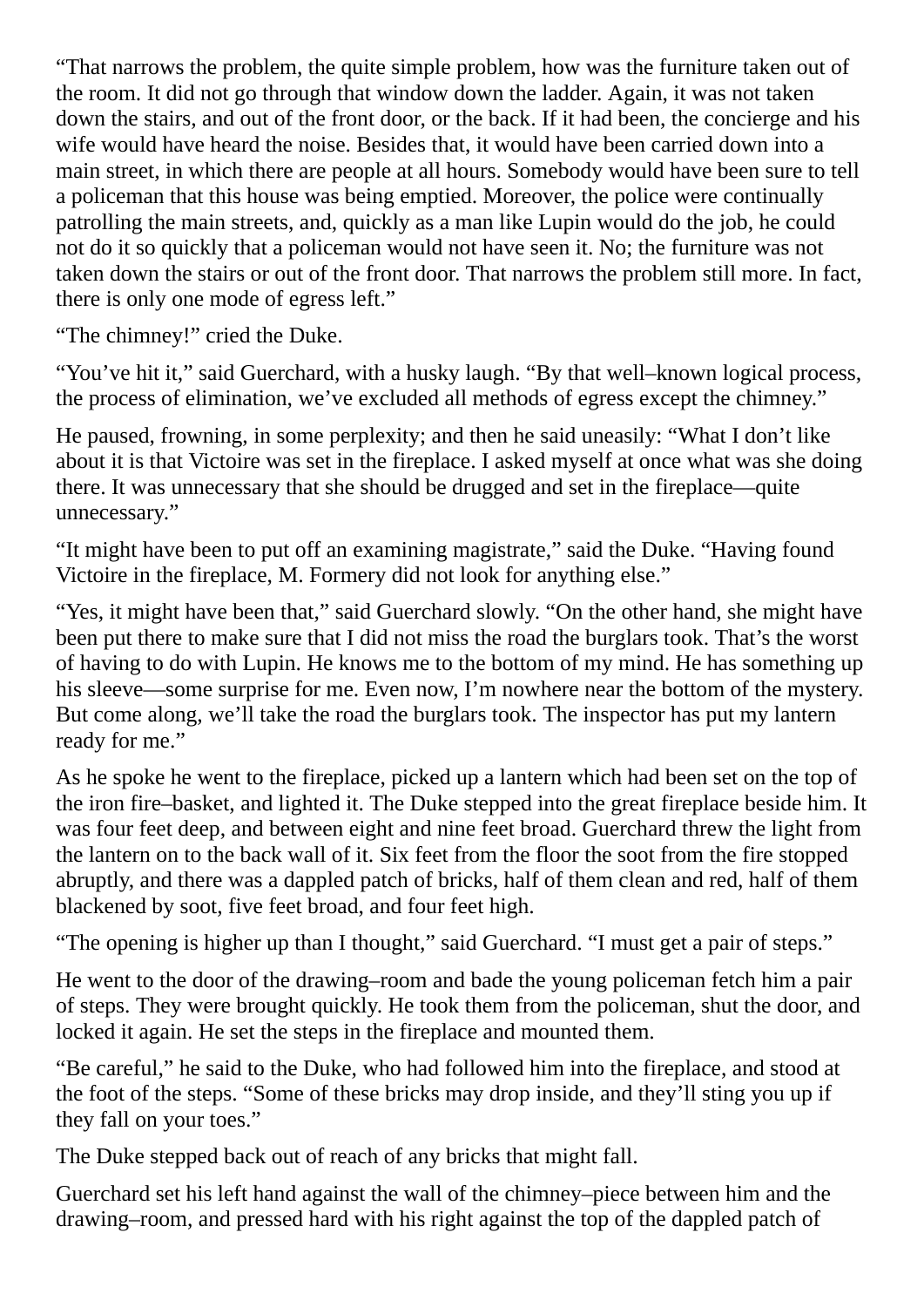"That narrows the problem, the quite simple problem, how was the furniture taken out of the room. It did not go through that window down the ladder. Again, it was not taken down the stairs, and out of the front door, or the back. If it had been, the concierge and his wife would have heard the noise. Besides that, it would have been carried down into a main street, in which there are people at all hours. Somebody would have been sure to tell a policeman that this house was being emptied. Moreover, the police were continually patrolling the main streets, and, quickly as a man like Lupin would do the job, he could not do it so quickly that a policeman would not have seen it. No; the furniture was not taken down the stairs or out of the front door. That narrows the problem still more. In fact, there is only one mode of egress left."

"The chimney!" cried the Duke.

"You've hit it," said Guerchard, with a husky laugh. "By that well–known logical process, the process of elimination, we've excluded all methods of egress except the chimney."

He paused, frowning, in some perplexity; and then he said uneasily: "What I don't like about it is that Victoire was set in the fireplace. I asked myself at once what was she doing there. It was unnecessary that she should be drugged and set in the fireplace—quite unnecessary."

"It might have been to put off an examining magistrate," said the Duke. "Having found Victoire in the fireplace, M. Formery did not look for anything else."

"Yes, it might have been that," said Guerchard slowly. "On the other hand, she might have been put there to make sure that I did not miss the road the burglars took. That's the worst of having to do with Lupin. He knows me to the bottom of my mind. He has something up his sleeve—some surprise for me. Even now, I'm nowhere near the bottom of the mystery. But come along, we'll take the road the burglars took. The inspector has put my lantern ready for me."

As he spoke he went to the fireplace, picked up a lantern which had been set on the top of the iron fire–basket, and lighted it. The Duke stepped into the great fireplace beside him. It was four feet deep, and between eight and nine feet broad. Guerchard threw the light from the lantern on to the back wall of it. Six feet from the floor the soot from the fire stopped abruptly, and there was a dappled patch of bricks, half of them clean and red, half of them blackened by soot, five feet broad, and four feet high.

"The opening is higher up than I thought," said Guerchard. "I must get a pair of steps."

He went to the door of the drawing–room and bade the young policeman fetch him a pair of steps. They were brought quickly. He took them from the policeman, shut the door, and locked it again. He set the steps in the fireplace and mounted them.

"Be careful," he said to the Duke, who had followed him into the fireplace, and stood at the foot of the steps. "Some of these bricks may drop inside, and they'll sting you up if they fall on your toes."

The Duke stepped back out of reach of any bricks that might fall.

Guerchard set his left hand against the wall of the chimney–piece between him and the drawing–room, and pressed hard with his right against the top of the dappled patch of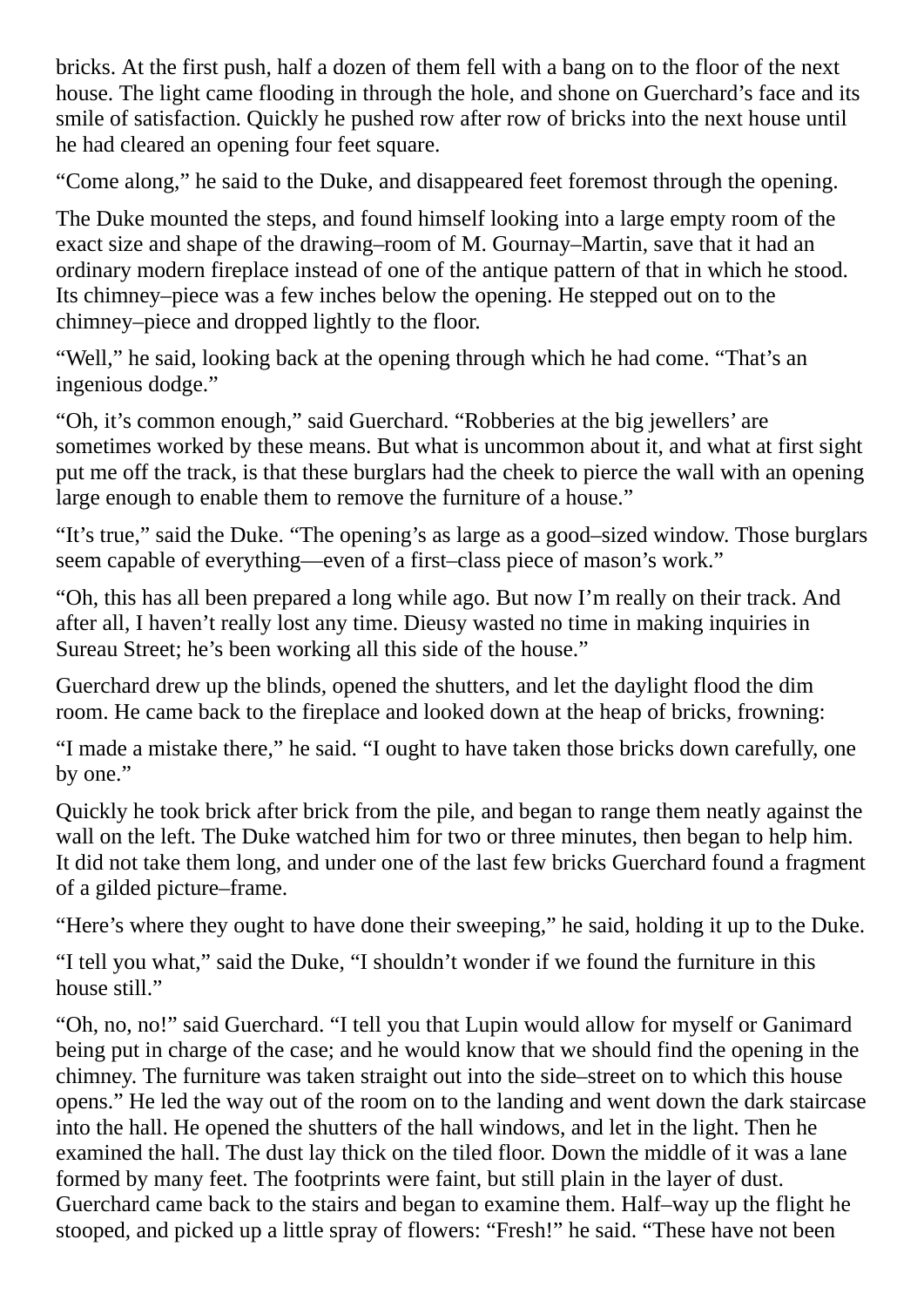bricks. At the first push, half a dozen of them fell with a bang on to the floor of the next house. The light came flooding in through the hole, and shone on Guerchard's face and its smile of satisfaction. Quickly he pushed row after row of bricks into the next house until he had cleared an opening four feet square.

"Come along," he said to the Duke, and disappeared feet foremost through the opening.

The Duke mounted the steps, and found himself looking into a large empty room of the exact size and shape of the drawing–room of M. Gournay–Martin, save that it had an ordinary modern fireplace instead of one of the antique pattern of that in which he stood. Its chimney–piece was a few inches below the opening. He stepped out on to the chimney–piece and dropped lightly to the floor.

"Well," he said, looking back at the opening through which he had come. "That's an ingenious dodge."

"Oh, it's common enough," said Guerchard. "Robberies at the big jewellers' are sometimes worked by these means. But what is uncommon about it, and what at first sight put me off the track, is that these burglars had the cheek to pierce the wall with an opening large enough to enable them to remove the furniture of a house."

"It's true," said the Duke. "The opening's as large as a good–sized window. Those burglars seem capable of everything—even of a first–class piece of mason's work."

"Oh, this has all been prepared a long while ago. But now I'm really on their track. And after all, I haven't really lost any time. Dieusy wasted no time in making inquiries in Sureau Street; he's been working all this side of the house."

Guerchard drew up the blinds, opened the shutters, and let the daylight flood the dim room. He came back to the fireplace and looked down at the heap of bricks, frowning:

"I made a mistake there," he said. "I ought to have taken those bricks down carefully, one by one."

Quickly he took brick after brick from the pile, and began to range them neatly against the wall on the left. The Duke watched him for two or three minutes, then began to help him. It did not take them long, and under one of the last few bricks Guerchard found a fragment of a gilded picture–frame.

"Here's where they ought to have done their sweeping," he said, holding it up to the Duke.

"I tell you what," said the Duke, "I shouldn't wonder if we found the furniture in this house still."

"Oh, no, no!" said Guerchard. "I tell you that Lupin would allow for myself or Ganimard being put in charge of the case; and he would know that we should find the opening in the chimney. The furniture was taken straight out into the side–street on to which this house opens." He led the way out of the room on to the landing and went down the dark staircase into the hall. He opened the shutters of the hall windows, and let in the light. Then he examined the hall. The dust lay thick on the tiled floor. Down the middle of it was a lane formed by many feet. The footprints were faint, but still plain in the layer of dust. Guerchard came back to the stairs and began to examine them. Half–way up the flight he stooped, and picked up a little spray of flowers: "Fresh!" he said. "These have not been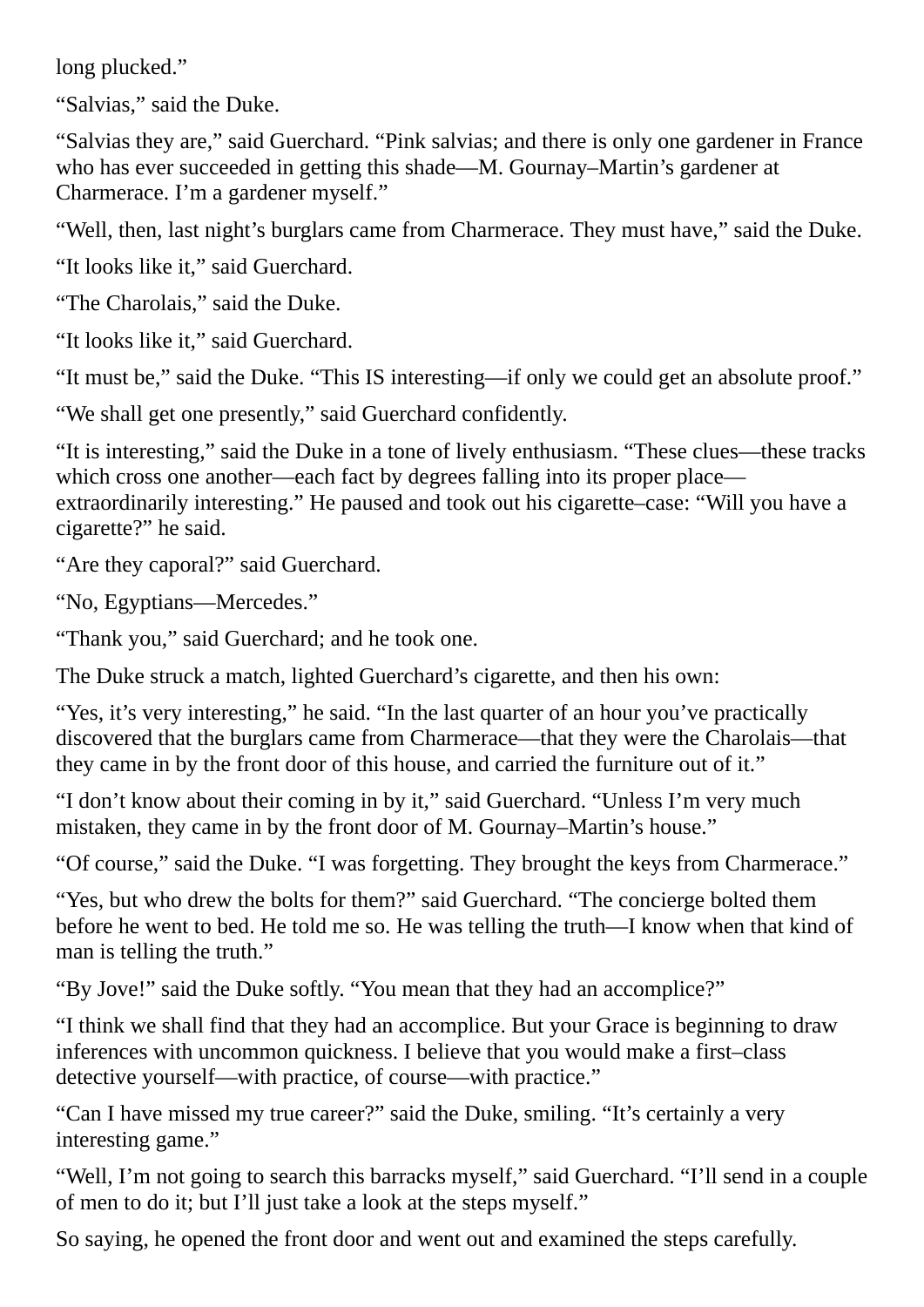long plucked."

"Salvias," said the Duke.

"Salvias they are," said Guerchard. "Pink salvias; and there is only one gardener in France who has ever succeeded in getting this shade—M. Gournay–Martin's gardener at Charmerace. I'm a gardener myself."

"Well, then, last night's burglars came from Charmerace. They must have," said the Duke.

"It looks like it," said Guerchard.

"The Charolais," said the Duke.

"It looks like it," said Guerchard.

"It must be," said the Duke. "This IS interesting—if only we could get an absolute proof."

"We shall get one presently," said Guerchard confidently.

"It is interesting," said the Duke in a tone of lively enthusiasm. "These clues—these tracks which cross one another—each fact by degrees falling into its proper place extraordinarily interesting." He paused and took out his cigarette–case: "Will you have a cigarette?" he said.

"Are they caporal?" said Guerchard.

"No, Egyptians—Mercedes."

"Thank you," said Guerchard; and he took one.

The Duke struck a match, lighted Guerchard's cigarette, and then his own:

"Yes, it's very interesting," he said. "In the last quarter of an hour you've practically discovered that the burglars came from Charmerace—that they were the Charolais—that they came in by the front door of this house, and carried the furniture out of it."

"I don't know about their coming in by it," said Guerchard. "Unless I'm very much mistaken, they came in by the front door of M. Gournay–Martin's house."

"Of course," said the Duke. "I was forgetting. They brought the keys from Charmerace."

"Yes, but who drew the bolts for them?" said Guerchard. "The concierge bolted them before he went to bed. He told me so. He was telling the truth—I know when that kind of man is telling the truth."

"By Jove!" said the Duke softly. "You mean that they had an accomplice?"

"I think we shall find that they had an accomplice. But your Grace is beginning to draw inferences with uncommon quickness. I believe that you would make a first–class detective yourself—with practice, of course—with practice."

"Can I have missed my true career?" said the Duke, smiling. "It's certainly a very interesting game."

"Well, I'm not going to search this barracks myself," said Guerchard. "I'll send in a couple of men to do it; but I'll just take a look at the steps myself."

So saying, he opened the front door and went out and examined the steps carefully.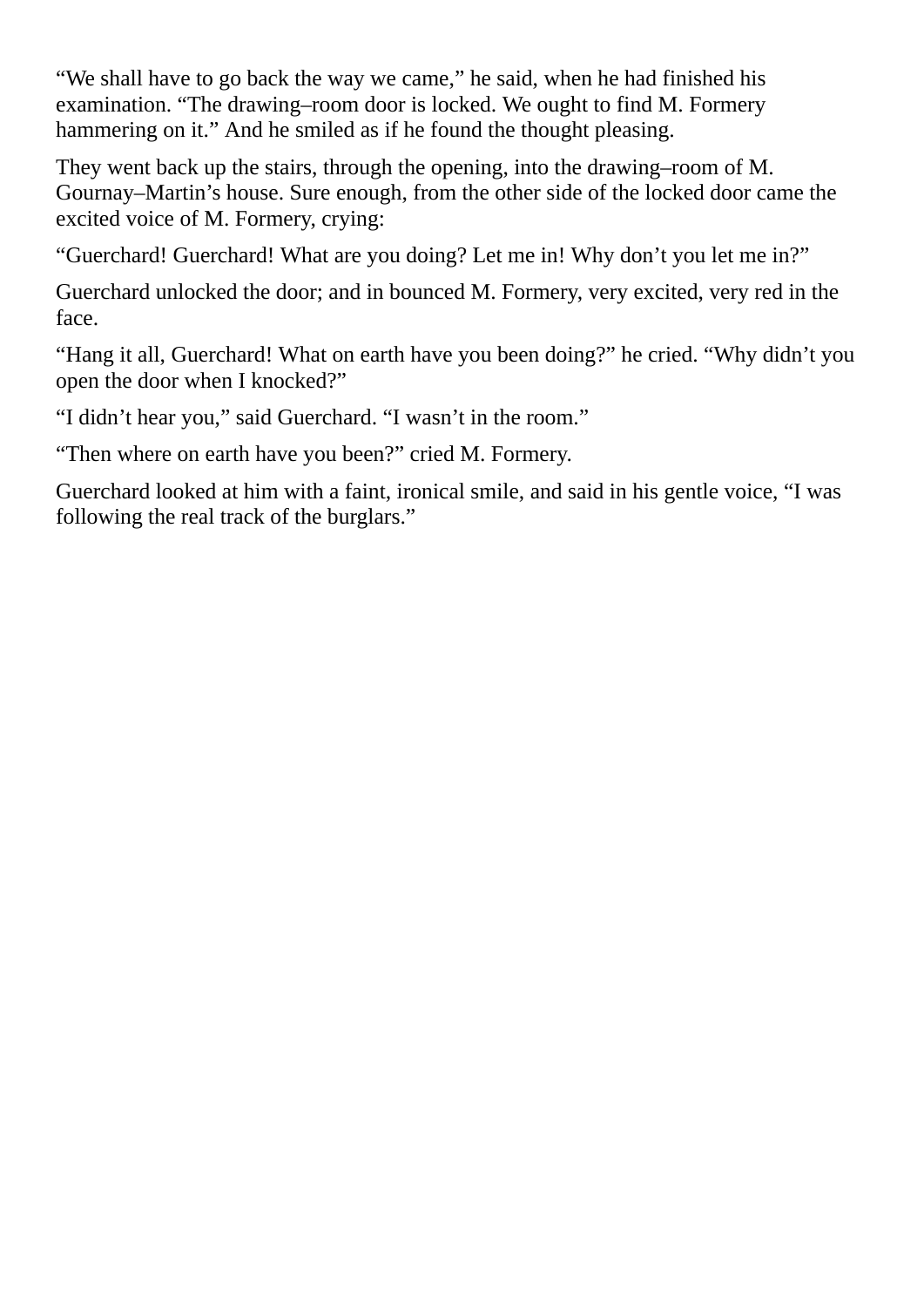"We shall have to go back the way we came," he said, when he had finished his examination. "The drawing–room door is locked. We ought to find M. Formery hammering on it." And he smiled as if he found the thought pleasing.

They went back up the stairs, through the opening, into the drawing–room of M. Gournay–Martin's house. Sure enough, from the other side of the locked door came the excited voice of M. Formery, crying:

"Guerchard! Guerchard! What are you doing? Let me in! Why don't you let me in?"

Guerchard unlocked the door; and in bounced M. Formery, very excited, very red in the face.

"Hang it all, Guerchard! What on earth have you been doing?" he cried. "Why didn't you open the door when I knocked?"

"I didn't hear you," said Guerchard. "I wasn't in the room."

"Then where on earth have you been?" cried M. Formery.

Guerchard looked at him with a faint, ironical smile, and said in his gentle voice, "I was following the real track of the burglars."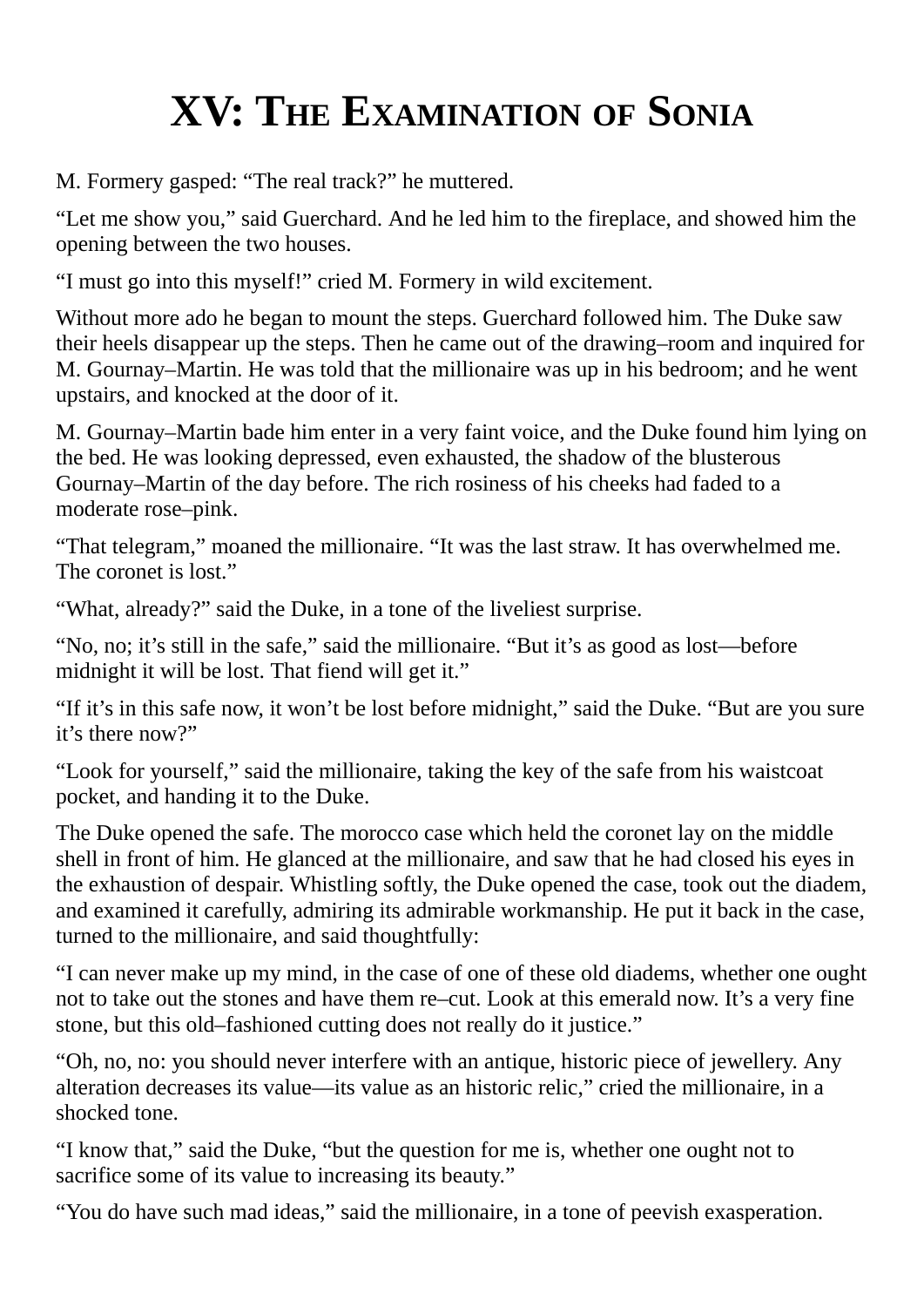## **XV: THE EXAMINATION OF SONIA**

M. Formery gasped: "The real track?" he muttered.

"Let me show you," said Guerchard. And he led him to the fireplace, and showed him the opening between the two houses.

"I must go into this myself!" cried M. Formery in wild excitement.

Without more ado he began to mount the steps. Guerchard followed him. The Duke saw their heels disappear up the steps. Then he came out of the drawing–room and inquired for M. Gournay–Martin. He was told that the millionaire was up in his bedroom; and he went upstairs, and knocked at the door of it.

M. Gournay–Martin bade him enter in a very faint voice, and the Duke found him lying on the bed. He was looking depressed, even exhausted, the shadow of the blusterous Gournay–Martin of the day before. The rich rosiness of his cheeks had faded to a moderate rose–pink.

"That telegram," moaned the millionaire. "It was the last straw. It has overwhelmed me. The coronet is lost."

"What, already?" said the Duke, in a tone of the liveliest surprise.

"No, no; it's still in the safe," said the millionaire. "But it's as good as lost—before midnight it will be lost. That fiend will get it."

"If it's in this safe now, it won't be lost before midnight," said the Duke. "But are you sure it's there now?"

"Look for yourself," said the millionaire, taking the key of the safe from his waistcoat pocket, and handing it to the Duke.

The Duke opened the safe. The morocco case which held the coronet lay on the middle shell in front of him. He glanced at the millionaire, and saw that he had closed his eyes in the exhaustion of despair. Whistling softly, the Duke opened the case, took out the diadem, and examined it carefully, admiring its admirable workmanship. He put it back in the case, turned to the millionaire, and said thoughtfully:

"I can never make up my mind, in the case of one of these old diadems, whether one ought not to take out the stones and have them re–cut. Look at this emerald now. It's a very fine stone, but this old–fashioned cutting does not really do it justice."

"Oh, no, no: you should never interfere with an antique, historic piece of jewellery. Any alteration decreases its value—its value as an historic relic," cried the millionaire, in a shocked tone.

"I know that," said the Duke, "but the question for me is, whether one ought not to sacrifice some of its value to increasing its beauty."

"You do have such mad ideas," said the millionaire, in a tone of peevish exasperation.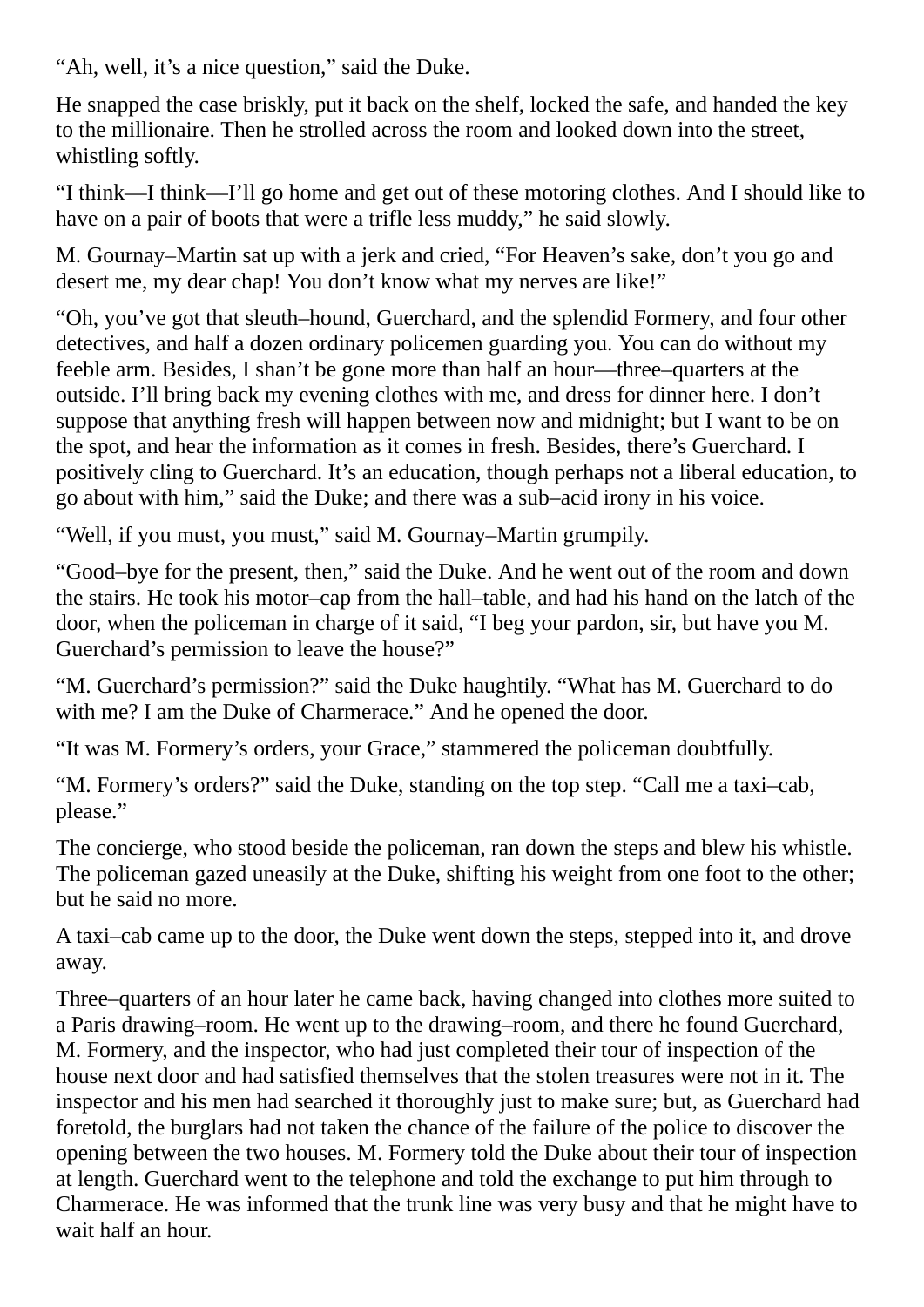"Ah, well, it's a nice question," said the Duke.

He snapped the case briskly, put it back on the shelf, locked the safe, and handed the key to the millionaire. Then he strolled across the room and looked down into the street, whistling softly.

"I think—I think—I'll go home and get out of these motoring clothes. And I should like to have on a pair of boots that were a trifle less muddy," he said slowly.

M. Gournay–Martin sat up with a jerk and cried, "For Heaven's sake, don't you go and desert me, my dear chap! You don't know what my nerves are like!"

"Oh, you've got that sleuth–hound, Guerchard, and the splendid Formery, and four other detectives, and half a dozen ordinary policemen guarding you. You can do without my feeble arm. Besides, I shan't be gone more than half an hour—three–quarters at the outside. I'll bring back my evening clothes with me, and dress for dinner here. I don't suppose that anything fresh will happen between now and midnight; but I want to be on the spot, and hear the information as it comes in fresh. Besides, there's Guerchard. I positively cling to Guerchard. It's an education, though perhaps not a liberal education, to go about with him," said the Duke; and there was a sub–acid irony in his voice.

"Well, if you must, you must," said M. Gournay–Martin grumpily.

"Good–bye for the present, then," said the Duke. And he went out of the room and down the stairs. He took his motor–cap from the hall–table, and had his hand on the latch of the door, when the policeman in charge of it said, "I beg your pardon, sir, but have you M. Guerchard's permission to leave the house?"

"M. Guerchard's permission?" said the Duke haughtily. "What has M. Guerchard to do with me? I am the Duke of Charmerace." And he opened the door.

"It was M. Formery's orders, your Grace," stammered the policeman doubtfully.

"M. Formery's orders?" said the Duke, standing on the top step. "Call me a taxi–cab, please."

The concierge, who stood beside the policeman, ran down the steps and blew his whistle. The policeman gazed uneasily at the Duke, shifting his weight from one foot to the other; but he said no more.

A taxi–cab came up to the door, the Duke went down the steps, stepped into it, and drove away.

Three–quarters of an hour later he came back, having changed into clothes more suited to a Paris drawing–room. He went up to the drawing–room, and there he found Guerchard, M. Formery, and the inspector, who had just completed their tour of inspection of the house next door and had satisfied themselves that the stolen treasures were not in it. The inspector and his men had searched it thoroughly just to make sure; but, as Guerchard had foretold, the burglars had not taken the chance of the failure of the police to discover the opening between the two houses. M. Formery told the Duke about their tour of inspection at length. Guerchard went to the telephone and told the exchange to put him through to Charmerace. He was informed that the trunk line was very busy and that he might have to wait half an hour.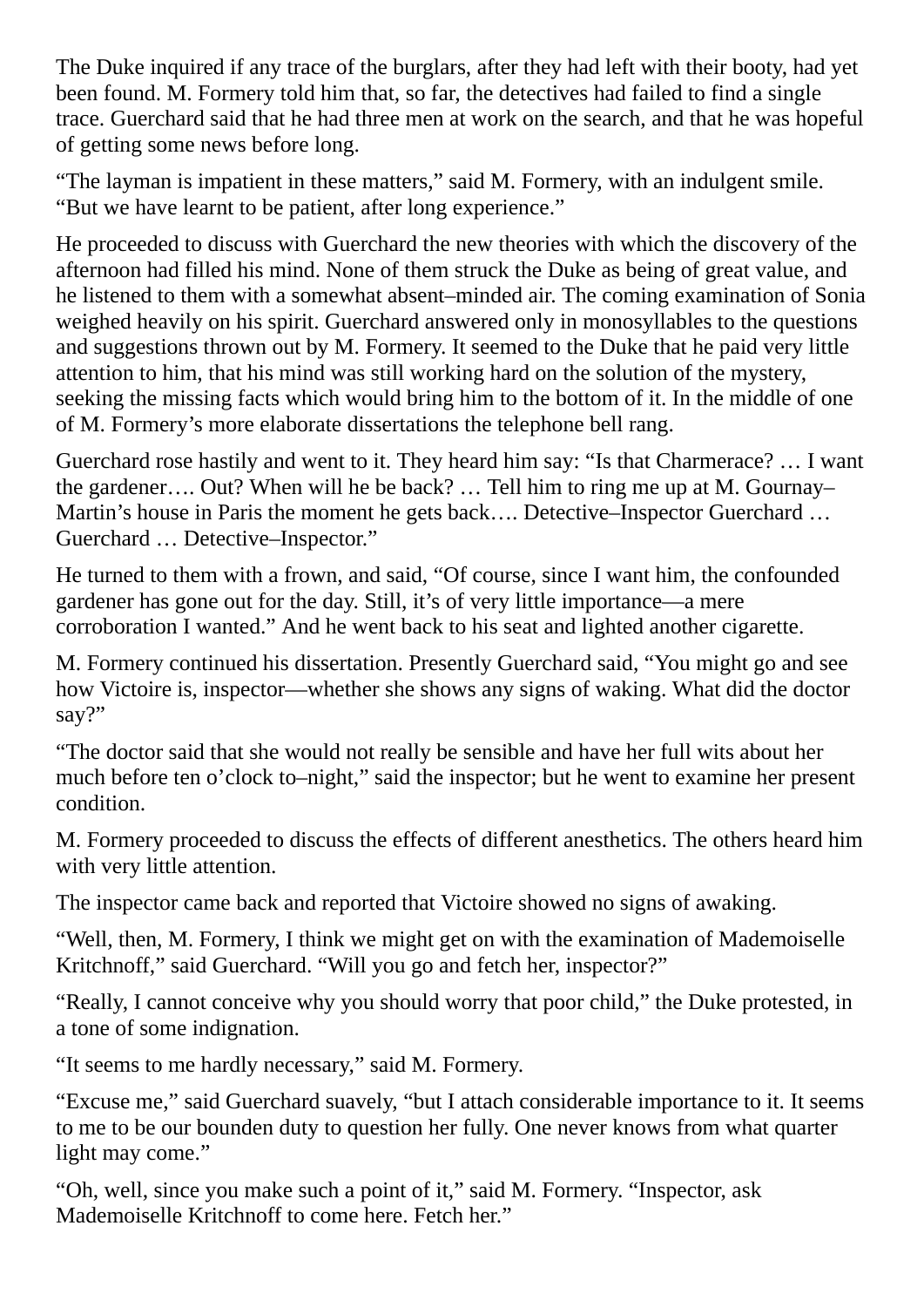The Duke inquired if any trace of the burglars, after they had left with their booty, had yet been found. M. Formery told him that, so far, the detectives had failed to find a single trace. Guerchard said that he had three men at work on the search, and that he was hopeful of getting some news before long.

"The layman is impatient in these matters," said M. Formery, with an indulgent smile. "But we have learnt to be patient, after long experience."

He proceeded to discuss with Guerchard the new theories with which the discovery of the afternoon had filled his mind. None of them struck the Duke as being of great value, and he listened to them with a somewhat absent–minded air. The coming examination of Sonia weighed heavily on his spirit. Guerchard answered only in monosyllables to the questions and suggestions thrown out by M. Formery. It seemed to the Duke that he paid very little attention to him, that his mind was still working hard on the solution of the mystery, seeking the missing facts which would bring him to the bottom of it. In the middle of one of M. Formery's more elaborate dissertations the telephone bell rang.

Guerchard rose hastily and went to it. They heard him say: "Is that Charmerace? … I want the gardener…. Out? When will he be back? … Tell him to ring me up at M. Gournay– Martin's house in Paris the moment he gets back…. Detective–Inspector Guerchard … Guerchard … Detective–Inspector."

He turned to them with a frown, and said, "Of course, since I want him, the confounded gardener has gone out for the day. Still, it's of very little importance—a mere corroboration I wanted." And he went back to his seat and lighted another cigarette.

M. Formery continued his dissertation. Presently Guerchard said, "You might go and see how Victoire is, inspector—whether she shows any signs of waking. What did the doctor say?"

"The doctor said that she would not really be sensible and have her full wits about her much before ten o'clock to–night," said the inspector; but he went to examine her present condition.

M. Formery proceeded to discuss the effects of different anesthetics. The others heard him with very little attention.

The inspector came back and reported that Victoire showed no signs of awaking.

"Well, then, M. Formery, I think we might get on with the examination of Mademoiselle Kritchnoff," said Guerchard. "Will you go and fetch her, inspector?"

"Really, I cannot conceive why you should worry that poor child," the Duke protested, in a tone of some indignation.

"It seems to me hardly necessary," said M. Formery.

"Excuse me," said Guerchard suavely, "but I attach considerable importance to it. It seems to me to be our bounden duty to question her fully. One never knows from what quarter light may come."

"Oh, well, since you make such a point of it," said M. Formery. "Inspector, ask Mademoiselle Kritchnoff to come here. Fetch her."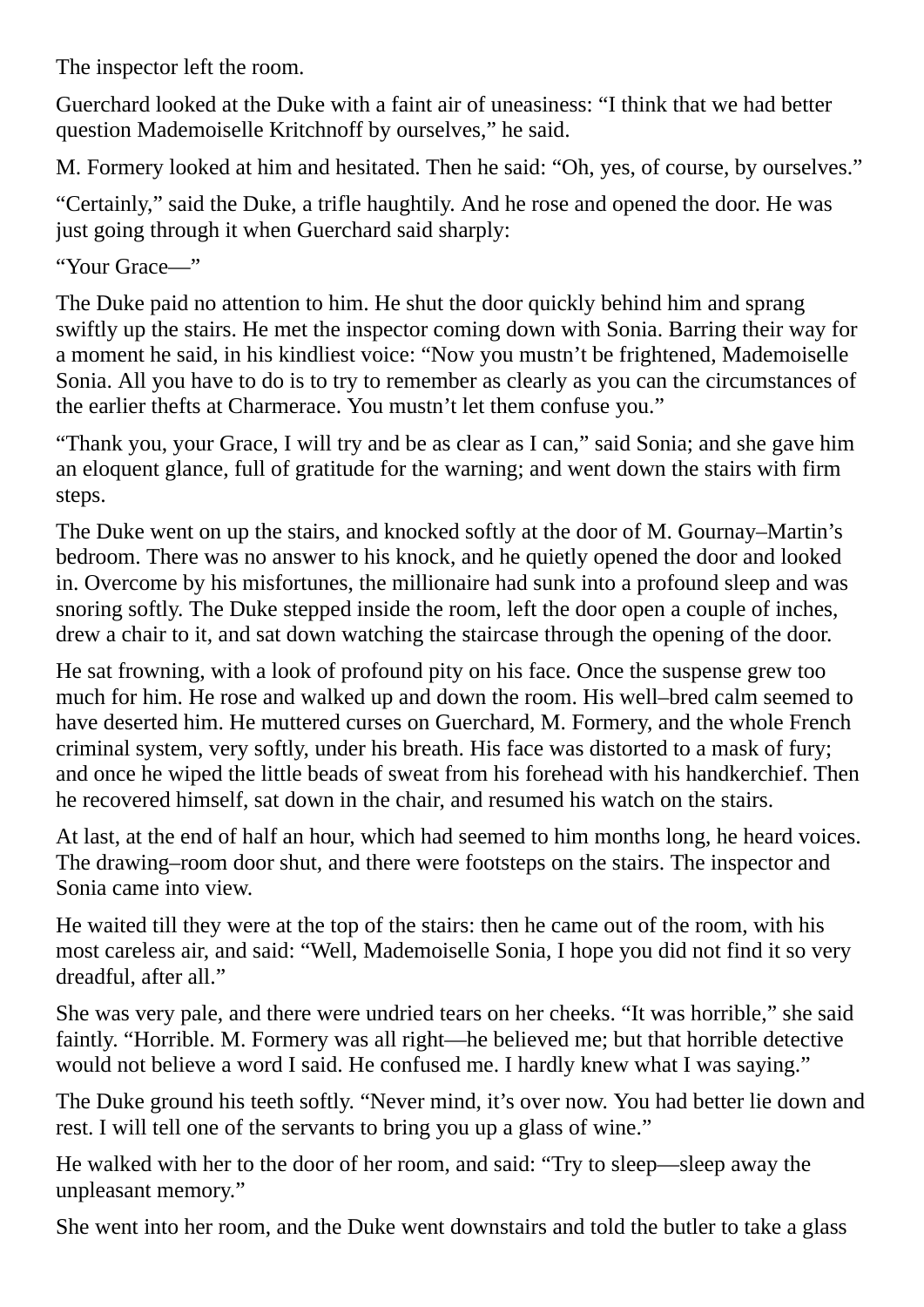The inspector left the room.

Guerchard looked at the Duke with a faint air of uneasiness: "I think that we had better question Mademoiselle Kritchnoff by ourselves," he said.

M. Formery looked at him and hesitated. Then he said: "Oh, yes, of course, by ourselves."

"Certainly," said the Duke, a trifle haughtily. And he rose and opened the door. He was just going through it when Guerchard said sharply:

"Your Grace—"

The Duke paid no attention to him. He shut the door quickly behind him and sprang swiftly up the stairs. He met the inspector coming down with Sonia. Barring their way for a moment he said, in his kindliest voice: "Now you mustn't be frightened, Mademoiselle Sonia. All you have to do is to try to remember as clearly as you can the circumstances of the earlier thefts at Charmerace. You mustn't let them confuse you."

"Thank you, your Grace, I will try and be as clear as I can," said Sonia; and she gave him an eloquent glance, full of gratitude for the warning; and went down the stairs with firm steps.

The Duke went on up the stairs, and knocked softly at the door of M. Gournay–Martin's bedroom. There was no answer to his knock, and he quietly opened the door and looked in. Overcome by his misfortunes, the millionaire had sunk into a profound sleep and was snoring softly. The Duke stepped inside the room, left the door open a couple of inches, drew a chair to it, and sat down watching the staircase through the opening of the door.

He sat frowning, with a look of profound pity on his face. Once the suspense grew too much for him. He rose and walked up and down the room. His well–bred calm seemed to have deserted him. He muttered curses on Guerchard, M. Formery, and the whole French criminal system, very softly, under his breath. His face was distorted to a mask of fury; and once he wiped the little beads of sweat from his forehead with his handkerchief. Then he recovered himself, sat down in the chair, and resumed his watch on the stairs.

At last, at the end of half an hour, which had seemed to him months long, he heard voices. The drawing–room door shut, and there were footsteps on the stairs. The inspector and Sonia came into view.

He waited till they were at the top of the stairs: then he came out of the room, with his most careless air, and said: "Well, Mademoiselle Sonia, I hope you did not find it so very dreadful, after all."

She was very pale, and there were undried tears on her cheeks. "It was horrible," she said faintly. "Horrible. M. Formery was all right—he believed me; but that horrible detective would not believe a word I said. He confused me. I hardly knew what I was saying."

The Duke ground his teeth softly. "Never mind, it's over now. You had better lie down and rest. I will tell one of the servants to bring you up a glass of wine."

He walked with her to the door of her room, and said: "Try to sleep—sleep away the unpleasant memory."

She went into her room, and the Duke went downstairs and told the butler to take a glass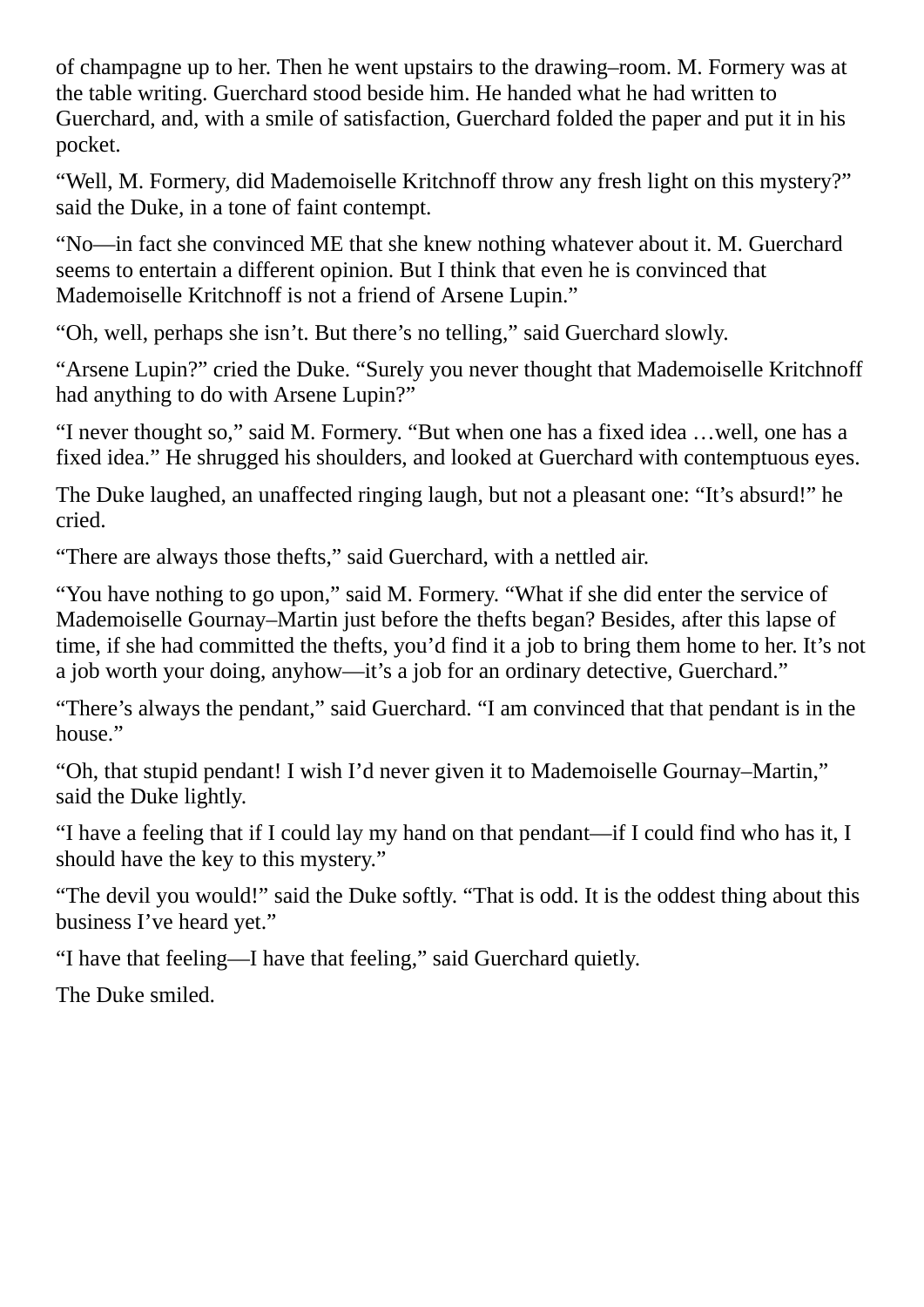of champagne up to her. Then he went upstairs to the drawing–room. M. Formery was at the table writing. Guerchard stood beside him. He handed what he had written to Guerchard, and, with a smile of satisfaction, Guerchard folded the paper and put it in his pocket.

"Well, M. Formery, did Mademoiselle Kritchnoff throw any fresh light on this mystery?" said the Duke, in a tone of faint contempt.

"No—in fact she convinced ME that she knew nothing whatever about it. M. Guerchard seems to entertain a different opinion. But I think that even he is convinced that Mademoiselle Kritchnoff is not a friend of Arsene Lupin."

"Oh, well, perhaps she isn't. But there's no telling," said Guerchard slowly.

"Arsene Lupin?" cried the Duke. "Surely you never thought that Mademoiselle Kritchnoff had anything to do with Arsene Lupin?"

"I never thought so," said M. Formery. "But when one has a fixed idea …well, one has a fixed idea." He shrugged his shoulders, and looked at Guerchard with contemptuous eyes.

The Duke laughed, an unaffected ringing laugh, but not a pleasant one: "It's absurd!" he cried.

"There are always those thefts," said Guerchard, with a nettled air.

"You have nothing to go upon," said M. Formery. "What if she did enter the service of Mademoiselle Gournay–Martin just before the thefts began? Besides, after this lapse of time, if she had committed the thefts, you'd find it a job to bring them home to her. It's not a job worth your doing, anyhow—it's a job for an ordinary detective, Guerchard."

"There's always the pendant," said Guerchard. "I am convinced that that pendant is in the house."

"Oh, that stupid pendant! I wish I'd never given it to Mademoiselle Gournay–Martin," said the Duke lightly.

"I have a feeling that if I could lay my hand on that pendant—if I could find who has it, I should have the key to this mystery."

"The devil you would!" said the Duke softly. "That is odd. It is the oddest thing about this business I've heard yet."

"I have that feeling—I have that feeling," said Guerchard quietly.

The Duke smiled.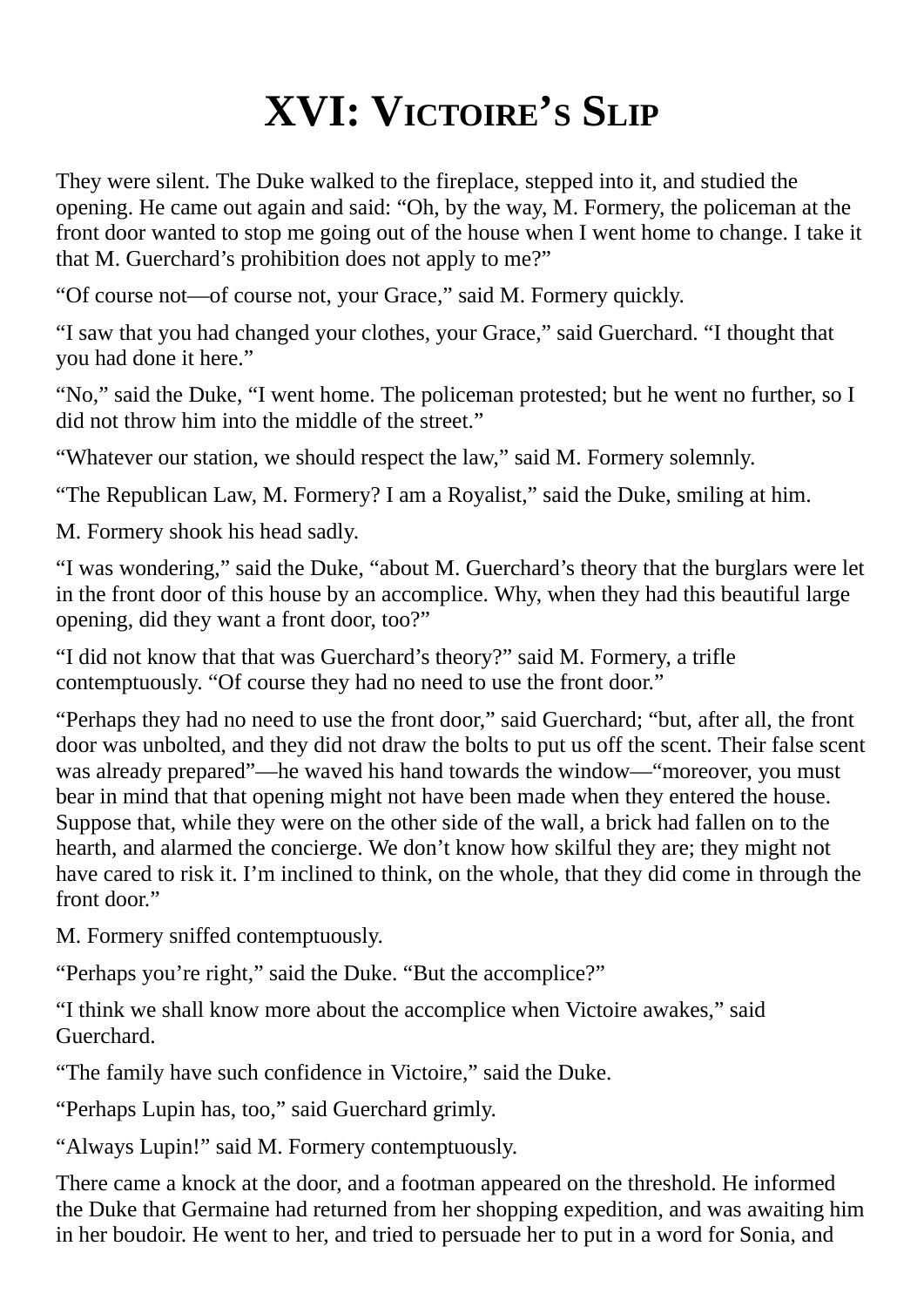### **XVI: VICTOIRE'S SLIP**

They were silent. The Duke walked to the fireplace, stepped into it, and studied the opening. He came out again and said: "Oh, by the way, M. Formery, the policeman at the front door wanted to stop me going out of the house when I went home to change. I take it that M. Guerchard's prohibition does not apply to me?"

"Of course not—of course not, your Grace," said M. Formery quickly.

"I saw that you had changed your clothes, your Grace," said Guerchard. "I thought that you had done it here."

"No," said the Duke, "I went home. The policeman protested; but he went no further, so I did not throw him into the middle of the street."

"Whatever our station, we should respect the law," said M. Formery solemnly.

"The Republican Law, M. Formery? I am a Royalist," said the Duke, smiling at him.

M. Formery shook his head sadly.

"I was wondering," said the Duke, "about M. Guerchard's theory that the burglars were let in the front door of this house by an accomplice. Why, when they had this beautiful large opening, did they want a front door, too?"

"I did not know that that was Guerchard's theory?" said M. Formery, a trifle contemptuously. "Of course they had no need to use the front door."

"Perhaps they had no need to use the front door," said Guerchard; "but, after all, the front door was unbolted, and they did not draw the bolts to put us off the scent. Their false scent was already prepared"—he waved his hand towards the window—"moreover, you must bear in mind that that opening might not have been made when they entered the house. Suppose that, while they were on the other side of the wall, a brick had fallen on to the hearth, and alarmed the concierge. We don't know how skilful they are; they might not have cared to risk it. I'm inclined to think, on the whole, that they did come in through the front door."

M. Formery sniffed contemptuously.

"Perhaps you're right," said the Duke. "But the accomplice?"

"I think we shall know more about the accomplice when Victoire awakes," said Guerchard.

"The family have such confidence in Victoire," said the Duke.

"Perhaps Lupin has, too," said Guerchard grimly.

"Always Lupin!" said M. Formery contemptuously.

There came a knock at the door, and a footman appeared on the threshold. He informed the Duke that Germaine had returned from her shopping expedition, and was awaiting him in her boudoir. He went to her, and tried to persuade her to put in a word for Sonia, and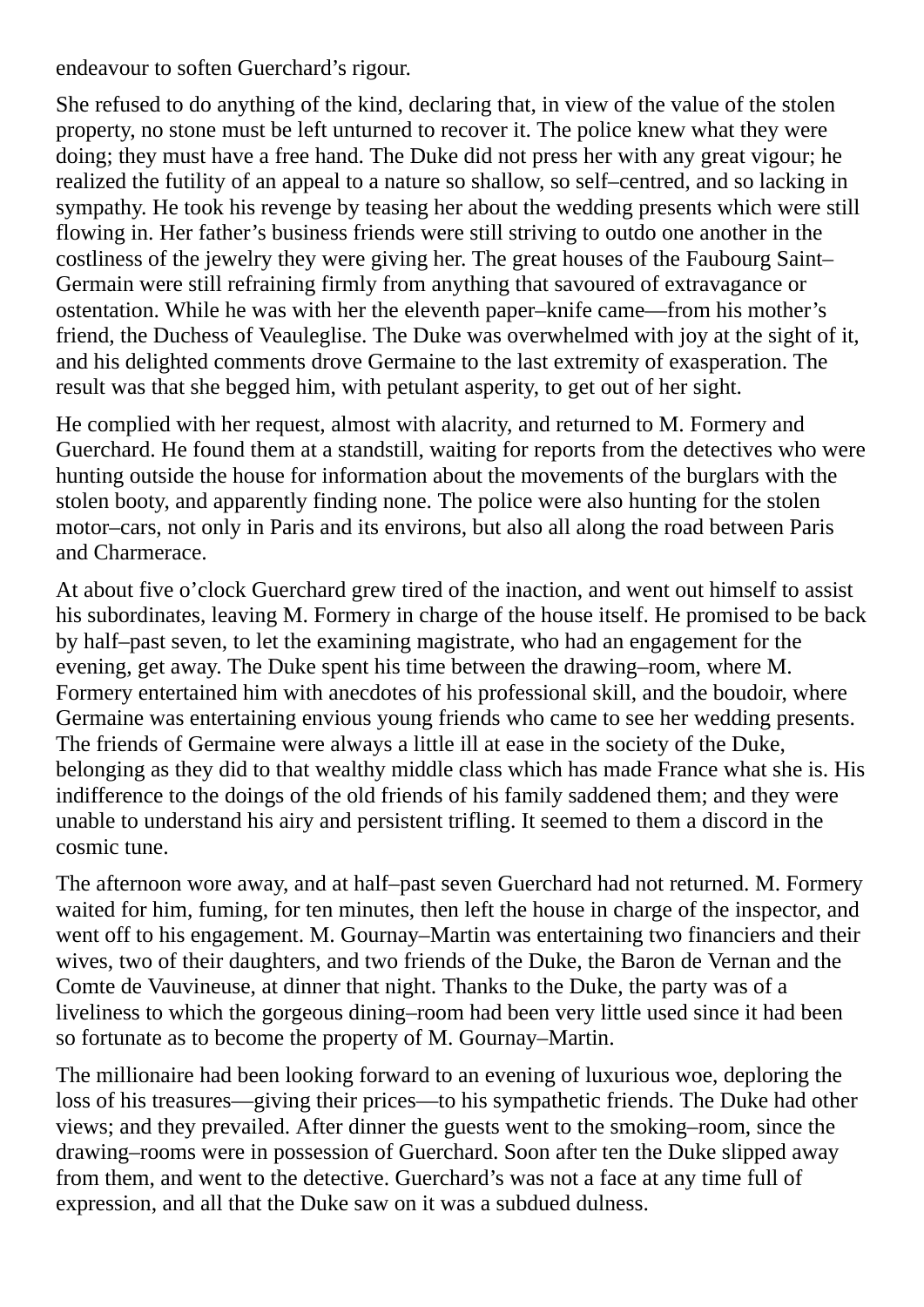endeavour to soften Guerchard's rigour.

She refused to do anything of the kind, declaring that, in view of the value of the stolen property, no stone must be left unturned to recover it. The police knew what they were doing; they must have a free hand. The Duke did not press her with any great vigour; he realized the futility of an appeal to a nature so shallow, so self–centred, and so lacking in sympathy. He took his revenge by teasing her about the wedding presents which were still flowing in. Her father's business friends were still striving to outdo one another in the costliness of the jewelry they were giving her. The great houses of the Faubourg Saint– Germain were still refraining firmly from anything that savoured of extravagance or ostentation. While he was with her the eleventh paper–knife came—from his mother's friend, the Duchess of Veauleglise. The Duke was overwhelmed with joy at the sight of it, and his delighted comments drove Germaine to the last extremity of exasperation. The result was that she begged him, with petulant asperity, to get out of her sight.

He complied with her request, almost with alacrity, and returned to M. Formery and Guerchard. He found them at a standstill, waiting for reports from the detectives who were hunting outside the house for information about the movements of the burglars with the stolen booty, and apparently finding none. The police were also hunting for the stolen motor–cars, not only in Paris and its environs, but also all along the road between Paris and Charmerace.

At about five o'clock Guerchard grew tired of the inaction, and went out himself to assist his subordinates, leaving M. Formery in charge of the house itself. He promised to be back by half–past seven, to let the examining magistrate, who had an engagement for the evening, get away. The Duke spent his time between the drawing–room, where M. Formery entertained him with anecdotes of his professional skill, and the boudoir, where Germaine was entertaining envious young friends who came to see her wedding presents. The friends of Germaine were always a little ill at ease in the society of the Duke, belonging as they did to that wealthy middle class which has made France what she is. His indifference to the doings of the old friends of his family saddened them; and they were unable to understand his airy and persistent trifling. It seemed to them a discord in the cosmic tune.

The afternoon wore away, and at half–past seven Guerchard had not returned. M. Formery waited for him, fuming, for ten minutes, then left the house in charge of the inspector, and went off to his engagement. M. Gournay–Martin was entertaining two financiers and their wives, two of their daughters, and two friends of the Duke, the Baron de Vernan and the Comte de Vauvineuse, at dinner that night. Thanks to the Duke, the party was of a liveliness to which the gorgeous dining–room had been very little used since it had been so fortunate as to become the property of M. Gournay–Martin.

The millionaire had been looking forward to an evening of luxurious woe, deploring the loss of his treasures—giving their prices—to his sympathetic friends. The Duke had other views; and they prevailed. After dinner the guests went to the smoking–room, since the drawing–rooms were in possession of Guerchard. Soon after ten the Duke slipped away from them, and went to the detective. Guerchard's was not a face at any time full of expression, and all that the Duke saw on it was a subdued dulness.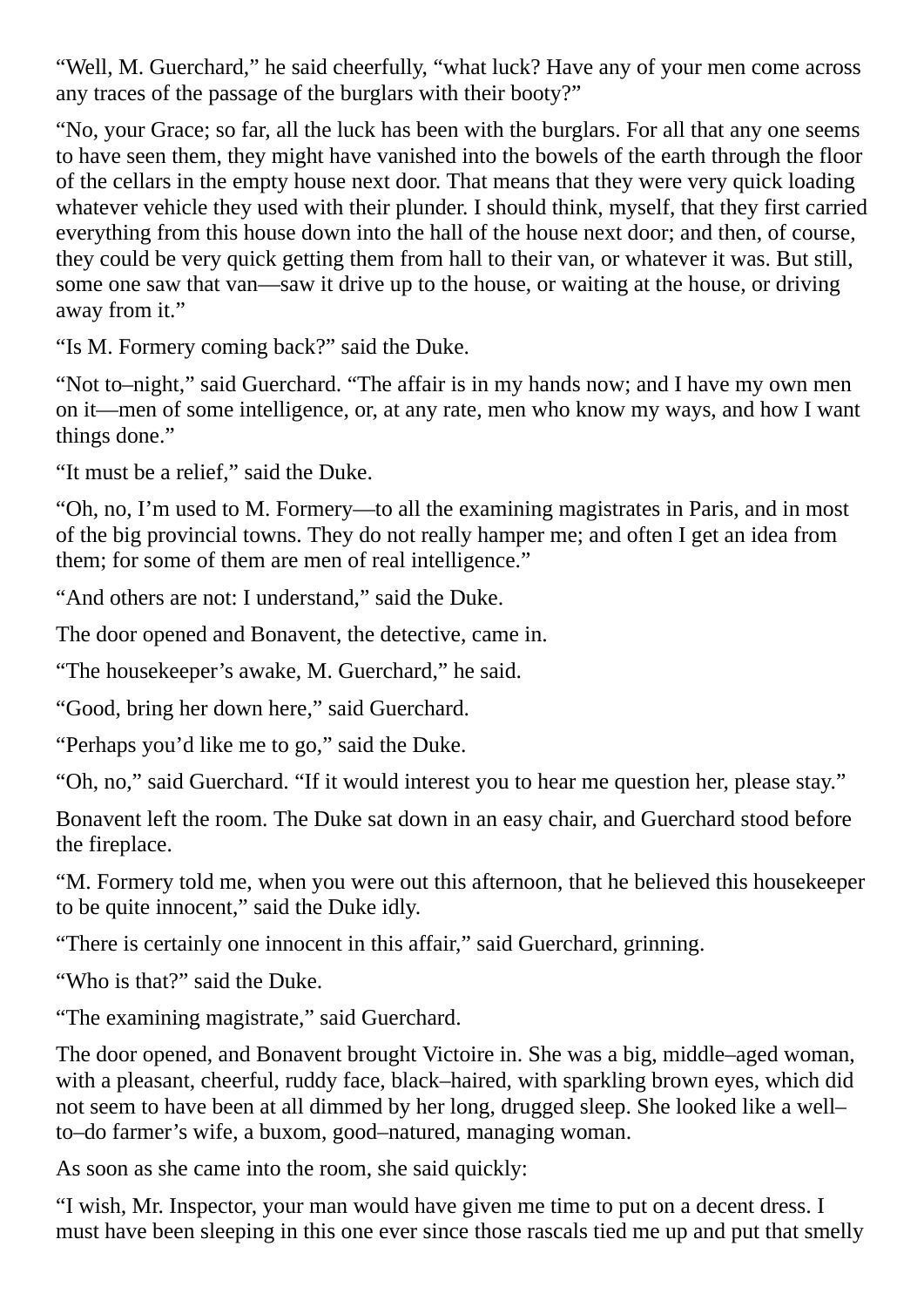"Well, M. Guerchard," he said cheerfully, "what luck? Have any of your men come across any traces of the passage of the burglars with their booty?"

"No, your Grace; so far, all the luck has been with the burglars. For all that any one seems to have seen them, they might have vanished into the bowels of the earth through the floor of the cellars in the empty house next door. That means that they were very quick loading whatever vehicle they used with their plunder. I should think, myself, that they first carried everything from this house down into the hall of the house next door; and then, of course, they could be very quick getting them from hall to their van, or whatever it was. But still, some one saw that van—saw it drive up to the house, or waiting at the house, or driving away from it."

"Is M. Formery coming back?" said the Duke.

"Not to–night," said Guerchard. "The affair is in my hands now; and I have my own men on it—men of some intelligence, or, at any rate, men who know my ways, and how I want things done."

"It must be a relief," said the Duke.

"Oh, no, I'm used to M. Formery—to all the examining magistrates in Paris, and in most of the big provincial towns. They do not really hamper me; and often I get an idea from them; for some of them are men of real intelligence."

"And others are not: I understand," said the Duke.

The door opened and Bonavent, the detective, came in.

"The housekeeper's awake, M. Guerchard," he said.

"Good, bring her down here," said Guerchard.

"Perhaps you'd like me to go," said the Duke.

"Oh, no," said Guerchard. "If it would interest you to hear me question her, please stay."

Bonavent left the room. The Duke sat down in an easy chair, and Guerchard stood before the fireplace.

"M. Formery told me, when you were out this afternoon, that he believed this housekeeper to be quite innocent," said the Duke idly.

"There is certainly one innocent in this affair," said Guerchard, grinning.

"Who is that?" said the Duke.

"The examining magistrate," said Guerchard.

The door opened, and Bonavent brought Victoire in. She was a big, middle–aged woman, with a pleasant, cheerful, ruddy face, black–haired, with sparkling brown eyes, which did not seem to have been at all dimmed by her long, drugged sleep. She looked like a well– to–do farmer's wife, a buxom, good–natured, managing woman.

As soon as she came into the room, she said quickly:

"I wish, Mr. Inspector, your man would have given me time to put on a decent dress. I must have been sleeping in this one ever since those rascals tied me up and put that smelly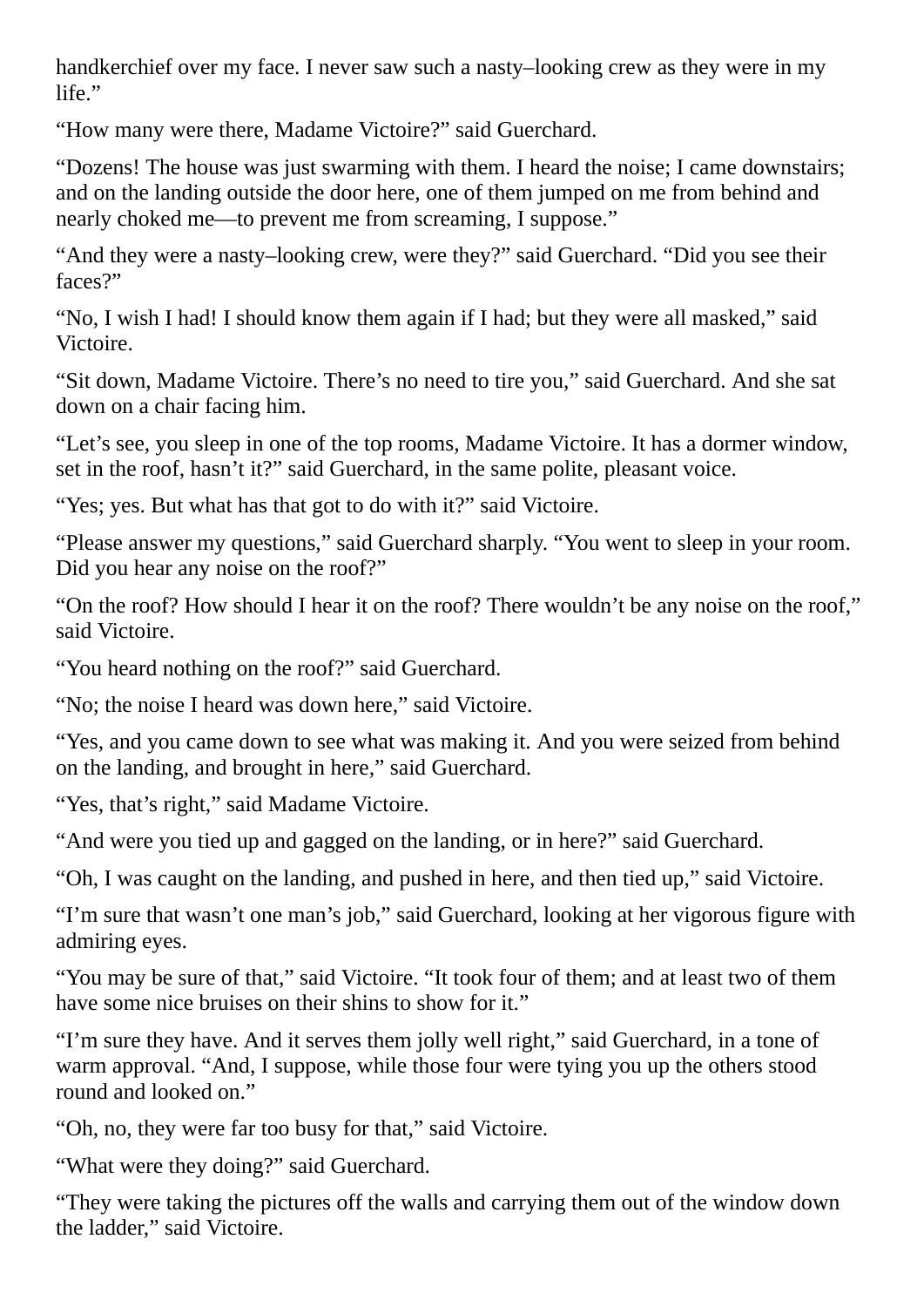handkerchief over my face. I never saw such a nasty–looking crew as they were in my life."

"How many were there, Madame Victoire?" said Guerchard.

"Dozens! The house was just swarming with them. I heard the noise; I came downstairs; and on the landing outside the door here, one of them jumped on me from behind and nearly choked me—to prevent me from screaming, I suppose."

"And they were a nasty–looking crew, were they?" said Guerchard. "Did you see their faces?"

"No, I wish I had! I should know them again if I had; but they were all masked," said Victoire.

"Sit down, Madame Victoire. There's no need to tire you," said Guerchard. And she sat down on a chair facing him.

"Let's see, you sleep in one of the top rooms, Madame Victoire. It has a dormer window, set in the roof, hasn't it?" said Guerchard, in the same polite, pleasant voice.

"Yes; yes. But what has that got to do with it?" said Victoire.

"Please answer my questions," said Guerchard sharply. "You went to sleep in your room. Did you hear any noise on the roof?"

"On the roof? How should I hear it on the roof? There wouldn't be any noise on the roof," said Victoire.

"You heard nothing on the roof?" said Guerchard.

"No; the noise I heard was down here," said Victoire.

"Yes, and you came down to see what was making it. And you were seized from behind on the landing, and brought in here," said Guerchard.

"Yes, that's right," said Madame Victoire.

"And were you tied up and gagged on the landing, or in here?" said Guerchard.

"Oh, I was caught on the landing, and pushed in here, and then tied up," said Victoire.

"I'm sure that wasn't one man's job," said Guerchard, looking at her vigorous figure with admiring eyes.

"You may be sure of that," said Victoire. "It took four of them; and at least two of them have some nice bruises on their shins to show for it."

"I'm sure they have. And it serves them jolly well right," said Guerchard, in a tone of warm approval. "And, I suppose, while those four were tying you up the others stood round and looked on."

"Oh, no, they were far too busy for that," said Victoire.

"What were they doing?" said Guerchard.

"They were taking the pictures off the walls and carrying them out of the window down the ladder," said Victoire.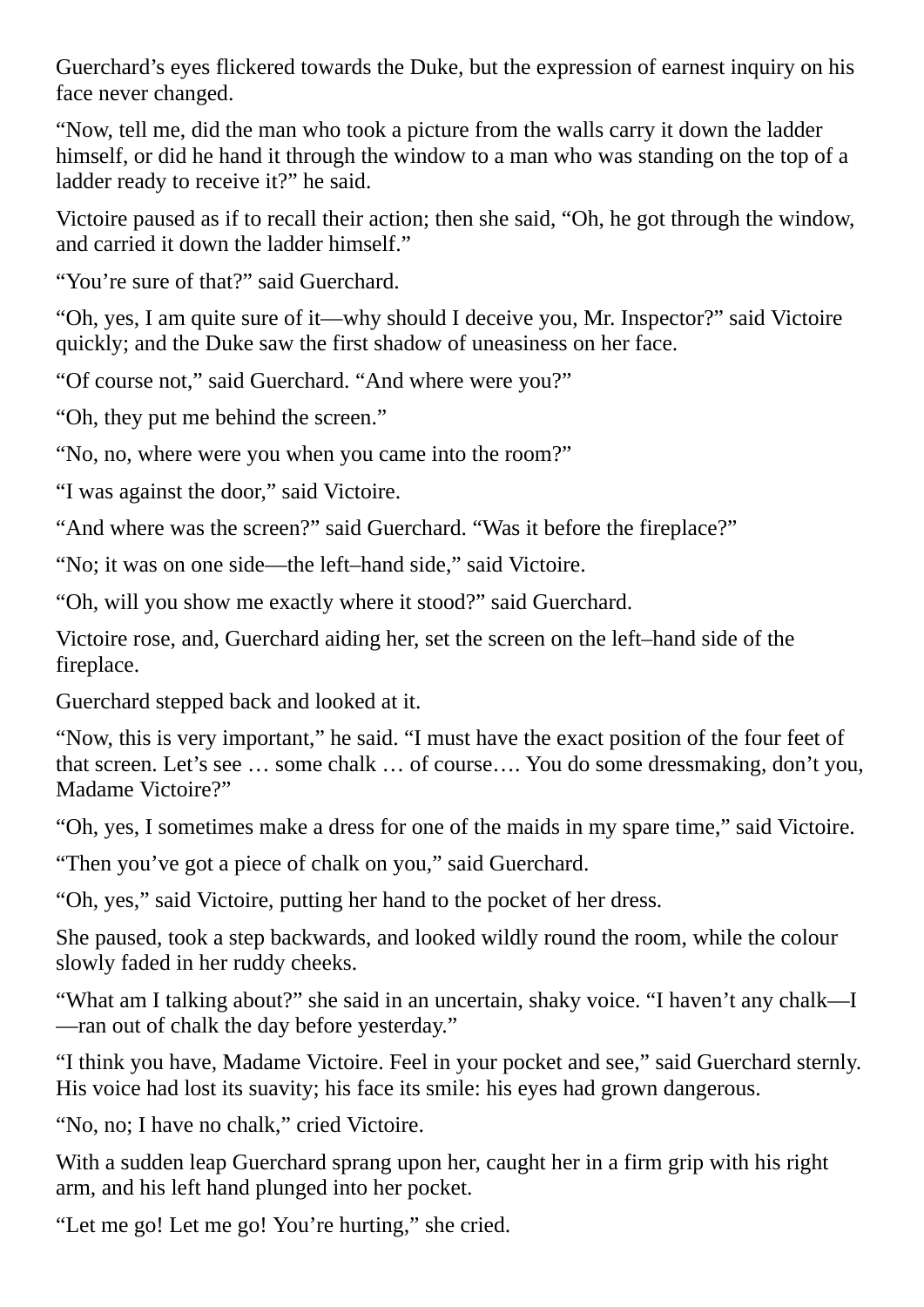Guerchard's eyes flickered towards the Duke, but the expression of earnest inquiry on his face never changed.

"Now, tell me, did the man who took a picture from the walls carry it down the ladder himself, or did he hand it through the window to a man who was standing on the top of a ladder ready to receive it?" he said.

Victoire paused as if to recall their action; then she said, "Oh, he got through the window, and carried it down the ladder himself."

"You're sure of that?" said Guerchard.

"Oh, yes, I am quite sure of it—why should I deceive you, Mr. Inspector?" said Victoire quickly; and the Duke saw the first shadow of uneasiness on her face.

"Of course not," said Guerchard. "And where were you?"

"Oh, they put me behind the screen."

"No, no, where were you when you came into the room?"

"I was against the door," said Victoire.

"And where was the screen?" said Guerchard. "Was it before the fireplace?"

"No; it was on one side—the left–hand side," said Victoire.

"Oh, will you show me exactly where it stood?" said Guerchard.

Victoire rose, and, Guerchard aiding her, set the screen on the left–hand side of the fireplace.

Guerchard stepped back and looked at it.

"Now, this is very important," he said. "I must have the exact position of the four feet of that screen. Let's see … some chalk … of course…. You do some dressmaking, don't you, Madame Victoire?"

"Oh, yes, I sometimes make a dress for one of the maids in my spare time," said Victoire.

"Then you've got a piece of chalk on you," said Guerchard.

"Oh, yes," said Victoire, putting her hand to the pocket of her dress.

She paused, took a step backwards, and looked wildly round the room, while the colour slowly faded in her ruddy cheeks.

"What am I talking about?" she said in an uncertain, shaky voice. "I haven't any chalk—I —ran out of chalk the day before yesterday."

"I think you have, Madame Victoire. Feel in your pocket and see," said Guerchard sternly. His voice had lost its suavity; his face its smile: his eyes had grown dangerous.

"No, no; I have no chalk," cried Victoire.

With a sudden leap Guerchard sprang upon her, caught her in a firm grip with his right arm, and his left hand plunged into her pocket.

"Let me go! Let me go! You're hurting," she cried.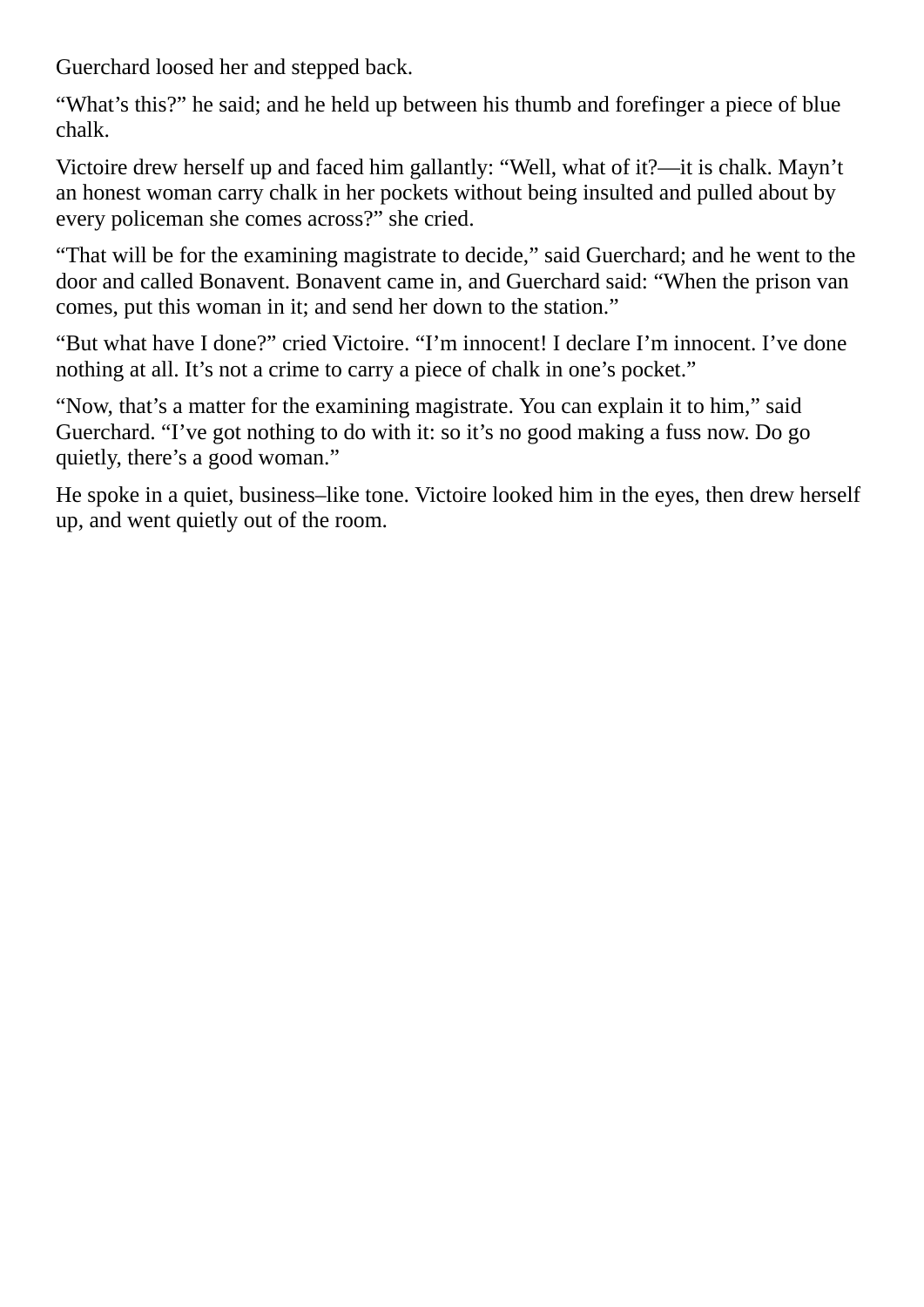Guerchard loosed her and stepped back.

"What's this?" he said; and he held up between his thumb and forefinger a piece of blue chalk.

Victoire drew herself up and faced him gallantly: "Well, what of it?—it is chalk. Mayn't an honest woman carry chalk in her pockets without being insulted and pulled about by every policeman she comes across?" she cried.

"That will be for the examining magistrate to decide," said Guerchard; and he went to the door and called Bonavent. Bonavent came in, and Guerchard said: "When the prison van comes, put this woman in it; and send her down to the station."

"But what have I done?" cried Victoire. "I'm innocent! I declare I'm innocent. I've done nothing at all. It's not a crime to carry a piece of chalk in one's pocket."

"Now, that's a matter for the examining magistrate. You can explain it to him," said Guerchard. "I've got nothing to do with it: so it's no good making a fuss now. Do go quietly, there's a good woman."

He spoke in a quiet, business–like tone. Victoire looked him in the eyes, then drew herself up, and went quietly out of the room.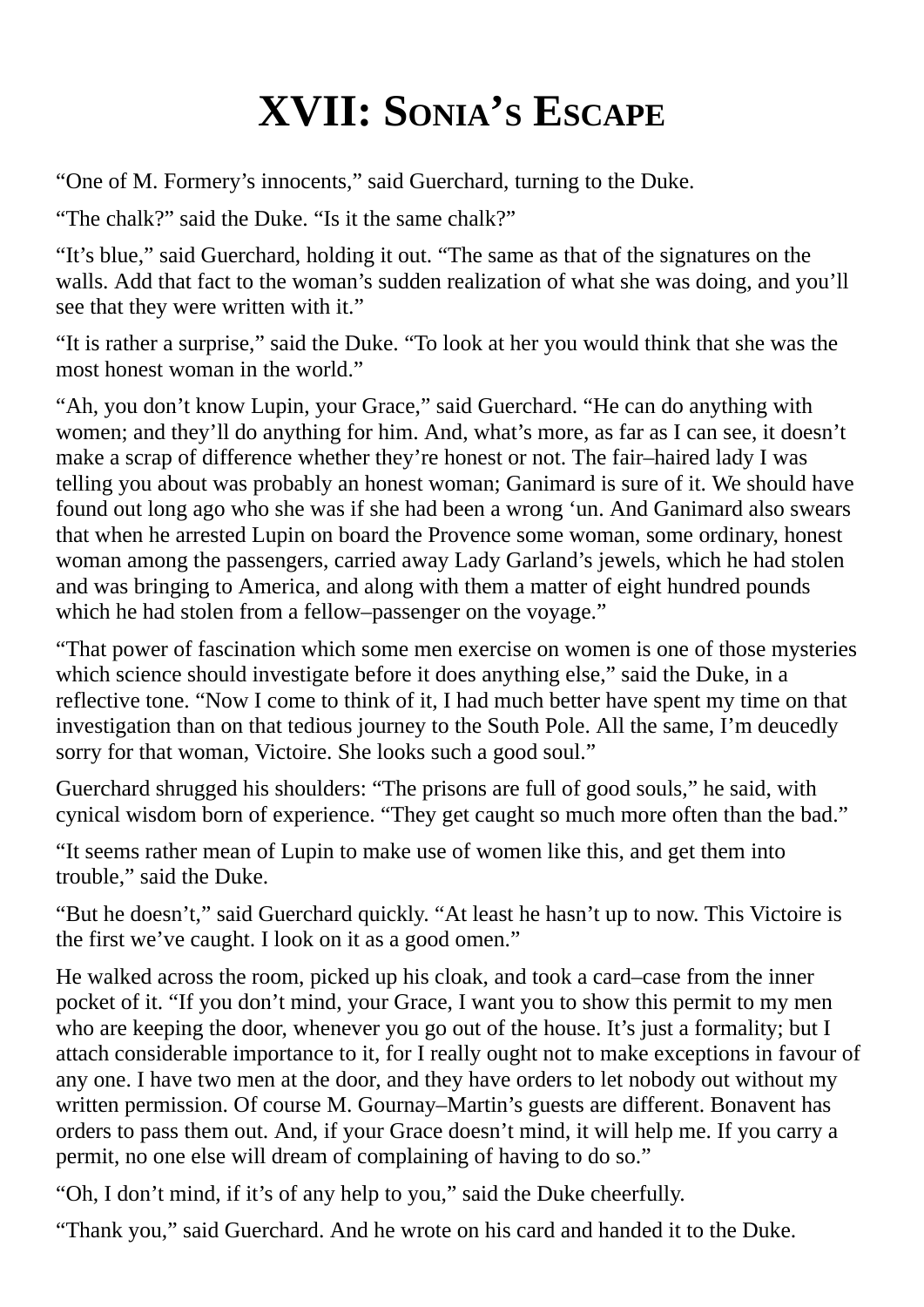### **XVII: SONIA'S ESCAPE**

"One of M. Formery's innocents," said Guerchard, turning to the Duke.

"The chalk?" said the Duke. "Is it the same chalk?"

"It's blue," said Guerchard, holding it out. "The same as that of the signatures on the walls. Add that fact to the woman's sudden realization of what she was doing, and you'll see that they were written with it."

"It is rather a surprise," said the Duke. "To look at her you would think that she was the most honest woman in the world."

"Ah, you don't know Lupin, your Grace," said Guerchard. "He can do anything with women; and they'll do anything for him. And, what's more, as far as I can see, it doesn't make a scrap of difference whether they're honest or not. The fair–haired lady I was telling you about was probably an honest woman; Ganimard is sure of it. We should have found out long ago who she was if she had been a wrong 'un. And Ganimard also swears that when he arrested Lupin on board the Provence some woman, some ordinary, honest woman among the passengers, carried away Lady Garland's jewels, which he had stolen and was bringing to America, and along with them a matter of eight hundred pounds which he had stolen from a fellow–passenger on the voyage."

"That power of fascination which some men exercise on women is one of those mysteries which science should investigate before it does anything else," said the Duke, in a reflective tone. "Now I come to think of it, I had much better have spent my time on that investigation than on that tedious journey to the South Pole. All the same, I'm deucedly sorry for that woman, Victoire. She looks such a good soul."

Guerchard shrugged his shoulders: "The prisons are full of good souls," he said, with cynical wisdom born of experience. "They get caught so much more often than the bad."

"It seems rather mean of Lupin to make use of women like this, and get them into trouble," said the Duke.

"But he doesn't," said Guerchard quickly. "At least he hasn't up to now. This Victoire is the first we've caught. I look on it as a good omen."

He walked across the room, picked up his cloak, and took a card–case from the inner pocket of it. "If you don't mind, your Grace, I want you to show this permit to my men who are keeping the door, whenever you go out of the house. It's just a formality; but I attach considerable importance to it, for I really ought not to make exceptions in favour of any one. I have two men at the door, and they have orders to let nobody out without my written permission. Of course M. Gournay–Martin's guests are different. Bonavent has orders to pass them out. And, if your Grace doesn't mind, it will help me. If you carry a permit, no one else will dream of complaining of having to do so."

"Oh, I don't mind, if it's of any help to you," said the Duke cheerfully.

"Thank you," said Guerchard. And he wrote on his card and handed it to the Duke.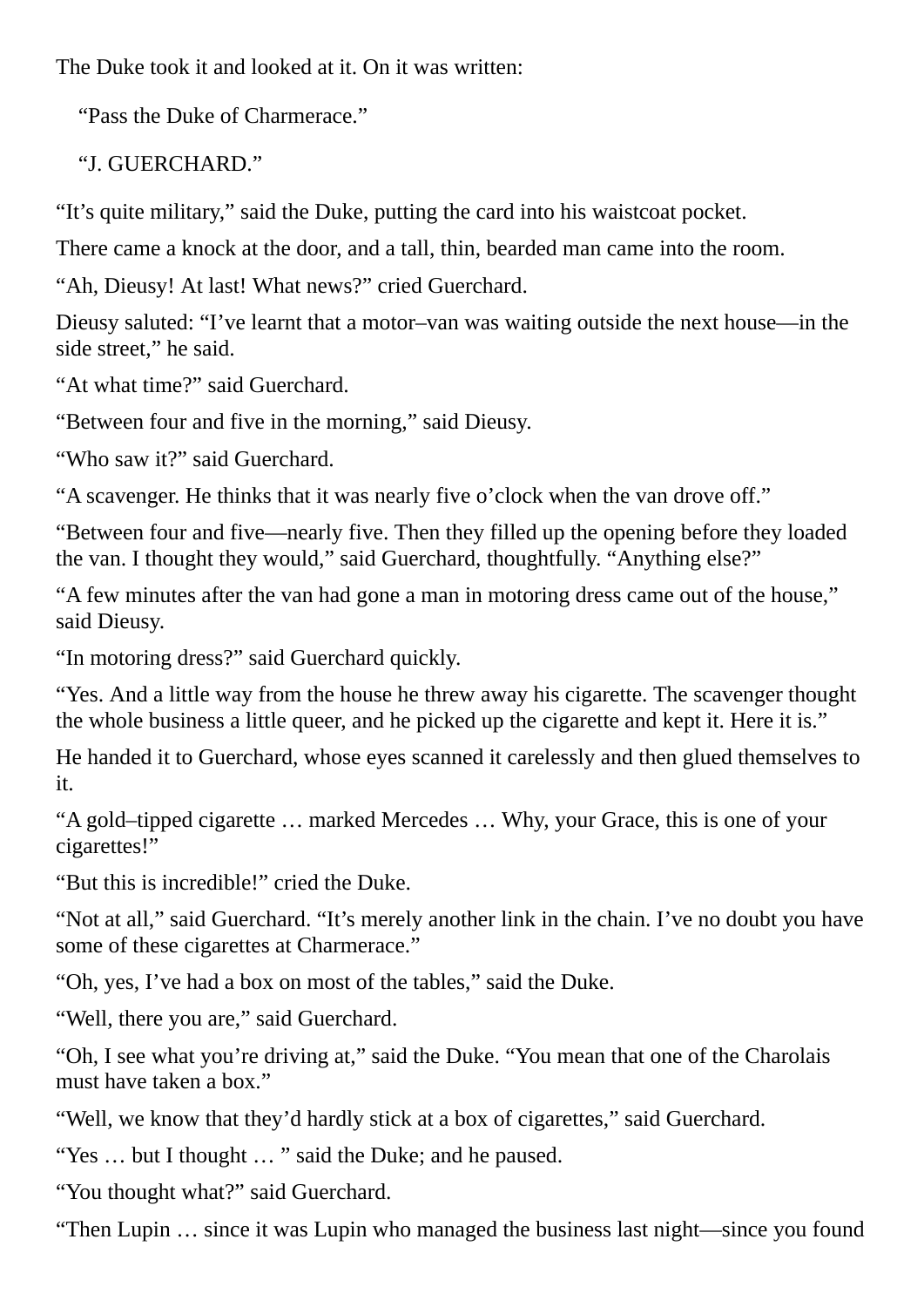The Duke took it and looked at it. On it was written:

"Pass the Duke of Charmerace."

"J. GUERCHARD."

"It's quite military," said the Duke, putting the card into his waistcoat pocket.

There came a knock at the door, and a tall, thin, bearded man came into the room.

"Ah, Dieusy! At last! What news?" cried Guerchard.

Dieusy saluted: "I've learnt that a motor–van was waiting outside the next house—in the side street," he said.

"At what time?" said Guerchard.

"Between four and five in the morning," said Dieusy.

"Who saw it?" said Guerchard.

"A scavenger. He thinks that it was nearly five o'clock when the van drove off."

"Between four and five—nearly five. Then they filled up the opening before they loaded the van. I thought they would," said Guerchard, thoughtfully. "Anything else?"

"A few minutes after the van had gone a man in motoring dress came out of the house," said Dieusy.

"In motoring dress?" said Guerchard quickly.

"Yes. And a little way from the house he threw away his cigarette. The scavenger thought the whole business a little queer, and he picked up the cigarette and kept it. Here it is."

He handed it to Guerchard, whose eyes scanned it carelessly and then glued themselves to it.

"A gold–tipped cigarette … marked Mercedes … Why, your Grace, this is one of your cigarettes!"

"But this is incredible!" cried the Duke.

"Not at all," said Guerchard. "It's merely another link in the chain. I've no doubt you have some of these cigarettes at Charmerace."

"Oh, yes, I've had a box on most of the tables," said the Duke.

"Well, there you are," said Guerchard.

"Oh, I see what you're driving at," said the Duke. "You mean that one of the Charolais must have taken a box."

"Well, we know that they'd hardly stick at a box of cigarettes," said Guerchard.

"Yes … but I thought … " said the Duke; and he paused.

"You thought what?" said Guerchard.

"Then Lupin … since it was Lupin who managed the business last night—since you found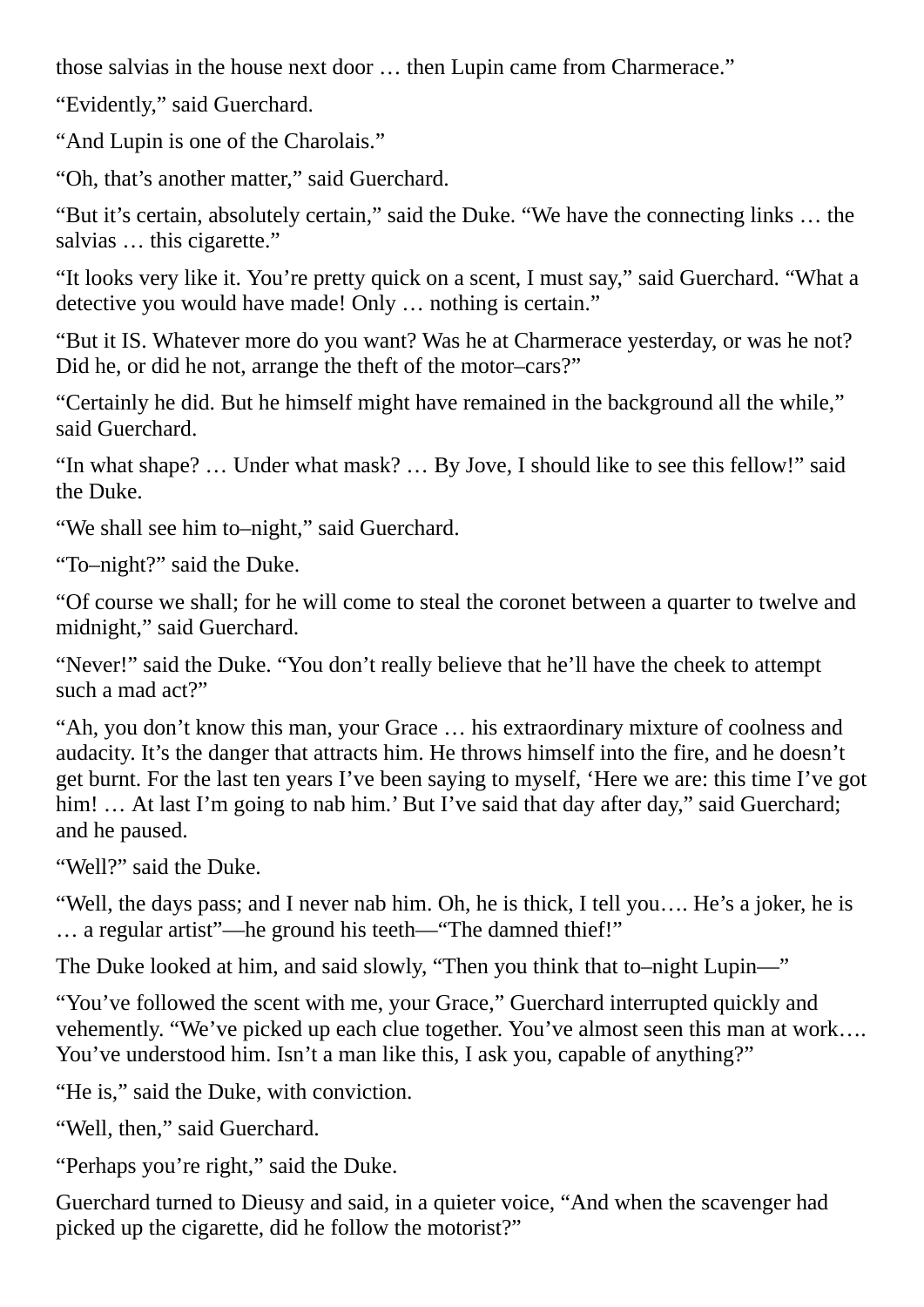those salvias in the house next door … then Lupin came from Charmerace."

"Evidently," said Guerchard.

"And Lupin is one of the Charolais."

"Oh, that's another matter," said Guerchard.

"But it's certain, absolutely certain," said the Duke. "We have the connecting links … the salvias … this cigarette."

"It looks very like it. You're pretty quick on a scent, I must say," said Guerchard. "What a detective you would have made! Only … nothing is certain."

"But it IS. Whatever more do you want? Was he at Charmerace yesterday, or was he not? Did he, or did he not, arrange the theft of the motor–cars?"

"Certainly he did. But he himself might have remained in the background all the while," said Guerchard.

"In what shape? … Under what mask? … By Jove, I should like to see this fellow!" said the Duke.

"We shall see him to–night," said Guerchard.

"To–night?" said the Duke.

"Of course we shall; for he will come to steal the coronet between a quarter to twelve and midnight," said Guerchard.

"Never!" said the Duke. "You don't really believe that he'll have the cheek to attempt such a mad act?"

"Ah, you don't know this man, your Grace … his extraordinary mixture of coolness and audacity. It's the danger that attracts him. He throws himself into the fire, and he doesn't get burnt. For the last ten years I've been saying to myself, 'Here we are: this time I've got him! ... At last I'm going to nab him.' But I've said that day after day," said Guerchard; and he paused.

"Well?" said the Duke.

"Well, the days pass; and I never nab him. Oh, he is thick, I tell you…. He's a joker, he is … a regular artist"—he ground his teeth—"The damned thief!"

The Duke looked at him, and said slowly, "Then you think that to–night Lupin—"

"You've followed the scent with me, your Grace," Guerchard interrupted quickly and vehemently. "We've picked up each clue together. You've almost seen this man at work…. You've understood him. Isn't a man like this, I ask you, capable of anything?"

"He is," said the Duke, with conviction.

"Well, then," said Guerchard.

"Perhaps you're right," said the Duke.

Guerchard turned to Dieusy and said, in a quieter voice, "And when the scavenger had picked up the cigarette, did he follow the motorist?"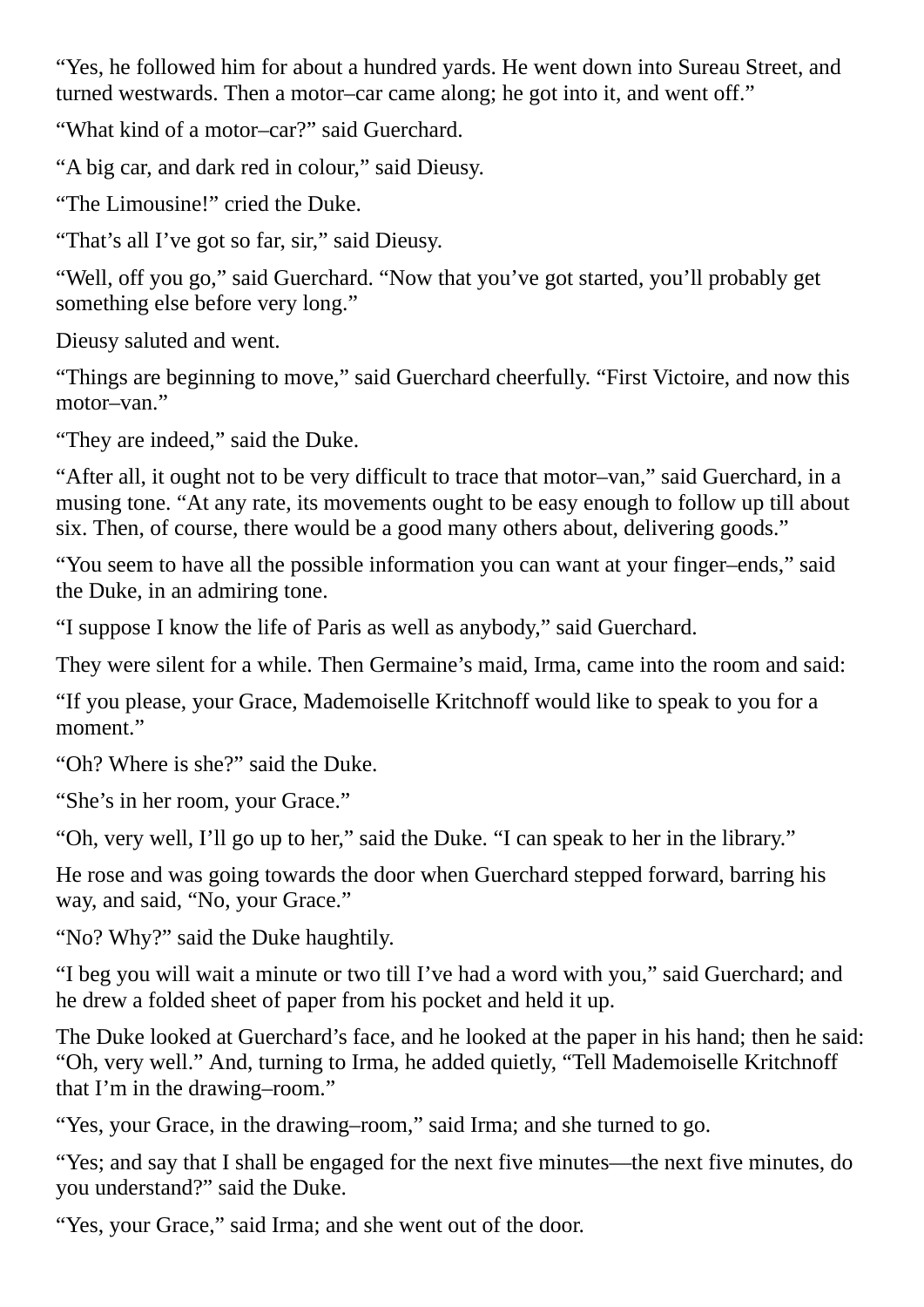"Yes, he followed him for about a hundred yards. He went down into Sureau Street, and turned westwards. Then a motor–car came along; he got into it, and went off."

"What kind of a motor–car?" said Guerchard.

"A big car, and dark red in colour," said Dieusy.

"The Limousine!" cried the Duke.

"That's all I've got so far, sir," said Dieusy.

"Well, off you go," said Guerchard. "Now that you've got started, you'll probably get something else before very long."

Dieusy saluted and went.

"Things are beginning to move," said Guerchard cheerfully. "First Victoire, and now this motor–van."

"They are indeed," said the Duke.

"After all, it ought not to be very difficult to trace that motor–van," said Guerchard, in a musing tone. "At any rate, its movements ought to be easy enough to follow up till about six. Then, of course, there would be a good many others about, delivering goods."

"You seem to have all the possible information you can want at your finger–ends," said the Duke, in an admiring tone.

"I suppose I know the life of Paris as well as anybody," said Guerchard.

They were silent for a while. Then Germaine's maid, Irma, came into the room and said:

"If you please, your Grace, Mademoiselle Kritchnoff would like to speak to you for a moment."

"Oh? Where is she?" said the Duke.

"She's in her room, your Grace."

"Oh, very well, I'll go up to her," said the Duke. "I can speak to her in the library."

He rose and was going towards the door when Guerchard stepped forward, barring his way, and said, "No, your Grace."

"No? Why?" said the Duke haughtily.

"I beg you will wait a minute or two till I've had a word with you," said Guerchard; and he drew a folded sheet of paper from his pocket and held it up.

The Duke looked at Guerchard's face, and he looked at the paper in his hand; then he said: "Oh, very well." And, turning to Irma, he added quietly, "Tell Mademoiselle Kritchnoff that I'm in the drawing–room."

"Yes, your Grace, in the drawing–room," said Irma; and she turned to go.

"Yes; and say that I shall be engaged for the next five minutes—the next five minutes, do you understand?" said the Duke.

"Yes, your Grace," said Irma; and she went out of the door.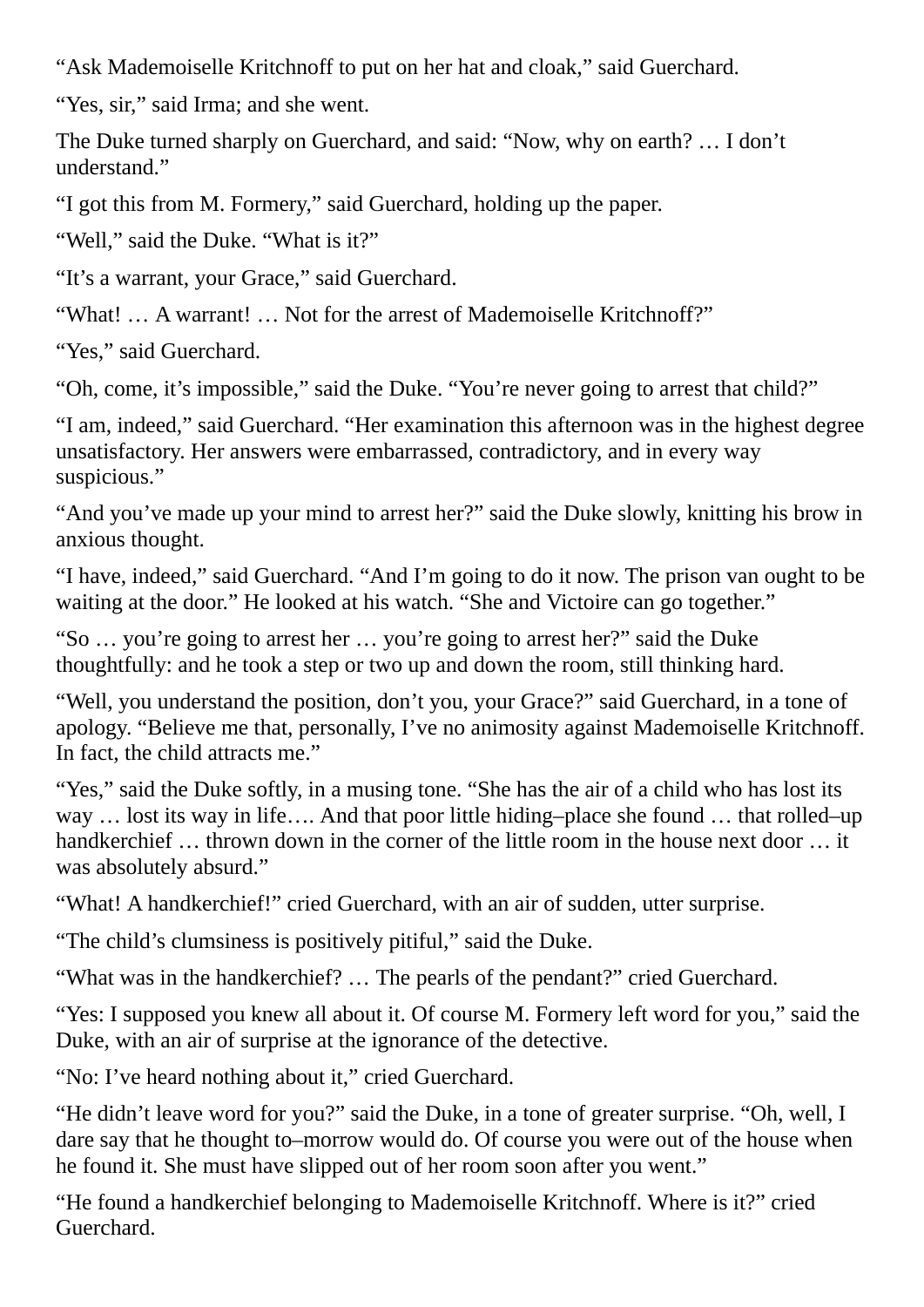"Ask Mademoiselle Kritchnoff to put on her hat and cloak," said Guerchard.

"Yes, sir," said Irma; and she went.

The Duke turned sharply on Guerchard, and said: "Now, why on earth? … I don't understand."

"I got this from M. Formery," said Guerchard, holding up the paper.

"Well," said the Duke. "What is it?"

"It's a warrant, your Grace," said Guerchard.

"What! … A warrant! … Not for the arrest of Mademoiselle Kritchnoff?"

"Yes," said Guerchard.

"Oh, come, it's impossible," said the Duke. "You're never going to arrest that child?"

"I am, indeed," said Guerchard. "Her examination this afternoon was in the highest degree unsatisfactory. Her answers were embarrassed, contradictory, and in every way suspicious."

"And you've made up your mind to arrest her?" said the Duke slowly, knitting his brow in anxious thought.

"I have, indeed," said Guerchard. "And I'm going to do it now. The prison van ought to be waiting at the door." He looked at his watch. "She and Victoire can go together."

"So … you're going to arrest her … you're going to arrest her?" said the Duke thoughtfully: and he took a step or two up and down the room, still thinking hard.

"Well, you understand the position, don't you, your Grace?" said Guerchard, in a tone of apology. "Believe me that, personally, I've no animosity against Mademoiselle Kritchnoff. In fact, the child attracts me."

"Yes," said the Duke softly, in a musing tone. "She has the air of a child who has lost its way … lost its way in life…. And that poor little hiding–place she found … that rolled–up handkerchief ... thrown down in the corner of the little room in the house next door ... it was absolutely absurd."

"What! A handkerchief!" cried Guerchard, with an air of sudden, utter surprise.

"The child's clumsiness is positively pitiful," said the Duke.

"What was in the handkerchief? … The pearls of the pendant?" cried Guerchard.

"Yes: I supposed you knew all about it. Of course M. Formery left word for you," said the Duke, with an air of surprise at the ignorance of the detective.

"No: I've heard nothing about it," cried Guerchard.

"He didn't leave word for you?" said the Duke, in a tone of greater surprise. "Oh, well, I dare say that he thought to–morrow would do. Of course you were out of the house when he found it. She must have slipped out of her room soon after you went."

"He found a handkerchief belonging to Mademoiselle Kritchnoff. Where is it?" cried Guerchard.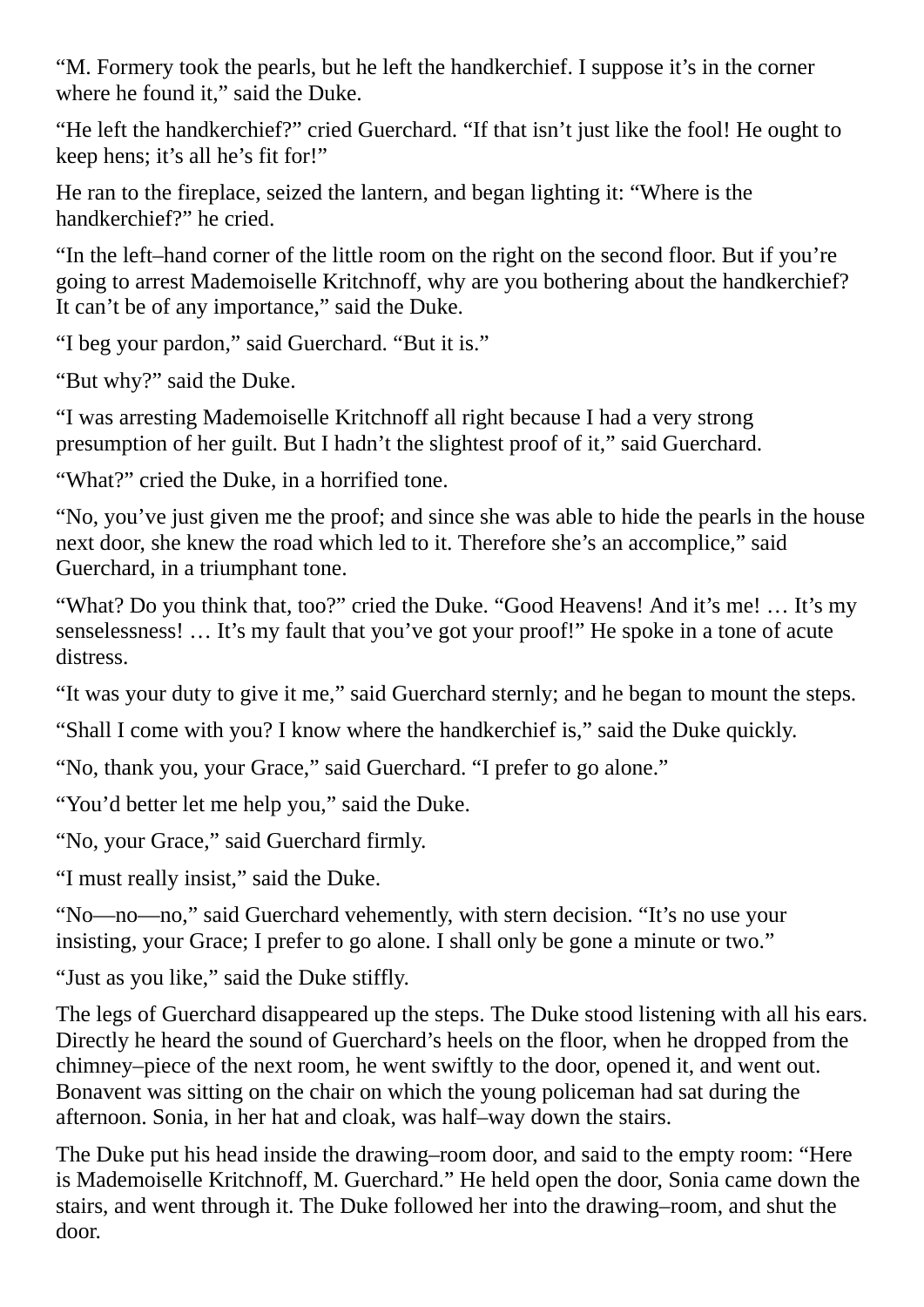"M. Formery took the pearls, but he left the handkerchief. I suppose it's in the corner where he found it," said the Duke.

"He left the handkerchief?" cried Guerchard. "If that isn't just like the fool! He ought to keep hens; it's all he's fit for!"

He ran to the fireplace, seized the lantern, and began lighting it: "Where is the handkerchief?" he cried.

"In the left–hand corner of the little room on the right on the second floor. But if you're going to arrest Mademoiselle Kritchnoff, why are you bothering about the handkerchief? It can't be of any importance," said the Duke.

"I beg your pardon," said Guerchard. "But it is."

"But why?" said the Duke.

"I was arresting Mademoiselle Kritchnoff all right because I had a very strong presumption of her guilt. But I hadn't the slightest proof of it," said Guerchard.

"What?" cried the Duke, in a horrified tone.

"No, you've just given me the proof; and since she was able to hide the pearls in the house next door, she knew the road which led to it. Therefore she's an accomplice," said Guerchard, in a triumphant tone.

"What? Do you think that, too?" cried the Duke. "Good Heavens! And it's me! … It's my senselessness! … It's my fault that you've got your proof!" He spoke in a tone of acute distress.

"It was your duty to give it me," said Guerchard sternly; and he began to mount the steps.

"Shall I come with you? I know where the handkerchief is," said the Duke quickly.

"No, thank you, your Grace," said Guerchard. "I prefer to go alone."

"You'd better let me help you," said the Duke.

"No, your Grace," said Guerchard firmly.

"I must really insist," said the Duke.

"No—no—no," said Guerchard vehemently, with stern decision. "It's no use your insisting, your Grace; I prefer to go alone. I shall only be gone a minute or two."

"Just as you like," said the Duke stiffly.

The legs of Guerchard disappeared up the steps. The Duke stood listening with all his ears. Directly he heard the sound of Guerchard's heels on the floor, when he dropped from the chimney–piece of the next room, he went swiftly to the door, opened it, and went out. Bonavent was sitting on the chair on which the young policeman had sat during the afternoon. Sonia, in her hat and cloak, was half–way down the stairs.

The Duke put his head inside the drawing–room door, and said to the empty room: "Here is Mademoiselle Kritchnoff, M. Guerchard." He held open the door, Sonia came down the stairs, and went through it. The Duke followed her into the drawing–room, and shut the door.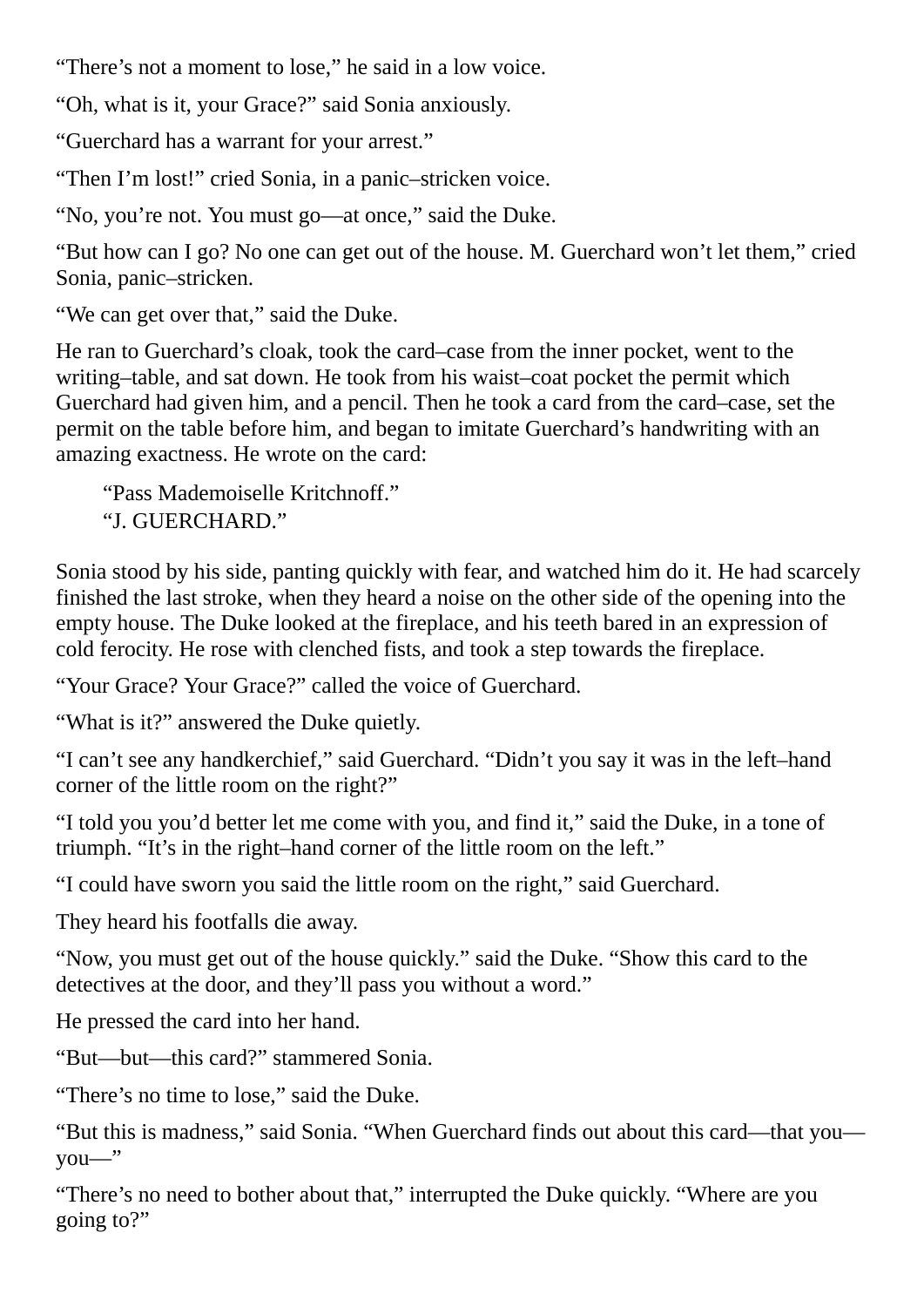"There's not a moment to lose," he said in a low voice.

"Oh, what is it, your Grace?" said Sonia anxiously.

"Guerchard has a warrant for your arrest."

"Then I'm lost!" cried Sonia, in a panic–stricken voice.

"No, you're not. You must go—at once," said the Duke.

"But how can I go? No one can get out of the house. M. Guerchard won't let them," cried Sonia, panic–stricken.

"We can get over that," said the Duke.

He ran to Guerchard's cloak, took the card–case from the inner pocket, went to the writing–table, and sat down. He took from his waist–coat pocket the permit which Guerchard had given him, and a pencil. Then he took a card from the card–case, set the permit on the table before him, and began to imitate Guerchard's handwriting with an amazing exactness. He wrote on the card:

"Pass Mademoiselle Kritchnoff." "J. GUERCHARD."

Sonia stood by his side, panting quickly with fear, and watched him do it. He had scarcely finished the last stroke, when they heard a noise on the other side of the opening into the empty house. The Duke looked at the fireplace, and his teeth bared in an expression of cold ferocity. He rose with clenched fists, and took a step towards the fireplace.

"Your Grace? Your Grace?" called the voice of Guerchard.

"What is it?" answered the Duke quietly.

"I can't see any handkerchief," said Guerchard. "Didn't you say it was in the left–hand corner of the little room on the right?"

"I told you you'd better let me come with you, and find it," said the Duke, in a tone of triumph. "It's in the right–hand corner of the little room on the left."

"I could have sworn you said the little room on the right," said Guerchard.

They heard his footfalls die away.

"Now, you must get out of the house quickly." said the Duke. "Show this card to the detectives at the door, and they'll pass you without a word."

He pressed the card into her hand.

"But—but—this card?" stammered Sonia.

"There's no time to lose," said the Duke.

"But this is madness," said Sonia. "When Guerchard finds out about this card—that you you—"

"There's no need to bother about that," interrupted the Duke quickly. "Where are you going to?"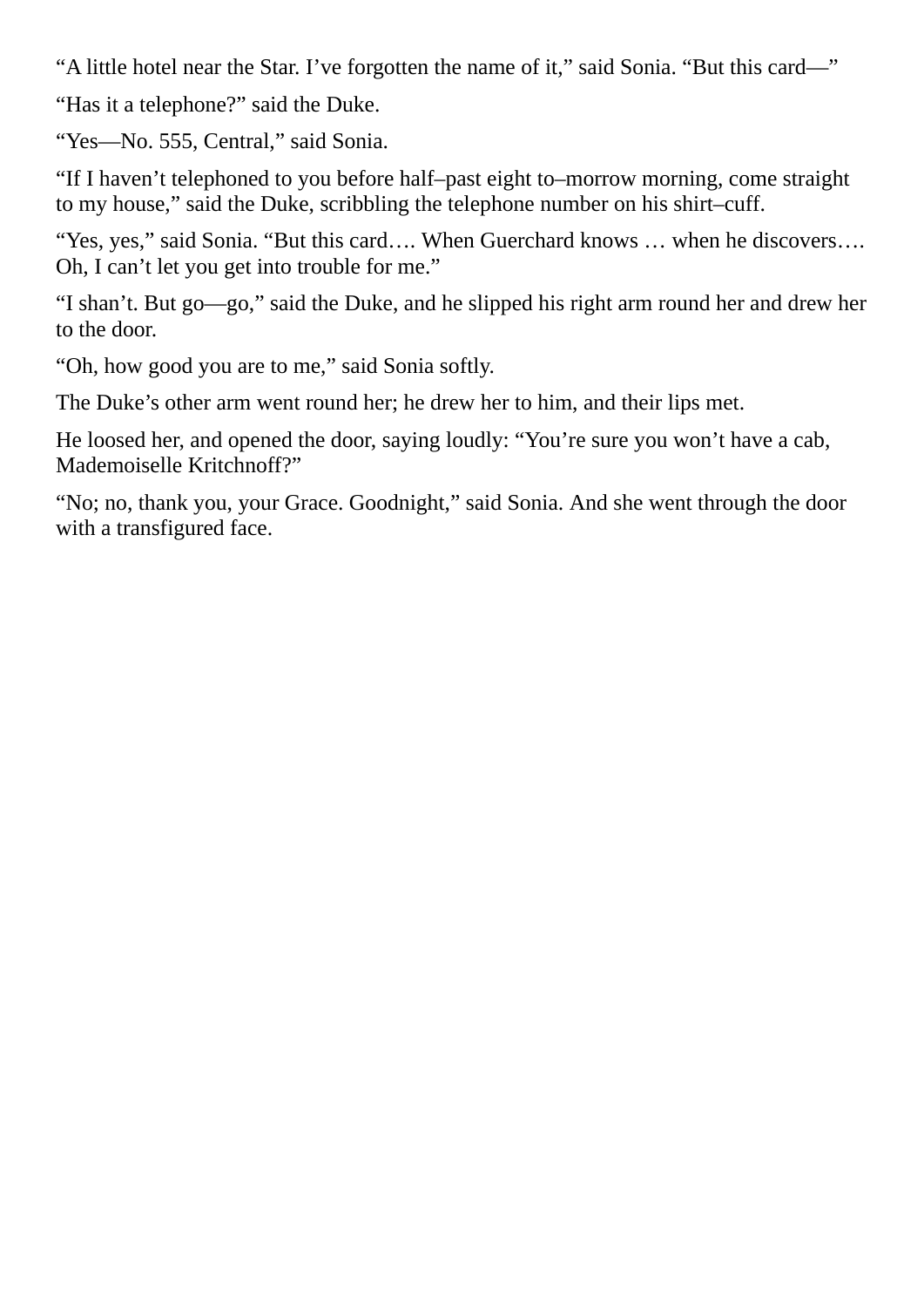"A little hotel near the Star. I've forgotten the name of it," said Sonia. "But this card—"

"Has it a telephone?" said the Duke.

"Yes—No. 555, Central," said Sonia.

"If I haven't telephoned to you before half–past eight to–morrow morning, come straight to my house," said the Duke, scribbling the telephone number on his shirt–cuff.

"Yes, yes," said Sonia. "But this card…. When Guerchard knows … when he discovers…. Oh, I can't let you get into trouble for me."

"I shan't. But go—go," said the Duke, and he slipped his right arm round her and drew her to the door.

"Oh, how good you are to me," said Sonia softly.

The Duke's other arm went round her; he drew her to him, and their lips met.

He loosed her, and opened the door, saying loudly: "You're sure you won't have a cab, Mademoiselle Kritchnoff?"

"No; no, thank you, your Grace. Goodnight," said Sonia. And she went through the door with a transfigured face.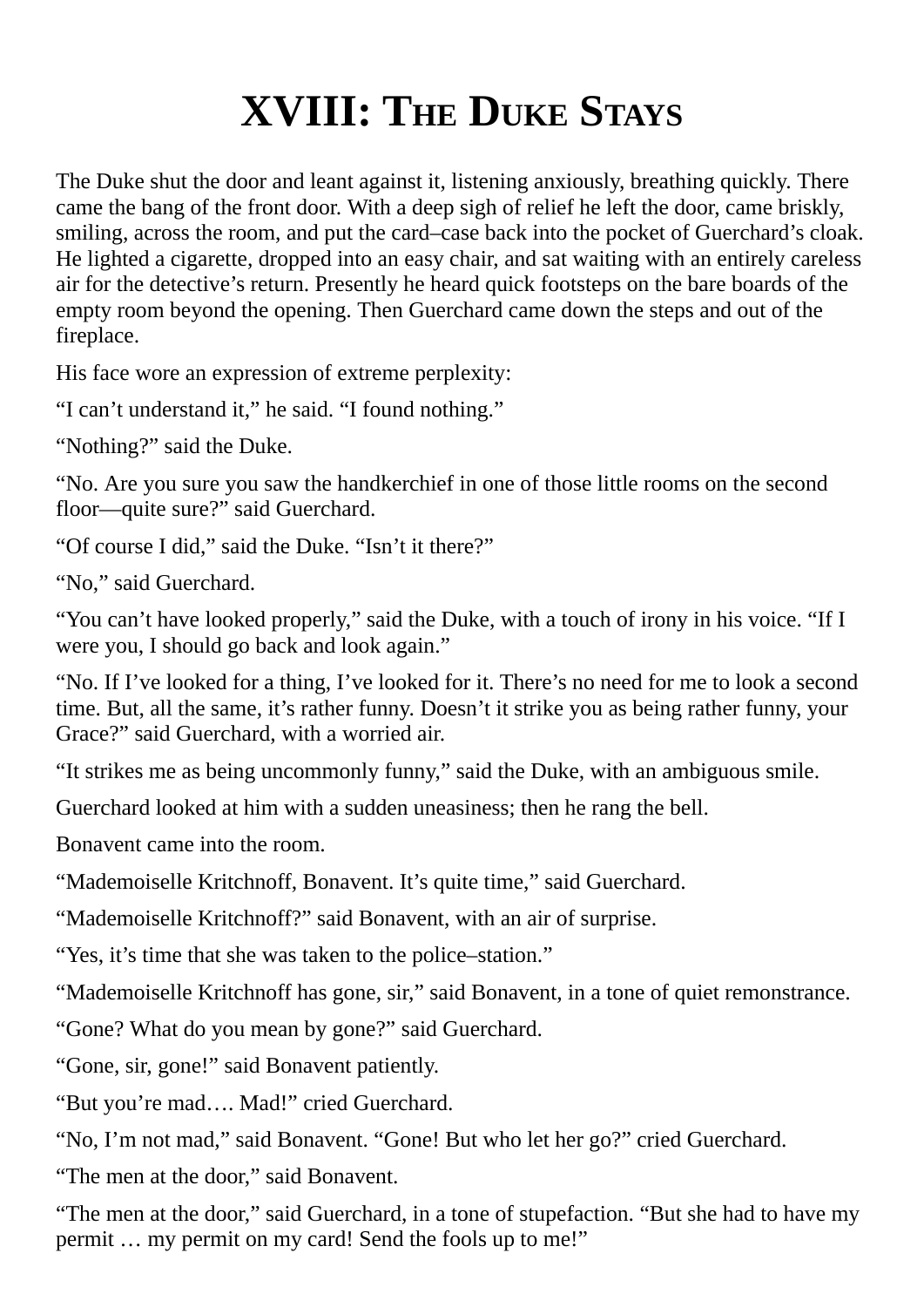## **XVIII: THE DUKE STAYS**

The Duke shut the door and leant against it, listening anxiously, breathing quickly. There came the bang of the front door. With a deep sigh of relief he left the door, came briskly, smiling, across the room, and put the card–case back into the pocket of Guerchard's cloak. He lighted a cigarette, dropped into an easy chair, and sat waiting with an entirely careless air for the detective's return. Presently he heard quick footsteps on the bare boards of the empty room beyond the opening. Then Guerchard came down the steps and out of the fireplace.

His face wore an expression of extreme perplexity:

"I can't understand it," he said. "I found nothing."

"Nothing?" said the Duke.

"No. Are you sure you saw the handkerchief in one of those little rooms on the second floor—quite sure?" said Guerchard.

"Of course I did," said the Duke. "Isn't it there?"

"No," said Guerchard.

"You can't have looked properly," said the Duke, with a touch of irony in his voice. "If I were you, I should go back and look again."

"No. If I've looked for a thing, I've looked for it. There's no need for me to look a second time. But, all the same, it's rather funny. Doesn't it strike you as being rather funny, your Grace?" said Guerchard, with a worried air.

"It strikes me as being uncommonly funny," said the Duke, with an ambiguous smile.

Guerchard looked at him with a sudden uneasiness; then he rang the bell.

Bonavent came into the room.

"Mademoiselle Kritchnoff, Bonavent. It's quite time," said Guerchard.

"Mademoiselle Kritchnoff?" said Bonavent, with an air of surprise.

"Yes, it's time that she was taken to the police–station."

"Mademoiselle Kritchnoff has gone, sir," said Bonavent, in a tone of quiet remonstrance.

"Gone? What do you mean by gone?" said Guerchard.

"Gone, sir, gone!" said Bonavent patiently.

"But you're mad…. Mad!" cried Guerchard.

"No, I'm not mad," said Bonavent. "Gone! But who let her go?" cried Guerchard.

"The men at the door," said Bonavent.

"The men at the door," said Guerchard, in a tone of stupefaction. "But she had to have my permit … my permit on my card! Send the fools up to me!"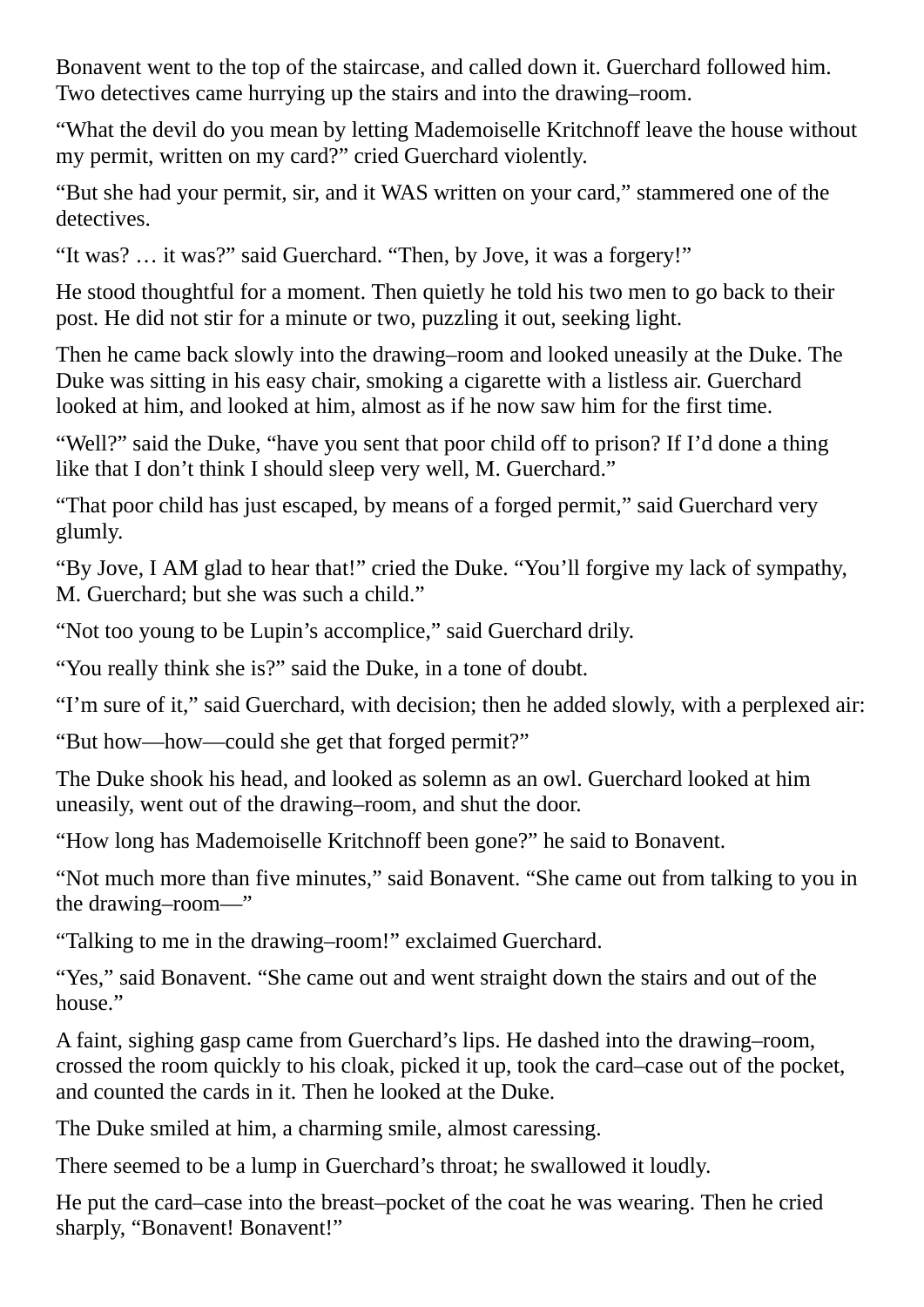Bonavent went to the top of the staircase, and called down it. Guerchard followed him. Two detectives came hurrying up the stairs and into the drawing–room.

"What the devil do you mean by letting Mademoiselle Kritchnoff leave the house without my permit, written on my card?" cried Guerchard violently.

"But she had your permit, sir, and it WAS written on your card," stammered one of the detectives.

"It was? … it was?" said Guerchard. "Then, by Jove, it was a forgery!"

He stood thoughtful for a moment. Then quietly he told his two men to go back to their post. He did not stir for a minute or two, puzzling it out, seeking light.

Then he came back slowly into the drawing–room and looked uneasily at the Duke. The Duke was sitting in his easy chair, smoking a cigarette with a listless air. Guerchard looked at him, and looked at him, almost as if he now saw him for the first time.

"Well?" said the Duke, "have you sent that poor child off to prison? If I'd done a thing like that I don't think I should sleep very well, M. Guerchard."

"That poor child has just escaped, by means of a forged permit," said Guerchard very glumly.

"By Jove, I AM glad to hear that!" cried the Duke. "You'll forgive my lack of sympathy, M. Guerchard; but she was such a child."

"Not too young to be Lupin's accomplice," said Guerchard drily.

"You really think she is?" said the Duke, in a tone of doubt.

"I'm sure of it," said Guerchard, with decision; then he added slowly, with a perplexed air:

"But how—how—could she get that forged permit?"

The Duke shook his head, and looked as solemn as an owl. Guerchard looked at him uneasily, went out of the drawing–room, and shut the door.

"How long has Mademoiselle Kritchnoff been gone?" he said to Bonavent.

"Not much more than five minutes," said Bonavent. "She came out from talking to you in the drawing–room—"

"Talking to me in the drawing–room!" exclaimed Guerchard.

"Yes," said Bonavent. "She came out and went straight down the stairs and out of the house."

A faint, sighing gasp came from Guerchard's lips. He dashed into the drawing–room, crossed the room quickly to his cloak, picked it up, took the card–case out of the pocket, and counted the cards in it. Then he looked at the Duke.

The Duke smiled at him, a charming smile, almost caressing.

There seemed to be a lump in Guerchard's throat; he swallowed it loudly.

He put the card–case into the breast–pocket of the coat he was wearing. Then he cried sharply, "Bonavent! Bonavent!"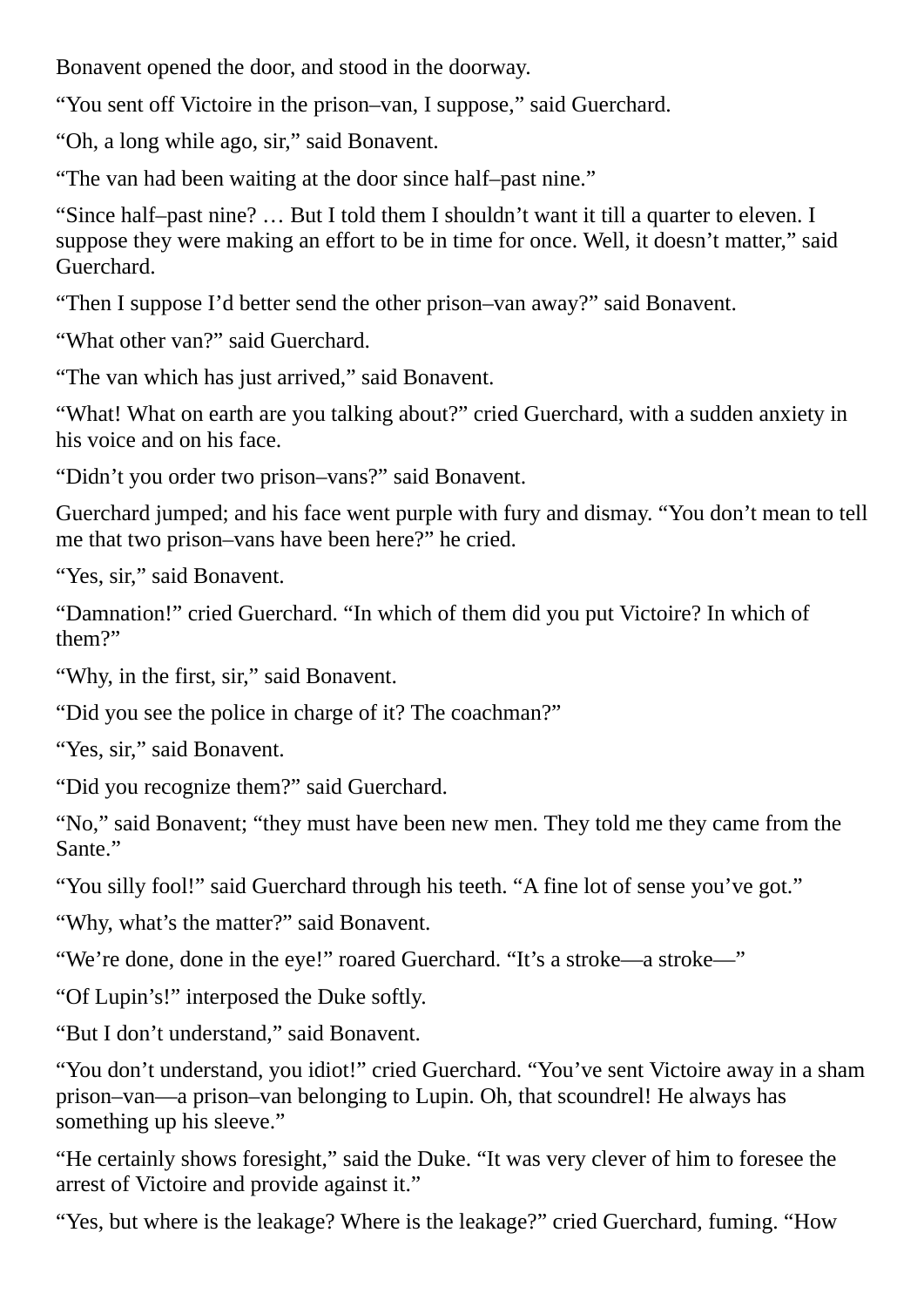Bonavent opened the door, and stood in the doorway.

"You sent off Victoire in the prison–van, I suppose," said Guerchard.

"Oh, a long while ago, sir," said Bonavent.

"The van had been waiting at the door since half–past nine."

"Since half–past nine? … But I told them I shouldn't want it till a quarter to eleven. I suppose they were making an effort to be in time for once. Well, it doesn't matter," said Guerchard.

"Then I suppose I'd better send the other prison–van away?" said Bonavent.

"What other van?" said Guerchard.

"The van which has just arrived," said Bonavent.

"What! What on earth are you talking about?" cried Guerchard, with a sudden anxiety in his voice and on his face.

"Didn't you order two prison–vans?" said Bonavent.

Guerchard jumped; and his face went purple with fury and dismay. "You don't mean to tell me that two prison–vans have been here?" he cried.

"Yes, sir," said Bonavent.

"Damnation!" cried Guerchard. "In which of them did you put Victoire? In which of them?"

"Why, in the first, sir," said Bonavent.

"Did you see the police in charge of it? The coachman?"

"Yes, sir," said Bonavent.

"Did you recognize them?" said Guerchard.

"No," said Bonavent; "they must have been new men. They told me they came from the Sante."

"You silly fool!" said Guerchard through his teeth. "A fine lot of sense you've got."

"Why, what's the matter?" said Bonavent.

"We're done, done in the eye!" roared Guerchard. "It's a stroke—a stroke—"

"Of Lupin's!" interposed the Duke softly.

"But I don't understand," said Bonavent.

"You don't understand, you idiot!" cried Guerchard. "You've sent Victoire away in a sham prison–van—a prison–van belonging to Lupin. Oh, that scoundrel! He always has something up his sleeve."

"He certainly shows foresight," said the Duke. "It was very clever of him to foresee the arrest of Victoire and provide against it."

"Yes, but where is the leakage? Where is the leakage?" cried Guerchard, fuming. "How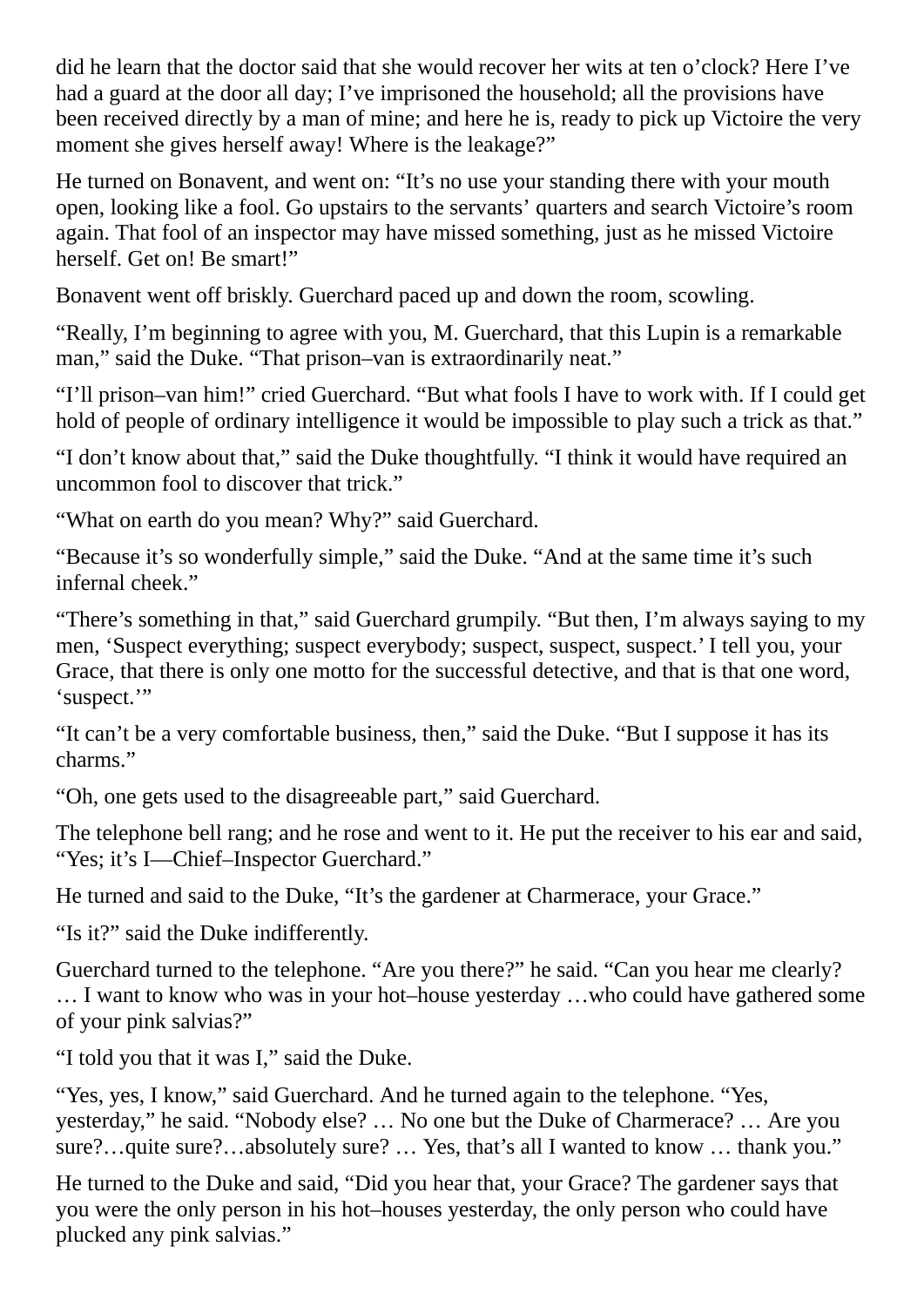did he learn that the doctor said that she would recover her wits at ten o'clock? Here I've had a guard at the door all day; I've imprisoned the household; all the provisions have been received directly by a man of mine; and here he is, ready to pick up Victoire the very moment she gives herself away! Where is the leakage?"

He turned on Bonavent, and went on: "It's no use your standing there with your mouth open, looking like a fool. Go upstairs to the servants' quarters and search Victoire's room again. That fool of an inspector may have missed something, just as he missed Victoire herself. Get on! Be smart!"

Bonavent went off briskly. Guerchard paced up and down the room, scowling.

"Really, I'm beginning to agree with you, M. Guerchard, that this Lupin is a remarkable man," said the Duke. "That prison–van is extraordinarily neat."

"I'll prison–van him!" cried Guerchard. "But what fools I have to work with. If I could get hold of people of ordinary intelligence it would be impossible to play such a trick as that."

"I don't know about that," said the Duke thoughtfully. "I think it would have required an uncommon fool to discover that trick."

"What on earth do you mean? Why?" said Guerchard.

"Because it's so wonderfully simple," said the Duke. "And at the same time it's such infernal cheek."

"There's something in that," said Guerchard grumpily. "But then, I'm always saying to my men, 'Suspect everything; suspect everybody; suspect, suspect, suspect.' I tell you, your Grace, that there is only one motto for the successful detective, and that is that one word, 'suspect."

"It can't be a very comfortable business, then," said the Duke. "But I suppose it has its charms."

"Oh, one gets used to the disagreeable part," said Guerchard.

The telephone bell rang; and he rose and went to it. He put the receiver to his ear and said, "Yes; it's I—Chief–Inspector Guerchard."

He turned and said to the Duke, "It's the gardener at Charmerace, your Grace."

"Is it?" said the Duke indifferently.

Guerchard turned to the telephone. "Are you there?" he said. "Can you hear me clearly? … I want to know who was in your hot–house yesterday …who could have gathered some of your pink salvias?"

"I told you that it was I," said the Duke.

"Yes, yes, I know," said Guerchard. And he turned again to the telephone. "Yes, yesterday," he said. "Nobody else? … No one but the Duke of Charmerace? … Are you sure?…quite sure?…absolutely sure? … Yes, that's all I wanted to know … thank you."

He turned to the Duke and said, "Did you hear that, your Grace? The gardener says that you were the only person in his hot–houses yesterday, the only person who could have plucked any pink salvias."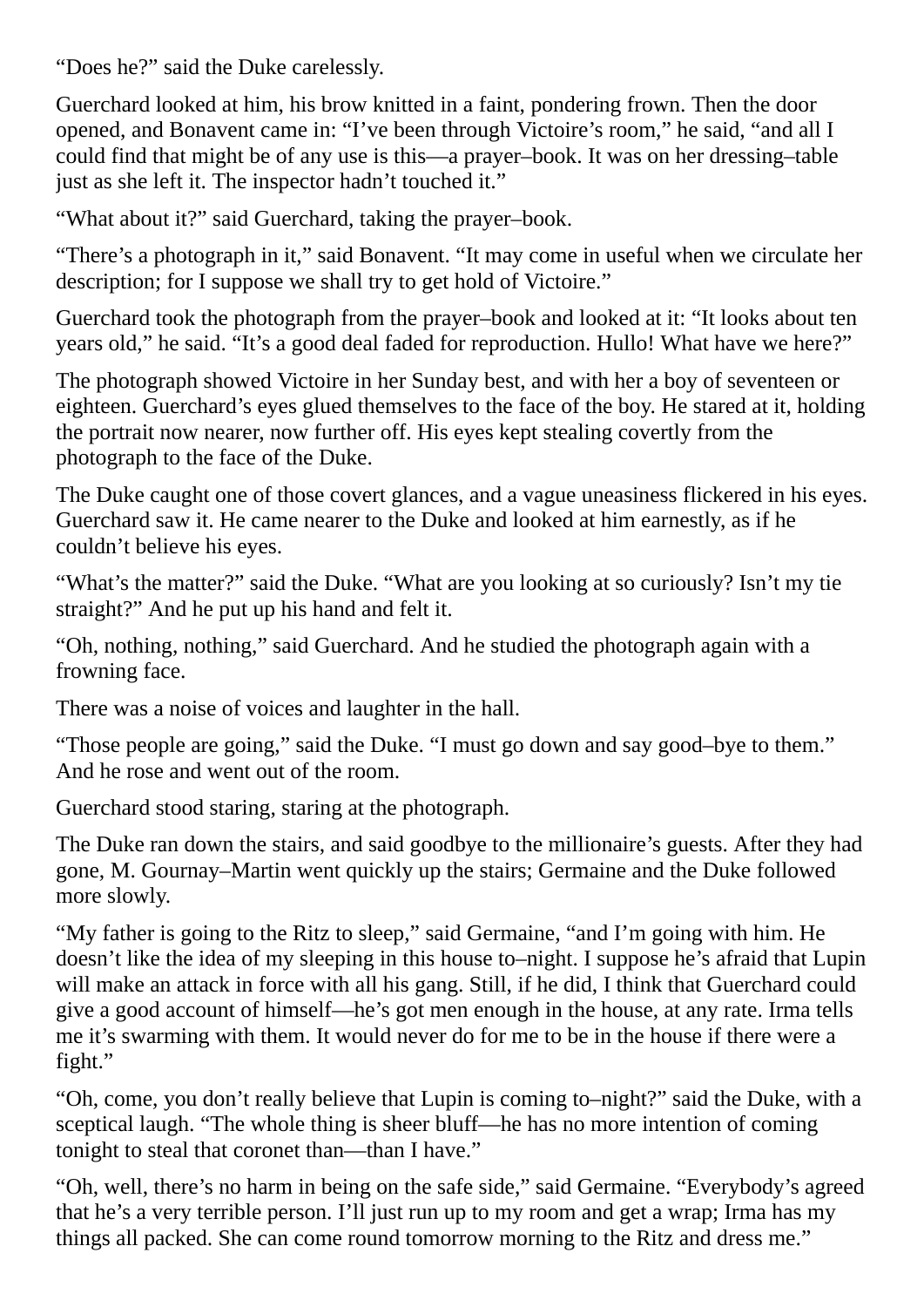"Does he?" said the Duke carelessly.

Guerchard looked at him, his brow knitted in a faint, pondering frown. Then the door opened, and Bonavent came in: "I've been through Victoire's room," he said, "and all I could find that might be of any use is this—a prayer–book. It was on her dressing–table just as she left it. The inspector hadn't touched it."

"What about it?" said Guerchard, taking the prayer–book.

"There's a photograph in it," said Bonavent. "It may come in useful when we circulate her description; for I suppose we shall try to get hold of Victoire."

Guerchard took the photograph from the prayer–book and looked at it: "It looks about ten years old," he said. "It's a good deal faded for reproduction. Hullo! What have we here?"

The photograph showed Victoire in her Sunday best, and with her a boy of seventeen or eighteen. Guerchard's eyes glued themselves to the face of the boy. He stared at it, holding the portrait now nearer, now further off. His eyes kept stealing covertly from the photograph to the face of the Duke.

The Duke caught one of those covert glances, and a vague uneasiness flickered in his eyes. Guerchard saw it. He came nearer to the Duke and looked at him earnestly, as if he couldn't believe his eyes.

"What's the matter?" said the Duke. "What are you looking at so curiously? Isn't my tie straight?" And he put up his hand and felt it.

"Oh, nothing, nothing," said Guerchard. And he studied the photograph again with a frowning face.

There was a noise of voices and laughter in the hall.

"Those people are going," said the Duke. "I must go down and say good–bye to them." And he rose and went out of the room.

Guerchard stood staring, staring at the photograph.

The Duke ran down the stairs, and said goodbye to the millionaire's guests. After they had gone, M. Gournay–Martin went quickly up the stairs; Germaine and the Duke followed more slowly.

"My father is going to the Ritz to sleep," said Germaine, "and I'm going with him. He doesn't like the idea of my sleeping in this house to–night. I suppose he's afraid that Lupin will make an attack in force with all his gang. Still, if he did, I think that Guerchard could give a good account of himself—he's got men enough in the house, at any rate. Irma tells me it's swarming with them. It would never do for me to be in the house if there were a fight."

"Oh, come, you don't really believe that Lupin is coming to–night?" said the Duke, with a sceptical laugh. "The whole thing is sheer bluff—he has no more intention of coming tonight to steal that coronet than—than I have."

"Oh, well, there's no harm in being on the safe side," said Germaine. "Everybody's agreed that he's a very terrible person. I'll just run up to my room and get a wrap; Irma has my things all packed. She can come round tomorrow morning to the Ritz and dress me."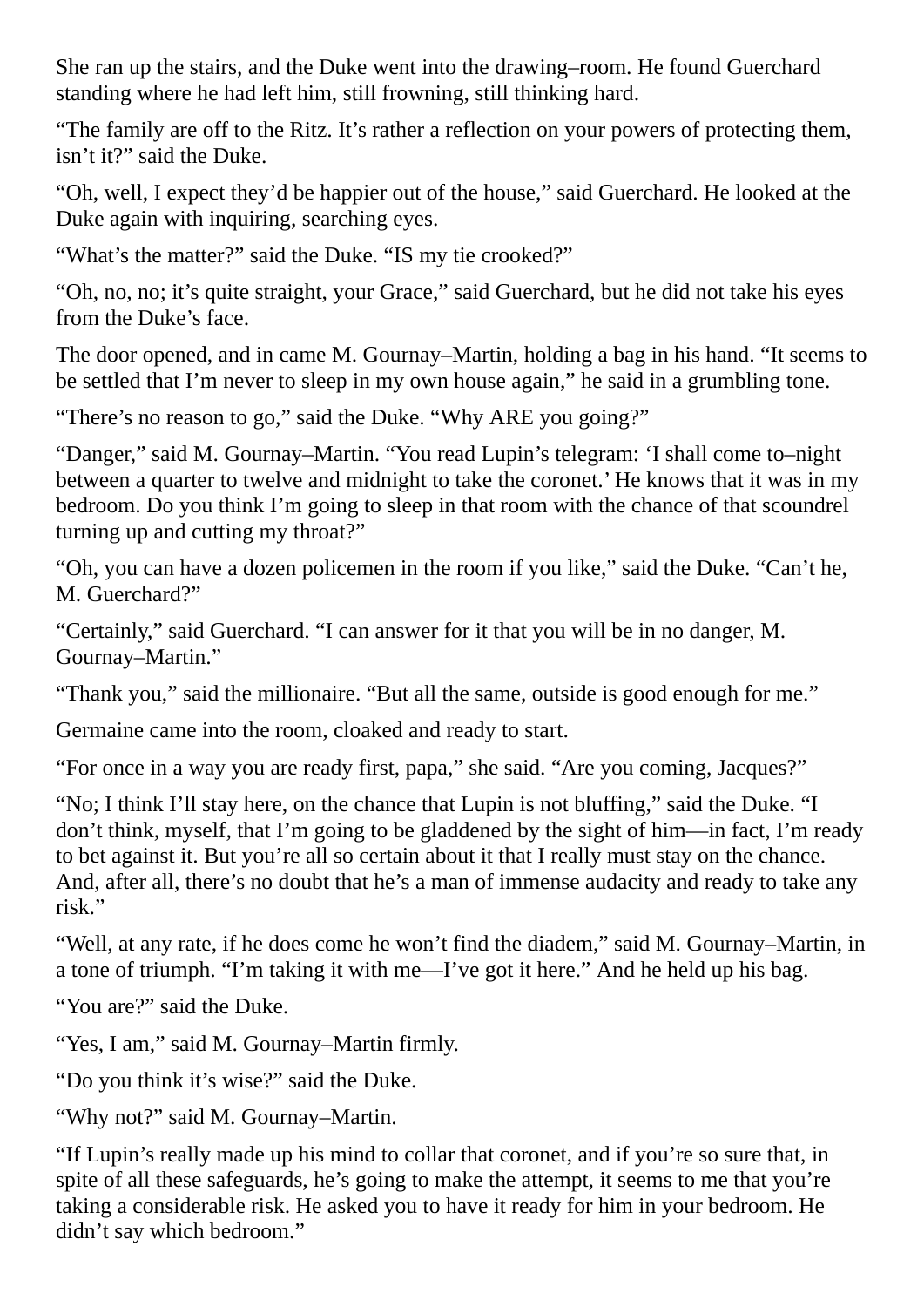She ran up the stairs, and the Duke went into the drawing–room. He found Guerchard standing where he had left him, still frowning, still thinking hard.

"The family are off to the Ritz. It's rather a reflection on your powers of protecting them, isn't it?" said the Duke.

"Oh, well, I expect they'd be happier out of the house," said Guerchard. He looked at the Duke again with inquiring, searching eyes.

"What's the matter?" said the Duke. "IS my tie crooked?"

"Oh, no, no; it's quite straight, your Grace," said Guerchard, but he did not take his eyes from the Duke's face.

The door opened, and in came M. Gournay–Martin, holding a bag in his hand. "It seems to be settled that I'm never to sleep in my own house again," he said in a grumbling tone.

"There's no reason to go," said the Duke. "Why ARE you going?"

"Danger," said M. Gournay–Martin. "You read Lupin's telegram: 'I shall come to–night between a quarter to twelve and midnight to take the coronet.' He knows that it was in my bedroom. Do you think I'm going to sleep in that room with the chance of that scoundrel turning up and cutting my throat?"

"Oh, you can have a dozen policemen in the room if you like," said the Duke. "Can't he, M. Guerchard?"

"Certainly," said Guerchard. "I can answer for it that you will be in no danger, M. Gournay–Martin."

"Thank you," said the millionaire. "But all the same, outside is good enough for me."

Germaine came into the room, cloaked and ready to start.

"For once in a way you are ready first, papa," she said. "Are you coming, Jacques?"

"No; I think I'll stay here, on the chance that Lupin is not bluffing," said the Duke. "I don't think, myself, that I'm going to be gladdened by the sight of him—in fact, I'm ready to bet against it. But you're all so certain about it that I really must stay on the chance. And, after all, there's no doubt that he's a man of immense audacity and ready to take any risk."

"Well, at any rate, if he does come he won't find the diadem," said M. Gournay–Martin, in a tone of triumph. "I'm taking it with me—I've got it here." And he held up his bag.

"You are?" said the Duke.

"Yes, I am," said M. Gournay–Martin firmly.

"Do you think it's wise?" said the Duke.

"Why not?" said M. Gournay–Martin.

"If Lupin's really made up his mind to collar that coronet, and if you're so sure that, in spite of all these safeguards, he's going to make the attempt, it seems to me that you're taking a considerable risk. He asked you to have it ready for him in your bedroom. He didn't say which bedroom."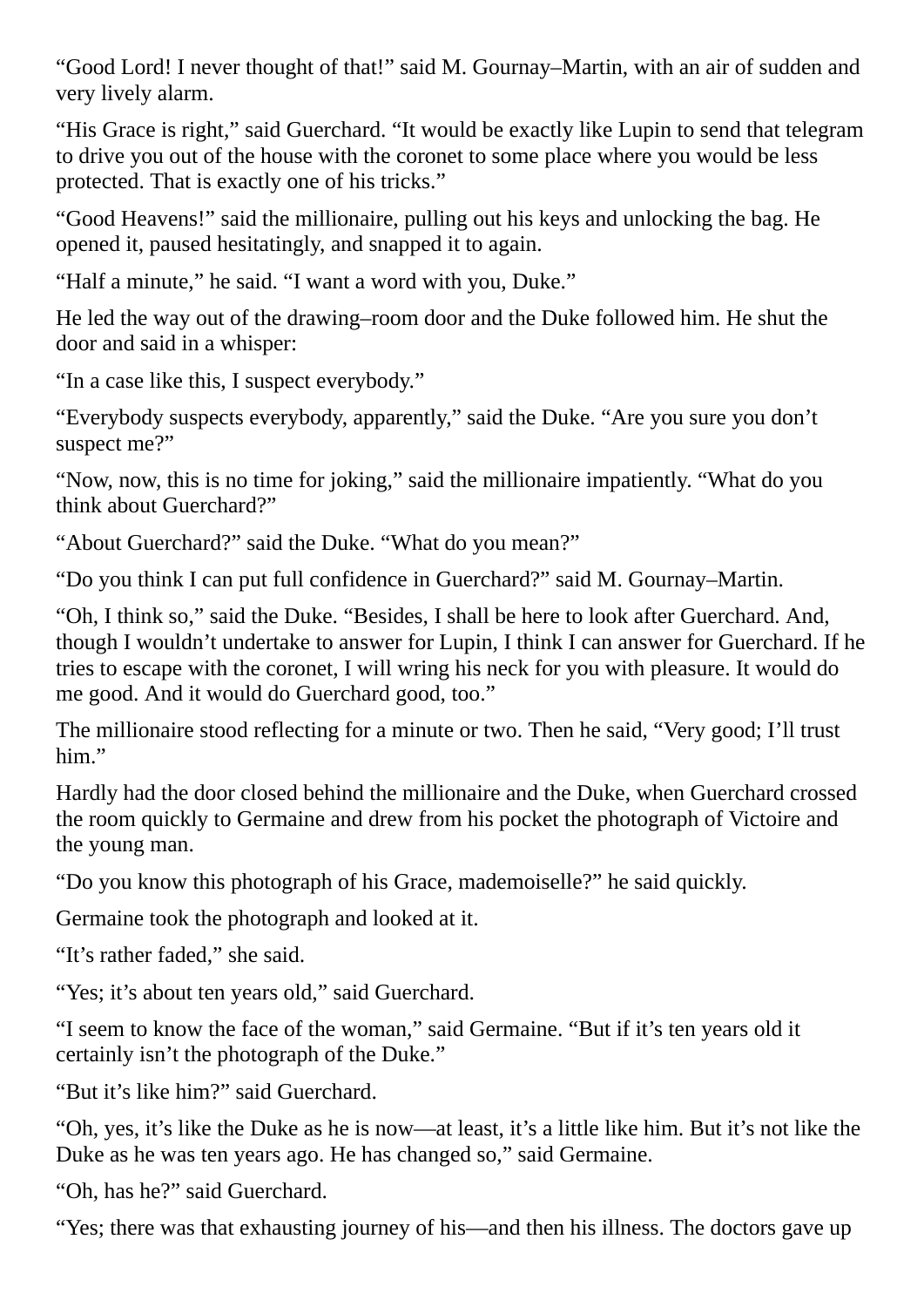"Good Lord! I never thought of that!" said M. Gournay–Martin, with an air of sudden and very lively alarm.

"His Grace is right," said Guerchard. "It would be exactly like Lupin to send that telegram to drive you out of the house with the coronet to some place where you would be less protected. That is exactly one of his tricks."

"Good Heavens!" said the millionaire, pulling out his keys and unlocking the bag. He opened it, paused hesitatingly, and snapped it to again.

"Half a minute," he said. "I want a word with you, Duke."

He led the way out of the drawing–room door and the Duke followed him. He shut the door and said in a whisper:

"In a case like this, I suspect everybody."

"Everybody suspects everybody, apparently," said the Duke. "Are you sure you don't suspect me?"

"Now, now, this is no time for joking," said the millionaire impatiently. "What do you think about Guerchard?"

"About Guerchard?" said the Duke. "What do you mean?"

"Do you think I can put full confidence in Guerchard?" said M. Gournay–Martin.

"Oh, I think so," said the Duke. "Besides, I shall be here to look after Guerchard. And, though I wouldn't undertake to answer for Lupin, I think I can answer for Guerchard. If he tries to escape with the coronet, I will wring his neck for you with pleasure. It would do me good. And it would do Guerchard good, too."

The millionaire stood reflecting for a minute or two. Then he said, "Very good; I'll trust him."

Hardly had the door closed behind the millionaire and the Duke, when Guerchard crossed the room quickly to Germaine and drew from his pocket the photograph of Victoire and the young man.

"Do you know this photograph of his Grace, mademoiselle?" he said quickly.

Germaine took the photograph and looked at it.

"It's rather faded," she said.

"Yes; it's about ten years old," said Guerchard.

"I seem to know the face of the woman," said Germaine. "But if it's ten years old it certainly isn't the photograph of the Duke."

"But it's like him?" said Guerchard.

"Oh, yes, it's like the Duke as he is now—at least, it's a little like him. But it's not like the Duke as he was ten years ago. He has changed so," said Germaine.

"Oh, has he?" said Guerchard.

"Yes; there was that exhausting journey of his—and then his illness. The doctors gave up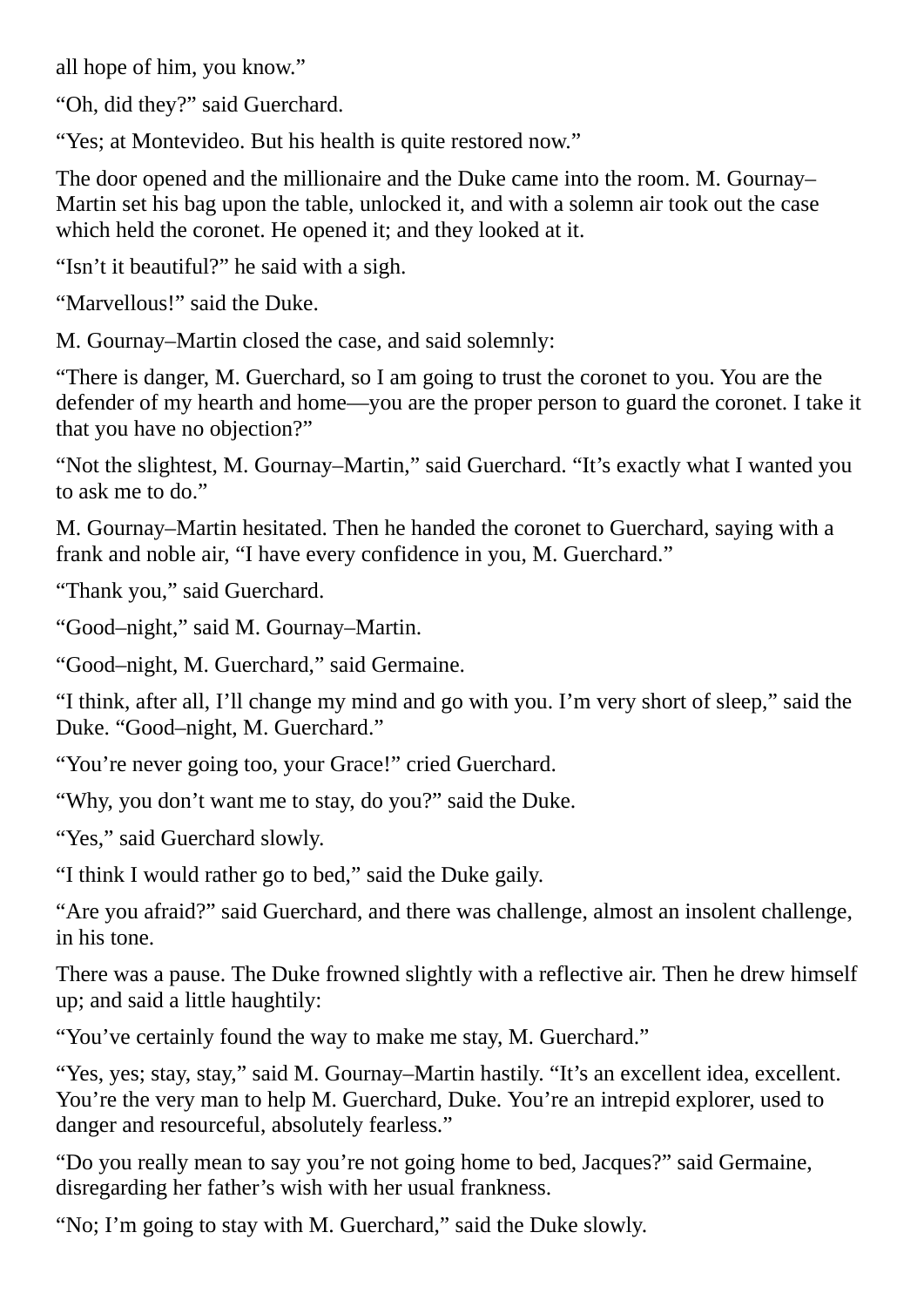all hope of him, you know."

"Oh, did they?" said Guerchard.

"Yes; at Montevideo. But his health is quite restored now."

The door opened and the millionaire and the Duke came into the room. M. Gournay– Martin set his bag upon the table, unlocked it, and with a solemn air took out the case which held the coronet. He opened it; and they looked at it.

"Isn't it beautiful?" he said with a sigh.

"Marvellous!" said the Duke.

M. Gournay–Martin closed the case, and said solemnly:

"There is danger, M. Guerchard, so I am going to trust the coronet to you. You are the defender of my hearth and home—you are the proper person to guard the coronet. I take it that you have no objection?"

"Not the slightest, M. Gournay–Martin," said Guerchard. "It's exactly what I wanted you to ask me to do."

M. Gournay–Martin hesitated. Then he handed the coronet to Guerchard, saying with a frank and noble air, "I have every confidence in you, M. Guerchard."

"Thank you," said Guerchard.

"Good–night," said M. Gournay–Martin.

"Good–night, M. Guerchard," said Germaine.

"I think, after all, I'll change my mind and go with you. I'm very short of sleep," said the Duke. "Good–night, M. Guerchard."

"You're never going too, your Grace!" cried Guerchard.

"Why, you don't want me to stay, do you?" said the Duke.

"Yes," said Guerchard slowly.

"I think I would rather go to bed," said the Duke gaily.

"Are you afraid?" said Guerchard, and there was challenge, almost an insolent challenge, in his tone.

There was a pause. The Duke frowned slightly with a reflective air. Then he drew himself up; and said a little haughtily:

"You've certainly found the way to make me stay, M. Guerchard."

"Yes, yes; stay, stay," said M. Gournay–Martin hastily. "It's an excellent idea, excellent. You're the very man to help M. Guerchard, Duke. You're an intrepid explorer, used to danger and resourceful, absolutely fearless."

"Do you really mean to say you're not going home to bed, Jacques?" said Germaine, disregarding her father's wish with her usual frankness.

"No; I'm going to stay with M. Guerchard," said the Duke slowly.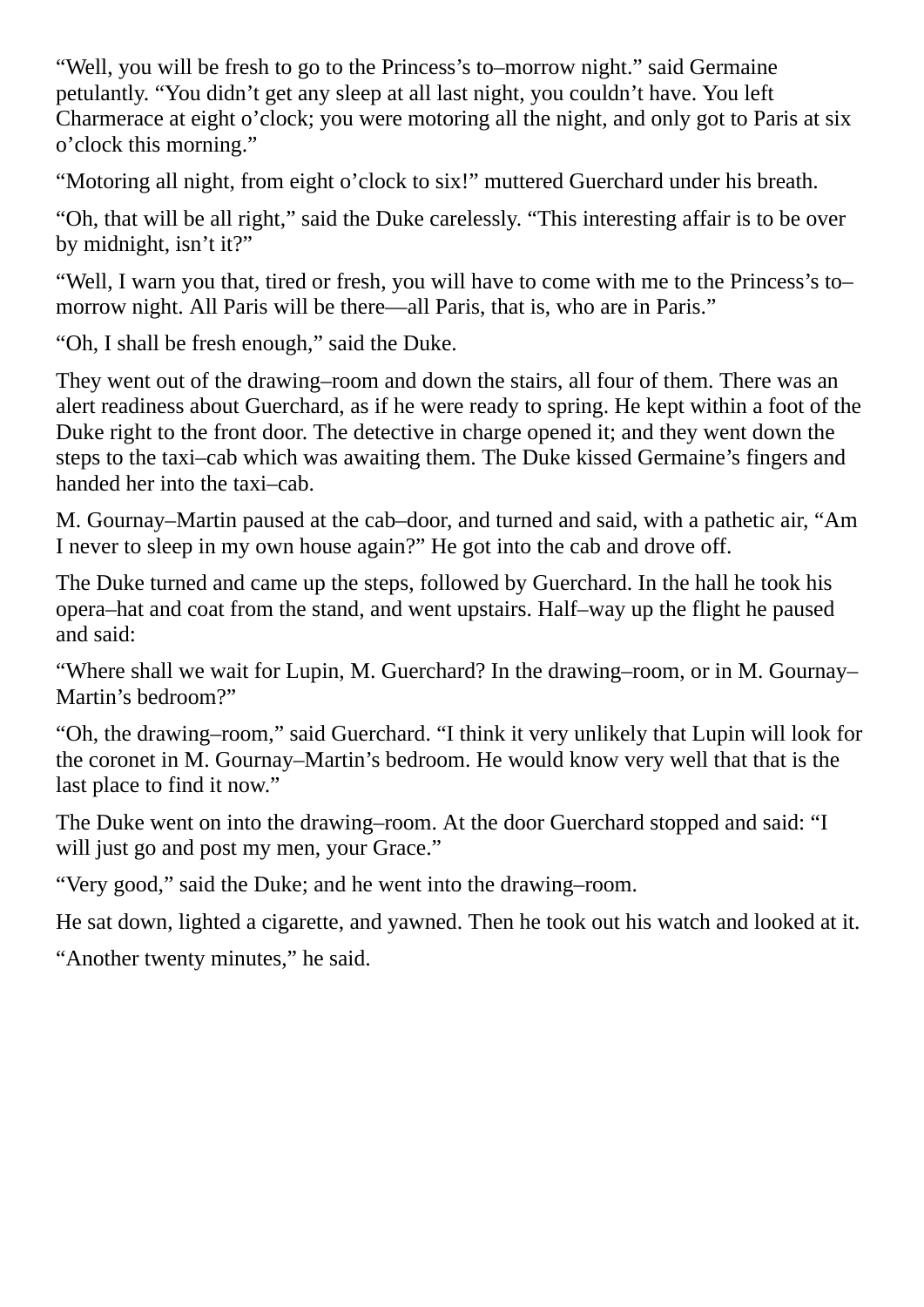"Well, you will be fresh to go to the Princess's to–morrow night." said Germaine petulantly. "You didn't get any sleep at all last night, you couldn't have. You left Charmerace at eight o'clock; you were motoring all the night, and only got to Paris at six o'clock this morning."

"Motoring all night, from eight o'clock to six!" muttered Guerchard under his breath.

"Oh, that will be all right," said the Duke carelessly. "This interesting affair is to be over by midnight, isn't it?"

"Well, I warn you that, tired or fresh, you will have to come with me to the Princess's to– morrow night. All Paris will be there—all Paris, that is, who are in Paris."

"Oh, I shall be fresh enough," said the Duke.

They went out of the drawing–room and down the stairs, all four of them. There was an alert readiness about Guerchard, as if he were ready to spring. He kept within a foot of the Duke right to the front door. The detective in charge opened it; and they went down the steps to the taxi–cab which was awaiting them. The Duke kissed Germaine's fingers and handed her into the taxi–cab.

M. Gournay–Martin paused at the cab–door, and turned and said, with a pathetic air, "Am I never to sleep in my own house again?" He got into the cab and drove off.

The Duke turned and came up the steps, followed by Guerchard. In the hall he took his opera–hat and coat from the stand, and went upstairs. Half–way up the flight he paused and said:

"Where shall we wait for Lupin, M. Guerchard? In the drawing–room, or in M. Gournay– Martin's bedroom?"

"Oh, the drawing–room," said Guerchard. "I think it very unlikely that Lupin will look for the coronet in M. Gournay–Martin's bedroom. He would know very well that that is the last place to find it now."

The Duke went on into the drawing–room. At the door Guerchard stopped and said: "I will just go and post my men, your Grace."

"Very good," said the Duke; and he went into the drawing–room.

He sat down, lighted a cigarette, and yawned. Then he took out his watch and looked at it.

"Another twenty minutes," he said.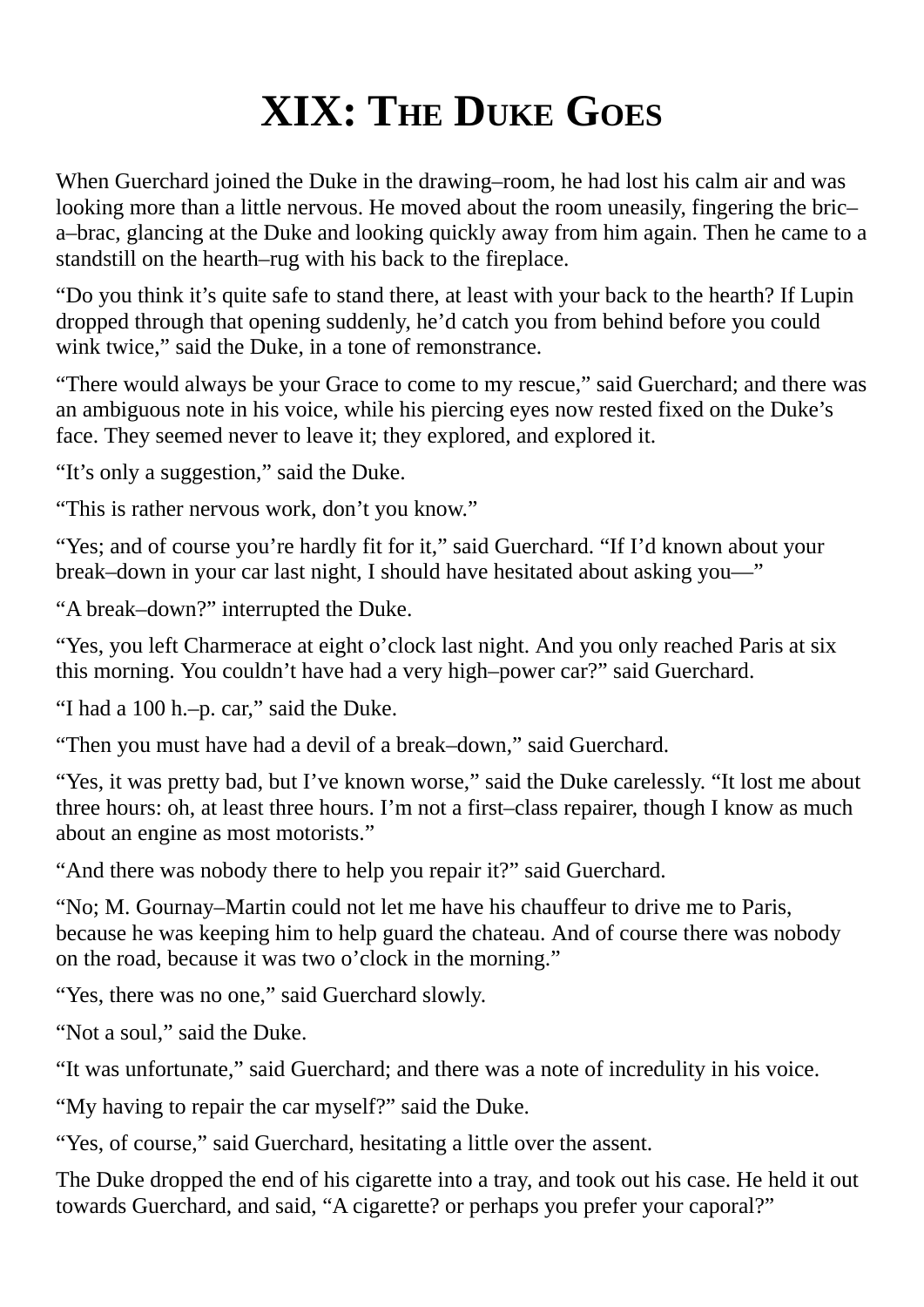## **XIX: THE DUKE GOES**

When Guerchard joined the Duke in the drawing–room, he had lost his calm air and was looking more than a little nervous. He moved about the room uneasily, fingering the bric– a–brac, glancing at the Duke and looking quickly away from him again. Then he came to a standstill on the hearth–rug with his back to the fireplace.

"Do you think it's quite safe to stand there, at least with your back to the hearth? If Lupin dropped through that opening suddenly, he'd catch you from behind before you could wink twice," said the Duke, in a tone of remonstrance.

"There would always be your Grace to come to my rescue," said Guerchard; and there was an ambiguous note in his voice, while his piercing eyes now rested fixed on the Duke's face. They seemed never to leave it; they explored, and explored it.

"It's only a suggestion," said the Duke.

"This is rather nervous work, don't you know."

"Yes; and of course you're hardly fit for it," said Guerchard. "If I'd known about your break–down in your car last night, I should have hesitated about asking you—"

"A break–down?" interrupted the Duke.

"Yes, you left Charmerace at eight o'clock last night. And you only reached Paris at six this morning. You couldn't have had a very high–power car?" said Guerchard.

"I had a 100 h.–p. car," said the Duke.

"Then you must have had a devil of a break–down," said Guerchard.

"Yes, it was pretty bad, but I've known worse," said the Duke carelessly. "It lost me about three hours: oh, at least three hours. I'm not a first–class repairer, though I know as much about an engine as most motorists."

"And there was nobody there to help you repair it?" said Guerchard.

"No; M. Gournay–Martin could not let me have his chauffeur to drive me to Paris, because he was keeping him to help guard the chateau. And of course there was nobody on the road, because it was two o'clock in the morning."

"Yes, there was no one," said Guerchard slowly.

"Not a soul," said the Duke.

"It was unfortunate," said Guerchard; and there was a note of incredulity in his voice.

"My having to repair the car myself?" said the Duke.

"Yes, of course," said Guerchard, hesitating a little over the assent.

The Duke dropped the end of his cigarette into a tray, and took out his case. He held it out towards Guerchard, and said, "A cigarette? or perhaps you prefer your caporal?"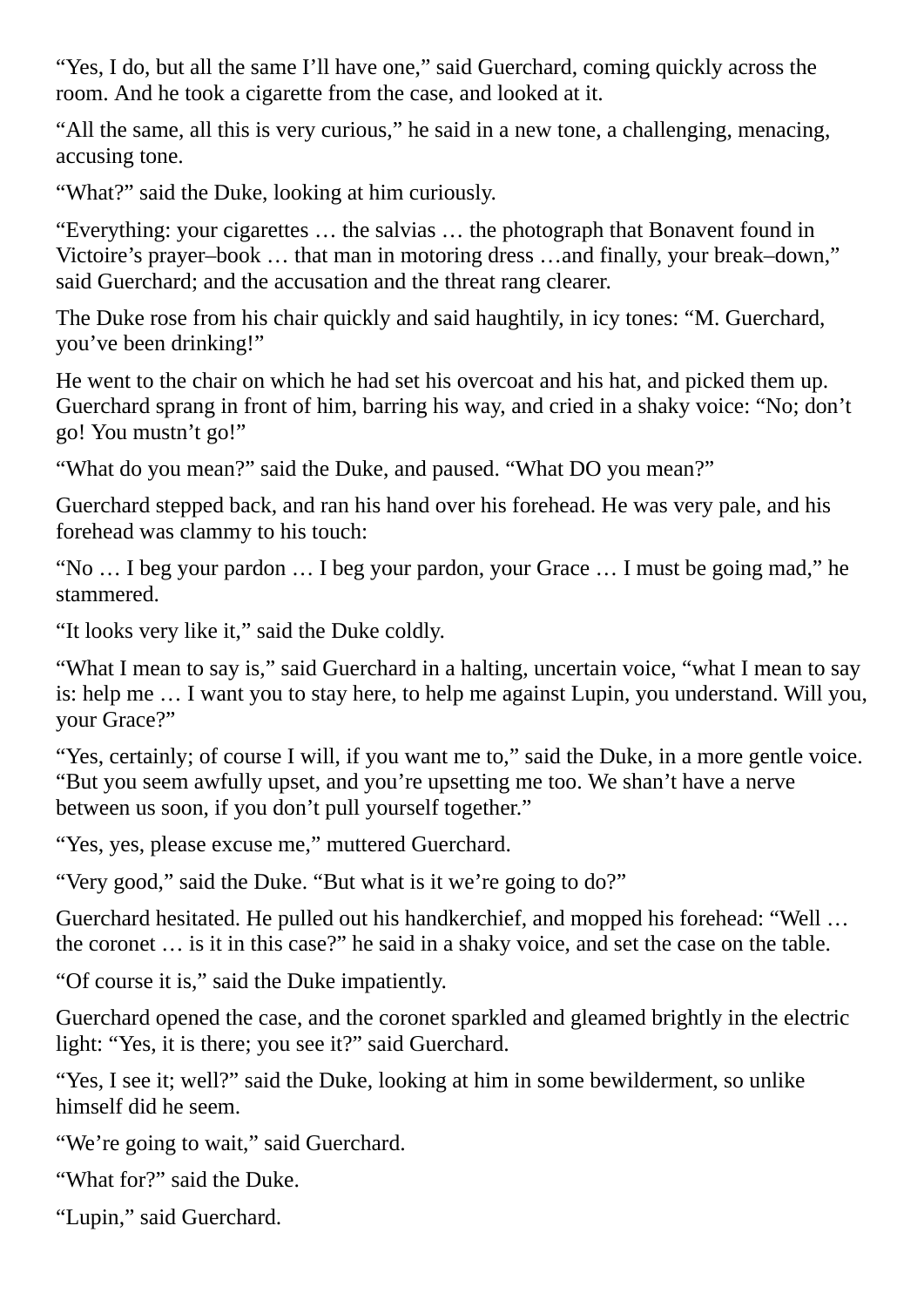"Yes, I do, but all the same I'll have one," said Guerchard, coming quickly across the room. And he took a cigarette from the case, and looked at it.

"All the same, all this is very curious," he said in a new tone, a challenging, menacing, accusing tone.

"What?" said the Duke, looking at him curiously.

"Everything: your cigarettes … the salvias … the photograph that Bonavent found in Victoire's prayer–book … that man in motoring dress …and finally, your break–down," said Guerchard; and the accusation and the threat rang clearer.

The Duke rose from his chair quickly and said haughtily, in icy tones: "M. Guerchard, you've been drinking!"

He went to the chair on which he had set his overcoat and his hat, and picked them up. Guerchard sprang in front of him, barring his way, and cried in a shaky voice: "No; don't go! You mustn't go!"

"What do you mean?" said the Duke, and paused. "What DO you mean?"

Guerchard stepped back, and ran his hand over his forehead. He was very pale, and his forehead was clammy to his touch:

"No … I beg your pardon … I beg your pardon, your Grace … I must be going mad," he stammered.

"It looks very like it," said the Duke coldly.

"What I mean to say is," said Guerchard in a halting, uncertain voice, "what I mean to say is: help me … I want you to stay here, to help me against Lupin, you understand. Will you, your Grace?"

"Yes, certainly; of course I will, if you want me to," said the Duke, in a more gentle voice. "But you seem awfully upset, and you're upsetting me too. We shan't have a nerve between us soon, if you don't pull yourself together."

"Yes, yes, please excuse me," muttered Guerchard.

"Very good," said the Duke. "But what is it we're going to do?"

Guerchard hesitated. He pulled out his handkerchief, and mopped his forehead: "Well … the coronet … is it in this case?" he said in a shaky voice, and set the case on the table.

"Of course it is," said the Duke impatiently.

Guerchard opened the case, and the coronet sparkled and gleamed brightly in the electric light: "Yes, it is there; you see it?" said Guerchard.

"Yes, I see it; well?" said the Duke, looking at him in some bewilderment, so unlike himself did he seem.

"We're going to wait," said Guerchard.

"What for?" said the Duke.

"Lupin," said Guerchard.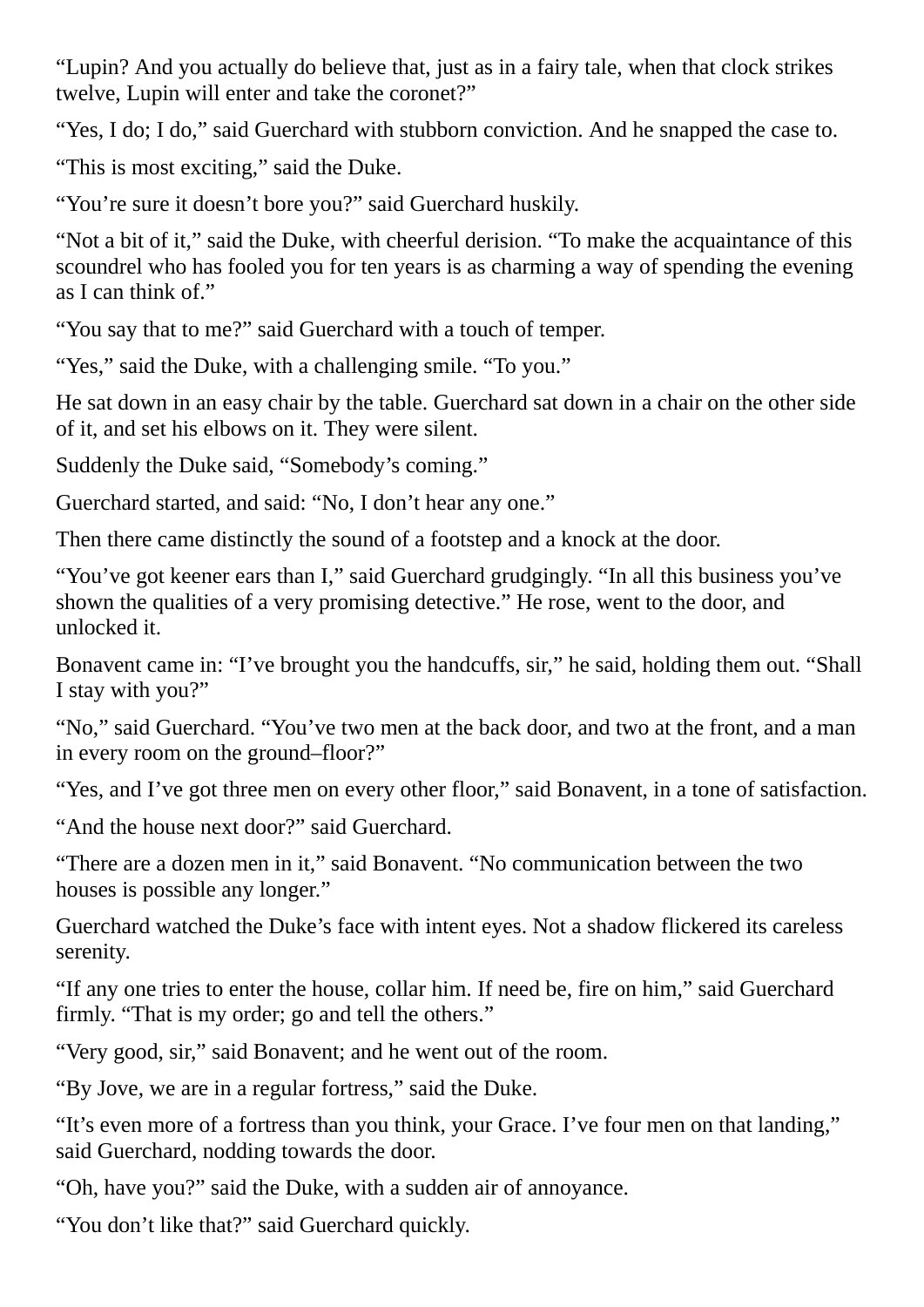"Lupin? And you actually do believe that, just as in a fairy tale, when that clock strikes twelve, Lupin will enter and take the coronet?"

"Yes, I do; I do," said Guerchard with stubborn conviction. And he snapped the case to.

"This is most exciting," said the Duke.

"You're sure it doesn't bore you?" said Guerchard huskily.

"Not a bit of it," said the Duke, with cheerful derision. "To make the acquaintance of this scoundrel who has fooled you for ten years is as charming a way of spending the evening as I can think of."

"You say that to me?" said Guerchard with a touch of temper.

"Yes," said the Duke, with a challenging smile. "To you."

He sat down in an easy chair by the table. Guerchard sat down in a chair on the other side of it, and set his elbows on it. They were silent.

Suddenly the Duke said, "Somebody's coming."

Guerchard started, and said: "No, I don't hear any one."

Then there came distinctly the sound of a footstep and a knock at the door.

"You've got keener ears than I," said Guerchard grudgingly. "In all this business you've shown the qualities of a very promising detective." He rose, went to the door, and unlocked it.

Bonavent came in: "I've brought you the handcuffs, sir," he said, holding them out. "Shall I stay with you?"

"No," said Guerchard. "You've two men at the back door, and two at the front, and a man in every room on the ground–floor?"

"Yes, and I've got three men on every other floor," said Bonavent, in a tone of satisfaction.

"And the house next door?" said Guerchard.

"There are a dozen men in it," said Bonavent. "No communication between the two houses is possible any longer."

Guerchard watched the Duke's face with intent eyes. Not a shadow flickered its careless serenity.

"If any one tries to enter the house, collar him. If need be, fire on him," said Guerchard firmly. "That is my order; go and tell the others."

"Very good, sir," said Bonavent; and he went out of the room.

"By Jove, we are in a regular fortress," said the Duke.

"It's even more of a fortress than you think, your Grace. I've four men on that landing," said Guerchard, nodding towards the door.

"Oh, have you?" said the Duke, with a sudden air of annoyance.

"You don't like that?" said Guerchard quickly.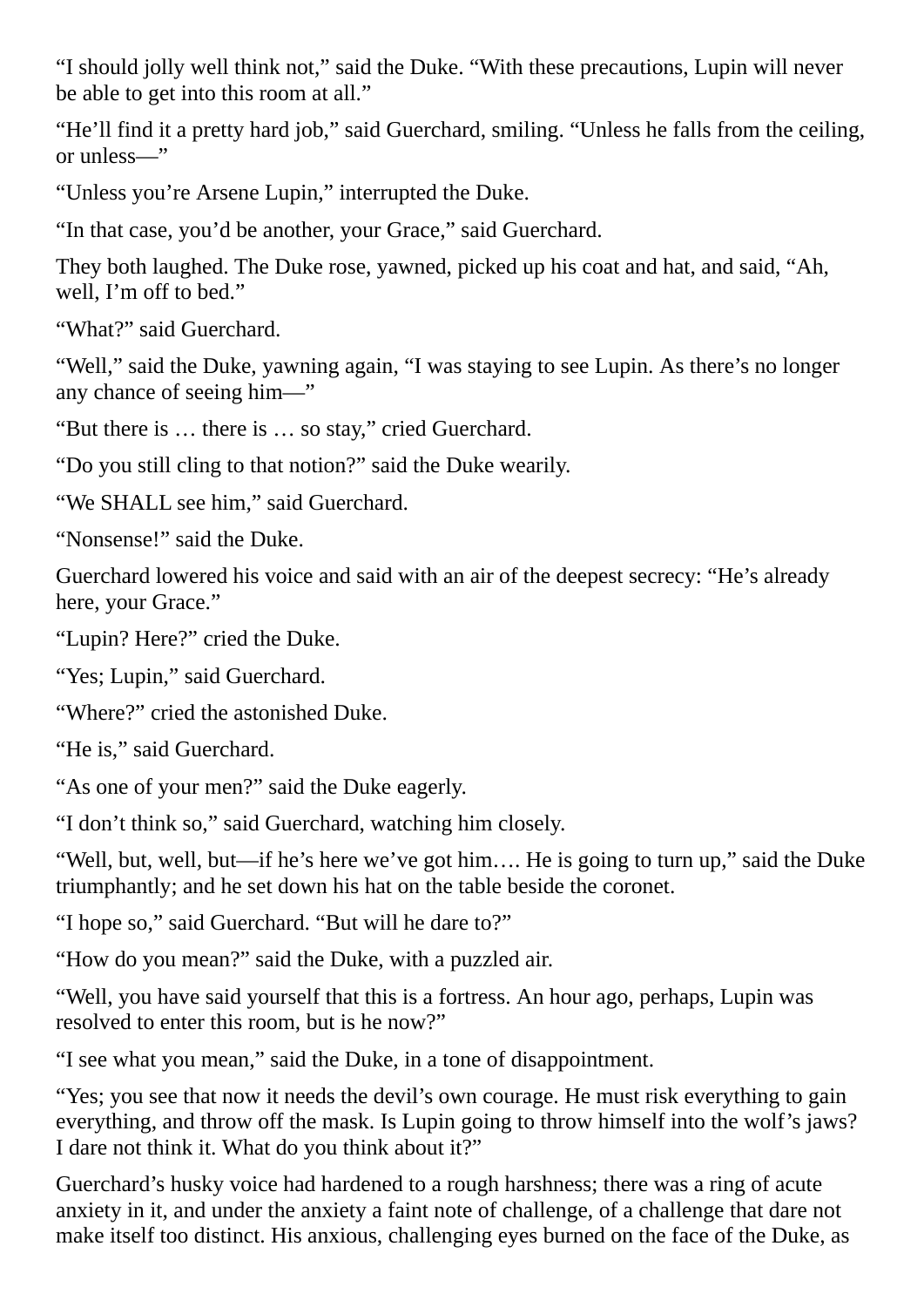"I should jolly well think not," said the Duke. "With these precautions, Lupin will never be able to get into this room at all."

"He'll find it a pretty hard job," said Guerchard, smiling. "Unless he falls from the ceiling, or unless—"

"Unless you're Arsene Lupin," interrupted the Duke.

"In that case, you'd be another, your Grace," said Guerchard.

They both laughed. The Duke rose, yawned, picked up his coat and hat, and said, "Ah, well, I'm off to bed."

"What?" said Guerchard.

"Well," said the Duke, yawning again, "I was staying to see Lupin. As there's no longer any chance of seeing him—"

"But there is … there is … so stay," cried Guerchard.

"Do you still cling to that notion?" said the Duke wearily.

"We SHALL see him," said Guerchard.

"Nonsense!" said the Duke.

Guerchard lowered his voice and said with an air of the deepest secrecy: "He's already here, your Grace."

"Lupin? Here?" cried the Duke.

"Yes; Lupin," said Guerchard.

"Where?" cried the astonished Duke.

"He is," said Guerchard.

"As one of your men?" said the Duke eagerly.

"I don't think so," said Guerchard, watching him closely.

"Well, but, well, but—if he's here we've got him…. He is going to turn up," said the Duke triumphantly; and he set down his hat on the table beside the coronet.

"I hope so," said Guerchard. "But will he dare to?"

"How do you mean?" said the Duke, with a puzzled air.

"Well, you have said yourself that this is a fortress. An hour ago, perhaps, Lupin was resolved to enter this room, but is he now?"

"I see what you mean," said the Duke, in a tone of disappointment.

"Yes; you see that now it needs the devil's own courage. He must risk everything to gain everything, and throw off the mask. Is Lupin going to throw himself into the wolf's jaws? I dare not think it. What do you think about it?"

Guerchard's husky voice had hardened to a rough harshness; there was a ring of acute anxiety in it, and under the anxiety a faint note of challenge, of a challenge that dare not make itself too distinct. His anxious, challenging eyes burned on the face of the Duke, as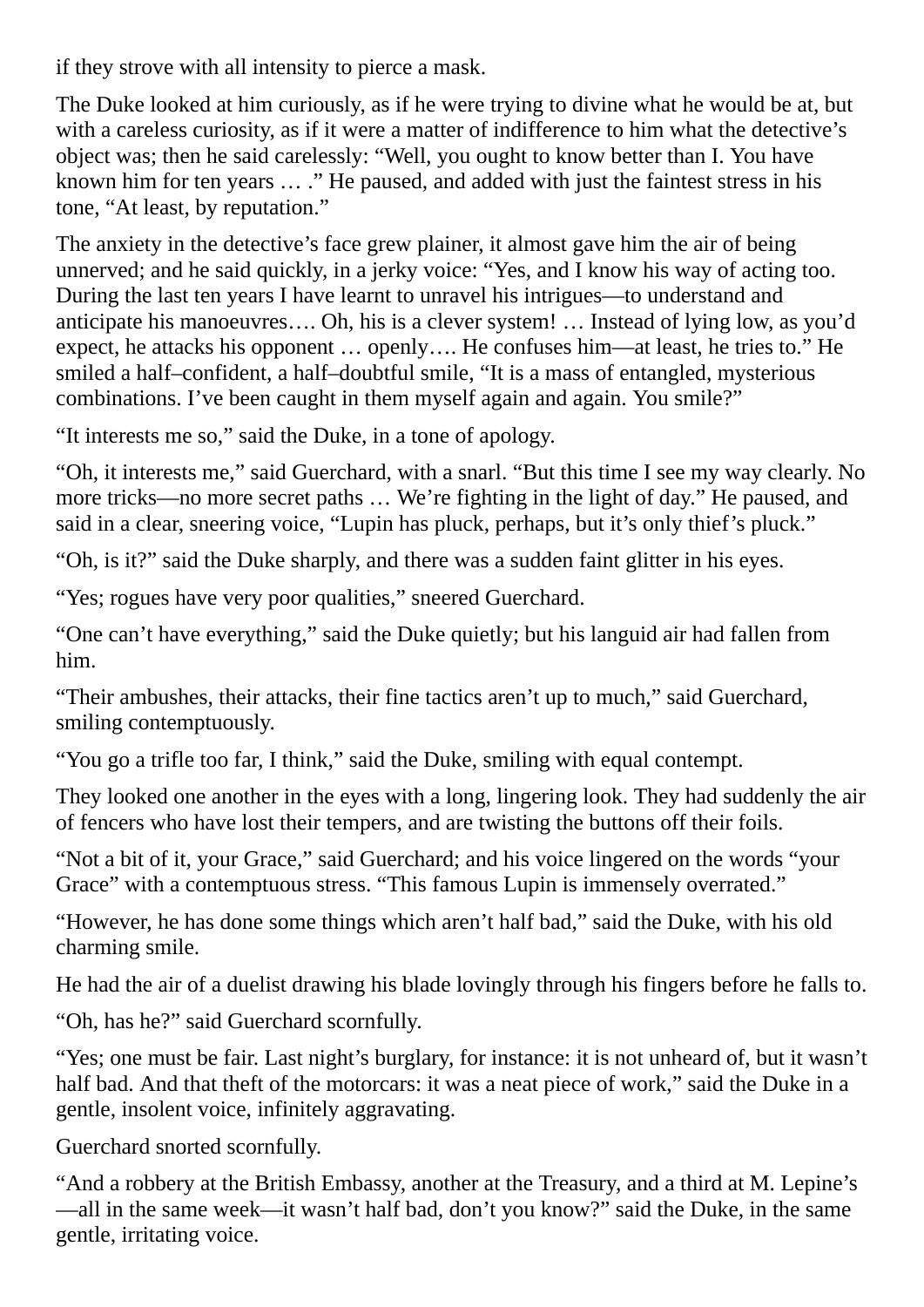if they strove with all intensity to pierce a mask.

The Duke looked at him curiously, as if he were trying to divine what he would be at, but with a careless curiosity, as if it were a matter of indifference to him what the detective's object was; then he said carelessly: "Well, you ought to know better than I. You have known him for ten years … ." He paused, and added with just the faintest stress in his tone, "At least, by reputation."

The anxiety in the detective's face grew plainer, it almost gave him the air of being unnerved; and he said quickly, in a jerky voice: "Yes, and I know his way of acting too. During the last ten years I have learnt to unravel his intrigues—to understand and anticipate his manoeuvres…. Oh, his is a clever system! … Instead of lying low, as you'd expect, he attacks his opponent … openly…. He confuses him—at least, he tries to." He smiled a half–confident, a half–doubtful smile, "It is a mass of entangled, mysterious combinations. I've been caught in them myself again and again. You smile?"

"It interests me so," said the Duke, in a tone of apology.

"Oh, it interests me," said Guerchard, with a snarl. "But this time I see my way clearly. No more tricks—no more secret paths … We're fighting in the light of day." He paused, and said in a clear, sneering voice, "Lupin has pluck, perhaps, but it's only thief's pluck."

"Oh, is it?" said the Duke sharply, and there was a sudden faint glitter in his eyes.

"Yes; rogues have very poor qualities," sneered Guerchard.

"One can't have everything," said the Duke quietly; but his languid air had fallen from him.

"Their ambushes, their attacks, their fine tactics aren't up to much," said Guerchard, smiling contemptuously.

"You go a trifle too far, I think," said the Duke, smiling with equal contempt.

They looked one another in the eyes with a long, lingering look. They had suddenly the air of fencers who have lost their tempers, and are twisting the buttons off their foils.

"Not a bit of it, your Grace," said Guerchard; and his voice lingered on the words "your Grace" with a contemptuous stress. "This famous Lupin is immensely overrated."

"However, he has done some things which aren't half bad," said the Duke, with his old charming smile.

He had the air of a duelist drawing his blade lovingly through his fingers before he falls to.

"Oh, has he?" said Guerchard scornfully.

"Yes; one must be fair. Last night's burglary, for instance: it is not unheard of, but it wasn't half bad. And that theft of the motorcars: it was a neat piece of work," said the Duke in a gentle, insolent voice, infinitely aggravating.

Guerchard snorted scornfully.

"And a robbery at the British Embassy, another at the Treasury, and a third at M. Lepine's —all in the same week—it wasn't half bad, don't you know?" said the Duke, in the same gentle, irritating voice.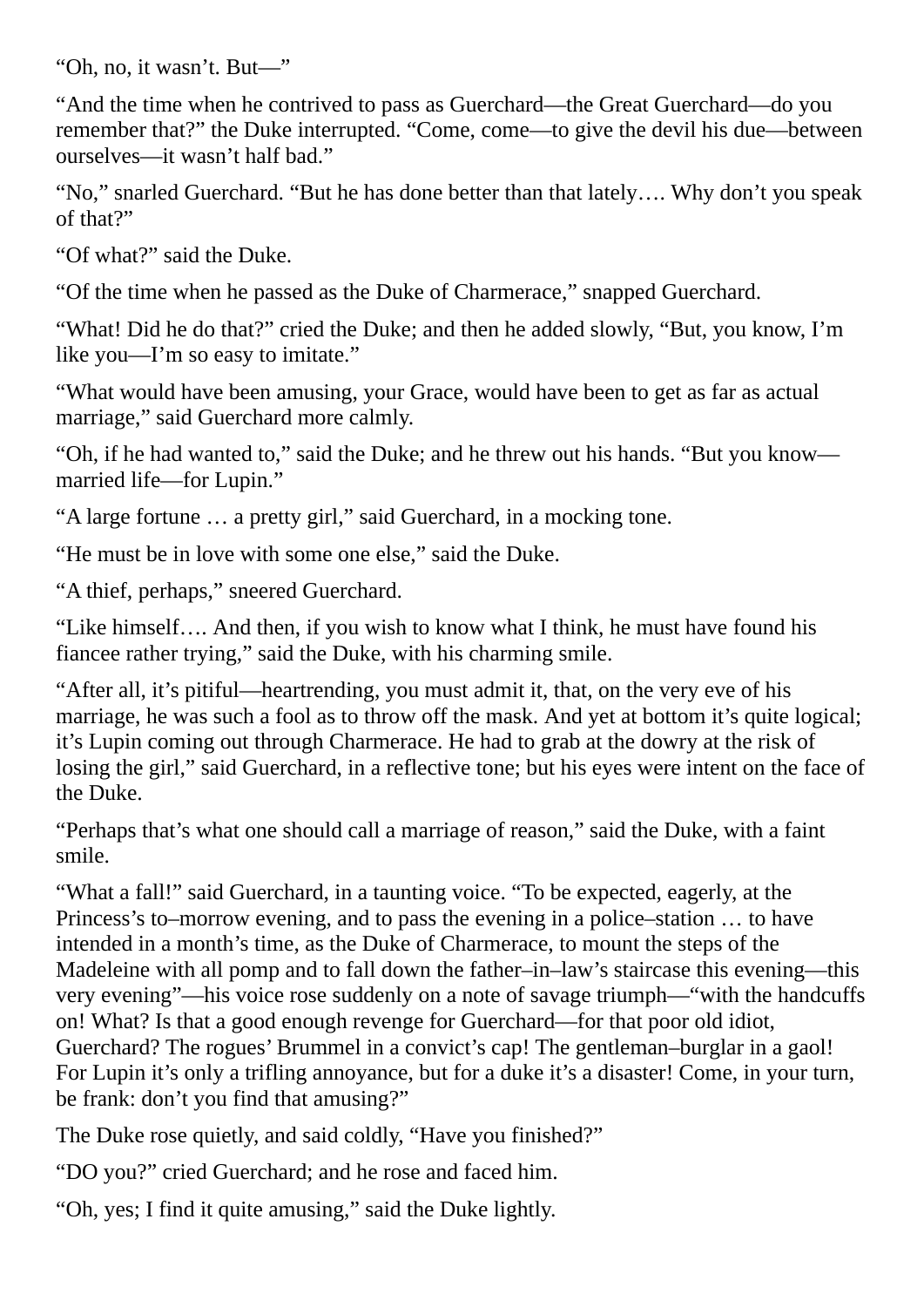"Oh, no, it wasn't. But—"

"And the time when he contrived to pass as Guerchard—the Great Guerchard—do you remember that?" the Duke interrupted. "Come, come—to give the devil his due—between ourselves—it wasn't half bad."

"No," snarled Guerchard. "But he has done better than that lately…. Why don't you speak of that?"

"Of what?" said the Duke.

"Of the time when he passed as the Duke of Charmerace," snapped Guerchard.

"What! Did he do that?" cried the Duke; and then he added slowly, "But, you know, I'm like you—I'm so easy to imitate."

"What would have been amusing, your Grace, would have been to get as far as actual marriage," said Guerchard more calmly.

"Oh, if he had wanted to," said the Duke; and he threw out his hands. "But you know married life—for Lupin."

"A large fortune … a pretty girl," said Guerchard, in a mocking tone.

"He must be in love with some one else," said the Duke.

"A thief, perhaps," sneered Guerchard.

"Like himself…. And then, if you wish to know what I think, he must have found his fiancee rather trying," said the Duke, with his charming smile.

"After all, it's pitiful—heartrending, you must admit it, that, on the very eve of his marriage, he was such a fool as to throw off the mask. And yet at bottom it's quite logical; it's Lupin coming out through Charmerace. He had to grab at the dowry at the risk of losing the girl," said Guerchard, in a reflective tone; but his eyes were intent on the face of the Duke.

"Perhaps that's what one should call a marriage of reason," said the Duke, with a faint smile.

"What a fall!" said Guerchard, in a taunting voice. "To be expected, eagerly, at the Princess's to–morrow evening, and to pass the evening in a police–station … to have intended in a month's time, as the Duke of Charmerace, to mount the steps of the Madeleine with all pomp and to fall down the father–in–law's staircase this evening—this very evening"—his voice rose suddenly on a note of savage triumph—"with the handcuffs on! What? Is that a good enough revenge for Guerchard—for that poor old idiot, Guerchard? The rogues' Brummel in a convict's cap! The gentleman–burglar in a gaol! For Lupin it's only a trifling annoyance, but for a duke it's a disaster! Come, in your turn, be frank: don't you find that amusing?"

The Duke rose quietly, and said coldly, "Have you finished?"

"DO you?" cried Guerchard; and he rose and faced him.

"Oh, yes; I find it quite amusing," said the Duke lightly.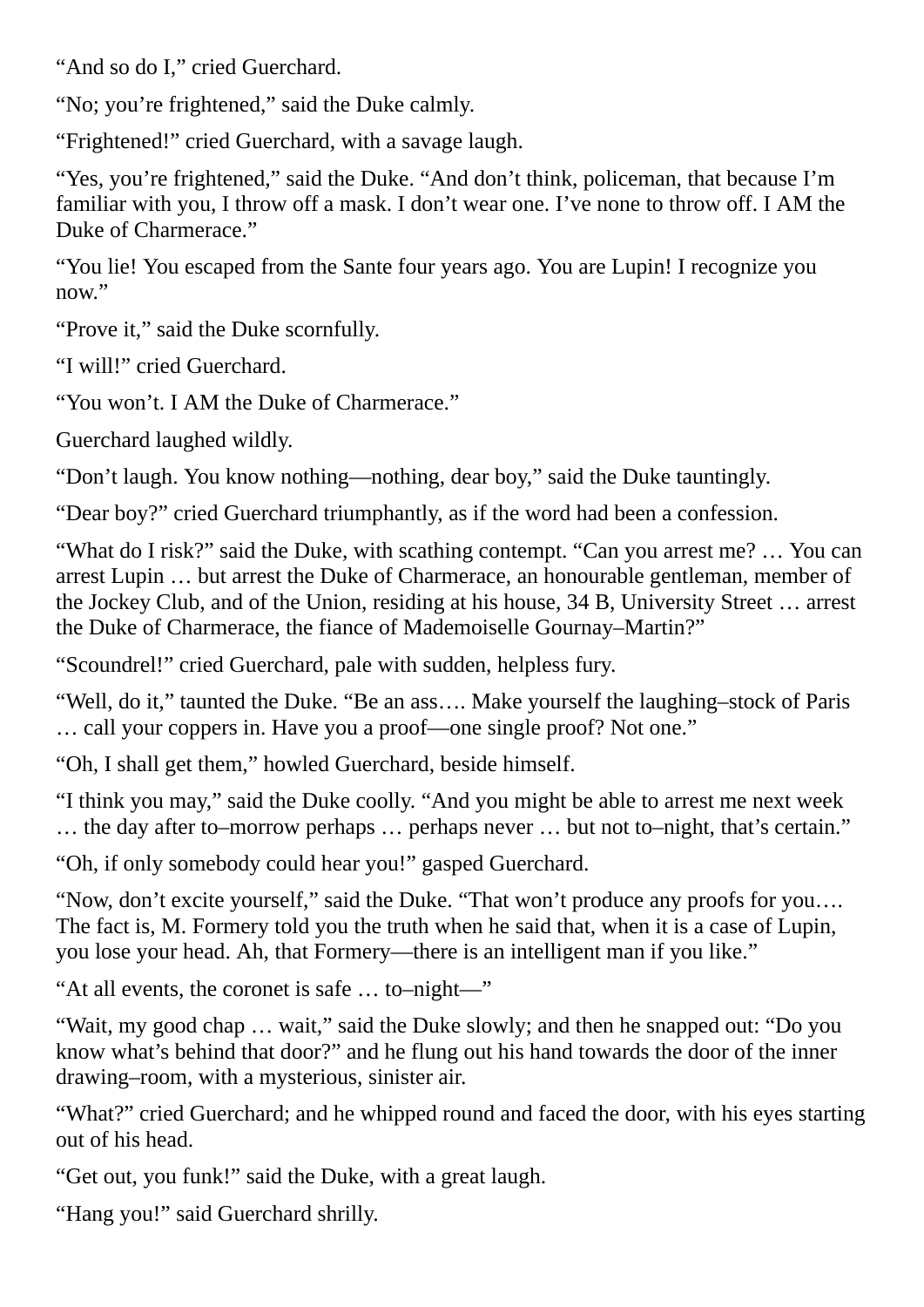"And so do I," cried Guerchard.

"No; you're frightened," said the Duke calmly.

"Frightened!" cried Guerchard, with a savage laugh.

"Yes, you're frightened," said the Duke. "And don't think, policeman, that because I'm familiar with you, I throw off a mask. I don't wear one. I've none to throw off. I AM the Duke of Charmerace."

"You lie! You escaped from the Sante four years ago. You are Lupin! I recognize you now."

"Prove it," said the Duke scornfully.

"I will!" cried Guerchard.

"You won't. I AM the Duke of Charmerace."

Guerchard laughed wildly.

"Don't laugh. You know nothing—nothing, dear boy," said the Duke tauntingly.

"Dear boy?" cried Guerchard triumphantly, as if the word had been a confession.

"What do I risk?" said the Duke, with scathing contempt. "Can you arrest me? … You can arrest Lupin … but arrest the Duke of Charmerace, an honourable gentleman, member of the Jockey Club, and of the Union, residing at his house, 34 B, University Street … arrest the Duke of Charmerace, the fiance of Mademoiselle Gournay–Martin?"

"Scoundrel!" cried Guerchard, pale with sudden, helpless fury.

"Well, do it," taunted the Duke. "Be an ass…. Make yourself the laughing–stock of Paris … call your coppers in. Have you a proof—one single proof? Not one."

"Oh, I shall get them," howled Guerchard, beside himself.

"I think you may," said the Duke coolly. "And you might be able to arrest me next week … the day after to–morrow perhaps … perhaps never … but not to–night, that's certain."

"Oh, if only somebody could hear you!" gasped Guerchard.

"Now, don't excite yourself," said the Duke. "That won't produce any proofs for you…. The fact is, M. Formery told you the truth when he said that, when it is a case of Lupin, you lose your head. Ah, that Formery—there is an intelligent man if you like."

"At all events, the coronet is safe … to–night—"

"Wait, my good chap … wait," said the Duke slowly; and then he snapped out: "Do you know what's behind that door?" and he flung out his hand towards the door of the inner drawing–room, with a mysterious, sinister air.

"What?" cried Guerchard; and he whipped round and faced the door, with his eyes starting out of his head.

"Get out, you funk!" said the Duke, with a great laugh.

"Hang you!" said Guerchard shrilly.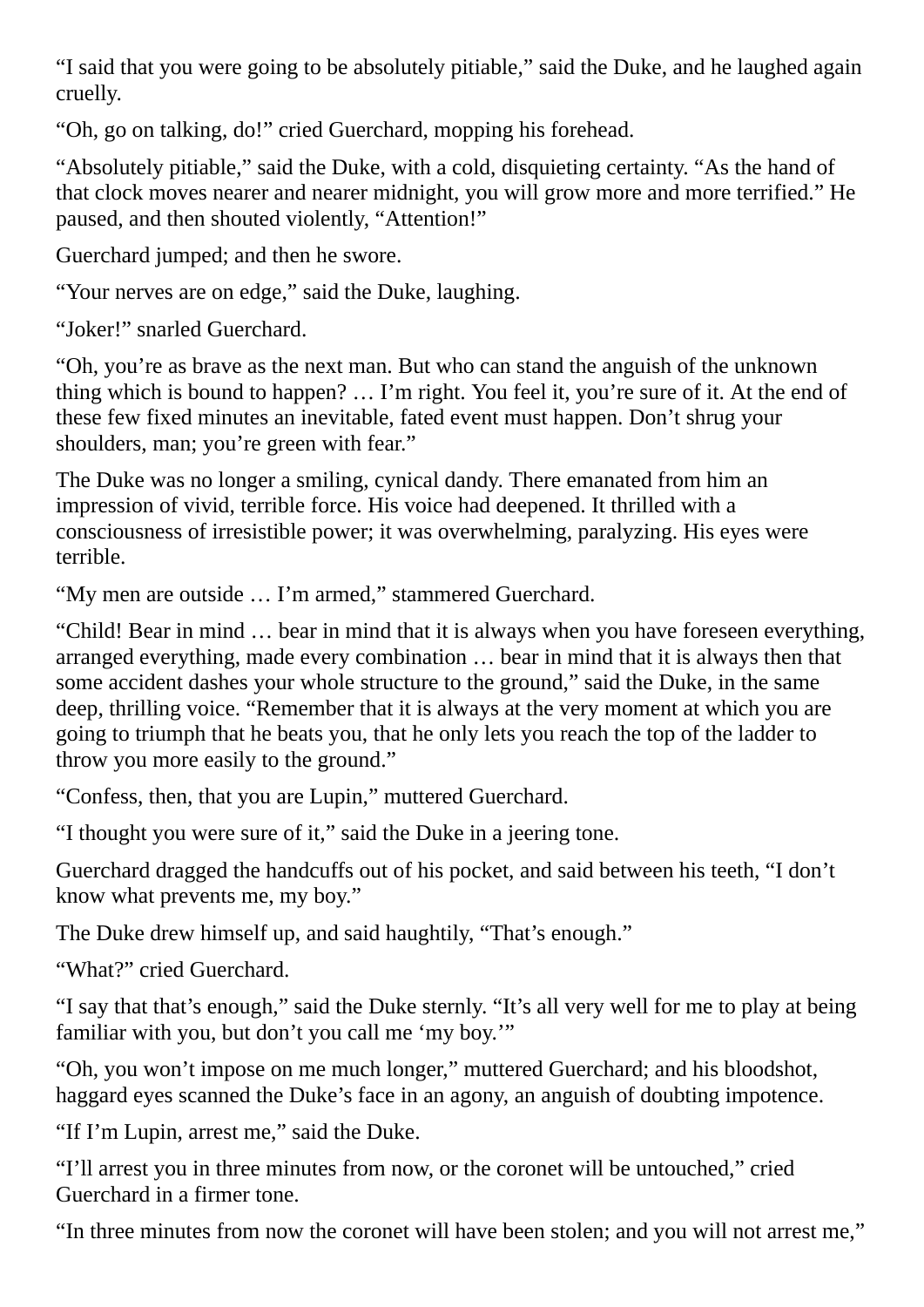"I said that you were going to be absolutely pitiable," said the Duke, and he laughed again cruelly.

"Oh, go on talking, do!" cried Guerchard, mopping his forehead.

"Absolutely pitiable," said the Duke, with a cold, disquieting certainty. "As the hand of that clock moves nearer and nearer midnight, you will grow more and more terrified." He paused, and then shouted violently, "Attention!"

Guerchard jumped; and then he swore.

"Your nerves are on edge," said the Duke, laughing.

"Joker!" snarled Guerchard.

"Oh, you're as brave as the next man. But who can stand the anguish of the unknown thing which is bound to happen? … I'm right. You feel it, you're sure of it. At the end of these few fixed minutes an inevitable, fated event must happen. Don't shrug your shoulders, man; you're green with fear."

The Duke was no longer a smiling, cynical dandy. There emanated from him an impression of vivid, terrible force. His voice had deepened. It thrilled with a consciousness of irresistible power; it was overwhelming, paralyzing. His eyes were terrible.

"My men are outside … I'm armed," stammered Guerchard.

"Child! Bear in mind … bear in mind that it is always when you have foreseen everything, arranged everything, made every combination … bear in mind that it is always then that some accident dashes your whole structure to the ground," said the Duke, in the same deep, thrilling voice. "Remember that it is always at the very moment at which you are going to triumph that he beats you, that he only lets you reach the top of the ladder to throw you more easily to the ground."

"Confess, then, that you are Lupin," muttered Guerchard.

"I thought you were sure of it," said the Duke in a jeering tone.

Guerchard dragged the handcuffs out of his pocket, and said between his teeth, "I don't know what prevents me, my boy."

The Duke drew himself up, and said haughtily, "That's enough."

"What?" cried Guerchard.

"I say that that's enough," said the Duke sternly. "It's all very well for me to play at being familiar with you, but don't you call me 'my boy.'"

"Oh, you won't impose on me much longer," muttered Guerchard; and his bloodshot, haggard eyes scanned the Duke's face in an agony, an anguish of doubting impotence.

"If I'm Lupin, arrest me," said the Duke.

"I'll arrest you in three minutes from now, or the coronet will be untouched," cried Guerchard in a firmer tone.

"In three minutes from now the coronet will have been stolen; and you will not arrest me,"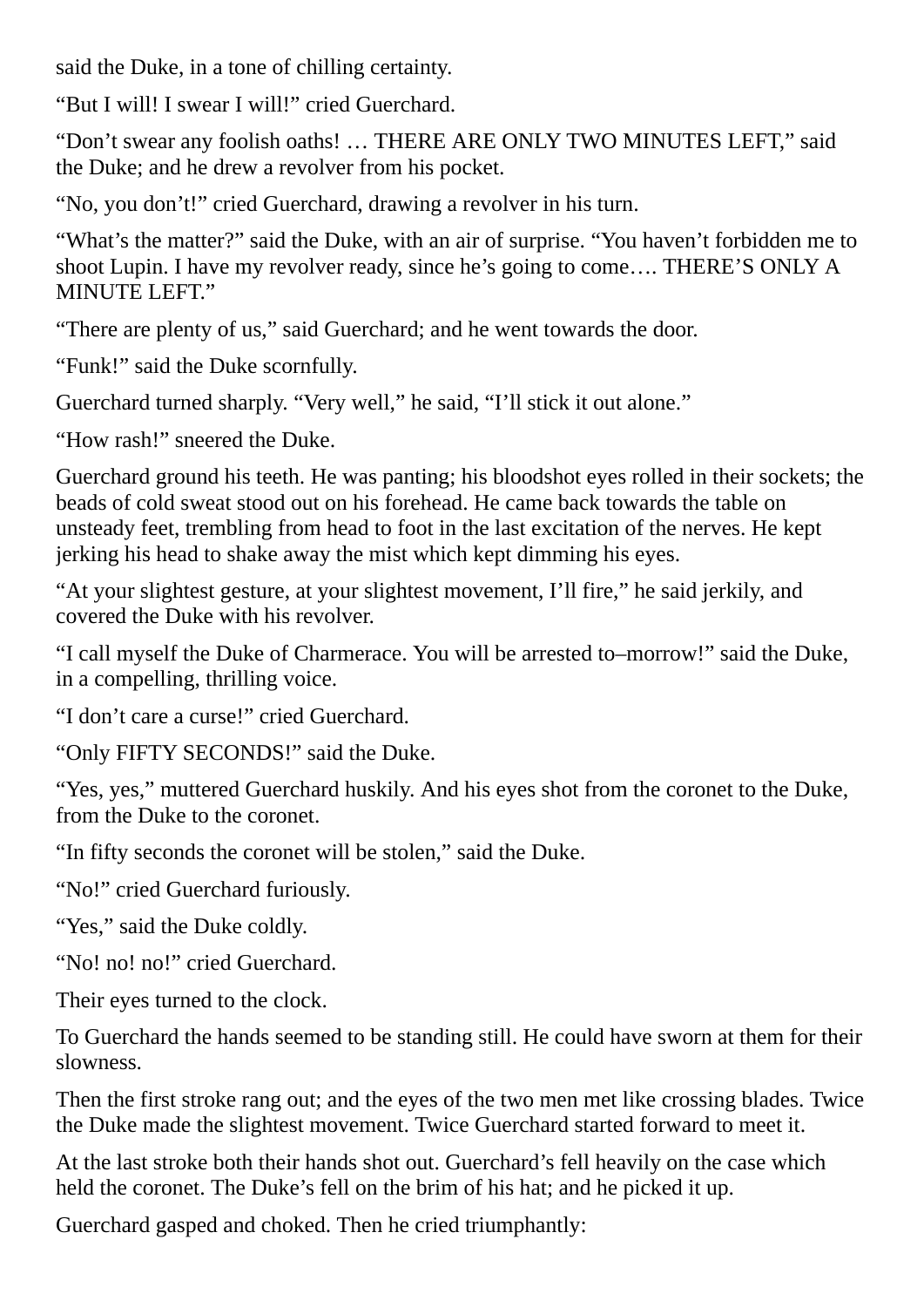said the Duke, in a tone of chilling certainty.

"But I will! I swear I will!" cried Guerchard.

"Don't swear any foolish oaths! … THERE ARE ONLY TWO MINUTES LEFT," said the Duke; and he drew a revolver from his pocket.

"No, you don't!" cried Guerchard, drawing a revolver in his turn.

"What's the matter?" said the Duke, with an air of surprise. "You haven't forbidden me to shoot Lupin. I have my revolver ready, since he's going to come…. THERE'S ONLY A MINUTE LEFT."

"There are plenty of us," said Guerchard; and he went towards the door.

"Funk!" said the Duke scornfully.

Guerchard turned sharply. "Very well," he said, "I'll stick it out alone."

"How rash!" sneered the Duke.

Guerchard ground his teeth. He was panting; his bloodshot eyes rolled in their sockets; the beads of cold sweat stood out on his forehead. He came back towards the table on unsteady feet, trembling from head to foot in the last excitation of the nerves. He kept jerking his head to shake away the mist which kept dimming his eyes.

"At your slightest gesture, at your slightest movement, I'll fire," he said jerkily, and covered the Duke with his revolver.

"I call myself the Duke of Charmerace. You will be arrested to–morrow!" said the Duke, in a compelling, thrilling voice.

"I don't care a curse!" cried Guerchard.

"Only FIFTY SECONDS!" said the Duke.

"Yes, yes," muttered Guerchard huskily. And his eyes shot from the coronet to the Duke, from the Duke to the coronet.

"In fifty seconds the coronet will be stolen," said the Duke.

"No!" cried Guerchard furiously.

"Yes," said the Duke coldly.

"No! no! no!" cried Guerchard.

Their eyes turned to the clock.

To Guerchard the hands seemed to be standing still. He could have sworn at them for their slowness.

Then the first stroke rang out; and the eyes of the two men met like crossing blades. Twice the Duke made the slightest movement. Twice Guerchard started forward to meet it.

At the last stroke both their hands shot out. Guerchard's fell heavily on the case which held the coronet. The Duke's fell on the brim of his hat; and he picked it up.

Guerchard gasped and choked. Then he cried triumphantly: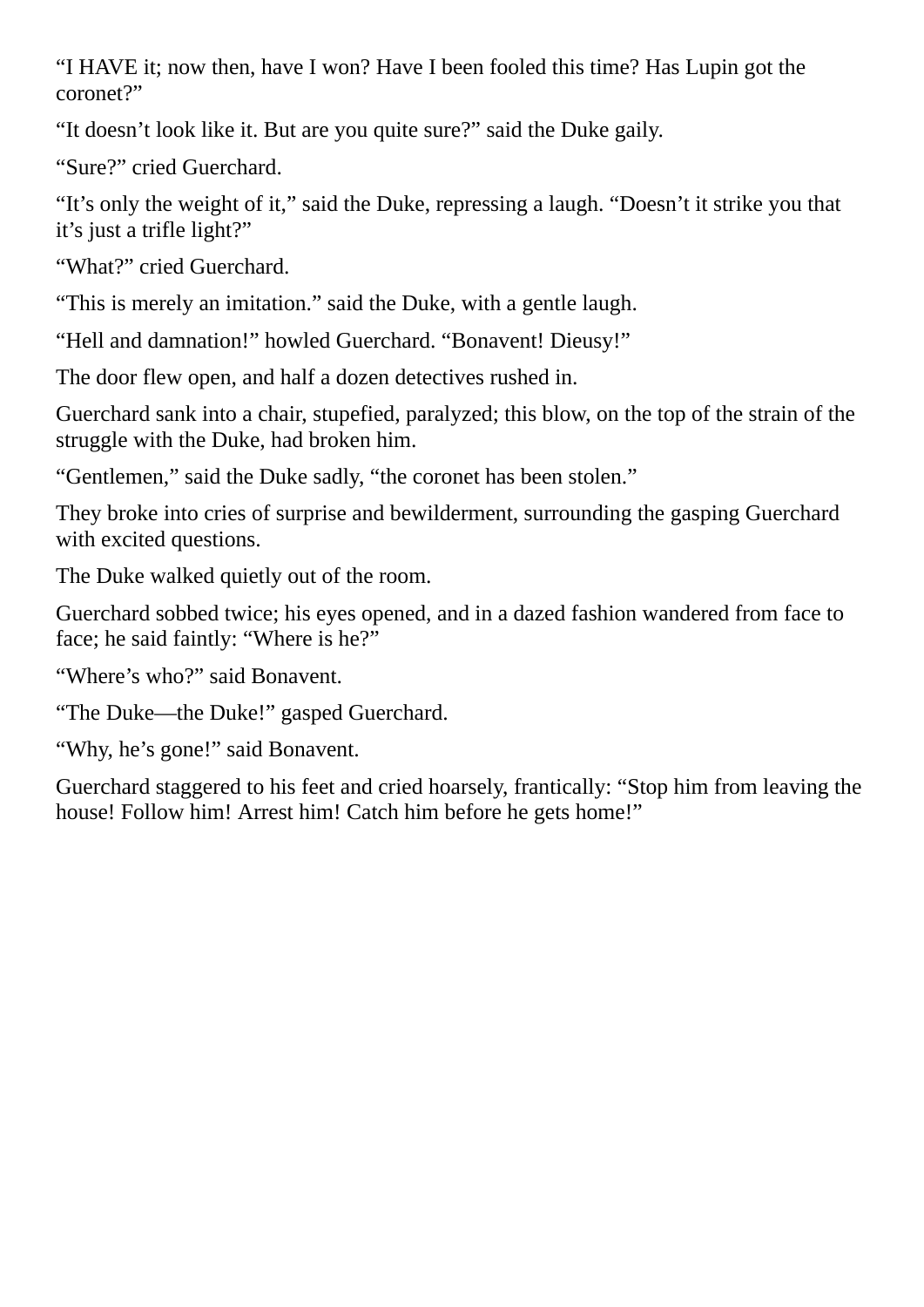"I HAVE it; now then, have I won? Have I been fooled this time? Has Lupin got the coronet?"

"It doesn't look like it. But are you quite sure?" said the Duke gaily.

"Sure?" cried Guerchard.

"It's only the weight of it," said the Duke, repressing a laugh. "Doesn't it strike you that it's just a trifle light?"

"What?" cried Guerchard.

"This is merely an imitation." said the Duke, with a gentle laugh.

"Hell and damnation!" howled Guerchard. "Bonavent! Dieusy!"

The door flew open, and half a dozen detectives rushed in.

Guerchard sank into a chair, stupefied, paralyzed; this blow, on the top of the strain of the struggle with the Duke, had broken him.

"Gentlemen," said the Duke sadly, "the coronet has been stolen."

They broke into cries of surprise and bewilderment, surrounding the gasping Guerchard with excited questions.

The Duke walked quietly out of the room.

Guerchard sobbed twice; his eyes opened, and in a dazed fashion wandered from face to face; he said faintly: "Where is he?"

"Where's who?" said Bonavent.

"The Duke—the Duke!" gasped Guerchard.

"Why, he's gone!" said Bonavent.

Guerchard staggered to his feet and cried hoarsely, frantically: "Stop him from leaving the house! Follow him! Arrest him! Catch him before he gets home!"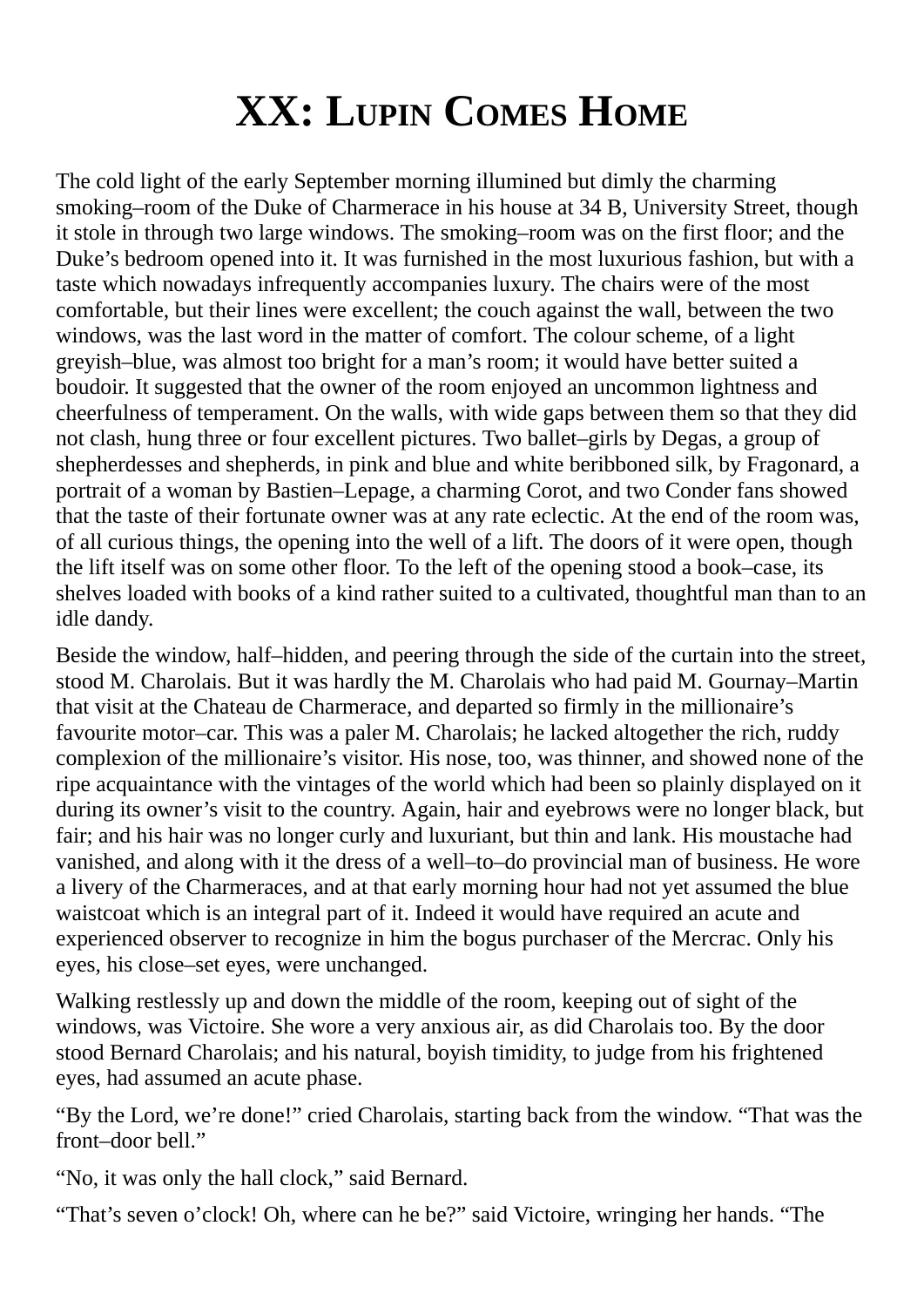## **XX: LUPIN COMES HOME**

The cold light of the early September morning illumined but dimly the charming smoking–room of the Duke of Charmerace in his house at 34 B, University Street, though it stole in through two large windows. The smoking–room was on the first floor; and the Duke's bedroom opened into it. It was furnished in the most luxurious fashion, but with a taste which nowadays infrequently accompanies luxury. The chairs were of the most comfortable, but their lines were excellent; the couch against the wall, between the two windows, was the last word in the matter of comfort. The colour scheme, of a light greyish–blue, was almost too bright for a man's room; it would have better suited a boudoir. It suggested that the owner of the room enjoyed an uncommon lightness and cheerfulness of temperament. On the walls, with wide gaps between them so that they did not clash, hung three or four excellent pictures. Two ballet–girls by Degas, a group of shepherdesses and shepherds, in pink and blue and white beribboned silk, by Fragonard, a portrait of a woman by Bastien–Lepage, a charming Corot, and two Conder fans showed that the taste of their fortunate owner was at any rate eclectic. At the end of the room was, of all curious things, the opening into the well of a lift. The doors of it were open, though the lift itself was on some other floor. To the left of the opening stood a book–case, its shelves loaded with books of a kind rather suited to a cultivated, thoughtful man than to an idle dandy.

Beside the window, half–hidden, and peering through the side of the curtain into the street, stood M. Charolais. But it was hardly the M. Charolais who had paid M. Gournay–Martin that visit at the Chateau de Charmerace, and departed so firmly in the millionaire's favourite motor–car. This was a paler M. Charolais; he lacked altogether the rich, ruddy complexion of the millionaire's visitor. His nose, too, was thinner, and showed none of the ripe acquaintance with the vintages of the world which had been so plainly displayed on it during its owner's visit to the country. Again, hair and eyebrows were no longer black, but fair; and his hair was no longer curly and luxuriant, but thin and lank. His moustache had vanished, and along with it the dress of a well–to–do provincial man of business. He wore a livery of the Charmeraces, and at that early morning hour had not yet assumed the blue waistcoat which is an integral part of it. Indeed it would have required an acute and experienced observer to recognize in him the bogus purchaser of the Mercrac. Only his eyes, his close–set eyes, were unchanged.

Walking restlessly up and down the middle of the room, keeping out of sight of the windows, was Victoire. She wore a very anxious air, as did Charolais too. By the door stood Bernard Charolais; and his natural, boyish timidity, to judge from his frightened eyes, had assumed an acute phase.

"By the Lord, we're done!" cried Charolais, starting back from the window. "That was the front–door bell."

"No, it was only the hall clock," said Bernard.

"That's seven o'clock! Oh, where can he be?" said Victoire, wringing her hands. "The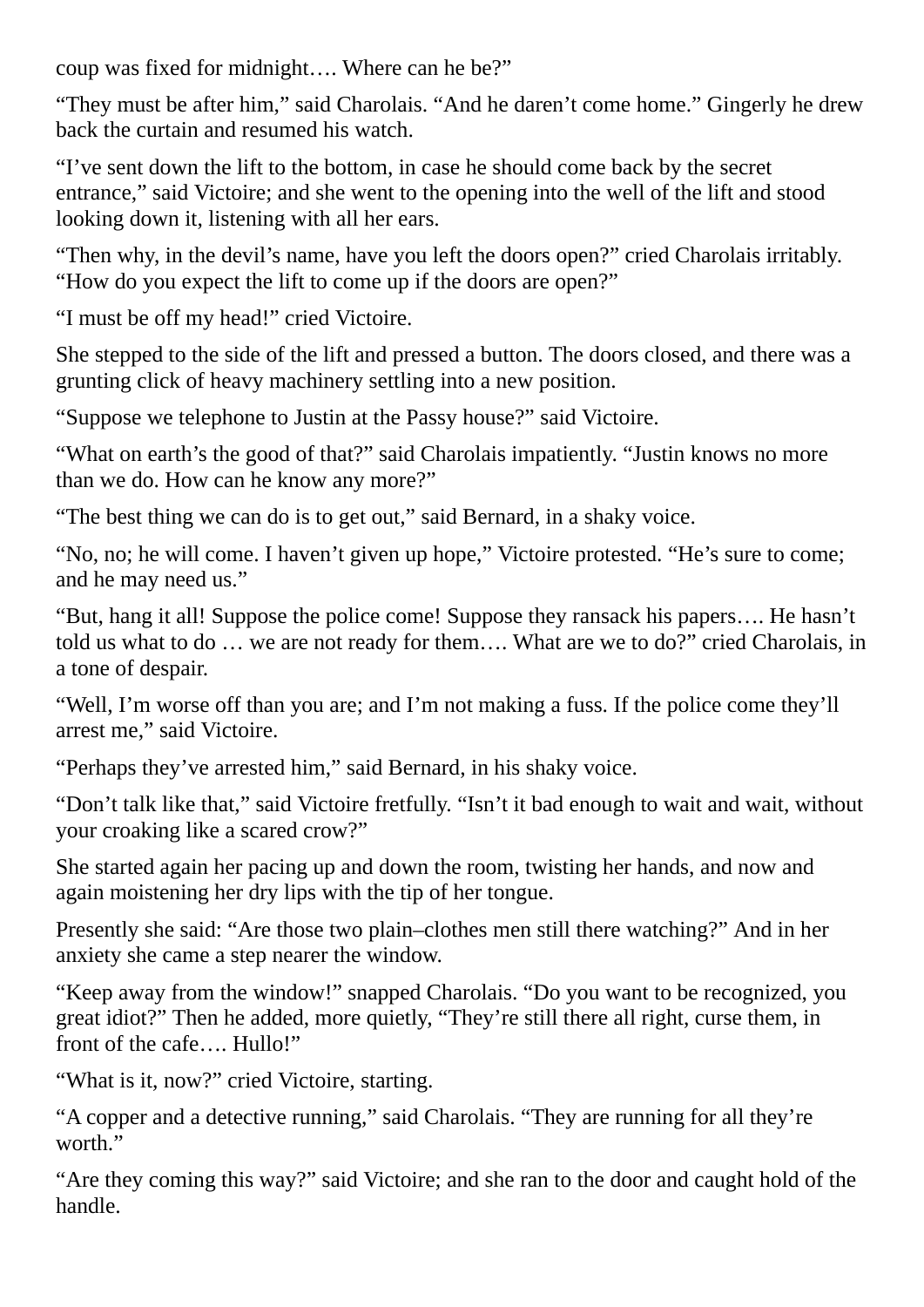coup was fixed for midnight…. Where can he be?"

"They must be after him," said Charolais. "And he daren't come home." Gingerly he drew back the curtain and resumed his watch.

"I've sent down the lift to the bottom, in case he should come back by the secret entrance," said Victoire; and she went to the opening into the well of the lift and stood looking down it, listening with all her ears.

"Then why, in the devil's name, have you left the doors open?" cried Charolais irritably. "How do you expect the lift to come up if the doors are open?"

"I must be off my head!" cried Victoire.

She stepped to the side of the lift and pressed a button. The doors closed, and there was a grunting click of heavy machinery settling into a new position.

"Suppose we telephone to Justin at the Passy house?" said Victoire.

"What on earth's the good of that?" said Charolais impatiently. "Justin knows no more than we do. How can he know any more?"

"The best thing we can do is to get out," said Bernard, in a shaky voice.

"No, no; he will come. I haven't given up hope," Victoire protested. "He's sure to come; and he may need us."

"But, hang it all! Suppose the police come! Suppose they ransack his papers…. He hasn't told us what to do … we are not ready for them…. What are we to do?" cried Charolais, in a tone of despair.

"Well, I'm worse off than you are; and I'm not making a fuss. If the police come they'll arrest me," said Victoire.

"Perhaps they've arrested him," said Bernard, in his shaky voice.

"Don't talk like that," said Victoire fretfully. "Isn't it bad enough to wait and wait, without your croaking like a scared crow?"

She started again her pacing up and down the room, twisting her hands, and now and again moistening her dry lips with the tip of her tongue.

Presently she said: "Are those two plain–clothes men still there watching?" And in her anxiety she came a step nearer the window.

"Keep away from the window!" snapped Charolais. "Do you want to be recognized, you great idiot?" Then he added, more quietly, "They're still there all right, curse them, in front of the cafe.... Hullo!"

"What is it, now?" cried Victoire, starting.

"A copper and a detective running," said Charolais. "They are running for all they're worth."

"Are they coming this way?" said Victoire; and she ran to the door and caught hold of the handle.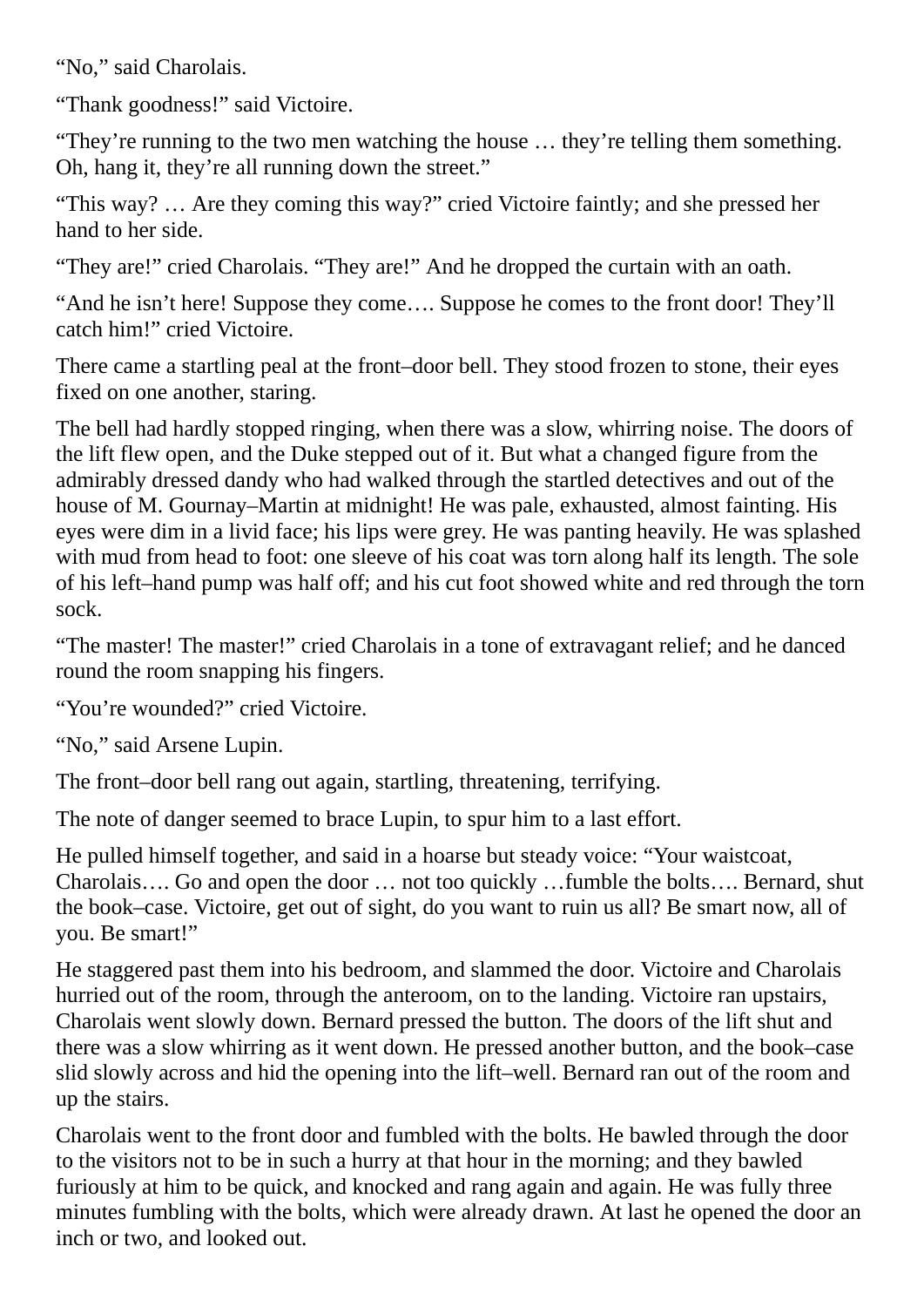"No," said Charolais.

"Thank goodness!" said Victoire.

"They're running to the two men watching the house … they're telling them something. Oh, hang it, they're all running down the street."

"This way? … Are they coming this way?" cried Victoire faintly; and she pressed her hand to her side.

"They are!" cried Charolais. "They are!" And he dropped the curtain with an oath.

"And he isn't here! Suppose they come…. Suppose he comes to the front door! They'll catch him!" cried Victoire.

There came a startling peal at the front–door bell. They stood frozen to stone, their eyes fixed on one another, staring.

The bell had hardly stopped ringing, when there was a slow, whirring noise. The doors of the lift flew open, and the Duke stepped out of it. But what a changed figure from the admirably dressed dandy who had walked through the startled detectives and out of the house of M. Gournay–Martin at midnight! He was pale, exhausted, almost fainting. His eyes were dim in a livid face; his lips were grey. He was panting heavily. He was splashed with mud from head to foot: one sleeve of his coat was torn along half its length. The sole of his left–hand pump was half off; and his cut foot showed white and red through the torn sock.

"The master! The master!" cried Charolais in a tone of extravagant relief; and he danced round the room snapping his fingers.

"You're wounded?" cried Victoire.

"No," said Arsene Lupin.

The front–door bell rang out again, startling, threatening, terrifying.

The note of danger seemed to brace Lupin, to spur him to a last effort.

He pulled himself together, and said in a hoarse but steady voice: "Your waistcoat, Charolais…. Go and open the door … not too quickly …fumble the bolts…. Bernard, shut the book–case. Victoire, get out of sight, do you want to ruin us all? Be smart now, all of you. Be smart!"

He staggered past them into his bedroom, and slammed the door. Victoire and Charolais hurried out of the room, through the anteroom, on to the landing. Victoire ran upstairs, Charolais went slowly down. Bernard pressed the button. The doors of the lift shut and there was a slow whirring as it went down. He pressed another button, and the book–case slid slowly across and hid the opening into the lift–well. Bernard ran out of the room and up the stairs.

Charolais went to the front door and fumbled with the bolts. He bawled through the door to the visitors not to be in such a hurry at that hour in the morning; and they bawled furiously at him to be quick, and knocked and rang again and again. He was fully three minutes fumbling with the bolts, which were already drawn. At last he opened the door an inch or two, and looked out.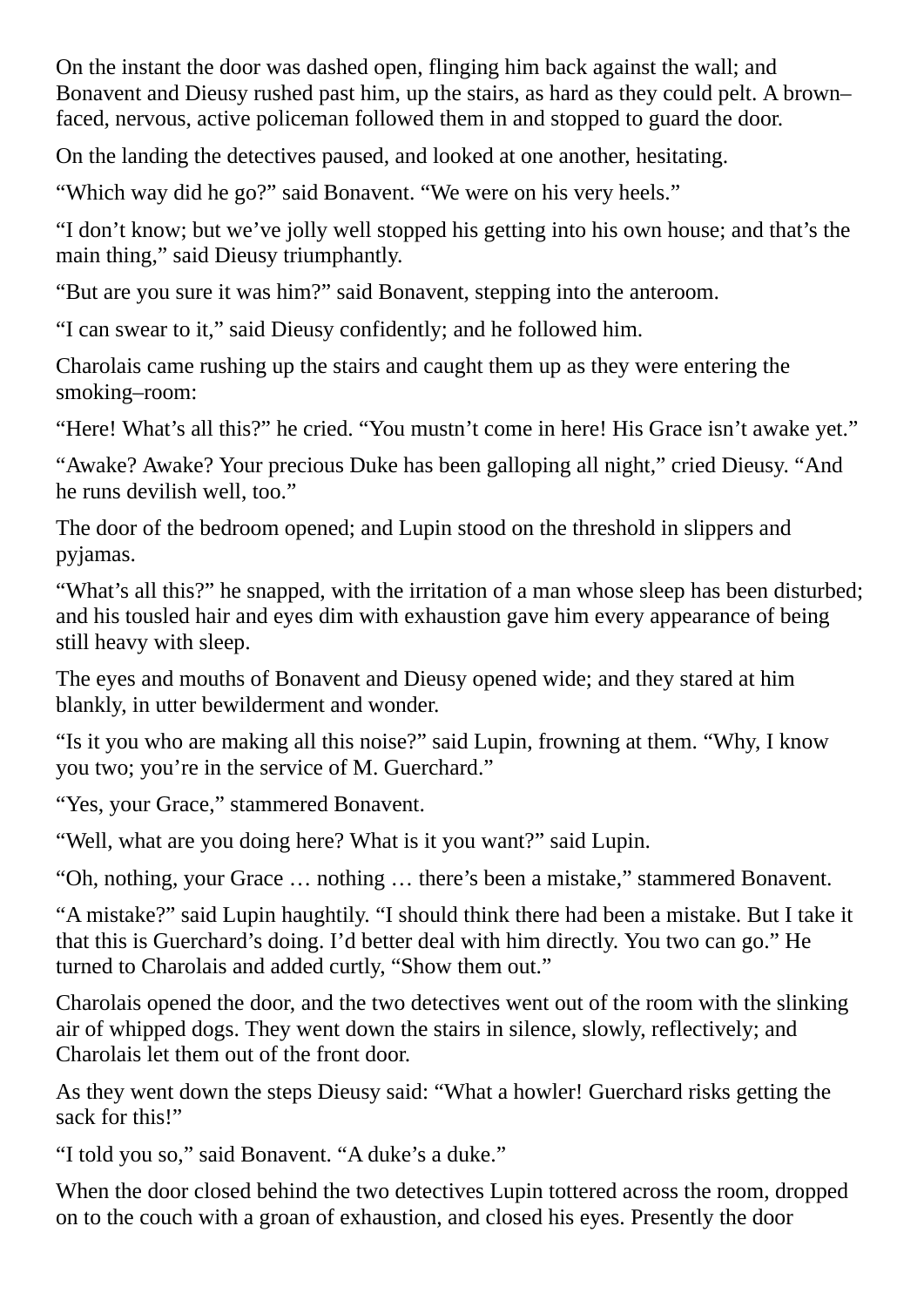On the instant the door was dashed open, flinging him back against the wall; and Bonavent and Dieusy rushed past him, up the stairs, as hard as they could pelt. A brown– faced, nervous, active policeman followed them in and stopped to guard the door.

On the landing the detectives paused, and looked at one another, hesitating.

"Which way did he go?" said Bonavent. "We were on his very heels."

"I don't know; but we've jolly well stopped his getting into his own house; and that's the main thing," said Dieusy triumphantly.

"But are you sure it was him?" said Bonavent, stepping into the anteroom.

"I can swear to it," said Dieusy confidently; and he followed him.

Charolais came rushing up the stairs and caught them up as they were entering the smoking–room:

"Here! What's all this?" he cried. "You mustn't come in here! His Grace isn't awake yet."

"Awake? Awake? Your precious Duke has been galloping all night," cried Dieusy. "And he runs devilish well, too."

The door of the bedroom opened; and Lupin stood on the threshold in slippers and pyjamas.

"What's all this?" he snapped, with the irritation of a man whose sleep has been disturbed; and his tousled hair and eyes dim with exhaustion gave him every appearance of being still heavy with sleep.

The eyes and mouths of Bonavent and Dieusy opened wide; and they stared at him blankly, in utter bewilderment and wonder.

"Is it you who are making all this noise?" said Lupin, frowning at them. "Why, I know you two; you're in the service of M. Guerchard."

"Yes, your Grace," stammered Bonavent.

"Well, what are you doing here? What is it you want?" said Lupin.

"Oh, nothing, your Grace … nothing … there's been a mistake," stammered Bonavent.

"A mistake?" said Lupin haughtily. "I should think there had been a mistake. But I take it that this is Guerchard's doing. I'd better deal with him directly. You two can go." He turned to Charolais and added curtly, "Show them out."

Charolais opened the door, and the two detectives went out of the room with the slinking air of whipped dogs. They went down the stairs in silence, slowly, reflectively; and Charolais let them out of the front door.

As they went down the steps Dieusy said: "What a howler! Guerchard risks getting the sack for this!"

"I told you so," said Bonavent. "A duke's a duke."

When the door closed behind the two detectives Lupin tottered across the room, dropped on to the couch with a groan of exhaustion, and closed his eyes. Presently the door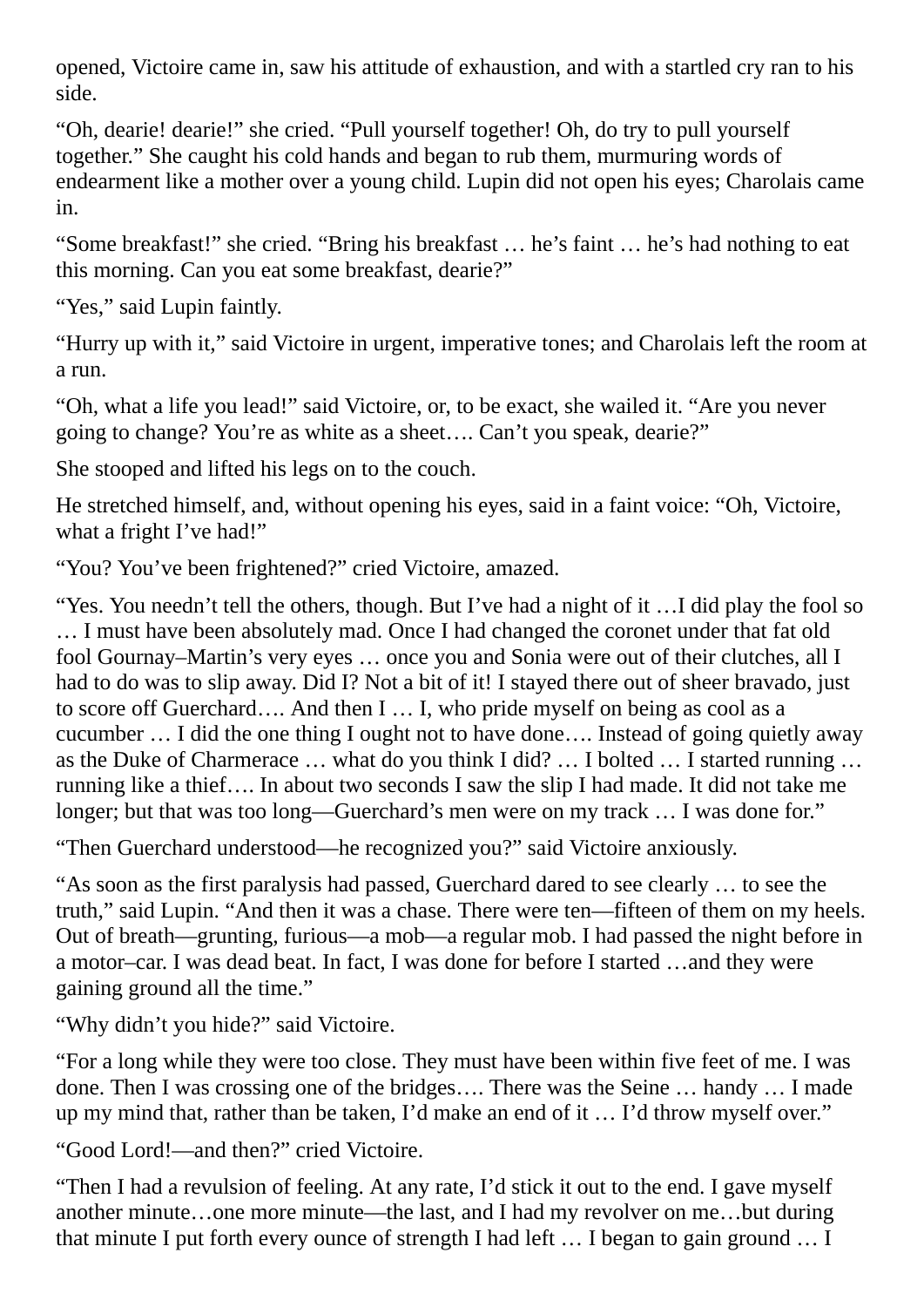opened, Victoire came in, saw his attitude of exhaustion, and with a startled cry ran to his side.

"Oh, dearie! dearie!" she cried. "Pull yourself together! Oh, do try to pull yourself together." She caught his cold hands and began to rub them, murmuring words of endearment like a mother over a young child. Lupin did not open his eyes; Charolais came in.

"Some breakfast!" she cried. "Bring his breakfast … he's faint … he's had nothing to eat this morning. Can you eat some breakfast, dearie?"

"Yes," said Lupin faintly.

"Hurry up with it," said Victoire in urgent, imperative tones; and Charolais left the room at a run.

"Oh, what a life you lead!" said Victoire, or, to be exact, she wailed it. "Are you never going to change? You're as white as a sheet…. Can't you speak, dearie?"

She stooped and lifted his legs on to the couch.

He stretched himself, and, without opening his eyes, said in a faint voice: "Oh, Victoire, what a fright I've had!"

"You? You've been frightened?" cried Victoire, amazed.

"Yes. You needn't tell the others, though. But I've had a night of it …I did play the fool so … I must have been absolutely mad. Once I had changed the coronet under that fat old fool Gournay–Martin's very eyes … once you and Sonia were out of their clutches, all I had to do was to slip away. Did I? Not a bit of it! I stayed there out of sheer bravado, just to score off Guerchard…. And then I … I, who pride myself on being as cool as a cucumber … I did the one thing I ought not to have done…. Instead of going quietly away as the Duke of Charmerace … what do you think I did? … I bolted … I started running … running like a thief…. In about two seconds I saw the slip I had made. It did not take me longer; but that was too long—Guerchard's men were on my track ... I was done for."

"Then Guerchard understood—he recognized you?" said Victoire anxiously.

"As soon as the first paralysis had passed, Guerchard dared to see clearly … to see the truth," said Lupin. "And then it was a chase. There were ten—fifteen of them on my heels. Out of breath—grunting, furious—a mob—a regular mob. I had passed the night before in a motor–car. I was dead beat. In fact, I was done for before I started …and they were gaining ground all the time."

"Why didn't you hide?" said Victoire.

"For a long while they were too close. They must have been within five feet of me. I was done. Then I was crossing one of the bridges…. There was the Seine … handy … I made up my mind that, rather than be taken, I'd make an end of it … I'd throw myself over."

"Good Lord!—and then?" cried Victoire.

"Then I had a revulsion of feeling. At any rate, I'd stick it out to the end. I gave myself another minute…one more minute—the last, and I had my revolver on me…but during that minute I put forth every ounce of strength I had left ... I began to gain ground ... I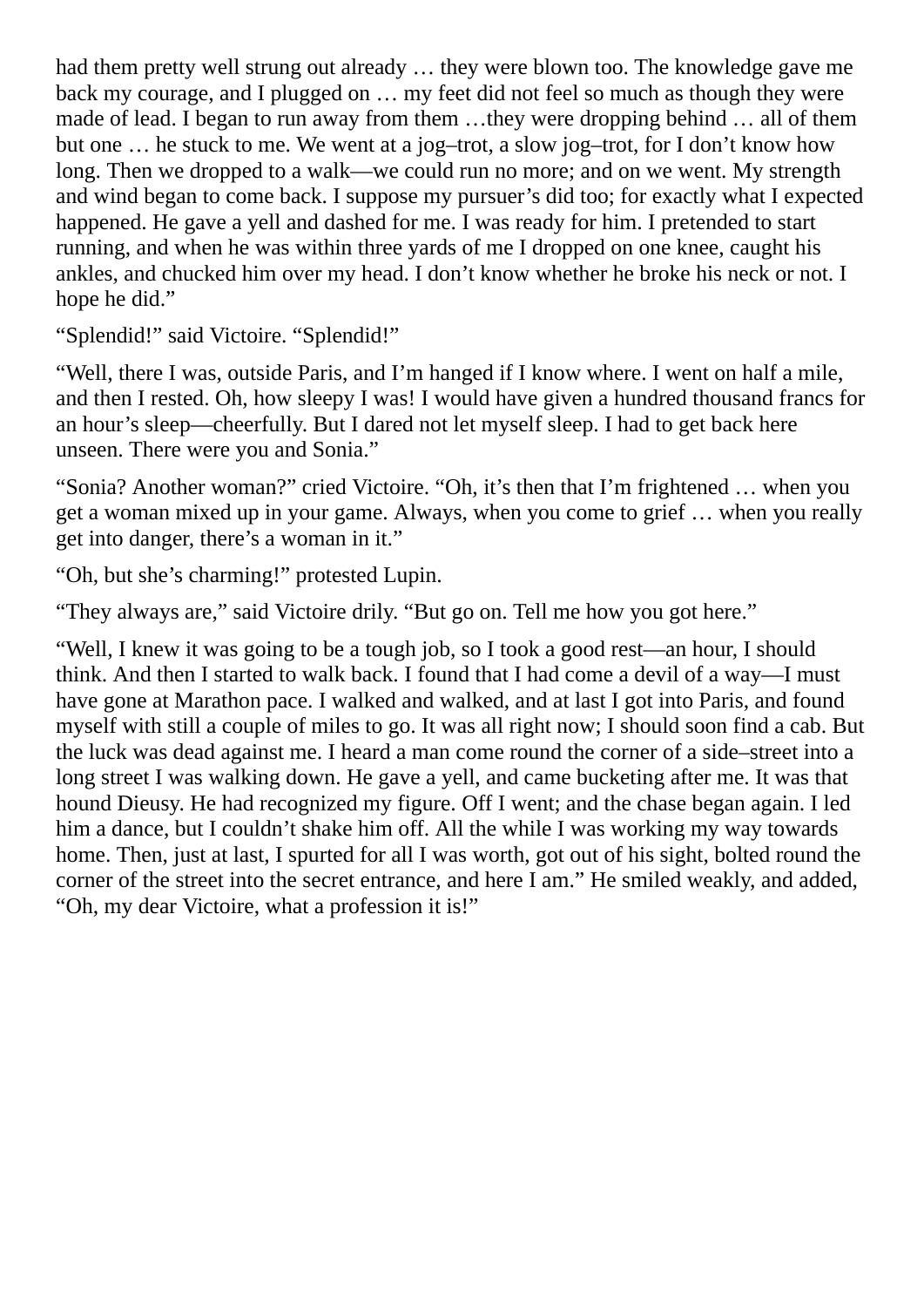had them pretty well strung out already … they were blown too. The knowledge gave me back my courage, and I plugged on … my feet did not feel so much as though they were made of lead. I began to run away from them …they were dropping behind … all of them but one … he stuck to me. We went at a jog–trot, a slow jog–trot, for I don't know how long. Then we dropped to a walk—we could run no more; and on we went. My strength and wind began to come back. I suppose my pursuer's did too; for exactly what I expected happened. He gave a yell and dashed for me. I was ready for him. I pretended to start running, and when he was within three yards of me I dropped on one knee, caught his ankles, and chucked him over my head. I don't know whether he broke his neck or not. I hope he did."

"Splendid!" said Victoire. "Splendid!"

"Well, there I was, outside Paris, and I'm hanged if I know where. I went on half a mile, and then I rested. Oh, how sleepy I was! I would have given a hundred thousand francs for an hour's sleep—cheerfully. But I dared not let myself sleep. I had to get back here unseen. There were you and Sonia."

"Sonia? Another woman?" cried Victoire. "Oh, it's then that I'm frightened … when you get a woman mixed up in your game. Always, when you come to grief … when you really get into danger, there's a woman in it."

"Oh, but she's charming!" protested Lupin.

"They always are," said Victoire drily. "But go on. Tell me how you got here."

"Well, I knew it was going to be a tough job, so I took a good rest—an hour, I should think. And then I started to walk back. I found that I had come a devil of a way—I must have gone at Marathon pace. I walked and walked, and at last I got into Paris, and found myself with still a couple of miles to go. It was all right now; I should soon find a cab. But the luck was dead against me. I heard a man come round the corner of a side–street into a long street I was walking down. He gave a yell, and came bucketing after me. It was that hound Dieusy. He had recognized my figure. Off I went; and the chase began again. I led him a dance, but I couldn't shake him off. All the while I was working my way towards home. Then, just at last, I spurted for all I was worth, got out of his sight, bolted round the corner of the street into the secret entrance, and here I am." He smiled weakly, and added, "Oh, my dear Victoire, what a profession it is!"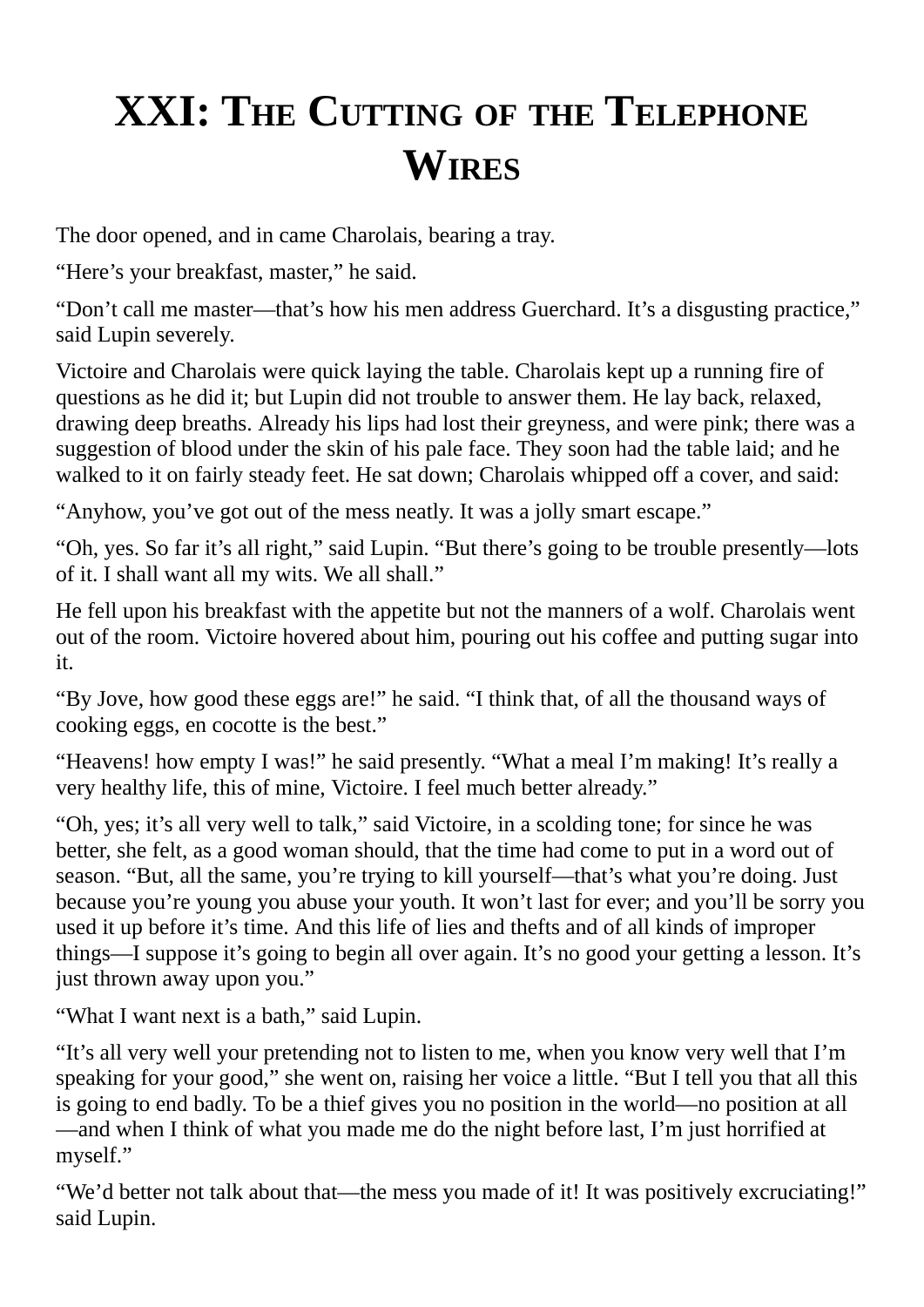## **XXI: THE CUTTING OF THE TELEPHONE WIRES**

The door opened, and in came Charolais, bearing a tray.

"Here's your breakfast, master," he said.

"Don't call me master—that's how his men address Guerchard. It's a disgusting practice," said Lupin severely.

Victoire and Charolais were quick laying the table. Charolais kept up a running fire of questions as he did it; but Lupin did not trouble to answer them. He lay back, relaxed, drawing deep breaths. Already his lips had lost their greyness, and were pink; there was a suggestion of blood under the skin of his pale face. They soon had the table laid; and he walked to it on fairly steady feet. He sat down; Charolais whipped off a cover, and said:

"Anyhow, you've got out of the mess neatly. It was a jolly smart escape."

"Oh, yes. So far it's all right," said Lupin. "But there's going to be trouble presently—lots of it. I shall want all my wits. We all shall."

He fell upon his breakfast with the appetite but not the manners of a wolf. Charolais went out of the room. Victoire hovered about him, pouring out his coffee and putting sugar into it.

"By Jove, how good these eggs are!" he said. "I think that, of all the thousand ways of cooking eggs, en cocotte is the best."

"Heavens! how empty I was!" he said presently. "What a meal I'm making! It's really a very healthy life, this of mine, Victoire. I feel much better already."

"Oh, yes; it's all very well to talk," said Victoire, in a scolding tone; for since he was better, she felt, as a good woman should, that the time had come to put in a word out of season. "But, all the same, you're trying to kill yourself—that's what you're doing. Just because you're young you abuse your youth. It won't last for ever; and you'll be sorry you used it up before it's time. And this life of lies and thefts and of all kinds of improper things—I suppose it's going to begin all over again. It's no good your getting a lesson. It's just thrown away upon you."

"What I want next is a bath," said Lupin.

"It's all very well your pretending not to listen to me, when you know very well that I'm speaking for your good," she went on, raising her voice a little. "But I tell you that all this is going to end badly. To be a thief gives you no position in the world—no position at all —and when I think of what you made me do the night before last, I'm just horrified at myself."

"We'd better not talk about that—the mess you made of it! It was positively excruciating!" said Lupin.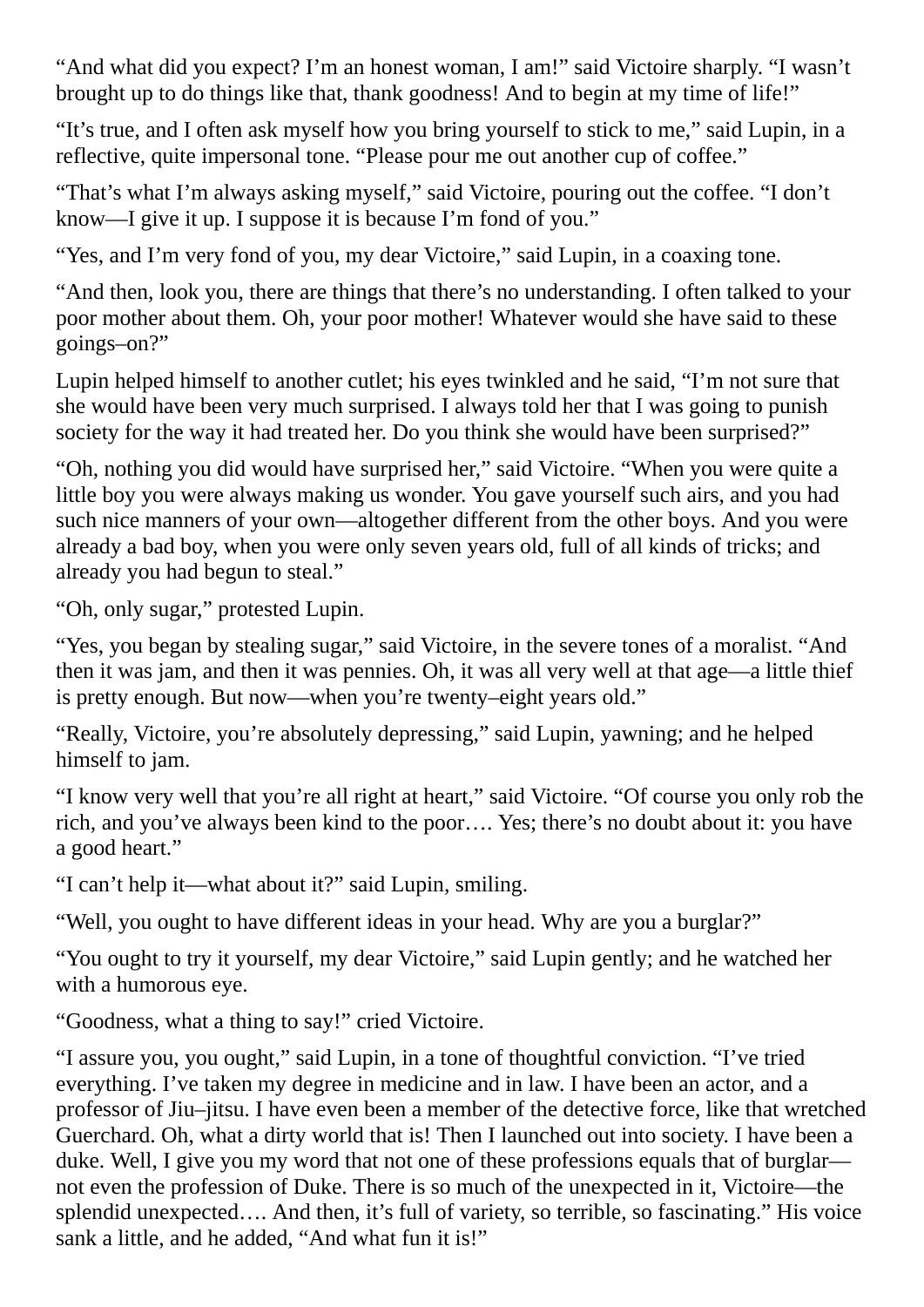"And what did you expect? I'm an honest woman, I am!" said Victoire sharply. "I wasn't brought up to do things like that, thank goodness! And to begin at my time of life!"

"It's true, and I often ask myself how you bring yourself to stick to me," said Lupin, in a reflective, quite impersonal tone. "Please pour me out another cup of coffee."

"That's what I'm always asking myself," said Victoire, pouring out the coffee. "I don't know—I give it up. I suppose it is because I'm fond of you."

"Yes, and I'm very fond of you, my dear Victoire," said Lupin, in a coaxing tone.

"And then, look you, there are things that there's no understanding. I often talked to your poor mother about them. Oh, your poor mother! Whatever would she have said to these goings–on?"

Lupin helped himself to another cutlet; his eyes twinkled and he said, "I'm not sure that she would have been very much surprised. I always told her that I was going to punish society for the way it had treated her. Do you think she would have been surprised?"

"Oh, nothing you did would have surprised her," said Victoire. "When you were quite a little boy you were always making us wonder. You gave yourself such airs, and you had such nice manners of your own—altogether different from the other boys. And you were already a bad boy, when you were only seven years old, full of all kinds of tricks; and already you had begun to steal."

"Oh, only sugar," protested Lupin.

"Yes, you began by stealing sugar," said Victoire, in the severe tones of a moralist. "And then it was jam, and then it was pennies. Oh, it was all very well at that age—a little thief is pretty enough. But now—when you're twenty–eight years old."

"Really, Victoire, you're absolutely depressing," said Lupin, yawning; and he helped himself to jam.

"I know very well that you're all right at heart," said Victoire. "Of course you only rob the rich, and you've always been kind to the poor…. Yes; there's no doubt about it: you have a good heart."

"I can't help it—what about it?" said Lupin, smiling.

"Well, you ought to have different ideas in your head. Why are you a burglar?"

"You ought to try it yourself, my dear Victoire," said Lupin gently; and he watched her with a humorous eye.

"Goodness, what a thing to say!" cried Victoire.

"I assure you, you ought," said Lupin, in a tone of thoughtful conviction. "I've tried everything. I've taken my degree in medicine and in law. I have been an actor, and a professor of Jiu–jitsu. I have even been a member of the detective force, like that wretched Guerchard. Oh, what a dirty world that is! Then I launched out into society. I have been a duke. Well, I give you my word that not one of these professions equals that of burglar not even the profession of Duke. There is so much of the unexpected in it, Victoire—the splendid unexpected…. And then, it's full of variety, so terrible, so fascinating." His voice sank a little, and he added, "And what fun it is!"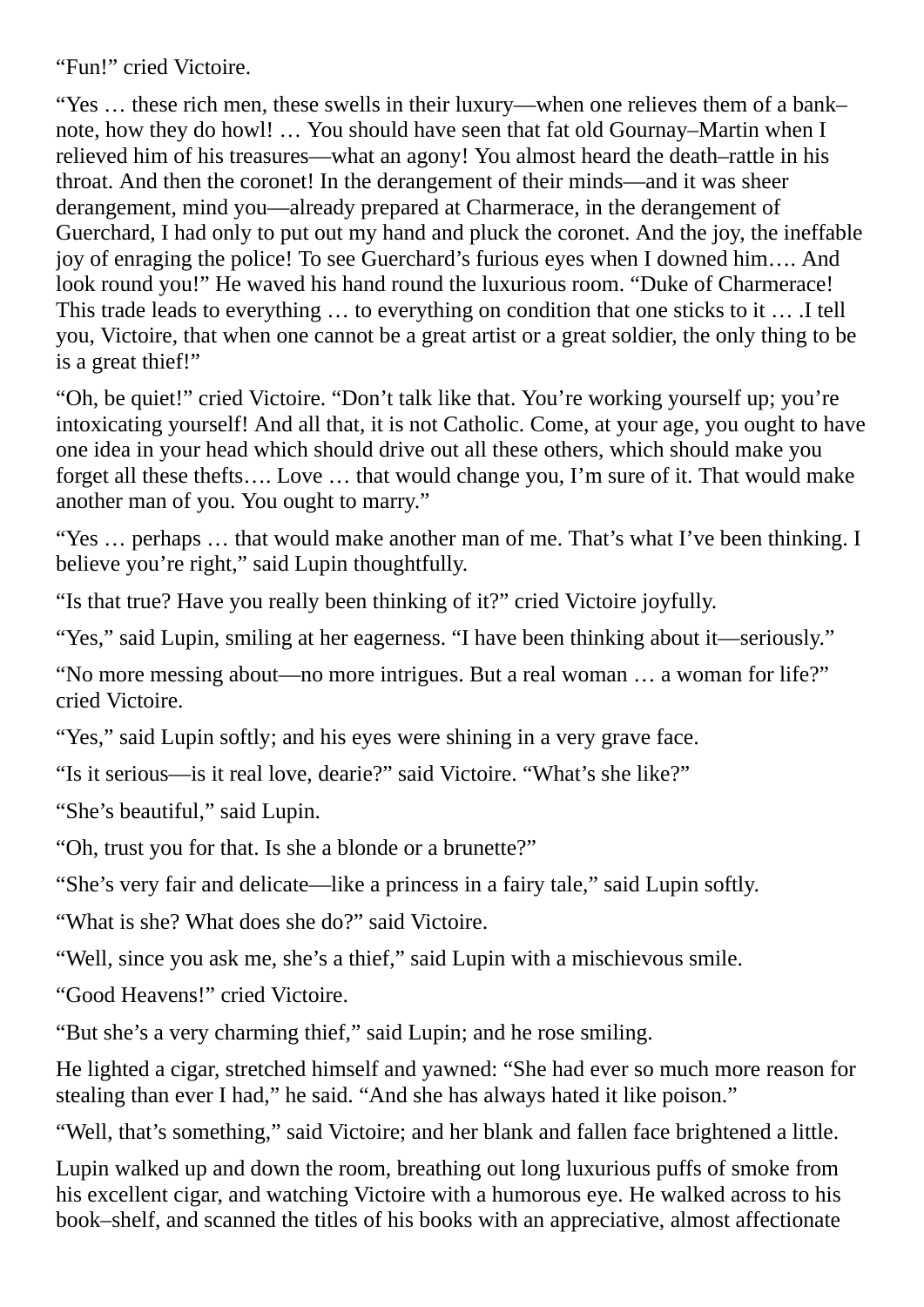"Fun!" cried Victoire.

"Yes … these rich men, these swells in their luxury—when one relieves them of a bank– note, how they do howl! … You should have seen that fat old Gournay–Martin when I relieved him of his treasures—what an agony! You almost heard the death–rattle in his throat. And then the coronet! In the derangement of their minds—and it was sheer derangement, mind you—already prepared at Charmerace, in the derangement of Guerchard, I had only to put out my hand and pluck the coronet. And the joy, the ineffable joy of enraging the police! To see Guerchard's furious eyes when I downed him…. And look round you!" He waved his hand round the luxurious room. "Duke of Charmerace! This trade leads to everything … to everything on condition that one sticks to it … .I tell you, Victoire, that when one cannot be a great artist or a great soldier, the only thing to be is a great thief!"

"Oh, be quiet!" cried Victoire. "Don't talk like that. You're working yourself up; you're intoxicating yourself! And all that, it is not Catholic. Come, at your age, you ought to have one idea in your head which should drive out all these others, which should make you forget all these thefts…. Love … that would change you, I'm sure of it. That would make another man of you. You ought to marry."

"Yes … perhaps … that would make another man of me. That's what I've been thinking. I believe you're right," said Lupin thoughtfully.

"Is that true? Have you really been thinking of it?" cried Victoire joyfully.

"Yes," said Lupin, smiling at her eagerness. "I have been thinking about it—seriously."

"No more messing about—no more intrigues. But a real woman … a woman for life?" cried Victoire.

"Yes," said Lupin softly; and his eyes were shining in a very grave face.

"Is it serious—is it real love, dearie?" said Victoire. "What's she like?"

"She's beautiful," said Lupin.

"Oh, trust you for that. Is she a blonde or a brunette?"

"She's very fair and delicate—like a princess in a fairy tale," said Lupin softly.

"What is she? What does she do?" said Victoire.

"Well, since you ask me, she's a thief," said Lupin with a mischievous smile.

"Good Heavens!" cried Victoire.

"But she's a very charming thief," said Lupin; and he rose smiling.

He lighted a cigar, stretched himself and yawned: "She had ever so much more reason for stealing than ever I had," he said. "And she has always hated it like poison."

"Well, that's something," said Victoire; and her blank and fallen face brightened a little.

Lupin walked up and down the room, breathing out long luxurious puffs of smoke from his excellent cigar, and watching Victoire with a humorous eye. He walked across to his book–shelf, and scanned the titles of his books with an appreciative, almost affectionate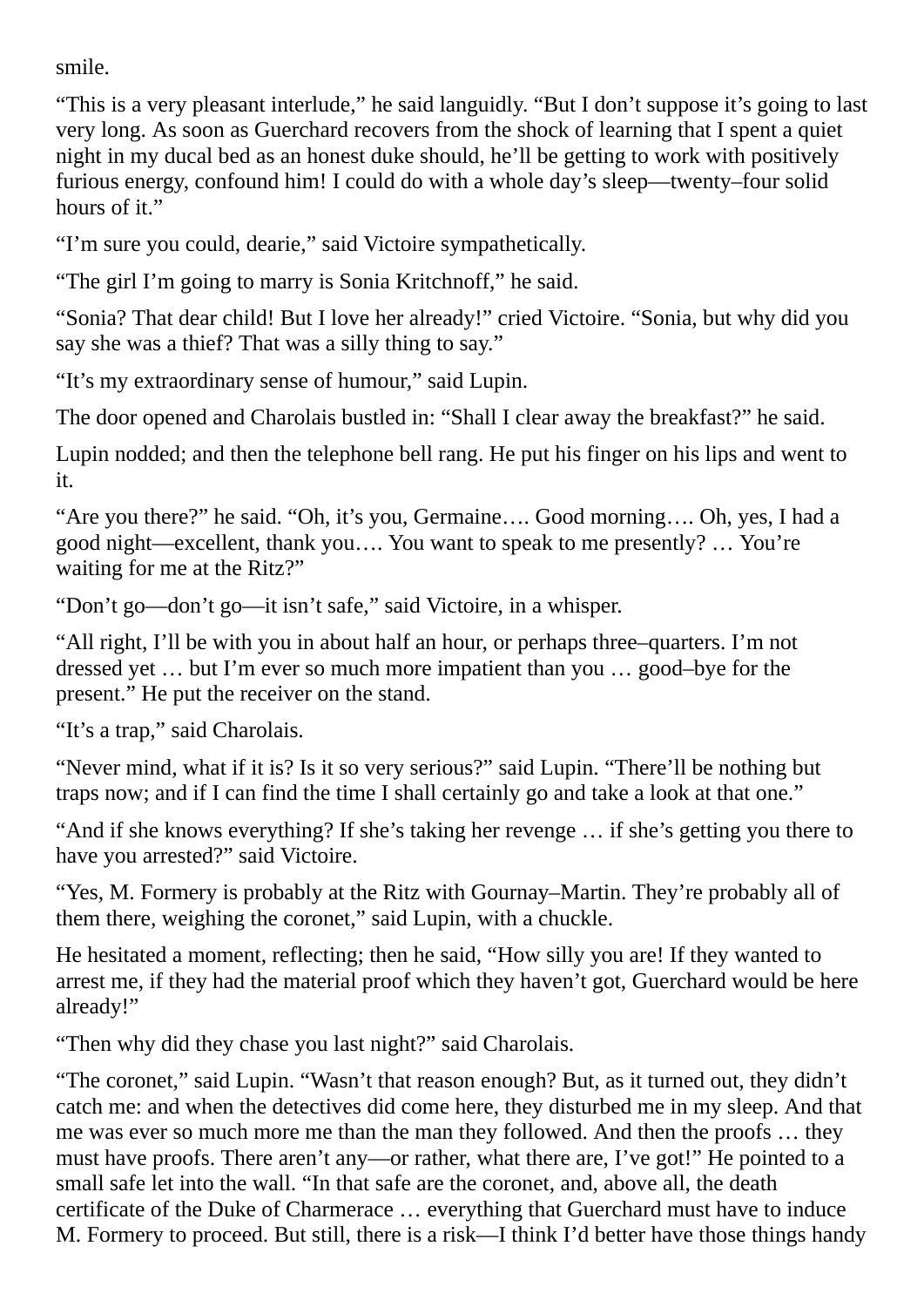smile.

"This is a very pleasant interlude," he said languidly. "But I don't suppose it's going to last very long. As soon as Guerchard recovers from the shock of learning that I spent a quiet night in my ducal bed as an honest duke should, he'll be getting to work with positively furious energy, confound him! I could do with a whole day's sleep—twenty–four solid hours of it."

"I'm sure you could, dearie," said Victoire sympathetically.

"The girl I'm going to marry is Sonia Kritchnoff," he said.

"Sonia? That dear child! But I love her already!" cried Victoire. "Sonia, but why did you say she was a thief? That was a silly thing to say."

"It's my extraordinary sense of humour," said Lupin.

The door opened and Charolais bustled in: "Shall I clear away the breakfast?" he said.

Lupin nodded; and then the telephone bell rang. He put his finger on his lips and went to it.

"Are you there?" he said. "Oh, it's you, Germaine…. Good morning…. Oh, yes, I had a good night—excellent, thank you…. You want to speak to me presently? … You're waiting for me at the Ritz?"

"Don't go—don't go—it isn't safe," said Victoire, in a whisper.

"All right, I'll be with you in about half an hour, or perhaps three–quarters. I'm not dressed yet … but I'm ever so much more impatient than you … good–bye for the present." He put the receiver on the stand.

"It's a trap," said Charolais.

"Never mind, what if it is? Is it so very serious?" said Lupin. "There'll be nothing but traps now; and if I can find the time I shall certainly go and take a look at that one."

"And if she knows everything? If she's taking her revenge … if she's getting you there to have you arrested?" said Victoire.

"Yes, M. Formery is probably at the Ritz with Gournay–Martin. They're probably all of them there, weighing the coronet," said Lupin, with a chuckle.

He hesitated a moment, reflecting; then he said, "How silly you are! If they wanted to arrest me, if they had the material proof which they haven't got, Guerchard would be here already!"

"Then why did they chase you last night?" said Charolais.

"The coronet," said Lupin. "Wasn't that reason enough? But, as it turned out, they didn't catch me: and when the detectives did come here, they disturbed me in my sleep. And that me was ever so much more me than the man they followed. And then the proofs … they must have proofs. There aren't any—or rather, what there are, I've got!" He pointed to a small safe let into the wall. "In that safe are the coronet, and, above all, the death certificate of the Duke of Charmerace … everything that Guerchard must have to induce M. Formery to proceed. But still, there is a risk—I think I'd better have those things handy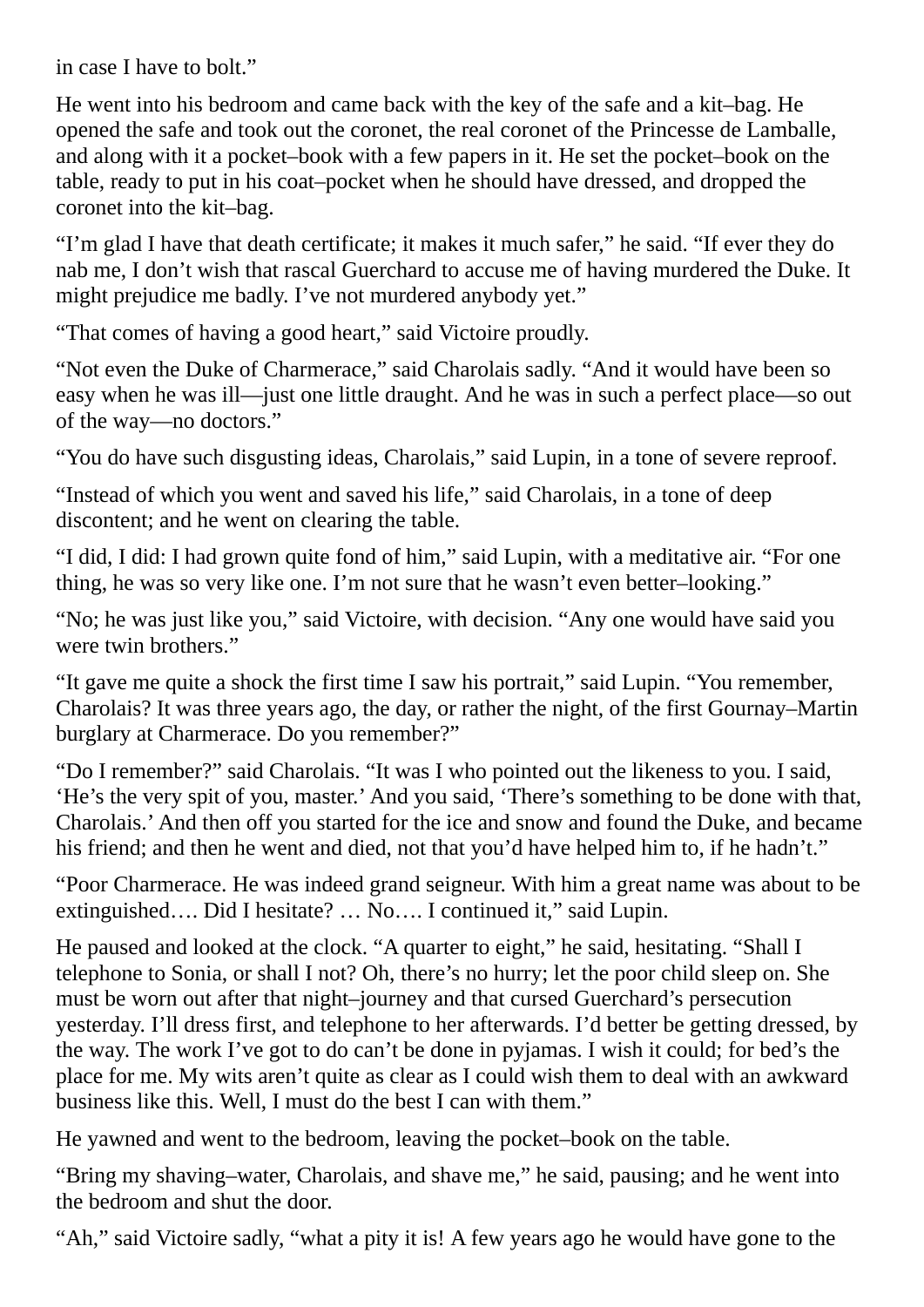in case I have to bolt."

He went into his bedroom and came back with the key of the safe and a kit–bag. He opened the safe and took out the coronet, the real coronet of the Princesse de Lamballe, and along with it a pocket–book with a few papers in it. He set the pocket–book on the table, ready to put in his coat–pocket when he should have dressed, and dropped the coronet into the kit–bag.

"I'm glad I have that death certificate; it makes it much safer," he said. "If ever they do nab me, I don't wish that rascal Guerchard to accuse me of having murdered the Duke. It might prejudice me badly. I've not murdered anybody yet."

"That comes of having a good heart," said Victoire proudly.

"Not even the Duke of Charmerace," said Charolais sadly. "And it would have been so easy when he was ill—just one little draught. And he was in such a perfect place—so out of the way—no doctors."

"You do have such disgusting ideas, Charolais," said Lupin, in a tone of severe reproof.

"Instead of which you went and saved his life," said Charolais, in a tone of deep discontent; and he went on clearing the table.

"I did, I did: I had grown quite fond of him," said Lupin, with a meditative air. "For one thing, he was so very like one. I'm not sure that he wasn't even better–looking."

"No; he was just like you," said Victoire, with decision. "Any one would have said you were twin brothers."

"It gave me quite a shock the first time I saw his portrait," said Lupin. "You remember, Charolais? It was three years ago, the day, or rather the night, of the first Gournay–Martin burglary at Charmerace. Do you remember?"

"Do I remember?" said Charolais. "It was I who pointed out the likeness to you. I said, 'He's the very spit of you, master.' And you said, 'There's something to be done with that, Charolais.' And then off you started for the ice and snow and found the Duke, and became his friend; and then he went and died, not that you'd have helped him to, if he hadn't."

"Poor Charmerace. He was indeed grand seigneur. With him a great name was about to be extinguished…. Did I hesitate? … No…. I continued it," said Lupin.

He paused and looked at the clock. "A quarter to eight," he said, hesitating. "Shall I telephone to Sonia, or shall I not? Oh, there's no hurry; let the poor child sleep on. She must be worn out after that night–journey and that cursed Guerchard's persecution yesterday. I'll dress first, and telephone to her afterwards. I'd better be getting dressed, by the way. The work I've got to do can't be done in pyjamas. I wish it could; for bed's the place for me. My wits aren't quite as clear as I could wish them to deal with an awkward business like this. Well, I must do the best I can with them."

He yawned and went to the bedroom, leaving the pocket–book on the table.

"Bring my shaving–water, Charolais, and shave me," he said, pausing; and he went into the bedroom and shut the door.

"Ah," said Victoire sadly, "what a pity it is! A few years ago he would have gone to the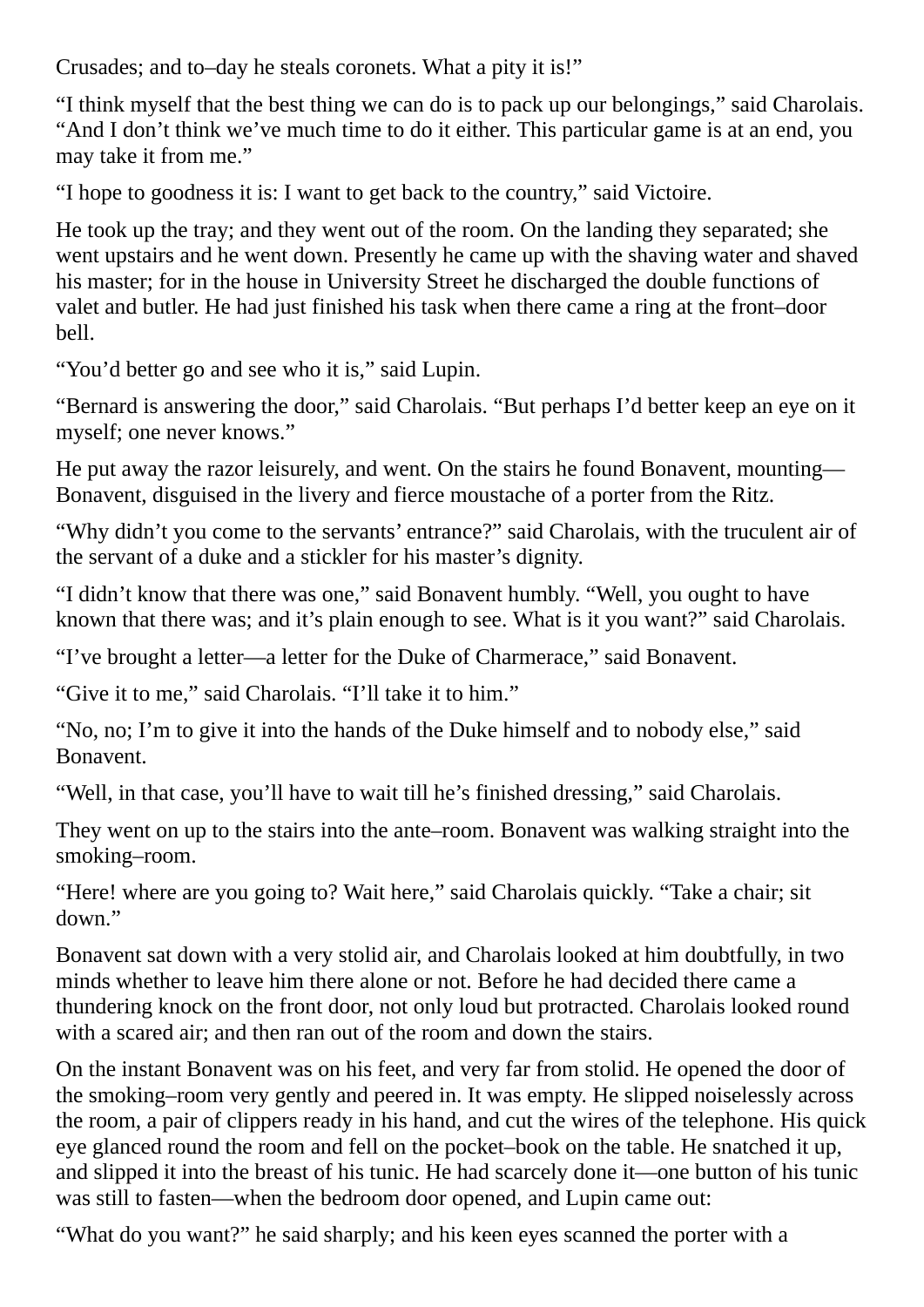Crusades; and to–day he steals coronets. What a pity it is!"

"I think myself that the best thing we can do is to pack up our belongings," said Charolais. "And I don't think we've much time to do it either. This particular game is at an end, you may take it from me."

"I hope to goodness it is: I want to get back to the country," said Victoire.

He took up the tray; and they went out of the room. On the landing they separated; she went upstairs and he went down. Presently he came up with the shaving water and shaved his master; for in the house in University Street he discharged the double functions of valet and butler. He had just finished his task when there came a ring at the front–door bell.

"You'd better go and see who it is," said Lupin.

"Bernard is answering the door," said Charolais. "But perhaps I'd better keep an eye on it myself; one never knows."

He put away the razor leisurely, and went. On the stairs he found Bonavent, mounting— Bonavent, disguised in the livery and fierce moustache of a porter from the Ritz.

"Why didn't you come to the servants' entrance?" said Charolais, with the truculent air of the servant of a duke and a stickler for his master's dignity.

"I didn't know that there was one," said Bonavent humbly. "Well, you ought to have known that there was; and it's plain enough to see. What is it you want?" said Charolais.

"I've brought a letter—a letter for the Duke of Charmerace," said Bonavent.

"Give it to me," said Charolais. "I'll take it to him."

"No, no; I'm to give it into the hands of the Duke himself and to nobody else," said Bonavent.

"Well, in that case, you'll have to wait till he's finished dressing," said Charolais.

They went on up to the stairs into the ante–room. Bonavent was walking straight into the smoking–room.

"Here! where are you going to? Wait here," said Charolais quickly. "Take a chair; sit down."

Bonavent sat down with a very stolid air, and Charolais looked at him doubtfully, in two minds whether to leave him there alone or not. Before he had decided there came a thundering knock on the front door, not only loud but protracted. Charolais looked round with a scared air: and then ran out of the room and down the stairs.

On the instant Bonavent was on his feet, and very far from stolid. He opened the door of the smoking–room very gently and peered in. It was empty. He slipped noiselessly across the room, a pair of clippers ready in his hand, and cut the wires of the telephone. His quick eye glanced round the room and fell on the pocket–book on the table. He snatched it up, and slipped it into the breast of his tunic. He had scarcely done it—one button of his tunic was still to fasten—when the bedroom door opened, and Lupin came out:

"What do you want?" he said sharply; and his keen eyes scanned the porter with a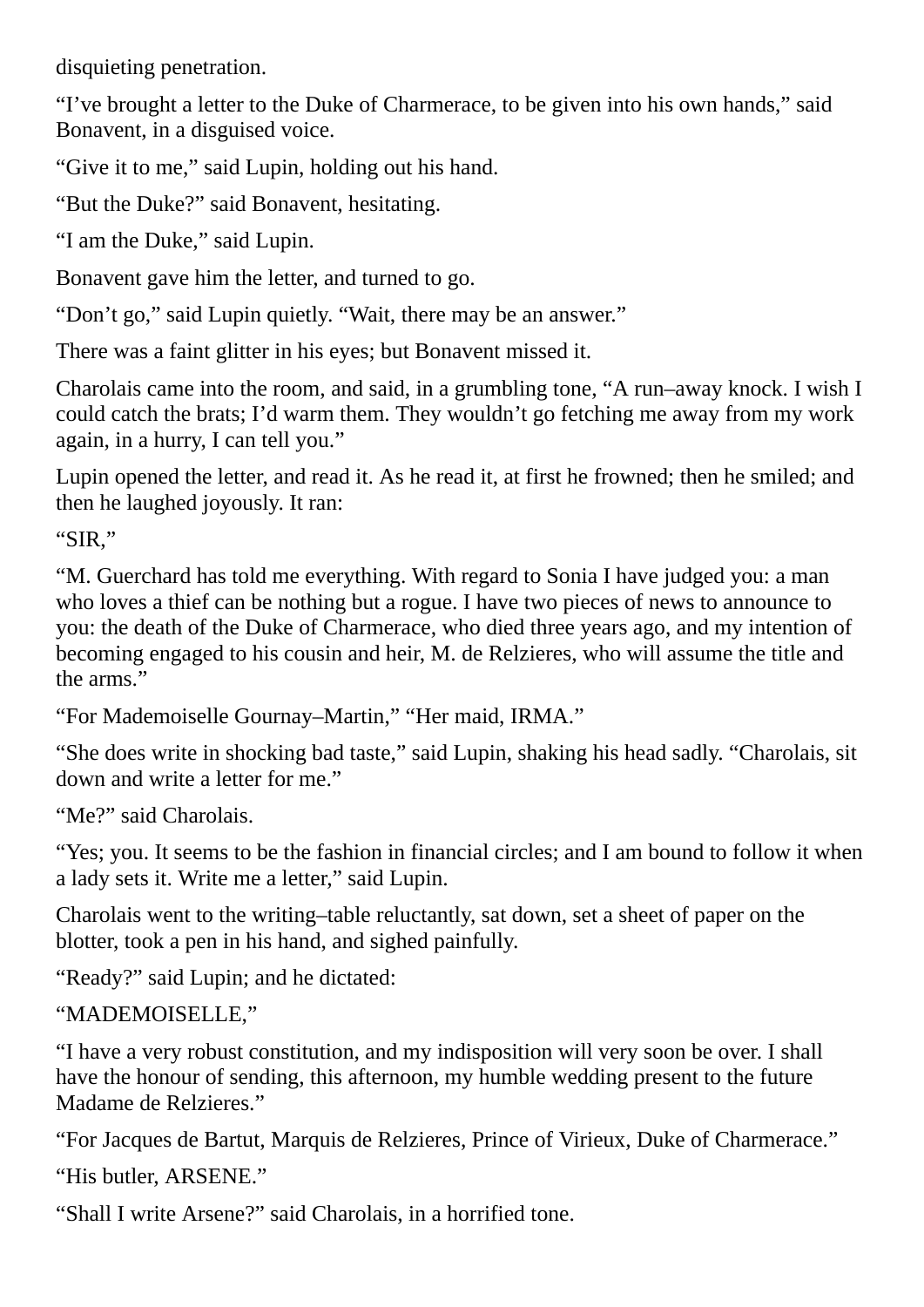disquieting penetration.

"I've brought a letter to the Duke of Charmerace, to be given into his own hands," said Bonavent, in a disguised voice.

"Give it to me," said Lupin, holding out his hand.

"But the Duke?" said Bonavent, hesitating.

"I am the Duke," said Lupin.

Bonavent gave him the letter, and turned to go.

"Don't go," said Lupin quietly. "Wait, there may be an answer."

There was a faint glitter in his eyes; but Bonavent missed it.

Charolais came into the room, and said, in a grumbling tone, "A run–away knock. I wish I could catch the brats; I'd warm them. They wouldn't go fetching me away from my work again, in a hurry, I can tell you."

Lupin opened the letter, and read it. As he read it, at first he frowned; then he smiled; and then he laughed joyously. It ran:

"SIR,"

"M. Guerchard has told me everything. With regard to Sonia I have judged you: a man who loves a thief can be nothing but a rogue. I have two pieces of news to announce to you: the death of the Duke of Charmerace, who died three years ago, and my intention of becoming engaged to his cousin and heir, M. de Relzieres, who will assume the title and the arms."

"For Mademoiselle Gournay–Martin," "Her maid, IRMA."

"She does write in shocking bad taste," said Lupin, shaking his head sadly. "Charolais, sit down and write a letter for me."

"Me?" said Charolais.

"Yes; you. It seems to be the fashion in financial circles; and I am bound to follow it when a lady sets it. Write me a letter," said Lupin.

Charolais went to the writing–table reluctantly, sat down, set a sheet of paper on the blotter, took a pen in his hand, and sighed painfully.

"Ready?" said Lupin; and he dictated:

"MADEMOISELLE,"

"I have a very robust constitution, and my indisposition will very soon be over. I shall have the honour of sending, this afternoon, my humble wedding present to the future Madame de Relzieres."

"For Jacques de Bartut, Marquis de Relzieres, Prince of Virieux, Duke of Charmerace." "His butler, ARSENE."

"Shall I write Arsene?" said Charolais, in a horrified tone.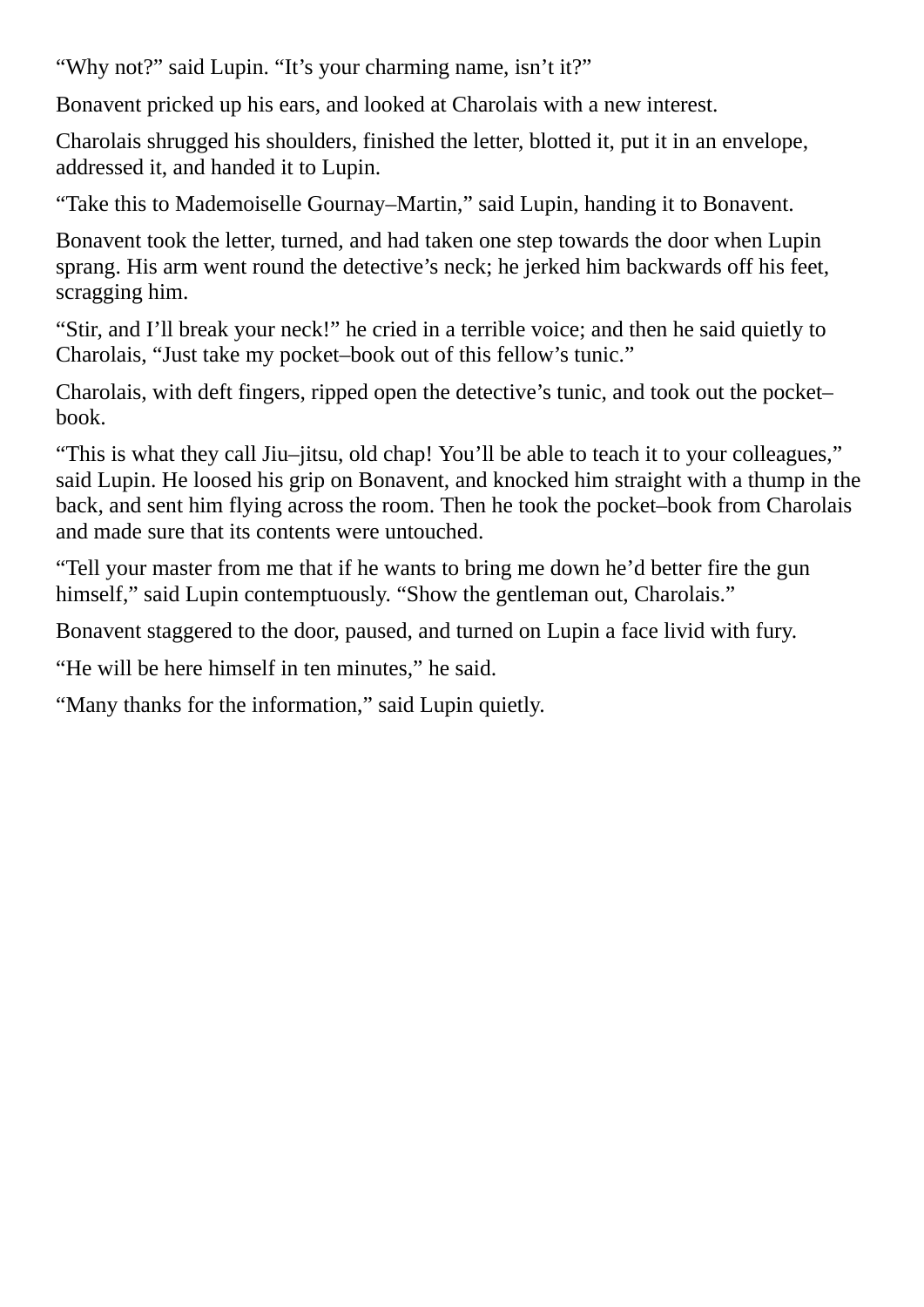"Why not?" said Lupin. "It's your charming name, isn't it?"

Bonavent pricked up his ears, and looked at Charolais with a new interest.

Charolais shrugged his shoulders, finished the letter, blotted it, put it in an envelope, addressed it, and handed it to Lupin.

"Take this to Mademoiselle Gournay–Martin," said Lupin, handing it to Bonavent.

Bonavent took the letter, turned, and had taken one step towards the door when Lupin sprang. His arm went round the detective's neck; he jerked him backwards off his feet, scragging him.

"Stir, and I'll break your neck!" he cried in a terrible voice; and then he said quietly to Charolais, "Just take my pocket–book out of this fellow's tunic."

Charolais, with deft fingers, ripped open the detective's tunic, and took out the pocket– book.

"This is what they call Jiu–jitsu, old chap! You'll be able to teach it to your colleagues," said Lupin. He loosed his grip on Bonavent, and knocked him straight with a thump in the back, and sent him flying across the room. Then he took the pocket–book from Charolais and made sure that its contents were untouched.

"Tell your master from me that if he wants to bring me down he'd better fire the gun himself," said Lupin contemptuously. "Show the gentleman out, Charolais."

Bonavent staggered to the door, paused, and turned on Lupin a face livid with fury.

"He will be here himself in ten minutes," he said.

"Many thanks for the information," said Lupin quietly.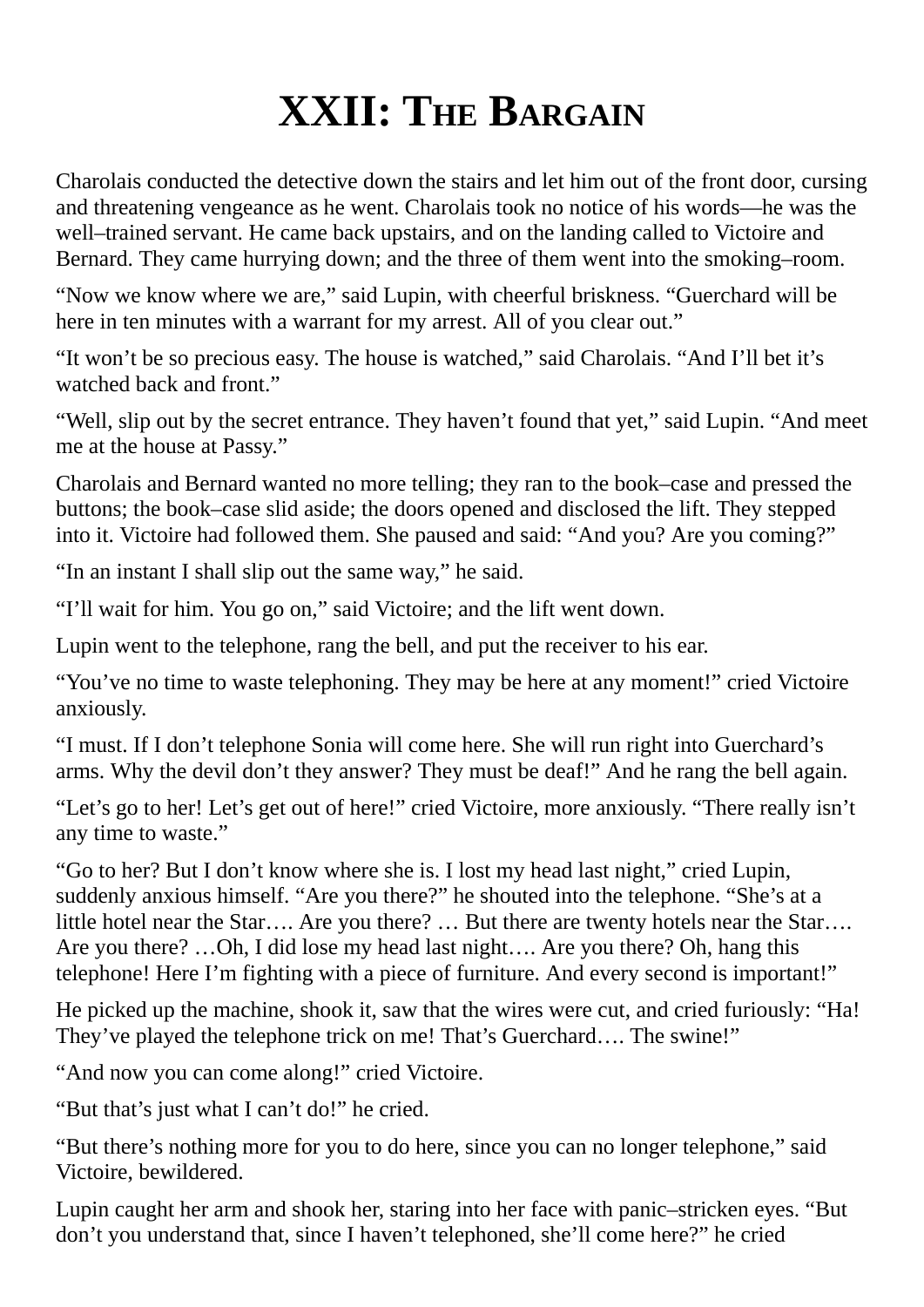## **XXII: THE BARGAIN**

Charolais conducted the detective down the stairs and let him out of the front door, cursing and threatening vengeance as he went. Charolais took no notice of his words—he was the well–trained servant. He came back upstairs, and on the landing called to Victoire and Bernard. They came hurrying down; and the three of them went into the smoking–room.

"Now we know where we are," said Lupin, with cheerful briskness. "Guerchard will be here in ten minutes with a warrant for my arrest. All of you clear out."

"It won't be so precious easy. The house is watched," said Charolais. "And I'll bet it's watched back and front."

"Well, slip out by the secret entrance. They haven't found that yet," said Lupin. "And meet me at the house at Passy."

Charolais and Bernard wanted no more telling; they ran to the book–case and pressed the buttons; the book–case slid aside; the doors opened and disclosed the lift. They stepped into it. Victoire had followed them. She paused and said: "And you? Are you coming?"

"In an instant I shall slip out the same way," he said.

"I'll wait for him. You go on," said Victoire; and the lift went down.

Lupin went to the telephone, rang the bell, and put the receiver to his ear.

"You've no time to waste telephoning. They may be here at any moment!" cried Victoire anxiously.

"I must. If I don't telephone Sonia will come here. She will run right into Guerchard's arms. Why the devil don't they answer? They must be deaf!" And he rang the bell again.

"Let's go to her! Let's get out of here!" cried Victoire, more anxiously. "There really isn't any time to waste."

"Go to her? But I don't know where she is. I lost my head last night," cried Lupin, suddenly anxious himself. "Are you there?" he shouted into the telephone. "She's at a little hotel near the Star…. Are you there? … But there are twenty hotels near the Star…. Are you there? …Oh, I did lose my head last night…. Are you there? Oh, hang this telephone! Here I'm fighting with a piece of furniture. And every second is important!"

He picked up the machine, shook it, saw that the wires were cut, and cried furiously: "Ha! They've played the telephone trick on me! That's Guerchard…. The swine!"

"And now you can come along!" cried Victoire.

"But that's just what I can't do!" he cried.

"But there's nothing more for you to do here, since you can no longer telephone," said Victoire, bewildered.

Lupin caught her arm and shook her, staring into her face with panic–stricken eyes. "But don't you understand that, since I haven't telephoned, she'll come here?" he cried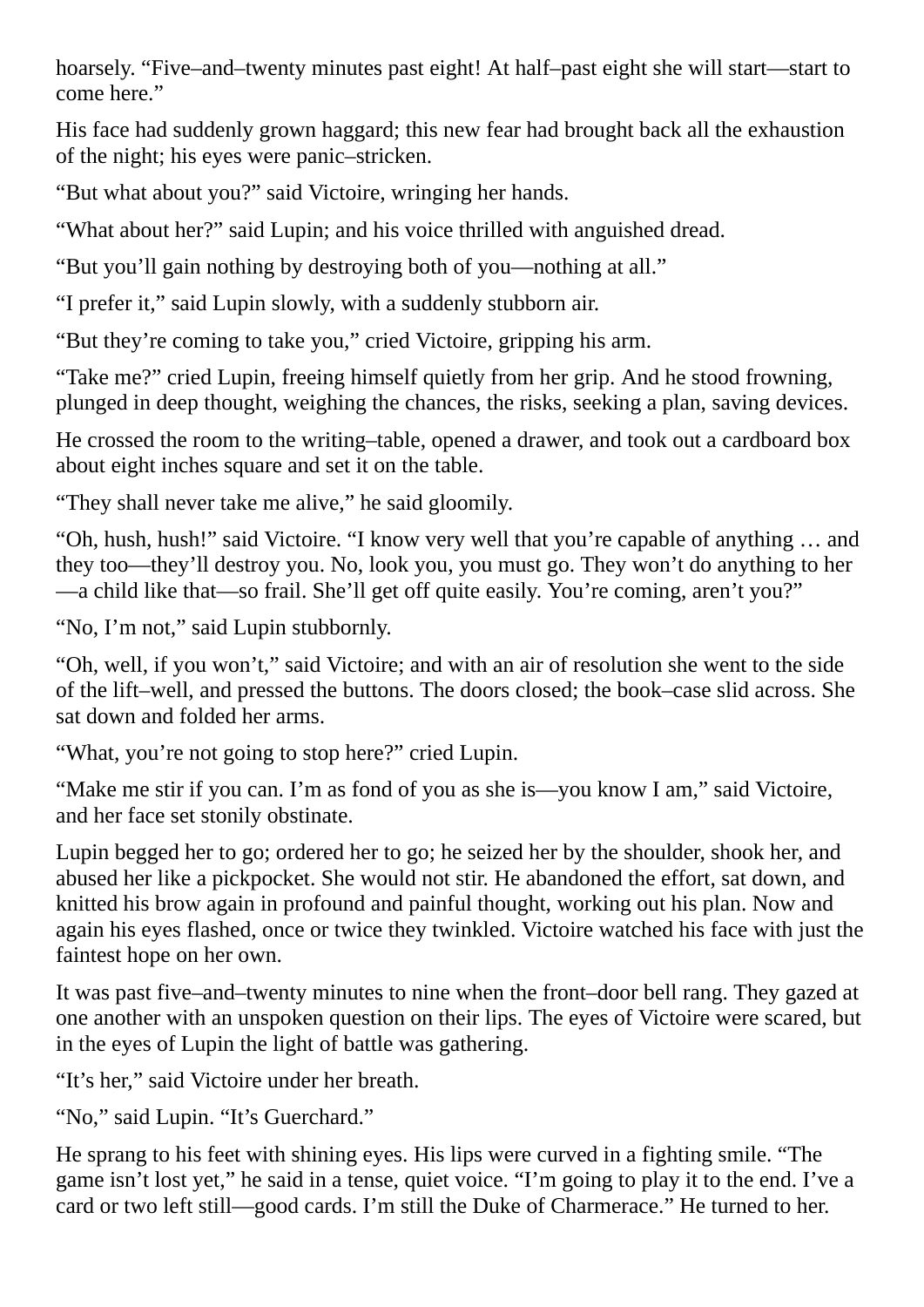hoarsely. "Five–and–twenty minutes past eight! At half–past eight she will start—start to come here."

His face had suddenly grown haggard; this new fear had brought back all the exhaustion of the night; his eyes were panic–stricken.

"But what about you?" said Victoire, wringing her hands.

"What about her?" said Lupin; and his voice thrilled with anguished dread.

"But you'll gain nothing by destroying both of you—nothing at all."

"I prefer it," said Lupin slowly, with a suddenly stubborn air.

"But they're coming to take you," cried Victoire, gripping his arm.

"Take me?" cried Lupin, freeing himself quietly from her grip. And he stood frowning, plunged in deep thought, weighing the chances, the risks, seeking a plan, saving devices.

He crossed the room to the writing–table, opened a drawer, and took out a cardboard box about eight inches square and set it on the table.

"They shall never take me alive," he said gloomily.

"Oh, hush, hush!" said Victoire. "I know very well that you're capable of anything … and they too—they'll destroy you. No, look you, you must go. They won't do anything to her —a child like that—so frail. She'll get off quite easily. You're coming, aren't you?"

"No, I'm not," said Lupin stubbornly.

"Oh, well, if you won't," said Victoire; and with an air of resolution she went to the side of the lift–well, and pressed the buttons. The doors closed; the book–case slid across. She sat down and folded her arms.

"What, you're not going to stop here?" cried Lupin.

"Make me stir if you can. I'm as fond of you as she is—you know I am," said Victoire, and her face set stonily obstinate.

Lupin begged her to go; ordered her to go; he seized her by the shoulder, shook her, and abused her like a pickpocket. She would not stir. He abandoned the effort, sat down, and knitted his brow again in profound and painful thought, working out his plan. Now and again his eyes flashed, once or twice they twinkled. Victoire watched his face with just the faintest hope on her own.

It was past five–and–twenty minutes to nine when the front–door bell rang. They gazed at one another with an unspoken question on their lips. The eyes of Victoire were scared, but in the eyes of Lupin the light of battle was gathering.

"It's her," said Victoire under her breath.

"No," said Lupin. "It's Guerchard."

He sprang to his feet with shining eyes. His lips were curved in a fighting smile. "The game isn't lost yet," he said in a tense, quiet voice. "I'm going to play it to the end. I've a card or two left still—good cards. I'm still the Duke of Charmerace." He turned to her.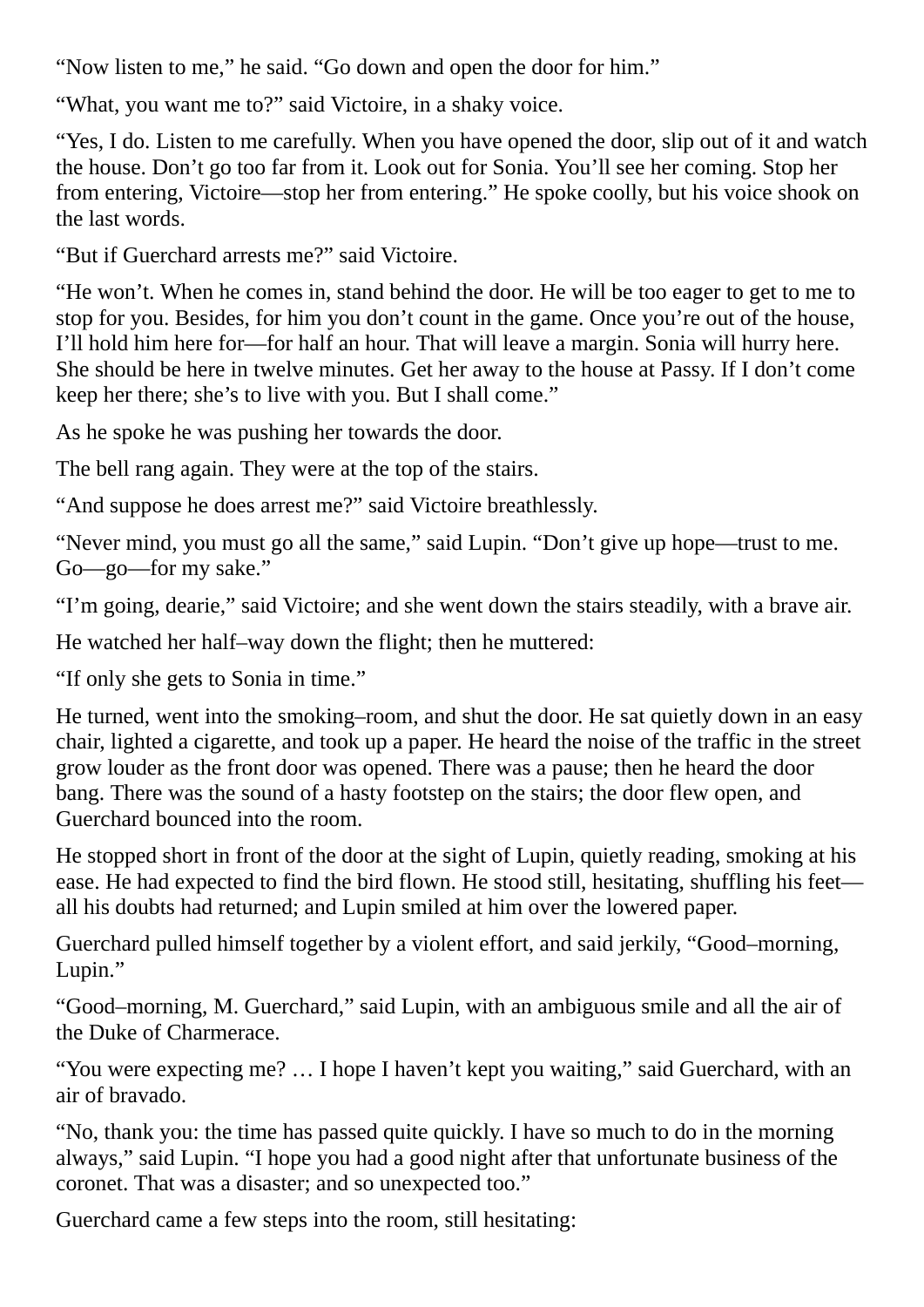"Now listen to me," he said. "Go down and open the door for him."

"What, you want me to?" said Victoire, in a shaky voice.

"Yes, I do. Listen to me carefully. When you have opened the door, slip out of it and watch the house. Don't go too far from it. Look out for Sonia. You'll see her coming. Stop her from entering, Victoire—stop her from entering." He spoke coolly, but his voice shook on the last words.

"But if Guerchard arrests me?" said Victoire.

"He won't. When he comes in, stand behind the door. He will be too eager to get to me to stop for you. Besides, for him you don't count in the game. Once you're out of the house, I'll hold him here for—for half an hour. That will leave a margin. Sonia will hurry here. She should be here in twelve minutes. Get her away to the house at Passy. If I don't come keep her there; she's to live with you. But I shall come."

As he spoke he was pushing her towards the door.

The bell rang again. They were at the top of the stairs.

"And suppose he does arrest me?" said Victoire breathlessly.

"Never mind, you must go all the same," said Lupin. "Don't give up hope—trust to me. Go—go—for my sake."

"I'm going, dearie," said Victoire; and she went down the stairs steadily, with a brave air.

He watched her half–way down the flight; then he muttered:

"If only she gets to Sonia in time."

He turned, went into the smoking–room, and shut the door. He sat quietly down in an easy chair, lighted a cigarette, and took up a paper. He heard the noise of the traffic in the street grow louder as the front door was opened. There was a pause; then he heard the door bang. There was the sound of a hasty footstep on the stairs; the door flew open, and Guerchard bounced into the room.

He stopped short in front of the door at the sight of Lupin, quietly reading, smoking at his ease. He had expected to find the bird flown. He stood still, hesitating, shuffling his feet all his doubts had returned; and Lupin smiled at him over the lowered paper.

Guerchard pulled himself together by a violent effort, and said jerkily, "Good–morning, Lupin."

"Good–morning, M. Guerchard," said Lupin, with an ambiguous smile and all the air of the Duke of Charmerace.

"You were expecting me? … I hope I haven't kept you waiting," said Guerchard, with an air of bravado.

"No, thank you: the time has passed quite quickly. I have so much to do in the morning always," said Lupin. "I hope you had a good night after that unfortunate business of the coronet. That was a disaster; and so unexpected too."

Guerchard came a few steps into the room, still hesitating: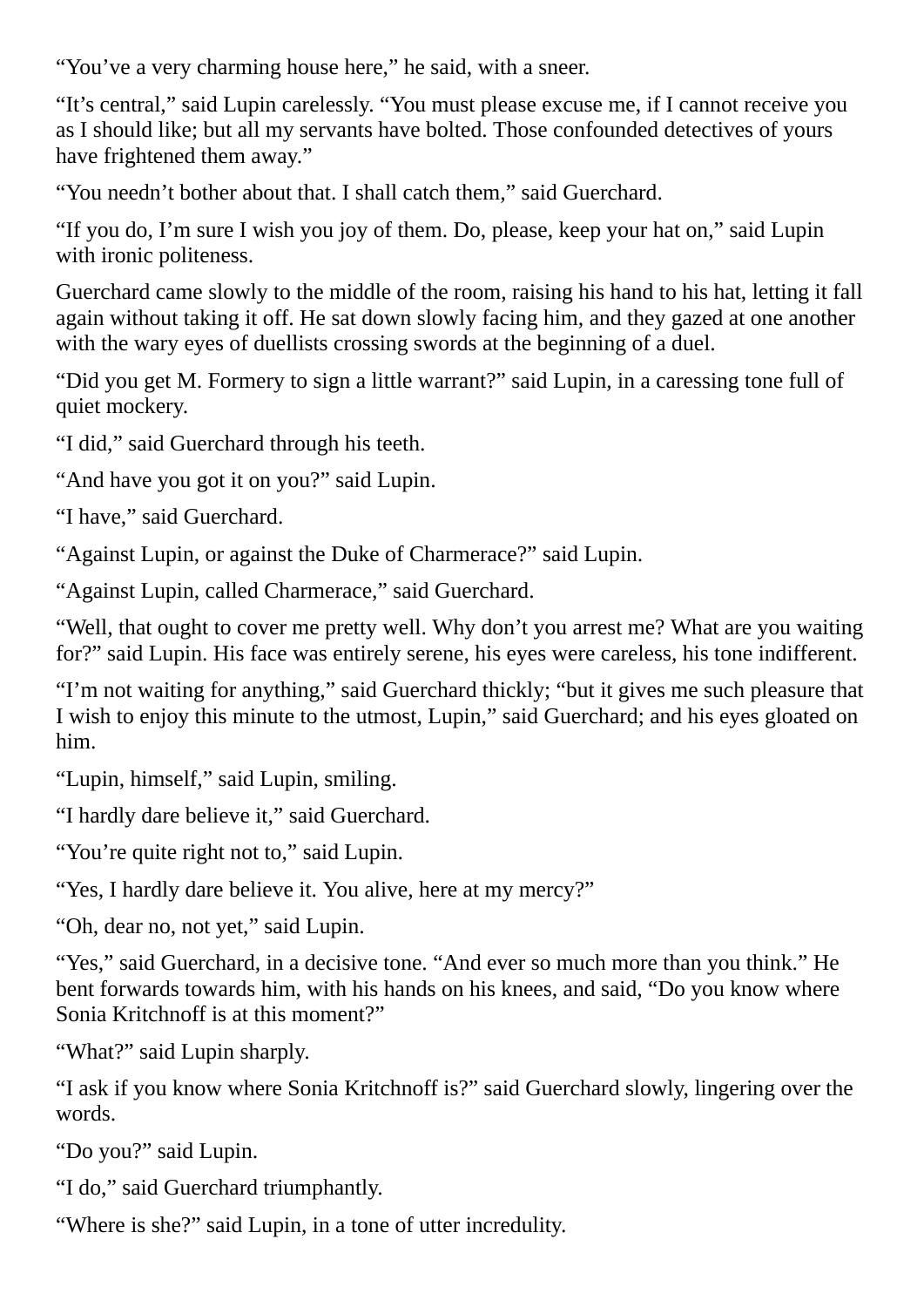"You've a very charming house here," he said, with a sneer.

"It's central," said Lupin carelessly. "You must please excuse me, if I cannot receive you as I should like; but all my servants have bolted. Those confounded detectives of yours have frightened them away."

"You needn't bother about that. I shall catch them," said Guerchard.

"If you do, I'm sure I wish you joy of them. Do, please, keep your hat on," said Lupin with ironic politeness.

Guerchard came slowly to the middle of the room, raising his hand to his hat, letting it fall again without taking it off. He sat down slowly facing him, and they gazed at one another with the wary eyes of duellists crossing swords at the beginning of a duel.

"Did you get M. Formery to sign a little warrant?" said Lupin, in a caressing tone full of quiet mockery.

"I did," said Guerchard through his teeth.

"And have you got it on you?" said Lupin.

"I have," said Guerchard.

"Against Lupin, or against the Duke of Charmerace?" said Lupin.

"Against Lupin, called Charmerace," said Guerchard.

"Well, that ought to cover me pretty well. Why don't you arrest me? What are you waiting for?" said Lupin. His face was entirely serene, his eyes were careless, his tone indifferent.

"I'm not waiting for anything," said Guerchard thickly; "but it gives me such pleasure that I wish to enjoy this minute to the utmost, Lupin," said Guerchard; and his eyes gloated on him.

"Lupin, himself," said Lupin, smiling.

"I hardly dare believe it," said Guerchard.

"You're quite right not to," said Lupin.

"Yes, I hardly dare believe it. You alive, here at my mercy?"

"Oh, dear no, not yet," said Lupin.

"Yes," said Guerchard, in a decisive tone. "And ever so much more than you think." He bent forwards towards him, with his hands on his knees, and said, "Do you know where Sonia Kritchnoff is at this moment?"

"What?" said Lupin sharply.

"I ask if you know where Sonia Kritchnoff is?" said Guerchard slowly, lingering over the words.

"Do you?" said Lupin.

"I do," said Guerchard triumphantly.

"Where is she?" said Lupin, in a tone of utter incredulity.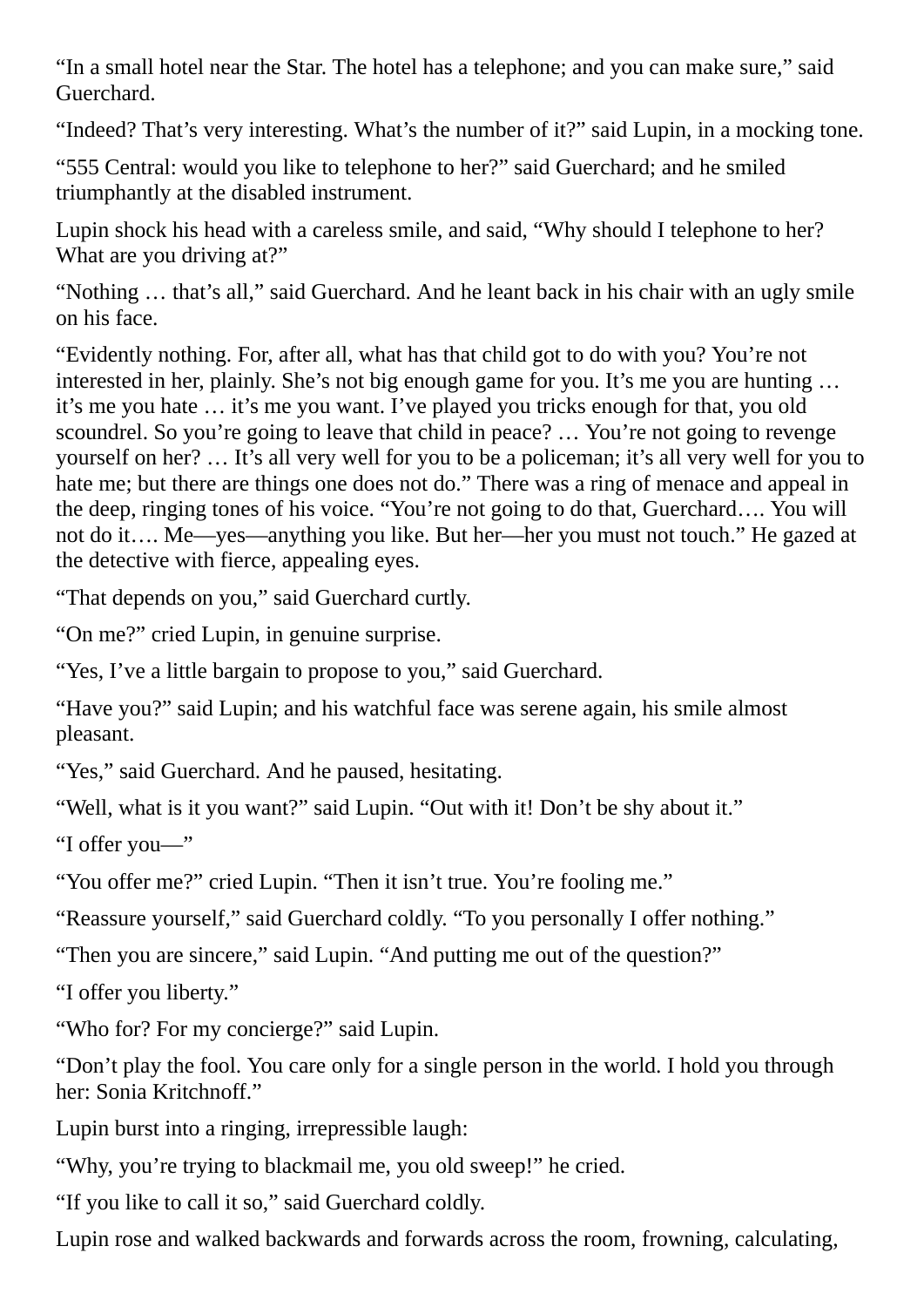"In a small hotel near the Star. The hotel has a telephone; and you can make sure," said Guerchard.

"Indeed? That's very interesting. What's the number of it?" said Lupin, in a mocking tone.

"555 Central: would you like to telephone to her?" said Guerchard; and he smiled triumphantly at the disabled instrument.

Lupin shock his head with a careless smile, and said, "Why should I telephone to her? What are you driving at?"

"Nothing … that's all," said Guerchard. And he leant back in his chair with an ugly smile on his face.

"Evidently nothing. For, after all, what has that child got to do with you? You're not interested in her, plainly. She's not big enough game for you. It's me you are hunting … it's me you hate … it's me you want. I've played you tricks enough for that, you old scoundrel. So you're going to leave that child in peace? … You're not going to revenge yourself on her? … It's all very well for you to be a policeman; it's all very well for you to hate me; but there are things one does not do." There was a ring of menace and appeal in the deep, ringing tones of his voice. "You're not going to do that, Guerchard…. You will not do it…. Me—yes—anything you like. But her—her you must not touch." He gazed at the detective with fierce, appealing eyes.

"That depends on you," said Guerchard curtly.

"On me?" cried Lupin, in genuine surprise.

"Yes, I've a little bargain to propose to you," said Guerchard.

"Have you?" said Lupin; and his watchful face was serene again, his smile almost pleasant.

"Yes," said Guerchard. And he paused, hesitating.

"Well, what is it you want?" said Lupin. "Out with it! Don't be shy about it."

"I offer you—"

"You offer me?" cried Lupin. "Then it isn't true. You're fooling me."

"Reassure yourself," said Guerchard coldly. "To you personally I offer nothing."

"Then you are sincere," said Lupin. "And putting me out of the question?"

"I offer you liberty."

"Who for? For my concierge?" said Lupin.

"Don't play the fool. You care only for a single person in the world. I hold you through her: Sonia Kritchnoff."

Lupin burst into a ringing, irrepressible laugh:

"Why, you're trying to blackmail me, you old sweep!" he cried.

"If you like to call it so," said Guerchard coldly.

Lupin rose and walked backwards and forwards across the room, frowning, calculating,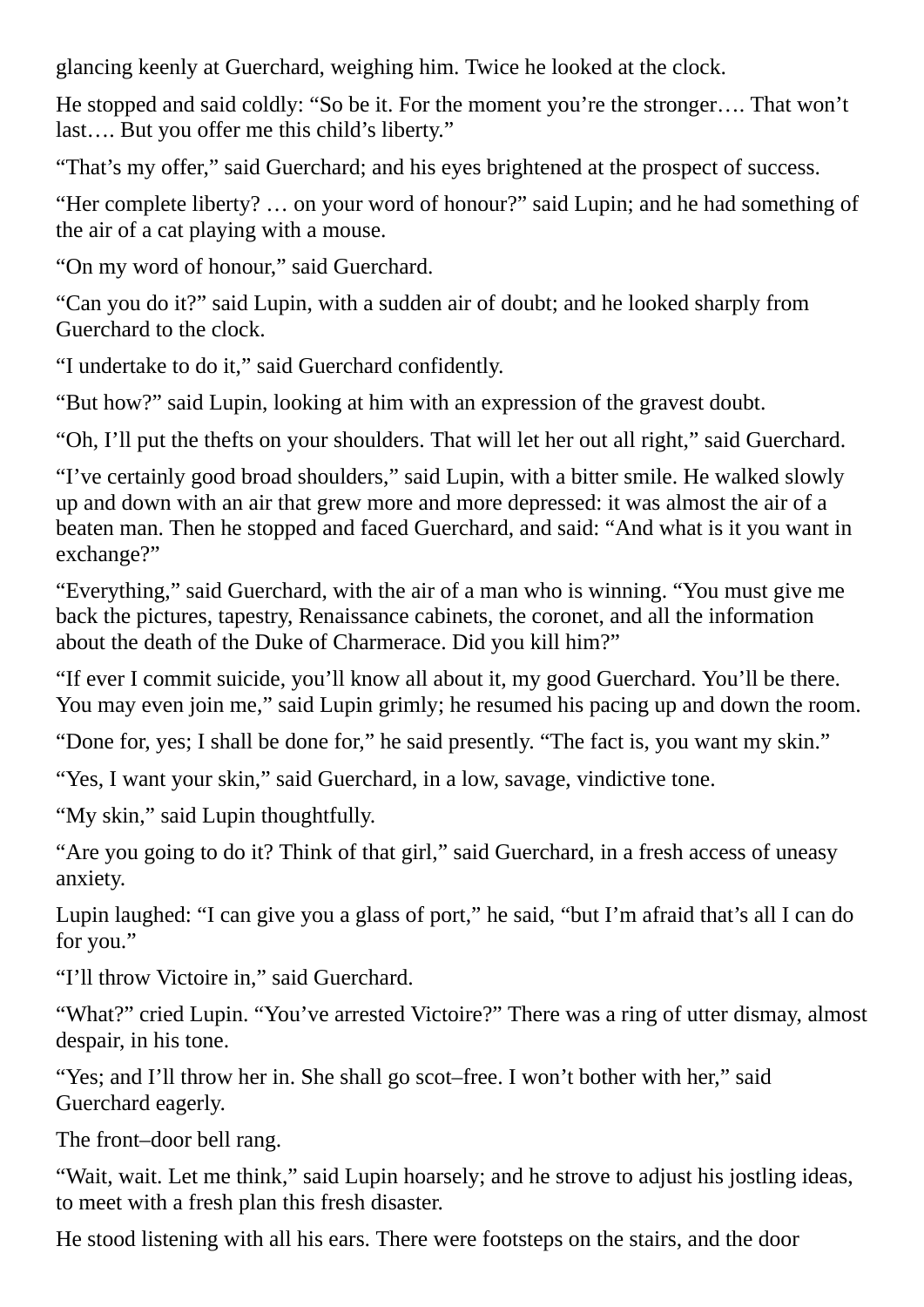glancing keenly at Guerchard, weighing him. Twice he looked at the clock.

He stopped and said coldly: "So be it. For the moment you're the stronger…. That won't last…. But you offer me this child's liberty."

"That's my offer," said Guerchard; and his eyes brightened at the prospect of success.

"Her complete liberty? … on your word of honour?" said Lupin; and he had something of the air of a cat playing with a mouse.

"On my word of honour," said Guerchard.

"Can you do it?" said Lupin, with a sudden air of doubt; and he looked sharply from Guerchard to the clock.

"I undertake to do it," said Guerchard confidently.

"But how?" said Lupin, looking at him with an expression of the gravest doubt.

"Oh, I'll put the thefts on your shoulders. That will let her out all right," said Guerchard.

"I've certainly good broad shoulders," said Lupin, with a bitter smile. He walked slowly up and down with an air that grew more and more depressed: it was almost the air of a beaten man. Then he stopped and faced Guerchard, and said: "And what is it you want in exchange?"

"Everything," said Guerchard, with the air of a man who is winning. "You must give me back the pictures, tapestry, Renaissance cabinets, the coronet, and all the information about the death of the Duke of Charmerace. Did you kill him?"

"If ever I commit suicide, you'll know all about it, my good Guerchard. You'll be there. You may even join me," said Lupin grimly; he resumed his pacing up and down the room.

"Done for, yes; I shall be done for," he said presently. "The fact is, you want my skin."

"Yes, I want your skin," said Guerchard, in a low, savage, vindictive tone.

"My skin," said Lupin thoughtfully.

"Are you going to do it? Think of that girl," said Guerchard, in a fresh access of uneasy anxiety.

Lupin laughed: "I can give you a glass of port," he said, "but I'm afraid that's all I can do for you."

"I'll throw Victoire in," said Guerchard.

"What?" cried Lupin. "You've arrested Victoire?" There was a ring of utter dismay, almost despair, in his tone.

"Yes; and I'll throw her in. She shall go scot–free. I won't bother with her," said Guerchard eagerly.

The front–door bell rang.

"Wait, wait. Let me think," said Lupin hoarsely; and he strove to adjust his jostling ideas, to meet with a fresh plan this fresh disaster.

He stood listening with all his ears. There were footsteps on the stairs, and the door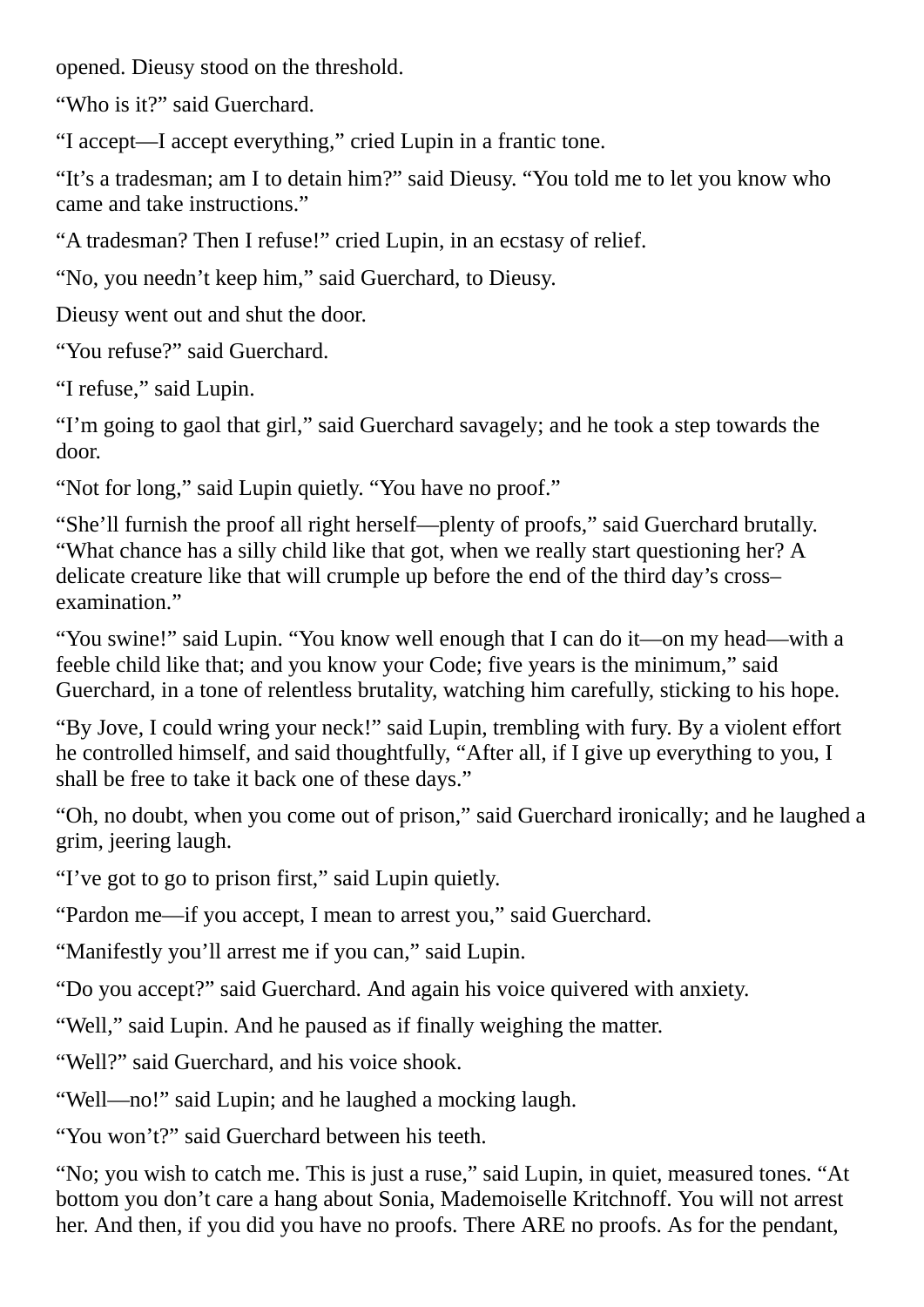opened. Dieusy stood on the threshold.

"Who is it?" said Guerchard.

"I accept—I accept everything," cried Lupin in a frantic tone.

"It's a tradesman; am I to detain him?" said Dieusy. "You told me to let you know who came and take instructions."

"A tradesman? Then I refuse!" cried Lupin, in an ecstasy of relief.

"No, you needn't keep him," said Guerchard, to Dieusy.

Dieusy went out and shut the door.

"You refuse?" said Guerchard.

"I refuse," said Lupin.

"I'm going to gaol that girl," said Guerchard savagely; and he took a step towards the door.

"Not for long," said Lupin quietly. "You have no proof."

"She'll furnish the proof all right herself—plenty of proofs," said Guerchard brutally. "What chance has a silly child like that got, when we really start questioning her? A delicate creature like that will crumple up before the end of the third day's cross– examination."

"You swine!" said Lupin. "You know well enough that I can do it—on my head—with a feeble child like that; and you know your Code; five years is the minimum," said Guerchard, in a tone of relentless brutality, watching him carefully, sticking to his hope.

"By Jove, I could wring your neck!" said Lupin, trembling with fury. By a violent effort he controlled himself, and said thoughtfully, "After all, if I give up everything to you, I shall be free to take it back one of these days."

"Oh, no doubt, when you come out of prison," said Guerchard ironically; and he laughed a grim, jeering laugh.

"I've got to go to prison first," said Lupin quietly.

"Pardon me—if you accept, I mean to arrest you," said Guerchard.

"Manifestly you'll arrest me if you can," said Lupin.

"Do you accept?" said Guerchard. And again his voice quivered with anxiety.

"Well," said Lupin. And he paused as if finally weighing the matter.

"Well?" said Guerchard, and his voice shook.

"Well—no!" said Lupin; and he laughed a mocking laugh.

"You won't?" said Guerchard between his teeth.

"No; you wish to catch me. This is just a ruse," said Lupin, in quiet, measured tones. "At bottom you don't care a hang about Sonia, Mademoiselle Kritchnoff. You will not arrest her. And then, if you did you have no proofs. There ARE no proofs. As for the pendant,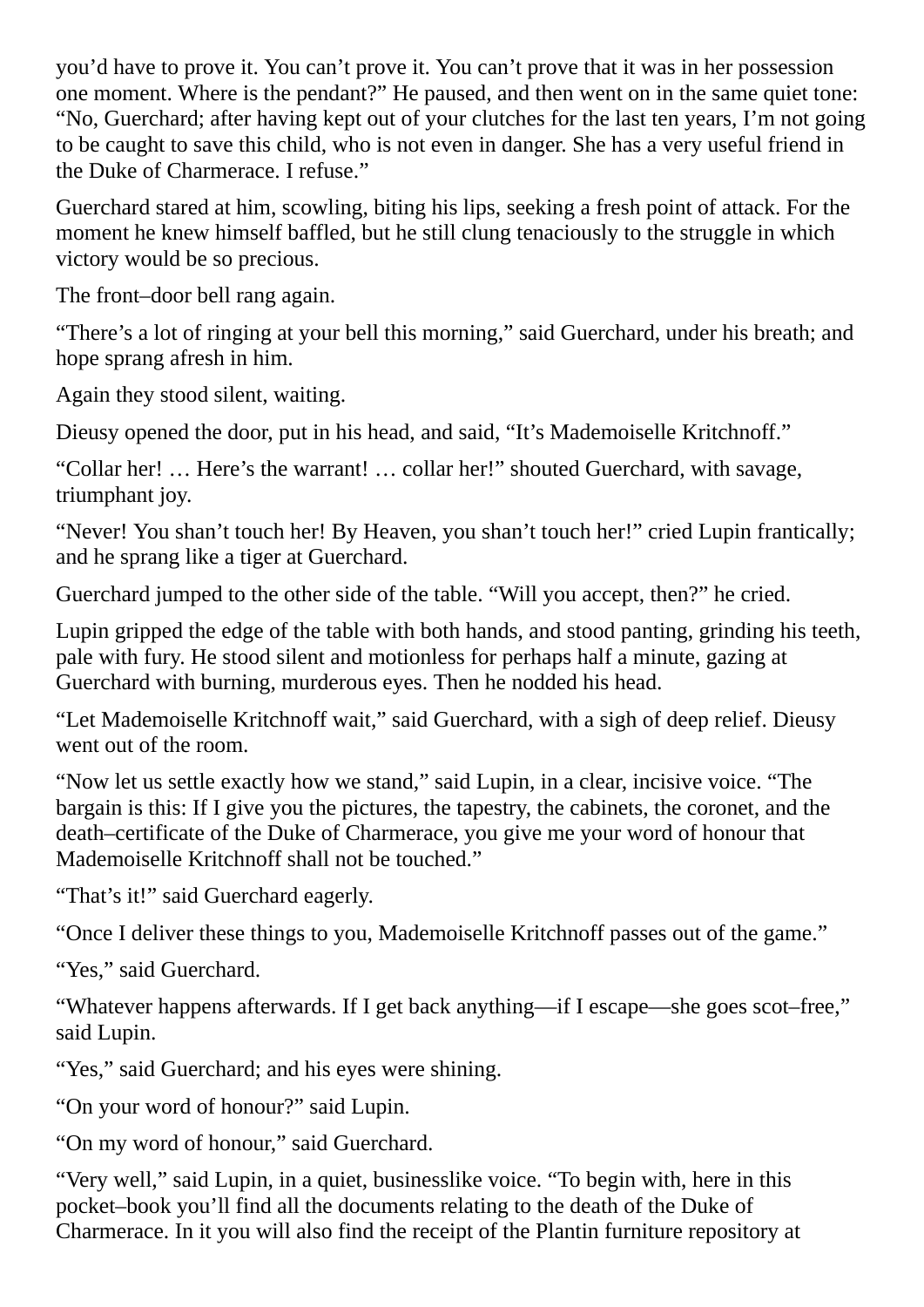you'd have to prove it. You can't prove it. You can't prove that it was in her possession one moment. Where is the pendant?" He paused, and then went on in the same quiet tone: "No, Guerchard; after having kept out of your clutches for the last ten years, I'm not going to be caught to save this child, who is not even in danger. She has a very useful friend in the Duke of Charmerace. I refuse."

Guerchard stared at him, scowling, biting his lips, seeking a fresh point of attack. For the moment he knew himself baffled, but he still clung tenaciously to the struggle in which victory would be so precious.

The front–door bell rang again.

"There's a lot of ringing at your bell this morning," said Guerchard, under his breath; and hope sprang afresh in him.

Again they stood silent, waiting.

Dieusy opened the door, put in his head, and said, "It's Mademoiselle Kritchnoff."

"Collar her! … Here's the warrant! … collar her!" shouted Guerchard, with savage, triumphant joy.

"Never! You shan't touch her! By Heaven, you shan't touch her!" cried Lupin frantically; and he sprang like a tiger at Guerchard.

Guerchard jumped to the other side of the table. "Will you accept, then?" he cried.

Lupin gripped the edge of the table with both hands, and stood panting, grinding his teeth, pale with fury. He stood silent and motionless for perhaps half a minute, gazing at Guerchard with burning, murderous eyes. Then he nodded his head.

"Let Mademoiselle Kritchnoff wait," said Guerchard, with a sigh of deep relief. Dieusy went out of the room.

"Now let us settle exactly how we stand," said Lupin, in a clear, incisive voice. "The bargain is this: If I give you the pictures, the tapestry, the cabinets, the coronet, and the death–certificate of the Duke of Charmerace, you give me your word of honour that Mademoiselle Kritchnoff shall not be touched."

"That's it!" said Guerchard eagerly.

"Once I deliver these things to you, Mademoiselle Kritchnoff passes out of the game."

"Yes," said Guerchard.

"Whatever happens afterwards. If I get back anything—if I escape—she goes scot–free," said Lupin.

"Yes," said Guerchard; and his eyes were shining.

"On your word of honour?" said Lupin.

"On my word of honour," said Guerchard.

"Very well," said Lupin, in a quiet, businesslike voice. "To begin with, here in this pocket–book you'll find all the documents relating to the death of the Duke of Charmerace. In it you will also find the receipt of the Plantin furniture repository at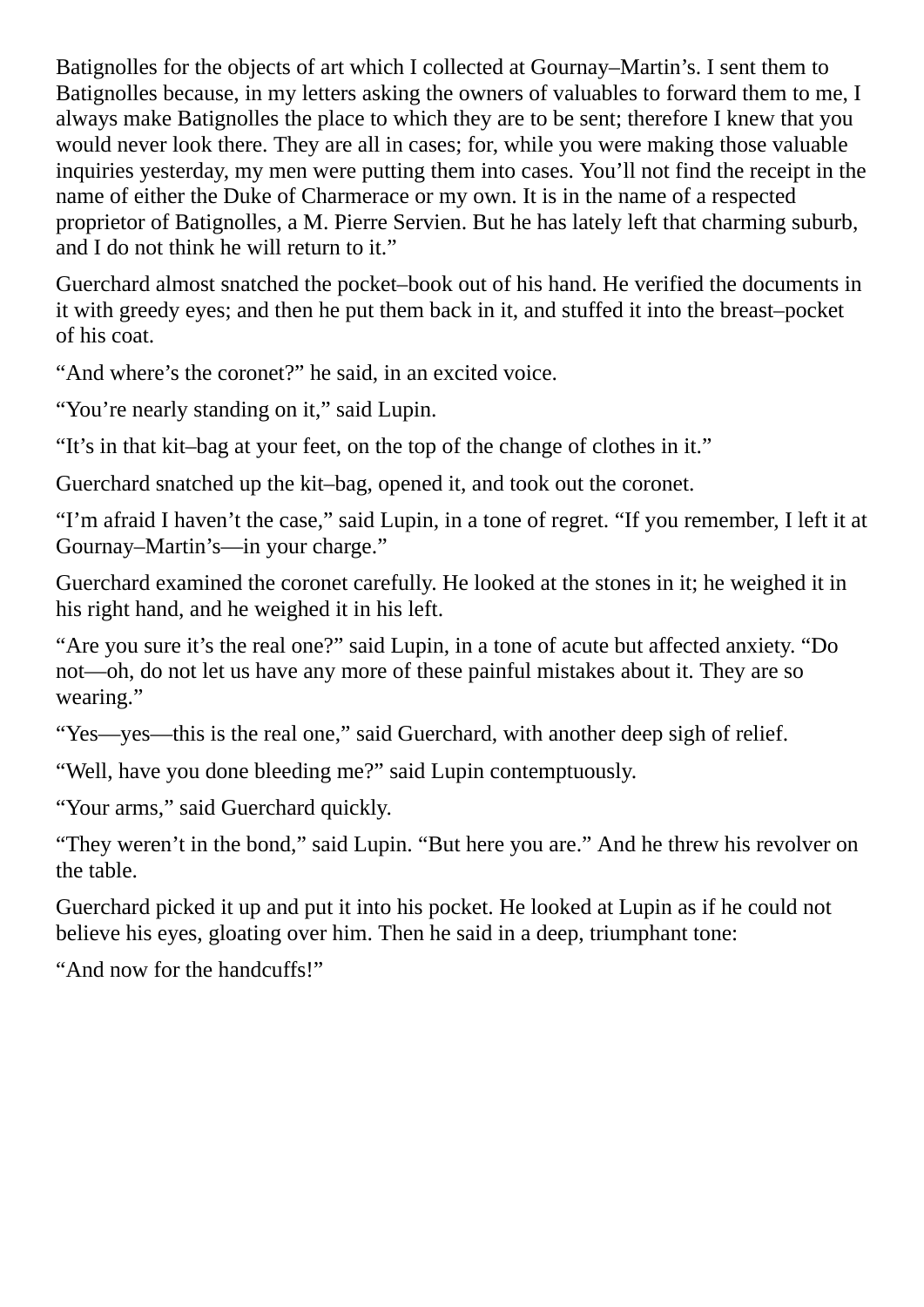Batignolles for the objects of art which I collected at Gournay–Martin's. I sent them to Batignolles because, in my letters asking the owners of valuables to forward them to me, I always make Batignolles the place to which they are to be sent; therefore I knew that you would never look there. They are all in cases; for, while you were making those valuable inquiries yesterday, my men were putting them into cases. You'll not find the receipt in the name of either the Duke of Charmerace or my own. It is in the name of a respected proprietor of Batignolles, a M. Pierre Servien. But he has lately left that charming suburb, and I do not think he will return to it."

Guerchard almost snatched the pocket–book out of his hand. He verified the documents in it with greedy eyes; and then he put them back in it, and stuffed it into the breast–pocket of his coat.

"And where's the coronet?" he said, in an excited voice.

"You're nearly standing on it," said Lupin.

"It's in that kit–bag at your feet, on the top of the change of clothes in it."

Guerchard snatched up the kit–bag, opened it, and took out the coronet.

"I'm afraid I haven't the case," said Lupin, in a tone of regret. "If you remember, I left it at Gournay–Martin's—in your charge."

Guerchard examined the coronet carefully. He looked at the stones in it; he weighed it in his right hand, and he weighed it in his left.

"Are you sure it's the real one?" said Lupin, in a tone of acute but affected anxiety. "Do not—oh, do not let us have any more of these painful mistakes about it. They are so wearing."

"Yes—yes—this is the real one," said Guerchard, with another deep sigh of relief.

"Well, have you done bleeding me?" said Lupin contemptuously.

"Your arms," said Guerchard quickly.

"They weren't in the bond," said Lupin. "But here you are." And he threw his revolver on the table.

Guerchard picked it up and put it into his pocket. He looked at Lupin as if he could not believe his eyes, gloating over him. Then he said in a deep, triumphant tone:

"And now for the handcuffs!"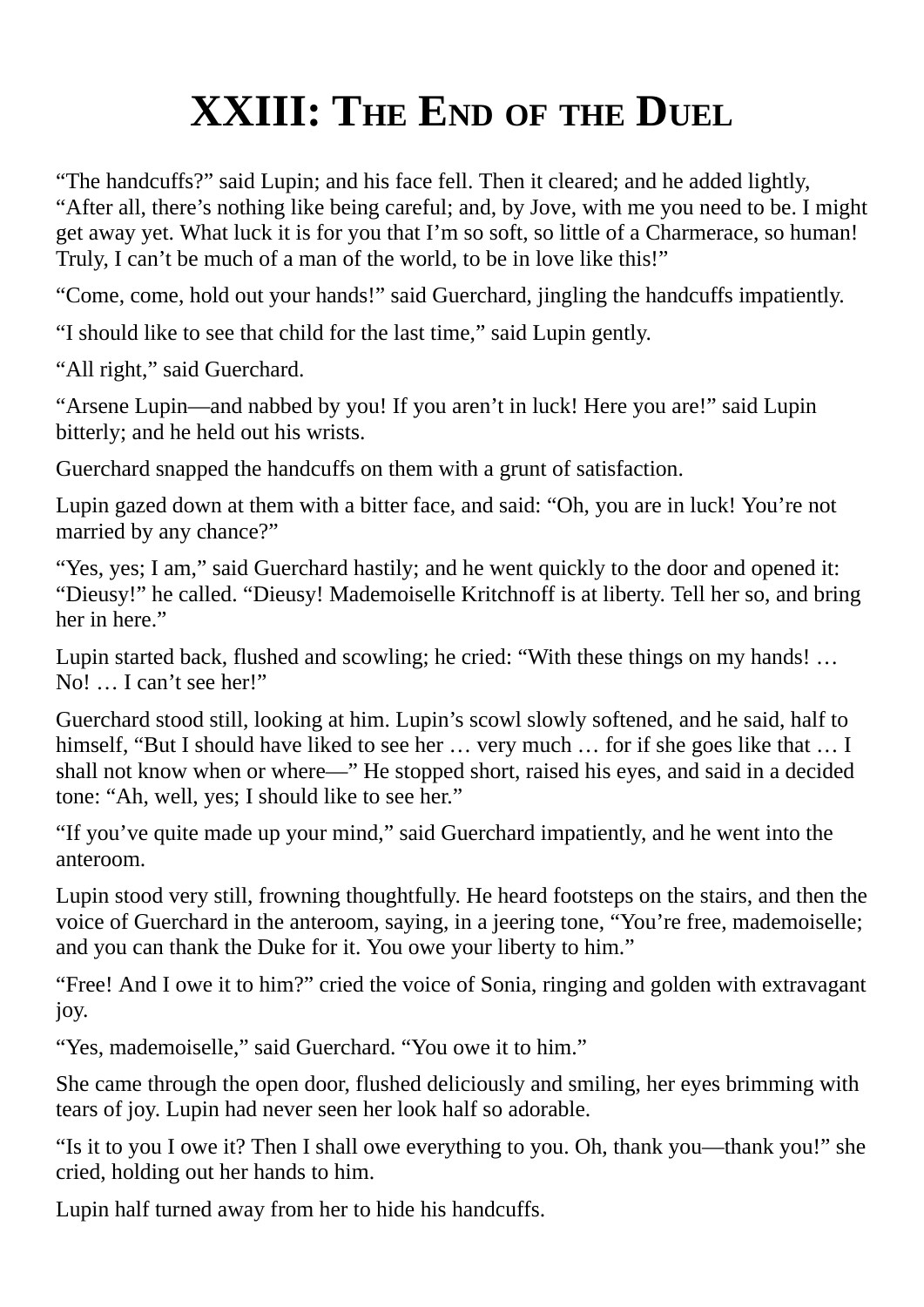## **XXIII: THE END OF THE DUEL**

"The handcuffs?" said Lupin; and his face fell. Then it cleared; and he added lightly, "After all, there's nothing like being careful; and, by Jove, with me you need to be. I might get away yet. What luck it is for you that I'm so soft, so little of a Charmerace, so human! Truly, I can't be much of a man of the world, to be in love like this!"

"Come, come, hold out your hands!" said Guerchard, jingling the handcuffs impatiently.

"I should like to see that child for the last time," said Lupin gently.

"All right," said Guerchard.

"Arsene Lupin—and nabbed by you! If you aren't in luck! Here you are!" said Lupin bitterly; and he held out his wrists.

Guerchard snapped the handcuffs on them with a grunt of satisfaction.

Lupin gazed down at them with a bitter face, and said: "Oh, you are in luck! You're not married by any chance?"

"Yes, yes; I am," said Guerchard hastily; and he went quickly to the door and opened it: "Dieusy!" he called. "Dieusy! Mademoiselle Kritchnoff is at liberty. Tell her so, and bring her in here."

Lupin started back, flushed and scowling; he cried: "With these things on my hands! … No! … I can't see her!"

Guerchard stood still, looking at him. Lupin's scowl slowly softened, and he said, half to himself, "But I should have liked to see her ... very much ... for if she goes like that ... I shall not know when or where—" He stopped short, raised his eyes, and said in a decided tone: "Ah, well, yes; I should like to see her."

"If you've quite made up your mind," said Guerchard impatiently, and he went into the anteroom.

Lupin stood very still, frowning thoughtfully. He heard footsteps on the stairs, and then the voice of Guerchard in the anteroom, saying, in a jeering tone, "You're free, mademoiselle; and you can thank the Duke for it. You owe your liberty to him."

"Free! And I owe it to him?" cried the voice of Sonia, ringing and golden with extravagant joy.

"Yes, mademoiselle," said Guerchard. "You owe it to him."

She came through the open door, flushed deliciously and smiling, her eyes brimming with tears of joy. Lupin had never seen her look half so adorable.

"Is it to you I owe it? Then I shall owe everything to you. Oh, thank you—thank you!" she cried, holding out her hands to him.

Lupin half turned away from her to hide his handcuffs.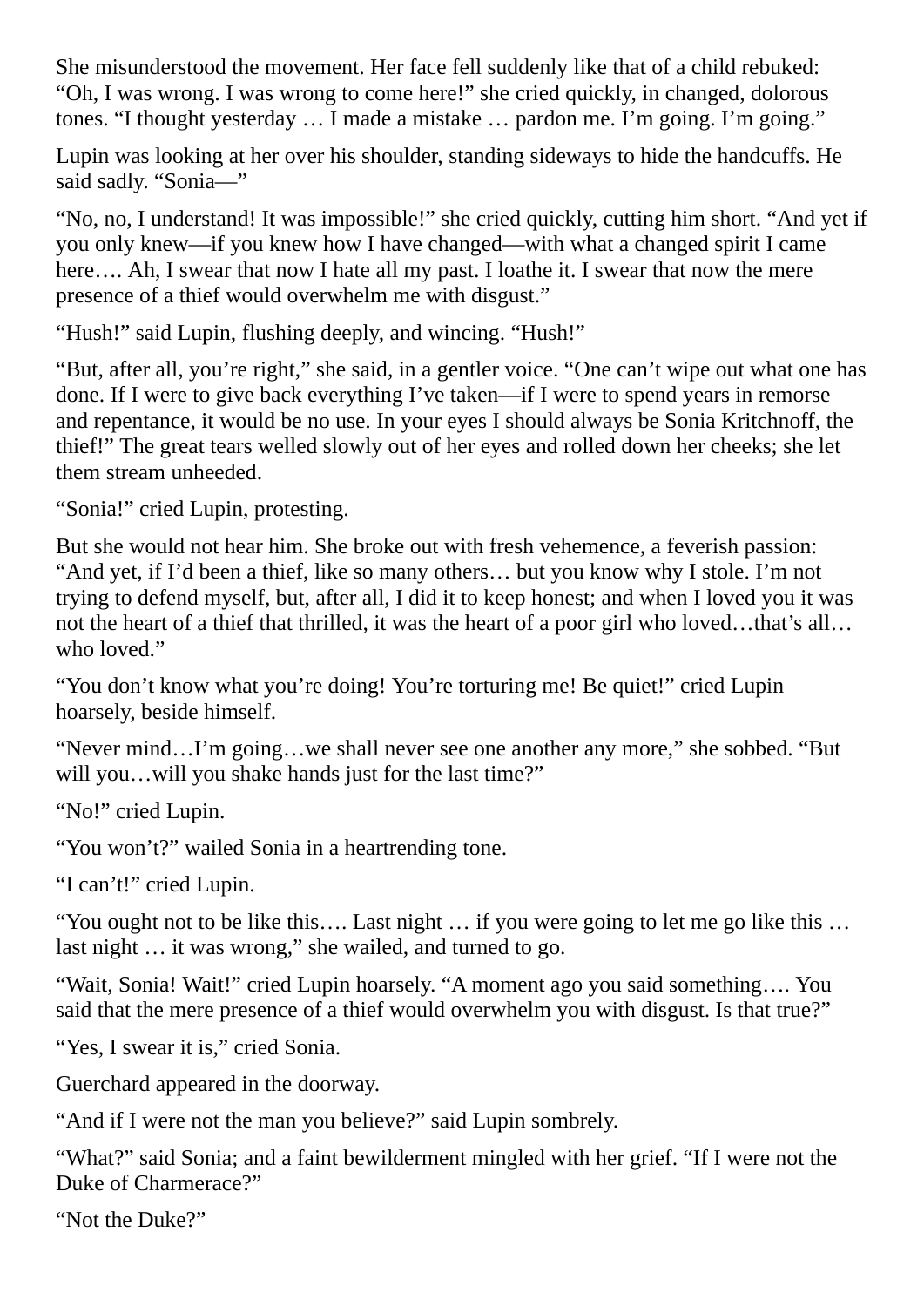She misunderstood the movement. Her face fell suddenly like that of a child rebuked: "Oh, I was wrong. I was wrong to come here!" she cried quickly, in changed, dolorous tones. "I thought yesterday ... I made a mistake ... pardon me. I'm going. I'm going."

Lupin was looking at her over his shoulder, standing sideways to hide the handcuffs. He said sadly. "Sonia—"

"No, no, I understand! It was impossible!" she cried quickly, cutting him short. "And yet if you only knew—if you knew how I have changed—with what a changed spirit I came here.... Ah, I swear that now I hate all my past. I loathe it. I swear that now the mere presence of a thief would overwhelm me with disgust."

"Hush!" said Lupin, flushing deeply, and wincing. "Hush!"

"But, after all, you're right," she said, in a gentler voice. "One can't wipe out what one has done. If I were to give back everything I've taken—if I were to spend years in remorse and repentance, it would be no use. In your eyes I should always be Sonia Kritchnoff, the thief!" The great tears welled slowly out of her eyes and rolled down her cheeks; she let them stream unheeded.

"Sonia!" cried Lupin, protesting.

But she would not hear him. She broke out with fresh vehemence, a feverish passion: "And yet, if I'd been a thief, like so many others… but you know why I stole. I'm not trying to defend myself, but, after all, I did it to keep honest; and when I loved you it was not the heart of a thief that thrilled, it was the heart of a poor girl who loved…that's all… who loved."

"You don't know what you're doing! You're torturing me! Be quiet!" cried Lupin hoarsely, beside himself.

"Never mind…I'm going…we shall never see one another any more," she sobbed. "But will you…will you shake hands just for the last time?"

"No!" cried Lupin.

"You won't?" wailed Sonia in a heartrending tone.

"I can't!" cried Lupin.

"You ought not to be like this…. Last night … if you were going to let me go like this … last night … it was wrong," she wailed, and turned to go.

"Wait, Sonia! Wait!" cried Lupin hoarsely. "A moment ago you said something…. You said that the mere presence of a thief would overwhelm you with disgust. Is that true?"

"Yes, I swear it is," cried Sonia.

Guerchard appeared in the doorway.

"And if I were not the man you believe?" said Lupin sombrely.

"What?" said Sonia; and a faint bewilderment mingled with her grief. "If I were not the Duke of Charmerace?"

"Not the Duke?"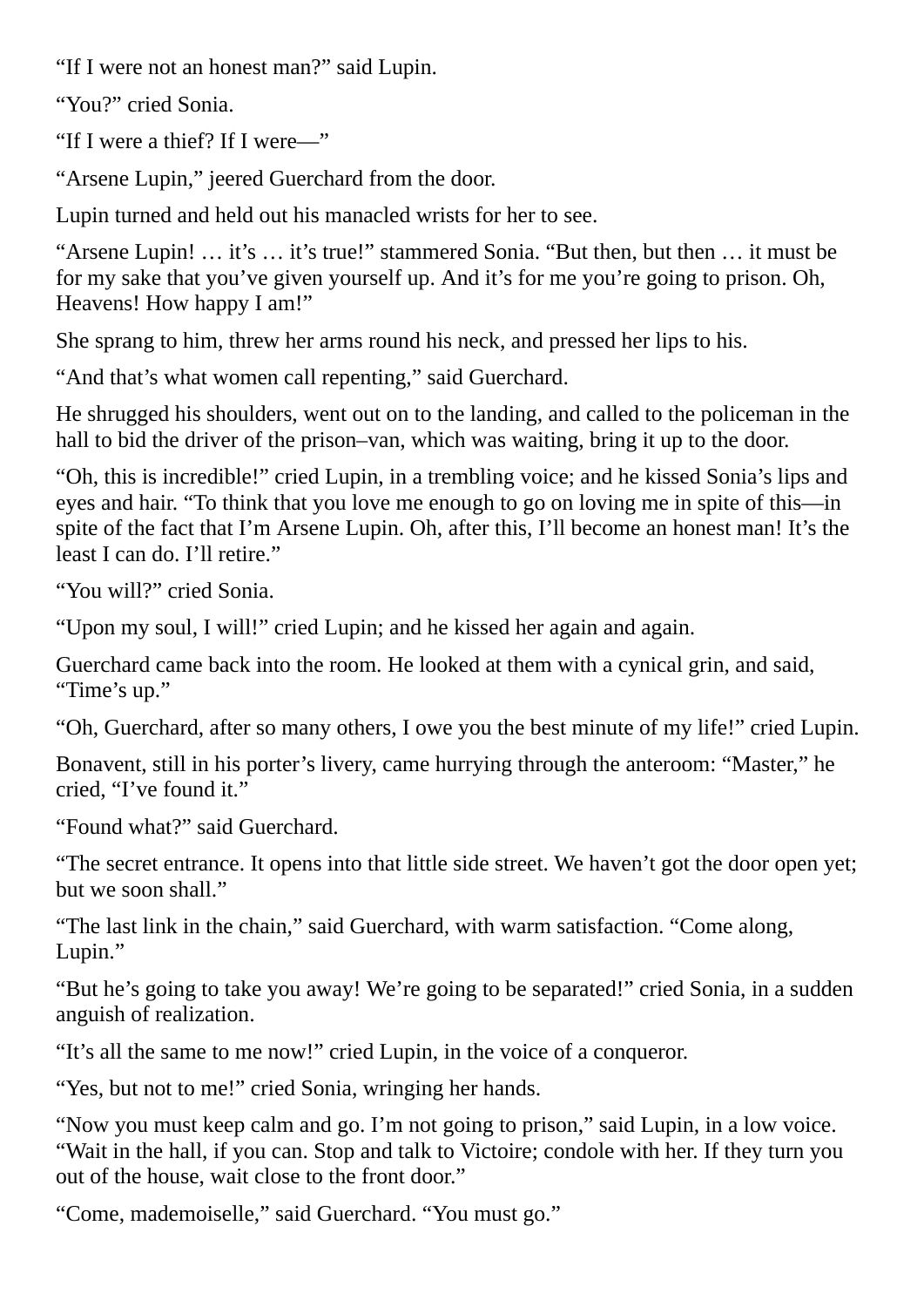"If I were not an honest man?" said Lupin.

"You?" cried Sonia.

"If I were a thief? If I were—"

"Arsene Lupin," jeered Guerchard from the door.

Lupin turned and held out his manacled wrists for her to see.

"Arsene Lupin! … it's … it's true!" stammered Sonia. "But then, but then … it must be for my sake that you've given yourself up. And it's for me you're going to prison. Oh, Heavens! How happy I am!"

She sprang to him, threw her arms round his neck, and pressed her lips to his.

"And that's what women call repenting," said Guerchard.

He shrugged his shoulders, went out on to the landing, and called to the policeman in the hall to bid the driver of the prison–van, which was waiting, bring it up to the door.

"Oh, this is incredible!" cried Lupin, in a trembling voice; and he kissed Sonia's lips and eyes and hair. "To think that you love me enough to go on loving me in spite of this—in spite of the fact that I'm Arsene Lupin. Oh, after this, I'll become an honest man! It's the least I can do. I'll retire."

"You will?" cried Sonia.

"Upon my soul, I will!" cried Lupin; and he kissed her again and again.

Guerchard came back into the room. He looked at them with a cynical grin, and said, "Time's up."

"Oh, Guerchard, after so many others, I owe you the best minute of my life!" cried Lupin.

Bonavent, still in his porter's livery, came hurrying through the anteroom: "Master," he cried, "I've found it."

"Found what?" said Guerchard.

"The secret entrance. It opens into that little side street. We haven't got the door open yet; but we soon shall."

"The last link in the chain," said Guerchard, with warm satisfaction. "Come along, Lupin."

"But he's going to take you away! We're going to be separated!" cried Sonia, in a sudden anguish of realization.

"It's all the same to me now!" cried Lupin, in the voice of a conqueror.

"Yes, but not to me!" cried Sonia, wringing her hands.

"Now you must keep calm and go. I'm not going to prison," said Lupin, in a low voice. "Wait in the hall, if you can. Stop and talk to Victoire; condole with her. If they turn you out of the house, wait close to the front door."

"Come, mademoiselle," said Guerchard. "You must go."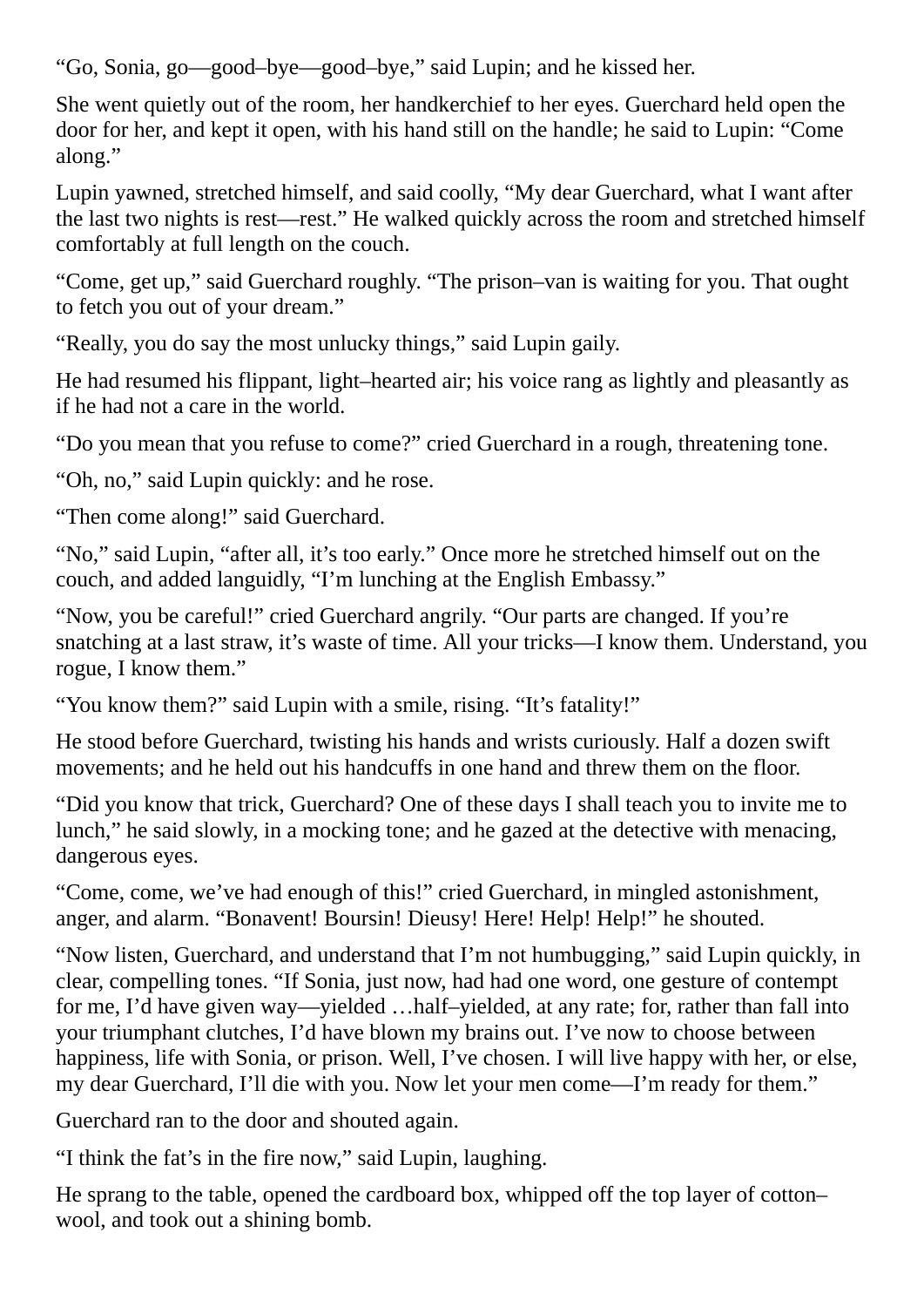"Go, Sonia, go—good–bye—good–bye," said Lupin; and he kissed her.

She went quietly out of the room, her handkerchief to her eyes. Guerchard held open the door for her, and kept it open, with his hand still on the handle; he said to Lupin: "Come along."

Lupin yawned, stretched himself, and said coolly, "My dear Guerchard, what I want after the last two nights is rest—rest." He walked quickly across the room and stretched himself comfortably at full length on the couch.

"Come, get up," said Guerchard roughly. "The prison–van is waiting for you. That ought to fetch you out of your dream."

"Really, you do say the most unlucky things," said Lupin gaily.

He had resumed his flippant, light–hearted air; his voice rang as lightly and pleasantly as if he had not a care in the world.

"Do you mean that you refuse to come?" cried Guerchard in a rough, threatening tone.

"Oh, no," said Lupin quickly: and he rose.

"Then come along!" said Guerchard.

"No," said Lupin, "after all, it's too early." Once more he stretched himself out on the couch, and added languidly, "I'm lunching at the English Embassy."

"Now, you be careful!" cried Guerchard angrily. "Our parts are changed. If you're snatching at a last straw, it's waste of time. All your tricks—I know them. Understand, you rogue, I know them."

"You know them?" said Lupin with a smile, rising. "It's fatality!"

He stood before Guerchard, twisting his hands and wrists curiously. Half a dozen swift movements; and he held out his handcuffs in one hand and threw them on the floor.

"Did you know that trick, Guerchard? One of these days I shall teach you to invite me to lunch," he said slowly, in a mocking tone; and he gazed at the detective with menacing, dangerous eyes.

"Come, come, we've had enough of this!" cried Guerchard, in mingled astonishment, anger, and alarm. "Bonavent! Boursin! Dieusy! Here! Help! Help!" he shouted.

"Now listen, Guerchard, and understand that I'm not humbugging," said Lupin quickly, in clear, compelling tones. "If Sonia, just now, had had one word, one gesture of contempt for me, I'd have given way—yielded …half–yielded, at any rate; for, rather than fall into your triumphant clutches, I'd have blown my brains out. I've now to choose between happiness, life with Sonia, or prison. Well, I've chosen. I will live happy with her, or else, my dear Guerchard, I'll die with you. Now let your men come—I'm ready for them."

Guerchard ran to the door and shouted again.

"I think the fat's in the fire now," said Lupin, laughing.

He sprang to the table, opened the cardboard box, whipped off the top layer of cotton– wool, and took out a shining bomb.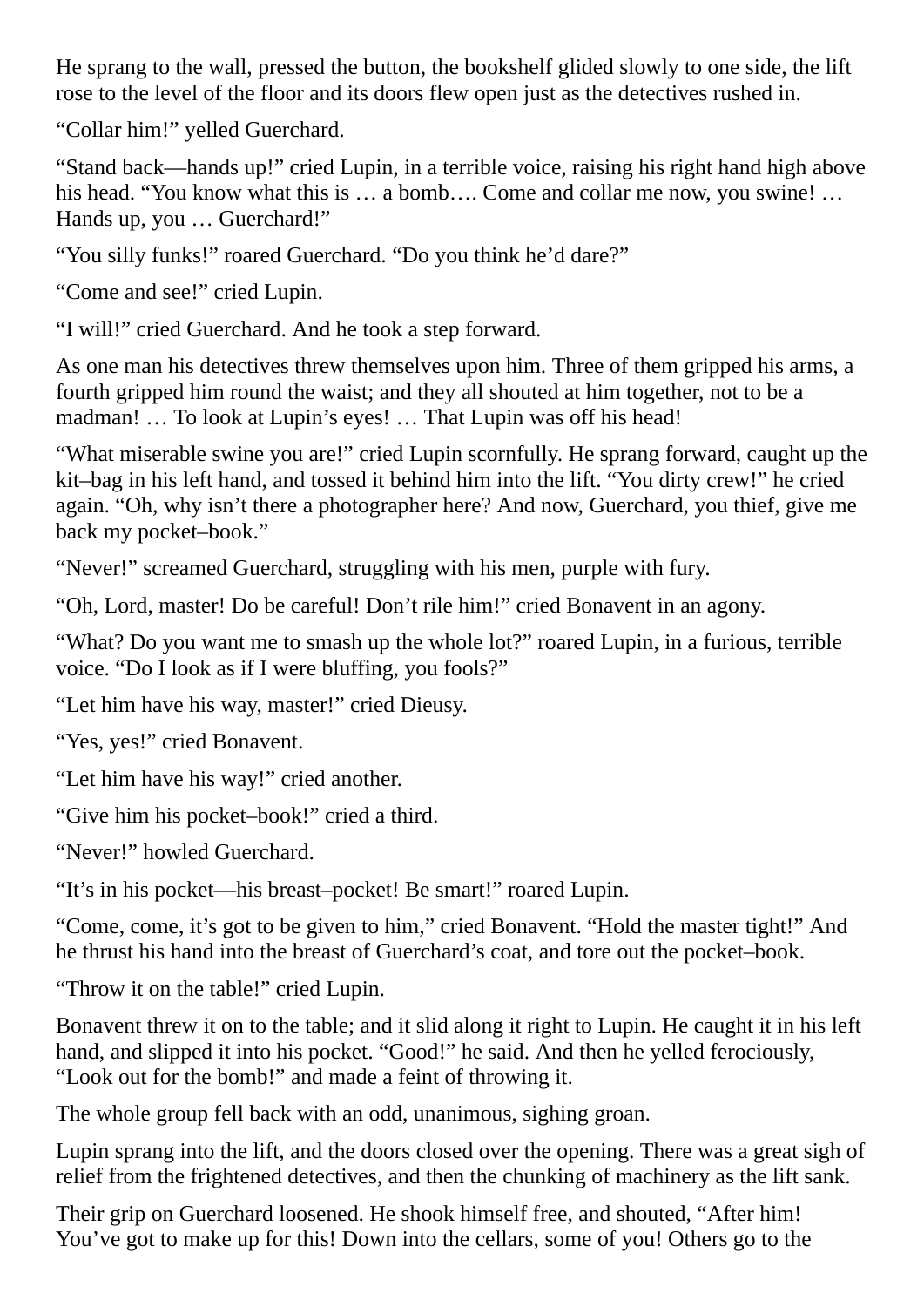He sprang to the wall, pressed the button, the bookshelf glided slowly to one side, the lift rose to the level of the floor and its doors flew open just as the detectives rushed in.

"Collar him!" yelled Guerchard.

"Stand back—hands up!" cried Lupin, in a terrible voice, raising his right hand high above his head. "You know what this is ... a bomb.... Come and collar me now, you swine! ... Hands up, you … Guerchard!"

"You silly funks!" roared Guerchard. "Do you think he'd dare?"

"Come and see!" cried Lupin.

"I will!" cried Guerchard. And he took a step forward.

As one man his detectives threw themselves upon him. Three of them gripped his arms, a fourth gripped him round the waist; and they all shouted at him together, not to be a madman! … To look at Lupin's eyes! … That Lupin was off his head!

"What miserable swine you are!" cried Lupin scornfully. He sprang forward, caught up the kit–bag in his left hand, and tossed it behind him into the lift. "You dirty crew!" he cried again. "Oh, why isn't there a photographer here? And now, Guerchard, you thief, give me back my pocket–book."

"Never!" screamed Guerchard, struggling with his men, purple with fury.

"Oh, Lord, master! Do be careful! Don't rile him!" cried Bonavent in an agony.

"What? Do you want me to smash up the whole lot?" roared Lupin, in a furious, terrible voice. "Do I look as if I were bluffing, you fools?"

"Let him have his way, master!" cried Dieusy.

"Yes, yes!" cried Bonavent.

"Let him have his way!" cried another.

"Give him his pocket–book!" cried a third.

"Never!" howled Guerchard.

"It's in his pocket—his breast–pocket! Be smart!" roared Lupin.

"Come, come, it's got to be given to him," cried Bonavent. "Hold the master tight!" And he thrust his hand into the breast of Guerchard's coat, and tore out the pocket–book.

"Throw it on the table!" cried Lupin.

Bonavent threw it on to the table; and it slid along it right to Lupin. He caught it in his left hand, and slipped it into his pocket. "Good!" he said. And then he yelled ferociously, "Look out for the bomb!" and made a feint of throwing it.

The whole group fell back with an odd, unanimous, sighing groan.

Lupin sprang into the lift, and the doors closed over the opening. There was a great sigh of relief from the frightened detectives, and then the chunking of machinery as the lift sank.

Their grip on Guerchard loosened. He shook himself free, and shouted, "After him! You've got to make up for this! Down into the cellars, some of you! Others go to the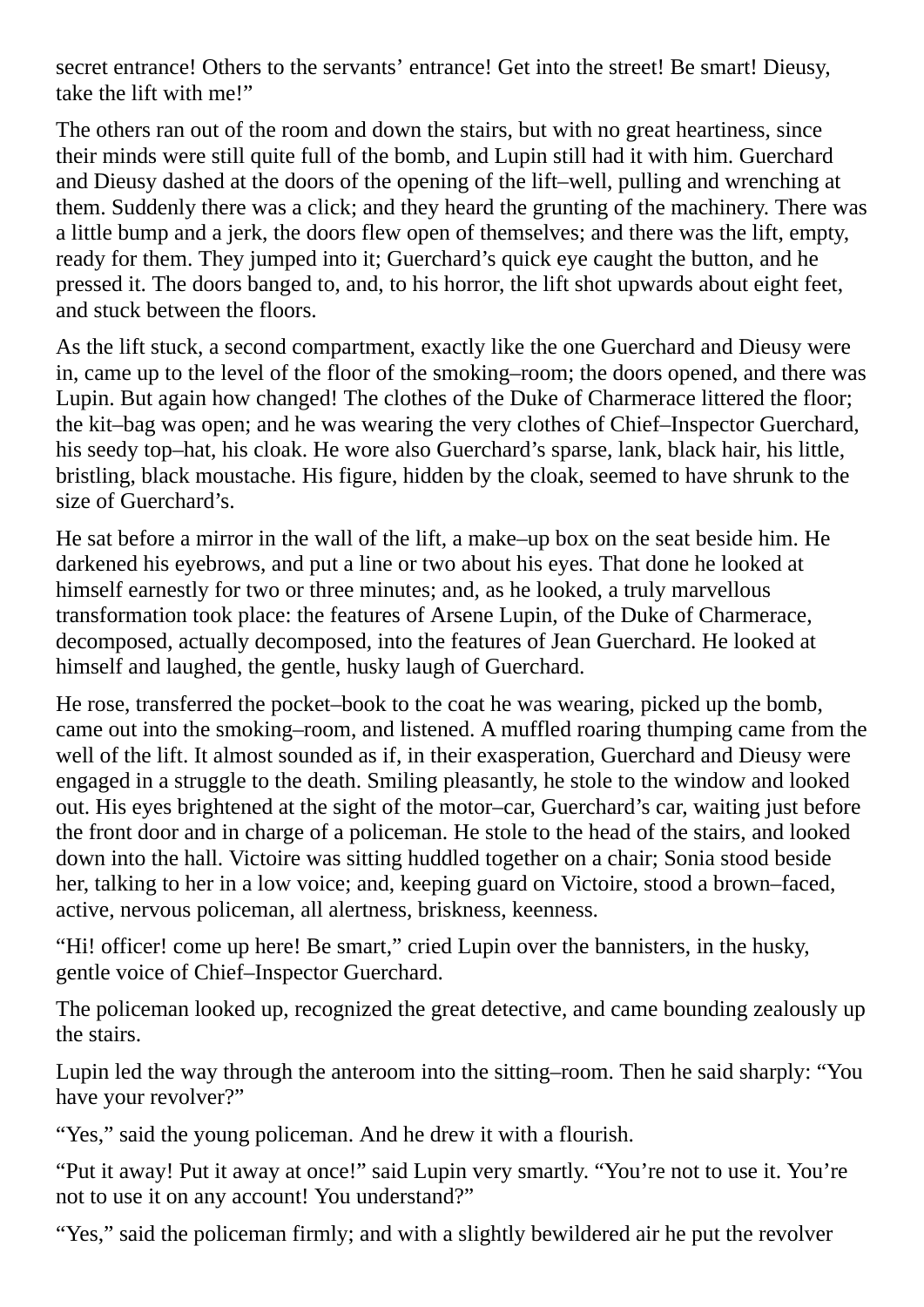secret entrance! Others to the servants' entrance! Get into the street! Be smart! Dieusy, take the lift with me!"

The others ran out of the room and down the stairs, but with no great heartiness, since their minds were still quite full of the bomb, and Lupin still had it with him. Guerchard and Dieusy dashed at the doors of the opening of the lift–well, pulling and wrenching at them. Suddenly there was a click; and they heard the grunting of the machinery. There was a little bump and a jerk, the doors flew open of themselves; and there was the lift, empty, ready for them. They jumped into it; Guerchard's quick eye caught the button, and he pressed it. The doors banged to, and, to his horror, the lift shot upwards about eight feet, and stuck between the floors.

As the lift stuck, a second compartment, exactly like the one Guerchard and Dieusy were in, came up to the level of the floor of the smoking–room; the doors opened, and there was Lupin. But again how changed! The clothes of the Duke of Charmerace littered the floor; the kit–bag was open; and he was wearing the very clothes of Chief–Inspector Guerchard, his seedy top–hat, his cloak. He wore also Guerchard's sparse, lank, black hair, his little, bristling, black moustache. His figure, hidden by the cloak, seemed to have shrunk to the size of Guerchard's.

He sat before a mirror in the wall of the lift, a make–up box on the seat beside him. He darkened his eyebrows, and put a line or two about his eyes. That done he looked at himself earnestly for two or three minutes; and, as he looked, a truly marvellous transformation took place: the features of Arsene Lupin, of the Duke of Charmerace, decomposed, actually decomposed, into the features of Jean Guerchard. He looked at himself and laughed, the gentle, husky laugh of Guerchard.

He rose, transferred the pocket–book to the coat he was wearing, picked up the bomb, came out into the smoking–room, and listened. A muffled roaring thumping came from the well of the lift. It almost sounded as if, in their exasperation, Guerchard and Dieusy were engaged in a struggle to the death. Smiling pleasantly, he stole to the window and looked out. His eyes brightened at the sight of the motor–car, Guerchard's car, waiting just before the front door and in charge of a policeman. He stole to the head of the stairs, and looked down into the hall. Victoire was sitting huddled together on a chair; Sonia stood beside her, talking to her in a low voice; and, keeping guard on Victoire, stood a brown–faced, active, nervous policeman, all alertness, briskness, keenness.

"Hi! officer! come up here! Be smart," cried Lupin over the bannisters, in the husky, gentle voice of Chief–Inspector Guerchard.

The policeman looked up, recognized the great detective, and came bounding zealously up the stairs.

Lupin led the way through the anteroom into the sitting–room. Then he said sharply: "You have your revolver?"

"Yes," said the young policeman. And he drew it with a flourish.

"Put it away! Put it away at once!" said Lupin very smartly. "You're not to use it. You're not to use it on any account! You understand?"

"Yes," said the policeman firmly; and with a slightly bewildered air he put the revolver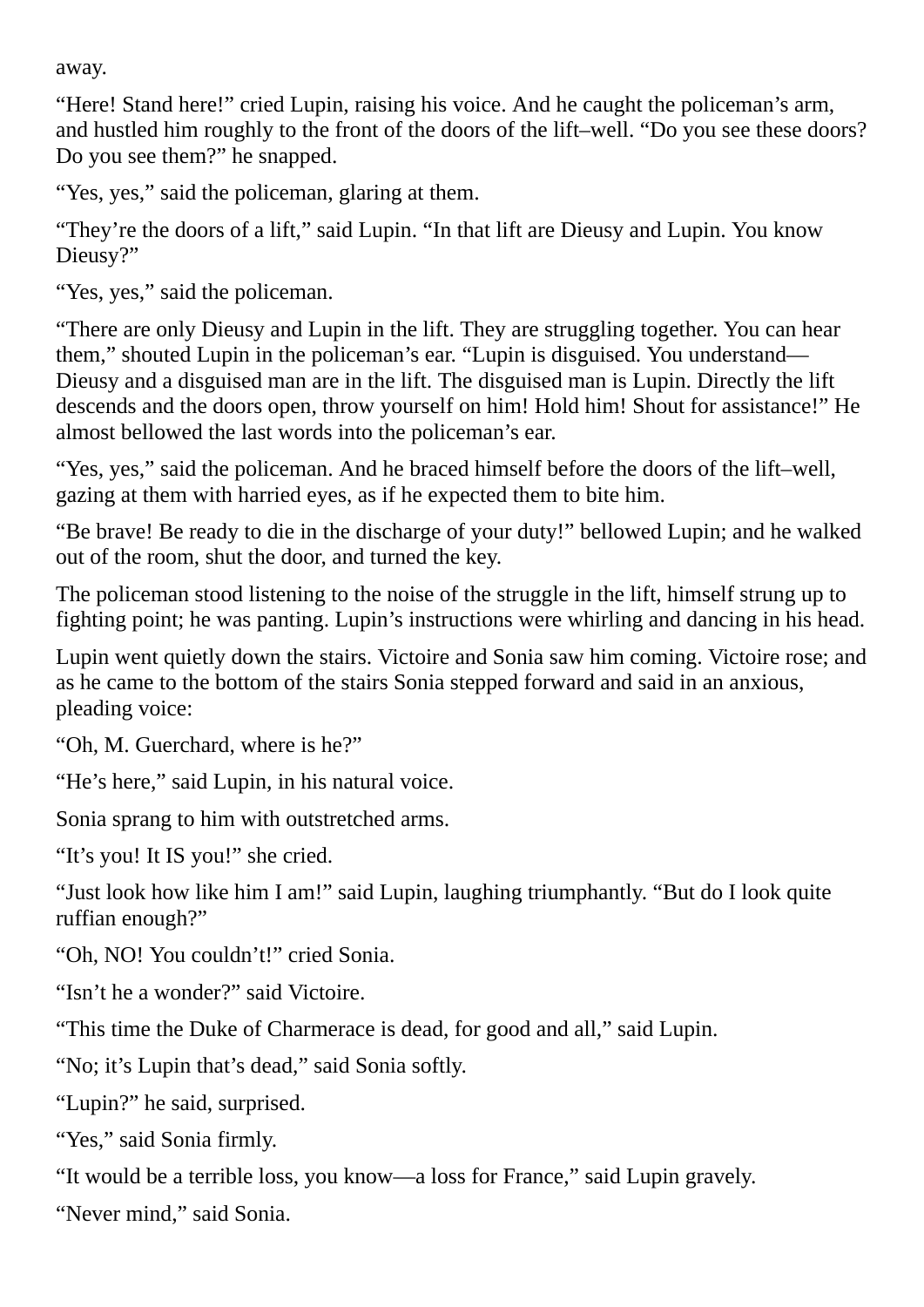away.

"Here! Stand here!" cried Lupin, raising his voice. And he caught the policeman's arm, and hustled him roughly to the front of the doors of the lift–well. "Do you see these doors? Do you see them?" he snapped.

"Yes, yes," said the policeman, glaring at them.

"They're the doors of a lift," said Lupin. "In that lift are Dieusy and Lupin. You know Dieusy?"

"Yes, yes," said the policeman.

"There are only Dieusy and Lupin in the lift. They are struggling together. You can hear them," shouted Lupin in the policeman's ear. "Lupin is disguised. You understand— Dieusy and a disguised man are in the lift. The disguised man is Lupin. Directly the lift descends and the doors open, throw yourself on him! Hold him! Shout for assistance!" He almost bellowed the last words into the policeman's ear.

"Yes, yes," said the policeman. And he braced himself before the doors of the lift–well, gazing at them with harried eyes, as if he expected them to bite him.

"Be brave! Be ready to die in the discharge of your duty!" bellowed Lupin; and he walked out of the room, shut the door, and turned the key.

The policeman stood listening to the noise of the struggle in the lift, himself strung up to fighting point; he was panting. Lupin's instructions were whirling and dancing in his head.

Lupin went quietly down the stairs. Victoire and Sonia saw him coming. Victoire rose; and as he came to the bottom of the stairs Sonia stepped forward and said in an anxious, pleading voice:

"Oh, M. Guerchard, where is he?"

"He's here," said Lupin, in his natural voice.

Sonia sprang to him with outstretched arms.

"It's you! It IS you!" she cried.

"Just look how like him I am!" said Lupin, laughing triumphantly. "But do I look quite ruffian enough?"

"Oh, NO! You couldn't!" cried Sonia.

"Isn't he a wonder?" said Victoire.

"This time the Duke of Charmerace is dead, for good and all," said Lupin.

"No; it's Lupin that's dead," said Sonia softly.

"Lupin?" he said, surprised.

"Yes," said Sonia firmly.

"It would be a terrible loss, you know—a loss for France," said Lupin gravely.

"Never mind," said Sonia.